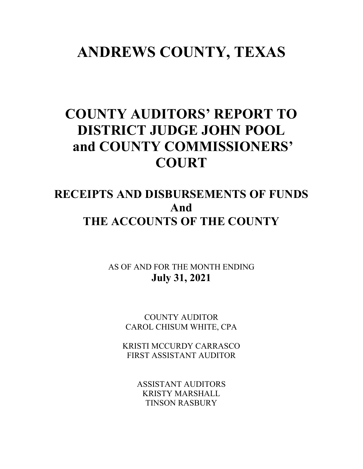## **ANDREWS COUNTY, TEXAS**

# **COUNTY AUDITORS' REPORT TO DISTRICT JUDGE JOHN POOL and COUNTY COMMISSIONERS' COURT**

## **RECEIPTS AND DISBURSEMENTS OF FUNDS And THE ACCOUNTS OF THE COUNTY**

AS OF AND FOR THE MONTH ENDING **July 31, 2021**

> COUNTY AUDITOR CAROL CHISUM WHITE, CPA

KRISTI MCCURDY CARRASCO FIRST ASSISTANT AUDITOR

> ASSISTANT AUDITORS KRISTY MARSHALL TINSON RASBURY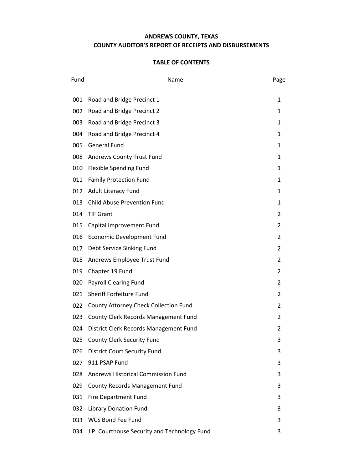## **ANDREWS COUNTY, TEXAS COUNTY AUDITOR'S REPORT OF RECEIPTS AND DISBURSEMENTS**

| Fund | Name                                         | Page           |
|------|----------------------------------------------|----------------|
| 001  | Road and Bridge Precinct 1                   | 1              |
| 002  | Road and Bridge Precinct 2                   | $\mathbf{1}$   |
| 003  | Road and Bridge Precinct 3                   | $\mathbf{1}$   |
| 004  | Road and Bridge Precinct 4                   | $\mathbf{1}$   |
| 005  | <b>General Fund</b>                          | $\mathbf{1}$   |
| 008  | Andrews County Trust Fund                    | 1              |
| 010  | Flexible Spending Fund                       | 1              |
| 011  | <b>Family Protection Fund</b>                | $\mathbf{1}$   |
| 012  | <b>Adult Literacy Fund</b>                   | $\mathbf{1}$   |
| 013  | <b>Child Abuse Prevention Fund</b>           | $\mathbf{1}$   |
| 014  | <b>TIF Grant</b>                             | 2              |
| 015  | Capital Improvement Fund                     | 2              |
| 016  | Economic Development Fund                    | $\overline{2}$ |
| 017  | Debt Service Sinking Fund                    | $\overline{2}$ |
| 018  | Andrews Employee Trust Fund                  | $\overline{2}$ |
| 019  | Chapter 19 Fund                              | 2              |
| 020  | <b>Payroll Clearing Fund</b>                 | 2              |
| 021  | Sheriff Forfeiture Fund                      | $\overline{2}$ |
| 022  | County Attorney Check Collection Fund        | $\overline{2}$ |
| 023  | County Clerk Records Management Fund         | 2              |
| 024  | District Clerk Records Management Fund       | 2              |
|      | 025 County Clerk Security Fund               | 3              |
| 026  | <b>District Court Security Fund</b>          | 3              |
| 027  | 911 PSAP Fund                                | 3              |
| 028  | Andrews Historical Commission Fund           | 3              |
| 029  | <b>County Records Management Fund</b>        | 3              |
| 031  | <b>Fire Department Fund</b>                  | 3              |
| 032  | <b>Library Donation Fund</b>                 | 3              |
| 033  | <b>WCS Bond Fee Fund</b>                     | 3              |
| 034  | J.P. Courthouse Security and Technology Fund | 3              |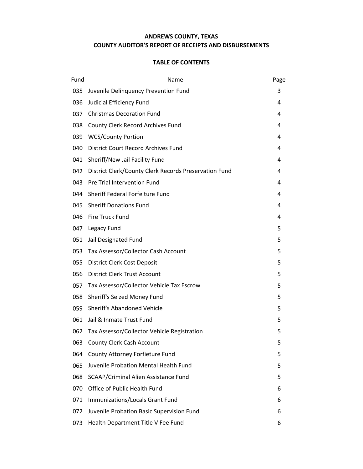## **ANDREWS COUNTY, TEXAS COUNTY AUDITOR'S REPORT OF RECEIPTS AND DISBURSEMENTS**

| Fund | Name                                                  | Page |
|------|-------------------------------------------------------|------|
| 035  | Juvenile Delinquency Prevention Fund                  | 3    |
| 036  | Judicial Efficiency Fund                              | 4    |
| 037  | <b>Christmas Decoration Fund</b>                      | 4    |
| 038  | County Clerk Record Archives Fund                     | 4    |
| 039  | <b>WCS/County Portion</b>                             | 4    |
| 040  | <b>District Court Record Archives Fund</b>            | 4    |
| 041  | Sheriff/New Jail Facility Fund                        | 4    |
| 042  | District Clerk/County Clerk Records Preservation Fund | 4    |
| 043. | Pre Trial Intervention Fund                           | 4    |
| 044  | Sheriff Federal Forfeiture Fund                       | 4    |
| 045  | <b>Sheriff Donations Fund</b>                         | 4    |
| 046  | Fire Truck Fund                                       | 4    |
|      | 047 Legacy Fund                                       | 5    |
| 051  | Jail Designated Fund                                  | 5    |
| 053  | Tax Assessor/Collector Cash Account                   | 5    |
| 055  | <b>District Clerk Cost Deposit</b>                    | 5    |
| 056  | District Clerk Trust Account                          | 5    |
| 057  | Tax Assessor/Collector Vehicle Tax Escrow             | 5    |
| 058  | Sheriff's Seized Money Fund                           | 5    |
| 059  | Sheriff's Abandoned Vehicle                           | 5    |
| 061  | Jail & Inmate Trust Fund                              | 5    |
|      | 062 Tax Assessor/Collector Vehicle Registration       | 5    |
| 063  | <b>County Clerk Cash Account</b>                      | 5    |
| 064  | County Attorney Forfieture Fund                       | 5    |
| 065  | Juvenile Probation Mental Health Fund                 | 5    |
| 068  | SCAAP/Criminal Alien Assistance Fund                  | 5    |
| 070  | Office of Public Health Fund                          | 6    |
| 071  | Immunizations/Locals Grant Fund                       | 6    |
| 072  | Juvenile Probation Basic Supervision Fund             | 6    |
| 073  | Health Department Title V Fee Fund                    | 6    |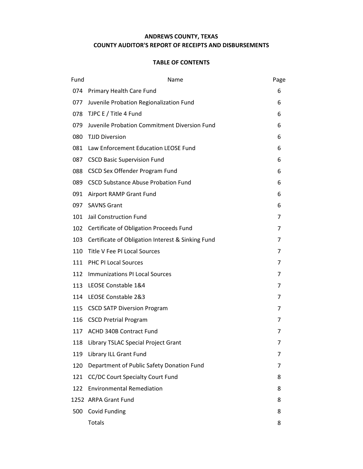## **ANDREWS COUNTY, TEXAS COUNTY AUDITOR'S REPORT OF RECEIPTS AND DISBURSEMENTS**

| Fund | Name                                              | Page           |
|------|---------------------------------------------------|----------------|
| 074  | Primary Health Care Fund                          | 6              |
| 077  | Juvenile Probation Regionalization Fund           | 6              |
| 078  | TJPC E / Title 4 Fund                             | 6              |
| 079  | Juvenile Probation Commitment Diversion Fund      | 6              |
| 080  | <b>TJJD Diversion</b>                             | 6              |
| 081  | Law Enforcement Education LEOSE Fund              | 6              |
| 087  | <b>CSCD Basic Supervision Fund</b>                | 6              |
| 088  | <b>CSCD Sex Offender Program Fund</b>             | 6              |
| 089  | <b>CSCD Substance Abuse Probation Fund</b>        | 6              |
| 091  | Airport RAMP Grant Fund                           | 6              |
|      | 097 SAVNS Grant                                   | 6              |
| 101  | Jail Construction Fund                            | 7              |
|      | 102 Certificate of Obligation Proceeds Fund       | 7              |
| 103  | Certificate of Obligation Interest & Sinking Fund | 7              |
| 110  | Title V Fee PI Local Sources                      | 7              |
| 111  | <b>PHC PI Local Sources</b>                       | 7              |
| 112  | Immunizations PI Local Sources                    | 7              |
| 113  | LEOSE Constable 1&4                               | 7              |
| 114  | LEOSE Constable 2&3                               | $\overline{7}$ |
| 115  | <b>CSCD SATP Diversion Program</b>                | 7              |
|      | 116 CSCD Pretrial Program                         | 7              |
|      | 117 ACHD 340B Contract Fund                       | 7              |
| 118  | Library TSLAC Special Project Grant               |                |
| 119  | Library ILL Grant Fund                            | 7              |
| 120  | Department of Public Safety Donation Fund         | 7              |
| 121  | CC/DC Court Specialty Court Fund                  | 8              |
| 122  | <b>Environmental Remediation</b>                  | 8              |
|      | 1252 ARPA Grant Fund                              | 8              |
| 500  | Covid Funding                                     | 8              |
|      | <b>Totals</b>                                     | 8              |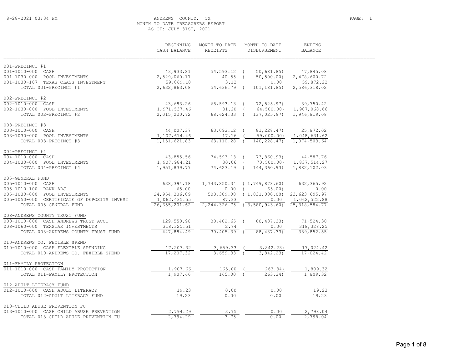## ANDREWS COUNTY, TX PAGE: 1 MONTH TO DATE TREASURERS REPORT AS OF: JULY 31ST, 2021

|                                                        | BEGINNING<br>CASH BALANCE    | MONTH-TO-DATE<br><b>RECETPTS</b> | MONTH-TO-DATE<br>DISBURSEMENT                   | ENDING<br><b>BALANCE</b>     |  |
|--------------------------------------------------------|------------------------------|----------------------------------|-------------------------------------------------|------------------------------|--|
| 001-PRECINCT #1                                        |                              |                                  |                                                 |                              |  |
| 001-1010-000 CASH                                      | 43,933.81                    | 54,593.12 (                      | 50,681.85)                                      | 47,845.08                    |  |
| 001-1030-000 POOL INVESTMENTS                          | 2,529,060.17                 | $40.55$ (                        | 50,500.00)                                      | 2,478,600.72                 |  |
| 001-1030-107 TEXAS CLASS INVESTMENT                    | 59,869.10                    | 3.12                             | 0.00                                            | 59,872.22                    |  |
| TOTAL 001-PRECINCT #1                                  | 2,632,863.08                 | 54,636.79 (                      | 101,181.85)                                     | 2,586,318.02                 |  |
| 002-PRECINCT #2                                        |                              |                                  |                                                 |                              |  |
| 002-1010-000 CASH                                      | 43,683.26                    | 68,593.13 (                      | 72,525.97)                                      | 39,750.42                    |  |
| 002-1030-000 POOL INVESTMENTS                          | 1,971,537.46                 | $31.20$ (                        | 64,500.00)                                      | 1,907,068.66                 |  |
| TOTAL 002-PRECINCT #2                                  | 2,015,220.72                 | 68,624.33 (                      | 137,025.97)                                     | 1,946,819.08                 |  |
| 003-PRECINCT #3                                        |                              |                                  |                                                 |                              |  |
| 003-1010-000 CASH                                      | 44,007.37                    | $63,093.12$ (                    | 81,228.47)                                      | 25,872.02                    |  |
| 003-1030-000 POOL INVESTMENTS<br>TOTAL 003-PRECINCT #3 | 1,107,614.46<br>1,151,621.83 | $17.16$ (<br>$63,110.28$ (       | 59,000.00)<br>140,228.47)                       | 1,048,631.62<br>1,074,503.64 |  |
|                                                        |                              |                                  |                                                 |                              |  |
| 004-PRECINCT #4                                        |                              |                                  |                                                 |                              |  |
| 004-1010-000 CASH                                      | 43,855.56                    | 74,593.13 (                      | 73,860.93)                                      | 44,587.76                    |  |
| 004-1030-000 POOL INVESTMENTS                          | 1,907,984.21                 |                                  | 30.06 ( 70,500.00)                              | 1,837,514.27                 |  |
| TOTAL 004-PRECINCT #4                                  | 1,951,839.77                 | 74,623.19 (                      | 144,360.93)                                     | 1,882,102.03                 |  |
| 005-GENERAL FUND                                       |                              |                                  |                                                 |                              |  |
| 005-1010-000 CASH                                      | 638,394.18                   |                                  | $1,743,850.34$ (1,749,878.60)                   | 632,365.92                   |  |
| 005-1010-100 BANK ADJ                                  | 65.00                        |                                  | $0.00$ (<br>65.00)                              | 0.00                         |  |
| 005-1030-000 POOL INVESTMENTS                          | 24,954,306.89                |                                  | 500,389.08 (1,831,000.00) 23,623,695.97         |                              |  |
| 005-1050-000 CERTIFICATE OF DEPOSITS INVEST            | 1,062,435.55                 | 87.33                            | $0.00 \qquad 1,062,522.88$                      |                              |  |
| TOTAL 005-GENERAL FUND                                 | 26,655,201.62                |                                  | 2, 244, 326.75 (3, 580, 943.60) 25, 318, 584.77 |                              |  |
| 008-ANDREWS COUNTY TRUST FUND                          |                              |                                  |                                                 |                              |  |
| 008-1010-000 CASH ANDREWS TRUST ACCT                   | 129,558.98                   | $30,402.65$ (                    | 88, 437.33)                                     | 71,524.30                    |  |
| 008-1060-000 TEXSTAR INVESTMENTS                       | 318,325.51                   | 2.74                             | 0.00                                            | 318, 328.25                  |  |
| TOTAL 008-ANDREWS COUNTY TRUST FUND                    | 447,884.49                   | $30,405.39$ (                    | 88, 437. 33)                                    | 389,852.55                   |  |
| 010-ANDREWS CO. FEXIBLE SPEND                          |                              |                                  |                                                 |                              |  |
| 010-1010-000 CASH FLEXIBLE SPENDING                    | 17,207.32                    | $3,659.33$ (                     | 3,842.23)                                       | 17,024.42                    |  |
| TOTAL 010-ANDREWS CO. FEXIBLE SPEND                    | 17,207.32                    | $3,659.33$ (                     | 3,842.23)                                       | 17,024.42                    |  |
| 011-FAMILY PROTECTION                                  |                              |                                  |                                                 |                              |  |
| 011-1010-000 CASH FAMILY PROTECTION                    | 1,907.66                     | $165.00$ (                       | 263.34)                                         | 1,809.32                     |  |
| TOTAL 011-FAMILY PROTECTION                            | 1,907.66                     | $165.00$ (                       | 263.34                                          | 1,809.32                     |  |
| 012-ADULT LITERACY FUND                                |                              |                                  |                                                 |                              |  |
| 012-1010-000 CASH ADULT LITERACY                       | 19.23                        | 0.00                             | 0.00                                            | 19.23                        |  |
| TOTAL 012-ADULT LITERACY FUND                          | 19.23                        | 0.00                             | 0.00                                            | 19.23                        |  |
| 013-CHILD ABUSE PREVENTION FU                          |                              |                                  |                                                 |                              |  |
| 013-1010-000 CASH CHILD ABUSE PREVENTION               | 2,794.29                     | 3.75                             | 0.00                                            | 2,798.04                     |  |
| TOTAL 013-CHILD ABUSE PREVENTION FU                    | 2,794.29                     | 3.75                             | 0.00                                            | 2,798.04                     |  |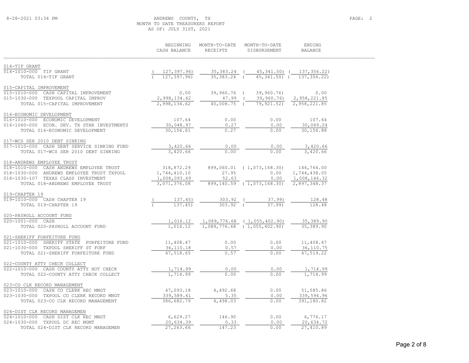## 8-28-2021 03:34 PM ANDREWS COUNTY, TX PAGE: 2 MONTH TO DATE TREASURERS REPORT AS OF: JULY 31ST, 2021

|                                                                          | BEGINNING<br>CASH BALANCE | MONTH-TO-DATE<br>RECEIPTS | MONTH-TO-DATE<br>DISBURSEMENT           | ENDING<br><b>BALANCE</b>   |  |
|--------------------------------------------------------------------------|---------------------------|---------------------------|-----------------------------------------|----------------------------|--|
| 014-TIF GRANT                                                            |                           |                           |                                         |                            |  |
| 014-1010-000 TIF GRANT                                                   | 127,397.96)               |                           | 35, 383.24 ( 45, 341.50) ( 137, 356.22) |                            |  |
| TOTAL 014-TIF GRANT                                                      | 127, 397, 96)             | 35, 383. 24 (             | $45,341,50$ (                           | 137,356.22)                |  |
| 015-CAPITAL IMPROVEMENT                                                  |                           |                           |                                         |                            |  |
| 015-1010-000 CASH CAPITAL IMPROVEMENT                                    | 0.00                      | 39,960.76 (               | 39,960.76)                              | 0.00                       |  |
| 015-1030-000 TEXPOOL CAPITAL IMPROV                                      | 2,998,134.62              |                           | 47.99 ( 39,960.76) 2,958,221.85         |                            |  |
| TOTAL 015-CAPITAL IMPROVEMENT                                            | 2,998,134.62              | 40,008.75 (               |                                         | 79, 921.52) 2, 958, 221.85 |  |
| 016-ECONOMIC DEVELOPMENT                                                 |                           |                           |                                         |                            |  |
| 016-1010-000 ECONOMIC DEVELOPMENT                                        | 107.64                    | 0.00                      | 0.00                                    | 107.64                     |  |
| 016-1060-000 ECON. DEV. TX STAR INVESTMENTS                              | 30,048.97                 | 0.27                      | 0.00                                    | 30,049.24                  |  |
| TOTAL 016-ECONOMIC DEVELOPMENT                                           | 30, 156.61                | 0.27                      | 0.00                                    | 30,156.88                  |  |
| 017-WCS SER 2010 DEBT SINKING                                            |                           |                           |                                         |                            |  |
| 017-1010-000 CASH DEBT SERVICE SINKING FUND                              | 3,420.66                  | 0.00                      | 0.00                                    | 3,420.66                   |  |
| TOTAL 017-WCS SER 2010 DEBT SINKING                                      | 3,420.66                  | 0.00                      | 0.00                                    | 3,420.66                   |  |
| 018-ANDREWS EMPLOYEE TRUST                                               |                           |                           |                                         |                            |  |
| 018-1010-000 CASH ANDREWS EMPLOYEE TRUST                                 | 318,872.29                |                           | 899,060.01 (1,073,168.30) 144,764.00    |                            |  |
| 018-1030-000 ANDREWS EMPLOYEE TRUST TXPOOL                               | 1,744,410.10              | 27.95                     | 0.00                                    | 1,744,438.05               |  |
| 018-1030-107 TEXAS CLASS INVESTMENT                                      | 1,008,093.69              | 52.63                     |                                         | 0.00 1,008,146.32          |  |
| TOTAL 018-ANDREWS EMPLOYEE TRUST                                         | 3,071,376.08              |                           | 899,140.59 (1,073,168.30)               | 2,897,348.37               |  |
| 019-CHAPTER 19<br>019-1010-000 CASH CHAPTER 19                           |                           |                           |                                         |                            |  |
| TOTAL 019-CHAPTER 19                                                     | 137.45)<br>137.45         | 303.92<br>$303.92$ (      | 37.99<br>37.99                          | 128.48<br>128.48           |  |
|                                                                          |                           |                           |                                         |                            |  |
| 020-PAYROLL ACCOUNT FUND                                                 |                           |                           |                                         |                            |  |
| 020-1001-000 CASH                                                        | 1.016.12                  |                           | 1,016.12  1,089,776.68  (1,055,402.90)  | 35,389.90<br>35, 389.90    |  |
| TOTAL 020-PAYROLL ACCOUNT FUND                                           |                           |                           | $1,089,776.68$ (1,055,402.90)           |                            |  |
| 021-SHERIFF FORFEITURE FUND                                              |                           |                           |                                         |                            |  |
| 021-1010-000 SHERIFF STATE FORFEITURE FUND                               | 11,408.47                 | 0.00                      | 0.00                                    | 11,408.47                  |  |
| 021-1030-000 TXPOOL SHERIFF ST FORF<br>TOTAL 021-SHERIFF FORFEITURE FUND | 36,110.18<br>47,518.65    | 0.57<br>0.57              | 0.00<br>0.00                            | 36,110.75<br>47,519.22     |  |
|                                                                          |                           |                           |                                         |                            |  |
| 022-COUNTY ATTY CHECK COLLECT                                            |                           |                           |                                         |                            |  |
| 022-1010-000 CASH COUNTY ATTY HOT CHECK                                  | 1,714.99                  | 0.00                      | 0.00                                    | 1,714.99                   |  |
| TOTAL 022-COUNTY ATTY CHECK COLLECT                                      | 1,714.99                  | 0.00                      | 0.00                                    | 1,714.99                   |  |
| 023-CO CLK RECORD MANAGEMENT                                             |                           |                           |                                         |                            |  |
| 023-1010-000 CASH CO CLERK REC MNGT                                      | 47,093.18                 | 4,492.68                  | 0.00                                    | 51,585.86                  |  |
| 023-1030-000 TXPOOL CO CLERK RECORD MNGT                                 | 339,589.61                | 5.35                      | 0.00                                    | 339,594.96                 |  |
| TOTAL 023-CO CLK RECORD MANAGEMENT                                       | 386,682.79                | 4,498.03                  | 0.00                                    | 391,180.82                 |  |
| 024-DIST CLK RECORD MANAGEMEN                                            |                           |                           |                                         |                            |  |
| 024-1010-000 CASH DIST CLK REC MNGT                                      | 6,629.27                  | 146.90                    | 0.00                                    | 6,776.17                   |  |
| 024-1030-000 TXPOOL DC REC MGMT                                          | 20,634.39                 | 0.33                      | 0.00                                    | 20,634.72                  |  |
| TOTAL 024-DIST CLK RECORD MANAGEMEN                                      | 27,263.66                 | 147.23                    | 0.00                                    | 27,410.89                  |  |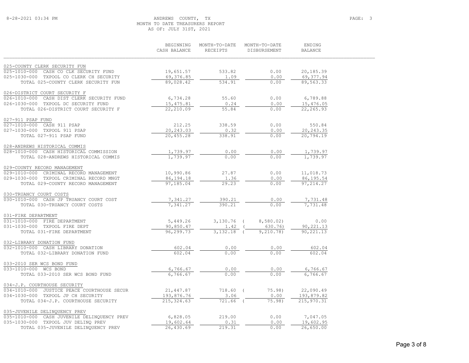## 8-28-2021 03:34 PM ANDREWS COUNTY, TX PAGE: 3 MONTH TO DATE TREASURERS REPORT AS OF: JULY 31ST, 2021

|                                                      | BEGINNING<br>CASH BALANCE | MONTH-TO-DATE<br>RECEIPTS | MONTH-TO-DATE<br>DISBURSEMENT | ENDING<br><b>BALANCE</b> |
|------------------------------------------------------|---------------------------|---------------------------|-------------------------------|--------------------------|
| 025-COUNTY CLERK SECURITY FUN                        |                           |                           |                               |                          |
| 025-1010-000 CASH CO CLK SECURITY FUND               | 19,651.57                 | 533.82                    | 0.00                          | 20,185.39                |
| 025-1030-000 TXPOOL CO CLERK CH SECURITY             | 69,376.85                 | 1.09                      | 0.00                          | 69, 377.94               |
| TOTAL 025-COUNTY CLERK SECURITY FUN                  | 89,028.42                 | 534.91                    | 0.00                          | 89,563.33                |
| 026-DISTRICT COURT SECURITY F                        |                           |                           |                               |                          |
| 026-1010-000 CASH DIST CLERK SECURITY FUND           | 6,734.28                  | 55.60                     | 0.00                          | 6,789.88                 |
| 026-1030-000 TXPOOL DC SECURITY FUND                 | 15, 475.81                | 0.24                      | 0.00                          | 15,476.05                |
| TOTAL 026-DISTRICT COURT SECURITY F                  | 22,210.09                 | 55.84                     | 0.00                          | 22,265.93                |
| 027-911 PSAP FUND                                    |                           |                           |                               |                          |
| 027-1010-000 CASH 911 PSAP                           | 212.25                    | 338.59                    | 0.00                          | 550.84                   |
| 027-1030-000 TXPOOL 911 PSAP                         | 20,243.03                 | 0.32                      | 0.00                          | 20, 243.35               |
| TOTAL 027-911 PSAP FUND                              | 20,455.28                 | 338.91                    | 0.00                          | 20,794.19                |
| 028-ANDREWS HISTORICAL COMMIS                        |                           |                           |                               |                          |
| 028-1010-000 CASH HISTORICAL COMMISSION              | 1,739.97                  | 0.00                      | 0.00                          | 1,739.97                 |
| TOTAL 028-ANDREWS HISTORICAL COMMIS                  | 1,739.97                  | 0.00                      | 0.00                          | 1,739.97                 |
| 029-COUNTY RECORD MANAGEMENT                         |                           |                           |                               |                          |
| 029-1010-000 CRIMINAL RECORD MANAGEMENT              | 10,990.86                 | 27.87                     | 0.00                          | 11,018.73                |
| 029-1030-000 TXPOOL CRIMINAL RECORD MNGT             | 86, 194. 18               | 1.36                      | 0.00                          | 86,195.54                |
| TOTAL 029-COUNTY RECORD MANAGEMENT                   | 97,185.04                 | 29.23                     | 0.00                          | 97, 214.27               |
| 030-TRUANCY COURT COSTS                              |                           |                           |                               |                          |
| 030-1010-000 CASH JP TRUANCY COURT COST              | 7,341.27                  | 390.21                    | 0.00                          | 7,731.48                 |
| TOTAL 030-TRUANCY COURT COSTS                        | 7,341.27                  | 390.21                    | 0.00                          | 7,731.48                 |
| 031-FIRE DEPARTMENT                                  |                           |                           |                               |                          |
| 031-1010-000 FIRE DEPARTMENT                         | 5,449.26                  | $3,130.76$ (              | 8,580.02)                     | 0.00                     |
| 031-1030-000 TXPOOL FIRE DEPT                        | 90,850.47                 | 1.42                      | 630.76)                       | 90, 221.13               |
| TOTAL 031-FIRE DEPARTMENT                            | 96,299.73                 | $3,132.18$ (              | 9,210.78)                     | 90,221.13                |
| 032-LIBRARY DONATION FUND                            |                           |                           |                               |                          |
| 032-1010-000 CASH LIBRARY DONATION                   | 602.04                    | 0.00                      | 0.00                          | 602.04                   |
| TOTAL 032-LIBRARY DONATION FUND                      | 602.04                    | 0.00                      | 0.00                          | 602.04                   |
| 033-2010 SER WCS BOND FUND                           |                           |                           |                               |                          |
| 033-1010-000 WCS BOND                                | 6,766.67                  | 0.00                      | 0.00                          | 6,766.67                 |
| TOTAL 033-2010 SER WCS BOND FUND                     | 6,766.67                  | 0.00                      | 0.00                          | 6,766.67                 |
| 034-J.P. COURTHOUSE SECURITY                         |                           |                           |                               |                          |
| $034 - 1010 - 000$<br>JUSTICE PEACE COURTHOUSE SECUR | 21, 447.87                | 718.60 (                  | $75.98$ )                     | 22,090.49                |
| 034-1030-000 TXPOOL JP CH SECURITY                   | 193,876.76                | 3.06                      | 0.00                          | 193,879.82               |
| TOTAL 034-J.P. COURTHOUSE SECURITY                   | 215, 324.63               | 721.66 (                  | 75.98)                        | 215,970.31               |
| 035-JUVENILE DELINQUENCY PREV                        |                           |                           |                               |                          |
| 035-1010-000 CASH JUVENILE DELINQUENCY PREV          | 6,828.05                  | 219.00                    | 0.00                          | 7,047.05                 |
| 035-1030-000 TXPOOL JUV DELINQ PREV                  | 19,602.64                 | 0.31                      | 0.00                          | 19,602.95                |
| TOTAL 035-JUVENILE DELINQUENCY PREV                  | 26,430.69                 | 219.31                    | 0.00                          | 26,650.00                |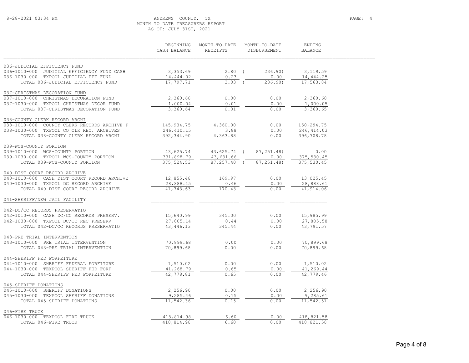## 8-28-2021 03:34 PM ANDREWS COUNTY, TX PAGE: 4 MONTH TO DATE TREASURERS REPORT AS OF: JULY 31ST, 2021

|                                                      | BEGINNING<br>CASH BALANCE | MONTH-TO-DATE<br>RECEIPTS | MONTH-TO-DATE<br>DISBURSEMENT | ENDING<br><b>BALANCE</b> |
|------------------------------------------------------|---------------------------|---------------------------|-------------------------------|--------------------------|
|                                                      |                           |                           |                               |                          |
| 036-JUDICIAL EFFICIENCY FUND                         |                           |                           |                               |                          |
| $036 - 1010 - 000$<br>JUDICIAL EFFICIENCY FUND CASH  | 3,353.69                  | $2.80$ (                  | 236.90                        | 3,119.59                 |
| 036-1030-000 TXPOOL JUDICIAL EFF FUND                | 14,444.02                 | 0.23                      | 0.00                          | 14,444.25                |
| TOTAL 036-JUDICIAL EFFICIENCY FUND                   | 17,797.71                 | $3.03$ (                  | 236.90                        | 17,563.84                |
| 037-CHRISTMAS DECORATION FUND                        |                           |                           |                               |                          |
| 037-1010-000<br>CHRISTMAS DECORATION FUND            | 2,360.60                  | 0.00                      | 0.00                          | 2,360.60                 |
| 037-1030-000 TXPOOL CHRISTMAS DECOR FUND             | 1,000.04                  | 0.01                      | 0.00                          | 1,000.05                 |
| TOTAL 037-CHRISTMAS DECORATION FUND                  | 3,360.64                  | 0.01                      | 0.00                          | 3,360.65                 |
| 038-COUNTY CLERK RECORD ARCHI                        |                           |                           |                               |                          |
| 038-1010-000 COUNTY CLERK RECORDS ARCHIVE F          | 145, 934.75               | 4,360.00                  | 0.00                          | 150,294.75               |
| 038-1030-000 TXPOOL CO CLK REC. ARCHIVES             | 246, 410.15               | 3.88                      | 0.00                          | 246, 414.03              |
| TOTAL 038-COUNTY CLERK RECORD ARCHI                  | 392, 344.90               | 4,363.88                  | 0.00                          | 396,708.78               |
| 039-WCS-COUNTY PORTION                               |                           |                           |                               |                          |
| 039-1010-000 WCS-COUNTY PORTION                      | 43,625.74                 | 43,625.74 (               | 87, 251.48)                   | 0.00                     |
| 039-1030-000 TXPOOL WCS-COUNTY PORTION               | 331,898.79                | 43,631.66                 | 0.00                          | 375,530.45               |
| TOTAL 039-WCS-COUNTY PORTION                         | 375, 524.53               | $87, 257, 40$ (           | 87, 251.48)                   | 375,530.45               |
| 040-DIST COURT RECORD ARCHIVE                        |                           |                           |                               |                          |
| $040 - 1010 - 000$<br>CASH DIST COURT RECORD ARCHIVE | 12,855.48                 | 169.97                    | 0.00                          | 13,025.45                |
| 040-1030-000 TXPOOL DC RECORD ARCHIVE                | 28,888.15                 | 0.46                      | 0.00                          | 28,888.61                |
| TOTAL 040-DIST COURT RECORD ARCHIVE                  | 41,743.63                 | 170.43                    | 0.00                          | 41,914.06                |
| 041-SHERIFF/NEW JAIL FACILITY                        |                           |                           |                               |                          |
| 042-DC/CC RECORDS PRESERVATIO                        |                           |                           |                               |                          |
| 042-1010-000 CASH DC/CC RECORDS PRESERV.             | 15,640.99                 | 345.00                    | 0.00                          | 15,985.99                |
| 042-1030-000 TXPOOL DC/CC REC PRESERV                | 27,805.14                 | 0.44                      | 0.00                          | 27,805.58                |
| TOTAL 042-DC/CC RECORDS PRESERVATIO                  | 43, 446.13                | 345.44                    | 0.00                          | 43,791.57                |
| 043-PRE TRIAL INTERVENTION                           |                           |                           |                               |                          |
| 043-1010-000 PRE TRIAL INTERVENTION                  | 70,899.68                 | 0.00                      | 0.00                          | 70,899.68                |
| TOTAL 043-PRE TRIAL INTERVENTION                     | 70,899.68                 | 0.00                      | 0.00                          | 70,899.68                |
| 044-SHERIFF FED FORFEITURE                           |                           |                           |                               |                          |
| 044-1010-000<br>SHERIFF FEDERAL FORFITURE            | 1,510.02                  | 0.00                      | 0.00                          | 1,510.02                 |
| 044-1030-000 TEXPOOL SHERIFF FED FORF                | 41,268.79                 | 0.65                      | 0.00                          | 41,269.44                |
| TOTAL 044-SHERIFF FED FORFEITURE                     | 42,778.81                 | 0.65                      | 0.00                          | 42,779.46                |
| 045-SHERIFF DONATIONS                                |                           |                           |                               |                          |
| 045-1010-000 SHERIFF DONATIONS                       | 2,256.90                  | 0.00                      | 0.00                          | 2,256.90                 |
| 045-1030-000 TEXPOOL SHERIFF DONATIONS               | 9,285.46                  | 0.15                      | 0.00                          | 9,285.61                 |
| TOTAL 045-SHERIFF DONATIONS                          | 11,542.36                 | 0.15                      | 0.00                          | 11,542.51                |
| 046-FIRE TRUCK                                       |                           |                           |                               |                          |
| 046-1030-000 TEXPOOL FIRE TRUCK                      | 418,814.98                | 6.60                      | 0.00                          | 418,821.58               |
| TOTAL 046-FIRE TRUCK                                 | 418,814.98                | 6.60                      | 0.00                          | 418,821.58               |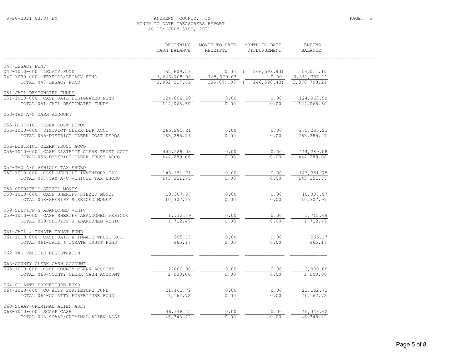## 8-28-2021 03:34 PM ANDREWS COUNTY, TX PAGE: 5 MONTH TO DATE TREASURERS REPORT AS OF: JULY 31ST, 2021

|                                                                            | BEGINNING<br>CASH BALANCE    | MONTH-TO-DATE<br>RECEIPTS  | MONTH-TO-DATE<br>DISBURSEMENT | ENDING<br><b>BALANCE</b>     |  |
|----------------------------------------------------------------------------|------------------------------|----------------------------|-------------------------------|------------------------------|--|
| 047-LEGACY FUND                                                            |                              |                            |                               |                              |  |
| 047-1010-000 LEGACY FUND                                                   | 265,609.53                   | $0.00$ (                   | 246,598.43)                   | 19,011.10                    |  |
| 047-1030-000 TEXPOOL/LEGACY FUND<br>TOTAL 047-LEGACY FUND                  | 3,666,708.08<br>3,932,317.61 | 185,079.03<br>185,079.03 ( | 0.00<br>246, 598.43           | 3,851,787.11<br>3,870,798.21 |  |
|                                                                            |                              |                            |                               |                              |  |
| 051-JAIL DESIGNATED FUNDS                                                  |                              |                            |                               |                              |  |
| 051-1010-000 CASH JAIL DESIGNATED FUND                                     | 124,068.50                   | 0.00                       | 0.00                          | 124,068.50                   |  |
| TOTAL 051-JAIL DESIGNATED FUNDS                                            | 124,068.50                   | 0.00                       | 0.00                          | 124,068.50                   |  |
| 053-TAX A/C CASH ACCOUNT                                                   |                              |                            |                               |                              |  |
| 055-DISTRICT CLERK COST DEPOS                                              |                              |                            |                               |                              |  |
| 055-1010-000 DISTRICT CLERK DEP ACCT                                       | 265, 285. 21                 | 0.00                       | 0.00                          | 265,285.21                   |  |
| TOTAL 055-DISTRICT CLERK COST DEPOS                                        | 265, 285. 21                 | 0.00                       | 0.00                          | 265, 285.21                  |  |
| 056-DISTRICT CLERK TRUST ACCO                                              |                              |                            |                               |                              |  |
| 056-1010-000 CASH DISTRICT CLERK TRUST ACCT                                | 444,289.08                   | 0.00                       | 0.00                          | 444,289.08                   |  |
| TOTAL 056-DISTRICT CLERK TRUST ACCO                                        | 444,289.08                   | 0.00                       | 0.00                          | 444,289.08                   |  |
|                                                                            |                              |                            |                               |                              |  |
| 057-TAX A/C VEHICLE TAX ESCRO<br>057-1010-000 CASH VEHICLE INVENTORY TAX   | 143, 351.75                  | 0.00                       | 0.00                          | 143, 351.75                  |  |
| TOTAL 057-TAX A/C VEHICLE TAX ESCRO                                        | 143, 351.75                  | 0.00                       | 0.00                          | 143, 351. 75                 |  |
|                                                                            |                              |                            |                               |                              |  |
| 058-SHERIFF'S SEIZED MONEY                                                 |                              |                            |                               |                              |  |
| 058-1010-000 CASH SHERIFF SIEZED MONEY<br>TOTAL 058-SHERIFF'S SEIZED MONEY | 10,307.97<br>10, 307.97      | 0.00<br>0.00               | 0.00<br>0.00                  | 10,307.97<br>10,307.97       |  |
|                                                                            |                              |                            |                               |                              |  |
| 059-SHERIFF'S ABANDONED VEHIC                                              |                              |                            |                               |                              |  |
| 059-1010-000 CASH SHERIFF ABANDONED VEHICLE                                | 1,712.49                     | 0.00                       | 0.00                          | 1,712.49                     |  |
| TOTAL 059-SHERIFF'S ABANDONED VEHIC                                        | 1,712.49                     | 0.00                       | 0.00                          | 1,712.49                     |  |
| 061-JAIL & INMATE TRUST FUND                                               |                              |                            |                               |                              |  |
| 061-1010-000 CASH JAIL & INMATE TRUST ACCT                                 | 965.17                       | 0.00                       | 0.00                          | 965.17                       |  |
| TOTAL 061-JAIL & INMATE TRUST FUND                                         | 965.17                       | 0.00                       | 0.00                          | 965.17                       |  |
| 062-TAC VEHICLE REGISTRATON                                                |                              |                            |                               |                              |  |
| 063-COUNTY CLERK CASH ACCOUNT                                              |                              |                            |                               |                              |  |
| 063-1010-000 CASH COUNTY CLERK ACCOUNT                                     | 2,000.00                     | 0.00                       | 0.00                          | 2,000.00                     |  |
| TOTAL 063-COUNTY CLERK CASH ACCOUNT                                        | 2,000.00                     | 0.00                       | 0.00                          | 2,000.00                     |  |
|                                                                            |                              |                            |                               |                              |  |
| 064-CO ATTY FORFEITURE FUND                                                |                              |                            |                               |                              |  |
| 064-1010-000 CO ATTY FORFIETURE FUND<br>TOTAL 064-CO ATTY FORFEITURE FUND  | 21,162.72<br>21, 162.72      | 0.00<br>0.00               | 0.00<br>0.00                  | 21, 162. 72<br>21,162.72     |  |
|                                                                            |                              |                            |                               |                              |  |
| 068-SCAAP/CRIMINAL ALIEN ASSI                                              |                              |                            |                               |                              |  |
| 068-1010-000 SCAAP CASH                                                    | 46,348.42                    | 0.00                       | 0.00                          | 46,348.42                    |  |
| TOTAL 068-SCAAP/CRIMINAL ALIEN ASSI                                        | 46, 348.42                   | 0.00                       | 0.00                          | 46,348.42                    |  |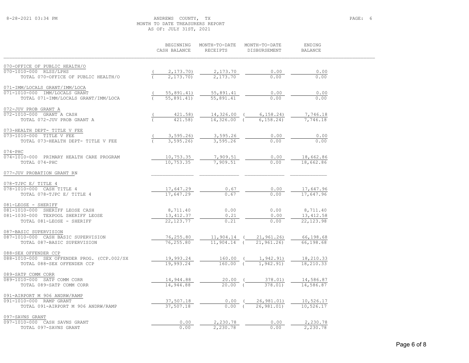## 8-28-2021 03:34 PM ANDREWS COUNTY, TX PAGE: 6 MONTH TO DATE TREASURERS REPORT AS OF: JULY 31ST, 2021

|                                                                           | BEGINNING<br>CASH BALANCE | MONTH-TO-DATE<br>RECEIPTS   | MONTH-TO-DATE<br>DISBURSEMENT | ENDING<br><b>BALANCE</b> |  |
|---------------------------------------------------------------------------|---------------------------|-----------------------------|-------------------------------|--------------------------|--|
| 070-OFFICE OF PUBLIC HEALTH/O                                             |                           |                             |                               |                          |  |
| 070-1010-000 RLSS/LPHS                                                    | 2, 173.70                 | $\frac{2,173.70}{2,173.70}$ | 0.00                          | 0.00                     |  |
| TOTAL 070-OFFICE OF PUBLIC HEALTH/O                                       | 2, 173, 70)               |                             | 0.00                          | 0.00                     |  |
| 071-IMM/LOCALS GRANT/IMM/LOCA                                             |                           |                             |                               |                          |  |
| 071-1010-000 IMM/LOCALS GRANT                                             | 55,891.41)                | 55,891.41                   | 0.00                          | 0.00                     |  |
| TOTAL 071-IMM/LOCALS GRANT/IMM/LOCA                                       | 55,891.41)                | 55,891.41                   | 0.00                          | 0.00                     |  |
| 072-JUV PROB GRANT A                                                      |                           |                             |                               |                          |  |
| 072-1010-000 GRANT A CASH                                                 | 421.58)                   | $14,326.00$ (               | 6, 158.24)                    | 7,746.18                 |  |
| TOTAL 072-JUV PROB GRANT A                                                | $421.58$ )                | $14,326.00$ (               | 6, 158, 24)                   | 7,746.18                 |  |
| 073-HEALTH DEPT- TITLE V FEE                                              |                           |                             |                               |                          |  |
| 073-1010-000 TITLE V FEE                                                  | 3,595.26                  | 3,595.26                    | 0.00                          | 0.00                     |  |
| TOTAL 073-HEALTH DEPT- TITLE V FEE                                        | 3, 595.26                 | 3,595.26                    | 0.00                          | 0.00                     |  |
| $074 - PHC$<br>074-1010-000 PRIMARY HEALTH CARE PROGRAM                   | 10,753.35                 | 7,909.51                    | 0.00                          | 18,662.86                |  |
| TOTAL 074-PHC                                                             | 10,753.35                 | 7,909.51                    | 0.00                          | 18,662.86                |  |
| 077-JUV PROBATION GRANT RN                                                |                           |                             |                               |                          |  |
|                                                                           |                           |                             |                               |                          |  |
| 078-TJPC E/ TITLE 4                                                       |                           |                             |                               |                          |  |
| 078-1010-000 CASH TITLE 4                                                 | 17,647.29                 | 0.67                        | 0.00                          | 17,647.96                |  |
| TOTAL 078-TJPC E/ TITLE 4                                                 | 17,647.29                 | 0.67                        | 0.00                          | 17,647.96                |  |
| 081-LEOSE - SHERIFF                                                       |                           |                             |                               |                          |  |
| 081-1010-000 SHERIFF LEOSE CASH                                           | 8,711.40                  | 0.00                        | 0.00                          | 8,711.40                 |  |
| 081-1030-000 TEXPOOL SHERIFF LEOSE<br>TOTAL 081-LEOSE - SHERIFF           | 13, 412.37<br>22, 123.77  | 0.21<br>0.21                | 0.00<br>0.00                  | 13, 412.58<br>22, 123.98 |  |
|                                                                           |                           |                             |                               |                          |  |
| 087-BASIC SUPERVISION                                                     |                           |                             |                               |                          |  |
| 087-1010-000 CASH BASIC SUPERVISION                                       | 76,255.80                 | $11,904.14$ (               | 21,961.26)                    | 66,198.68                |  |
| TOTAL 087-BASIC SUPERVISION                                               | 76,255.80                 | $11,904.14$ (               | 21, 961, 26                   | 66,198.68                |  |
| 088-SEX OFFENDER CCP                                                      |                           |                             |                               |                          |  |
| 088-1010-000 SEX OFFENDER PROG. (CCP.002/SX<br>TOTAL 088-SEX OFFENDER CCP | 19,993.24<br>19,993.24    | 160.00 (<br>$160.00$ (      | 1,942.91)<br>1,942.91)        | 18,210.33<br>18,210.33   |  |
|                                                                           |                           |                             |                               |                          |  |
| 089-SATP COMM CORR                                                        |                           |                             |                               |                          |  |
| 089-1010-000 SATP COMM CORR                                               | 14,944.88                 | 20.00<br>$20.00$ $($        | 378.01)                       | 14,586.87                |  |
| TOTAL 089-SATP COMM CORR                                                  | 14,944.88                 |                             | 378.01)                       | 14,586.87                |  |
| 091-AIRPORT M 906 ANDRW/RAMP                                              |                           |                             |                               |                          |  |
| 091-1010-000 RAMP GRANT                                                   | 37,507.18                 | $0.00$ (                    | 26,981.01)                    | 10,526.17                |  |
| TOTAL 091-AIRPORT M 906 ANDRW/RAMP                                        | 37,507.18                 | 0.00(                       | 26,981.01)                    | 10,526.17                |  |
| 097-SAVNS GRANT                                                           |                           |                             |                               |                          |  |
| 097-1010-000 CASH SAVNS GRANT                                             | 0.00                      | 2,230.78                    | 0.00                          | 2,230.78                 |  |
| TOTAL 097-SAVNS GRANT                                                     | 0.00                      | 2,230.78                    | 0.00                          | 2,230.78                 |  |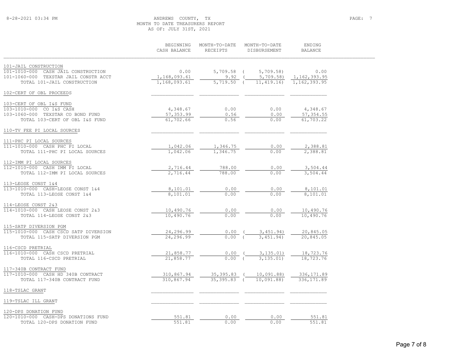## 8-28-2021 03:34 PM ANDREWS COUNTY, TX PAGE: 7 MONTH TO DATE TREASURERS REPORT AS OF: JULY 31ST, 2021

|                                       | BEGINNING<br>CASH BALANCE | MONTH-TO-DATE<br>RECEIPTS | MONTH-TO-DATE<br>DISBURSEMENT | ENDING<br><b>BALANCE</b> |
|---------------------------------------|---------------------------|---------------------------|-------------------------------|--------------------------|
| 101-JAIL CONSTRUCTION                 |                           |                           |                               |                          |
| 101-1010-000 CASH JAIL CONSTRUCTION   | 0.00                      | $5,709.58$ (              | 5,709.58                      | 0.00                     |
| 101-1060-000 TEXSTAR JAIL CONSTR ACCT | 1,168,093.61              | 9.92                      | 5,709.58                      | 1, 162, 393.95           |
| TOTAL 101-JAIL CONSTRUCTION           | 1,168,093.61              | $5,719.50$ (              | 11, 419.16                    | 1,162,393.95             |
| 102-CERT OF OBL PROCEEDS              |                           |                           |                               |                          |
| 103-CERT OF OBL I&S FUND              |                           |                           |                               |                          |
| 103-1010-000 CO I&S CASH              | 4,348.67                  | 0.00                      | 0.00                          | 4,348.67                 |
| 103-1060-000 TEXSTAR CO BOND FUND     | 57, 353.99                | 0.56                      | 0.00                          | 57, 354.55               |
| TOTAL 103-CERT OF OBL I&S FUND        | 61,702.66                 | 0.56                      | 0.00                          | 61,703.22                |
| 110-TV FEE PI LOCAL SOURCES           |                           |                           |                               |                          |
| 111-PHC PI LOCAL SOURCES              |                           |                           |                               |                          |
| 111-1010-000 CASH PHC PI LOCAL        | 1,042.06                  | 1,346.75                  | 0.00                          | 2,388.81                 |
| TOTAL 111-PHC PI LOCAL SOURCES        | 1,042.06                  | 1,346.75                  | 0.00                          | 2,388.81                 |
| 112-IMM PI LOCAL SOURCES              |                           |                           |                               |                          |
| 112-1010-000 CASH IMM PI LOCAL        | 2,716.44                  | 788.00                    | 0.00                          | 3,504.44                 |
| TOTAL 112-IMM PI LOCAL SOURCES        | 2,716.44                  | 788.00                    | 0.00                          | 3,504.44                 |
| 113-LEOSE CONST 1&4                   |                           |                           |                               |                          |
| 113-1010-000 CASH-LEOSE CONST 1&4     | 8,101.01                  | 0.00                      | 0.00                          | 8,101.01                 |
| TOTAL 113-LEOSE CONST 1&4             | 8,101.01                  | 0.00                      | 0.00                          | 8,101.01                 |
| 114-LEOSE CONST 2&3                   |                           |                           |                               |                          |
| 114-1010-000 CASH LEOSE CONST 2&3     | 10,490.76                 | 0.00                      | 0.00                          | 10,490.76                |
| TOTAL 114-LEOSE CONST 2&3             | 10,490.76                 | 0.00                      | 0.00                          | 10,490.76                |
| 115-SATP DIVERSION PGM                |                           |                           |                               |                          |
| 115-1010-000 CASH CSCD SATP DIVERSION | 24,296.99                 | 0.00                      | 3,451.94)                     | 20,845.05                |
| TOTAL 115-SATP DIVERSION PGM          | 24,296.99                 | 0.00(                     | 3,451,94)                     | 20,845.05                |
| 116-CSCD PRETRIAL                     |                           |                           |                               |                          |
| 116-1010-000 CASH CSCD PRETRIAL       | 21,858.77                 | 0.00                      | 3,135.01)                     | 18,723.76                |
| TOTAL 116-CSCD PRETRIAL               | 21,858.77                 | $0.00$ (                  | 3, 135.01                     | 18,723.76                |
| 117-340B CONTRACT FUND                |                           |                           |                               |                          |
| 117-1010-000 CASH HD 340B CONTRACT    | 310,867.94                | $35,395.83$ (             | 10,091.88)                    | 336, 171.89              |
| TOTAL 117-340B CONTRACT FUND          | 310,867.94                | $35,395.83$ (             | 10,091.88)                    | 336, 171.89              |
| 118-TSLAC GRANT                       |                           |                           |                               |                          |
| 119-TSLAC ILL GRANT                   |                           |                           |                               |                          |
| 120-DPS DONATION FUND                 |                           |                           |                               |                          |
| 120-1010-000 CASH-DPS DONATIONS FUND  | 551.81                    | 0.00                      | 0.00                          | 551.81                   |
| TOTAL 120-DPS DONATION FUND           | 551.81                    | 0.00                      | 0.00                          | 551.81                   |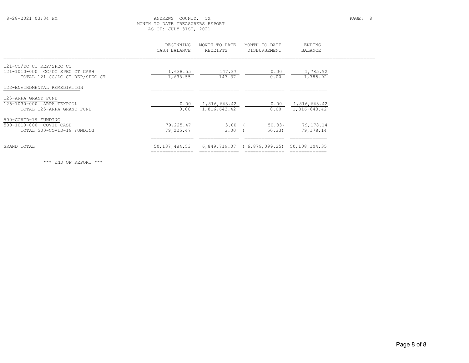## 8-28-2021 03:34 PM ANDREWS COUNTY, TX PAGE: 8 MONTH TO DATE TREASURERS REPORT AS OF: JULY 31ST, 2021

|                                                                                               | BEGINNING<br>CASH BALANCE | MONTH-TO-DATE<br>RECEIPTS    | MONTH-TO-DATE<br>DISBURSEMENT | ENDING<br><b>BALANCE</b>     |  |
|-----------------------------------------------------------------------------------------------|---------------------------|------------------------------|-------------------------------|------------------------------|--|
| 121-CC/DC CT REP/SPEC CT<br>121-1010-000 CC/DC SPEC CT CASH<br>TOTAL 121-CC/DC CT REP/SPEC CT | 1,638.55<br>1,638.55      | 147.37<br>147.37             | 0.00<br>0.00                  | 1,785.92<br>1,785.92         |  |
| 122-ENVIROMENTAL REMEDIATION                                                                  |                           |                              |                               |                              |  |
| 125-ARPA GRANT FUND<br>125-1030-000<br>ARPA TEXPOOL<br>TOTAL 125-ARPA GRANT FUND              | 0.00<br>0.00              | 1,816,643.42<br>1,816,643.42 | 0.00<br>0.00                  | 1,816,643.42<br>1,816,643.42 |  |
| 500-COVID-19 FUNDING<br>500-1010-000 COVID CASH<br>TOTAL 500-COVID-19 FUNDING                 | 79,225.47<br>79,225.47    | 3.00<br>3.00                 | 50.33<br>50.33)               | 79,178.14<br>79,178.14       |  |
| GRAND TOTAL                                                                                   | 50, 137, 484.53           | 6,849,719.07                 | (6, 879, 099, 25)             | 50,108,104.35                |  |

\*\*\* END OF REPORT \*\*\*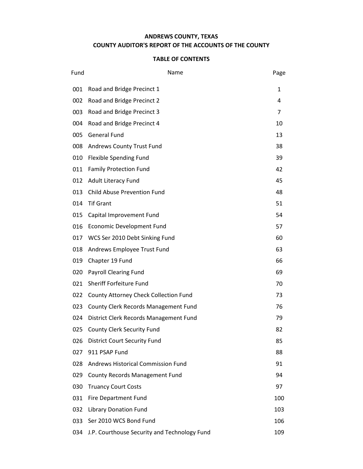## **ANDREWS COUNTY, TEXAS COUNTY AUDITOR'S REPORT OF THE ACCOUNTS OF THE COUNTY**

| Fund | Name                                         | Page |
|------|----------------------------------------------|------|
| 001  | Road and Bridge Precinct 1                   | 1    |
| 002  | Road and Bridge Precinct 2                   | 4    |
| 003  | Road and Bridge Precinct 3                   | 7    |
| 004  | Road and Bridge Precinct 4                   | 10   |
| 005  | <b>General Fund</b>                          | 13   |
| 008  | Andrews County Trust Fund                    | 38   |
| 010  | Flexible Spending Fund                       | 39   |
| 011  | <b>Family Protection Fund</b>                | 42   |
| 012  | <b>Adult Literacy Fund</b>                   | 45   |
| 013  | <b>Child Abuse Prevention Fund</b>           | 48   |
| 014  | <b>Tif Grant</b>                             | 51   |
| 015  | Capital Improvement Fund                     | 54   |
| 016  | Economic Development Fund                    | 57   |
| 017  | WCS Ser 2010 Debt Sinking Fund               | 60   |
| 018  | Andrews Employee Trust Fund                  | 63   |
| 019  | Chapter 19 Fund                              | 66   |
| 020  | <b>Payroll Clearing Fund</b>                 | 69   |
| 021  | Sheriff Forfeiture Fund                      | 70   |
| 022  | County Attorney Check Collection Fund        | 73   |
| 023  | County Clerk Records Management Fund         | 76   |
| 024  | District Clerk Records Management Fund       | 79   |
| 025  | <b>County Clerk Security Fund</b>            | 82   |
| 026  | <b>District Court Security Fund</b>          | 85   |
| 027  | 911 PSAP Fund                                | 88   |
| 028  | Andrews Historical Commission Fund           | 91   |
| 029  | <b>County Records Management Fund</b>        | 94   |
| 030  | <b>Truancy Court Costs</b>                   | 97   |
| 031  | <b>Fire Department Fund</b>                  | 100  |
| 032  | <b>Library Donation Fund</b>                 | 103  |
| 033  | Ser 2010 WCS Bond Fund                       | 106  |
| 034  | J.P. Courthouse Security and Technology Fund | 109  |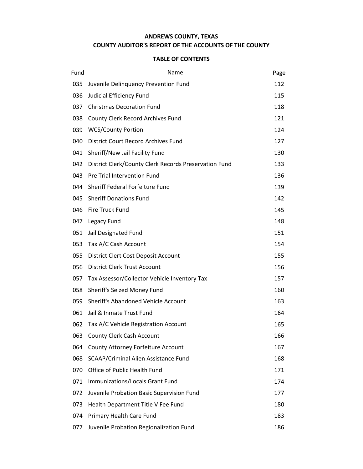## **ANDREWS COUNTY, TEXAS COUNTY AUDITOR'S REPORT OF THE ACCOUNTS OF THE COUNTY**

| Fund | Name                                                  | Page |
|------|-------------------------------------------------------|------|
| 035  | Juvenile Delinquency Prevention Fund                  | 112  |
| 036  | Judicial Efficiency Fund                              | 115  |
| 037  | <b>Christmas Decoration Fund</b>                      | 118  |
| 038  | County Clerk Record Archives Fund                     | 121  |
| 039  | <b>WCS/County Portion</b>                             | 124  |
| 040  | District Court Record Archives Fund                   | 127  |
| 041  | Sheriff/New Jail Facility Fund                        | 130  |
| 042  | District Clerk/County Clerk Records Preservation Fund | 133  |
| 043  | Pre Trial Intervention Fund                           | 136  |
| 044  | Sheriff Federal Forfeiture Fund                       | 139  |
| 045  | <b>Sheriff Donations Fund</b>                         | 142  |
| 046  | Fire Truck Fund                                       | 145  |
| 047  | Legacy Fund                                           | 148  |
| 051  | Jail Designated Fund                                  | 151  |
| 053  | Tax A/C Cash Account                                  | 154  |
| 055  | District Clert Cost Deposit Account                   | 155  |
| 056  | <b>District Clerk Trust Account</b>                   | 156  |
| 057  | Tax Assessor/Collector Vehicle Inventory Tax          | 157  |
| 058  | Sheriff's Seized Money Fund                           | 160  |
| 059  | <b>Sheriff's Abandoned Vehicle Account</b>            | 163  |
| 061  | Jail & Inmate Trust Fund                              | 164  |
| 062  | Tax A/C Vehicle Registration Account                  | 165  |
| 063  | <b>County Clerk Cash Account</b>                      | 166  |
| 064  | County Attorney Forfeiture Account                    | 167  |
| 068  | SCAAP/Criminal Alien Assistance Fund                  | 168  |
| 070  | Office of Public Health Fund                          | 171  |
| 071  | Immunizations/Locals Grant Fund                       | 174  |
| 072  | Juvenile Probation Basic Supervision Fund             | 177  |
| 073  | Health Department Title V Fee Fund                    | 180  |
| 074  | Primary Health Care Fund                              | 183  |
| 077  | Juvenile Probation Regionalization Fund               | 186  |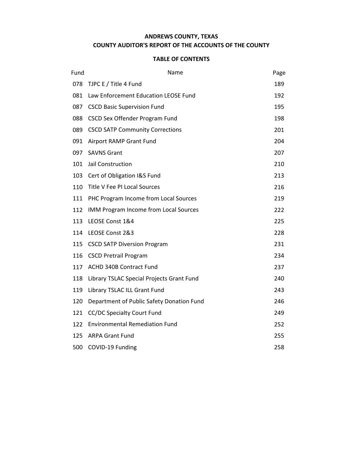## **ANDREWS COUNTY, TEXAS COUNTY AUDITOR'S REPORT OF THE ACCOUNTS OF THE COUNTY**

| Fund | Name                                      | Page |
|------|-------------------------------------------|------|
| 078  | TJPC E / Title 4 Fund                     | 189  |
| 081  | Law Enforcement Education LEOSE Fund      | 192  |
| 087  | <b>CSCD Basic Supervision Fund</b>        | 195  |
| 088  | CSCD Sex Offender Program Fund            | 198  |
| 089  | <b>CSCD SATP Community Corrections</b>    | 201  |
| 091  | Airport RAMP Grant Fund                   | 204  |
| 097  | <b>SAVNS Grant</b>                        | 207  |
| 101  | Jail Construction                         | 210  |
| 103  | Cert of Obligation I&S Fund               | 213  |
| 110  | Title V Fee PI Local Sources              | 216  |
| 111  | PHC Program Income from Local Sources     | 219  |
| 112  | IMM Program Income from Local Sources     | 222  |
| 113  | LEOSE Const 1&4                           | 225  |
| 114  | LEOSE Const 2&3                           | 228  |
| 115  | <b>CSCD SATP Diversion Program</b>        | 231  |
| 116  | <b>CSCD Pretrail Program</b>              | 234  |
| 117  | ACHD 340B Contract Fund                   | 237  |
| 118  | Library TSLAC Special Projects Grant Fund | 240  |
| 119  | Library TSLAC ILL Grant Fund              | 243  |
| 120  | Department of Public Safety Donation Fund | 246  |
| 121  | <b>CC/DC Specialty Court Fund</b>         | 249  |
| 122  | <b>Environmental Remediation Fund</b>     | 252  |
| 125  | <b>ARPA Grant Fund</b>                    | 255  |
| 500  | COVID-19 Funding                          | 258  |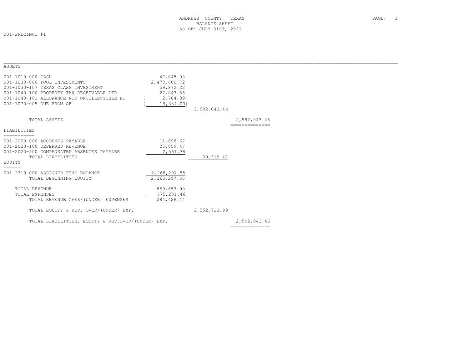001-PRECINCT #1

| ASSETS                                                                                                                                                                                                                                                                                                                                                                                                                                                                                   |              |              |                                |  |
|------------------------------------------------------------------------------------------------------------------------------------------------------------------------------------------------------------------------------------------------------------------------------------------------------------------------------------------------------------------------------------------------------------------------------------------------------------------------------------------|--------------|--------------|--------------------------------|--|
| $\begin{array}{cccccccccc} \multicolumn{2}{c}{} & \multicolumn{2}{c}{} & \multicolumn{2}{c}{} & \multicolumn{2}{c}{} & \multicolumn{2}{c}{} & \multicolumn{2}{c}{} & \multicolumn{2}{c}{} & \multicolumn{2}{c}{} & \multicolumn{2}{c}{} & \multicolumn{2}{c}{} & \multicolumn{2}{c}{} & \multicolumn{2}{c}{} & \multicolumn{2}{c}{} & \multicolumn{2}{c}{} & \multicolumn{2}{c}{} & \multicolumn{2}{c}{} & \multicolumn{2}{c}{} & \multicolumn{2}{c}{} & \multicolumn{2}{c}{} & \mult$   |              |              |                                |  |
| 001-1010-000 CASH                                                                                                                                                                                                                                                                                                                                                                                                                                                                        | 47,845.08    |              |                                |  |
| 001-1030-000 POOL INVESTMENTS                                                                                                                                                                                                                                                                                                                                                                                                                                                            | 2,478,600.72 |              |                                |  |
| 001-1030-107 TEXAS CLASS INVESTMENT                                                                                                                                                                                                                                                                                                                                                                                                                                                      | 59,872.22    |              |                                |  |
| 001-1040-100 PROPERTY TAX RECEIVABLE DTR                                                                                                                                                                                                                                                                                                                                                                                                                                                 | 27,843.86    |              |                                |  |
| 001-1040-101 ALLOWANCE FOR UNCOLLECTIBLE DT                                                                                                                                                                                                                                                                                                                                                                                                                                              | 2,784.39)    |              |                                |  |
| 001-1070-005 DUE FROM GF                                                                                                                                                                                                                                                                                                                                                                                                                                                                 | 19,334.03)   |              |                                |  |
|                                                                                                                                                                                                                                                                                                                                                                                                                                                                                          |              | 2,592,043.46 |                                |  |
|                                                                                                                                                                                                                                                                                                                                                                                                                                                                                          |              |              |                                |  |
| TOTAL ASSETS                                                                                                                                                                                                                                                                                                                                                                                                                                                                             |              |              | 2,592,043.46                   |  |
| LIABILITIES                                                                                                                                                                                                                                                                                                                                                                                                                                                                              |              |              |                                |  |
| ===========                                                                                                                                                                                                                                                                                                                                                                                                                                                                              |              |              |                                |  |
| 001-2020-000 ACCOUNTS PAYABLE                                                                                                                                                                                                                                                                                                                                                                                                                                                            | 11,698.62    |              |                                |  |
| 001-2020-100 DEFERRED REVENUE                                                                                                                                                                                                                                                                                                                                                                                                                                                            | 25,059.47    |              |                                |  |
| 001-2020-500 COMPENSATED ABSENCES PAYALBE                                                                                                                                                                                                                                                                                                                                                                                                                                                | 2,561.38     |              |                                |  |
| TOTAL LIABILITIES                                                                                                                                                                                                                                                                                                                                                                                                                                                                        |              | 39, 319.47   |                                |  |
| EOUITY                                                                                                                                                                                                                                                                                                                                                                                                                                                                                   |              |              |                                |  |
| $\begin{tabular}{ll} \multicolumn{3}{l}{} & \multicolumn{3}{l}{} & \multicolumn{3}{l}{} \\ \multicolumn{3}{l}{} & \multicolumn{3}{l}{} & \multicolumn{3}{l}{} \\ \multicolumn{3}{l}{} & \multicolumn{3}{l}{} & \multicolumn{3}{l}{} \\ \multicolumn{3}{l}{} & \multicolumn{3}{l}{} & \multicolumn{3}{l}{} \\ \multicolumn{3}{l}{} & \multicolumn{3}{l}{} & \multicolumn{3}{l}{} \\ \multicolumn{3}{l}{} & \multicolumn{3}{l}{} & \multicolumn{3}{l}{} \\ \multicolumn{3}{l}{} & \multic$ |              |              |                                |  |
| 001-2719-000 ASSIGNED FUND BALANCE                                                                                                                                                                                                                                                                                                                                                                                                                                                       | 2,268,297.55 |              |                                |  |
| TOTAL BEGINNING EOUITY                                                                                                                                                                                                                                                                                                                                                                                                                                                                   | 2,268,297.55 |              |                                |  |
|                                                                                                                                                                                                                                                                                                                                                                                                                                                                                          |              |              |                                |  |
| TOTAL REVENUE                                                                                                                                                                                                                                                                                                                                                                                                                                                                            | 859,657.90   |              |                                |  |
| <b>TOTAL EXPENSES</b>                                                                                                                                                                                                                                                                                                                                                                                                                                                                    | 575, 231.46  |              |                                |  |
| TOTAL REVENUE OVER/(UNDER) EXPENSES                                                                                                                                                                                                                                                                                                                                                                                                                                                      | 284,426.44   |              |                                |  |
|                                                                                                                                                                                                                                                                                                                                                                                                                                                                                          |              |              |                                |  |
| TOTAL EQUITY & REV. OVER/(UNDER) EXP.                                                                                                                                                                                                                                                                                                                                                                                                                                                    |              | 2,552,723.99 |                                |  |
|                                                                                                                                                                                                                                                                                                                                                                                                                                                                                          |              |              |                                |  |
| TOTAL LIABILITIES, EQUITY & REV.OVER/(UNDER) EXP.                                                                                                                                                                                                                                                                                                                                                                                                                                        |              |              | 2,592,043.46<br>============== |  |
|                                                                                                                                                                                                                                                                                                                                                                                                                                                                                          |              |              |                                |  |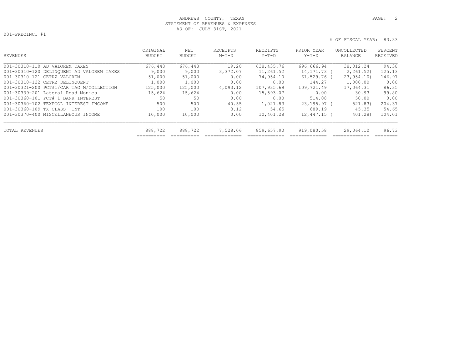## ANDREWS COUNTY, TEXAS **PAGE:** 2 STATEMENT OF REVENUES & EXPENSES AS OF: JULY 31ST, 2021

001-PRECINCT #1

| REVENUES                                  | ORIGINAL<br><b>BUDGET</b> | NET<br><b>BUDGET</b> | RECEIPTS<br>$M-T-D$ | RECEIPTS<br>$Y-T-D$ | PRIOR YEAR<br>$Y-T-D$ | UNCOLLECTED<br>BALANCE | PERCENT<br>RECEIVED |
|-------------------------------------------|---------------------------|----------------------|---------------------|---------------------|-----------------------|------------------------|---------------------|
| 001-30310-110 AD VALOREM TAXES            | 676,448                   | 676,448              | 19.20               | 638,435.76          | 696,666.94            | 38,012.24              | 94.38               |
| 001-30310-120 DELINQUENT AD VALOREM TAXES | 9,000                     | 9,000                | 3,372.07            | 11,261.52           | 14,171.73 (           | 2, 261, 52)            | 125.13              |
| 001-30310-121 CETRZ VALOREM               | 51,000                    | 51,000               | 0.00                | 74,954.10           | $61,529.76$ (         | 23, 954, 10)           | 146.97              |
| 001-30310-122 CETRZ DELINOUENT            | 1,000                     | 1,000                | 0.00                | 0.00                | 144.27                | 1,000.00               | 0.00                |
| 001-30321-200 PCT#1/CAR TAG M/COLLECTION  | 125,000                   | 125,000              | 4,093.12            | 107,935.69          | 109,721.49            | 17,064.31              | 86.35               |
| 001-30339-201 Lateral Road Monies         | 15,624                    | 15,624               | 0.00                | 15,593.07           | 0.00                  | 30.93                  | 99.80               |
| 001-30360-101 PCT# 1 BANK INTEREST        | 50                        | 50                   | 0.00                | 0.00                | 514.08                | 50.00                  | 0.00                |
| 001-30360-102 TEXPOOL INTEREST INCOME     | 500                       | 500                  | 40.55               | 1,021.83            | $23,195.97$ (         | 521.83)                | 204.37              |
| 001-30360-109 TX CLASS<br><b>TNT</b>      | 100                       | 100                  | 3.12                | 54.65               | 689.19                | 45.35                  | 54.65               |
| 001-30370-400 MISCELLANEOUS INCOME        | 10,000                    | 10,000               | 0.00                | 10,401.28           | $12,447.15$ (         | 401.28)                | 104.01              |
| <b>TOTAL REVENUES</b>                     | 888,722                   | 888,722              | 7,528.06            | 859,657.90          | 919,080.58            | 29,064.10              | 96.73               |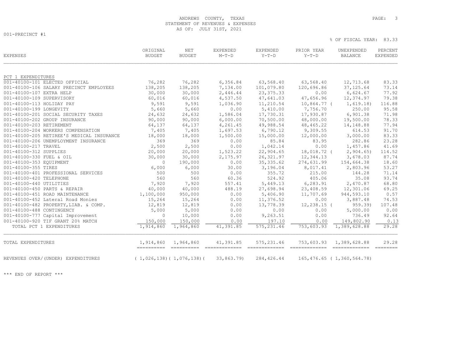## ANDREWS COUNTY, TEXAS **PAGE:** 3 STATEMENT OF REVENUES & EXPENSES AS OF: JULY 31ST, 2021

001-PRECINCT #1

% OF FISCAL YEAR: 83.33

| EXPENSES                                  | ORIGINAL<br><b>BUDGET</b> | $\operatorname{NET}$<br><b>BUDGET</b> | EXPENDED<br>$M-T-D$       | EXPENDED<br>$Y-T-D$           | PRIOR YEAR<br>$Y-T-D$        | UNEXPENDED<br><b>BALANCE</b>    | PERCENT<br><b>EXPENDED</b> |
|-------------------------------------------|---------------------------|---------------------------------------|---------------------------|-------------------------------|------------------------------|---------------------------------|----------------------------|
| PCT 1 EXPENDITURES                        |                           |                                       |                           |                               |                              |                                 |                            |
| 001-40100-101 ELECTED OFFICIAL            | 76,282                    | 76,282                                | 6,356.84                  | 63,568.40                     | 63,568.40                    | 12,713.68                       | 83.33                      |
| 001-40100-106 SALARY PRECINCT EMPLOYEES   | 138,205                   | 138,205                               | 7,134.00                  | 101,079.80                    | 120,696.86                   | 37, 125.64                      | 73.14                      |
| 001-40100-107 EXTRA HELP                  | 30,000                    | 30,000                                | 2,446.44                  | 23, 375.33                    | 0.00                         | 6,624.67                        | 77.92                      |
| 001-40100-109 SUPERVISORY                 | 60,016                    | 60,016                                | 4,537.50                  | 47,641.03                     | 47,656.96                    | 12,374.97                       | 79.38                      |
| 001-40100-113 HOLIDAY PAY                 | 9,591                     | 9,591                                 | 1,036.90                  | 11,210.54                     | 10,864.77 (                  | 1,619.18)                       | 116.88                     |
| 001-40100-199 LONGEVITY                   | 5,660                     | 5,660                                 | 0.00                      | 5,410.00                      | 7,756.70                     | 250.00                          | 95.58                      |
| 001-40100-201 SOCIAL SECURITY TAXES       | 24,632                    | 24,632                                | 1,586.04                  | 17,730.31                     | 17,930.87                    | 6,901.38                        | 71.98                      |
| 001-40100-202 GROUP INSURANCE             | 90,000                    | 90,000                                | 6,000.00                  | 70,500.00                     | 48,000.00                    | 19,500.00                       | 78.33                      |
| 001-40100-203 RETIREMENT                  | 64,137                    | 64,137                                | 4,261.45                  | 49,988.54                     | 48, 465.22                   | 14,148.88                       | 77.94                      |
| 001-40100-204 WORKERS COMPENSATION        | 7,405                     | 7,405                                 | 1,697.53                  | 6,790.12                      | 9,309.55                     | 614.53                          | 91.70                      |
| 001-40100-205 RETIREE'S MEDICAL INSURANCE | 18,000                    | 18,000                                | 1,500.00                  | 15,000.00                     | 12,000.00                    | 3,000.00                        | 83.33                      |
| 001-40100-206 UNEMPLOYMENT INSURANCE      | 369                       | 369                                   | 0.00                      | 85.84                         | 83.95                        | 282.86                          | 23.28                      |
| 001-40100-217 TRAVEL                      | 2,500                     | 2,500                                 | 0.00                      | 1,042.14                      | 0.00                         | 1,457.86                        | 41.69                      |
| 001-40100-312 SUPPLIES                    | 20,000                    | 20,000                                | 1,523.22                  | 22,904.65                     | 18,018.72 (                  | 2,904.65                        | 114.52                     |
| 001-40100-330 FUEL & OIL                  | 30,000                    | 30,000                                | 2,175.97                  | 26, 321.97                    | 12,344.13                    | 3,678.03                        | 87.74                      |
| 001-40100-353 EOUIPMENT                   | $\Omega$                  | 190,000                               | 0.00                      | 35, 335.62                    | 274,631.99                   | 154,664.38                      | 18.60                      |
| 001-40100-355 TIRES                       | 6,000                     | 6,000                                 | 30.00                     | 3,196.04                      | 8,017.41                     | 2,803.96                        | 53.27                      |
| 001-40100-401 PROFESSIONAL SERVICES       | 500                       | 500                                   | 0.00                      | 355.72                        | 215.00                       | 144.28                          | 71.14                      |
| 001-40100-420 TELEPHONE                   | 560                       | 560                                   | 60.36                     | 524.92                        | 405.06                       | 35.08                           | 93.74                      |
| 001-40100-440 UTILITIES                   | 7,920                     | 7,920                                 | 557.41                    | 5,449.13                      | 6,283.91                     | 2,470.87                        | 68.80                      |
| 001-40100-450 PARTS & REPAIR              | 40,000                    | 40,000                                | 488.19                    | 27,698.94                     | 23,408.59                    | 12,301.06                       | 69.25                      |
| 001-40100-451 ROAD MAINTENANCE            | 1,100,000                 | 950,000                               | 0.00                      | 5,406.90                      | 11,707.69                    | 944,593.10                      | 0.57                       |
| 001-40100-452 Lateral Road Monies         | 15,264                    | 15,264                                | 0.00                      | 11,376.52                     | 0.00                         | 3,887.48                        | 74.53                      |
| 001-40100-482 PROPERTY, LIAB. & COMP.     | 12,819                    | 12,819                                | 0.00                      | 13,778.39                     | $12, 238.15$ (               | 959.39)                         | 107.48                     |
| 001-40100-488 CONTINGENCY                 | 5,000                     | 5,000                                 | 0.00                      | 0.00                          | 0.00                         | 5,000.00                        | 0.00                       |
| 001-40100-777 Capital Improvement         | $\mathbf{0}$              | 10,000                                | 0.00                      | 9,263.51                      | 0.00                         | 736.49                          | 92.64                      |
| 001-40100-920 TIF GRANT 20% MATCH         | 150,000                   | 150,000                               | 0.00                      | 197.10                        | 0.00                         | 149,802.90                      | 0.13                       |
| TOTAL PCT 1 EXPENDITURES                  | 1,914,860                 | 1,964,860                             | 41,391.85                 | 575, 231.46                   | 753,603.93                   | 1,389,628.88                    | 29.28                      |
| TOTAL EXPENDITURES                        | 1,914,860                 | 1,964,860<br>======================== | 41,391.85<br>essessessess | 575, 231.46<br>- cooccooccooc | 753,603.93<br>-------------- | 1,389,628.88<br>==============  | 29.28                      |
| REVENUES OVER/(UNDER) EXPENDITURES        |                           | (1, 026, 138) (1, 076, 138)           | 33,863.79)                | 284,426.44                    |                              | $165, 476.65$ ( 1, 360, 564.78) |                            |

\*\*\* END OF REPORT \*\*\*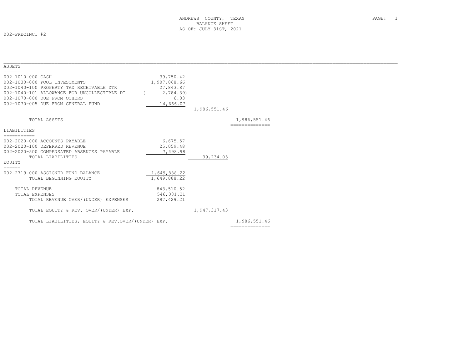002-PRECINCT #2

| ASSETS                                            |              |              |                |  |
|---------------------------------------------------|--------------|--------------|----------------|--|
| ======                                            |              |              |                |  |
| 002-1010-000 CASH                                 | 39,750.42    |              |                |  |
| 002-1030-000 POOL INVESTMENTS                     | 1,907,068.66 |              |                |  |
| 002-1040-100 PROPERTY TAX RECEIVABLE DTR          | 27,843.87    |              |                |  |
| 002-1040-101 ALLOWANCE FOR UNCOLLECTIBLE DT       | 2,784.39)    |              |                |  |
| 002-1070-000 DUE FROM OTHERS                      | 6.83         |              |                |  |
| 002-1070-005 DUE FROM GENERAL FUND                | 14,666.07    |              |                |  |
|                                                   |              | 1,986,551.46 |                |  |
|                                                   |              |              |                |  |
| TOTAL ASSETS                                      |              |              | 1,986,551.46   |  |
|                                                   |              |              | -------------- |  |
| LIABILITIES                                       |              |              |                |  |
| ===========                                       |              |              |                |  |
| 002-2020-000 ACCOUNTS PAYABLE                     | 6,675.57     |              |                |  |
| 002-2020-100 DEFERRED REVENUE                     | 25,059.48    |              |                |  |
| 002-2020-500 COMPENSATED ABSENCES PAYABLE         | 7,498.98     |              |                |  |
| TOTAL LIABILITIES                                 |              | 39,234.03    |                |  |
| EOUITY                                            |              |              |                |  |
| $=$ $=$ $=$ $=$ $=$                               |              |              |                |  |
| 002-2719-000 ASSIGNED FUND BALANCE                | 1,649,888.22 |              |                |  |
| TOTAL BEGINNING EOUITY                            | 1,649,888.22 |              |                |  |
|                                                   |              |              |                |  |
| TOTAL REVENUE                                     | 843,510.52   |              |                |  |
| TOTAL EXPENSES                                    | 546,081.31   |              |                |  |
| TOTAL REVENUE OVER/(UNDER) EXPENSES               | 297, 429.21  |              |                |  |
|                                                   |              |              |                |  |
| TOTAL EQUITY & REV. OVER/(UNDER) EXP.             |              | 1,947,317.43 |                |  |
|                                                   |              |              |                |  |
| TOTAL LIABILITIES, EQUITY & REV.OVER/(UNDER) EXP. |              |              | 1,986,551.46   |  |
|                                                   |              |              | ============== |  |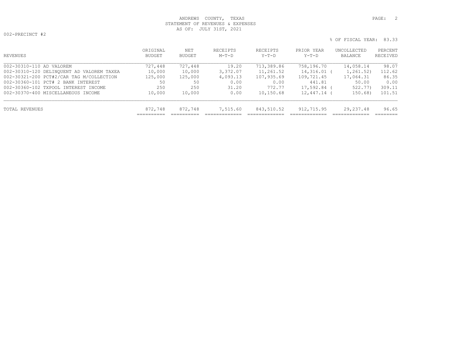## ANDREWS COUNTY, TEXAS **PAGE:** 2 STATEMENT OF REVENUES & EXPENSES AS OF: JULY 31ST, 2021

002-PRECINCT #2

| REVENUES                                  | ORIGINAL<br>BUDGET | NET<br>BUDGET | RECEIPTS<br>$M-T-D$ | <b>RECEIPTS</b><br>$Y-T-D$ | PRIOR YEAR<br>$Y-T-D$ | UNCOLLECTED<br>BALANCE | PERCENT<br>RECEIVED |
|-------------------------------------------|--------------------|---------------|---------------------|----------------------------|-----------------------|------------------------|---------------------|
| 002-30310-110 AD VALOREM                  | 727,448            | 727,448       | 19.20               | 713,389.86                 | 758,196.70            | 14,058.14              | 98.07               |
| 002-30310-120 DELINQUENT AD VALOREM TAXEA | 10,000             | 10,000        | 3,372.07            | 11,261.52                  | 14,316.01 (           | 1,261.52)              | 112.62              |
| 002-30321-200 PCT#2/CAR TAG M/COLLECTION  | 125,000            | 125,000       | 4,093.13            | 107,935.69                 | 109,721.45            | 17,064.31              | 86.35               |
| 002-30360-101 PCT# 2 BANK INTEREST        | 50                 | 50            | 0.00                | 0.00                       | 441.81                | 50.00                  | 0.00                |
| 002-30360-102 TXPOOL INTEREST INCOME      | 250                | 250           | 31.20               | 772.77                     | 17,592.84             | 522.77)                | 309.11              |
| 002-30370-400 MISCELLANEOUS INCOME        | 10,000             | 10,000        | 0.00                | 10,150.68                  | 12,447.14             | 150.68                 | 101.51              |
| TOTAL REVENUES                            | 872,748            | 872,748       | 7,515.60            | 843,510.52                 | 912,715.95            | 29, 237.48             | 96.65               |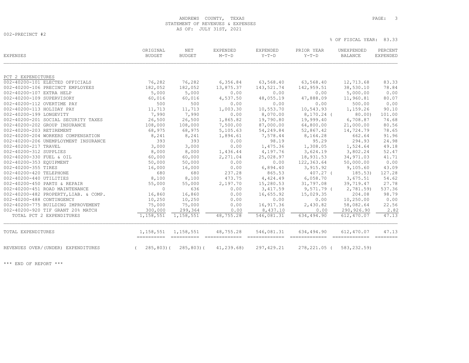## ANDREWS COUNTY, TEXAS **PAGE:** 3 STATEMENT OF REVENUES & EXPENSES AS OF: JULY 31ST, 2021

002-PRECINCT #2

% OF FISCAL YEAR: 83.33

| <b>EXPENSES</b>                       | ORIGINAL<br><b>BUDGET</b> | <b>NET</b><br><b>BUDGET</b> | <b>EXPENDED</b><br>$M-T-D$ | <b>EXPENDED</b><br>$Y-T-D$ | PRIOR YEAR<br>$Y-T-D$ | UNEXPENDED<br>BALANCE | PERCENT<br><b>EXPENDED</b> |
|---------------------------------------|---------------------------|-----------------------------|----------------------------|----------------------------|-----------------------|-----------------------|----------------------------|
| PCT 2 EXPENDITURES                    |                           |                             |                            |                            |                       |                       |                            |
| 002-40200-101 ELECTED OFFICIALS       | 76,282                    | 76,282                      | 6,356.84                   | 63,568.40                  | 63,568.40             | 12,713.68             | 83.33                      |
| 002-40200-106 PRECINCT EMPLOYEES      | 182,052                   | 182,052                     | 13,875.37                  | 143,521.74                 | 142,959.51            | 38,530.10             | 78.84                      |
| 002-40200-107 EXTRA HELP              | 5,000                     | 5,000                       | 0.00                       | 0.00                       | 0.00                  | 5,000.00              | 0.00                       |
| 002-40200-109 SUPERVISORY             | 60,016                    | 60,016                      | 4,537.50                   | 48,055.19                  | 47,888.09             | 11,960.81             | 80.07                      |
| 002-40200-112 OVERTIME PAY            | 500                       | 500                         | 0.00                       | 0.00                       | 0.00                  | 500.00                | 0.00                       |
| 002-40200-113 HOLIDAY PAY             | 11,713                    | 11,713                      | 1,003.30                   | 10,553.70                  | 10,543.93             | 1,159.26              | 90.10                      |
| 002-40200-199 LONGEVITY               | 7,990                     | 7,990                       | 0.00                       | 8,070.00                   | $8,170.24$ (          | 80.00                 | 101.00                     |
| 002-40200-201 SOCIAL SECURITY TAXES   | 26,500                    | 26,500                      | 1,865.82                   | 19,790.80                  | 19,999.40             | 6,708.87              | 74.68                      |
| 002-40200-202 GROUP INSURANCE         | 108,000                   | 108,000                     | 7,500.00                   | 87,000.00                  | 64,800.00             | 21,000.00             | 80.56                      |
| 002-40200-203 RETIREMENT              | 68,975                    | 68,975                      | 5,105.63                   | 54,249.84                  | 52,867.42             | 14,724.79             | 78.65                      |
| 002-40200-204 WORKERS COMPENSATION    | 8,241                     | 8,241                       | 1,894.61                   | 7,578.44                   | 8,164.28              | 662.64                | 91.96                      |
| 002-40200-206 UNEMPLOYMENT INSURANCE  | 393                       | 393                         | 0.00                       | 98.19                      | 95.29                 | 294.93                | 24.98                      |
| 002-40200-217 TRAVEL                  | 3,000                     | 3,000                       | 0.00                       | 1,475.36                   | 1,308.05              | 1,524.64              | 49.18                      |
| 002-40200-312 SUPPLIES                | 8,000                     | 8,000                       | 1,436.44                   | 4,197.76                   | 3,624.19              | 3,802.24              | 52.47                      |
| 002-40200-330 FUEL & OIL              | 60,000                    | 60,000                      | 2,271.04                   | 25,028.97                  | 18,931.53             | 34,971.03             | 41.71                      |
| 002-40200-353 EQUIPMENT               | 50,000                    | 50,000                      | 0.00                       | 0.00                       | 122,363.64            | 50,000.00             | 0.00                       |
| 002-40200-355 TIRES                   | 16,000                    | 16,000                      | 0.00                       | 6,894.40                   | 3,915.92              | 9,105.60              | 43.09                      |
| 002-40200-420 TELEPHONE               | 680                       | 680                         | 237.28                     | 865.53                     | $407.27$ (            | 185.53)               | 127.28                     |
| 002-40200-440 UTILITIES               | 8,100                     | 8,100                       | 473.75                     | 4,424.49                   | 6,058.70              | 3,675.51              | 54.62                      |
| 002-40200-450 PARTS & REPAIR          | 55,000                    | 55,000                      | 2,197.70                   | 15,280.53                  | 31,797.08             | 39,719.47             | 27.78                      |
| 002-40200-451 ROAD MAINTENANCE        | $\circ$                   | 636                         | 0.00                       | 3, 417.59                  | $9,571.79$ (          | 2,781.59)             | 537.36                     |
| 002-40200-482 PROPERTY, LIAB. & COMP. | 16,860                    | 16,860                      | 0.00                       | 16,655.92                  | 15,029.35             | 204.08                | 98.79                      |
| 002-40200-488 CONTINGENCY             | 10,250                    | 10,250                      | 0.00                       | 0.00                       | 0.00                  | 10,250.00             | 0.00                       |
| 002-40200-775 BUILDING IMPROVEMENT    | 75,000                    | 75,000                      | 0.00                       | 16,917.36                  | 2,430.82              | 58,082.64             | 22.56                      |
| 002-40200-920 TIF GRANT 20% MATCH     | 300,000                   | 299,364                     | 0.00                       | 8,437.10                   | 0.00                  | 290,926.90            | 2.82                       |
| TOTAL PCT 2 EXPENDITURES              | 1,158,551                 | 1,158,551                   | 48,755.28                  | 546,081.31                 | 634,494.90            | 612,470.07            | 47.13                      |
| TOTAL EXPENDITURES                    | 1,158,551                 | 1,158,551                   | 48,755.28                  | 546,081.31                 | 634,494.90            | 612,470.07            | 47.13                      |
| REVENUES OVER/(UNDER) EXPENDITURES    | 285,803) (                | $285, 803$ (                | 41, 239.68                 | 297, 429.21                | 278, 221.05 (         | 583, 232.59)          |                            |

\*\*\* END OF REPORT \*\*\*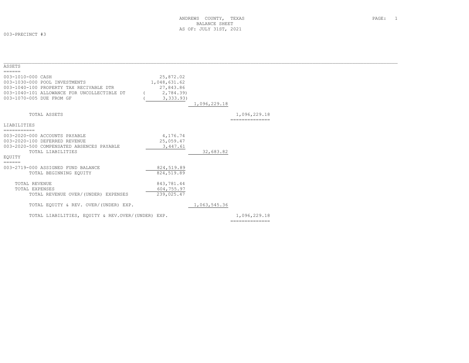003-PRECINCT #3

| ASSETS                                            |              |              |                |
|---------------------------------------------------|--------------|--------------|----------------|
| ======                                            |              |              |                |
| 003-1010-000 CASH                                 | 25,872.02    |              |                |
| 003-1030-000 POOL INVESTMENTS                     | 1,048,631.62 |              |                |
| 003-1040-100 PROPERTY TAX RECIVABLE DTR           | 27,843.86    |              |                |
| 003-1040-101 ALLOWANCE FOR UNCOLLECTIBLE DT       | 2,784.39)    |              |                |
| 003-1070-005 DUE FROM GF                          | 3, 333.93)   |              |                |
|                                                   |              | 1,096,229.18 |                |
| TOTAL ASSETS                                      |              |              | 1,096,229.18   |
|                                                   |              |              |                |
| LIABILITIES                                       |              |              |                |
| ===========                                       |              |              |                |
| 003-2020-000 ACCOUNTS PAYABLE                     | 4,176.74     |              |                |
| 003-2020-100 DEFERRED REVENUE                     | 25,059.47    |              |                |
| 003-2020-500 COMPENSATED ABSENCES PAYABLE         | 3,447.61     |              |                |
| TOTAL LIABILITIES                                 |              | 32,683.82    |                |
| EOUITY                                            |              |              |                |
| ======                                            |              |              |                |
| 003-2719-000 ASSIGNED FUND BALANCE                | 824,519.89   |              |                |
| TOTAL BEGINNING EQUITY                            | 824,519.89   |              |                |
|                                                   |              |              |                |
| TOTAL REVENUE                                     | 843,781.44   |              |                |
| TOTAL EXPENSES                                    | 604,755.97   |              |                |
| TOTAL REVENUE OVER/(UNDER) EXPENSES               | 239,025.47   |              |                |
|                                                   |              |              |                |
| TOTAL EQUITY & REV. OVER/(UNDER) EXP.             |              | 1,063,545.36 |                |
| TOTAL LIABILITIES, EQUITY & REV.OVER/(UNDER) EXP. |              |              | 1,096,229.18   |
|                                                   |              |              | ============== |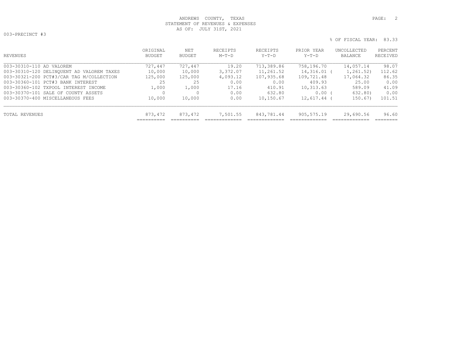## ANDREWS COUNTY, TEXAS **PAGE:** 2 STATEMENT OF REVENUES & EXPENSES AS OF: JULY 31ST, 2021

003-PRECINCT #3

| OUS INDUINGI NU |                         |  |
|-----------------|-------------------------|--|
|                 | % OF FISCAL YEAR: 83.33 |  |

| REVENUES                                  | ORIGINAL<br>BUDGET | NET<br>BUDGET | RECEIPTS<br>$M-T-D$ | RECEIPTS<br>$Y-T-D$ | PRIOR YEAR<br>Y-T-D | UNCOLLECTED<br>BALANCE | PERCENT<br>RECEIVED |
|-------------------------------------------|--------------------|---------------|---------------------|---------------------|---------------------|------------------------|---------------------|
| 003-30310-110 AD VALOREM                  | 727,447            | 727,447       | 19.20               | 713,389.86          | 758,196.70          | 14,057.14              | 98.07               |
| 003-30310-120 DELINQUENT AD VALOREM TAXES | 10,000             | 10,000        | 3,372.07            | 11,261.52           | 14,316.01 (         | 1,261.52)              | 112.62              |
| 003-30321-200 PCT#3/CAR TAG M/COLLECTION  | 125,000            | 125,000       | 4,093.12            | 107,935.68          | 109,721.48          | 17,064.32              | 86.35               |
| 003-30360-101 PCT#3 BANK INTEREST         | 25                 | 25            | 0.00                | 0.00                | 409.93              | 25.00                  | 0.00                |
| 003-30360-102 TXPOOL INTEREST INCOME      | 1,000              | 1,000         | 17.16               | 410.91              | 10,313.63           | 589.09                 | 41.09               |
| 003-30370-101 SALE OF COUNTY ASSETS       |                    |               | 0.00                | 632.80              | $0.00$ (            | 632.80)                | 0.00                |
| 003-30370-400 MISCELLANEOUS FEES          | 10,000             | 10,000        | 0.00                | 10,150.67           | $12,617.44$ (       | 150.67)                | 101.51              |
| TOTAL REVENUES                            | 873,472            | 873,472       | 7,501.55            | 843,781.44          | 905,575.19          | 29,690.56              | 96.60               |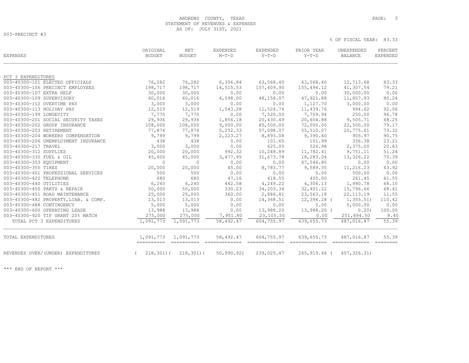## ANDREWS COUNTY, TEXAS **PAGE:** 3 STATEMENT OF REVENUES & EXPENSES AS OF: JULY 31ST, 2021

003-PRECINCT #3

% OF FISCAL YEAR: 83.33

| EXPENSES                              | ORIGINAL<br><b>BUDGET</b> | <b>NET</b><br><b>BUDGET</b> | <b>EXPENDED</b><br>$M-T-D$ | EXPENDED<br>$Y-T-D$ | PRIOR YEAR<br>$Y-T-D$ | UNEXPENDED<br><b>BALANCE</b> | PERCENT<br>EXPENDED |
|---------------------------------------|---------------------------|-----------------------------|----------------------------|---------------------|-----------------------|------------------------------|---------------------|
| PCT 3 EXPENDITURES                    |                           |                             |                            |                     |                       |                              |                     |
| 003-40300-101 ELECTED OFFICIALS       | 76,282                    | 76,282                      | 6,356.84                   | 63,568.40           | 63,568.40             | 12,713.68                    | 83.33               |
| 003-40300-106 PRECINCT EMPLOYEES      | 198,717                   | 198,717                     | 14,515.53                  | 157,409.90          | 155,494.12            | 41,307.54                    | 79.21               |
| 003-40300-107 EXTRA HELP              | 30,000                    | 30,000                      | 0.00                       | 0.00                | 0.00                  | 30,000.00                    | 0.00                |
| 003-40300-109 SUPERVISORY             | 60,016                    | 60,016                      | 4,598.00                   | 48,158.07           | 47,921.88             | 11,857.93                    | 80.24               |
| 003-40300-112 OVERTIME PAY            | 3,000                     | 3,000                       | 0.00                       | 0.00                | 1,127.70              | 3,000.00                     | 0.00                |
| 003-40300-113 HOLIDAY PAY             | 12,519                    | 12,519                      | 1,043.28                   | 11,524.74           | 11,439.76             | 994.62                       | 92.06               |
| 003-40300-199 LONGEVITY               | 7,770                     | 7,770                       | 0.00                       | 7,520.00            | 7,709.94              | 250.00                       | 96.78               |
| 003-40300-201 SOCIAL SECURITY TAXES   | 29,936                    | 29,936                      | 1,856.18                   | 20,430.49           | 20,604.88             | 9,505.71                     | 68.25               |
| 003-40300-202 GROUP INSURANCE         | 108,000                   | 108,000                     | 9,000.00                   | 85,500.00           | 72,000.00             | 22,500.00                    | 79.17               |
| 003-40300-203 RETIREMENT              | 77,874                    | 77,874                      | 5,252.33                   | 57,098.07           | 55,510.07             | 20,775.61                    | 73.32               |
| 003-40300-204 WORKERS COMPENSATION    | 9,799                     | 9,799                       | 2,223.27                   | 8,893.08            | 9,390.40              | 905.97                       | 90.75               |
| 003-40300-206 UNEMPLOYMENT INSURANCE  | 438                       | 438                         | 0.00                       | 101.65              | 101.99                | 336.38                       | 23.21               |
| 003-40300-217 TRAVEL                  | 3,000                     | 3,000                       | 0.00                       | 625.00              | 526.98                | 2,375.00                     | 20.83               |
| 003-40300-312 SUPPLIES                | 20,000                    | 20,000                      | 992.32                     | 10,248.89           | 11,782.41             | 9,751.11                     | 51.24               |
| 003-40300-330 FUEL & OIL              | 45,000                    | 45,000                      | 3,477.95                   | 31,673.78           | 18,283.04             | 13,326.22                    | 70.39               |
| 003-40300-353 EQUIPMENT               | $\circ$                   | $\mathbf{0}$                | 0.00                       | 0.00                | 67,546.80             | 0.00                         | 0.00                |
| 003-40300-355 TIRES                   | 20,000                    | 20,000                      | 45.00                      | 8,783.77            | 9,589.35              | 11,216.23                    | 43.92               |
| 003-40300-401 PROFESSIONAL SERVICES   | 500                       | 500                         | 0.00                       | 0.00                | 0.00                  | 500.00                       | 0.00                |
| 003-40300-420 TELEPHONE               | 680                       | 680                         | 47.16                      | 418.55              | 405.00                | 261.45                       | 61.55               |
| 003-40300-440 UTILITIES               | 6,240                     | 6,240                       | 442.58                     | 4,249.22            | 4,306.13              | 1,990.78                     | 68.10               |
| 003-40300-450 PARTS & REPAIR          | 50,000                    | 50,000                      | 330.23                     | 34,203.34           | 32,401.22             | 15,796.66                    | 68.41               |
| 003-40300-451 ROAD MAINTENANCE        | 25,000                    | 25,000                      | 360.00                     | 2,886.81            | 23,563.18             | 22, 113.19                   | 11.55               |
| 003-40300-482 PROPERTY, LIAB. & COMP. | 13,013                    | 13,013                      | 0.00                       | 14,368.51           | 12,394.28 (           | 1, 355.51)                   | 110.42              |
| 003-40300-488 CONTINGENCY             | 5,000                     | 5,000                       | 0.00                       | 0.00                | 0.00                  | 5,000.00                     | 0.00                |
| 003-40300-600 OPERATING LEASE         | 13,988                    | 13,988                      | 0.00                       | 13,988.20           | 13,988.20 (           | 0.20)                        | 100.00              |
| 003-40300-920 TIF GRANT 20% MATCH     | 275,000                   | 275,000                     | 7,951.80                   | 23,105.50           | 0.00                  | 251,894.50                   | 8.40                |
| TOTAL PCT 3 EXPENDITURES              | 1,091,773                 | 1,091,773                   | 58,492.47                  | 604,755.97          | 639,655.73            | 487,016.87                   | 55.39               |
| TOTAL EXPENDITURES                    | 1,091,773<br>==========   | 1,091,773                   | 58,492.47                  | 604,755.97          | 639,655.73            | 487,016.87                   | 55.39               |
| REVENUES OVER/(UNDER) EXPENDITURES    | $218, 301)$ (             | $218, 301)$ (               | 50, 990.92)                | 239,025.47          | 265,919.46 (          | 457,326.31)                  |                     |

\*\*\* END OF REPORT \*\*\*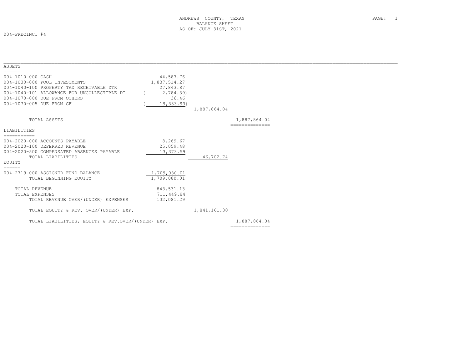004-PRECINCT #4

| ASSETS                                            |              |              |                 |  |
|---------------------------------------------------|--------------|--------------|-----------------|--|
| ======                                            |              |              |                 |  |
| 004-1010-000 CASH                                 | 44,587.76    |              |                 |  |
| 004-1030-000 POOL INVESTMENTS                     | 1,837,514.27 |              |                 |  |
| 004-1040-100 PROPERTY TAX RECEIVABLE DTR          | 27,843.87    |              |                 |  |
| 004-1040-101 ALLOWANCE FOR UNCOLLECTIBLE DT       | 2,784.39)    |              |                 |  |
| 004-1070-000 DUE FROM OTHERS                      | 36.46        |              |                 |  |
| 004-1070-005 DUE FROM GF                          | 19,333.93)   |              |                 |  |
|                                                   |              | 1,887,864.04 |                 |  |
| TOTAL ASSETS                                      |              |              | 1,887,864.04    |  |
|                                                   |              |              | --------------- |  |
| LIABILITIES                                       |              |              |                 |  |
| ===========                                       |              |              |                 |  |
| 004-2020-000 ACCOUNTS PAYABLE                     | 8,269.67     |              |                 |  |
| 004-2020-100 DEFERRED REVENUE                     | 25,059.48    |              |                 |  |
| 004-2020-500 COMPENSATED ABSENCES PAYABLE         | 13,373.59    |              |                 |  |
| TOTAL LIABILITIES                                 |              | 46,702.74    |                 |  |
| EOUITY                                            |              |              |                 |  |
| $=$ $=$ $=$ $=$ $=$                               |              |              |                 |  |
| 004-2719-000 ASSIGNED FUND BALANCE                | 1,709,080.01 |              |                 |  |
| TOTAL BEGINNING EQUITY                            | 1,709,080.01 |              |                 |  |
|                                                   |              |              |                 |  |
| TOTAL REVENUE                                     | 843,531.13   |              |                 |  |
| TOTAL EXPENSES                                    | 711,449.84   |              |                 |  |
| TOTAL REVENUE OVER/(UNDER) EXPENSES               | 132,081.29   |              |                 |  |
| TOTAL EQUITY & REV. OVER/(UNDER) EXP.             |              | 1,841,161.30 |                 |  |
| TOTAL LIABILITIES, EOUITY & REV.OVER/(UNDER) EXP. |              |              | 1,887,864.04    |  |
|                                                   |              |              | ==============  |  |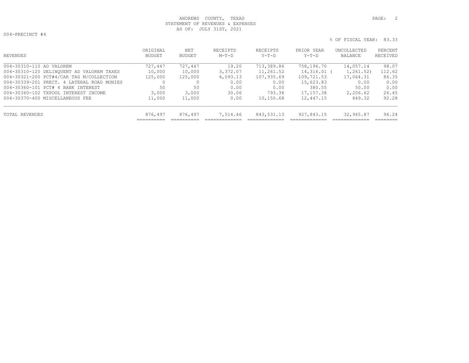## ANDREWS COUNTY, TEXAS **PAGE:** 2 STATEMENT OF REVENUES & EXPENSES AS OF: JULY 31ST, 2021

004-PRECINCT #4

| ORIGINAL<br>BUDGET | NET<br>BUDGET | RECEIPTS<br>$M-T-D$ | RECEIPTS<br>Y-T-D | PRIOR YEAR<br>Y-T-D | UNCOLLECTED<br>BALANCE | PERCENT<br>RECEIVED |
|--------------------|---------------|---------------------|-------------------|---------------------|------------------------|---------------------|
| 727,447            | 727,447       | 19.20               | 713,389.86        | 758,196.70          | 14,057.14              | 98.07               |
| 10,000             | 10,000        | 3,372.07            | 11,261.52         |                     | 1,261.52)              | 112.62              |
| 125,000            | 125,000       | 4,093.13            | 107,935.69        | 109,721.53          | 17,064.31              | 86.35               |
|                    |               | 0.00                | 0.00              | 15,623.83           | 0.00                   | 0.00                |
| 50                 | 50            | 0.00                | 0.00              | 380.55              | 50.00                  | 0.00                |
| 3,000              | 3,000         | 30.06               | 793.38            | 17,157.38           | 2,206.62               | 26.45               |
| 11,000             | 11,000        | 0.00                | 10,150.68         | 12,447.15           | 849.32                 | 92.28               |
| 876,497            | 876,497       | 7,514.46            | 843,531.13        | 927,843.15          | 32,965.87              | 96.24               |
|                    |               |                     |                   |                     |                        | 14,316.01 (         |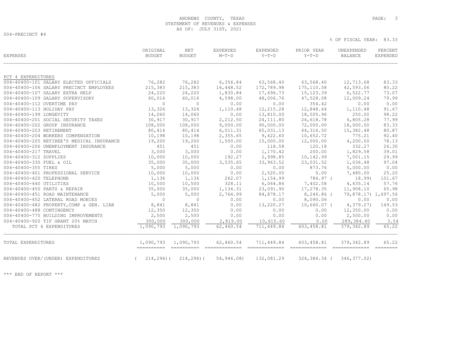## ANDREWS COUNTY, TEXAS **PAGE:** 3 STATEMENT OF REVENUES & EXPENSES AS OF: JULY 31ST, 2021

004-PRECINCT #4

% OF FISCAL YEAR: 83.33

| EXPENSES                                  | ORIGINAL<br><b>BUDGET</b> | <b>NET</b><br><b>BUDGET</b> | EXPENDED<br>$M-T-D$ | EXPENDED<br>$Y-T-D$ | PRIOR YEAR<br>$Y-T-D$ | UNEXPENDED<br><b>BALANCE</b> | PERCENT<br><b>EXPENDED</b> |
|-------------------------------------------|---------------------------|-----------------------------|---------------------|---------------------|-----------------------|------------------------------|----------------------------|
| PCT 4 EXPENDITURES                        |                           |                             |                     |                     |                       |                              |                            |
| 004-40400-101 SALARY ELECTED OFFICIALS    | 76,282                    | 76,282                      | 6,356.84            | 63,568.40           | 63,568.40             | 12,713.68                    | 83.33                      |
| 004-40400-106 SALARY PRECINCT EMPLOYEES   | 215,383                   | 215,383                     | 16,448.52           | 172,789.98          | 175, 110.58           | 42,593.06                    | 80.22                      |
| 004-40400-107 SALARY EXTRA HELP           | 24,220                    | 24,220                      | 1,830.84            | 17,696.73           | 15, 123.39            | 6,522.77                     | 73.07                      |
| 004-40400-109 SALARY SUPERVISORY          | 60,016                    | 60,016                      | 4,598.00            | 48,006.76           | 47,528.08             | 12,009.24                    | 79.99                      |
| 004-40400-112 OVERTIME PAY                | $\circ$                   | $\circ$                     | 0.00                | 0.00                | 354.42                | 0.00                         | 0.00                       |
| 004-40400-113 HOLIDAY PAY                 | 13,326                    | 13,326                      | 1,110.48            | 12, 215.28          | 12,848.64             | 1,110.48                     | 91.67                      |
| 004-40400-199 LONGEVITY                   | 14,060                    | 14,060                      | 0.00                | 13,810.00           | 18,505.96             | 250.00                       | 98.22                      |
| 004-40400-201 SOCIAL SECURITY TAXES       | 30,917                    | 30,917                      | 2,212.50            | 24, 111.80          | 24,618.78             | 6,805.28                     | 77.99                      |
| 004-40400-202 GROUP INSURANCE             | 108,000                   | 108,000                     | 9,000.00            | 90,000.00           | 72,000.00             | 18,000.00                    | 83.33                      |
| 004-40400-203 RETIREMENT                  | 80,414                    | 80,414                      | 6,011.31            | 65,031.13           | 64, 316.50            | 15,382.48                    | 80.87                      |
| 004-40400-204 WORKERS COMPENSATION        | 10,198                    | 10,198                      | 2,355.65            | 9,422.60            | 10,652.72             | 775.21                       | 92.40                      |
| 004-40400-205 RETIREE'S MEDICAL INSURANCE | 19,200                    | 19,200                      | 1,500.00            | 15,000.00           | 12,000.00             | 4,200.00                     | 78.13                      |
| 004-40400-206 UNEMPLOYMENT INSURANCE      | 451                       | 451                         | 0.00                | 118.58              | 120.18                | 332.27                       | 26.30                      |
| 004-40400-217 TRAVEL                      | 3,000                     | 3,000                       | 0.00                | 1,170.42            | 200.00                | 1,829.58                     | 39.01                      |
| 004-40400-312 SUPPLIES                    | 10,000                    | 10,000                      | 192.27              | 2,998.85            | 10,142.99             | 7,001.15                     | 29.99                      |
| 004-40400-330 FUEL & OIL                  | 35,000                    | 35,000                      | 3,535.65            | 33,963.52           | 23,031.52             | 1,036.48                     | 97.04                      |
| 004-40400-355 TIRES                       | 5,000                     | 5,000                       | 0.00                | 0.00                | 873.76                | 5,000.00                     | 0.00                       |
| 004-40400-401 PROFESSIONAL SERVICE        | 10,000                    | 10,000                      | 0.00                | 2,520.00            | 0.00                  | 7,480.00                     | 25.20                      |
| 004-40400-420 TELEPHONE                   | 1,136                     | 1,136                       | 262.07              | 1,154.99            | 784.97 (              | 18.99)                       | 101.67                     |
| 004-40400-440 UTILITIES                   | 10,500                    | 10,500                      | 328.11              | 6,064.86            | 7,402.58              | 4,435.14                     | 57.76                      |
| 004-40400-450 PARTS & REPAIR              | 35,000                    | 35,000                      | 1,134.31            | 23,091.90           | 17,278.35             | 11,908.10                    | 65.98                      |
| 004-40400-451 ROAD MAINTENANCE            | 5,000                     | 5,000                       | 2,764.99            | 84,878.17           | 8,246.86 (            | 79,878.17) 1,697.56          |                            |
| 004-40400-452 LATERAL ROAD MONIES         | $\circ$                   | $\circ$                     | 0.00                | 0.00                | 8,090.06              | 0.00                         | 0.00                       |
| 004-40400-482 PROPERTY, COMP & GEN. LIAB  | 8,841                     | 8,841                       | 0.00                | 13,220.27           | $10,660.07$ (         | 4,379.27)                    | 149.53                     |
| 004-40400-488 CONTINGENCY                 | 12,350                    | 12,350                      | 0.00                | 0.00                | 0.00                  | 12,350.00                    | 0.00                       |
| 004-40400-775 BUILDING IMPROVEMENTS       | 2,500                     | 2,500                       | 0.00                | 0.00                | 0.00                  | 2,500.00                     | 0.00                       |
| 004-40400-920 TIF GRANT 20% MATCH         | 300,000                   | 300,000                     | 2,819.00            | 10,615.60           | 0.00                  | 289,384.40                   | 3.54                       |
| TOTAL PCT 4 EXPENDITURES                  | 1,090,793                 | 1,090,793                   | 62,460.54           | 711,449.84          | 603,458.81            | 379,342.89                   | 65.22                      |
| TOTAL EXPENDITURES                        | 1,090,793                 | 1,090,793                   | 62,460.54           | 711,449.84          | 603,458.81            | 379, 342.89                  | 65.22                      |
| REVENUES OVER/(UNDER) EXPENDITURES        | $214, 296$ ) (            | 214,296)(                   | 54,946.08)          | 132,081.29          | 324,384.34 (          | 346, 377.02)                 |                            |

\*\*\* END OF REPORT \*\*\*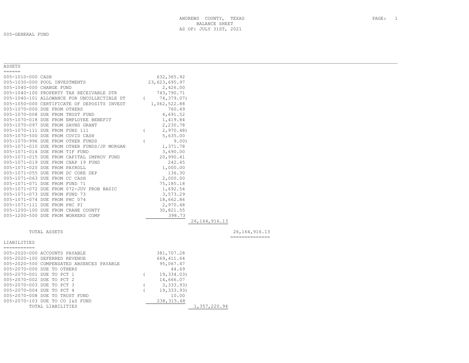005-GENERAL FUND

| ANDREWS<br>COUNTY, TEXAS | PAGE: |  |
|--------------------------|-------|--|
| BALANCE SHEET            |       |  |
| AS OF: JULY 31ST, 2021   |       |  |

| ASSETS<br>$=$ $=$ $=$ $=$ $=$ |                                             |                |               |                  |                  |
|-------------------------------|---------------------------------------------|----------------|---------------|------------------|------------------|
| 005-1010-000 CASH             |                                             |                | 632,365.92    |                  |                  |
|                               | 005-1030-000 POOL INVESTMENTS               |                | 23,623,695.97 |                  |                  |
| 005-1040-000 CHANGE FUND      |                                             |                | 2,426.00      |                  |                  |
|                               | 005-1040-100 PROPERTY TAX RECEIVABLE DTR    |                | 743,790.71    |                  |                  |
|                               | 005-1040-101 ALLOWANCE FOR UNCOLLECTIBLE DT | $\left($       | 74,379.07)    |                  |                  |
|                               | 005-1050-000 CERTIFICATE OF DEPOSITS INVEST |                | 1,062,522.88  |                  |                  |
|                               | 005-1070-000 DUE FROM OTHERS                |                | 760.49        |                  |                  |
|                               | 005-1070-008 DUE FROM TRUST FUND            |                | 4,691.52      |                  |                  |
|                               | 005-1070-018 DUE FROM EMPLOYEE BENEFIT      |                | 1,419.84      |                  |                  |
|                               | 005-1070-097 DUE FROM SAVNS GRANT           |                | 2,230.78      |                  |                  |
|                               | 005-1070-111 DUE FROM FUND 111              | $\left($       | 2,970.48      |                  |                  |
|                               | 005-1070-500 DUE FROM COVID CASH            |                | 5,635.00      |                  |                  |
|                               | 005-1070-996 DUE FROM OTHER FUNDS           | $\overline{(}$ | 9.00)         |                  |                  |
|                               | 005-1071-010 DUE FROM OTHER FUNDS/JP MORGAN |                | 1,371.78      |                  |                  |
|                               | 005-1071-014 DUE FROM TIF FUND              |                | 3,690.00      |                  |                  |
|                               | 005-1071-015 DUE FROM CAPITAL IMPROV FUND   |                | 20,990.41     |                  |                  |
|                               | 005-1071-019 DUE FROM CHAP 19 FUND          |                | 242.45        |                  |                  |
|                               | 005-1071-020 DUE FROM PAYROLL               |                | 1,000.00      |                  |                  |
|                               | 005-1071-055 DUE FROM DC CORE DEP           |                | 136.30        |                  |                  |
|                               | 005-1071-063 DUE FROM CC CASH               |                | 2,000.00      |                  |                  |
|                               | 005-1071-071 DUE FROM FUND 71               |                | 75,185.18     |                  |                  |
|                               | 005-1071-072 DUE FROM 072-JUV PROB BASIC    |                | 1,692.54      |                  |                  |
|                               | 005-1071-073 DUE FROM FUND 73               |                | 3,573.29      |                  |                  |
|                               | 005-1071-074 DUE FROM PHC 074               |                | 18,662.86     |                  |                  |
|                               | 005-1071-111 DUE FROM PHC PI                |                | 2,970.48      |                  |                  |
|                               | 005-1200-100 DUE FROM CRANE COUNTY          |                | 30,821.55     |                  |                  |
|                               | 005-1200-500 DUE FROM WORKERS COMP          |                | 398.73        |                  |                  |
|                               |                                             |                |               | 26, 164, 916. 13 |                  |
|                               |                                             |                |               |                  |                  |
|                               | TOTAL ASSETS                                |                |               |                  | 26, 164, 916. 13 |
|                               |                                             |                |               |                  | --------------   |
| LIABILITIES<br>===========    |                                             |                |               |                  |                  |
|                               | 005-2020-000 ACCOUNTS PAYABLE               |                | 381,707.28    |                  |                  |
|                               | 005-2020-100 DEFERRED REVENUE               |                | 669, 411.64   |                  |                  |
|                               | 005-2020-500 COMPENSATED ABSENCES PAYABLE   |                | 95,067.47     |                  |                  |
|                               | 005-2070-000 DUE TO OTHERS                  |                | 44.69         |                  |                  |
|                               | 005-2070-001 DUE TO PCT 1                   | $\left($       | 19,334.03)    |                  |                  |
|                               | 005-2070-002 DUE TO PCT 2                   |                | 14,666.07     |                  |                  |
|                               | 005-2070-003 DUE TO PCT 3                   |                | 3,333.93)     |                  |                  |
|                               | 005-2070-004 DUE TO PCT 4                   |                | 19, 333.93)   |                  |                  |
|                               | 005-2070-008 DUE TO TRUST FUND              |                | 10.00         |                  |                  |
|                               | 005-2070-103 DUE TO CO I&S FUND             |                | 238, 315.68   |                  |                  |
|                               | TOTAL LIABILITIES                           |                |               | 1,357,220.94     |                  |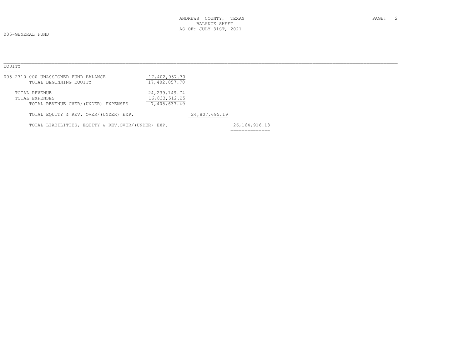| EOUITY                                            |                  |               |                  |  |  |
|---------------------------------------------------|------------------|---------------|------------------|--|--|
| ======                                            |                  |               |                  |  |  |
| 005-2710-000 UNASSIGNED FUND BALANCE              | 17,402,057.70    |               |                  |  |  |
| TOTAL BEGINNING EOUITY                            | 17,402,057.70    |               |                  |  |  |
| TOTAL REVENUE                                     | 24, 239, 149. 74 |               |                  |  |  |
| TOTAL EXPENSES                                    | 16,833,512.25    |               |                  |  |  |
| TOTAL REVENUE OVER/(UNDER) EXPENSES               | 7,405,637.49     |               |                  |  |  |
| TOTAL EQUITY & REV. OVER/(UNDER) EXP.             |                  | 24,807,695.19 |                  |  |  |
| TOTAL LIABILITIES, EOUITY & REV.OVER/(UNDER) EXP. |                  |               | 26, 164, 916. 13 |  |  |
|                                                   |                  |               | ______________   |  |  |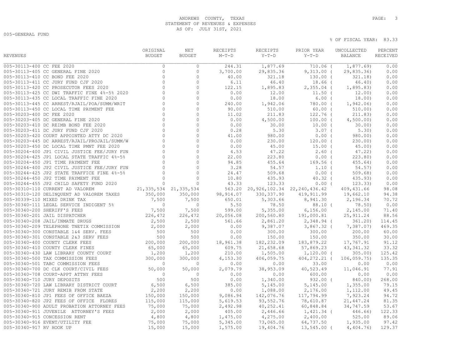## ANDREWS COUNTY, TEXAS **PAGE:** 3 STATEMENT OF REVENUES & EXPENSES AS OF: JULY 31ST, 2021

005-GENERAL FUND

|                             |                                                                                                                                                                                                     | ORIGINAL                                                                                     | <b>NET</b>        | RECEIPTS      | RECEIPTS                               | PRIOR YEAR               | UNCOLLECTED       | PERCENT      |
|-----------------------------|-----------------------------------------------------------------------------------------------------------------------------------------------------------------------------------------------------|----------------------------------------------------------------------------------------------|-------------------|---------------|----------------------------------------|--------------------------|-------------------|--------------|
| <b>REVENUES</b>             |                                                                                                                                                                                                     | <b>BUDGET</b>                                                                                | <b>BUDGET</b>     | $M-T-D$       | $Y-T-D$                                | $Y-T-D$                  | <b>BALANCE</b>    | RECEIVED     |
| 005-30113-400 CC FEE 2020   |                                                                                                                                                                                                     | $\circ$                                                                                      | $\circ$           | 244.31        | 1,877.69                               | 710.06 (                 | 1,877.69)         | 0.00         |
|                             | 005-30113-405 CC GENERAL FINE 2020                                                                                                                                                                  | $\mathbb O$                                                                                  | $\circ$           | 3,700.00      | 29,835.36                              | $9,313.00$ (             | 29,835.36         | 0.00         |
|                             | 005-30113-410 CC BOND FEE 2020                                                                                                                                                                      | $\circ$                                                                                      | $\circ$           | 40.00         | 321.18                                 | $130.00$ (               | 321.18)           | 0.00         |
|                             | 005-30113-411 CC JURY FUND CJF 2020                                                                                                                                                                 | $\Omega$                                                                                     | $\Omega$          | 6.11          | 46.40                                  | $18.66$ (                | 46.40)            | 0.00         |
|                             | 005-30113-420 CC PROSECUTOR FEES 2020                                                                                                                                                               | $\Omega$                                                                                     | $\circ$           | 122.15        | 1,895.83                               | $2,355.04$ (             | 1,895.83          | 0.00         |
|                             | 005-30113-425 CC DWI TRAFFIC FINE 4%-5% 2020                                                                                                                                                        | $\Omega$                                                                                     | $\circ$           | 0.00          | 12.00                                  | $11.50$ (                | 12.00)            | 0.00         |
|                             | 005-30113-435 CC LOCAL TRAFFIC FINE 2020                                                                                                                                                            | $\Omega$                                                                                     | $\Omega$          | 0.00          | 18.00                                  | $6.00$ (                 | 18.00)            | 0.00         |
|                             | 005-30113-445 CC ARREST/RJAIL/POA/SUMM/WRIT                                                                                                                                                         | $\Omega$                                                                                     | $\Omega$          | 240.00        | 1,942.06                               | 780.00 (                 | 1,942.06          | 0.00         |
|                             | 005-30113-450 CC LOCAL TIME PAYMENT FEE                                                                                                                                                             | $\circ$                                                                                      | $\circ$           | 90.00         | 510.00                                 | $60.00$ (                | 510.00            | 0.00         |
| 005-30203-400 DC FEE 2020   |                                                                                                                                                                                                     | $\mathbf{0}$                                                                                 | $\circ$           | 11.02         | 211.83                                 | 122.76 (                 | 211.83)           | 0.00         |
|                             | 005-30203-405 DC GENERAL FINE 2020                                                                                                                                                                  | $\Omega$                                                                                     | $\circ$           | 0.00          |                                        | $100.00$ (               |                   | 0.00         |
|                             | 005-30203-410 DC REIMB BOND FEE 2020                                                                                                                                                                | $\mathbf{0}$                                                                                 | $\Omega$          | 0.00          | 4,500.00<br>30.00                      | $10.00$ (                | 4,500.00)         | 0.00         |
|                             | 005-30203-411 DC JURY FUND CJF 2020                                                                                                                                                                 | $\bigcap$                                                                                    | $\Omega$          | 0.28          | 5.30                                   | $3.07$ (                 | 30.00<br>5.30)    | 0.00         |
|                             | 005-30203-420 COURT APPOINTED ATTY DC 2020                                                                                                                                                          | $\Omega$                                                                                     | $\circ$           | 41.00         | 980.00                                 | $0.00$ (                 |                   | 0.00         |
|                             | 005-30203-445 DC ARREST/RJAIL/PROJAIL/SUMM/W                                                                                                                                                        | $\Omega$                                                                                     | $\Omega$          | 0.00          | 230.00                                 | $120.00$ (               | 980.00)           | 0.00         |
|                             |                                                                                                                                                                                                     | $\circ$                                                                                      | $\circ$           |               |                                        |                          | 230.00            |              |
|                             | 005-30203-450 DC LOCAL TIME PMNT FEE 2020<br>005-30204-400 JP1 CIVIL JUSTICE FEE/JURY FUN                                                                                                           | $\Omega$                                                                                     | $\Omega$          | 0.00          | 45.00                                  | $15.00$ (<br>$2.60$ (    | 45.00             | 0.00<br>0.00 |
|                             |                                                                                                                                                                                                     | $\Omega$                                                                                     | $\Omega$          | 4.53          | 47.22                                  |                          | 47.22)            | 0.00         |
|                             | 005-30204-425 JP1 LOCAL STATE TRAFFIC 4%-5%<br>005-30204-450 JP1 TIME PAYMENT FEE                                                                                                                   | $\Omega$                                                                                     | $\Omega$          | 22.00         | 223.80                                 | $0.00$ (                 | 223.80            | 0.00         |
|                             | 005-30244-400 JP2 CIVIL JUSTICE FEE/JURY FUN                                                                                                                                                        | $\Omega$                                                                                     | $\Omega$          | 94.85<br>3.28 | 455.64<br>54.57                        | $169.56$ (<br>$1.10$ $($ | 455.64)<br>54.57) | 0.00         |
|                             |                                                                                                                                                                                                     | $\circ$                                                                                      | $\circ$           |               |                                        |                          |                   |              |
|                             | 005-30244-425 JP2 STATE TRAFFICE FINE 4%-5%                                                                                                                                                         | $\Omega$                                                                                     | $\circ$           | 24.47         | 509.68                                 | $0.00$ (                 | $509.68$ )        | 0.00<br>0.00 |
|                             | 005-30244-450 JP2 TIME PAYMENT FEE                                                                                                                                                                  |                                                                                              |                   | 10.80         | 435.93                                 | $40.32$ (                | 435.93)           |              |
|                             | 005-30244-455 JP2 CHILD SAFETY FUND 2020                                                                                                                                                            | $\circ$                                                                                      | $\circ$           | 43.33         | 123.33                                 | $0.00$ (                 | 123.33)           | 0.00         |
|                             | 005-30310-110 CURRENT AD VALOREM                                                                                                                                                                    | 21, 335, 534 21, 335, 534                                                                    |                   |               | 563.20 20, 926, 102.34 22, 240, 436.42 |                          | 409,431.66        | 98.08        |
|                             | 005-30310-120 DELINQUENT AD VALOREM TAXES                                                                                                                                                           | 350,000                                                                                      | 350,000           | 98, 914.07    | 330, 337.90                            | 419, 911.99              | 19,662.10         | 94.38        |
|                             | 005-30339-110 MIXED DRINK TAX                                                                                                                                                                       | 7,500                                                                                        | 7,500<br>$\Omega$ | 650.01        | 5,303.66                               | 8,941.30                 | 2,196.34          | 70.72        |
|                             | 005-30340-111 LEGAL SERVICE INDIGENT 5%                                                                                                                                                             | $7,500$<br>226,472                                                                           |                   | 5.50          | 78.50                                  | 88.10(                   | 78.50             | 0.00         |
|                             | 005-30340-200 SHERIFF'S FEES                                                                                                                                                                        |                                                                                              | 7,500             | 599.00        | 5,355.00                               | 6, 156.00                | 2,145.00          | 71.40        |
|                             | 005-30340-201 JAIL DISPATCHER                                                                                                                                                                       |                                                                                              | 226,472           | 20,056.08     | 200,560.80                             | 191,000.81               | 25, 911.24        | 88.56        |
|                             | 005-30340-208 JAIL/INMATE DRUGS<br>005-30340-208 JAIL/INMATE DRUGS<br>005-30340-209 TELEPHONE TNETIX COMMISSION                                                                                     | 2,500                                                                                        | 2,500             | 561.66        | 2,861.20                               | $2,348.94$ (             | 361.20            | 114.45       |
|                             |                                                                                                                                                                                                     | 2,000                                                                                        | 2,000             | 0.00          | 9,387.07                               | $3,867.32$ (             | 7,387.07)         | 469.35       |
|                             | 005-30340-300 CONSTABLE 1&4 SERV. FEES                                                                                                                                                              | $\begin{array}{r} 500 \\ 500 \\ 200,000 \\ 500 \\ 5000 \\ 5000 \\ 5000 \\ 75000 \end{array}$ | 500               | 0.00          | 300.00                                 | 300.00                   | 200.00            | 60.00        |
|                             | 005-30340-301 CONSTABLE 2&3 SERV FEES                                                                                                                                                               |                                                                                              | 500               | 0.00          | 150.00                                 | 150.00                   | 350.00            | 30.00        |
|                             | 005-30340-400 COUNTY CLERK FEES                                                                                                                                                                     |                                                                                              | 200,000           | 18,961.38     | 182,232.09                             | 183,879.22               | 17,767.91         | 91.12        |
|                             | 005-30340-410 COUNTY CLERK FINES                                                                                                                                                                    | 65,000                                                                                       | 65,000            | 609.75        | 21,658.68                              | 57,869.23                | 43, 341.32        | 33.32        |
|                             |                                                                                                                                                                                                     | 1,200                                                                                        | 1,200             | 210.00        | 1,505.00                               | $1,120.00$ (             | 305.00            | 125.42       |
|                             | 105-30340-430 LAW LIBRARY COUNTI COUNT<br>005-30340-500 TAX COMMISSION FEES<br>005-30340-501 TABC COMMISSION FEES<br>005-30340-700 DC CLK COURT/CIVIL FEES<br>005-30340-700 DC CLK COURT/CIVIL FEES | 300,000                                                                                      | 300,000           | 4,153.30      | 406,059.75                             | $404, 272.21$ (          | 106,059.75)       | 135.35       |
|                             |                                                                                                                                                                                                     | $\circ$                                                                                      | $\overline{0}$    | 0.00          | 0.00                                   | 33.00                    | 0.00              | 0.00         |
|                             |                                                                                                                                                                                                     | 50,000                                                                                       | 50,000            | 2,079.79      | 38,953.09                              | 40,523.49                | 11,046.91         | 77.91        |
|                             |                                                                                                                                                                                                     | $\circ$                                                                                      | $\overline{0}$    | 0.00          | 0.00                                   | 600.00                   | 0.00              | 0.00         |
| 005-30340-710 JURY DEPOSITS |                                                                                                                                                                                                     | 500                                                                                          | 500               | 0.00          | 1,340.00                               | $932.00$ (               | 840.00)           | 268.00       |
|                             | 005-30340-720 LAW LIBRARY DISTRICT COURT                                                                                                                                                            | 6,500                                                                                        | 6,500             | 385.00        | 5,145.00                               | 5,145.00                 | 1,355.00          | 79.15        |
|                             | 005-30340-721 JURY REMIB FROM STATE                                                                                                                                                                 | 2,200                                                                                        | 2,200             | 0.00          | 1,088.00                               | 2,176.00                 | 1,112.00          | 49.45        |
|                             | 005-30340-810 JP1 FEES OF OFFICE BAEZA                                                                                                                                                              | 150,000                                                                                      | 150,000           | 9,086.94      | 142,076.76                             | 117,794.99               | 7,923.24          | 94.72        |
|                             | 005-30340-820 JP2 FEES OF OFFICE FLORES                                                                                                                                                             | 115,000                                                                                      | 115,000           | 5,619.53      | 93,552.76                              | 78,610.87                | 21, 447.24        | 81.35        |
|                             | 005-30340-900 ADULT PROBATION ATTORNEY FEES                                                                                                                                                         | 75,000                                                                                       | 75,000            | 2,492.98      | 40,252.41                              | 60,848.84                | 34,747.59         | 53.67        |
|                             | 005-30340-911 JUVENILE ATTORNEY'S FEES                                                                                                                                                              | 2,000                                                                                        | 2,000             | 405.00        | 2,446.66                               | $1,421.34$ (             | 446.66)           | 122.33       |
|                             | 005-30340-915 CONCESSION RENT                                                                                                                                                                       | 4,800                                                                                        | 4,800             | 1,475.00      | 4,275.00                               | 2,400.00                 | 525.00            | 89.06        |
|                             | 005-30340-916 EVENT/UTILITY FEE                                                                                                                                                                     | 75,000                                                                                       | 75,000            | 5,345.00      | 73,065.00                              | 64,737.50                | 1,935.00          | 97.42        |
| 005-30340-917 RV HOOK UP    |                                                                                                                                                                                                     | 15,000                                                                                       | 15,000            | 1,575.00      | 19,404.76                              | $13,545.00$ (            | 4,404.76          | 129.37       |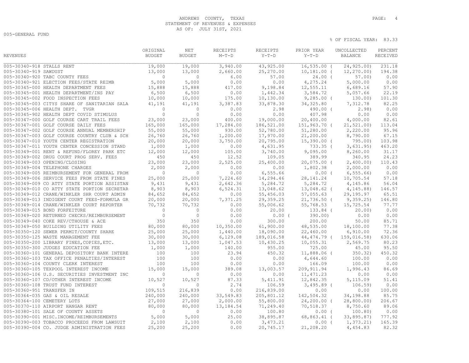## ANDREWS COUNTY, TEXAS **PAGE:** 4 STATEMENT OF REVENUES & EXPENSES AS OF: JULY 31ST, 2021

005-GENERAL FUND

|                           |                                              | ORIGINAL       | NET            | RECEIPTS  | RECEIPTS   | PRIOR YEAR     | UNCOLLECTED    | PERCENT  |
|---------------------------|----------------------------------------------|----------------|----------------|-----------|------------|----------------|----------------|----------|
| <b>REVENUES</b>           |                                              | <b>BUDGET</b>  | <b>BUDGET</b>  | $M-T-D$   | $Y-T-D$    | $Y-T-D$        | <b>BALANCE</b> | RECEIVED |
| 005-30340-918 STALLS RENT |                                              | 19,000         | 19,000         | 3,940.00  | 43,925.00  | $16,535.00$ (  | 24,925.00)     | 231.18   |
| 005-30340-919 SAWDUST     |                                              | 13,000         | 13,000         | 2,660.00  | 25,270.00  | $10, 181.00$ ( | 12, 270.00     | 194.38   |
|                           | 005-30340-920 TABC COUNTY FEES               | $\Omega$       | $\Omega$       | 6.00      | 57.00      | $24.00$ (      | 57.00          | 0.00     |
|                           | 005-30340-921 ELECTION FEES/STATE REIMB      | 5,000          | 5,000          | 0.00      | 0.00       | 4,275.24       | 5,000.00       | 0.00     |
|                           | 005-30345-000 HEALTH DEPARTMENT FEES         | 15,888         | 15,888         | 417.00    | 9,198.84   | 12,555.11      | 6,689.16       | 57.90    |
|                           | 005-30345-001 HEALTH DEPARTMENT/INS PAY      | 6,500          | 6,500          | 0.00      | 1,442.34   | 3,584.72       | 5,057.66       | 22.19    |
|                           | 005-30345-002 FOOD INSPECTION FEES           | 10,000         | 10,000         | 175.00    | 10,130.00  | $9,285.00$ (   | 130.00)        | 101.30   |
|                           | 005-30345-003 CITYS SHARE OF SANITARIAN SALA | 41,191         | 41,191         | 3,387.83  | 33,878.30  | 34, 325.80     | 7,312.78       | 82.25    |
|                           | 005-30345-006 HEALTH DEPT. TVGR              | $\Omega$       | $\Omega$       | 0.00      | 2.98       | 490.00 (       | 2.98           | 0.00     |
|                           | 005-30345-902 HEALTH DEPT COVID STIMULUS     | $\Omega$       | $\Omega$       | 0.00      | 0.00       | 407.98         | 0.00           | 0.00     |
|                           | 005-30347-000 GOLF COURSE CART TRAIL FEES    | 23,000         | 23,000         | 400.00    | 19,000.00  | 20,400.00      | 4,000.00       | 82.61    |
|                           | 005-30347-001 GOLF COURSE DAILY FEES         | 165,000        | 165,000        | 17,284.00 | 186,521.00 | 151,963.70 (   | 21, 521.00     | 113.04   |
|                           | 005-30347-002 GOLF COURSE ANNUAL MEMBERSHIP  | 55,000         | 55,000         | 930.00    | 52,780.00  | 51,280.00      | 2,220.00       | 95.96    |
|                           | 005-30347-003 GOLF COURSE COUNTRY CLUB & SCH | 26,760         | 26,760         | 1,200.00  | 17,970.00  | 21,200.00      | 8,790.00       | 67.15    |
|                           | 005-30347-010 YOUTH CENTER REGISTRATION      | 20,000         | 20,000         | 3,750.00  | 20,795.00  | $15,390.00$ (  | 795.00         | 103.98   |
|                           | 005-30347-011 YOUTH CENTER CONCESSION STAND  | 1,000          | 1,000          | 0.00      | 4,631.95   | 733.35 (       | 3,631.95)      | 463.20   |
|                           | 005-30349-001 RENT & REFUND/FLOREY PARK ETC  | 12,000         | 12,000         | 105.00    | 3,740.00   | 9,095.00       | 8,260.00       | 31.17    |
|                           | 005-30349-002 DRUG COURT PROG SERV. FEES     | 450            | 450            | 12.52     | 109.05     | 389.99         | 340.95         | 24.23    |
|                           | 005-30349-003 OPENING/CLOSING                | 23,000         | 23,000         | 2,525.00  | 25,400.00  | $20,075.00$ (  | 2,400.00)      | 110.43   |
|                           | 005-30349-004 TELEPHONE CHARGES              | 2,000          | 2,000          | 0.00      | 0.00       | 1,802.38       | 2,000.00       | 0.00     |
|                           | 005-30349-005 REIMBURSEMENT FOR GENERAL FROM | $\bigcirc$     | $\overline{0}$ | 0.00      | 6,555.66   | $0.00$ (       | 6, 555.66      | 0.00     |
|                           | 005-30349-006 SERVICE FEES FROM STATE FINES  | 25,000         | 25,000         | 7,224.60  | 14,294.46  | 28, 141. 24    | 10,705.54      | 57.18    |
|                           | 005-30349-009 CO ATTY STATE PORTION ASSISTAN | 9,431          | 9,431          | 2,642.36  | 5,284.72   | 5,284.72       | 4,145.86       | 56.04    |
|                           | 005-30349-010 CO ATTY STATE PORTION SECRETAR | 8,903          | 8,903          | 6,524.31  | 13,048.62  | 13,048.62 (    | 4, 145.88      | 146.57   |
|                           | 005-30349-012 CRANE/WINKLER SHR COURT ADMIN  | 84,652         | 84,652         | 0.00      | 55,456.03  | 57,055.63      | 29,195.97      | 65.51    |
|                           | 005-30349-013 INDIGENT COURT FEES-FORMULA GR | 20,000         | 20,000         | 7,371.25  | 29,359.25  | $21,736.50$ (  | 9,359.25       | 146.80   |
|                           | 005-30349-014 CRANE/WINKLER COURT REPORTER   | 70,732         | 70,732         | 0.00      | 55,006.62  | 55,768.53      | 15,725.54      | 77.77    |
|                           | 005-30349-015 BOND FORFEITURE                | $\overline{0}$ | $\overline{0}$ | 0.00      | 20.00      | $133.84$ (     | 20.00          | 0.00     |
|                           | 005-30349-020 RETURNED CHECKS/REIMBURSEMENT  | $\circ$        | $\overline{0}$ | 0.00      | $0.00$ (   | 390.00         | 0.00           | 0.00     |
|                           | 005-30349-040 COKE REV/CTHOUSE & ACE         | 350            | 350            | 0.00      | 300.00     | 200.00         | 50.00          | 85.71    |
|                           | 005-30349-050 BUILDING UTILITY FEES          | 80,000         | 80,000         | 10,350.00 | 61,900.00  | 48,535.00      | 18,100.00      | 77.38    |
|                           | 005-30350-120 SEWER PERMIT/COUNTY SHARE      | 25,000         | 25,000         | 1,440.00  | 18,090.00  | 22,460.00      | 6,910.00       | 72.36    |
|                           | 005-30350-125 WASTE MANAGEMENT FEE           | 30,000         | 30,000         | 6,129.08  | 189,016.58 | 44,474.79 (    | 159,016.58)    | 630.06   |
|                           | 005-30350-200 LIBRARY FINES, COPIES, ETC.    | 13,000         | 13,000         | 1,047.53  | 10,430.25  | 10,055.31      | 2,569.75       | 80.23    |
|                           | 005-30350-300 JUDGES EDUCATION FEE           | 1,000          | 1,000          | 140.00    | 955.00     | 725.00         | 45.00          | 95.50    |
|                           | 005-30360-101 GENERAL DEPOSITORY BANK INTERE | 100            | 100            | 23.94     | 450.32     | 11,888.06 (    | 350.32)        | 450.32   |
|                           | 005-30360-103 TAX OFFICE PENALTIES/INTEREST  | 100            | 100            | 0.00      | 0.00       | 4,644.60       | 100.00         | 0.00     |
|                           | 005-30360-104 COUNTY CLERK INTEREST          | 100            | 100            | 0.00      | 0.00       | 166.09         | 100.00         | 0.00     |
|                           | 005-30360-105 TEXPOOL INTEREST INCOME        | 15,000         | 15,000         | 389.08    | 13,003.57  | 209, 911.94    | 1,996.43       | 86.69    |
|                           | 005-30360-106 U.S. SECURITIES INVESTMENT INC | $\circ$        | $\circ$        | 0.00      | 0.00       | 11, 471.23     | 0.00           | 0.00     |
|                           | 005-30360-107 CD/OTHER INTEREST INCOME       | 10,527         | 10,527         | 87.33     | 5, 411.91  | 12,842.35      | 5,115.09       | 51.41    |
|                           | 005-30360-108 TRUST FUND INTEREST            | $\overline{0}$ | $\mathbf{0}$   | 2.74      | 106.59     | $3,495.89$ (   | $106.59$ )     | 0.00     |
| 005-30360-951 TRANSFER IN |                                              | 109,515        | 216,839        | 0.00      | 216,839.00 | 0.00           | 0.00           | 100.00   |
|                           | 005-30364-035 GAS & OIL RESALE               | 240,000        | 240,000        | 33,549.83 | 205,801.12 | 142,504.32     | 34,198.88      | 85.75    |
|                           | 005-30364-100 CEMETERY LOTS                  | 27,000         | 27,000         | 2,000.00  | 55,800.00  | 24,200.00 (    | 28,800.00)     | 206.67   |
|                           | 005-30370-110 AIRPORT HANGAR RENT            | 80,000         | 80,000         | 13,184.54 | 71,249.40  | 70,518.37      | 8,750.60       | 89.06    |
|                           | 005-30380-101 SALE OF COUNTY ASSETS          | $\overline{0}$ | $\mathbf{0}$   | 0.00      | 100.80     | $0.00$ (       | 100.80)        | 0.00     |
|                           | 005-30390-001 MISC. INCOME/REIMBURSEMENTS    | 5,000          | 5,000          | 25.00     | 38,895.87  | 68,863.41 (    | 33,895.87)     | 777.92   |
|                           | 005-30390-003 TOBACCO PROCEEDS FROM LAWSUIT  | 2,100          | 2,100          | 0.00      | 3,473.21   | $0.00$ (       | 1,373.21)      | 165.39   |
|                           | 005-30390-004 CO. JUDGE ADMINISTRATION FEES  | 25,200         | 25,200         | 0.00      | 20,745.17  | 21,208.20      | 4,454.83       | 82.32    |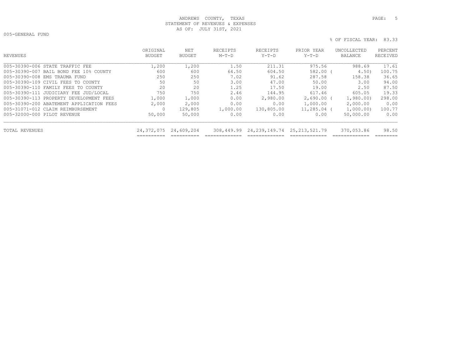## ANDREWS COUNTY, TEXAS **PAGE:** 5 STATEMENT OF REVENUES & EXPENSES AS OF: JULY 31ST, 2021

005-GENERAL FUND

| REVENUES                                 | ORIGINAL<br><b>BUDGET</b> | NET<br>BUDGET | <b>RECEIPTS</b><br>$M-T-D$ | RECEIPTS<br>$Y-T-D$ | PRIOR YEAR<br>$Y-T-D$ | UNCOLLECTED<br>BALANCE | PERCENT<br><b>RECEIVED</b> |
|------------------------------------------|---------------------------|---------------|----------------------------|---------------------|-----------------------|------------------------|----------------------------|
| 005-30390-006 STATE TRAFFIC FEE          | 1,200                     | 1,200         | 1.50                       | 211.31              | 975.56                | 988.69                 | 17.61                      |
| 005-30390-007 BAIL BOND FEE 10% COUNTY   | 600                       | 600           | 64.50                      | 604.50              | 582.00                | 4.50                   | 100.75                     |
| 005-30390-008 EMS TRAUMA FUND            | 250                       | 250           | 7.02                       | 91.62               | 287.58                | 158.38                 | 36.65                      |
| 005-30390-109 CIVIL FEES TO COUNTY       | 50                        | 50            | 3.00                       | 47.00               | 50.00                 | 3.00                   | 94.00                      |
| 005-30390-110 FAMILY FEES TO COUNTY      | 20                        | 20            | 1.25                       | 17.50               | 19.00                 | 2.50                   | 87.50                      |
| 005-30390-111 JUDICIARY FEE JUD/LOCAL    | 750                       | 750           | 2.46                       | 144.95              | 617.46                | 605.05                 | 19.33                      |
| 005-30390-113 PROPERTY DEVELOPMENT FEES  | 1,000                     | 1,000         | 0.00                       | 2,980.00            | 2,690.00              | 1,980.00               | 298.00                     |
| 005-30390-200 ABATEMENT APPLICATION FEES | 2,000                     | 2,000         | 0.00                       | 0.00                | 1,000.00              | 2,000.00               | 0.00                       |
| 005-31071-012 CLAIM REIMBURSEMENT        | 0                         | 129,805       | 1,000.00                   | 130,805.00          | 11,285.04             | 1,000.00)              | 100.77                     |
| 005-32000-000 PILOT REVENUE              | 50,000                    | 50,000        | 0.00                       | 0.00                | 0.00                  | 50,000.00              | 0.00                       |
| TOTAL REVENUES                           | 24,372,075                | 24,609,204    | 308,449.99                 | 24,239,149.74       | 25, 213, 521, 79      | 370,053.86             | 98.50                      |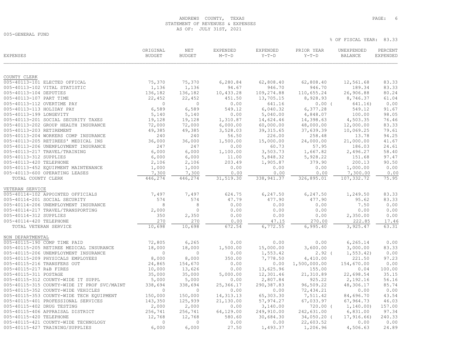## ANDREWS COUNTY, TEXAS **PAGE:** 6 STATEMENT OF REVENUES & EXPENSES AS OF: JULY 31ST, 2021

005-GENERAL FUND

| COUNTY CLERK<br>005-40113-101 ELECTED OFFICAL<br>75,370<br>75,370<br>6,280.84<br>62,808.40<br>62,808.40<br>12,561.68<br>83.33<br>005-40113-102 VITAL STATISTIC<br>1,136<br>1,136<br>94.67<br>946.70<br>946.70<br>189.34<br>83.33<br>26,906.88<br>80.24<br>005-40113-104 DEPUTIES<br>136,182<br>136,182<br>10,433.28<br>109,274.88<br>110,655.24<br>61.04<br>005-40113-107 PART TIME<br>22,452<br>22,452<br>451.50<br>13,705.15<br>8,928.93<br>8,746.37<br>0.00<br>005-40113-112 OVERTIME PAY<br>$\Omega$<br>$\Omega$<br>0.00<br>641.16<br>$0.00$ (<br>641.16)<br>005-40113-113 HOLIDAY PAY<br>6,589<br>6,589<br>6,040.32<br>6,377.28<br>91.67<br>549.12<br>549.12<br>005-40113-199 LONGEVITY<br>5,140<br>5,140<br>0.00<br>5,040.00<br>4,848.07<br>100.00<br>98.05<br>005-40113-201 SOCIAL SECURITY TAXES<br>76.46<br>19,128<br>19,128<br>1,310.87<br>14,624.46<br>14,398.63<br>4,503.35<br>83.33<br>005-40113-202 GROUP HEALTH INSURANCE<br>72,000<br>72,000<br>6,000.00<br>60,000.00<br>48,000.00<br>12,000.00<br>005-40113-203 RETIREMENT<br>49,385<br>10,069.25<br>79.61<br>49,385<br>3,528.03<br>39, 315.65<br>37,639.39<br>005-40113-204 WORKERS COMP INSURANCE<br>240<br>240<br>226.00<br>258.48<br>94.25<br>56.50<br>13.78<br>005-40113-205 RETIREES' MEDICAL INS<br>36,000<br>36,000<br>1,500.00<br>15,000.00<br>24,000.00<br>21,000.00<br>41.67<br>005-40113-206 UNEMPLOYMENT INSURANCE<br>247<br>247<br>0.00<br>60.73<br>57.95<br>186.03<br>24.61<br>005-40113-217 TRAVEL/TRAINING<br>6,000<br>6,000<br>3,503.73<br>2,496.27<br>58.40<br>1,100.00<br>1,667.82<br>97.47<br>005-40113-312 SUPPLIES<br>6,000<br>6,000<br>5,848.32<br>5,928.22<br>151.68<br>11.00<br>005-40113-420 TELEPHONE<br>2,106<br>2,106<br>203.49<br>1,905.87<br>379.90<br>200.13<br>90.50<br>0.00<br>005-40113-452 EQUIPMENT MAINTENANCE<br>1,000<br>1,000<br>0.00<br>0.00<br>0.00<br>1,000.00<br>0.00<br>005-40113-600 OPERATING LEASES<br>7,300<br>7,300<br>0.00<br>0.00<br>0.00<br>7,300.00<br>TOTAL COUNTY CLERK<br>446,274<br>446,274<br>31,519.30<br>338, 941.37<br>326,895.01<br>107,332.72<br>75.95<br>VETERAN SERVICE<br>005-40114-102 APPOINTED OFFICIALS<br>7,497<br>7,497<br>624.75<br>6,247.50<br>6,247.50<br>1,249.50<br>83.33<br>005-40114-201 SOCIAL SECURITY<br>574<br>574<br>47.79<br>477.90<br>477.90<br>95.62<br>83.33<br>005-40114-206 UNEMPLOYMENT INSURANCE<br>8<br>8<br>0.00<br>0.00<br>0.00<br>7.50<br>0.00<br>0.00<br>005-40114-217 TRAVEL/TRANSPORTING<br>2,000<br>$\circ$<br>0.00<br>0.00<br>0.00<br>0.00<br>350<br>0.00<br>0.00<br>005-40114-312 SUPPLIES<br>2,350<br>0.00<br>0.00<br>2,350.00<br>270<br>005-40114-420 TELEPHONE<br>270<br>0.00<br>47.15<br>270.00<br>222.85<br>17.46<br>10,698<br>10,698<br>6,772.55<br>6,995.40<br>3,925.47<br>63.31<br>TOTAL VETERAN SERVICE<br>672.54<br>NON DEPARTMENTAL<br>005-40115-190 COMP TIME PAID<br>72,805<br>6, 265.14<br>6,265<br>0.00<br>0.00<br>0.00<br>0.00<br>005-40115-205 RETIREE MEDICAL INSURANCE<br>83.33<br>18,000<br>18,000<br>15,000.00<br>3,600.00<br>3,000.00<br>1,500.00<br>0.00<br>005-40115-206 UNEMPLOYMENT INSURANCE<br>$\mathbf{0}$<br>$\Omega$<br>0.00<br>1,553.42<br>$2.92$ (<br>1, 553.42)<br>005-40115-209 PHYSICALS EMPLOYEES<br>8,000<br>350.00<br>97.23<br>8,000<br>7,778.50<br>4,410.00<br>221.50<br>005-40115-216 TRANSFERS OUT<br>154,670.00<br>0.00<br>24,865<br>154,670<br>0.00<br>0.00<br>1,500,000.00<br>005-40115-217 R&B FIRES<br>10,000<br>13,626<br>0.00<br>13,625.96<br>155.00<br>0.04<br>100.00<br>35.15<br>005-40115-311 POSTAGE<br>35,000<br>35,000<br>5,000.00<br>12,301.46<br>21,310.89<br>22,698.54<br>925.22<br>56.16<br>005-40115-312 COUNTY-WIDE IT SUPPL<br>5,000<br>5,000<br>0.00<br>2,807.84<br>2,192.16<br>85.74<br>005-40115-315 COUNTY-WIDE IT PROF SVC/MAINT<br>96,509.22<br>48,306.17<br>338,694<br>338,694<br>25,366.17<br>290,387.83<br>005-40115-352 COUNTY-WIDE VEHICLES<br>$\Omega$<br>0.00<br>72,434.21<br>0.00<br>0.00<br>$\Omega$<br>0.00<br>005-40115-353 COUNTY-WIDE TECH EQUIPMENT<br>150,000<br>150,000<br>14, 313. 13<br>65,303.30<br>7,511.42<br>84,696.70<br>43.54<br>46.03<br>005-40115-401 PROFESSIONAL SERVICES<br>125,939<br>21,130.00<br>57,974.27<br>67,033.97<br>67,964.73<br>143,350<br>005-40115-402 DRUG TESTING<br>2,000<br>3,140.00<br>$720.00$ (<br>1, 140.00)<br>157.00<br>2,000<br>0.00<br>97.34<br>005-40115-406 APPRAISAL DISTRICT<br>64,129.00<br>249,910.00<br>242,631.00<br>6,831.00<br>256,741<br>256,741<br>005-40115-420 TELEPHONE<br>12,768<br>12,768<br>580.60<br>30,684.30<br>34,050.20 (<br>17,916.66<br>240.33<br>0.00<br>005-40115-421 COUNTY-WIDE TECHNOLOGY<br>$\circ$<br>$\Omega$<br>0.00<br>0.00<br>22,603.52<br>0.00<br>005-40115-427 TRAINING/SUPPLIES<br>6,000<br>6,000<br>27.50<br>24.89<br>1,493.37<br>1,206.96<br>4,506.63 | <b>EXPENSES</b> | ORIGINAL<br><b>BUDGET</b> | NET<br><b>BUDGET</b> | <b>EXPENDED</b><br>$M-T-D$ | EXPENDED<br>$Y-T-D$ | PRIOR YEAR<br>$Y-T-D$ | UNEXPENDED<br><b>BALANCE</b> | PERCENT<br><b>EXPENDED</b> |
|----------------------------------------------------------------------------------------------------------------------------------------------------------------------------------------------------------------------------------------------------------------------------------------------------------------------------------------------------------------------------------------------------------------------------------------------------------------------------------------------------------------------------------------------------------------------------------------------------------------------------------------------------------------------------------------------------------------------------------------------------------------------------------------------------------------------------------------------------------------------------------------------------------------------------------------------------------------------------------------------------------------------------------------------------------------------------------------------------------------------------------------------------------------------------------------------------------------------------------------------------------------------------------------------------------------------------------------------------------------------------------------------------------------------------------------------------------------------------------------------------------------------------------------------------------------------------------------------------------------------------------------------------------------------------------------------------------------------------------------------------------------------------------------------------------------------------------------------------------------------------------------------------------------------------------------------------------------------------------------------------------------------------------------------------------------------------------------------------------------------------------------------------------------------------------------------------------------------------------------------------------------------------------------------------------------------------------------------------------------------------------------------------------------------------------------------------------------------------------------------------------------------------------------------------------------------------------------------------------------------------------------------------------------------------------------------------------------------------------------------------------------------------------------------------------------------------------------------------------------------------------------------------------------------------------------------------------------------------------------------------------------------------------------------------------------------------------------------------------------------------------------------------------------------------------------------------------------------------------------------------------------------------------------------------------------------------------------------------------------------------------------------------------------------------------------------------------------------------------------------------------------------------------------------------------------------------------------------------------------------------------------------------------------------------------------------------------------------------------------------------------------------------------------------------------------------------------------------------------------------------------------------------------------------------------------------------------------------------------------------------------------------------------------------------------------------------------------------------------------------------------------------------------------------------------------------------------------------------------------------------------------------------------------------------------------------------------------------------------------------------------------------------------------------------------------------------------------------------------------------------------------------------------------------------------------------------------------------------------------------------------------------------------------------------------------------------------------------------------------------------------------------------------------------------|-----------------|---------------------------|----------------------|----------------------------|---------------------|-----------------------|------------------------------|----------------------------|
|                                                                                                                                                                                                                                                                                                                                                                                                                                                                                                                                                                                                                                                                                                                                                                                                                                                                                                                                                                                                                                                                                                                                                                                                                                                                                                                                                                                                                                                                                                                                                                                                                                                                                                                                                                                                                                                                                                                                                                                                                                                                                                                                                                                                                                                                                                                                                                                                                                                                                                                                                                                                                                                                                                                                                                                                                                                                                                                                                                                                                                                                                                                                                                                                                                                                                                                                                                                                                                                                                                                                                                                                                                                                                                                                                                                                                                                                                                                                                                                                                                                                                                                                                                                                                                                                                                                                                                                                                                                                                                                                                                                                                                                                                                                                                                                                    |                 |                           |                      |                            |                     |                       |                              |                            |
|                                                                                                                                                                                                                                                                                                                                                                                                                                                                                                                                                                                                                                                                                                                                                                                                                                                                                                                                                                                                                                                                                                                                                                                                                                                                                                                                                                                                                                                                                                                                                                                                                                                                                                                                                                                                                                                                                                                                                                                                                                                                                                                                                                                                                                                                                                                                                                                                                                                                                                                                                                                                                                                                                                                                                                                                                                                                                                                                                                                                                                                                                                                                                                                                                                                                                                                                                                                                                                                                                                                                                                                                                                                                                                                                                                                                                                                                                                                                                                                                                                                                                                                                                                                                                                                                                                                                                                                                                                                                                                                                                                                                                                                                                                                                                                                                    |                 |                           |                      |                            |                     |                       |                              |                            |
|                                                                                                                                                                                                                                                                                                                                                                                                                                                                                                                                                                                                                                                                                                                                                                                                                                                                                                                                                                                                                                                                                                                                                                                                                                                                                                                                                                                                                                                                                                                                                                                                                                                                                                                                                                                                                                                                                                                                                                                                                                                                                                                                                                                                                                                                                                                                                                                                                                                                                                                                                                                                                                                                                                                                                                                                                                                                                                                                                                                                                                                                                                                                                                                                                                                                                                                                                                                                                                                                                                                                                                                                                                                                                                                                                                                                                                                                                                                                                                                                                                                                                                                                                                                                                                                                                                                                                                                                                                                                                                                                                                                                                                                                                                                                                                                                    |                 |                           |                      |                            |                     |                       |                              |                            |
|                                                                                                                                                                                                                                                                                                                                                                                                                                                                                                                                                                                                                                                                                                                                                                                                                                                                                                                                                                                                                                                                                                                                                                                                                                                                                                                                                                                                                                                                                                                                                                                                                                                                                                                                                                                                                                                                                                                                                                                                                                                                                                                                                                                                                                                                                                                                                                                                                                                                                                                                                                                                                                                                                                                                                                                                                                                                                                                                                                                                                                                                                                                                                                                                                                                                                                                                                                                                                                                                                                                                                                                                                                                                                                                                                                                                                                                                                                                                                                                                                                                                                                                                                                                                                                                                                                                                                                                                                                                                                                                                                                                                                                                                                                                                                                                                    |                 |                           |                      |                            |                     |                       |                              |                            |
|                                                                                                                                                                                                                                                                                                                                                                                                                                                                                                                                                                                                                                                                                                                                                                                                                                                                                                                                                                                                                                                                                                                                                                                                                                                                                                                                                                                                                                                                                                                                                                                                                                                                                                                                                                                                                                                                                                                                                                                                                                                                                                                                                                                                                                                                                                                                                                                                                                                                                                                                                                                                                                                                                                                                                                                                                                                                                                                                                                                                                                                                                                                                                                                                                                                                                                                                                                                                                                                                                                                                                                                                                                                                                                                                                                                                                                                                                                                                                                                                                                                                                                                                                                                                                                                                                                                                                                                                                                                                                                                                                                                                                                                                                                                                                                                                    |                 |                           |                      |                            |                     |                       |                              |                            |
|                                                                                                                                                                                                                                                                                                                                                                                                                                                                                                                                                                                                                                                                                                                                                                                                                                                                                                                                                                                                                                                                                                                                                                                                                                                                                                                                                                                                                                                                                                                                                                                                                                                                                                                                                                                                                                                                                                                                                                                                                                                                                                                                                                                                                                                                                                                                                                                                                                                                                                                                                                                                                                                                                                                                                                                                                                                                                                                                                                                                                                                                                                                                                                                                                                                                                                                                                                                                                                                                                                                                                                                                                                                                                                                                                                                                                                                                                                                                                                                                                                                                                                                                                                                                                                                                                                                                                                                                                                                                                                                                                                                                                                                                                                                                                                                                    |                 |                           |                      |                            |                     |                       |                              |                            |
|                                                                                                                                                                                                                                                                                                                                                                                                                                                                                                                                                                                                                                                                                                                                                                                                                                                                                                                                                                                                                                                                                                                                                                                                                                                                                                                                                                                                                                                                                                                                                                                                                                                                                                                                                                                                                                                                                                                                                                                                                                                                                                                                                                                                                                                                                                                                                                                                                                                                                                                                                                                                                                                                                                                                                                                                                                                                                                                                                                                                                                                                                                                                                                                                                                                                                                                                                                                                                                                                                                                                                                                                                                                                                                                                                                                                                                                                                                                                                                                                                                                                                                                                                                                                                                                                                                                                                                                                                                                                                                                                                                                                                                                                                                                                                                                                    |                 |                           |                      |                            |                     |                       |                              |                            |
|                                                                                                                                                                                                                                                                                                                                                                                                                                                                                                                                                                                                                                                                                                                                                                                                                                                                                                                                                                                                                                                                                                                                                                                                                                                                                                                                                                                                                                                                                                                                                                                                                                                                                                                                                                                                                                                                                                                                                                                                                                                                                                                                                                                                                                                                                                                                                                                                                                                                                                                                                                                                                                                                                                                                                                                                                                                                                                                                                                                                                                                                                                                                                                                                                                                                                                                                                                                                                                                                                                                                                                                                                                                                                                                                                                                                                                                                                                                                                                                                                                                                                                                                                                                                                                                                                                                                                                                                                                                                                                                                                                                                                                                                                                                                                                                                    |                 |                           |                      |                            |                     |                       |                              |                            |
|                                                                                                                                                                                                                                                                                                                                                                                                                                                                                                                                                                                                                                                                                                                                                                                                                                                                                                                                                                                                                                                                                                                                                                                                                                                                                                                                                                                                                                                                                                                                                                                                                                                                                                                                                                                                                                                                                                                                                                                                                                                                                                                                                                                                                                                                                                                                                                                                                                                                                                                                                                                                                                                                                                                                                                                                                                                                                                                                                                                                                                                                                                                                                                                                                                                                                                                                                                                                                                                                                                                                                                                                                                                                                                                                                                                                                                                                                                                                                                                                                                                                                                                                                                                                                                                                                                                                                                                                                                                                                                                                                                                                                                                                                                                                                                                                    |                 |                           |                      |                            |                     |                       |                              |                            |
|                                                                                                                                                                                                                                                                                                                                                                                                                                                                                                                                                                                                                                                                                                                                                                                                                                                                                                                                                                                                                                                                                                                                                                                                                                                                                                                                                                                                                                                                                                                                                                                                                                                                                                                                                                                                                                                                                                                                                                                                                                                                                                                                                                                                                                                                                                                                                                                                                                                                                                                                                                                                                                                                                                                                                                                                                                                                                                                                                                                                                                                                                                                                                                                                                                                                                                                                                                                                                                                                                                                                                                                                                                                                                                                                                                                                                                                                                                                                                                                                                                                                                                                                                                                                                                                                                                                                                                                                                                                                                                                                                                                                                                                                                                                                                                                                    |                 |                           |                      |                            |                     |                       |                              |                            |
|                                                                                                                                                                                                                                                                                                                                                                                                                                                                                                                                                                                                                                                                                                                                                                                                                                                                                                                                                                                                                                                                                                                                                                                                                                                                                                                                                                                                                                                                                                                                                                                                                                                                                                                                                                                                                                                                                                                                                                                                                                                                                                                                                                                                                                                                                                                                                                                                                                                                                                                                                                                                                                                                                                                                                                                                                                                                                                                                                                                                                                                                                                                                                                                                                                                                                                                                                                                                                                                                                                                                                                                                                                                                                                                                                                                                                                                                                                                                                                                                                                                                                                                                                                                                                                                                                                                                                                                                                                                                                                                                                                                                                                                                                                                                                                                                    |                 |                           |                      |                            |                     |                       |                              |                            |
|                                                                                                                                                                                                                                                                                                                                                                                                                                                                                                                                                                                                                                                                                                                                                                                                                                                                                                                                                                                                                                                                                                                                                                                                                                                                                                                                                                                                                                                                                                                                                                                                                                                                                                                                                                                                                                                                                                                                                                                                                                                                                                                                                                                                                                                                                                                                                                                                                                                                                                                                                                                                                                                                                                                                                                                                                                                                                                                                                                                                                                                                                                                                                                                                                                                                                                                                                                                                                                                                                                                                                                                                                                                                                                                                                                                                                                                                                                                                                                                                                                                                                                                                                                                                                                                                                                                                                                                                                                                                                                                                                                                                                                                                                                                                                                                                    |                 |                           |                      |                            |                     |                       |                              |                            |
|                                                                                                                                                                                                                                                                                                                                                                                                                                                                                                                                                                                                                                                                                                                                                                                                                                                                                                                                                                                                                                                                                                                                                                                                                                                                                                                                                                                                                                                                                                                                                                                                                                                                                                                                                                                                                                                                                                                                                                                                                                                                                                                                                                                                                                                                                                                                                                                                                                                                                                                                                                                                                                                                                                                                                                                                                                                                                                                                                                                                                                                                                                                                                                                                                                                                                                                                                                                                                                                                                                                                                                                                                                                                                                                                                                                                                                                                                                                                                                                                                                                                                                                                                                                                                                                                                                                                                                                                                                                                                                                                                                                                                                                                                                                                                                                                    |                 |                           |                      |                            |                     |                       |                              |                            |
|                                                                                                                                                                                                                                                                                                                                                                                                                                                                                                                                                                                                                                                                                                                                                                                                                                                                                                                                                                                                                                                                                                                                                                                                                                                                                                                                                                                                                                                                                                                                                                                                                                                                                                                                                                                                                                                                                                                                                                                                                                                                                                                                                                                                                                                                                                                                                                                                                                                                                                                                                                                                                                                                                                                                                                                                                                                                                                                                                                                                                                                                                                                                                                                                                                                                                                                                                                                                                                                                                                                                                                                                                                                                                                                                                                                                                                                                                                                                                                                                                                                                                                                                                                                                                                                                                                                                                                                                                                                                                                                                                                                                                                                                                                                                                                                                    |                 |                           |                      |                            |                     |                       |                              |                            |
|                                                                                                                                                                                                                                                                                                                                                                                                                                                                                                                                                                                                                                                                                                                                                                                                                                                                                                                                                                                                                                                                                                                                                                                                                                                                                                                                                                                                                                                                                                                                                                                                                                                                                                                                                                                                                                                                                                                                                                                                                                                                                                                                                                                                                                                                                                                                                                                                                                                                                                                                                                                                                                                                                                                                                                                                                                                                                                                                                                                                                                                                                                                                                                                                                                                                                                                                                                                                                                                                                                                                                                                                                                                                                                                                                                                                                                                                                                                                                                                                                                                                                                                                                                                                                                                                                                                                                                                                                                                                                                                                                                                                                                                                                                                                                                                                    |                 |                           |                      |                            |                     |                       |                              |                            |
|                                                                                                                                                                                                                                                                                                                                                                                                                                                                                                                                                                                                                                                                                                                                                                                                                                                                                                                                                                                                                                                                                                                                                                                                                                                                                                                                                                                                                                                                                                                                                                                                                                                                                                                                                                                                                                                                                                                                                                                                                                                                                                                                                                                                                                                                                                                                                                                                                                                                                                                                                                                                                                                                                                                                                                                                                                                                                                                                                                                                                                                                                                                                                                                                                                                                                                                                                                                                                                                                                                                                                                                                                                                                                                                                                                                                                                                                                                                                                                                                                                                                                                                                                                                                                                                                                                                                                                                                                                                                                                                                                                                                                                                                                                                                                                                                    |                 |                           |                      |                            |                     |                       |                              |                            |
|                                                                                                                                                                                                                                                                                                                                                                                                                                                                                                                                                                                                                                                                                                                                                                                                                                                                                                                                                                                                                                                                                                                                                                                                                                                                                                                                                                                                                                                                                                                                                                                                                                                                                                                                                                                                                                                                                                                                                                                                                                                                                                                                                                                                                                                                                                                                                                                                                                                                                                                                                                                                                                                                                                                                                                                                                                                                                                                                                                                                                                                                                                                                                                                                                                                                                                                                                                                                                                                                                                                                                                                                                                                                                                                                                                                                                                                                                                                                                                                                                                                                                                                                                                                                                                                                                                                                                                                                                                                                                                                                                                                                                                                                                                                                                                                                    |                 |                           |                      |                            |                     |                       |                              |                            |
|                                                                                                                                                                                                                                                                                                                                                                                                                                                                                                                                                                                                                                                                                                                                                                                                                                                                                                                                                                                                                                                                                                                                                                                                                                                                                                                                                                                                                                                                                                                                                                                                                                                                                                                                                                                                                                                                                                                                                                                                                                                                                                                                                                                                                                                                                                                                                                                                                                                                                                                                                                                                                                                                                                                                                                                                                                                                                                                                                                                                                                                                                                                                                                                                                                                                                                                                                                                                                                                                                                                                                                                                                                                                                                                                                                                                                                                                                                                                                                                                                                                                                                                                                                                                                                                                                                                                                                                                                                                                                                                                                                                                                                                                                                                                                                                                    |                 |                           |                      |                            |                     |                       |                              |                            |
|                                                                                                                                                                                                                                                                                                                                                                                                                                                                                                                                                                                                                                                                                                                                                                                                                                                                                                                                                                                                                                                                                                                                                                                                                                                                                                                                                                                                                                                                                                                                                                                                                                                                                                                                                                                                                                                                                                                                                                                                                                                                                                                                                                                                                                                                                                                                                                                                                                                                                                                                                                                                                                                                                                                                                                                                                                                                                                                                                                                                                                                                                                                                                                                                                                                                                                                                                                                                                                                                                                                                                                                                                                                                                                                                                                                                                                                                                                                                                                                                                                                                                                                                                                                                                                                                                                                                                                                                                                                                                                                                                                                                                                                                                                                                                                                                    |                 |                           |                      |                            |                     |                       |                              |                            |
|                                                                                                                                                                                                                                                                                                                                                                                                                                                                                                                                                                                                                                                                                                                                                                                                                                                                                                                                                                                                                                                                                                                                                                                                                                                                                                                                                                                                                                                                                                                                                                                                                                                                                                                                                                                                                                                                                                                                                                                                                                                                                                                                                                                                                                                                                                                                                                                                                                                                                                                                                                                                                                                                                                                                                                                                                                                                                                                                                                                                                                                                                                                                                                                                                                                                                                                                                                                                                                                                                                                                                                                                                                                                                                                                                                                                                                                                                                                                                                                                                                                                                                                                                                                                                                                                                                                                                                                                                                                                                                                                                                                                                                                                                                                                                                                                    |                 |                           |                      |                            |                     |                       |                              |                            |
|                                                                                                                                                                                                                                                                                                                                                                                                                                                                                                                                                                                                                                                                                                                                                                                                                                                                                                                                                                                                                                                                                                                                                                                                                                                                                                                                                                                                                                                                                                                                                                                                                                                                                                                                                                                                                                                                                                                                                                                                                                                                                                                                                                                                                                                                                                                                                                                                                                                                                                                                                                                                                                                                                                                                                                                                                                                                                                                                                                                                                                                                                                                                                                                                                                                                                                                                                                                                                                                                                                                                                                                                                                                                                                                                                                                                                                                                                                                                                                                                                                                                                                                                                                                                                                                                                                                                                                                                                                                                                                                                                                                                                                                                                                                                                                                                    |                 |                           |                      |                            |                     |                       |                              |                            |
|                                                                                                                                                                                                                                                                                                                                                                                                                                                                                                                                                                                                                                                                                                                                                                                                                                                                                                                                                                                                                                                                                                                                                                                                                                                                                                                                                                                                                                                                                                                                                                                                                                                                                                                                                                                                                                                                                                                                                                                                                                                                                                                                                                                                                                                                                                                                                                                                                                                                                                                                                                                                                                                                                                                                                                                                                                                                                                                                                                                                                                                                                                                                                                                                                                                                                                                                                                                                                                                                                                                                                                                                                                                                                                                                                                                                                                                                                                                                                                                                                                                                                                                                                                                                                                                                                                                                                                                                                                                                                                                                                                                                                                                                                                                                                                                                    |                 |                           |                      |                            |                     |                       |                              |                            |
|                                                                                                                                                                                                                                                                                                                                                                                                                                                                                                                                                                                                                                                                                                                                                                                                                                                                                                                                                                                                                                                                                                                                                                                                                                                                                                                                                                                                                                                                                                                                                                                                                                                                                                                                                                                                                                                                                                                                                                                                                                                                                                                                                                                                                                                                                                                                                                                                                                                                                                                                                                                                                                                                                                                                                                                                                                                                                                                                                                                                                                                                                                                                                                                                                                                                                                                                                                                                                                                                                                                                                                                                                                                                                                                                                                                                                                                                                                                                                                                                                                                                                                                                                                                                                                                                                                                                                                                                                                                                                                                                                                                                                                                                                                                                                                                                    |                 |                           |                      |                            |                     |                       |                              |                            |
|                                                                                                                                                                                                                                                                                                                                                                                                                                                                                                                                                                                                                                                                                                                                                                                                                                                                                                                                                                                                                                                                                                                                                                                                                                                                                                                                                                                                                                                                                                                                                                                                                                                                                                                                                                                                                                                                                                                                                                                                                                                                                                                                                                                                                                                                                                                                                                                                                                                                                                                                                                                                                                                                                                                                                                                                                                                                                                                                                                                                                                                                                                                                                                                                                                                                                                                                                                                                                                                                                                                                                                                                                                                                                                                                                                                                                                                                                                                                                                                                                                                                                                                                                                                                                                                                                                                                                                                                                                                                                                                                                                                                                                                                                                                                                                                                    |                 |                           |                      |                            |                     |                       |                              |                            |
|                                                                                                                                                                                                                                                                                                                                                                                                                                                                                                                                                                                                                                                                                                                                                                                                                                                                                                                                                                                                                                                                                                                                                                                                                                                                                                                                                                                                                                                                                                                                                                                                                                                                                                                                                                                                                                                                                                                                                                                                                                                                                                                                                                                                                                                                                                                                                                                                                                                                                                                                                                                                                                                                                                                                                                                                                                                                                                                                                                                                                                                                                                                                                                                                                                                                                                                                                                                                                                                                                                                                                                                                                                                                                                                                                                                                                                                                                                                                                                                                                                                                                                                                                                                                                                                                                                                                                                                                                                                                                                                                                                                                                                                                                                                                                                                                    |                 |                           |                      |                            |                     |                       |                              |                            |
|                                                                                                                                                                                                                                                                                                                                                                                                                                                                                                                                                                                                                                                                                                                                                                                                                                                                                                                                                                                                                                                                                                                                                                                                                                                                                                                                                                                                                                                                                                                                                                                                                                                                                                                                                                                                                                                                                                                                                                                                                                                                                                                                                                                                                                                                                                                                                                                                                                                                                                                                                                                                                                                                                                                                                                                                                                                                                                                                                                                                                                                                                                                                                                                                                                                                                                                                                                                                                                                                                                                                                                                                                                                                                                                                                                                                                                                                                                                                                                                                                                                                                                                                                                                                                                                                                                                                                                                                                                                                                                                                                                                                                                                                                                                                                                                                    |                 |                           |                      |                            |                     |                       |                              |                            |
|                                                                                                                                                                                                                                                                                                                                                                                                                                                                                                                                                                                                                                                                                                                                                                                                                                                                                                                                                                                                                                                                                                                                                                                                                                                                                                                                                                                                                                                                                                                                                                                                                                                                                                                                                                                                                                                                                                                                                                                                                                                                                                                                                                                                                                                                                                                                                                                                                                                                                                                                                                                                                                                                                                                                                                                                                                                                                                                                                                                                                                                                                                                                                                                                                                                                                                                                                                                                                                                                                                                                                                                                                                                                                                                                                                                                                                                                                                                                                                                                                                                                                                                                                                                                                                                                                                                                                                                                                                                                                                                                                                                                                                                                                                                                                                                                    |                 |                           |                      |                            |                     |                       |                              |                            |
|                                                                                                                                                                                                                                                                                                                                                                                                                                                                                                                                                                                                                                                                                                                                                                                                                                                                                                                                                                                                                                                                                                                                                                                                                                                                                                                                                                                                                                                                                                                                                                                                                                                                                                                                                                                                                                                                                                                                                                                                                                                                                                                                                                                                                                                                                                                                                                                                                                                                                                                                                                                                                                                                                                                                                                                                                                                                                                                                                                                                                                                                                                                                                                                                                                                                                                                                                                                                                                                                                                                                                                                                                                                                                                                                                                                                                                                                                                                                                                                                                                                                                                                                                                                                                                                                                                                                                                                                                                                                                                                                                                                                                                                                                                                                                                                                    |                 |                           |                      |                            |                     |                       |                              |                            |
|                                                                                                                                                                                                                                                                                                                                                                                                                                                                                                                                                                                                                                                                                                                                                                                                                                                                                                                                                                                                                                                                                                                                                                                                                                                                                                                                                                                                                                                                                                                                                                                                                                                                                                                                                                                                                                                                                                                                                                                                                                                                                                                                                                                                                                                                                                                                                                                                                                                                                                                                                                                                                                                                                                                                                                                                                                                                                                                                                                                                                                                                                                                                                                                                                                                                                                                                                                                                                                                                                                                                                                                                                                                                                                                                                                                                                                                                                                                                                                                                                                                                                                                                                                                                                                                                                                                                                                                                                                                                                                                                                                                                                                                                                                                                                                                                    |                 |                           |                      |                            |                     |                       |                              |                            |
|                                                                                                                                                                                                                                                                                                                                                                                                                                                                                                                                                                                                                                                                                                                                                                                                                                                                                                                                                                                                                                                                                                                                                                                                                                                                                                                                                                                                                                                                                                                                                                                                                                                                                                                                                                                                                                                                                                                                                                                                                                                                                                                                                                                                                                                                                                                                                                                                                                                                                                                                                                                                                                                                                                                                                                                                                                                                                                                                                                                                                                                                                                                                                                                                                                                                                                                                                                                                                                                                                                                                                                                                                                                                                                                                                                                                                                                                                                                                                                                                                                                                                                                                                                                                                                                                                                                                                                                                                                                                                                                                                                                                                                                                                                                                                                                                    |                 |                           |                      |                            |                     |                       |                              |                            |
|                                                                                                                                                                                                                                                                                                                                                                                                                                                                                                                                                                                                                                                                                                                                                                                                                                                                                                                                                                                                                                                                                                                                                                                                                                                                                                                                                                                                                                                                                                                                                                                                                                                                                                                                                                                                                                                                                                                                                                                                                                                                                                                                                                                                                                                                                                                                                                                                                                                                                                                                                                                                                                                                                                                                                                                                                                                                                                                                                                                                                                                                                                                                                                                                                                                                                                                                                                                                                                                                                                                                                                                                                                                                                                                                                                                                                                                                                                                                                                                                                                                                                                                                                                                                                                                                                                                                                                                                                                                                                                                                                                                                                                                                                                                                                                                                    |                 |                           |                      |                            |                     |                       |                              |                            |
|                                                                                                                                                                                                                                                                                                                                                                                                                                                                                                                                                                                                                                                                                                                                                                                                                                                                                                                                                                                                                                                                                                                                                                                                                                                                                                                                                                                                                                                                                                                                                                                                                                                                                                                                                                                                                                                                                                                                                                                                                                                                                                                                                                                                                                                                                                                                                                                                                                                                                                                                                                                                                                                                                                                                                                                                                                                                                                                                                                                                                                                                                                                                                                                                                                                                                                                                                                                                                                                                                                                                                                                                                                                                                                                                                                                                                                                                                                                                                                                                                                                                                                                                                                                                                                                                                                                                                                                                                                                                                                                                                                                                                                                                                                                                                                                                    |                 |                           |                      |                            |                     |                       |                              |                            |
|                                                                                                                                                                                                                                                                                                                                                                                                                                                                                                                                                                                                                                                                                                                                                                                                                                                                                                                                                                                                                                                                                                                                                                                                                                                                                                                                                                                                                                                                                                                                                                                                                                                                                                                                                                                                                                                                                                                                                                                                                                                                                                                                                                                                                                                                                                                                                                                                                                                                                                                                                                                                                                                                                                                                                                                                                                                                                                                                                                                                                                                                                                                                                                                                                                                                                                                                                                                                                                                                                                                                                                                                                                                                                                                                                                                                                                                                                                                                                                                                                                                                                                                                                                                                                                                                                                                                                                                                                                                                                                                                                                                                                                                                                                                                                                                                    |                 |                           |                      |                            |                     |                       |                              |                            |
|                                                                                                                                                                                                                                                                                                                                                                                                                                                                                                                                                                                                                                                                                                                                                                                                                                                                                                                                                                                                                                                                                                                                                                                                                                                                                                                                                                                                                                                                                                                                                                                                                                                                                                                                                                                                                                                                                                                                                                                                                                                                                                                                                                                                                                                                                                                                                                                                                                                                                                                                                                                                                                                                                                                                                                                                                                                                                                                                                                                                                                                                                                                                                                                                                                                                                                                                                                                                                                                                                                                                                                                                                                                                                                                                                                                                                                                                                                                                                                                                                                                                                                                                                                                                                                                                                                                                                                                                                                                                                                                                                                                                                                                                                                                                                                                                    |                 |                           |                      |                            |                     |                       |                              |                            |
|                                                                                                                                                                                                                                                                                                                                                                                                                                                                                                                                                                                                                                                                                                                                                                                                                                                                                                                                                                                                                                                                                                                                                                                                                                                                                                                                                                                                                                                                                                                                                                                                                                                                                                                                                                                                                                                                                                                                                                                                                                                                                                                                                                                                                                                                                                                                                                                                                                                                                                                                                                                                                                                                                                                                                                                                                                                                                                                                                                                                                                                                                                                                                                                                                                                                                                                                                                                                                                                                                                                                                                                                                                                                                                                                                                                                                                                                                                                                                                                                                                                                                                                                                                                                                                                                                                                                                                                                                                                                                                                                                                                                                                                                                                                                                                                                    |                 |                           |                      |                            |                     |                       |                              |                            |
|                                                                                                                                                                                                                                                                                                                                                                                                                                                                                                                                                                                                                                                                                                                                                                                                                                                                                                                                                                                                                                                                                                                                                                                                                                                                                                                                                                                                                                                                                                                                                                                                                                                                                                                                                                                                                                                                                                                                                                                                                                                                                                                                                                                                                                                                                                                                                                                                                                                                                                                                                                                                                                                                                                                                                                                                                                                                                                                                                                                                                                                                                                                                                                                                                                                                                                                                                                                                                                                                                                                                                                                                                                                                                                                                                                                                                                                                                                                                                                                                                                                                                                                                                                                                                                                                                                                                                                                                                                                                                                                                                                                                                                                                                                                                                                                                    |                 |                           |                      |                            |                     |                       |                              |                            |
|                                                                                                                                                                                                                                                                                                                                                                                                                                                                                                                                                                                                                                                                                                                                                                                                                                                                                                                                                                                                                                                                                                                                                                                                                                                                                                                                                                                                                                                                                                                                                                                                                                                                                                                                                                                                                                                                                                                                                                                                                                                                                                                                                                                                                                                                                                                                                                                                                                                                                                                                                                                                                                                                                                                                                                                                                                                                                                                                                                                                                                                                                                                                                                                                                                                                                                                                                                                                                                                                                                                                                                                                                                                                                                                                                                                                                                                                                                                                                                                                                                                                                                                                                                                                                                                                                                                                                                                                                                                                                                                                                                                                                                                                                                                                                                                                    |                 |                           |                      |                            |                     |                       |                              |                            |
|                                                                                                                                                                                                                                                                                                                                                                                                                                                                                                                                                                                                                                                                                                                                                                                                                                                                                                                                                                                                                                                                                                                                                                                                                                                                                                                                                                                                                                                                                                                                                                                                                                                                                                                                                                                                                                                                                                                                                                                                                                                                                                                                                                                                                                                                                                                                                                                                                                                                                                                                                                                                                                                                                                                                                                                                                                                                                                                                                                                                                                                                                                                                                                                                                                                                                                                                                                                                                                                                                                                                                                                                                                                                                                                                                                                                                                                                                                                                                                                                                                                                                                                                                                                                                                                                                                                                                                                                                                                                                                                                                                                                                                                                                                                                                                                                    |                 |                           |                      |                            |                     |                       |                              |                            |
|                                                                                                                                                                                                                                                                                                                                                                                                                                                                                                                                                                                                                                                                                                                                                                                                                                                                                                                                                                                                                                                                                                                                                                                                                                                                                                                                                                                                                                                                                                                                                                                                                                                                                                                                                                                                                                                                                                                                                                                                                                                                                                                                                                                                                                                                                                                                                                                                                                                                                                                                                                                                                                                                                                                                                                                                                                                                                                                                                                                                                                                                                                                                                                                                                                                                                                                                                                                                                                                                                                                                                                                                                                                                                                                                                                                                                                                                                                                                                                                                                                                                                                                                                                                                                                                                                                                                                                                                                                                                                                                                                                                                                                                                                                                                                                                                    |                 |                           |                      |                            |                     |                       |                              |                            |
|                                                                                                                                                                                                                                                                                                                                                                                                                                                                                                                                                                                                                                                                                                                                                                                                                                                                                                                                                                                                                                                                                                                                                                                                                                                                                                                                                                                                                                                                                                                                                                                                                                                                                                                                                                                                                                                                                                                                                                                                                                                                                                                                                                                                                                                                                                                                                                                                                                                                                                                                                                                                                                                                                                                                                                                                                                                                                                                                                                                                                                                                                                                                                                                                                                                                                                                                                                                                                                                                                                                                                                                                                                                                                                                                                                                                                                                                                                                                                                                                                                                                                                                                                                                                                                                                                                                                                                                                                                                                                                                                                                                                                                                                                                                                                                                                    |                 |                           |                      |                            |                     |                       |                              |                            |
|                                                                                                                                                                                                                                                                                                                                                                                                                                                                                                                                                                                                                                                                                                                                                                                                                                                                                                                                                                                                                                                                                                                                                                                                                                                                                                                                                                                                                                                                                                                                                                                                                                                                                                                                                                                                                                                                                                                                                                                                                                                                                                                                                                                                                                                                                                                                                                                                                                                                                                                                                                                                                                                                                                                                                                                                                                                                                                                                                                                                                                                                                                                                                                                                                                                                                                                                                                                                                                                                                                                                                                                                                                                                                                                                                                                                                                                                                                                                                                                                                                                                                                                                                                                                                                                                                                                                                                                                                                                                                                                                                                                                                                                                                                                                                                                                    |                 |                           |                      |                            |                     |                       |                              |                            |
|                                                                                                                                                                                                                                                                                                                                                                                                                                                                                                                                                                                                                                                                                                                                                                                                                                                                                                                                                                                                                                                                                                                                                                                                                                                                                                                                                                                                                                                                                                                                                                                                                                                                                                                                                                                                                                                                                                                                                                                                                                                                                                                                                                                                                                                                                                                                                                                                                                                                                                                                                                                                                                                                                                                                                                                                                                                                                                                                                                                                                                                                                                                                                                                                                                                                                                                                                                                                                                                                                                                                                                                                                                                                                                                                                                                                                                                                                                                                                                                                                                                                                                                                                                                                                                                                                                                                                                                                                                                                                                                                                                                                                                                                                                                                                                                                    |                 |                           |                      |                            |                     |                       |                              |                            |
|                                                                                                                                                                                                                                                                                                                                                                                                                                                                                                                                                                                                                                                                                                                                                                                                                                                                                                                                                                                                                                                                                                                                                                                                                                                                                                                                                                                                                                                                                                                                                                                                                                                                                                                                                                                                                                                                                                                                                                                                                                                                                                                                                                                                                                                                                                                                                                                                                                                                                                                                                                                                                                                                                                                                                                                                                                                                                                                                                                                                                                                                                                                                                                                                                                                                                                                                                                                                                                                                                                                                                                                                                                                                                                                                                                                                                                                                                                                                                                                                                                                                                                                                                                                                                                                                                                                                                                                                                                                                                                                                                                                                                                                                                                                                                                                                    |                 |                           |                      |                            |                     |                       |                              |                            |
|                                                                                                                                                                                                                                                                                                                                                                                                                                                                                                                                                                                                                                                                                                                                                                                                                                                                                                                                                                                                                                                                                                                                                                                                                                                                                                                                                                                                                                                                                                                                                                                                                                                                                                                                                                                                                                                                                                                                                                                                                                                                                                                                                                                                                                                                                                                                                                                                                                                                                                                                                                                                                                                                                                                                                                                                                                                                                                                                                                                                                                                                                                                                                                                                                                                                                                                                                                                                                                                                                                                                                                                                                                                                                                                                                                                                                                                                                                                                                                                                                                                                                                                                                                                                                                                                                                                                                                                                                                                                                                                                                                                                                                                                                                                                                                                                    |                 |                           |                      |                            |                     |                       |                              |                            |
|                                                                                                                                                                                                                                                                                                                                                                                                                                                                                                                                                                                                                                                                                                                                                                                                                                                                                                                                                                                                                                                                                                                                                                                                                                                                                                                                                                                                                                                                                                                                                                                                                                                                                                                                                                                                                                                                                                                                                                                                                                                                                                                                                                                                                                                                                                                                                                                                                                                                                                                                                                                                                                                                                                                                                                                                                                                                                                                                                                                                                                                                                                                                                                                                                                                                                                                                                                                                                                                                                                                                                                                                                                                                                                                                                                                                                                                                                                                                                                                                                                                                                                                                                                                                                                                                                                                                                                                                                                                                                                                                                                                                                                                                                                                                                                                                    |                 |                           |                      |                            |                     |                       |                              |                            |
|                                                                                                                                                                                                                                                                                                                                                                                                                                                                                                                                                                                                                                                                                                                                                                                                                                                                                                                                                                                                                                                                                                                                                                                                                                                                                                                                                                                                                                                                                                                                                                                                                                                                                                                                                                                                                                                                                                                                                                                                                                                                                                                                                                                                                                                                                                                                                                                                                                                                                                                                                                                                                                                                                                                                                                                                                                                                                                                                                                                                                                                                                                                                                                                                                                                                                                                                                                                                                                                                                                                                                                                                                                                                                                                                                                                                                                                                                                                                                                                                                                                                                                                                                                                                                                                                                                                                                                                                                                                                                                                                                                                                                                                                                                                                                                                                    |                 |                           |                      |                            |                     |                       |                              |                            |
|                                                                                                                                                                                                                                                                                                                                                                                                                                                                                                                                                                                                                                                                                                                                                                                                                                                                                                                                                                                                                                                                                                                                                                                                                                                                                                                                                                                                                                                                                                                                                                                                                                                                                                                                                                                                                                                                                                                                                                                                                                                                                                                                                                                                                                                                                                                                                                                                                                                                                                                                                                                                                                                                                                                                                                                                                                                                                                                                                                                                                                                                                                                                                                                                                                                                                                                                                                                                                                                                                                                                                                                                                                                                                                                                                                                                                                                                                                                                                                                                                                                                                                                                                                                                                                                                                                                                                                                                                                                                                                                                                                                                                                                                                                                                                                                                    |                 |                           |                      |                            |                     |                       |                              |                            |
|                                                                                                                                                                                                                                                                                                                                                                                                                                                                                                                                                                                                                                                                                                                                                                                                                                                                                                                                                                                                                                                                                                                                                                                                                                                                                                                                                                                                                                                                                                                                                                                                                                                                                                                                                                                                                                                                                                                                                                                                                                                                                                                                                                                                                                                                                                                                                                                                                                                                                                                                                                                                                                                                                                                                                                                                                                                                                                                                                                                                                                                                                                                                                                                                                                                                                                                                                                                                                                                                                                                                                                                                                                                                                                                                                                                                                                                                                                                                                                                                                                                                                                                                                                                                                                                                                                                                                                                                                                                                                                                                                                                                                                                                                                                                                                                                    |                 |                           |                      |                            |                     |                       |                              |                            |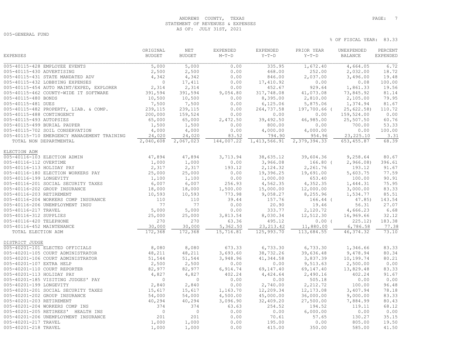## ANDREWS COUNTY, TEXAS **PAGE:** 7 STATEMENT OF REVENUES & EXPENSES AS OF: JULY 31ST, 2021

005-GENERAL FUND

| <b>EXPENSES</b><br><b>BUDGET</b><br><b>BUDGET</b><br>$M-T-D$<br>$Y-T-D$<br>$Y-T-D$<br><b>BALANCE</b><br><b>EXPENDED</b><br>005-40115-428 EMPLOYEE EVENTS<br>5,000<br>335.95<br>6.72<br>5,000<br>0.00<br>1,672.40<br>4,664.05<br>005-40115-430 ADVERTISING<br>2,500<br>2,500<br>0.00<br>468.00<br>252.00<br>2,032.00<br>18.72<br>005-40115-431 STATE MANDATED ADV<br>4,342<br>0.00<br>846.00<br>2,037.00<br>19.48<br>4,342<br>3,496.00<br>005-40115-432 LOBBYING EXPENSES<br>$\mathbf{0}$<br>17,411<br>0.00<br>17,410.92<br>0.00<br>0.08<br>100.00<br>005-40115-454 AUTO MAINT/EXPED, EXPLORER<br>2,314<br>2,314<br>0.00<br>452.67<br>929.64<br>1,861.33<br>19.56<br>391,594<br>41,073.08<br>81.14<br>005-40115-462 COUNTY-WIDE IT SOFTWARE<br>391,594<br>9,054.80<br>317,748.08<br>73,845.92<br>2,810.00<br>79.95<br>005-40115-480 BONDS<br>10,500<br>10,500<br>8,395.00<br>2,105.00<br>0.00<br>005-40115-481 DUES<br>7,500<br>7,500<br>6, 125.06<br>5,875.06<br>1,374.94<br>81.67<br>0.00<br>005-40115-482 PROPERTY, LIAB. & COMP.<br>239,115<br>239,115<br>0.00<br>264,737.58<br>197,700.66 (<br>25,622.58<br>110.72<br>0.00<br>0.00<br>005-40115-488 CONTINGENCY<br>200,000<br>159,524<br>0.00<br>0.00<br>159,524.00<br>60.76<br>005-40115-493 AUTOPSIES<br>65,000<br>65,000<br>2,472.50<br>39,492.50<br>46,985.00<br>25,507.50<br>005-40115-499 BURIAL PAUPER<br>1,500<br>1,500<br>700.00<br>53.33<br>0.00<br>800.00<br>0.00<br>4,000<br>4,000<br>0.00<br>4,000.00<br>0.00<br>100.00<br>005-40115-702 SOIL CONSERVATION<br>4,000.00<br>005-40115-710 EMERGENCY MANAGEMENT TRAINING<br>24,020<br>24,020<br>794.90<br>954.96<br>23, 225.10<br>3.31<br>83.52<br>68.39<br>2,067,023<br>144,007.22<br>2,379,394.33<br>653, 455.87<br>TOTAL NON DEPARTMENTAL<br>2,040,608<br>1, 413, 566.91<br>ELECTION ADM<br>005-40116-103 ELECTION ADMIN<br>47,894<br>47,894<br>3,713.94<br>38,635.12<br>39,604.36<br>9,258.64<br>80.67<br>1,000<br>1,000<br>3,966.08<br>$166.80$ (<br>2,966.08<br>396.61<br>005-40116-112 OVERTIME<br>0.00<br>2,317<br>005-40116-113 HOLIDAY PAY<br>2,317<br>193.12<br>2,124.32<br>2,261.76<br>193.12<br>91.67<br>005-40116-180 ELECTION WORKERS PAY<br>25,000<br>25,000<br>0.00<br>19,396.25<br>19,691.00<br>5,603.75<br>77.59<br>1,000.00<br>653.40<br>90.91<br>005-40116-199 LONGEVITY<br>1,100<br>1,100<br>0.00<br>100.00<br>4,352.35<br>75.95<br>005-40116-201 SOCIAL SECURITY TAXES<br>6,007<br>6,007<br>256.93<br>4,562.35<br>1,444.31<br>005-40116-202 GROUP INSURANCE<br>83.33<br>18,000<br>18,000<br>1,500.00<br>15,000.00<br>12,000.00<br>3,000.00<br>005-40116-203 RETIREMENT<br>10,593<br>10,593<br>773.98<br>8,255.96<br>85.51<br>9,058.27<br>1,534.77<br>005-40116-204 WORKERS COMP INSURANCE<br>110<br>39.44<br>157.76<br>143.54<br>110<br>$166.44$ (<br>47.85)<br>77<br>19.46<br>56.31<br>27.07<br>005-40116-206 UNEMPLOYMENT INSU<br>77<br>0.00<br>20.90<br>6.68<br>005-40116-217 TRAVEL<br>5,000<br>5,000<br>0.00<br>333.77<br>2,120.72<br>4,666.23<br>25,000<br>25,000<br>8,030.34<br>12,512.30<br>16,969.66<br>32.12<br>005-40116-312 SUPPLIES<br>3,813.54<br>183.38<br>270<br>270<br>63.36<br>495.12<br>005-40116-420 TELEPHONE<br>$0.00$ (<br>225.12<br>30,000<br>30,000<br>5,362.50<br>77.38<br>005-40116-452 MAINTENANCE<br>23, 213.42<br>11,880.00<br>6,786.58<br>73.10<br>TOTAL ELECTION ADM<br>172,368<br>172,368<br>15,716.81<br>125,993.70<br>113,684.55<br>46, 374.32<br>DISTRICT JUDGE<br>005-40201-101 ELECTED OFFICIALS<br>8,080<br>8,080<br>673.33<br>6,733.30<br>6,733.30<br>1,346.66<br>83.33<br>48,211<br>48,211<br>38,732.26<br>39,636.48<br>9,478.94<br>80.34<br>005-40201-105 COURT ADMINISTRATOR<br>3,693.60<br>80.21<br>005-40201-106 COURT ADMINISTRATOR<br>51,544<br>51,544<br>3,948.96<br>41, 344.58<br>3,837.39<br>10,199.74<br>005-40201-107 EXTRA HELP<br>2,500<br>0.00<br>2,500.00<br>0.00<br>2,500<br>0.00<br>9,513.63<br>83.33<br>005-40201-110 COURT REPORTER<br>82,977<br>82,977<br>69,147.40<br>69,147.40<br>13,829.48<br>6,914.74<br>91.67<br>005-40201-113 HOLIDAY PAY<br>4,827<br>4,827<br>402.24<br>4,424.64<br>2,490.16<br>402.24<br>0.00<br>005-40201-185 VISITING JUDGES' PAY<br>$\circ$<br>$\mathbf{0}$<br>0.00<br>0.00<br>505.18<br>0.00<br>2,840<br>96.48<br>005-40201-199 LONGEVITY<br>2,840<br>0.00<br>2,740.00<br>2,212.72<br>100.00<br>12,209.34<br>78.18<br>005-40201-201 SOCIAL SECURITY TAXES<br>15,617<br>15,617<br>1,163.70<br>12, 173.08<br>3,407.94<br>83.33<br>005-40201-202 GROUP INSURANCE<br>54,000<br>4,500.00<br>45,000.00<br>36,000.00<br>9,000.00<br>54,000<br>005-40201-203 RETIREMENT<br>40,294<br>40,294<br>3,096.90<br>32,409.20<br>27,500.00<br>7,884.99<br>80.43<br>374<br>68.12<br>005-40201-204 WORKERS COMP INS<br>374<br>254.52<br>119.11<br>63.63<br>194.52<br>0.00<br>005-40201-205 RETIREES' HEALTH INS<br>$\mathbf{0}$<br>$\circ$<br>0.00<br>0.00<br>6,000.00<br>0.00<br>201<br>201<br>0.00<br>35.15<br>005-40201-206 UNEMPLOYMENT INSURANCE<br>70.61<br>57.65<br>130.27<br>19.50<br>005-40201-217 TRAVEL<br>1,000<br>1,000<br>0.00<br>195.00<br>0.00<br>805.00<br>1,000<br>1,000<br>0.00<br>41.50<br>005-40201-218 TRAVEL<br>415.00<br>350.00<br>585.00 |  | ORIGINAL | <b>NET</b> | EXPENDED | EXPENDED | PRIOR YEAR | UNEXPENDED | PERCENT |
|------------------------------------------------------------------------------------------------------------------------------------------------------------------------------------------------------------------------------------------------------------------------------------------------------------------------------------------------------------------------------------------------------------------------------------------------------------------------------------------------------------------------------------------------------------------------------------------------------------------------------------------------------------------------------------------------------------------------------------------------------------------------------------------------------------------------------------------------------------------------------------------------------------------------------------------------------------------------------------------------------------------------------------------------------------------------------------------------------------------------------------------------------------------------------------------------------------------------------------------------------------------------------------------------------------------------------------------------------------------------------------------------------------------------------------------------------------------------------------------------------------------------------------------------------------------------------------------------------------------------------------------------------------------------------------------------------------------------------------------------------------------------------------------------------------------------------------------------------------------------------------------------------------------------------------------------------------------------------------------------------------------------------------------------------------------------------------------------------------------------------------------------------------------------------------------------------------------------------------------------------------------------------------------------------------------------------------------------------------------------------------------------------------------------------------------------------------------------------------------------------------------------------------------------------------------------------------------------------------------------------------------------------------------------------------------------------------------------------------------------------------------------------------------------------------------------------------------------------------------------------------------------------------------------------------------------------------------------------------------------------------------------------------------------------------------------------------------------------------------------------------------------------------------------------------------------------------------------------------------------------------------------------------------------------------------------------------------------------------------------------------------------------------------------------------------------------------------------------------------------------------------------------------------------------------------------------------------------------------------------------------------------------------------------------------------------------------------------------------------------------------------------------------------------------------------------------------------------------------------------------------------------------------------------------------------------------------------------------------------------------------------------------------------------------------------------------------------------------------------------------------------------------------------------------------------------------------------------------------------------------------------------------------------------------------------------------------------------------------------------------------------------------------------------------------------------------------------------------------------------------------------------------------------------------------------------------------------------------------------------------------------------------------------------------------------------------------------------------------------------------------------------------------------------------------------------------------------------------------------------------------------------------------------------------------------------------------------------------------------------------------------------------------------------------------------------------------------------------------------------------------------------------------------------------|--|----------|------------|----------|----------|------------|------------|---------|
|                                                                                                                                                                                                                                                                                                                                                                                                                                                                                                                                                                                                                                                                                                                                                                                                                                                                                                                                                                                                                                                                                                                                                                                                                                                                                                                                                                                                                                                                                                                                                                                                                                                                                                                                                                                                                                                                                                                                                                                                                                                                                                                                                                                                                                                                                                                                                                                                                                                                                                                                                                                                                                                                                                                                                                                                                                                                                                                                                                                                                                                                                                                                                                                                                                                                                                                                                                                                                                                                                                                                                                                                                                                                                                                                                                                                                                                                                                                                                                                                                                                                                                                                                                                                                                                                                                                                                                                                                                                                                                                                                                                                                                                                                                                                                                                                                                                                                                                                                                                                                                                                                                                                                                              |  |          |            |          |          |            |            |         |
|                                                                                                                                                                                                                                                                                                                                                                                                                                                                                                                                                                                                                                                                                                                                                                                                                                                                                                                                                                                                                                                                                                                                                                                                                                                                                                                                                                                                                                                                                                                                                                                                                                                                                                                                                                                                                                                                                                                                                                                                                                                                                                                                                                                                                                                                                                                                                                                                                                                                                                                                                                                                                                                                                                                                                                                                                                                                                                                                                                                                                                                                                                                                                                                                                                                                                                                                                                                                                                                                                                                                                                                                                                                                                                                                                                                                                                                                                                                                                                                                                                                                                                                                                                                                                                                                                                                                                                                                                                                                                                                                                                                                                                                                                                                                                                                                                                                                                                                                                                                                                                                                                                                                                                              |  |          |            |          |          |            |            |         |
|                                                                                                                                                                                                                                                                                                                                                                                                                                                                                                                                                                                                                                                                                                                                                                                                                                                                                                                                                                                                                                                                                                                                                                                                                                                                                                                                                                                                                                                                                                                                                                                                                                                                                                                                                                                                                                                                                                                                                                                                                                                                                                                                                                                                                                                                                                                                                                                                                                                                                                                                                                                                                                                                                                                                                                                                                                                                                                                                                                                                                                                                                                                                                                                                                                                                                                                                                                                                                                                                                                                                                                                                                                                                                                                                                                                                                                                                                                                                                                                                                                                                                                                                                                                                                                                                                                                                                                                                                                                                                                                                                                                                                                                                                                                                                                                                                                                                                                                                                                                                                                                                                                                                                                              |  |          |            |          |          |            |            |         |
|                                                                                                                                                                                                                                                                                                                                                                                                                                                                                                                                                                                                                                                                                                                                                                                                                                                                                                                                                                                                                                                                                                                                                                                                                                                                                                                                                                                                                                                                                                                                                                                                                                                                                                                                                                                                                                                                                                                                                                                                                                                                                                                                                                                                                                                                                                                                                                                                                                                                                                                                                                                                                                                                                                                                                                                                                                                                                                                                                                                                                                                                                                                                                                                                                                                                                                                                                                                                                                                                                                                                                                                                                                                                                                                                                                                                                                                                                                                                                                                                                                                                                                                                                                                                                                                                                                                                                                                                                                                                                                                                                                                                                                                                                                                                                                                                                                                                                                                                                                                                                                                                                                                                                                              |  |          |            |          |          |            |            |         |
|                                                                                                                                                                                                                                                                                                                                                                                                                                                                                                                                                                                                                                                                                                                                                                                                                                                                                                                                                                                                                                                                                                                                                                                                                                                                                                                                                                                                                                                                                                                                                                                                                                                                                                                                                                                                                                                                                                                                                                                                                                                                                                                                                                                                                                                                                                                                                                                                                                                                                                                                                                                                                                                                                                                                                                                                                                                                                                                                                                                                                                                                                                                                                                                                                                                                                                                                                                                                                                                                                                                                                                                                                                                                                                                                                                                                                                                                                                                                                                                                                                                                                                                                                                                                                                                                                                                                                                                                                                                                                                                                                                                                                                                                                                                                                                                                                                                                                                                                                                                                                                                                                                                                                                              |  |          |            |          |          |            |            |         |
|                                                                                                                                                                                                                                                                                                                                                                                                                                                                                                                                                                                                                                                                                                                                                                                                                                                                                                                                                                                                                                                                                                                                                                                                                                                                                                                                                                                                                                                                                                                                                                                                                                                                                                                                                                                                                                                                                                                                                                                                                                                                                                                                                                                                                                                                                                                                                                                                                                                                                                                                                                                                                                                                                                                                                                                                                                                                                                                                                                                                                                                                                                                                                                                                                                                                                                                                                                                                                                                                                                                                                                                                                                                                                                                                                                                                                                                                                                                                                                                                                                                                                                                                                                                                                                                                                                                                                                                                                                                                                                                                                                                                                                                                                                                                                                                                                                                                                                                                                                                                                                                                                                                                                                              |  |          |            |          |          |            |            |         |
|                                                                                                                                                                                                                                                                                                                                                                                                                                                                                                                                                                                                                                                                                                                                                                                                                                                                                                                                                                                                                                                                                                                                                                                                                                                                                                                                                                                                                                                                                                                                                                                                                                                                                                                                                                                                                                                                                                                                                                                                                                                                                                                                                                                                                                                                                                                                                                                                                                                                                                                                                                                                                                                                                                                                                                                                                                                                                                                                                                                                                                                                                                                                                                                                                                                                                                                                                                                                                                                                                                                                                                                                                                                                                                                                                                                                                                                                                                                                                                                                                                                                                                                                                                                                                                                                                                                                                                                                                                                                                                                                                                                                                                                                                                                                                                                                                                                                                                                                                                                                                                                                                                                                                                              |  |          |            |          |          |            |            |         |
|                                                                                                                                                                                                                                                                                                                                                                                                                                                                                                                                                                                                                                                                                                                                                                                                                                                                                                                                                                                                                                                                                                                                                                                                                                                                                                                                                                                                                                                                                                                                                                                                                                                                                                                                                                                                                                                                                                                                                                                                                                                                                                                                                                                                                                                                                                                                                                                                                                                                                                                                                                                                                                                                                                                                                                                                                                                                                                                                                                                                                                                                                                                                                                                                                                                                                                                                                                                                                                                                                                                                                                                                                                                                                                                                                                                                                                                                                                                                                                                                                                                                                                                                                                                                                                                                                                                                                                                                                                                                                                                                                                                                                                                                                                                                                                                                                                                                                                                                                                                                                                                                                                                                                                              |  |          |            |          |          |            |            |         |
|                                                                                                                                                                                                                                                                                                                                                                                                                                                                                                                                                                                                                                                                                                                                                                                                                                                                                                                                                                                                                                                                                                                                                                                                                                                                                                                                                                                                                                                                                                                                                                                                                                                                                                                                                                                                                                                                                                                                                                                                                                                                                                                                                                                                                                                                                                                                                                                                                                                                                                                                                                                                                                                                                                                                                                                                                                                                                                                                                                                                                                                                                                                                                                                                                                                                                                                                                                                                                                                                                                                                                                                                                                                                                                                                                                                                                                                                                                                                                                                                                                                                                                                                                                                                                                                                                                                                                                                                                                                                                                                                                                                                                                                                                                                                                                                                                                                                                                                                                                                                                                                                                                                                                                              |  |          |            |          |          |            |            |         |
|                                                                                                                                                                                                                                                                                                                                                                                                                                                                                                                                                                                                                                                                                                                                                                                                                                                                                                                                                                                                                                                                                                                                                                                                                                                                                                                                                                                                                                                                                                                                                                                                                                                                                                                                                                                                                                                                                                                                                                                                                                                                                                                                                                                                                                                                                                                                                                                                                                                                                                                                                                                                                                                                                                                                                                                                                                                                                                                                                                                                                                                                                                                                                                                                                                                                                                                                                                                                                                                                                                                                                                                                                                                                                                                                                                                                                                                                                                                                                                                                                                                                                                                                                                                                                                                                                                                                                                                                                                                                                                                                                                                                                                                                                                                                                                                                                                                                                                                                                                                                                                                                                                                                                                              |  |          |            |          |          |            |            |         |
|                                                                                                                                                                                                                                                                                                                                                                                                                                                                                                                                                                                                                                                                                                                                                                                                                                                                                                                                                                                                                                                                                                                                                                                                                                                                                                                                                                                                                                                                                                                                                                                                                                                                                                                                                                                                                                                                                                                                                                                                                                                                                                                                                                                                                                                                                                                                                                                                                                                                                                                                                                                                                                                                                                                                                                                                                                                                                                                                                                                                                                                                                                                                                                                                                                                                                                                                                                                                                                                                                                                                                                                                                                                                                                                                                                                                                                                                                                                                                                                                                                                                                                                                                                                                                                                                                                                                                                                                                                                                                                                                                                                                                                                                                                                                                                                                                                                                                                                                                                                                                                                                                                                                                                              |  |          |            |          |          |            |            |         |
|                                                                                                                                                                                                                                                                                                                                                                                                                                                                                                                                                                                                                                                                                                                                                                                                                                                                                                                                                                                                                                                                                                                                                                                                                                                                                                                                                                                                                                                                                                                                                                                                                                                                                                                                                                                                                                                                                                                                                                                                                                                                                                                                                                                                                                                                                                                                                                                                                                                                                                                                                                                                                                                                                                                                                                                                                                                                                                                                                                                                                                                                                                                                                                                                                                                                                                                                                                                                                                                                                                                                                                                                                                                                                                                                                                                                                                                                                                                                                                                                                                                                                                                                                                                                                                                                                                                                                                                                                                                                                                                                                                                                                                                                                                                                                                                                                                                                                                                                                                                                                                                                                                                                                                              |  |          |            |          |          |            |            |         |
|                                                                                                                                                                                                                                                                                                                                                                                                                                                                                                                                                                                                                                                                                                                                                                                                                                                                                                                                                                                                                                                                                                                                                                                                                                                                                                                                                                                                                                                                                                                                                                                                                                                                                                                                                                                                                                                                                                                                                                                                                                                                                                                                                                                                                                                                                                                                                                                                                                                                                                                                                                                                                                                                                                                                                                                                                                                                                                                                                                                                                                                                                                                                                                                                                                                                                                                                                                                                                                                                                                                                                                                                                                                                                                                                                                                                                                                                                                                                                                                                                                                                                                                                                                                                                                                                                                                                                                                                                                                                                                                                                                                                                                                                                                                                                                                                                                                                                                                                                                                                                                                                                                                                                                              |  |          |            |          |          |            |            |         |
|                                                                                                                                                                                                                                                                                                                                                                                                                                                                                                                                                                                                                                                                                                                                                                                                                                                                                                                                                                                                                                                                                                                                                                                                                                                                                                                                                                                                                                                                                                                                                                                                                                                                                                                                                                                                                                                                                                                                                                                                                                                                                                                                                                                                                                                                                                                                                                                                                                                                                                                                                                                                                                                                                                                                                                                                                                                                                                                                                                                                                                                                                                                                                                                                                                                                                                                                                                                                                                                                                                                                                                                                                                                                                                                                                                                                                                                                                                                                                                                                                                                                                                                                                                                                                                                                                                                                                                                                                                                                                                                                                                                                                                                                                                                                                                                                                                                                                                                                                                                                                                                                                                                                                                              |  |          |            |          |          |            |            |         |
|                                                                                                                                                                                                                                                                                                                                                                                                                                                                                                                                                                                                                                                                                                                                                                                                                                                                                                                                                                                                                                                                                                                                                                                                                                                                                                                                                                                                                                                                                                                                                                                                                                                                                                                                                                                                                                                                                                                                                                                                                                                                                                                                                                                                                                                                                                                                                                                                                                                                                                                                                                                                                                                                                                                                                                                                                                                                                                                                                                                                                                                                                                                                                                                                                                                                                                                                                                                                                                                                                                                                                                                                                                                                                                                                                                                                                                                                                                                                                                                                                                                                                                                                                                                                                                                                                                                                                                                                                                                                                                                                                                                                                                                                                                                                                                                                                                                                                                                                                                                                                                                                                                                                                                              |  |          |            |          |          |            |            |         |
|                                                                                                                                                                                                                                                                                                                                                                                                                                                                                                                                                                                                                                                                                                                                                                                                                                                                                                                                                                                                                                                                                                                                                                                                                                                                                                                                                                                                                                                                                                                                                                                                                                                                                                                                                                                                                                                                                                                                                                                                                                                                                                                                                                                                                                                                                                                                                                                                                                                                                                                                                                                                                                                                                                                                                                                                                                                                                                                                                                                                                                                                                                                                                                                                                                                                                                                                                                                                                                                                                                                                                                                                                                                                                                                                                                                                                                                                                                                                                                                                                                                                                                                                                                                                                                                                                                                                                                                                                                                                                                                                                                                                                                                                                                                                                                                                                                                                                                                                                                                                                                                                                                                                                                              |  |          |            |          |          |            |            |         |
|                                                                                                                                                                                                                                                                                                                                                                                                                                                                                                                                                                                                                                                                                                                                                                                                                                                                                                                                                                                                                                                                                                                                                                                                                                                                                                                                                                                                                                                                                                                                                                                                                                                                                                                                                                                                                                                                                                                                                                                                                                                                                                                                                                                                                                                                                                                                                                                                                                                                                                                                                                                                                                                                                                                                                                                                                                                                                                                                                                                                                                                                                                                                                                                                                                                                                                                                                                                                                                                                                                                                                                                                                                                                                                                                                                                                                                                                                                                                                                                                                                                                                                                                                                                                                                                                                                                                                                                                                                                                                                                                                                                                                                                                                                                                                                                                                                                                                                                                                                                                                                                                                                                                                                              |  |          |            |          |          |            |            |         |
|                                                                                                                                                                                                                                                                                                                                                                                                                                                                                                                                                                                                                                                                                                                                                                                                                                                                                                                                                                                                                                                                                                                                                                                                                                                                                                                                                                                                                                                                                                                                                                                                                                                                                                                                                                                                                                                                                                                                                                                                                                                                                                                                                                                                                                                                                                                                                                                                                                                                                                                                                                                                                                                                                                                                                                                                                                                                                                                                                                                                                                                                                                                                                                                                                                                                                                                                                                                                                                                                                                                                                                                                                                                                                                                                                                                                                                                                                                                                                                                                                                                                                                                                                                                                                                                                                                                                                                                                                                                                                                                                                                                                                                                                                                                                                                                                                                                                                                                                                                                                                                                                                                                                                                              |  |          |            |          |          |            |            |         |
|                                                                                                                                                                                                                                                                                                                                                                                                                                                                                                                                                                                                                                                                                                                                                                                                                                                                                                                                                                                                                                                                                                                                                                                                                                                                                                                                                                                                                                                                                                                                                                                                                                                                                                                                                                                                                                                                                                                                                                                                                                                                                                                                                                                                                                                                                                                                                                                                                                                                                                                                                                                                                                                                                                                                                                                                                                                                                                                                                                                                                                                                                                                                                                                                                                                                                                                                                                                                                                                                                                                                                                                                                                                                                                                                                                                                                                                                                                                                                                                                                                                                                                                                                                                                                                                                                                                                                                                                                                                                                                                                                                                                                                                                                                                                                                                                                                                                                                                                                                                                                                                                                                                                                                              |  |          |            |          |          |            |            |         |
|                                                                                                                                                                                                                                                                                                                                                                                                                                                                                                                                                                                                                                                                                                                                                                                                                                                                                                                                                                                                                                                                                                                                                                                                                                                                                                                                                                                                                                                                                                                                                                                                                                                                                                                                                                                                                                                                                                                                                                                                                                                                                                                                                                                                                                                                                                                                                                                                                                                                                                                                                                                                                                                                                                                                                                                                                                                                                                                                                                                                                                                                                                                                                                                                                                                                                                                                                                                                                                                                                                                                                                                                                                                                                                                                                                                                                                                                                                                                                                                                                                                                                                                                                                                                                                                                                                                                                                                                                                                                                                                                                                                                                                                                                                                                                                                                                                                                                                                                                                                                                                                                                                                                                                              |  |          |            |          |          |            |            |         |
|                                                                                                                                                                                                                                                                                                                                                                                                                                                                                                                                                                                                                                                                                                                                                                                                                                                                                                                                                                                                                                                                                                                                                                                                                                                                                                                                                                                                                                                                                                                                                                                                                                                                                                                                                                                                                                                                                                                                                                                                                                                                                                                                                                                                                                                                                                                                                                                                                                                                                                                                                                                                                                                                                                                                                                                                                                                                                                                                                                                                                                                                                                                                                                                                                                                                                                                                                                                                                                                                                                                                                                                                                                                                                                                                                                                                                                                                                                                                                                                                                                                                                                                                                                                                                                                                                                                                                                                                                                                                                                                                                                                                                                                                                                                                                                                                                                                                                                                                                                                                                                                                                                                                                                              |  |          |            |          |          |            |            |         |
|                                                                                                                                                                                                                                                                                                                                                                                                                                                                                                                                                                                                                                                                                                                                                                                                                                                                                                                                                                                                                                                                                                                                                                                                                                                                                                                                                                                                                                                                                                                                                                                                                                                                                                                                                                                                                                                                                                                                                                                                                                                                                                                                                                                                                                                                                                                                                                                                                                                                                                                                                                                                                                                                                                                                                                                                                                                                                                                                                                                                                                                                                                                                                                                                                                                                                                                                                                                                                                                                                                                                                                                                                                                                                                                                                                                                                                                                                                                                                                                                                                                                                                                                                                                                                                                                                                                                                                                                                                                                                                                                                                                                                                                                                                                                                                                                                                                                                                                                                                                                                                                                                                                                                                              |  |          |            |          |          |            |            |         |
|                                                                                                                                                                                                                                                                                                                                                                                                                                                                                                                                                                                                                                                                                                                                                                                                                                                                                                                                                                                                                                                                                                                                                                                                                                                                                                                                                                                                                                                                                                                                                                                                                                                                                                                                                                                                                                                                                                                                                                                                                                                                                                                                                                                                                                                                                                                                                                                                                                                                                                                                                                                                                                                                                                                                                                                                                                                                                                                                                                                                                                                                                                                                                                                                                                                                                                                                                                                                                                                                                                                                                                                                                                                                                                                                                                                                                                                                                                                                                                                                                                                                                                                                                                                                                                                                                                                                                                                                                                                                                                                                                                                                                                                                                                                                                                                                                                                                                                                                                                                                                                                                                                                                                                              |  |          |            |          |          |            |            |         |
|                                                                                                                                                                                                                                                                                                                                                                                                                                                                                                                                                                                                                                                                                                                                                                                                                                                                                                                                                                                                                                                                                                                                                                                                                                                                                                                                                                                                                                                                                                                                                                                                                                                                                                                                                                                                                                                                                                                                                                                                                                                                                                                                                                                                                                                                                                                                                                                                                                                                                                                                                                                                                                                                                                                                                                                                                                                                                                                                                                                                                                                                                                                                                                                                                                                                                                                                                                                                                                                                                                                                                                                                                                                                                                                                                                                                                                                                                                                                                                                                                                                                                                                                                                                                                                                                                                                                                                                                                                                                                                                                                                                                                                                                                                                                                                                                                                                                                                                                                                                                                                                                                                                                                                              |  |          |            |          |          |            |            |         |
|                                                                                                                                                                                                                                                                                                                                                                                                                                                                                                                                                                                                                                                                                                                                                                                                                                                                                                                                                                                                                                                                                                                                                                                                                                                                                                                                                                                                                                                                                                                                                                                                                                                                                                                                                                                                                                                                                                                                                                                                                                                                                                                                                                                                                                                                                                                                                                                                                                                                                                                                                                                                                                                                                                                                                                                                                                                                                                                                                                                                                                                                                                                                                                                                                                                                                                                                                                                                                                                                                                                                                                                                                                                                                                                                                                                                                                                                                                                                                                                                                                                                                                                                                                                                                                                                                                                                                                                                                                                                                                                                                                                                                                                                                                                                                                                                                                                                                                                                                                                                                                                                                                                                                                              |  |          |            |          |          |            |            |         |
|                                                                                                                                                                                                                                                                                                                                                                                                                                                                                                                                                                                                                                                                                                                                                                                                                                                                                                                                                                                                                                                                                                                                                                                                                                                                                                                                                                                                                                                                                                                                                                                                                                                                                                                                                                                                                                                                                                                                                                                                                                                                                                                                                                                                                                                                                                                                                                                                                                                                                                                                                                                                                                                                                                                                                                                                                                                                                                                                                                                                                                                                                                                                                                                                                                                                                                                                                                                                                                                                                                                                                                                                                                                                                                                                                                                                                                                                                                                                                                                                                                                                                                                                                                                                                                                                                                                                                                                                                                                                                                                                                                                                                                                                                                                                                                                                                                                                                                                                                                                                                                                                                                                                                                              |  |          |            |          |          |            |            |         |
|                                                                                                                                                                                                                                                                                                                                                                                                                                                                                                                                                                                                                                                                                                                                                                                                                                                                                                                                                                                                                                                                                                                                                                                                                                                                                                                                                                                                                                                                                                                                                                                                                                                                                                                                                                                                                                                                                                                                                                                                                                                                                                                                                                                                                                                                                                                                                                                                                                                                                                                                                                                                                                                                                                                                                                                                                                                                                                                                                                                                                                                                                                                                                                                                                                                                                                                                                                                                                                                                                                                                                                                                                                                                                                                                                                                                                                                                                                                                                                                                                                                                                                                                                                                                                                                                                                                                                                                                                                                                                                                                                                                                                                                                                                                                                                                                                                                                                                                                                                                                                                                                                                                                                                              |  |          |            |          |          |            |            |         |
|                                                                                                                                                                                                                                                                                                                                                                                                                                                                                                                                                                                                                                                                                                                                                                                                                                                                                                                                                                                                                                                                                                                                                                                                                                                                                                                                                                                                                                                                                                                                                                                                                                                                                                                                                                                                                                                                                                                                                                                                                                                                                                                                                                                                                                                                                                                                                                                                                                                                                                                                                                                                                                                                                                                                                                                                                                                                                                                                                                                                                                                                                                                                                                                                                                                                                                                                                                                                                                                                                                                                                                                                                                                                                                                                                                                                                                                                                                                                                                                                                                                                                                                                                                                                                                                                                                                                                                                                                                                                                                                                                                                                                                                                                                                                                                                                                                                                                                                                                                                                                                                                                                                                                                              |  |          |            |          |          |            |            |         |
|                                                                                                                                                                                                                                                                                                                                                                                                                                                                                                                                                                                                                                                                                                                                                                                                                                                                                                                                                                                                                                                                                                                                                                                                                                                                                                                                                                                                                                                                                                                                                                                                                                                                                                                                                                                                                                                                                                                                                                                                                                                                                                                                                                                                                                                                                                                                                                                                                                                                                                                                                                                                                                                                                                                                                                                                                                                                                                                                                                                                                                                                                                                                                                                                                                                                                                                                                                                                                                                                                                                                                                                                                                                                                                                                                                                                                                                                                                                                                                                                                                                                                                                                                                                                                                                                                                                                                                                                                                                                                                                                                                                                                                                                                                                                                                                                                                                                                                                                                                                                                                                                                                                                                                              |  |          |            |          |          |            |            |         |
|                                                                                                                                                                                                                                                                                                                                                                                                                                                                                                                                                                                                                                                                                                                                                                                                                                                                                                                                                                                                                                                                                                                                                                                                                                                                                                                                                                                                                                                                                                                                                                                                                                                                                                                                                                                                                                                                                                                                                                                                                                                                                                                                                                                                                                                                                                                                                                                                                                                                                                                                                                                                                                                                                                                                                                                                                                                                                                                                                                                                                                                                                                                                                                                                                                                                                                                                                                                                                                                                                                                                                                                                                                                                                                                                                                                                                                                                                                                                                                                                                                                                                                                                                                                                                                                                                                                                                                                                                                                                                                                                                                                                                                                                                                                                                                                                                                                                                                                                                                                                                                                                                                                                                                              |  |          |            |          |          |            |            |         |
|                                                                                                                                                                                                                                                                                                                                                                                                                                                                                                                                                                                                                                                                                                                                                                                                                                                                                                                                                                                                                                                                                                                                                                                                                                                                                                                                                                                                                                                                                                                                                                                                                                                                                                                                                                                                                                                                                                                                                                                                                                                                                                                                                                                                                                                                                                                                                                                                                                                                                                                                                                                                                                                                                                                                                                                                                                                                                                                                                                                                                                                                                                                                                                                                                                                                                                                                                                                                                                                                                                                                                                                                                                                                                                                                                                                                                                                                                                                                                                                                                                                                                                                                                                                                                                                                                                                                                                                                                                                                                                                                                                                                                                                                                                                                                                                                                                                                                                                                                                                                                                                                                                                                                                              |  |          |            |          |          |            |            |         |
|                                                                                                                                                                                                                                                                                                                                                                                                                                                                                                                                                                                                                                                                                                                                                                                                                                                                                                                                                                                                                                                                                                                                                                                                                                                                                                                                                                                                                                                                                                                                                                                                                                                                                                                                                                                                                                                                                                                                                                                                                                                                                                                                                                                                                                                                                                                                                                                                                                                                                                                                                                                                                                                                                                                                                                                                                                                                                                                                                                                                                                                                                                                                                                                                                                                                                                                                                                                                                                                                                                                                                                                                                                                                                                                                                                                                                                                                                                                                                                                                                                                                                                                                                                                                                                                                                                                                                                                                                                                                                                                                                                                                                                                                                                                                                                                                                                                                                                                                                                                                                                                                                                                                                                              |  |          |            |          |          |            |            |         |
|                                                                                                                                                                                                                                                                                                                                                                                                                                                                                                                                                                                                                                                                                                                                                                                                                                                                                                                                                                                                                                                                                                                                                                                                                                                                                                                                                                                                                                                                                                                                                                                                                                                                                                                                                                                                                                                                                                                                                                                                                                                                                                                                                                                                                                                                                                                                                                                                                                                                                                                                                                                                                                                                                                                                                                                                                                                                                                                                                                                                                                                                                                                                                                                                                                                                                                                                                                                                                                                                                                                                                                                                                                                                                                                                                                                                                                                                                                                                                                                                                                                                                                                                                                                                                                                                                                                                                                                                                                                                                                                                                                                                                                                                                                                                                                                                                                                                                                                                                                                                                                                                                                                                                                              |  |          |            |          |          |            |            |         |
|                                                                                                                                                                                                                                                                                                                                                                                                                                                                                                                                                                                                                                                                                                                                                                                                                                                                                                                                                                                                                                                                                                                                                                                                                                                                                                                                                                                                                                                                                                                                                                                                                                                                                                                                                                                                                                                                                                                                                                                                                                                                                                                                                                                                                                                                                                                                                                                                                                                                                                                                                                                                                                                                                                                                                                                                                                                                                                                                                                                                                                                                                                                                                                                                                                                                                                                                                                                                                                                                                                                                                                                                                                                                                                                                                                                                                                                                                                                                                                                                                                                                                                                                                                                                                                                                                                                                                                                                                                                                                                                                                                                                                                                                                                                                                                                                                                                                                                                                                                                                                                                                                                                                                                              |  |          |            |          |          |            |            |         |
|                                                                                                                                                                                                                                                                                                                                                                                                                                                                                                                                                                                                                                                                                                                                                                                                                                                                                                                                                                                                                                                                                                                                                                                                                                                                                                                                                                                                                                                                                                                                                                                                                                                                                                                                                                                                                                                                                                                                                                                                                                                                                                                                                                                                                                                                                                                                                                                                                                                                                                                                                                                                                                                                                                                                                                                                                                                                                                                                                                                                                                                                                                                                                                                                                                                                                                                                                                                                                                                                                                                                                                                                                                                                                                                                                                                                                                                                                                                                                                                                                                                                                                                                                                                                                                                                                                                                                                                                                                                                                                                                                                                                                                                                                                                                                                                                                                                                                                                                                                                                                                                                                                                                                                              |  |          |            |          |          |            |            |         |
|                                                                                                                                                                                                                                                                                                                                                                                                                                                                                                                                                                                                                                                                                                                                                                                                                                                                                                                                                                                                                                                                                                                                                                                                                                                                                                                                                                                                                                                                                                                                                                                                                                                                                                                                                                                                                                                                                                                                                                                                                                                                                                                                                                                                                                                                                                                                                                                                                                                                                                                                                                                                                                                                                                                                                                                                                                                                                                                                                                                                                                                                                                                                                                                                                                                                                                                                                                                                                                                                                                                                                                                                                                                                                                                                                                                                                                                                                                                                                                                                                                                                                                                                                                                                                                                                                                                                                                                                                                                                                                                                                                                                                                                                                                                                                                                                                                                                                                                                                                                                                                                                                                                                                                              |  |          |            |          |          |            |            |         |
|                                                                                                                                                                                                                                                                                                                                                                                                                                                                                                                                                                                                                                                                                                                                                                                                                                                                                                                                                                                                                                                                                                                                                                                                                                                                                                                                                                                                                                                                                                                                                                                                                                                                                                                                                                                                                                                                                                                                                                                                                                                                                                                                                                                                                                                                                                                                                                                                                                                                                                                                                                                                                                                                                                                                                                                                                                                                                                                                                                                                                                                                                                                                                                                                                                                                                                                                                                                                                                                                                                                                                                                                                                                                                                                                                                                                                                                                                                                                                                                                                                                                                                                                                                                                                                                                                                                                                                                                                                                                                                                                                                                                                                                                                                                                                                                                                                                                                                                                                                                                                                                                                                                                                                              |  |          |            |          |          |            |            |         |
|                                                                                                                                                                                                                                                                                                                                                                                                                                                                                                                                                                                                                                                                                                                                                                                                                                                                                                                                                                                                                                                                                                                                                                                                                                                                                                                                                                                                                                                                                                                                                                                                                                                                                                                                                                                                                                                                                                                                                                                                                                                                                                                                                                                                                                                                                                                                                                                                                                                                                                                                                                                                                                                                                                                                                                                                                                                                                                                                                                                                                                                                                                                                                                                                                                                                                                                                                                                                                                                                                                                                                                                                                                                                                                                                                                                                                                                                                                                                                                                                                                                                                                                                                                                                                                                                                                                                                                                                                                                                                                                                                                                                                                                                                                                                                                                                                                                                                                                                                                                                                                                                                                                                                                              |  |          |            |          |          |            |            |         |
|                                                                                                                                                                                                                                                                                                                                                                                                                                                                                                                                                                                                                                                                                                                                                                                                                                                                                                                                                                                                                                                                                                                                                                                                                                                                                                                                                                                                                                                                                                                                                                                                                                                                                                                                                                                                                                                                                                                                                                                                                                                                                                                                                                                                                                                                                                                                                                                                                                                                                                                                                                                                                                                                                                                                                                                                                                                                                                                                                                                                                                                                                                                                                                                                                                                                                                                                                                                                                                                                                                                                                                                                                                                                                                                                                                                                                                                                                                                                                                                                                                                                                                                                                                                                                                                                                                                                                                                                                                                                                                                                                                                                                                                                                                                                                                                                                                                                                                                                                                                                                                                                                                                                                                              |  |          |            |          |          |            |            |         |
|                                                                                                                                                                                                                                                                                                                                                                                                                                                                                                                                                                                                                                                                                                                                                                                                                                                                                                                                                                                                                                                                                                                                                                                                                                                                                                                                                                                                                                                                                                                                                                                                                                                                                                                                                                                                                                                                                                                                                                                                                                                                                                                                                                                                                                                                                                                                                                                                                                                                                                                                                                                                                                                                                                                                                                                                                                                                                                                                                                                                                                                                                                                                                                                                                                                                                                                                                                                                                                                                                                                                                                                                                                                                                                                                                                                                                                                                                                                                                                                                                                                                                                                                                                                                                                                                                                                                                                                                                                                                                                                                                                                                                                                                                                                                                                                                                                                                                                                                                                                                                                                                                                                                                                              |  |          |            |          |          |            |            |         |
|                                                                                                                                                                                                                                                                                                                                                                                                                                                                                                                                                                                                                                                                                                                                                                                                                                                                                                                                                                                                                                                                                                                                                                                                                                                                                                                                                                                                                                                                                                                                                                                                                                                                                                                                                                                                                                                                                                                                                                                                                                                                                                                                                                                                                                                                                                                                                                                                                                                                                                                                                                                                                                                                                                                                                                                                                                                                                                                                                                                                                                                                                                                                                                                                                                                                                                                                                                                                                                                                                                                                                                                                                                                                                                                                                                                                                                                                                                                                                                                                                                                                                                                                                                                                                                                                                                                                                                                                                                                                                                                                                                                                                                                                                                                                                                                                                                                                                                                                                                                                                                                                                                                                                                              |  |          |            |          |          |            |            |         |
|                                                                                                                                                                                                                                                                                                                                                                                                                                                                                                                                                                                                                                                                                                                                                                                                                                                                                                                                                                                                                                                                                                                                                                                                                                                                                                                                                                                                                                                                                                                                                                                                                                                                                                                                                                                                                                                                                                                                                                                                                                                                                                                                                                                                                                                                                                                                                                                                                                                                                                                                                                                                                                                                                                                                                                                                                                                                                                                                                                                                                                                                                                                                                                                                                                                                                                                                                                                                                                                                                                                                                                                                                                                                                                                                                                                                                                                                                                                                                                                                                                                                                                                                                                                                                                                                                                                                                                                                                                                                                                                                                                                                                                                                                                                                                                                                                                                                                                                                                                                                                                                                                                                                                                              |  |          |            |          |          |            |            |         |
|                                                                                                                                                                                                                                                                                                                                                                                                                                                                                                                                                                                                                                                                                                                                                                                                                                                                                                                                                                                                                                                                                                                                                                                                                                                                                                                                                                                                                                                                                                                                                                                                                                                                                                                                                                                                                                                                                                                                                                                                                                                                                                                                                                                                                                                                                                                                                                                                                                                                                                                                                                                                                                                                                                                                                                                                                                                                                                                                                                                                                                                                                                                                                                                                                                                                                                                                                                                                                                                                                                                                                                                                                                                                                                                                                                                                                                                                                                                                                                                                                                                                                                                                                                                                                                                                                                                                                                                                                                                                                                                                                                                                                                                                                                                                                                                                                                                                                                                                                                                                                                                                                                                                                                              |  |          |            |          |          |            |            |         |
|                                                                                                                                                                                                                                                                                                                                                                                                                                                                                                                                                                                                                                                                                                                                                                                                                                                                                                                                                                                                                                                                                                                                                                                                                                                                                                                                                                                                                                                                                                                                                                                                                                                                                                                                                                                                                                                                                                                                                                                                                                                                                                                                                                                                                                                                                                                                                                                                                                                                                                                                                                                                                                                                                                                                                                                                                                                                                                                                                                                                                                                                                                                                                                                                                                                                                                                                                                                                                                                                                                                                                                                                                                                                                                                                                                                                                                                                                                                                                                                                                                                                                                                                                                                                                                                                                                                                                                                                                                                                                                                                                                                                                                                                                                                                                                                                                                                                                                                                                                                                                                                                                                                                                                              |  |          |            |          |          |            |            |         |
|                                                                                                                                                                                                                                                                                                                                                                                                                                                                                                                                                                                                                                                                                                                                                                                                                                                                                                                                                                                                                                                                                                                                                                                                                                                                                                                                                                                                                                                                                                                                                                                                                                                                                                                                                                                                                                                                                                                                                                                                                                                                                                                                                                                                                                                                                                                                                                                                                                                                                                                                                                                                                                                                                                                                                                                                                                                                                                                                                                                                                                                                                                                                                                                                                                                                                                                                                                                                                                                                                                                                                                                                                                                                                                                                                                                                                                                                                                                                                                                                                                                                                                                                                                                                                                                                                                                                                                                                                                                                                                                                                                                                                                                                                                                                                                                                                                                                                                                                                                                                                                                                                                                                                                              |  |          |            |          |          |            |            |         |
|                                                                                                                                                                                                                                                                                                                                                                                                                                                                                                                                                                                                                                                                                                                                                                                                                                                                                                                                                                                                                                                                                                                                                                                                                                                                                                                                                                                                                                                                                                                                                                                                                                                                                                                                                                                                                                                                                                                                                                                                                                                                                                                                                                                                                                                                                                                                                                                                                                                                                                                                                                                                                                                                                                                                                                                                                                                                                                                                                                                                                                                                                                                                                                                                                                                                                                                                                                                                                                                                                                                                                                                                                                                                                                                                                                                                                                                                                                                                                                                                                                                                                                                                                                                                                                                                                                                                                                                                                                                                                                                                                                                                                                                                                                                                                                                                                                                                                                                                                                                                                                                                                                                                                                              |  |          |            |          |          |            |            |         |
|                                                                                                                                                                                                                                                                                                                                                                                                                                                                                                                                                                                                                                                                                                                                                                                                                                                                                                                                                                                                                                                                                                                                                                                                                                                                                                                                                                                                                                                                                                                                                                                                                                                                                                                                                                                                                                                                                                                                                                                                                                                                                                                                                                                                                                                                                                                                                                                                                                                                                                                                                                                                                                                                                                                                                                                                                                                                                                                                                                                                                                                                                                                                                                                                                                                                                                                                                                                                                                                                                                                                                                                                                                                                                                                                                                                                                                                                                                                                                                                                                                                                                                                                                                                                                                                                                                                                                                                                                                                                                                                                                                                                                                                                                                                                                                                                                                                                                                                                                                                                                                                                                                                                                                              |  |          |            |          |          |            |            |         |
|                                                                                                                                                                                                                                                                                                                                                                                                                                                                                                                                                                                                                                                                                                                                                                                                                                                                                                                                                                                                                                                                                                                                                                                                                                                                                                                                                                                                                                                                                                                                                                                                                                                                                                                                                                                                                                                                                                                                                                                                                                                                                                                                                                                                                                                                                                                                                                                                                                                                                                                                                                                                                                                                                                                                                                                                                                                                                                                                                                                                                                                                                                                                                                                                                                                                                                                                                                                                                                                                                                                                                                                                                                                                                                                                                                                                                                                                                                                                                                                                                                                                                                                                                                                                                                                                                                                                                                                                                                                                                                                                                                                                                                                                                                                                                                                                                                                                                                                                                                                                                                                                                                                                                                              |  |          |            |          |          |            |            |         |
|                                                                                                                                                                                                                                                                                                                                                                                                                                                                                                                                                                                                                                                                                                                                                                                                                                                                                                                                                                                                                                                                                                                                                                                                                                                                                                                                                                                                                                                                                                                                                                                                                                                                                                                                                                                                                                                                                                                                                                                                                                                                                                                                                                                                                                                                                                                                                                                                                                                                                                                                                                                                                                                                                                                                                                                                                                                                                                                                                                                                                                                                                                                                                                                                                                                                                                                                                                                                                                                                                                                                                                                                                                                                                                                                                                                                                                                                                                                                                                                                                                                                                                                                                                                                                                                                                                                                                                                                                                                                                                                                                                                                                                                                                                                                                                                                                                                                                                                                                                                                                                                                                                                                                                              |  |          |            |          |          |            |            |         |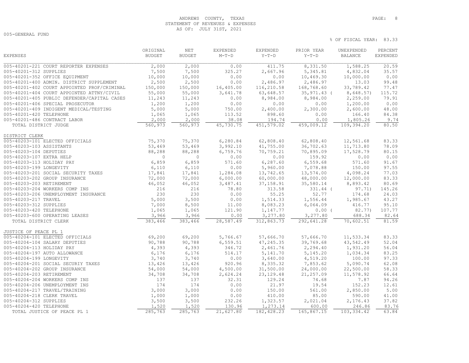## ANDREWS COUNTY, TEXAS **PAGE:** 8 STATEMENT OF REVENUES & EXPENSES AS OF: JULY 31ST, 2021

005-GENERAL FUND

|                                             | ORIGINAL      | NET           | EXPENDED  | EXPENDED    | PRIOR YEAR  | UNEXPENDED     | PERCENT         |
|---------------------------------------------|---------------|---------------|-----------|-------------|-------------|----------------|-----------------|
| <b>EXPENSES</b>                             | <b>BUDGET</b> | <b>BUDGET</b> | $M-T-D$   | $Y-T-D$     | $Y-T-D$     | <b>BALANCE</b> | <b>EXPENDED</b> |
| 005-40201-221 COURT REPORTER EXPENSES       | 2,000         | 2,000         | 0.00      | 411.75      | 8,331.50    | 1,588.25       | 20.59           |
| 005-40201-312 SUPPLIES                      | 7,500         | 7,500         | 325.27    | 2,667.96    | 5, 345.81   | 4,832.04       | 35.57           |
| 005-40201-352 OFFICE EQUIPMENT              | 10,000        | 10,000        | 0.00      | 0.00        | 10,469.30   | 10,000.00      | 0.00            |
| 005-40201-400 ADMIN. DISTRICT SUPPLEMENT    | 2,500         | 2,500         | 0.00      | 2,486.97    | 2,486.97    | 13.03          | 99.48           |
| 005-40201-402 COURT APPOINTED PROF/CRIMINAL | 150,000       | 150,000       | 16,405.00 | 116,210.58  | 168,768.60  | 33,789.42      | 77.47           |
| 005-40201-404 COURT APPOINTED ATTNY/CIVIL   | 55,000        | 55,000        | 3,641.78  | 63,648.57   | 35,971.43 ( | 8,648.57)      | 115.72          |
| 005-40201-405 PUBLIC DEFENDER/CAPITAL CASES | 11,243        | 11,243        | 0.00      | 8,984.00    | 8,984.00    | 2,259.00       | 79.91           |
| 005-40201-406 SPECIAL PROSECUTOR            | 1,200         | 1,200         | 0.00      | 0.00        | 0.00        | 1,200.00       | 0.00            |
| 005-40201-409 INDIGENT MEDICAL/TESTING      | 5,000         | 5,000         | 750.00    | 2,400.00    | 2,300.00    | 2,600.00       | 48.00           |
| 005-40201-420 TELEPHONE                     | 1,065         | 1,065         | 113.52    | 898.60      | 0.00        | 166.40         | 84.38           |
| 005-40201-486 CONTRACT LABOR                | 2,000         | 2,000         | 38.08     | 194.74      | 0.00        | 1,805.26       | 9.74            |
| TOTAL DISTRICT JUDGE                        | 560,973       | 560,973       | 45,730.75 | 451,579.02  | 459,009.12  | 109,394.20     | 80.50           |
| DISTRICT CLERK                              |               |               |           |             |             |                |                 |
| 005-40203-101 ELECTED OFFICIALS             | 75,370        | 75,370        | 6,280.84  | 62,808.40   | 62,808.40   | 12,561.68      | 83.33           |
| 005-40203-103 ASSISTANTS                    | 53,469        | 53,469        | 3,992.10  | 41,755.00   | 36,702.63   | 11,713.80      | 78.09           |
| 005-40203-104 DEPUTIES                      | 88,288        | 88,288        | 6,759.76  | 70,759.21   | 70,895.09   | 17,528.79      | 80.15           |
| 005-40203-107 EXTRA HELP                    | $\circ$       | $\circ$       | 0.00      | 0.00        | 159.92      | 0.00           | 0.00            |
| 005-40203-113 HOLIDAY PAY                   | 6,859         | 6,859         | 571.60    | 6,287.60    | 6,559.68    | 571.60         | 91.67           |
| 005-40203-199 LONGEVITY                     | 6,110         | 6,110         | 0.00      | 5,960.00    | 7,078.88    | 150.00         | 97.55           |
| 005-40203-201 SOCIAL SECURITY TAXES         | 17,841        | 17,841        | 1,284.08  | 13,742.65   | 13,574.00   | 4,098.24       | 77.03           |
| 005-40203-202 GROUP INSURANCE               | 72,000        | 72,000        | 6,000.00  | 60,000.00   | 48,000.00   | 12,000.00      | 83.33           |
| 005-40203-203 RETIREMENT                    | 46,052        | 46,052        | 3,487.41  | 37, 158.91  | 35,580.14   | 8,893.42       | 80.69           |
| 005-40203-204 WORKERS COMP INS              | 216           | 216           | 78.80     | 313.58      | 331.44 (    | 97.71)         | 145.26          |
| 005-40203-206 UNEMPLOYMENT INSURANCE        | 230           | 230           | 0.00      | 55.25       | 52.77       | 174.68         | 24.03           |
| 005-40203-217 TRAVEL                        | 5,000         | 3,500         | 0.00      | 1,514.33    | 1,556.44    | 1,985.67       | 43.27           |
| 005-40203-312 SUPPLIES                      | 7,000         | 8,500         | 11.00     | 8,083.23    | 6,064.09    | 416.77         | 95.10           |
| 005-40203-420 TELEPHONE                     | 1,065         | 1,065         | 121.90    | 1,147.77    | 0.00(       | 82.77)         | 107.77          |
| 005-40203-600 OPERATING LEASES              | 3,966         | 3,966         | 0.00      | 3,277.80    | 3,277.80    | 688.34         | 82.64           |
| TOTAL DISTRICT CLERK                        | 383,466       | 383,466       | 28,587.49 | 312,863.73  | 292,641.28  | 70,602.51      | 81.59           |
| JUSTICE OF PEACE PL 1                       |               |               |           |             |             |                |                 |
| 005-40204-101 ELECTED OFFICIALS             | 69,200        | 69,200        | 5,766.67  | 57,666.70   | 57,666.70   | 11,533.34      | 83.33           |
| 005-40204-104 SALARY DEPUTIES               | 90,788        | 90,788        | 6, 559.51 | 47,245.35   | 39,769.68   | 43,542.49      | 52.04           |
| 005-40204-113 HOLIDAY PAY                   | 4,393         | 4,393         | 346.72    | 2,461.76    | 2,294.40    | 1,931.20       | 56.04           |
| 005-40204-197 AUTO ALLOWANCE                | 6,176         | 6,176         | 514.17    | 5, 141.70   | 5,145.20    | 1,034.34       | 83.25           |
| 005-40204-199 LONGEVITY                     | 3,740         | 3,740         | 0.00      | 3,640.00    | 4,519.20    | 100.00         | 97.33           |
| 005-40204-201 SOCIAL SECURIY TAXES          | 13,426        | 13,426        | 920.96    | 8,335.32    | 7,853.62    | 5,090.74       | 62.08           |
| 005-40204-202 GROUP INSURANCE               | 54,000        | 54,000        | 4,500.00  | 31,500.00   | 24,000.00   | 22,500.00      | 58.33           |
| 005-40204-203 RETIREMENT                    | 34,708        | 34,708        | 2,624.24  | 23, 129.48  | 21,257.09   | 11,578.92      | 66.64           |
| 005-40204-204 WORKERS COMP INS              | 137           | 137           | 32.31     | 129.24      | 74.68       | 7.87           | 94.26           |
| 005-40204-206 UNEMPLOYMENT INS              | 174           | 174           | 0.00      | 21.97       | 19.54       | 152.23         | 12.61           |
| 005-40204-217 TRAVEL/TRAINING               | 3,000         | 3,000         | 0.00      | 150.00      | 561.00      | 2,850.00       | 5.00            |
| 005-40204-218 CLERK TRAVEL                  | 1,000         | 1,000         | 0.00      | 410.00      | 85.00       | 590.00         | 41.00           |
| 005-40204-312 SUPPLIES                      | 3,500         | 3,500         | 232.26    | 1,323.57    | 2,021.04    | 2,176.43       | 37.82           |
| 005-40204-420 TELEPHONE                     | 1,520         | 1,520         | 130.96    | 1,273.14    | 600.00      | 246.86         | 83.76           |
| TOTAL JUSTICE OF PEACE PL 1                 | 285,763       | 285,763       | 21,627.80 | 182, 428.23 | 165,867.15  | 103, 334.42    | 63.84           |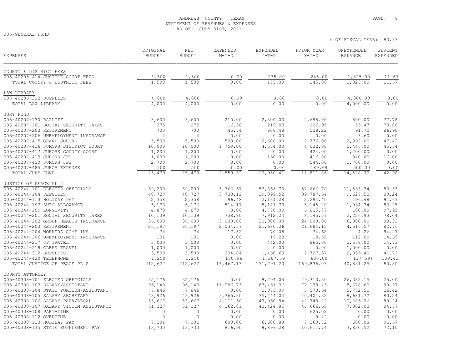## ANDREWS COUNTY, TEXAS **PAGE:** 9 STATEMENT OF REVENUES & EXPENSES AS OF: JULY 31ST, 2021

005-GENERAL FUND

| <b>EXPENSES</b>                        | ORIGINAL<br><b>BUDGET</b> | <b>NET</b><br><b>BUDGET</b> | <b>EXPENDED</b><br>$M-T-D$ | <b>EXPENDED</b><br>$Y-T-D$ | PRIOR YEAR<br>$Y-T-D$ | UNEXPENDED<br><b>BALANCE</b> | PERCENT<br><b>EXPENDED</b> |
|----------------------------------------|---------------------------|-----------------------------|----------------------------|----------------------------|-----------------------|------------------------------|----------------------------|
|                                        |                           |                             |                            |                            |                       |                              |                            |
| COUNTY & DISTRICT FEES                 |                           |                             |                            |                            |                       |                              |                            |
| 005-40205-414 JUSTICE COURT FEES       | 1,500                     | 1,500                       | 0.00                       | 175.00                     | 245.00                | 1,325.00                     | 11.67                      |
| TOTAL COUNTY & DISTRICT FEES           | 1,500                     | 1,500                       | 0.00                       | 175.00                     | 245.00                | 1,325.00                     | 11.67                      |
| LAW LIBRARY                            |                           |                             |                            |                            |                       |                              |                            |
| 005-40206-312 SUPPLIES                 | 4,000                     | 4,000                       | 0.00                       | 0.00                       | 0.00                  | 4,000.00                     | 0.00                       |
| TOTAL LAW LIBRARY                      | 4,000                     | 4,000                       | 0.00                       | 0.00                       | 0.00                  | 4,000.00                     | 0.00                       |
| JURY FUND                              |                           |                             |                            |                            |                       |                              |                            |
| 005-40207-130 BAILIFF                  | 3,600                     | 3,600                       | 210.00                     | 2,800.00                   | 2,695.00              | 800.00                       | 77.78                      |
| 005-40207-201 SOCIAL SECURITY TAXES    | 275                       | 275                         | 16.58                      | 219.93                     | 206.95                | 55.47                        | 79.86                      |
| 005-40207-203 RETIREMENT               | 700                       | 700                         | 45.74                      | 608.48                     | 528.22                | 91.72                        | 86.90                      |
| 005-40207-206 UNEMPLOYMENT INSURANCE   | 4                         | 4                           | 0.00                       | 0.00                       | 0.00                  | 3.60                         | 0.00                       |
| 005-40207-415 GRAND JURORS             | 5,500                     | 5,500                       | 528.00                     | 2,608.00                   | 2,776.00              | 2,892.00                     | 47.42                      |
| 005-40207-416 JURORS DISTRICT COURT    | 10,000                    | 10,000                      | 1,759.00                   | 4,554.00                   | 4,032.00              | 5,446.00                     | 45.54                      |
| 005-40207-417 JURORS COUNTY COURT      | 1,200                     | 1,200                       | 0.00                       | 0.00                       | 424.00                | 1,200.00                     | 0.00                       |
| 005-40207-419 JURORS JP1               | 1,000                     | 1,000                       | 0.00                       | 160.00                     | 416.00                | 840.00                       | 16.00                      |
| 005-40207-420 JURORS JP2               | 2,700                     | 2,700                       | 0.00                       | 0.00                       | 544.00                | 2,700.00                     | 0.00                       |
| 005-40207-485 JUROR EXPENSE            | 500                       | 500                         | 0.00                       | 0.00                       | 189.69                | 500.00                       | 0.00                       |
| TOTAL JURY FUND                        | 25,479                    | 25,479                      | 2,559.32                   | 10,950.41                  | 11,811.86             | 14,528.79                    | 42.98                      |
| JUSTICE OF PEACE PL 2                  |                           |                             |                            |                            |                       |                              |                            |
| 005-40244-101 ELECTED OFFICIALS        | 69,200                    | 69,200                      | 5,766.67                   | 57,666.70                  | 57,666.70             | 11,533.34                    | 83.33                      |
| 005-40244-104 DEPUTIES                 | 48,727                    | 48,727                      | 3,733.12                   | 39,099.52                  | 39,787.54             | 9,627.52                     | 80.24                      |
| 005-40244-113 HOLIDAY PAY              | 2,358                     | 2,358                       | 196.48                     | 2,161.28                   | 2,294.40              | 196.48                       | 91.67                      |
| 005-40244-197 AUTO ALLOWANCE           | 6,176                     | 6,176                       | 514.17                     | 5, 141.70                  | 5, 145.20             | 1,034.34                     | 83.25                      |
| 005-40244-199 LONGEVITY                | 4,870                     | 4,870                       | 0.00                       | 4,770.00                   | 6,825.87              | 100.00                       | 97.95                      |
| 005-40244-201 SOCIAL SECURITY TAXES    | 10,139                    | 10,139                      | 738.80                     | 7,912.24                   | 8,145.57              | 2,226.93                     | 78.04                      |
| 005-40244-202 GROUP HEALTH INSURANCE   | 36,000                    | 36,000                      | 3,000.00                   | 30,000.00                  | 24,000.00             | 6,000.00                     | 83.33                      |
| 005-40244-203 RETIREMENT               | 26,197                    | 26,197                      | 2,034.57                   | 21,680.26                  | 21,684.15             | 4,516.57                     | 82.76                      |
| 005-40244-204 WORKERS COMP INS         | 74                        | 74                          | 17.52                      | 70.08                      | 74.68                 | 4.26                         | 94.27                      |
| 005-40244-206 UNEMPLOYMENT INSURANCE   | 131                       | 131                         | 0.00                       | 19.23                      | 19.55                 | 112.00                       | 14.65                      |
| 005-40244-217 JP TRAVEL                | 3,000                     | 3,000                       | 0.00                       | 442.00                     | 865.00                | 2,558.00                     | 14.73                      |
| 005-40244-218 CLERK TRAVEL             | 1,000                     | 1,000                       | 0.00                       | 0.00                       | 0.00                  | 1,000.00                     | 0.00                       |
| 005-40244-312 SUPPLIES                 | 3,500                     | 3,500                       | 334.84                     | 1,460.60                   | 2,727.37              | 2,039.40                     | 41.73                      |
| 005-40244-420 TELEPHONE                | 1,250                     | 1,250                       | 130.96                     | 1,367.59                   | 600.00                | 117.59)                      | 109.41                     |
| TOTAL JUSTICE OF PEACE PL 2            | 212,622                   | 212,622                     | 16,467.13                  | 171,791.20                 | 169,836.03            | 40,831.25                    | 80.80                      |
| COUNTY ATTORNEY                        |                           |                             |                            |                            |                       |                              |                            |
| 005-40308-101 ELECTED OFFICIALS        | 35,176                    | 35,176                      | 0.00                       | 8,794.05                   | 29, 313.50            | 26,382.15                    | 25.00                      |
| 005-40308-103 SALARY/ASSISTANT         | 96,140                    | 96,140                      | 11,096.73                  | 87, 461.36                 | 77,138.43             | 8,678.60                     | 90.97                      |
| 005-40308-104 STATE PORTION/ASSISTANT  | 7,846                     | 7,846                       | 0.00                       | 2,073.09                   | 5,570.64              | 5,772.51                     | 26.42                      |
| 005-40308-105 SALARY SECRETARY         | 43,926                    | 43,926                      | 3,365.30                   | 35, 244.04                 | 40, 404.32            | 8,681.72                     | 80.24                      |
| 005-40308-106 SALARY PARA/LEGAL        | 53,667                    | 53,667                      | 4,111.60                   | 43,060.94                  | 42,748.22             | 10,606.26                    | 80.24                      |
| 005-40308-107 SALARY VICTIM ASSISTANCE | 51,227                    | 51,227                      | 4,362.81                   | 43, 424.85                 | 46,666.65             | 7,802.03                     | 84.77                      |
| 005-40308-108 PART-TIME                | $\circ$                   | $\circ$                     | 0.00                       | 0.00                       | 625.02                | 0.00                         | 0.00                       |
| 005-40308-112 OVERTIME                 | $\circ$                   | $\Omega$                    | 0.00                       | 0.00                       | 9.42                  | 0.00                         | 0.00                       |
| 005-40308-113 HOLIDAY PAY              | 7,201                     | 7,201                       | 600.08                     | 6,600.88                   | 7,260.72              | 600.08                       | 91.67                      |
| 005-40308-135 STATE SUPPLEMENT PAY     | 13,730                    | 13,730                      | 816.90                     | 9,899.28                   | 10,611.74             | 3,830.52                     | 72.10                      |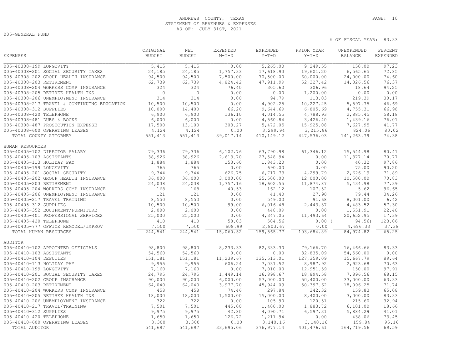# ANDREWS COUNTY, TEXAS **PAGE:** 10 STATEMENT OF REVENUES & EXPENSES AS OF: JULY 31ST, 2021

005-GENERAL FUND

|                                             | ORIGINAL       | NET            | EXPENDED  | EXPENDED    | PRIOR YEAR  | UNEXPENDED     | PERCENT         |
|---------------------------------------------|----------------|----------------|-----------|-------------|-------------|----------------|-----------------|
| <b>EXPENSES</b>                             | <b>BUDGET</b>  | <b>BUDGET</b>  | $M-T-D$   | $Y-T-D$     | $Y-T-D$     | <b>BALANCE</b> | <b>EXPENDED</b> |
| 005-40308-199 LONGEVITY                     | 5,415          | 5,415          | 0.00      | 5,265.00    | 9,249.55    | 150.00         | 97.23           |
| 005-40308-201 SOCIAL SECURITY TAXES         | 24,185         | 24,185         | 1,757.33  | 17,618.93   | 19,601.20   | 6, 565.65      | 72.85           |
| 005-40308-202 GROUP HEALTH INSURANCE        | 94,500         | 94,500         | 7,500.00  | 70,500.00   | 60,000.00   | 24,000.00      | 74.60           |
| 005-40308-203 RETIREMENT                    | 62,739         | 62,739         | 4,824.42  | 47, 911.99  | 52, 327.42  | 14,826.56      | 76.37           |
| 005-40308-204 WORKERS COMP INSURANCE        | 324            | 324            | 76.40     | 305.60      | 306.96      | 18.64          | 94.25           |
| 005-40308-205 RETIREE HEALTH INS            | $\overline{0}$ | $\overline{0}$ | 0.00      | 0.00        | 1,200.00    | 0.00           | 0.00            |
| 005-40308-206 UNEMPLOYMENT INSURANCE        | 314            | 314            | 0.00      | 94.79       | 113.03      | 219.39         | 30.17           |
| 005-40308-217 TRAVEL & CONTINUING EDUCATION | 10,500         | 10,500         | 0.00      | 4,902.25    | 10,227.25   | 5,597.75       | 46.69           |
| 005-40308-312 SUPPLIES                      | 10,000         | 14,400         | 66.20     | 9,644.69    | 6,805.69    | 4,755.31       | 66.98           |
| 005-40308-420 TELEPHONE                     | 6,900          | 6,900          | 136.10    | 4,014.55    | 4,788.93    | 2,885.45       | 58.18           |
| 005-40308-481 DUES & BOOKS                  | 6,000          | 6,000          | 0.00      | 4,560.84    | 3,426.40    | 1,439.16       | 76.01           |
| 005-40308-487 PROSECUTION EXPENSE           | 17,500         | 13,100         | 303.27    | 5,472.05    | 15,925.08   | 7,627.95       | 41.77           |
| 005-40308-600 OPERATING LEASES              | 4,124          | 4,124          | 0.00      | 3,299.94    | 3,215.86    | 824.06         | 80.02           |
| TOTAL COUNTY ATTORNEY                       | 551,413        | 551,413        | 39,017.14 | 410,149.12  | 447,536.03  | 141,263.79     | 74.38           |
| HUMAN RESOURCES                             |                |                |           |             |             |                |                 |
| 005-40405-102 DIRECTOR SALARY               | 79,336         | 79,336         | 6,102.76  | 63,790.98   | 61,346.12   | 15,544.98      | 80.41           |
| 005-40405-103 ASSISTANTS                    | 38,926         | 38,926         | 2,613.70  | 27,548.94   | 0.00        | 11,377.14      | 70.77           |
| 005-40405-113 HOLIDAY PAY                   | 1,884          | 1,884          | 153.60    | 1,843.20    | 0.00        | 40.32          | 97.86           |
| 005-40405-199 LONGEVITY                     | 765            | 765            | 0.00      | 690.00      | 0.00        | 75.00          | 90.20           |
| 005-40405-201 SOCIAL SECURITY               | 9,344          | 9,344          | 626.75    | 6,717.73    | 4,299.79    | 2,626.19       | 71.89           |
| 005-40405-202 GROUP HEALTH INSURANCE        | 36,000         | 36,000         | 3,000.00  | 25,500.00   | 12,000.00   | 10,500.00      | 70.83           |
| 005-40405-203 RETIREMENT                    | 24,038         | 24,038         | 1,757.16  | 18,602.55   | 11,874.87   | 5,434.98       | 77.39           |
| 005-40405-204 WORKERS COMP INSURANCE        | 168            | 168            | 40.53     | 162.12      | 107.52      | 5.62           | 96.65           |
| 005-40405-206 UNEMPLOYMENT INSURANCE        | 121            | 121            | 0.00      | 41.40       | 27.90       | 79.44          | 34.26           |
| 005-40405-217 TRAVEL TRAINING               | 8,550          | 8,550          | 0.00      | 549.00      | 91.68       | 8,001.00       | 6.42            |
| 005-40405-312 SUPPLIES                      | 10,500         | 10,500         | 99.00     | 6,016.48    | 2,443.37    | 4,483.52       | 57.30           |
| 005-40405-352 EQUIPMENT/FURNITURE           | 2,000          | 2,000          | 0.00      | 448.09      | 0.00        | 1,551.91       | 22.40           |
| 005-40405-401 PROFESSIONAL SERVICES         | 25,000         | 25,000         | 0.00      | 4,347.05    | 11,493.64   | 20,652.95      | 17.39           |
| 005-40405-420 TELEPHONE                     | 410            | 410            | 58.03     | 504.56      | $0.00$ (    | 94.56)         | 123.06          |
| 005-40405-777 OFFICE REMODEL/IMPROV         | 7,500          | 7,500          | 608.99    | 2,803.67    | 0.00        | 4,696.33       | 37.38           |
| TOTAL HUMAN RESOURCES                       | 244,541        | 244,541        | 15,060.52 | 159,565.77  | 103,684.89  | 84, 974.82     | 65.25           |
| <b>AUDITOR</b>                              |                |                |           |             |             |                |                 |
| 005-40410-102 APPOINTED OFFICIALS           | 98,800         | 98,800         | 8,233.33  | 82, 333.30  | 79,166.70   | 16,466.66      | 83.33           |
| 005-40410-103 ASSISTANTS                    | 54,560         | 54,560         | 0.00      | 0.00        | 32,835.09   | 54,560.00      | 0.00            |
| 005-40410-104 DEPUTIES                      | 151,181        | 151,181        | 11,239.67 | 135, 513.01 | 127,359.09  | 15,667.79      | 89.64           |
| 005-40410-113 HOLIDAY PAY                   | 9,955          | 9,955          | 606.24    | 7,031.52    | 8,987.92    | 2,923.68       | 70.63           |
| 005-40410-199 LONGEVITY                     | 7,160          | 7,160          | 0.00      | 7,010.00    | 12,951.59   | 150.00         | 97.91           |
| 005-40410-201 SOCIAL SECURITY TAXES         | 24,795         | 24,795         | 1,449.14  | 16,898.67   | 18,894.58   | 7,896.56       | 68.15           |
| 005-40410-202 GROUP INSURANCE               | 90,000         | 90,000         | 6,000.00  | 57,000.00   | 50,400.00   | 33,000.00      | 63.33           |
| 005-40410-203 RETIREMENT                    | 64,040         | 64,040         | 3,977.70  | 45,944.09   | 50,397.62   | 18,096.25      | 71.74           |
| 005-40410-204 WORKERS COMP INSURANCE        | 458            | 458            | 74.46     | 297.84      | 342.32      | 159.83         | 65.08           |
| 005-40410-205 RETIREE HEALTH INS            | 18,000         | 18,000         | 1,500.00  | 15,000.00   | 8,400.00    | 3,000.00       | 83.33           |
| 005-40410-206 UNEMPLOYMENT INSURANCE        | 322            | 322            | 0.00      | 105.90      | 120.51      | 215.60         | 32.94           |
| 005-40410-217 TRAVEL/TRAINING               | 7,501          | 7,501          | 445.00    | 1,400.00    | 1,883.72    | 6,101.00       | 18.66           |
| 005-40410-312 SUPPLIES                      | 9,975          | 9,975          | 42.80     | 4,090.71    | 6, 597.31   | 5,884.29       | 41.01           |
| 005-40410-420 TELEPHONE                     | 1,650          | 1,650          | 126.72    | 1,211.94    | 0.00        | 438.06         | 73.45           |
| 005-40410-600 OPERATING LEASES              | 3,300          | 3,300          | 0.00      | 3,140.16    | 3,140.16    | 159.84         | 95.16           |
| TOTAL AUDITOR                               | 541,697        | 541,697        | 33,695.06 | 376, 977.14 | 401, 476.61 | 164,719.56     | 69.59           |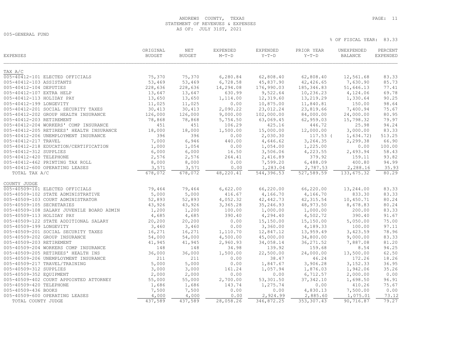# ANDREWS COUNTY, TEXAS **PAGE:** 11 STATEMENT OF REVENUES & EXPENSES AS OF: JULY 31ST, 2021

005-GENERAL FUND

| <b>EXPENSES</b>                           | ORIGINAL<br><b>BUDGET</b> | NET<br><b>BUDGET</b> | EXPENDED<br>$M-T-D$ | EXPENDED<br>$Y-T-D$       | PRIOR YEAR<br>$Y-T-D$ | UNEXPENDED<br>BALANCE | PERCENT<br><b>EXPENDED</b> |
|-------------------------------------------|---------------------------|----------------------|---------------------|---------------------------|-----------------------|-----------------------|----------------------------|
| TAX A/C                                   |                           |                      |                     |                           |                       |                       |                            |
| 005-40412-101 ELECTED OFFICIALS           | 75,370                    | 75,370               | 6,280.84            | 62,808.40                 | 62,808.40             | 12,561.68             | 83.33                      |
| 005-40412-103 ASSISTANTS                  | 53,469                    | 53,469               | 6,728.58            | 45,837.90                 | 42,426.65             | 7,630.90              | 85.73                      |
| 005-40412-104 DEPUTIES                    | 228,636                   | 228,636              | 14,294.08           | 176,990.03                | 185, 346.83           | 51,646.13             | 77.41                      |
| 005-40412-107 EXTRA HELP                  | 13,647                    | 13,647               | 630.99              | 9,522.64                  | 10,236.23             | 4,124.06              | 69.78                      |
| 005-40412-113 HOLIDAY PAY                 | 13,650                    | 13,650               | 1,114.00            | 12,319.60                 | 13,219.29             | 1,330.64              | 90.25                      |
| 005-40412-199 LONGEVITY                   | 11,025                    | 11,025               | 0.00                | 10,875.00                 | 11,840.81             | 150.00                | 98.64                      |
| 005-40412-201 SOCIAL SECURITY TAXES       | 30,413                    | 30,413               | 2,090.22            | 23,012.24                 | 23,819.66             | 7,400.94              | 75.67                      |
| 005-40412-202 GROUP HEALTH INSURANCE      | 126,000                   | 126,000              | 9,000.00            | 102,000.00                | 84,000.00             | 24,000.00             | 80.95                      |
| 005-40412-203 RETIREMENT                  | 78,868                    | 78,868               | 5,754.50            | 63,069.45                 | 62,959.03             | 15,798.32             | 79.97                      |
| 005-40412-204 WORKERS' COMP INSURANCE     | 451                       | 451                  | 106.29              | 425.16                    | 446.72                | 25.98                 | 94.24                      |
| 005-40412-205 RETIREES' HEALTH INSURANCE  | 18,000                    | 18,000               | 1,500.00            | 15,000.00                 | 12,000.00             | 3,000.00              | 83.33                      |
| 005-40412-206 UNEMPLOYMENT INSURANCE      | 396                       | 396                  | 0.00                | 2,030.30                  | $117.53$ (            | 1,634.72)             | 513.25                     |
| 005-40412-217 TRAVEL                      | 7,000                     | 6,946                | 440.00              | 4,646.62                  | 3,264.35              | 2,299.38              | 66.90                      |
| 005-40412-218 EDUCATION/CERTIFICATION     | 1,000                     | 1,054                | 0.00                | 1,054.00                  | 1,225.00              | 0.00                  | 100.00                     |
| 005-40412-312 SUPPLIES                    | 6,000                     | 6,000                | 16.50               | 3,506.06                  | 4,223.55              | 2,493.94              | 58.43                      |
| 005-40412-420 TELEPHONE                   | 2,576                     | 2,576                | 264.41              | 2,416.89                  | 379.92                | 159.11                | 93.82                      |
| 005-40412-462 PRINTING TAX ROLL           | 8,000                     | 8,000                | 0.00                | 7,599.20                  | 6,488.09              | 400.80                | 94.99                      |
| 005-40412-600 OPERATING LEASES            | 3,571                     | 3,571                | 0.00                | 1,283.04                  | 2,787.53              | 2,288.16              | 35.93                      |
| TOTAL TAX A/C                             | 678,072                   | 678,072              | 48,220.41           | $\overline{544}$ , 396.53 | 527,589.59            | 133,675.32            | 80.29                      |
| COUNTY JUDGE                              |                           |                      |                     |                           |                       |                       |                            |
| 005-40509-101 ELECTED OFFICIALS           | 79,464                    | 79,464               | 6,622.00            | 66,220.00                 | 66,220.00             | 13,244.00             | 83.33                      |
| 005-40509-102 STATE ADMINISTRATIVE        | 5,000                     | 5,000                | 416.67              | 4,166.70                  | 4,166.70              | 833.30                | 83.33                      |
| 005-40509-103 COURT ADMINISTRATOR         | 52,893                    | 52,893               | 4,052.32            | 42, 442.73                | 42, 315.54            | 10,450.71             | 80.24                      |
| 005-40509-105 SECRETARIES                 | 43,926                    | 43,926               | 3,365.28            | 35,246.93                 | 48,973.50             | 8,678.83              | 80.24                      |
| 005-40509-108 SALARY JUVENILE BOARD ADMIN | 1,200                     | 1,200                | 100.00              | 1,000.00                  | 1,000.00              | 200.00                | 83.33                      |
| 005-40509-113 HOLIDAY PAY                 | 4,685                     | 4,685                | 390.40              | 4,294.40                  | 4,502.72              | 390.40                | 91.67                      |
| 005-40509-122 STATE ADDITIONAL SALARY     | 20,200                    | 20,200               | 0.00                | 15,150.00                 | 15,150.00             | 5,050.00              | 75.00                      |
| 005-40509-199 LONGEVITY                   | 3,460                     | 3,460                | 0.00                | 3,360.00                  | 4,189.33              | 100.00                | 97.11                      |
| 005-40509-201 SOCIAL SECURITY TAXES       | 16,271                    | 16,271               | 1,110.70            | 12,847.12                 | 13,959.49             | 3,423.59              | 78.96                      |
| 005-40509-202 GROUP INSURANCE             | 54,000                    | 54,000               | 4,500.00            | 45,000.00                 | 34,800.00             | 9,000.00              | 83.33                      |
| 005-40509-203 RETIREMENT                  | 41,945                    | 41,945               | 2,960.93            | 34,058.14                 | 36, 271.52            | 7,887.08              | 81.20                      |
| 005-40509-204 WORKERS COMP INSURANCE      | 148                       | 148                  | 34.98               | 139.92                    | 159.68                | 8.54                  | 94.25                      |
| 005-40509-205 RETIREES' HEALTH INS        | 36,000                    | 36,000               | 1,500.00            | 22,500.00                 | 24,000.00             | 13,500.00             | 62.50                      |
| 005-40509-206 UNEMPLOYMENT INSURANCE      | 211                       | 211                  | 0.00                | 38.47                     | 46.24                 | 172.26                | 18.26                      |
| 005-40509-217 TRAVEL/TRAINING             | 5,000                     | 5,000                | 0.00                | 1,847.67                  | 3,906.28              | 3, 152.33             | 36.95                      |
| 005-40509-312 SUPPLIES                    | 3,000                     | 3,000                | 161.24              | 1,057.94                  | 1,876.03              | 1,942.06              | 35.26                      |
| 005-40509-352 EQUIPMENT                   | 2,000                     | 2,000                | 0.00                | 0.00                      | 6,712.57              | 2,000.00              | 0.00                       |
| 005-40509-402 COURT APPOINTED ATTORNEY    | 55,000                    | 55,000               | 2,700.00            | 53,301.50                 | 37, 342.10            | 1,698.50              | 96.91                      |
| 005-40509-420 TELEPHONE                   | 1,686                     | 1,686                | 143.74              | 1,275.74                  | 0.00                  | 410.26                | 75.67                      |
| 005-40509-436 BOOKS                       | 7,500                     | 7,500                | 0.00                | 0.00                      | 4,830.13              | 7,500.00              | 0.00                       |
| 005-40509-600 OPERATING LEASES            | 4,000                     | 4,000                | 0.00                | 2,924.99                  | 2,885.60              | 1,075.01              | 73.12                      |
| TOTAL COUNTY JUDGE                        | 437,589                   | 437,589              | 28,058.26           | 346,872.25                | 353, 307.43           | 90,716.87             | 79.27                      |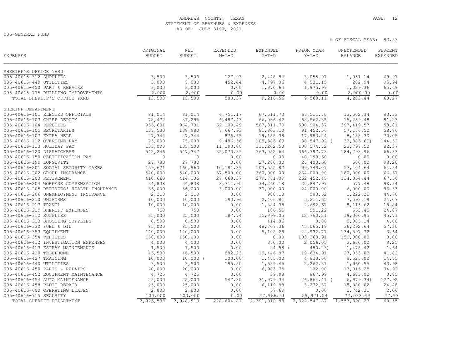# ANDREWS COUNTY, TEXAS **PAGE:** 12 STATEMENT OF REVENUES & EXPENSES AS OF: JULY 31ST, 2021

005-GENERAL FUND

| <b>EXPENSES</b>                          | ORIGINAL<br><b>BUDGET</b> | NET<br><b>BUDGET</b> | EXPENDED<br>$M-T-D$ | EXPENDED<br>$Y-T-D$ | PRIOR YEAR<br>$Y-T-D$ | UNEXPENDED<br><b>BALANCE</b> | PERCENT<br><b>EXPENDED</b> |
|------------------------------------------|---------------------------|----------------------|---------------------|---------------------|-----------------------|------------------------------|----------------------------|
| SHERIFF'S OFFICE YARD                    |                           |                      |                     |                     |                       |                              |                            |
| 005-40615-312 SUPPLIES                   | 3,500                     | 3,500                | 127.93              | 2,448.86            | 3,055.97              | 1,051.14                     | 69.97                      |
| 005-40615-440 UTILITIES                  | 5,000                     | 5,000                | 452.44              | 4,797.06            | 4,531.15              | 202.94                       | 95.94                      |
| 005-40615-450 PART & REPAIRS             | 3,000                     | 3,000                | 0.00                | 1,970.64            | 1,975.99              | 1,029.36                     | 65.69                      |
| 005-40615-775 BUILDING IMPROVEMENTS      | 2,000                     | 2,000                | 0.00                | 0.00                | 0.00                  | 2,000.00                     | 0.00                       |
| TOTAL SHERIFF'S OFFICE YARD              | 13,500                    | 13,500               | 580.37              | 9,216.56            | 9,563.11              | 4,283.44                     | 68.27                      |
| SHERIFF DEPARTMENT                       |                           |                      |                     |                     |                       |                              |                            |
| 005-40616-101 ELECTED OFFICIALS          | 81,014                    | 81,014               | 6,751.17            | 67,511.70           | 67,511.70             | 13,502.34                    | 83.33                      |
| 005-40616-103 CHIEF DEPUTY               | 78,472                    | 81,296               | 6,487.43            | 66,036.42           | 58,562.35             | 15,259.48                    | 81.23                      |
| 005-40616-104 DEPUTIES                   | 956,601                   | 964,731              | 62,109.49           | 567, 311.79         | 500,904.37            | 397, 419.57                  | 58.81                      |
| 005-40616-105 SECRETARIES                | 137,530                   | 138,980              | 7,667.93            | 81,803.10           | 91, 452.56            | 57,176.50                    | 58.86                      |
| 005-40616-107 EXTRA HELP                 | 27,344                    | 27,344               | 876.65              | 19,155.38           | 17,983.24             | 8,188.30                     | 70.05                      |
| 005-40616-112 OVERTIME PAY               | 75,000                    | 75,000               | 9,486.56            | 108,386.69          | 88,547.92 (           | 33,386.69)                   | 144.52                     |
| 005-40616-113 HOLIDAY PAY                | 135,000                   | 135,000              | 11,193.80           | 111,202.50          | 100,574.72            | 23,797.50                    | 82.37                      |
| 005-40616-120 DISPATCHERS                | 542,246                   | 547,347              | 35,070.39           | 363,052.64          | 366,797.73            | 184,293.96                   | 66.33                      |
| 005-40616-150 CERTIFICATION PAY          | $\circ$                   | $\circ$              | 0.00                | 0.00                | 40,199.60             | 0.00                         | 0.00                       |
| 005-40616-199 LONGEVITY                  | 27,780                    | 27,780               | 0.00                | 27,280.00           | 26,403.60             | 500.00                       | 98.20                      |
| 005-40616-201 SOCIAL SECURITY TAXES      | 159,621                   | 160,960              | 10,181.89           | 103,555.82          | 99,749.07             | 57,404.64                    | 64.34                      |
| 005-40616-202 GROUP INSURANCE            | 540,000                   | 540,000              | 37,500.00           | 360,000.00          | 264,000.00            | 180,000.00                   | 66.67                      |
| 005-40616-203 RETIREMENT                 | 410,668                   | 414,136              | 27,663.37           | 279,771.09          | 262, 452.45           | 134,364.44                   | 67.56                      |
| 005-40616-204 WORKERS COMPENSATION       | 34,838                    | 34,838               | 8,711.90            | 34,260.18           | 30,847.97             | 577.48                       | 98.34                      |
| 005-40616-205 RETIREES' HEALTH INSURANCE | 36,000                    | 36,000               | 3,000.00            | 30,000.00           | 24,000.00             | 6,000.00                     | 83.33                      |
| 005-40616-206 UNEMPLOYMENT INSURANCE     | 2,210                     | 2,210                | 0.00                | 988.13              | 583.62                | 1,222.25                     | 44.70                      |
| 005-40616-210 UNIFORMS                   | 10,000                    | 10,000               | 190.96              | 2,406.81            | 5, 211.65             | 7,593.19                     | 24.07                      |
| 005-40616-217 TRAVEL                     | 10,000                    | 10,000               | 0.00                | 1,884.38            | 2,692.67              | 8,115.62                     | 18.84                      |
| 005-40616-219 SHERIFF EXPENSES           | 750                       | 750                  | 0.00                | 186.55              | 591.22                | 563.45                       | 24.87                      |
| 005-40616-312 SUPPLIES                   | 35,000                    | 35,000               | 187.74              | 15,999.05           | 12,760.21             | 19,000.95                    | 45.71                      |
| 005-40616-313 SHOOTING SUPPLIES          | 8,500                     | 8,500                | 0.00                | 414.86              | 0.00                  | 8,085.14                     | 4.88                       |
| 005-40616-330 FUEL & OIL                 | 85,000                    | 85,000               | 0.00                | 48,707.36           | 45,065.19             | 36,292.64                    | 57.30                      |
| 005-40616-353 EQUIPMENT                  | 140,000                   | 140,000              | 0.00                | 5,102.28            | 22,932.77             | 134,897.72                   | 3.64                       |
| 005-40616-354 VEHICLES                   | 150,000                   | 150,000              | 0.00                | 0.00                | 103,368.91            | 150,000.00                   | 0.00                       |
| 005-40616-412 INVESTIGATION EXPENSES     | 4,000                     | 4,000                | 0.00                | 370.00              | 2,056.05              | 3,630.00                     | 9.25                       |
| 005-40616-413 ESTRAY MAINTENANCE         | 1,500                     | 1,500                | 0.00                | $24.58$ (           | 480.23)               | 1,475.42                     | 1.64                       |
| 005-40616-420 TELEPHONE                  | 46,500                    | 46,500               | 882.23              | 19,446.97           | 19,634.91             | 27,053.03                    | 41.82                      |
| 005-40616-427 TRAINING                   | 10,000                    | $10,000$ (           | 100.00)             | 1,475.00            | 4,823.00              | 8,525.00                     | 14.75                      |
| 005-40616-440 UTILITIES                  | 3,500                     | 3,500                | 195.50              | 1,539.45            | 2,262.31              | 1,960.55                     | 43.98                      |
| 005-40616-450 PARTS & REPAIRS            | 20,000                    | 20,000               | 0.00                | 6,983.75            | 132.00                | 13,016.25                    | 34.92                      |
| 005-40616-452 EQUIPMENT MAINTENANCE      | 4,725                     | 4,725                | 0.00                | 39.98               | 867.99                | 4,685.02                     | 0.85                       |
| 005-40616-454 AUTO MAINTENANCE           | 25,000                    | 25,000               | 547.80              | 31,979.34           | $26,864.41$ (         | 6, 979.34)                   | 127.92                     |
| 005-40616-458 RADIO REPAIR               | 25,000                    | 25,000               | 0.00                | 6,119.98            | 3,272.37              | 18,880.02                    | 24.48                      |
| 005-40616-600 OPERATING LEASES           | 2,800                     | 2,800                | 0.00                | 57.69               | 0.00                  | 2,742.31                     | 2.06                       |
| 005-40616-715 SECURITY                   | 100,000                   | 100,000              | 0.00                | 27,966.51           | 29,921.54             | 72,033.49                    | 27.97                      |
| TOTAL SHERIFF DEPARTMENT                 | 3,926,598                 | 3,948,910            | 228,604.81          | 2,391,019.98        | 2,322,547.87          | 1,557,890.23                 | 60.55                      |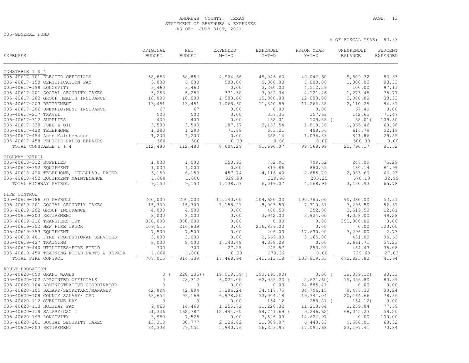# ANDREWS COUNTY, TEXAS **PAGE:** 13 STATEMENT OF REVENUES & EXPENSES AS OF: JULY 31ST, 2021

005-GENERAL FUND

| <b>EXPENSES</b>                                              | ORIGINAL<br><b>BUDGET</b> | NET<br><b>BUDGET</b> | <b>EXPENDED</b><br>$M-T-D$ | EXPENDED<br>$Y-T-D$ | PRIOR YEAR<br>$Y-T-D$ | UNEXPENDED<br><b>BALANCE</b> | PERCENT<br><b>EXPENDED</b> |
|--------------------------------------------------------------|---------------------------|----------------------|----------------------------|---------------------|-----------------------|------------------------------|----------------------------|
| CONSTABLE 1 & 4                                              |                           |                      |                            |                     |                       |                              |                            |
| 005-40617-101 ELECTED OFFICIALS                              | 58,856                    | 58,856               | 4,904.66                   | 49,046.60           | 49,046.60             | 9,809.32                     | 83.33                      |
| 005-40617-150 CERTIFICATION PAY                              | 6,000                     | 6,000                | 500.00                     | 5,000.00            | 5,000.00              | 1,000.00                     | 83.33                      |
| 005-40617-199 LONGEVITY                                      | 3,460                     | 3,460                | 0.00                       | 3,360.00            | 4,512.29              | 100.00                       | 97.11                      |
| 005-40617-201 SOCIAL SECURITY TAXES                          | 5,256                     | 5,256                | 371.58                     | 3,982.34            | 4,121.46              | 1,273.45                     | 75.77                      |
| 005-40617-202 GROUP HEALTH INSURANCE                         | 18,000                    | 18,000               | 1,500.00                   | 15,000.00           | 12,000.00             | 3,000.00                     | 83.33                      |
| 005-40617-203 RETIREMENT                                     | 13,451                    | 13,451               | 1,068.60                   | 11,340.88           | 11,266.88             | 2,110.25                     | 84.31                      |
| 005-40617-206 UNEMPLOYMENT INSURANCE                         | 67                        | 67                   | 0.00                       | 0.00                | 0.00                  | 67.40                        | 0.00                       |
| 005-40617-217 TRAVEL                                         | 500                       | 500                  | 0.00                       | 357.35              | 157.63                | 142.65                       | 71.47                      |
| 005-40617-312 SUPPLIES                                       | 400                       | 400                  | 0.00                       | 438.01              | $109.88$ (            | 38.01)                       | 109.50                     |
| 005-40617-330 FUEL & OIL                                     | 3,500                     | 3,500                | 187.57                     | 2,133.54            | 1,818.86              | 1,366.46                     | 60.96                      |
| 005-40617-420 TELEPHONE                                      | 1,290                     | 1,290                | 71.88                      | 673.21              | 498.56                | 616.79                       | 52.19                      |
| 005-40617-454 Auto Maintenance                               | 1,200                     | 1,200                | 0.00                       | 358.14              | 1,036.83              | 841.86                       | 29.85                      |
| 005-40617-458 VEHICLE RADIO REPAIRS                          | 500                       | 500                  | 0.00                       | 0.00                | 0.00                  | 500.00                       | 0.00                       |
| TOTAL CONSTABLE 1 & 4                                        | 112,480                   | 112,480              | 8,604.29                   | 91,690.07           | 89,568.99             | 20,790.17                    | 81.52                      |
| HIGHWAY PATROL                                               |                           |                      |                            |                     |                       |                              |                            |
| 005-40618-312 SUPPLIES                                       | 1,000                     | 1,000                | 350.93                     | 752.91              | 799.52                | 247.09                       | 75.29                      |
| 005-40618-352 EQUIPMENT                                      | 1,000                     | 1,000                | 0.00                       | 819.86              | 880.35                | 180.14                       | 81.99                      |
| 005-40618-420 TELEPHONE, CELLULAR, PAGER                     | 6,150                     | 6,150                | 457.74                     | 4,116.40            | 2,685.79              | 2,033.60                     | 66.93                      |
| 005-40618-452 EQUIPMENT MAINTENANCE                          | 1,000                     | 1,000                | 329.90                     | 329.90              | 203.25                | 670.10                       | 32.99                      |
| TOTAL HIGHWAY PATROL                                         | 9,150                     | 9,150                | 1,138.57                   | 6,019.07            | 4,568.91              | 3,130.93                     | 65.78                      |
| FIRE CONTROL                                                 |                           |                      |                            |                     |                       |                              |                            |
| 005-40619-186 FD PAYROLL                                     | 200,000                   | 200,000              | 15,140.00                  | 104,620.00          | 100,785.00            | 95,380.00                    | 52.31                      |
| 005-40619-201 SOCIAL SECURTIY TAXES                          | 15,300                    | 15,300               | 1,158.21                   | 8,003.50            | 7,710.31              | 7,296.50                     | 52.31                      |
| 005-40619-202 GROUP INSURANCE                                | 4,000                     | 4,000                | 0.00                       | 480.50              | 352.00                | 3,519.50                     | 12.01                      |
| 005-40619-203 RETIREMENT                                     | 8,000                     | 8,000                | 0.00                       | 3,942.00            | 3,924.00              | 4,058.00                     | 49.28                      |
| 005-40619-216 TRANSFERS OUT                                  | 350,000                   | 350,000              | 0.00                       | 0.00                | 0.00                  | 350,000.00                   | 0.00                       |
| 005-40619-352 NEW FIRE TRUCK                                 | 109,515                   | 216,839              | 0.00                       | 216,839.00          | 0.00                  | 0.00                         | 100.00                     |
| 005-40619-353 EQUIPMENT                                      | 7,500                     | 7,500                | 0.00                       | 205.00              | 17,630.00             | 7,295.00                     | 2.73                       |
| 005-40619-401 FIRE PROFESSIONAL SERVICES                     | 3,000                     | 3,000                | 0.00                       | 2,569.00            | 3,165.00              | 431.00                       | 85.63<br>54.23             |
| 005-40619-427 TRAINING<br>005-40619-440 UTILITIES-FIRE FIELD | 8,000<br>700              | 8,000<br>700         | 1,143.48<br>27.25          | 4,338.29<br>245.57  | 0.00<br>253.02        | 3,661.71<br>454.43           | 35.08                      |
| 005-40619-450 TRAINING FIELD PARTS & REPAIR                  | 1,000                     | 1,000                | 0.00                       | 270.32              | 0.00                  | 729.68                       | 27.03                      |
| TOTAL FIRE CONTROL                                           | 707,015                   | 814,339              | 17,468.94                  | 341, 513.18         | 133,819.33            | 472,825.82                   | 41.94                      |
| ADULT PROBATION                                              |                           |                      |                            |                     |                       |                              |                            |
| 005-40620-050 GRANT WAGES                                    | $\circ$                   | $228, 235$ ) (       | $19,019.59$ (              | 190, 195.90)        | $0.00$ (              | 38,039.10                    | 83.33                      |
| 005-40620-102 APPOINTED OFFICIALS                            | $\circ$                   | 78,312               | 6,024.00                   | $62, 955.20$ (      | 2,621.60              | 15,356.80                    | 80.39                      |
| 005-40620-104 ADMINISTRATIVE COORDINATOR                     | $\Omega$                  | $\Omega$             | 0.00                       | 0.00                | 24,885.41             | 0.00                         | 0.00                       |
| 005-40620-105 SALARY/SECRETARY/MANAGER                       | 42,894                    | 42,894               | 3,286.24                   | 34, 417.75          | 34,796.15             | 8,476.33                     | 80.24                      |
| 005-40620-108 COUNTY SALARY/ CSO                             | 63,654                    | 93,169               | 6,978.20                   | 73,004.18           | 19,741.04             | 20,164.66                    | 78.36                      |
| 005-40620-112 OVERTIME PAY                                   | $\circ$                   | $\Omega$             | 0.00                       | 154.12              | 288.81 (              | 154.12)                      | 0.00                       |
| 005-40620-113 HOLIDAY PAY                                    | 9,068                     | 14,460               | 1,255.72                   | 11,220.32           | 11,218.04             | 3,239.84                     | 77.59                      |
| 005-40620-119 SALARY/CSO I                                   | 51,346                    | 162,787              | 12,444.60                  | 94,741.69 (         | 9, 246.62)            | 68,045.23                    | 58.20                      |
| 005-40620-199 LONGEVITY                                      | 3,950                     | 7,525                | 0.00                       | 7,525.00            | 14,626.97             | 0.00                         | 100.00                     |
| 005-40620-201 SOCIAL SECURITY TAXES                          | 13,318                    | 30,777               | 2,226.82                   | 21,089.07           | 6,440.83              | 9,688.01                     | 68.52                      |
| 005-40620-203 RETIREMENT                                     | 34,338                    | 79,551               | 5,940.76                   | 56, 353.95          | 17,091.68             | 23, 197.41                   | 70.84                      |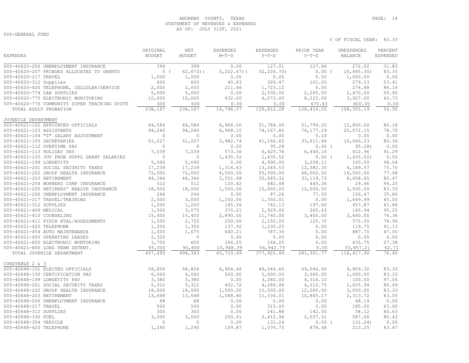# ANDREWS COUNTY, TEXAS **PAGE:** 14 STATEMENT OF REVENUES & EXPENSES AS OF: JULY 31ST, 2021

% OF FISCAL YEAR: 83.33

005-GENERAL FUND

|                                              | ORIGINAL      | <b>NET</b>    | EXPENDED       | EXPENDED    | PRIOR YEAR | UNEXPENDED     | PERCENT         |
|----------------------------------------------|---------------|---------------|----------------|-------------|------------|----------------|-----------------|
| <b>EXPENSES</b>                              | <b>BUDGET</b> | <b>BUDGET</b> | $M-T-D$        | $Y-T-D$     | $Y-T-D$    | <b>BALANCE</b> | <b>EXPENDED</b> |
| 005-40620-206 UNEMPLOYMENT INSURANCE         | 399           | 399           | 0.00           | 127.01      | 127.86     | 272.02         | 31.83           |
| 005-40620-207 FRINGES ALLOCATED TO GRANTS    | 0(            | $62, 672)$ (  | $5,222.67$ ) ( | 52, 226.70  | $0.00$ (   | 10, 445.30     | 83.33           |
| 005-40620-217 TRAVEL                         | 1,000         | 1,000         | 0.00           | 0.00        | 0.00       | 1,000.00       | 0.00            |
| 005-40620-312 Supplies                       | 600           | 600           | 40.83          | 320.47      | 101.25     | 279.53         | 53.41           |
| 005-40620-420 TELEPHONE, CELLULAR/SERVICE    | 2,000         | 2,000         | 211.66         | 1,723.12    | 0.00       | 276.88         | 86.16           |
| 005-40620-774 LAB SUPPLIES                   | 5,000         | 5,000         | 0.00           | 2,530.00    | 2,265.00   | 2,470.00       | 50.60           |
| 005-40620-775 ELECTRONIC MONITORING          | 10,000        | 10,000        | 632.00         | 6,073.00    | 8,225.00   | 3,927.00       | 60.73           |
| 005-40620-776 COMMUNITY SUPER TRACKING SYSTE | 600           | 600           | 0.00           | 0.00        | 470.43     | 600.00         | 0.00            |
| TOTAL ADULT PROBATION                        | 238,167       | 238,167       | 14,798.57      | 129,812.28  | 128,410.25 | 108,355.19     | 54.50           |
| JUVENILE DEPARTMENT                          |               |               |                |             |            |                |                 |
| 005-40621-102 APPOINTED OFFICIALS            | 64,584        | 64,584        | 4,968.00       | 51,784.00   | 51,799.20  | 12,800.00      | 80.18           |
| 005-40621-103 ASSISTANTS                     | 94,240        | 94,240        | 6,968.10       | 74,167.85   | 76, 177.29 | 20,072.15      | 78.70           |
| 005-40621-104 "Z" SALARY ADJUSTMENT          | $\Omega$      | $\Omega$      | 0.00           | 0.00        | 0.10       | 0.00           | 0.00            |
| 005-40621-105 SECRETARIES                    | 51,227        | 51,227        | 3,982.74       | 41,166.65   | 33,611.86  | 10,060.23      | 80.36           |
| 005-40621-112 OVERTIME PAY                   | $\circ$       | $\circ$       | 0.00           | 95.28       | $0.00$ (   | 95.28          | 0.00            |
| 005-40621-113 HOLIDAY PAY                    | 7,039         | 7,039         | 573.36         | 6,425.76    | 6,446.16   | 612.96         | 91.29           |
| 005-40621-125 JUV PROB SUPPL GRANT SALARIES  | $\circ$       | $\circ$       | 1,435.52       | 1,435.52    | $0.00$ (   | 1,435.52)      | 0.00            |
| 005-40621-199 LONGEVITY                      | 5,090         | 5,090         | 0.00           | 4,990.00    | 3,258.11   | 100.00         | 98.04           |
| 005-40621-201 SOCIAL SECURITY TAXES          | 17,239        | 17,239        | 1,314.63       | 13,049.53   | 12,382.30  | 4,189.57       | 75.70           |
| 005-40621-202 GROUP HEALTH INSURANCE         | 72,000        | 72,000        | 4,500.00       | 55,500.00   | 48,000.00  | 16,500.00      | 77.08           |
| 005-40621-203 RETIREMENT                     | 44,344        | 44,344        | 3,551.48       | 35,685.32   | 33, 119.73 | 8,658.65       | 80.47           |
| 005-40621-204 WORKERS COMP INSURANCE         | 512           | 512           | 120.62         | 482.48      | 445.36     | 29.46          | 94.25           |
| 005-40621-205 RETIREES' HEALTH INSURANCE     | 18,000        | 18,000        | 1,500.00       | 15,000.00   | 12,000.00  | 3,000.00       | 83.33           |
| 005-40621-206 UNEMPLOYMENT INSURANCE         | 244           | 244           | 0.00           | 87.26       | 77.93      | 156.47         | 35.80           |
| 005-40621-217 TRAVEL/TRAINING                | 2,000         | 3,000         | 1,250.00       | 1,350.01    | 0.00       | 1,649.99       | 45.00           |
| 005-40621-312 SUPPLIES                       | 1,200         | 1,200         | 145.26         | 742.13      | 197.60     | 457.87         | 61.84           |
| 005-40621-409 MEDICAL                        | 1,500         | 3,075         | 370.21         | 2,929.06    | 265.43     | 145.94         | 95.25           |
| 005-40621-410 COUNSELING                     | 15,400        | 15,400        | 2,890.00       | 11,760.00   | 3,400.00   | 3,640.00       | 76.36           |
| 005-40621-411 PYSCH EVAL/ASSESSMENTS         | 1,500         | 2,725         | 250.00         | 2,150.00    | 120.70     | 575.00         | 78.90           |
| 005-40621-420 TELEPHONE                      | 1,350         | 1,350         | 137.92         | 1,230.25    | 0.00       | 119.75         | 91.13           |
| 005-40621-454 AUTO MAINTENANCE               | 1,000         | 1,675         | 640.21         | 787.30      | 0.00       | 887.70         | 47.00           |
| 005-40621-600 OPERATING LEASES               | 2,325         | $\circ$       | 0.00           | 0.00        | 0.00       | 0.00           | 0.00            |
| 005-40621-805 ELECTRONIC MONTORING           | 1,700         | 600           | 164.25         | 164.25      | 0.00       | 435.75         | 27.38           |
| 005-40621-806 LONG TERM DETENT.              | 55,000        | 90,800        | 10,948.39      | 56,942.79   | 0.00       | 33,857.21      | 62.71           |
| TOTAL JUVENILE DEPARTMENT                    | 457,493       | 494,343       | 45,710.69      | 377, 925.44 | 281,301.77 | 116, 417.90    | 76.45           |
|                                              |               |               |                |             |            |                |                 |
| CONSTABLE 2 & 3                              |               |               |                |             |            |                |                 |
| 005-40648-101 ELECTED OFFICIALS              | 58,856        | 58,856        | 4,904.66       | 49,046.60   | 49,046.60  | 9,809.32       | 83.33           |
| 005-40648-150 CERTIFICATION PAY              | 6,000         | 6,000         | 500.00         | 5,000.00    | 3,000.00   | 1,000.00       | 83.33           |
| 005-40648-199 LONGEVITY PAY                  | 3,380         | 3,380         | 0.00           | 3,280.00    | 4,316.10   | 100.00         | 97.04           |
| 005-40648-201 SOCIAL SECURITY TAXES          | 5,312         | 5,312         | 402.72         | 4,286.46    | 4,212.75   | 1,025.94       | 80.69           |
| 005-40648-202 GROUP HEALTH INSURANCE         | 18,000        | 18,000        | 1,500.00       | 15,000.00   | 12,000.00  | 3,000.00       | 83.33           |
| 005-40648-203 RETIREMENT                     | 13,648        | 13,648        | 1,068.60       | 11,334.01   | 10,865.17  | 2,313.72       | 83.05           |
| 005-40648-206 UNEMPLOYMENT INSURANCE         | 68            | 68            | 0.00           | 0.00        | 0.00       | 68.14          | 0.00            |
| 005-40648-217 TRAVEL                         | 500           | 500           | 0.00           | 315.00      | 0.00       | 185.00         | 63.00           |
| 005-40648-312 SUPPLIES                       | 300           | 300           | 0.00           | 241.88      | 142.00     | 58.12          | 80.63           |
| 005-40648-330 FUEL                           | 3,000         | 3,000         | 250.51         | 2,412.94    | 2,037.51   | 587.06         | 80.43           |
| 005-40648-354 VEHICLE                        | $\Omega$      | $\Omega$      | 0.00           | 131.24      | $0.00$ (   | 131.24)        | 0.00            |
| 005-40648-420 TELEPHONE                      | 1,290         | 1,290         | 109.87         | 1,076.75    | 878.48     | 213.25         | 83.47           |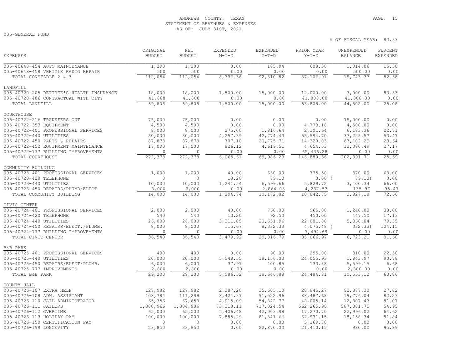# ANDREWS COUNTY, TEXAS **PAGE:** 15 STATEMENT OF REVENUES & EXPENSES AS OF: JULY 31ST, 2021

005-GENERAL FUND

| <b>EXPENSES</b>                                              | ORIGINAL<br><b>BUDGET</b> | <b>NET</b><br><b>BUDGET</b> | <b>EXPENDED</b><br>$M-T-D$ | <b>EXPENDED</b><br>$Y-T-D$ | PRIOR YEAR<br>$Y-T-D$   | UNEXPENDED<br><b>BALANCE</b> | PERCENT<br><b>EXPENDED</b> |
|--------------------------------------------------------------|---------------------------|-----------------------------|----------------------------|----------------------------|-------------------------|------------------------------|----------------------------|
| 005-40648-454 AUTO MAINTENANCE                               | 1,200                     | 1,200                       | 0.00                       | 185.94                     | 608.30                  | 1,014.06                     | 15.50                      |
| 005-40648-458 VEHICLE RADIO REPAIR                           | 500                       | 500                         | 0.00                       | 0.00                       | 0.00                    | 500.00                       | 0.00                       |
| TOTAL CONSTABLE 2 & 3                                        | 112,054                   | 112,054                     | 8,736.36                   | 92,310.82                  | 87,106.91               | 19,743.37                    | 82.38                      |
| LANDFILL                                                     |                           |                             |                            |                            |                         |                              |                            |
| 005-40720-205 RETIREE'S HEALTH INSURANCE                     | 18,000                    | 18,000                      | 1,500.00                   | 15,000.00                  | 12,000.00               | 3,000.00                     | 83.33                      |
| 005-40720-486 CONTRACTUAL WITH CITY                          | 41,808                    | 41,808                      | 0.00                       | 0.00                       | 41,808.00               | 41,808.00                    | 0.00                       |
| TOTAL LANDFILL                                               | 59,808                    | 59,808                      | 1,500.00                   | 15,000.00                  | 53,808.00               | 44,808.00                    | 25.08                      |
| COURTHOUSE                                                   |                           |                             |                            |                            |                         |                              |                            |
| 005-40722-216 TRANSFERS OUT                                  | 75,000                    | 75,000                      | 0.00                       | 0.00                       | 0.00                    | 75,000.00                    | 0.00                       |
| 005-40722-353 EQUIPMENT                                      | 4,500                     | 4,500                       | 0.00                       | 0.00                       | 4,773.18                | 4,500.00                     | 0.00                       |
| 005-40722-401 PROFESSIONAL SERVICES                          | 8,000                     | 8,000                       | 275.00                     | 1,816.64                   | 2,101.64                | 6,183.36                     | 22.71                      |
| 005-40722-440 UTILITIES                                      | 80,000                    | 80,000                      | 4,257.39                   | 42,774.43                  | 55,594.70               | 37, 225.57                   | 53.47                      |
| 005-40722-450 PARTS & REPAIRS                                | 87,878                    | 87,878                      | 707.10                     | 20,775.71                  | 14,320.03               | 67,102.29                    | 23.64                      |
| 005-40722-452 EQUIPMENT MAINTENANCE                          | 17,000                    | 17,000                      | 826.12                     | 4,619.51                   | 4,654.53                | 12,380.49                    | 27.17                      |
| 005-40722-777 BUILDING IMPROVEMENTS                          | $\circ$                   | $\overline{0}$              | 0.00                       | 0.00                       | 65,436.28<br>146,880.36 | 0.00                         | 0.00                       |
| TOTAL COURTHOUSE                                             | 272,378                   | 272,378                     | 6,065.61                   | 69,986.29                  |                         | 202,391.71                   | 25.69                      |
| COMMUNITY BUILDING                                           |                           |                             |                            |                            |                         |                              |                            |
| 005-40723-401 PROFESSIONAL SERVICES                          | 1,000<br>$\Omega$         | 1,000<br>$\Omega$           | 40.00                      | 630.00                     | 775.50                  | 370.00                       | 63.00                      |
| 005-40723-420 TELEPHONE                                      |                           |                             | 13.20                      | 79.13                      | 0.00(                   | 79.13)                       | 0.00<br>66.00              |
| 005-40723-440 UTILITIES<br>005-40723-450 REPAIRS/PLUMB/ELECT | 10,000<br>3,000           | 10,000<br>3,000             | 1,241.54<br>0.00           | 6,599.66<br>2,864.03       | 5,829.72<br>4,237.53    | 3,400.34<br>135.97           | 95.47                      |
| TOTAL COMMUNITY BUILDING                                     | 14,000                    | 14,000                      | 1,294.74                   | 10,172.82                  | 10,842.75               | 3,827.18                     | 72.66                      |
|                                                              |                           |                             |                            |                            |                         |                              |                            |
| CIVIC CENTER<br>005-40724-401 PROFESSIONAL SERVICES          | 2,000                     | 2,000                       | 40.00                      | 760.00                     | 965.00                  | 1,240.00                     | 38.00                      |
| 005-40724-420 TELEPHONE                                      | 540                       | 540                         | 13.20                      | 92.50                      | 450.00                  | 447.50                       | 17.13                      |
| 005-40724-440 UTILITIES                                      | 26,000                    | 26,000                      | 3,311.05                   | 20,631.96                  | 22,081.80               | 5,368.04                     | 79.35                      |
| 005-40724-450 REPAIRS/ELECT./PLUMB.                          | 8,000                     | 8,000                       | 115.67                     | 8,332.33                   | $4,075.48$ (            | 332.33                       | 104.15                     |
| 005-40724-777 BUILDING IMPROVEMENTS                          | $\mathbf{0}$              | $\overline{0}$              | 0.00                       | 0.00                       | 7,494.69                | 0.00                         | 0.00                       |
| TOTAL CIVIC CENTER                                           | 36,540                    | 36,540                      | 3,479.92                   | 29,816.79                  | 35,066.97               | 6,723.21                     | 81.60                      |
| <b>B&amp;B PARK</b>                                          |                           |                             |                            |                            |                         |                              |                            |
| 005-40725-401 PROFESSIONAL SERVICES                          | 400                       | 400                         | 0.00                       | 90.00                      | 295.00                  | 310.00                       | 22.50                      |
| 005-40725-440 UTILITIES                                      | 20,000                    | 20,000                      | 5,548.55                   | 18,156.03                  | 24,055.93               | 1,843.97                     | 90.78                      |
| 005-40725-450 REPAIRS/ELECT/PLUMB.                           | 6,000                     | 6,000                       | 37.97                      | 400.85                     | 133.88                  | 5,599.15                     | 6.68                       |
| 005-40725-777 IMPROVEMENTS                                   | 2,800                     | 2,800                       | 0.00                       | 0.00                       | 0.00                    | 2,800.00                     | 0.00                       |
| TOTAL B&B PARK                                               | $\overline{29,200}$       | 29,200                      | 5,586.52                   | 18,646.88                  | 24,484.81               | 10,553.12                    | 63.86                      |
| COUNTY JAIL                                                  |                           |                             |                            |                            |                         |                              |                            |
| 005-40726-107 EXTRA HELP                                     | 127,982                   | 127,982                     | 2,387.20                   | 35,605.10                  | 28,845.27               | 92,377.30                    | 27.82                      |
| 005-40726-108 ADM. ASSISTANT                                 | 108,784                   | 111,299                     | 8,424.37                   | 91,522.96                  | 88,487.68               | 19,776.04                    | 82.23                      |
| 005-40726-110 JAIL ADMINISTRATOR                             | 65,356                    | 67,650                      | 4,915.09                   | 54,842.77                  | 48,005.14               | 12,807.43                    | 81.07                      |
| 005-40726-111 JAILERS                                        | 1,300,966                 | 1,304,906                   | 73, 318.11                 | 717,024.54                 | 562,265.98              | 587,881.75                   | 54.95                      |
| 005-40726-112 OVERTIME                                       | 65,000                    | 65,000                      | 5,406.48                   | 42,003.98                  | 17,270.70               | 22,996.02                    | 64.62                      |
| 005-40726-113 HOLIDAY PAY                                    | 100,000                   | 100,000                     | 7,885.29                   | 81,841.66                  | 62,931.15               | 18, 158. 34                  | 81.84                      |
| 005-40726-150 CERTIFICATION PAY                              | $\Omega$                  | $\Omega$                    | 0.00                       | 0.00                       | 5,169.70                | 0.00                         | 0.00                       |
| 005-40726-199 LONGEVITY                                      | 23,850                    | 23,850                      | 0.00                       | 22,870.00                  | 21,410.15               | 980.00                       | 95.89                      |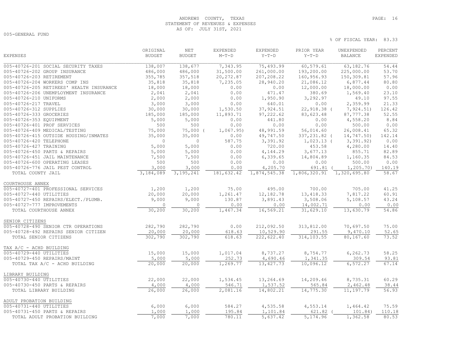# ANDREWS COUNTY, TEXAS **PAGE:** 16 STATEMENT OF REVENUES & EXPENSES AS OF: JULY 31ST, 2021

005-GENERAL FUND

|                                          | ORIGINAL      | NET           | <b>EXPENDED</b> | <b>EXPENDED</b> | PRIOR YEAR   | UNEXPENDED     | PERCENT         |
|------------------------------------------|---------------|---------------|-----------------|-----------------|--------------|----------------|-----------------|
| <b>EXPENSES</b>                          | <b>BUDGET</b> | <b>BUDGET</b> | $M-T-D$         | $Y-T-D$         | $Y-T-D$      | <b>BALANCE</b> | <b>EXPENDED</b> |
| 005-40726-201 SOCIAL SECURITY TAXES      | 138,007       | 138,677       | 7,343.95        | 75,493.99       | 60,579.61    | 63,182.76      | 54.44           |
| 005-40726-202 GROUP INSURANCE            | 486,000       | 486,000       | 31,500.00       | 261,000.00      | 193,200.00   | 225,000.00     | 53.70           |
| 005-40726-203 RETIREMENT                 | 355,785       | 357,518       | 20,272.87       | 207,208.22      | 160,956.93   | 150,309.81     | 57.96           |
| 005-40726-204 WORKERS COMP INS           | 35,818        | 35,818        | 7,235.05        | 28,940.20       | 21,086.12    | 6,877.44       | 80.80           |
| 005-40726-205 RETIREES' HEALTH INSURANCE | 18,000        | 18,000        | 0.00            | 0.00            | 12,000.00    | 18,000.00      | 0.00            |
| 005-40726-206 UNEMPLOYMENT INSURANCE     | 2,041         | 2,041         | 0.00            | 471.47          | 380.69       | 1,569.40       | 23.10           |
| 005-40726-210 UNIFORMS                   | 2,000         | 2,000         | 0.00            | 1,950.90        | 3,292.97     | 49.10          | 97.55           |
| 005-40726-217 TRAVEL                     | 3,000         | 3,000         | 0.00            | 640.01          | 0.00         | 2,359.99       | 21.33           |
| 005-40726-312 SUPPLIES                   | 30,000        | 30,000        | 1,530.50        | 37, 924.51      | 22,918.38 (  | 7, 924.51)     | 126.42          |
| 005-40726-333 GROCERIES                  | 185,000       | 185,000       | 11,893.71       | 97, 222.62      | 83,623.48    | 87,777.38      | 52.55           |
| 005-40726-353 EQUIPMENT                  | 5,000         | 5,000         | 0.00            | 441.80          | 0.00         | 4,558.20       | 8.84            |
| 005-40726-401 PROF SERVICES              | 500           | 500           | 0.00            | 0.00            | 0.00         | 500.00         | 0.00            |
| 005-40726-409 MEDICAL/TESTING            | 75,000        | 75,000 (      | 1,067.95)       | 48,991.59       | 56,014.60    | 26,008.41      | 65.32           |
| 005-40726-415 OUTSIDE HOUSING/INMATES    | 35,000        | 35,000        | 0.00            | 49,747.50       | 337,231.82 ( | 14,747.50)     | 142.14          |
| 005-40726-420 TELEPHONE                  | $\Omega$      | $\mathbf{0}$  | 587.75          | 3,391.92        | $1,023.13$ ( | 3,391.92)      | 0.00            |
| 005-40726-427 TRAINING                   | 5,000         | 5,000         | 0.00            | 720.00          | 453.58       | 4,280.00       | 14.40           |
| 005-40726-450 PARTS & REPAIRS            | 5,000         | 5,000         | 0.00            | 4,144.29        | 3,677.13     | 855.71         | 82.89           |
| 005-40726-451 JAIL MAINTENANCE           | 7,500         | 7,500         | 0.00            | 6,339.65        | 14,804.89    | 1,160.35       | 84.53           |
| 005-40726-600 OPERATING LEASES           | 500           | 500           | 0.00            | 0.00            | 0.00         | 500.00         | 0.00            |
| 005-40726-776 JAIL PEST CONTROL          | 3,000         | 3,000         | 0.00            | 4,205.70        | 691.81       | 1, 205.70      | 140.19          |
| TOTAL COUNTY JAIL                        | 3,184,089     | 3, 195, 241   | 181,632.42      | 1,874,545.38    | 1,806,320.91 | 1,320,695.80   | 58.67           |
| COURTHOUSE ANNEX                         |               |               |                 |                 |              |                |                 |
| 005-40727-401 PROFESSIONAL SERVICES      | 1,200         | 1,200         | 75.00           | 495.00          | 700.00       | 705.00         | 41.25           |
| 005-40727-440 UTILITIES                  | 20,000        | 20,000        | 1,261.47        | 12, 182.78      | 13, 418.33   | 7,817.22       | 60.91           |
| 005-40727-450 REPAIRS/ELECT./PLUMB.      | 9,000         | 9,000         | 130.87          | 3,891.43        | 3,508.06     | 5,108.57       | 43.24           |
| 005-40727-777 IMPROVEMENTS               | $\circ$       | $\circ$       | 0.00            | 0.00            | 14,002.71    | 0.00           | 0.00            |
| TOTAL COURTHOUSE ANNEX                   | 30,200        | 30, 200       | 1,467.34        | 16,569.21       | 31,629.10    | 13,630.79      | 54.86           |
| SENIOR CITIZENS                          |               |               |                 |                 |              |                |                 |
| 005-40728-490 SENIOR CTR OPERATIONS      | 282,790       | 282,790       | 0.00            | 212,092.50      | 313,812.00   | 70,697.50      | 75.00           |
| 005-40728-492 REPAIRS SENIOR CITIZEN     | 20,000        | 20,000        | 618.63          | 10,529.90       | 291.55       | 9,470.10       | 52.65           |
| TOTAL SENIOR CITIZENS                    | 302,790       | 302,790       | 618.63          | 222,622.40      | 314,103.55   | 80,167.60      | 73.52           |
| TAX A/C - ACHD BUILDING                  |               |               |                 |                 |              |                |                 |
| 005-40729-440 UTILITIES                  | 15,000        | 15,000        | 1,017.04        | 8,737.27        | 8,754.77     | 6,262.73       | 58.25           |
| 005-40729-450 REPAIRS/MAINT              | 5,000         | 5,000         | 252.73          | 4,690.46        | 1,341.35     | 309.54         | 93.81           |
| TOTAL TAX A/C - ACHD BUILDING            | 20,000        | 20,000        | 1,269.77        | 13, 427.73      | 10,096.12    | 6,572.27       | 67.14           |
| LIBRARY BUILDING                         |               |               |                 |                 |              |                |                 |
| 005-40730-440 UTILITIES                  | 22,000        | 22,000        | 1,534.45        | 13,264.69       | 14,209.46    | 8,735.31       | 60.29           |
| 005-40730-450 PARTS & REPAIRS            | 4,000         | 4,000         | 546.71          | 1,537.52        | 565.84       | 2,462.48       | 38.44           |
| TOTAL LIBRARY BUILDING                   | 26,000        | 26,000        | 2,081.16        | 14,802.21       | 14,775.30    | 11,197.79      | 56.93           |
| ADULT PROBATION BUILDING                 |               |               |                 |                 |              |                |                 |
| 005-40731-440 UTILITIES                  | 6,000         | 6,000         | 584.27          | 4,535.58        | 4,553.14     | 1,464.42       | 75.59           |
| 005-40731-450 PARTS & REPAIRS            | 1,000         | 1,000         | 195.84          | 1,101.84        | 621.82       | 101.84)        | 110.18          |
| TOTAL ADULT PROBATION BUILDING           | 7,000         | 7,000         | 780.11          | 5,637.42        | 5,174.96     | 1,362.58       | 80.53           |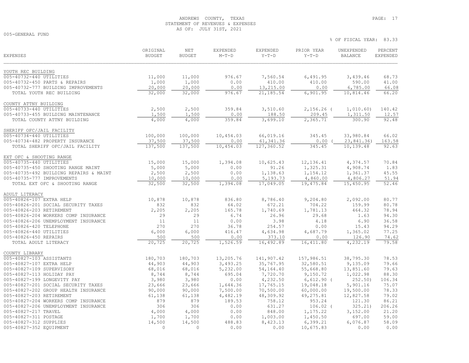# ANDREWS COUNTY, TEXAS **PAGE:** 17 STATEMENT OF REVENUES & EXPENSES AS OF: JULY 31ST, 2021

005-GENERAL FUND

| YOUTH REC BUILDING<br>005-40732-440 UTILITIES<br>11,000<br>11,000<br>976.67<br>7,560.54<br>6,491.95<br>3,439.46<br>68.73<br>1,000<br>1,000<br>0.00<br>410.00<br>410.00<br>590.00<br>41.00<br>005-40732-450 PARTS & REPAIRS<br>20,000<br>13,215.00<br>6,785.00<br>66.08<br>005-40732-777 BUILDING IMPROVEMENTS<br>20,000<br>0.00<br>0.00<br>976.67<br>21,185.54<br>6,901.95<br>10,814.46<br>66.20<br>TOTAL YOUTH REC BUILDING<br>32,000<br>32,000<br>COUNTY ATTNY BUILDING<br>005-40733-440 UTILITIES<br>2,500<br>2,500<br>359.84<br>3,510.60<br>$2,156.26$ (<br>1,010.60)<br>140.42<br>005-40733-455 BUILDING MAINTENANCE<br>1,500<br>1,500<br>0.00<br>1,311.50<br>188.50<br>209.45<br>12.57<br>3,699.10<br>2,365.71<br>4,000<br>4,000<br>359.84<br>300.90<br>92.48<br>TOTAL COUNTY ATTNY BUILDING<br>SHERIFF OFC/JAIL FACILITY<br>005-40734-440 UTILITIES<br>10,454.03<br>66,019.16<br>33,980.84<br>66.02<br>100,000<br>100,000<br>345.45<br>005-40734-482 PROPERTY INSURANCE<br>37,500<br>37,500<br>0.00<br>61, 341.36<br>0.00<br>23,841.36)<br>163.58<br>10,454.03<br>127,360.52<br>345.45<br>10,139.48<br>137,500<br>137,500<br>92.63<br>TOTAL SHERIFF OFC/JAIL FACILITY<br>EXT OFC & SHOOTING RANGE<br>005-40735-440 UTILITIES<br>15,000<br>15,000<br>1,394.08<br>10,625.43<br>12, 136.41<br>4,374.57<br>70.84<br>5,000<br>5,000<br>91.26<br>1,325.31<br>4,908.74<br>1.83<br>005-40735-450 SHOOTING RANGE MAINT<br>0.00<br>2,500<br>0.00<br>1,154.12<br>45.55<br>005-40735-492 BUILDING REPAIRS & MAINT<br>2,500<br>1,138.63<br>1,361.37<br>005-40735-777 IMPROVEMENTS<br>0.00<br>5,193.73<br>4,860.00<br>51.94<br>10,000<br>10,000<br>4,806.27<br>32,500<br>32,500<br>1,394.08<br>17,049.05<br>19,475.84<br>15,450.95<br>52.46<br>TOTAL EXT OFC & SHOOTING RANGE<br>ADULT LITERACY<br>005-40826-107 EXTRA HELP<br>10,878<br>80.77<br>10,878<br>836.80<br>8,786.40<br>9,204.80<br>2,092.00<br>832<br>80.78<br>005-40826-201 SOCIAL SECURITY TAXES<br>832<br>64.02<br>672.21<br>704.22<br>159.99<br>2,205<br>005-40826-203 RETIREMENT<br>2,205<br>165.78<br>1,740.69<br>1,781.13<br>464.32<br>78.94<br>005-40826-204 WORKERS COMP INSURANCE<br>29<br>29<br>6.74<br>94.30<br>26.96<br>29.68<br>1.63<br>005-40826-206 UNEMPLOYMENT INSURANCE<br>0.00<br>3.98<br>4.18<br>6.90<br>36.58<br>11<br>11<br>270<br>270<br>94.29<br>005-40826-420 TELEPHONE<br>36.78<br>254.57<br>0.00<br>15.43<br>005-40826-440 UTILITIES<br>6,000<br>6,000<br>416.47<br>4,634.98<br>1,365.02<br>77.25<br>4,687.79<br>74.62<br>005-40826-450 REPAIRS<br>500<br>500<br>0.00<br>373.10<br>0.00<br>126.90<br>20,725<br>16,492.89<br>TOTAL ADULT LITERACY<br>20,725<br>1,526.59<br>16, 411.80<br>4,232.19<br>79.58<br>COUNTY LIBRARY<br>005-40827-103 ASSISTANTS<br>180,703<br>180,703<br>13,205.76<br>141,907.42<br>157,986.51<br>38,795.30<br>78.53<br>005-40827-107 EXTRA HELP<br>44,903<br>44,903<br>35,767.95<br>32,580.51<br>9,135.09<br>79.66<br>3,493.25<br>005-40827-109 SUPERVISORY<br>68,016<br>54,164.40<br>79.63<br>68,016<br>5,232.00<br>55,668.80<br>13,851.60<br>005-40827-113 HOLIDAY PAY<br>8,744<br>8,744<br>695.04<br>7,720.70<br>9,150.72<br>1,022.98<br>88.30<br>005-40827-199 LONGEVITY PAY<br>3,980<br>3,980<br>0.00<br>4,232.50<br>$6,612.90$ (<br>252.50<br>106.34<br>005-40827-201 SOCIAL SECURITY TAXES<br>17,765.15<br>19,048.18<br>5,901.16<br>75.07<br>23,666<br>23,666<br>1,644.36<br>70,500.00<br>78.33<br>005-40827-202 GROUP HEALTH INSURANCE<br>90,000<br>90,000<br>7,500.00<br>60,000.00<br>19,500.00<br>005-40827-203 RETIREMENT<br>61,138<br>48,309.92<br>49,275.81<br>12,827.58<br>79.02<br>61,138<br>4,482.19<br>005-40827-204 WORKERS COMP INSURANCE<br>879<br>86.21<br>879<br>189.53<br>758.12<br>953.24<br>121.30<br>306<br>306<br>206.26<br>005-40827-206 UNEMPLOYMENT INSURANCE<br>0.00<br>631.27<br>$106.02$ (<br>325.21)<br>005-40827-217 TRAVEL<br>21.20<br>4,000<br>0.00<br>3,152.00<br>4,000<br>848.00<br>1,175.22<br>005-40827-311 POSTAGE<br>0.00<br>1,450.50<br>59.00<br>1,700<br>1,700<br>1,003.00<br>697.00<br>58.09<br>005-40827-312 SUPPLIES<br>14,500<br>14,500<br>488.83<br>8,423.13<br>6,399.21<br>6,076.87<br>005-40827-352 EQUIPMENT<br>$\Omega$<br>$\Omega$<br>0.00<br>0.00<br>10,675.83<br>0.00<br>0.00 | <b>EXPENSES</b> | ORIGINAL<br><b>BUDGET</b> | NET<br><b>BUDGET</b> | EXPENDED<br>$M-T-D$ | EXPENDED<br>$Y-T-D$ | PRIOR YEAR<br>$Y-T-D$ | UNEXPENDED<br><b>BALANCE</b> | PERCENT<br><b>EXPENDED</b> |
|-------------------------------------------------------------------------------------------------------------------------------------------------------------------------------------------------------------------------------------------------------------------------------------------------------------------------------------------------------------------------------------------------------------------------------------------------------------------------------------------------------------------------------------------------------------------------------------------------------------------------------------------------------------------------------------------------------------------------------------------------------------------------------------------------------------------------------------------------------------------------------------------------------------------------------------------------------------------------------------------------------------------------------------------------------------------------------------------------------------------------------------------------------------------------------------------------------------------------------------------------------------------------------------------------------------------------------------------------------------------------------------------------------------------------------------------------------------------------------------------------------------------------------------------------------------------------------------------------------------------------------------------------------------------------------------------------------------------------------------------------------------------------------------------------------------------------------------------------------------------------------------------------------------------------------------------------------------------------------------------------------------------------------------------------------------------------------------------------------------------------------------------------------------------------------------------------------------------------------------------------------------------------------------------------------------------------------------------------------------------------------------------------------------------------------------------------------------------------------------------------------------------------------------------------------------------------------------------------------------------------------------------------------------------------------------------------------------------------------------------------------------------------------------------------------------------------------------------------------------------------------------------------------------------------------------------------------------------------------------------------------------------------------------------------------------------------------------------------------------------------------------------------------------------------------------------------------------------------------------------------------------------------------------------------------------------------------------------------------------------------------------------------------------------------------------------------------------------------------------------------------------------------------------------------------------------------------------------------------------------------------------------------------------------------------------------------------------------------------------------------------------------------------------------------------------------------------------------------------------------------------------------------------------------------------------------------------------------------------------------------------------------------------------------------------------------------------------------------------------------------------------------------------------------------------------------------------------------------------------------------|-----------------|---------------------------|----------------------|---------------------|---------------------|-----------------------|------------------------------|----------------------------|
|                                                                                                                                                                                                                                                                                                                                                                                                                                                                                                                                                                                                                                                                                                                                                                                                                                                                                                                                                                                                                                                                                                                                                                                                                                                                                                                                                                                                                                                                                                                                                                                                                                                                                                                                                                                                                                                                                                                                                                                                                                                                                                                                                                                                                                                                                                                                                                                                                                                                                                                                                                                                                                                                                                                                                                                                                                                                                                                                                                                                                                                                                                                                                                                                                                                                                                                                                                                                                                                                                                                                                                                                                                                                                                                                                                                                                                                                                                                                                                                                                                                                                                                                                                                                                                                 |                 |                           |                      |                     |                     |                       |                              |                            |
|                                                                                                                                                                                                                                                                                                                                                                                                                                                                                                                                                                                                                                                                                                                                                                                                                                                                                                                                                                                                                                                                                                                                                                                                                                                                                                                                                                                                                                                                                                                                                                                                                                                                                                                                                                                                                                                                                                                                                                                                                                                                                                                                                                                                                                                                                                                                                                                                                                                                                                                                                                                                                                                                                                                                                                                                                                                                                                                                                                                                                                                                                                                                                                                                                                                                                                                                                                                                                                                                                                                                                                                                                                                                                                                                                                                                                                                                                                                                                                                                                                                                                                                                                                                                                                                 |                 |                           |                      |                     |                     |                       |                              |                            |
|                                                                                                                                                                                                                                                                                                                                                                                                                                                                                                                                                                                                                                                                                                                                                                                                                                                                                                                                                                                                                                                                                                                                                                                                                                                                                                                                                                                                                                                                                                                                                                                                                                                                                                                                                                                                                                                                                                                                                                                                                                                                                                                                                                                                                                                                                                                                                                                                                                                                                                                                                                                                                                                                                                                                                                                                                                                                                                                                                                                                                                                                                                                                                                                                                                                                                                                                                                                                                                                                                                                                                                                                                                                                                                                                                                                                                                                                                                                                                                                                                                                                                                                                                                                                                                                 |                 |                           |                      |                     |                     |                       |                              |                            |
|                                                                                                                                                                                                                                                                                                                                                                                                                                                                                                                                                                                                                                                                                                                                                                                                                                                                                                                                                                                                                                                                                                                                                                                                                                                                                                                                                                                                                                                                                                                                                                                                                                                                                                                                                                                                                                                                                                                                                                                                                                                                                                                                                                                                                                                                                                                                                                                                                                                                                                                                                                                                                                                                                                                                                                                                                                                                                                                                                                                                                                                                                                                                                                                                                                                                                                                                                                                                                                                                                                                                                                                                                                                                                                                                                                                                                                                                                                                                                                                                                                                                                                                                                                                                                                                 |                 |                           |                      |                     |                     |                       |                              |                            |
|                                                                                                                                                                                                                                                                                                                                                                                                                                                                                                                                                                                                                                                                                                                                                                                                                                                                                                                                                                                                                                                                                                                                                                                                                                                                                                                                                                                                                                                                                                                                                                                                                                                                                                                                                                                                                                                                                                                                                                                                                                                                                                                                                                                                                                                                                                                                                                                                                                                                                                                                                                                                                                                                                                                                                                                                                                                                                                                                                                                                                                                                                                                                                                                                                                                                                                                                                                                                                                                                                                                                                                                                                                                                                                                                                                                                                                                                                                                                                                                                                                                                                                                                                                                                                                                 |                 |                           |                      |                     |                     |                       |                              |                            |
|                                                                                                                                                                                                                                                                                                                                                                                                                                                                                                                                                                                                                                                                                                                                                                                                                                                                                                                                                                                                                                                                                                                                                                                                                                                                                                                                                                                                                                                                                                                                                                                                                                                                                                                                                                                                                                                                                                                                                                                                                                                                                                                                                                                                                                                                                                                                                                                                                                                                                                                                                                                                                                                                                                                                                                                                                                                                                                                                                                                                                                                                                                                                                                                                                                                                                                                                                                                                                                                                                                                                                                                                                                                                                                                                                                                                                                                                                                                                                                                                                                                                                                                                                                                                                                                 |                 |                           |                      |                     |                     |                       |                              |                            |
|                                                                                                                                                                                                                                                                                                                                                                                                                                                                                                                                                                                                                                                                                                                                                                                                                                                                                                                                                                                                                                                                                                                                                                                                                                                                                                                                                                                                                                                                                                                                                                                                                                                                                                                                                                                                                                                                                                                                                                                                                                                                                                                                                                                                                                                                                                                                                                                                                                                                                                                                                                                                                                                                                                                                                                                                                                                                                                                                                                                                                                                                                                                                                                                                                                                                                                                                                                                                                                                                                                                                                                                                                                                                                                                                                                                                                                                                                                                                                                                                                                                                                                                                                                                                                                                 |                 |                           |                      |                     |                     |                       |                              |                            |
|                                                                                                                                                                                                                                                                                                                                                                                                                                                                                                                                                                                                                                                                                                                                                                                                                                                                                                                                                                                                                                                                                                                                                                                                                                                                                                                                                                                                                                                                                                                                                                                                                                                                                                                                                                                                                                                                                                                                                                                                                                                                                                                                                                                                                                                                                                                                                                                                                                                                                                                                                                                                                                                                                                                                                                                                                                                                                                                                                                                                                                                                                                                                                                                                                                                                                                                                                                                                                                                                                                                                                                                                                                                                                                                                                                                                                                                                                                                                                                                                                                                                                                                                                                                                                                                 |                 |                           |                      |                     |                     |                       |                              |                            |
|                                                                                                                                                                                                                                                                                                                                                                                                                                                                                                                                                                                                                                                                                                                                                                                                                                                                                                                                                                                                                                                                                                                                                                                                                                                                                                                                                                                                                                                                                                                                                                                                                                                                                                                                                                                                                                                                                                                                                                                                                                                                                                                                                                                                                                                                                                                                                                                                                                                                                                                                                                                                                                                                                                                                                                                                                                                                                                                                                                                                                                                                                                                                                                                                                                                                                                                                                                                                                                                                                                                                                                                                                                                                                                                                                                                                                                                                                                                                                                                                                                                                                                                                                                                                                                                 |                 |                           |                      |                     |                     |                       |                              |                            |
|                                                                                                                                                                                                                                                                                                                                                                                                                                                                                                                                                                                                                                                                                                                                                                                                                                                                                                                                                                                                                                                                                                                                                                                                                                                                                                                                                                                                                                                                                                                                                                                                                                                                                                                                                                                                                                                                                                                                                                                                                                                                                                                                                                                                                                                                                                                                                                                                                                                                                                                                                                                                                                                                                                                                                                                                                                                                                                                                                                                                                                                                                                                                                                                                                                                                                                                                                                                                                                                                                                                                                                                                                                                                                                                                                                                                                                                                                                                                                                                                                                                                                                                                                                                                                                                 |                 |                           |                      |                     |                     |                       |                              |                            |
|                                                                                                                                                                                                                                                                                                                                                                                                                                                                                                                                                                                                                                                                                                                                                                                                                                                                                                                                                                                                                                                                                                                                                                                                                                                                                                                                                                                                                                                                                                                                                                                                                                                                                                                                                                                                                                                                                                                                                                                                                                                                                                                                                                                                                                                                                                                                                                                                                                                                                                                                                                                                                                                                                                                                                                                                                                                                                                                                                                                                                                                                                                                                                                                                                                                                                                                                                                                                                                                                                                                                                                                                                                                                                                                                                                                                                                                                                                                                                                                                                                                                                                                                                                                                                                                 |                 |                           |                      |                     |                     |                       |                              |                            |
|                                                                                                                                                                                                                                                                                                                                                                                                                                                                                                                                                                                                                                                                                                                                                                                                                                                                                                                                                                                                                                                                                                                                                                                                                                                                                                                                                                                                                                                                                                                                                                                                                                                                                                                                                                                                                                                                                                                                                                                                                                                                                                                                                                                                                                                                                                                                                                                                                                                                                                                                                                                                                                                                                                                                                                                                                                                                                                                                                                                                                                                                                                                                                                                                                                                                                                                                                                                                                                                                                                                                                                                                                                                                                                                                                                                                                                                                                                                                                                                                                                                                                                                                                                                                                                                 |                 |                           |                      |                     |                     |                       |                              |                            |
|                                                                                                                                                                                                                                                                                                                                                                                                                                                                                                                                                                                                                                                                                                                                                                                                                                                                                                                                                                                                                                                                                                                                                                                                                                                                                                                                                                                                                                                                                                                                                                                                                                                                                                                                                                                                                                                                                                                                                                                                                                                                                                                                                                                                                                                                                                                                                                                                                                                                                                                                                                                                                                                                                                                                                                                                                                                                                                                                                                                                                                                                                                                                                                                                                                                                                                                                                                                                                                                                                                                                                                                                                                                                                                                                                                                                                                                                                                                                                                                                                                                                                                                                                                                                                                                 |                 |                           |                      |                     |                     |                       |                              |                            |
|                                                                                                                                                                                                                                                                                                                                                                                                                                                                                                                                                                                                                                                                                                                                                                                                                                                                                                                                                                                                                                                                                                                                                                                                                                                                                                                                                                                                                                                                                                                                                                                                                                                                                                                                                                                                                                                                                                                                                                                                                                                                                                                                                                                                                                                                                                                                                                                                                                                                                                                                                                                                                                                                                                                                                                                                                                                                                                                                                                                                                                                                                                                                                                                                                                                                                                                                                                                                                                                                                                                                                                                                                                                                                                                                                                                                                                                                                                                                                                                                                                                                                                                                                                                                                                                 |                 |                           |                      |                     |                     |                       |                              |                            |
|                                                                                                                                                                                                                                                                                                                                                                                                                                                                                                                                                                                                                                                                                                                                                                                                                                                                                                                                                                                                                                                                                                                                                                                                                                                                                                                                                                                                                                                                                                                                                                                                                                                                                                                                                                                                                                                                                                                                                                                                                                                                                                                                                                                                                                                                                                                                                                                                                                                                                                                                                                                                                                                                                                                                                                                                                                                                                                                                                                                                                                                                                                                                                                                                                                                                                                                                                                                                                                                                                                                                                                                                                                                                                                                                                                                                                                                                                                                                                                                                                                                                                                                                                                                                                                                 |                 |                           |                      |                     |                     |                       |                              |                            |
|                                                                                                                                                                                                                                                                                                                                                                                                                                                                                                                                                                                                                                                                                                                                                                                                                                                                                                                                                                                                                                                                                                                                                                                                                                                                                                                                                                                                                                                                                                                                                                                                                                                                                                                                                                                                                                                                                                                                                                                                                                                                                                                                                                                                                                                                                                                                                                                                                                                                                                                                                                                                                                                                                                                                                                                                                                                                                                                                                                                                                                                                                                                                                                                                                                                                                                                                                                                                                                                                                                                                                                                                                                                                                                                                                                                                                                                                                                                                                                                                                                                                                                                                                                                                                                                 |                 |                           |                      |                     |                     |                       |                              |                            |
|                                                                                                                                                                                                                                                                                                                                                                                                                                                                                                                                                                                                                                                                                                                                                                                                                                                                                                                                                                                                                                                                                                                                                                                                                                                                                                                                                                                                                                                                                                                                                                                                                                                                                                                                                                                                                                                                                                                                                                                                                                                                                                                                                                                                                                                                                                                                                                                                                                                                                                                                                                                                                                                                                                                                                                                                                                                                                                                                                                                                                                                                                                                                                                                                                                                                                                                                                                                                                                                                                                                                                                                                                                                                                                                                                                                                                                                                                                                                                                                                                                                                                                                                                                                                                                                 |                 |                           |                      |                     |                     |                       |                              |                            |
|                                                                                                                                                                                                                                                                                                                                                                                                                                                                                                                                                                                                                                                                                                                                                                                                                                                                                                                                                                                                                                                                                                                                                                                                                                                                                                                                                                                                                                                                                                                                                                                                                                                                                                                                                                                                                                                                                                                                                                                                                                                                                                                                                                                                                                                                                                                                                                                                                                                                                                                                                                                                                                                                                                                                                                                                                                                                                                                                                                                                                                                                                                                                                                                                                                                                                                                                                                                                                                                                                                                                                                                                                                                                                                                                                                                                                                                                                                                                                                                                                                                                                                                                                                                                                                                 |                 |                           |                      |                     |                     |                       |                              |                            |
|                                                                                                                                                                                                                                                                                                                                                                                                                                                                                                                                                                                                                                                                                                                                                                                                                                                                                                                                                                                                                                                                                                                                                                                                                                                                                                                                                                                                                                                                                                                                                                                                                                                                                                                                                                                                                                                                                                                                                                                                                                                                                                                                                                                                                                                                                                                                                                                                                                                                                                                                                                                                                                                                                                                                                                                                                                                                                                                                                                                                                                                                                                                                                                                                                                                                                                                                                                                                                                                                                                                                                                                                                                                                                                                                                                                                                                                                                                                                                                                                                                                                                                                                                                                                                                                 |                 |                           |                      |                     |                     |                       |                              |                            |
|                                                                                                                                                                                                                                                                                                                                                                                                                                                                                                                                                                                                                                                                                                                                                                                                                                                                                                                                                                                                                                                                                                                                                                                                                                                                                                                                                                                                                                                                                                                                                                                                                                                                                                                                                                                                                                                                                                                                                                                                                                                                                                                                                                                                                                                                                                                                                                                                                                                                                                                                                                                                                                                                                                                                                                                                                                                                                                                                                                                                                                                                                                                                                                                                                                                                                                                                                                                                                                                                                                                                                                                                                                                                                                                                                                                                                                                                                                                                                                                                                                                                                                                                                                                                                                                 |                 |                           |                      |                     |                     |                       |                              |                            |
|                                                                                                                                                                                                                                                                                                                                                                                                                                                                                                                                                                                                                                                                                                                                                                                                                                                                                                                                                                                                                                                                                                                                                                                                                                                                                                                                                                                                                                                                                                                                                                                                                                                                                                                                                                                                                                                                                                                                                                                                                                                                                                                                                                                                                                                                                                                                                                                                                                                                                                                                                                                                                                                                                                                                                                                                                                                                                                                                                                                                                                                                                                                                                                                                                                                                                                                                                                                                                                                                                                                                                                                                                                                                                                                                                                                                                                                                                                                                                                                                                                                                                                                                                                                                                                                 |                 |                           |                      |                     |                     |                       |                              |                            |
|                                                                                                                                                                                                                                                                                                                                                                                                                                                                                                                                                                                                                                                                                                                                                                                                                                                                                                                                                                                                                                                                                                                                                                                                                                                                                                                                                                                                                                                                                                                                                                                                                                                                                                                                                                                                                                                                                                                                                                                                                                                                                                                                                                                                                                                                                                                                                                                                                                                                                                                                                                                                                                                                                                                                                                                                                                                                                                                                                                                                                                                                                                                                                                                                                                                                                                                                                                                                                                                                                                                                                                                                                                                                                                                                                                                                                                                                                                                                                                                                                                                                                                                                                                                                                                                 |                 |                           |                      |                     |                     |                       |                              |                            |
|                                                                                                                                                                                                                                                                                                                                                                                                                                                                                                                                                                                                                                                                                                                                                                                                                                                                                                                                                                                                                                                                                                                                                                                                                                                                                                                                                                                                                                                                                                                                                                                                                                                                                                                                                                                                                                                                                                                                                                                                                                                                                                                                                                                                                                                                                                                                                                                                                                                                                                                                                                                                                                                                                                                                                                                                                                                                                                                                                                                                                                                                                                                                                                                                                                                                                                                                                                                                                                                                                                                                                                                                                                                                                                                                                                                                                                                                                                                                                                                                                                                                                                                                                                                                                                                 |                 |                           |                      |                     |                     |                       |                              |                            |
|                                                                                                                                                                                                                                                                                                                                                                                                                                                                                                                                                                                                                                                                                                                                                                                                                                                                                                                                                                                                                                                                                                                                                                                                                                                                                                                                                                                                                                                                                                                                                                                                                                                                                                                                                                                                                                                                                                                                                                                                                                                                                                                                                                                                                                                                                                                                                                                                                                                                                                                                                                                                                                                                                                                                                                                                                                                                                                                                                                                                                                                                                                                                                                                                                                                                                                                                                                                                                                                                                                                                                                                                                                                                                                                                                                                                                                                                                                                                                                                                                                                                                                                                                                                                                                                 |                 |                           |                      |                     |                     |                       |                              |                            |
|                                                                                                                                                                                                                                                                                                                                                                                                                                                                                                                                                                                                                                                                                                                                                                                                                                                                                                                                                                                                                                                                                                                                                                                                                                                                                                                                                                                                                                                                                                                                                                                                                                                                                                                                                                                                                                                                                                                                                                                                                                                                                                                                                                                                                                                                                                                                                                                                                                                                                                                                                                                                                                                                                                                                                                                                                                                                                                                                                                                                                                                                                                                                                                                                                                                                                                                                                                                                                                                                                                                                                                                                                                                                                                                                                                                                                                                                                                                                                                                                                                                                                                                                                                                                                                                 |                 |                           |                      |                     |                     |                       |                              |                            |
|                                                                                                                                                                                                                                                                                                                                                                                                                                                                                                                                                                                                                                                                                                                                                                                                                                                                                                                                                                                                                                                                                                                                                                                                                                                                                                                                                                                                                                                                                                                                                                                                                                                                                                                                                                                                                                                                                                                                                                                                                                                                                                                                                                                                                                                                                                                                                                                                                                                                                                                                                                                                                                                                                                                                                                                                                                                                                                                                                                                                                                                                                                                                                                                                                                                                                                                                                                                                                                                                                                                                                                                                                                                                                                                                                                                                                                                                                                                                                                                                                                                                                                                                                                                                                                                 |                 |                           |                      |                     |                     |                       |                              |                            |
|                                                                                                                                                                                                                                                                                                                                                                                                                                                                                                                                                                                                                                                                                                                                                                                                                                                                                                                                                                                                                                                                                                                                                                                                                                                                                                                                                                                                                                                                                                                                                                                                                                                                                                                                                                                                                                                                                                                                                                                                                                                                                                                                                                                                                                                                                                                                                                                                                                                                                                                                                                                                                                                                                                                                                                                                                                                                                                                                                                                                                                                                                                                                                                                                                                                                                                                                                                                                                                                                                                                                                                                                                                                                                                                                                                                                                                                                                                                                                                                                                                                                                                                                                                                                                                                 |                 |                           |                      |                     |                     |                       |                              |                            |
|                                                                                                                                                                                                                                                                                                                                                                                                                                                                                                                                                                                                                                                                                                                                                                                                                                                                                                                                                                                                                                                                                                                                                                                                                                                                                                                                                                                                                                                                                                                                                                                                                                                                                                                                                                                                                                                                                                                                                                                                                                                                                                                                                                                                                                                                                                                                                                                                                                                                                                                                                                                                                                                                                                                                                                                                                                                                                                                                                                                                                                                                                                                                                                                                                                                                                                                                                                                                                                                                                                                                                                                                                                                                                                                                                                                                                                                                                                                                                                                                                                                                                                                                                                                                                                                 |                 |                           |                      |                     |                     |                       |                              |                            |
|                                                                                                                                                                                                                                                                                                                                                                                                                                                                                                                                                                                                                                                                                                                                                                                                                                                                                                                                                                                                                                                                                                                                                                                                                                                                                                                                                                                                                                                                                                                                                                                                                                                                                                                                                                                                                                                                                                                                                                                                                                                                                                                                                                                                                                                                                                                                                                                                                                                                                                                                                                                                                                                                                                                                                                                                                                                                                                                                                                                                                                                                                                                                                                                                                                                                                                                                                                                                                                                                                                                                                                                                                                                                                                                                                                                                                                                                                                                                                                                                                                                                                                                                                                                                                                                 |                 |                           |                      |                     |                     |                       |                              |                            |
|                                                                                                                                                                                                                                                                                                                                                                                                                                                                                                                                                                                                                                                                                                                                                                                                                                                                                                                                                                                                                                                                                                                                                                                                                                                                                                                                                                                                                                                                                                                                                                                                                                                                                                                                                                                                                                                                                                                                                                                                                                                                                                                                                                                                                                                                                                                                                                                                                                                                                                                                                                                                                                                                                                                                                                                                                                                                                                                                                                                                                                                                                                                                                                                                                                                                                                                                                                                                                                                                                                                                                                                                                                                                                                                                                                                                                                                                                                                                                                                                                                                                                                                                                                                                                                                 |                 |                           |                      |                     |                     |                       |                              |                            |
|                                                                                                                                                                                                                                                                                                                                                                                                                                                                                                                                                                                                                                                                                                                                                                                                                                                                                                                                                                                                                                                                                                                                                                                                                                                                                                                                                                                                                                                                                                                                                                                                                                                                                                                                                                                                                                                                                                                                                                                                                                                                                                                                                                                                                                                                                                                                                                                                                                                                                                                                                                                                                                                                                                                                                                                                                                                                                                                                                                                                                                                                                                                                                                                                                                                                                                                                                                                                                                                                                                                                                                                                                                                                                                                                                                                                                                                                                                                                                                                                                                                                                                                                                                                                                                                 |                 |                           |                      |                     |                     |                       |                              |                            |
|                                                                                                                                                                                                                                                                                                                                                                                                                                                                                                                                                                                                                                                                                                                                                                                                                                                                                                                                                                                                                                                                                                                                                                                                                                                                                                                                                                                                                                                                                                                                                                                                                                                                                                                                                                                                                                                                                                                                                                                                                                                                                                                                                                                                                                                                                                                                                                                                                                                                                                                                                                                                                                                                                                                                                                                                                                                                                                                                                                                                                                                                                                                                                                                                                                                                                                                                                                                                                                                                                                                                                                                                                                                                                                                                                                                                                                                                                                                                                                                                                                                                                                                                                                                                                                                 |                 |                           |                      |                     |                     |                       |                              |                            |
|                                                                                                                                                                                                                                                                                                                                                                                                                                                                                                                                                                                                                                                                                                                                                                                                                                                                                                                                                                                                                                                                                                                                                                                                                                                                                                                                                                                                                                                                                                                                                                                                                                                                                                                                                                                                                                                                                                                                                                                                                                                                                                                                                                                                                                                                                                                                                                                                                                                                                                                                                                                                                                                                                                                                                                                                                                                                                                                                                                                                                                                                                                                                                                                                                                                                                                                                                                                                                                                                                                                                                                                                                                                                                                                                                                                                                                                                                                                                                                                                                                                                                                                                                                                                                                                 |                 |                           |                      |                     |                     |                       |                              |                            |
|                                                                                                                                                                                                                                                                                                                                                                                                                                                                                                                                                                                                                                                                                                                                                                                                                                                                                                                                                                                                                                                                                                                                                                                                                                                                                                                                                                                                                                                                                                                                                                                                                                                                                                                                                                                                                                                                                                                                                                                                                                                                                                                                                                                                                                                                                                                                                                                                                                                                                                                                                                                                                                                                                                                                                                                                                                                                                                                                                                                                                                                                                                                                                                                                                                                                                                                                                                                                                                                                                                                                                                                                                                                                                                                                                                                                                                                                                                                                                                                                                                                                                                                                                                                                                                                 |                 |                           |                      |                     |                     |                       |                              |                            |
|                                                                                                                                                                                                                                                                                                                                                                                                                                                                                                                                                                                                                                                                                                                                                                                                                                                                                                                                                                                                                                                                                                                                                                                                                                                                                                                                                                                                                                                                                                                                                                                                                                                                                                                                                                                                                                                                                                                                                                                                                                                                                                                                                                                                                                                                                                                                                                                                                                                                                                                                                                                                                                                                                                                                                                                                                                                                                                                                                                                                                                                                                                                                                                                                                                                                                                                                                                                                                                                                                                                                                                                                                                                                                                                                                                                                                                                                                                                                                                                                                                                                                                                                                                                                                                                 |                 |                           |                      |                     |                     |                       |                              |                            |
|                                                                                                                                                                                                                                                                                                                                                                                                                                                                                                                                                                                                                                                                                                                                                                                                                                                                                                                                                                                                                                                                                                                                                                                                                                                                                                                                                                                                                                                                                                                                                                                                                                                                                                                                                                                                                                                                                                                                                                                                                                                                                                                                                                                                                                                                                                                                                                                                                                                                                                                                                                                                                                                                                                                                                                                                                                                                                                                                                                                                                                                                                                                                                                                                                                                                                                                                                                                                                                                                                                                                                                                                                                                                                                                                                                                                                                                                                                                                                                                                                                                                                                                                                                                                                                                 |                 |                           |                      |                     |                     |                       |                              |                            |
|                                                                                                                                                                                                                                                                                                                                                                                                                                                                                                                                                                                                                                                                                                                                                                                                                                                                                                                                                                                                                                                                                                                                                                                                                                                                                                                                                                                                                                                                                                                                                                                                                                                                                                                                                                                                                                                                                                                                                                                                                                                                                                                                                                                                                                                                                                                                                                                                                                                                                                                                                                                                                                                                                                                                                                                                                                                                                                                                                                                                                                                                                                                                                                                                                                                                                                                                                                                                                                                                                                                                                                                                                                                                                                                                                                                                                                                                                                                                                                                                                                                                                                                                                                                                                                                 |                 |                           |                      |                     |                     |                       |                              |                            |
|                                                                                                                                                                                                                                                                                                                                                                                                                                                                                                                                                                                                                                                                                                                                                                                                                                                                                                                                                                                                                                                                                                                                                                                                                                                                                                                                                                                                                                                                                                                                                                                                                                                                                                                                                                                                                                                                                                                                                                                                                                                                                                                                                                                                                                                                                                                                                                                                                                                                                                                                                                                                                                                                                                                                                                                                                                                                                                                                                                                                                                                                                                                                                                                                                                                                                                                                                                                                                                                                                                                                                                                                                                                                                                                                                                                                                                                                                                                                                                                                                                                                                                                                                                                                                                                 |                 |                           |                      |                     |                     |                       |                              |                            |
|                                                                                                                                                                                                                                                                                                                                                                                                                                                                                                                                                                                                                                                                                                                                                                                                                                                                                                                                                                                                                                                                                                                                                                                                                                                                                                                                                                                                                                                                                                                                                                                                                                                                                                                                                                                                                                                                                                                                                                                                                                                                                                                                                                                                                                                                                                                                                                                                                                                                                                                                                                                                                                                                                                                                                                                                                                                                                                                                                                                                                                                                                                                                                                                                                                                                                                                                                                                                                                                                                                                                                                                                                                                                                                                                                                                                                                                                                                                                                                                                                                                                                                                                                                                                                                                 |                 |                           |                      |                     |                     |                       |                              |                            |
|                                                                                                                                                                                                                                                                                                                                                                                                                                                                                                                                                                                                                                                                                                                                                                                                                                                                                                                                                                                                                                                                                                                                                                                                                                                                                                                                                                                                                                                                                                                                                                                                                                                                                                                                                                                                                                                                                                                                                                                                                                                                                                                                                                                                                                                                                                                                                                                                                                                                                                                                                                                                                                                                                                                                                                                                                                                                                                                                                                                                                                                                                                                                                                                                                                                                                                                                                                                                                                                                                                                                                                                                                                                                                                                                                                                                                                                                                                                                                                                                                                                                                                                                                                                                                                                 |                 |                           |                      |                     |                     |                       |                              |                            |
|                                                                                                                                                                                                                                                                                                                                                                                                                                                                                                                                                                                                                                                                                                                                                                                                                                                                                                                                                                                                                                                                                                                                                                                                                                                                                                                                                                                                                                                                                                                                                                                                                                                                                                                                                                                                                                                                                                                                                                                                                                                                                                                                                                                                                                                                                                                                                                                                                                                                                                                                                                                                                                                                                                                                                                                                                                                                                                                                                                                                                                                                                                                                                                                                                                                                                                                                                                                                                                                                                                                                                                                                                                                                                                                                                                                                                                                                                                                                                                                                                                                                                                                                                                                                                                                 |                 |                           |                      |                     |                     |                       |                              |                            |
|                                                                                                                                                                                                                                                                                                                                                                                                                                                                                                                                                                                                                                                                                                                                                                                                                                                                                                                                                                                                                                                                                                                                                                                                                                                                                                                                                                                                                                                                                                                                                                                                                                                                                                                                                                                                                                                                                                                                                                                                                                                                                                                                                                                                                                                                                                                                                                                                                                                                                                                                                                                                                                                                                                                                                                                                                                                                                                                                                                                                                                                                                                                                                                                                                                                                                                                                                                                                                                                                                                                                                                                                                                                                                                                                                                                                                                                                                                                                                                                                                                                                                                                                                                                                                                                 |                 |                           |                      |                     |                     |                       |                              |                            |
|                                                                                                                                                                                                                                                                                                                                                                                                                                                                                                                                                                                                                                                                                                                                                                                                                                                                                                                                                                                                                                                                                                                                                                                                                                                                                                                                                                                                                                                                                                                                                                                                                                                                                                                                                                                                                                                                                                                                                                                                                                                                                                                                                                                                                                                                                                                                                                                                                                                                                                                                                                                                                                                                                                                                                                                                                                                                                                                                                                                                                                                                                                                                                                                                                                                                                                                                                                                                                                                                                                                                                                                                                                                                                                                                                                                                                                                                                                                                                                                                                                                                                                                                                                                                                                                 |                 |                           |                      |                     |                     |                       |                              |                            |
|                                                                                                                                                                                                                                                                                                                                                                                                                                                                                                                                                                                                                                                                                                                                                                                                                                                                                                                                                                                                                                                                                                                                                                                                                                                                                                                                                                                                                                                                                                                                                                                                                                                                                                                                                                                                                                                                                                                                                                                                                                                                                                                                                                                                                                                                                                                                                                                                                                                                                                                                                                                                                                                                                                                                                                                                                                                                                                                                                                                                                                                                                                                                                                                                                                                                                                                                                                                                                                                                                                                                                                                                                                                                                                                                                                                                                                                                                                                                                                                                                                                                                                                                                                                                                                                 |                 |                           |                      |                     |                     |                       |                              |                            |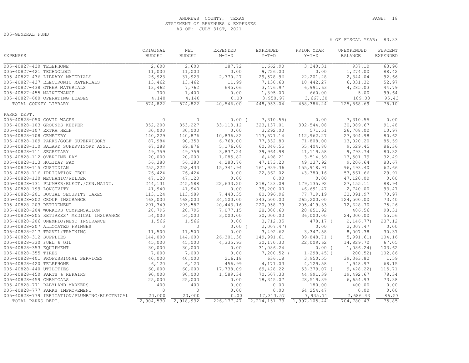# ANDREWS COUNTY, TEXAS **PAGE:** 18 STATEMENT OF REVENUES & EXPENSES AS OF: JULY 31ST, 2021

005-GENERAL FUND

|                                                    | ORIGINAL      | NET             | EXPENDED         | EXPENDED       | PRIOR YEAR    | UNEXPENDED  | PERCENT         |
|----------------------------------------------------|---------------|-----------------|------------------|----------------|---------------|-------------|-----------------|
| <b>EXPENSES</b>                                    | <b>BUDGET</b> | <b>BUDGET</b>   | $M-T-D$          | $Y-T-D$        | $Y-T-D$       | BALANCE     | <b>EXPENDED</b> |
| 005-40827-420 TELEPHONE                            |               |                 | 187.72           | 1,662.90       | 3,340.31      | 937.10      | 63.96           |
|                                                    | 2,600         | 2,600<br>11,000 | 0.00             | 9,726.00       | 0.00          |             | 88.42           |
| 005-40827-421 TECHNOLOGY                           | 11,000        |                 |                  |                |               | 1,274.00    | 92.66           |
| 005-40827-436 LIBRARY MATERIALS                    | 26,923        | 31,923          | 2,770.27         | 29,578.96      | 22, 201.28    | 2,344.04    |                 |
| 005-40827-437 ELECTRONIC MATERIALS                 | 13,462        | 13,462          | 11.99            | 7,130.68       | 10,442.27     | 6,331.32    | 52.97           |
| 005-40827-438 OTHER MATERIALS                      | 13,462        | 7,762           | 645.06           | 3,476.97       | 6,991.63      | 4,285.03    | 44.79           |
| 005-40827-455 MAINTENANCE                          | 700           | 1,400           | 0.00             | 1,395.00       | 660.00        | 5.00        | 99.64           |
| 005-40827-600 OPERATING LEASES                     | 4,140         | 4,140           | 0.00             | 3,950.97       | 3,667.30      | 189.03      | 95.43           |
| TOTAL COUNTY LIBRARY                               | 574,822       | 574,822         | 40,546.00        | 448,953.04     | 458,386.24    | 125,868.69  | 78.10           |
| PARKS DEPT.                                        |               |                 |                  |                |               |             |                 |
| 005-40828-050 COVID WAGES                          | $\circ$       | $\circ$         | $0.00$ (         | 7,310.55)      | 0.00          | 7,310.55    | 0.00            |
| 005-40828-103 GROUNDS KEEPER                       | 352,200       | 353,227         | 33, 113. 12      | 323, 137.01    | 302,544.08    | 30,089.67   | 91.48           |
| 005-40828-107 EXTRA HELP                           | 30,000        | 30,000          | 0.00             | 3,292.00       | 571.51        | 26,708.00   | 10.97           |
| 005-40828-108 CEMETERY                             | 140,229       | 140,876         | 10,836.82        | 113,571.14     | 112,962.27    | 27,304.98   | 80.62           |
| 005-40828-109 PARKS/GOLF SUPERVISORY               | 87,984        | 90, 353         | 6,768.00         | 77,332.80      | 71,808.00     | 13,020.20   | 85.59           |
| 005-40828-110 SALARY SUPERVISORY ASST.             | 67,288        | 69,876          | 5,176.00         | 60,346.55      | 55,404.80     | 9,529.45    | 86.36           |
| 005-40828-111 SECRETARY                            | 49,759        | 49,759          | 3,837.24         | 39,964.98      | 41, 119.58    | 9,793.74    | 80.32           |
| 005-40828-112 OVERTIME PAY                         | 20,000        | 20,000          | 1,085.82         | 6,498.21       | 3,514.59      | 13,501.79   | 32.49           |
| 005-40828-113 HOLIDAY PAY                          | 56,380        | 56,380          | 4,283.76         | 47, 173.20     | 49,137.92     | 9,206.64    | 83.67           |
| 005-40828-115 CUSTODIAN                            | 255,222       | 258,433         | 15,341.94        | 161,939.36     | 155, 918.91   | 96,493.40   | 62.66           |
| 005-40828-116 IRRIGATION TECH                      | 76,424        | 76,424          | 0.00             | 22,862.02      | 43,380.16     | 53,561.66   | 29.91           |
| 005-40828-130 MECHANIC/WELDER                      | 47,120        | 47,120          | 0.00             | 0.00           | 0.00          | 47,120.00   | 0.00            |
| 005-40828-131 PLUMBER/ELECT./GEN.MAINT.            | 244,131       | 245,588         | 22,633.20        | 218, 433.09    | 179, 135.92   | 27, 155. 11 | 88.94           |
| 005-40828-199 LONGEVITY                            | 41,940        | 41,940          | 0.00             | 39,200.00      | 46,691.47     | 2,740.00    | 93.47           |
| 005-40828-201 SOCIAL SECURITY TAXES                | 113,124       | 113,989         | 7,443.35         | 80,896.96      | 77,719.19     | 33,091.97   | 70.97           |
| 005-40828-202 GROUP INSURANCE                      | 468,000       | 468,000         | 34,500.00        | 343,500.00     | 265,200.00    | 124,500.00  | 73.40           |
| 005-40828-203 RETIREMENT                           | 291,349       | 293,587         | 20,443.16        | 220,958.79     | 205, 419.33   | 72,628.70   | 75.26           |
| 005-40828-204 WORKERS COMPENSATION                 | 28,795        | 28,795          | 7,077.15         | 28,308.60      | 28,851.92     | 486.56      | 98.31           |
| 005-40828-205 RETIREES' MEDICAL INSURANCE          | 54,000        | 54,000          | 3,000.00         | 30,000.00      | 36,000.00     | 24,000.00   | 55.56           |
| 005-40828-206 UNEMPLOYMENT INSURANCE               | 1,566         | 1,566           | 0.00             | 3,712.35       | 478.17 (      | 2,146.77)   | 237.12          |
| 005-40828-207 ALLOCATED FRINGES                    | $\circ$       | $\overline{0}$  | $0.00$ (         | 2,007.47       | 0.00          | 2,007.47    | 0.00            |
| 005-40828-217 TRAVEL/TRAINING                      | 11,500        | 11,500          | 0.00             | 3,492.62       | 3,347.58      | 8,007.38    | 30.37           |
| 005-40828-312 SUPPLIES                             | 144,000       | 144,000         | 26,301.38        | 149,991.61     | 89,848.71 (   | 5,991.61)   | 104.16          |
| 005-40828-330 FUEL & OIL                           | 45,000        | 45,000          | 4,335.93         | 30,170.30      | 22,009.62     | 14,829.70   | 67.05           |
| 005-40828-353 EQUIPMENT                            | 30,000        | 30,000          | 0.00             | 31,086.24      | 0.00(         | 1,086.24)   | 103.62          |
| 005-40828-355 TIRES                                | 7,000         | 7,000           | 0.00             | $7,200.52$ (   | $1, 298.45$ ( | 200.52      | 102.86          |
|                                                    | 40,000        | 40,000          |                  |                | 3,950.55      | 39, 363.82  | 1.59            |
| 005-40828-401 PROFESSIONAL SERVICES                | 6,120         |                 | 216.18<br>456.99 | 636.18         | 4,129.58      |             |                 |
| 005-40828-420 TELEPHONE<br>005-40828-440 UTILITIES | 60,000        | 6,120           | 17,738.09        | 4,171.03       | 53,379.07 (   | 1,948.97    | 68.15<br>115.71 |
|                                                    |               | 60,000          |                  | 69,428.22      |               | 9,428.22)   |                 |
| 005-40828-450 PARTS & REPAIRS                      | 90,000        | 90,000          | 1,589.34         | 70,507.33      | 44,991.39     | 19,492.67   | 78.34           |
| 005-40828-459 CHEMICALS                            | 25,000        | 25,000          | 0.00             | 18,345.07      | 28,519.39     | 6,654.93    | 73.38           |
| 005-40828-771 BABYLAND MARKERS                     | 400           | 400             | 0.00             | 0.00           | 180.00        | 400.00      | 0.00            |
| 005-40828-777 PARKS IMPROVEMENT                    | $\circ$       | $\mathbf{0}$    | 0.00             | 0.00           | 64, 254.47    | 0.00        | 0.00            |
| 005-40828-779 IRRIGATION/PLUMBING/ELECTRICAL       | 20,000        | 20,000          | 0.00             | 17,313.57      | 7,935.71      | 2,686.43    | 86.57           |
| TOTAL PARKS DEPT.                                  | 2,904,530     | 2,918,932       | 226, 177.47      | 2, 214, 151.73 | 1,997,105.44  | 704,780.43  | 75.85           |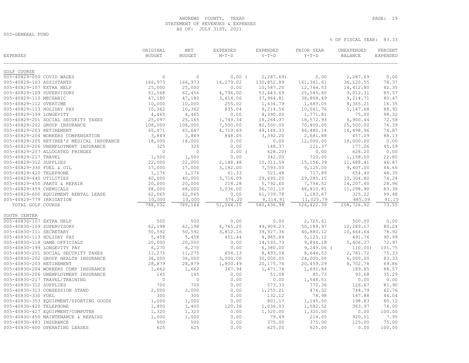# ANDREWS COUNTY, TEXAS **PAGE:** 19 STATEMENT OF REVENUES & EXPENSES AS OF: JULY 31ST, 2021

005-GENERAL FUND

| <b>EXPENSES</b>           |                                           | ORIGINAL<br><b>BUDGET</b> | NET<br><b>BUDGET</b> | EXPENDED<br>$M-T-D$ | EXPENDED<br>$Y-T-D$ | PRIOR YEAR<br>$Y-T-D$ | UNEXPENDED<br><b>BALANCE</b> | PERCENT<br><b>EXPENDED</b> |
|---------------------------|-------------------------------------------|---------------------------|----------------------|---------------------|---------------------|-----------------------|------------------------------|----------------------------|
| GOLF COURSE               |                                           |                           |                      |                     |                     |                       |                              |                            |
| 005-40829-050 COVID WAGES |                                           | $\circ$                   | $\circ$              | $0.00$ (            | 2, 287.69           | 0.00                  | 2,287.69                     | 0.00                       |
| 005-40829-103 ASSISTANTS  |                                           | 166,973                   | 166,973              | 14,279.02           | 130,852.89          | 161, 361.61           | 36,120.55                    | 78.37                      |
| 005-40829-107 EXTRA HELP  |                                           | 25,000                    | 25,000               | 0.00                | 10,587.20           | 12,764.53             | 14,412.80                    | 42.35                      |
| 005-40829-109 SUPERVISORY |                                           | 61,568                    | 62,456               | 4,796.00            | 53, 443.69          | 25,545.60             | 9,012.31                     | 85.57                      |
| 005-40829-110 MECHANIC    |                                           | 47,180                    | 47,180               | 3,614.56            | 37,964.81           | 38,808.49             | 9, 214.71                    | 80.47                      |
| 005-40829-112 OVERTIME    |                                           | 10,000                    | 10,000               | 255.02              | 1,634.79            | 1,683.05              | 8,365.21                     | 16.35                      |
| 005-40829-113 HOLIDAY PAY |                                           | 10,362                    | 10,362               | 835.04              | 9,214.56            | 10,061.76             | 1,147.68                     | 88.92                      |
| 005-40829-199 LONGEVITY   |                                           | 4,465                     | 4,465                | 0.00                | 4,390.00            | 1,771.81              | 75.00                        | 98.32                      |
|                           | 005-40829-201 SOCIAL SECURITY TAXES       | 25,097                    | 25, 165              | 1,749.34            | 18,264.37           | 18,572.93             | 6,900.44                     | 72.58                      |
|                           | 005-40829-202 GROUP INSURANCE             | 108,000                   | 108,000              | 7,500.00            | 82,500.00           | 70,800.00             | 25,500.00                    | 76.39                      |
| 005-40829-203 RETIREMENT  |                                           | 65,471                    | 65,647               |                     | 49, 148.33          |                       | 16,498.96                    | 74.87                      |
|                           | 005-40829-204 WORKERS COMPENSATION        | 3,849                     | 3,849                | 4,710.69<br>848.05  | 3,392.20            | 46,480.14<br>2,681.88 | 457.09                       | 88.13                      |
|                           | 005-40829-205 RETIREE'S MEDICAL INSURANCE |                           |                      | 0.00                |                     |                       |                              | 0.00                       |
|                           |                                           | 18,000<br>325             | 18,000<br>325        |                     | 0.00                | 12,000.00             | 18,000.00<br>177.06          | 45.59                      |
|                           | 005-40829-206 UNEMPLOYMENT INSURANCE      | $\circ$                   | $\circ$              | 0.00                | 148.37              | 111.37                |                              |                            |
|                           | 005-40829-207 ALLOCATED FRINGES           |                           |                      | $0.00$ (            | 628.20              | 0.00                  | 628.20                       | 0.00                       |
| 005-40829-217 TRAVEL      |                                           | 1,500                     | 1,500                | 0.00                | 342.00              | 720.00                | 1,158.00                     | 22.80                      |
| 005-40829-312 SUPPLIES    |                                           | 22,000                    | 22,000               | 2,188.48            | 10, 311.59          | 15, 156.39            | 11,688.41                    | 46.87                      |
| 005-40829-330 FUEL & OIL  |                                           | 17,000                    | 17,000               | 3,182.00            | 7,593.00            | 9,125.00              | 9,407.00                     | 44.66                      |
| 005-40829-420 TELEPHONE   |                                           | 1,176                     | 1,176                | 61.33               | 521.48              | 717.89                | 654.40                       | 44.35                      |
| 005-40829-440 UTILITIES   |                                           | 40,000                    | 40,000               | 3,716.09            | 29,695.20           | 29,285.15             | 10,304.80                    | 74.24                      |
|                           | 005-40829-450 PARTS & REPAIR              | 20,000                    | 20,000               | 218.28              | 5,792.60            | 7,754.52              | 14,207.40                    | 28.96                      |
| 005-40829-459 CHEMICALS   |                                           | 68,000                    | 68,000               | 3,036.00            | 56,701.10           | 48,810.81             | 11,298.90                    | 83.38                      |
|                           | 005-40829-600 EQUIPMENT RENTAL LEASE      | 62,065                    | 62,065               | 0.00                | 61,739.78           | 1,183.67              | 325.22                       | 99.48                      |
| 005-40829-779 IRRIGATION  |                                           | 10,000                    | 10,000               | 574.20              | 9,114.91            | 11,025.79             | 885.09                       | 91.15                      |
| TOTAL GOLF COURSE         |                                           | 788,032                   | 789,164              | 51,564.10           | 580,436.98          | 526, 422.39           | 208,726.92                   | 73.55                      |
| YOUTH CENTER              |                                           |                           |                      |                     |                     |                       |                              |                            |
| 005-40830-107 EXTRA HELP  |                                           | 500                       | 500                  | 0.00                | 0.00                | 2,725.61              | 500.00                       | 0.00                       |
| 005-40830-109 SUPERVISORY |                                           | 62,198                    | 62,198               | 4,765.20            | 49,909.23           | 50,189.97             | 12,289.17                    | 80.24                      |
| 005-40830-111 SECRETARY   |                                           | 50,592                    | 50,592               | 3,812.16            | 39,927.36           | 40,880.12             | 10,664.64                    | 78.92                      |
| 005-40830-113 HOLIDAY PAY |                                           | 5,458                     | 5,458                | 451.44              | 4,965.84            | 5, 125. 12            | 491.76                       | 90.99                      |
|                           | 005-40830-118 GAME OFFICIALS              | 20,000                    | 20,000               | 0.00                | 14,593.73           | 9,844.18              | 5,406.27                     | 72.97                      |
|                           | 005-40830-199 LONGEVITY PAY               | 6,270                     | 6,270                | 0.00                | 6,380.00            | $9,249.06$ (          | 110.00)                      | 101.75                     |
|                           | 005-40830-201 SOCIAL SECURITY TAXES       | 11,275                    | 11,275               | 654.13              | 8,493.04            | 8,644.53              | 2,781.72                     | 75.33                      |
|                           | 005-40830-202 GROUP HEALTH INSURANCE      | 36,000                    | 36,000               | 3,000.00            | 30,000.00           | 24,000.00             | 6,000.00                     | 83.33                      |
| 005-40830-203 RETIREMENT  |                                           | 28,879                    | 28,879               | 1,800.49            | 20, 175.76          | 20,459.29             | 8,702.78                     | 69.86                      |
|                           | 005-40830-204 WORKERS COMP INSURANCE      | 1,662                     | 1,662                | 367.94              | 1,471.76            | 1,691.84              | 189.85                       | 88.57                      |
|                           | 005-40830-206 UNEMPLOYMENT INSURANCE      | 145                       | 145                  | 0.00                | 51.08               | 85.73                 | 93.68                        | 35.29                      |
|                           | 005-40830-217 TRAVEL/TRAINING             | $\circ$                   | $\circ$              | 0.00                | 0.00                | 1,548.51              | 0.00                         | 0.00                       |
| 005-40830-312 SUPPLIES    |                                           | 700                       | 700                  | 0.00                | 573.33              | 770.36                | 126.67                       | 81.90                      |
|                           | 005-40830-313 CONSESSION STAND            | 2,000                     | 2,000                | 0.00                | 1,255.21            | 474.32                | 744.79                       | 62.76                      |
| 005-40830-330 FUEL        |                                           | 300                       | 300                  | 0.00                | 132.12              | 78.98                 | 167.88                       | 44.04                      |
|                           | 005-40830-353 EQUIPMENT/SPORTING GOODS    | 1,000                     | 1,000                | 0.00                | 801.17              | 1,145.50              | 198.83                       | 80.12                      |
| 005-40830-420 TELEPHONE   |                                           | 1,400                     | 1,400                | 120.36              | 1,036.03            | 1,582.52              | 363.97                       | 74.00                      |
|                           | 005-40830-427 EQUIPMENT/COMPUTER          | 1,320                     | 1,320                | 0.00                | 1,320.00            | 1,320.00              | 0.00                         | 100.00                     |
|                           | 005-40830-450 MAINTENANCE & REPAIRS       | 1,000                     | 1,000                | 0.00                | 79.49               | 214.05                | 920.51                       | 7.95                       |
| 005-40830-483 INSURANCE   |                                           | 500                       | 500                  | 0.00                | 375.00              | 375.00                | 125.00                       | 75.00                      |
|                           | 005-40830-600 OPERATING LEASES            | 625                       | 625                  | 0.00                | 625.00              | 625.00                | 0.00                         | 100.00                     |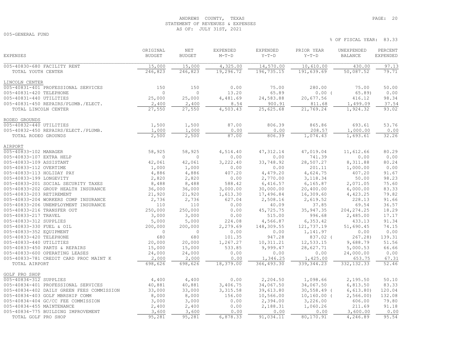## ANDREWS COUNTY, TEXAS **PAGE:** 20 STATEMENT OF REVENUES & EXPENSES AS OF: JULY 31ST, 2021

% OF FISCAL YEAR: 83.33

005-GENERAL FUND

| <b>EXPENSES</b>                           | ORIGINAL<br><b>BUDGET</b> | NET<br><b>BUDGET</b> | <b>EXPENDED</b><br>$M-T-D$ | <b>EXPENDED</b><br>$Y-T-D$ | PRIOR YEAR<br>$Y-T-D$ | UNEXPENDED<br>BALANCE | PERCENT<br><b>EXPENDED</b> |
|-------------------------------------------|---------------------------|----------------------|----------------------------|----------------------------|-----------------------|-----------------------|----------------------------|
| 005-40830-680 FACILITY RENT               | 15,000                    | 15,000               | 4,325.00                   | 14,570.00                  | 10,610.00             | 430.00                | 97.13                      |
| TOTAL YOUTH CENTER                        | 246,823                   | 246,823              | 19,296.72                  | 196,735.15                 | 191,639.69            | 50,087.52             | 79.71                      |
| LINCOLN CENTER                            |                           |                      |                            |                            |                       |                       |                            |
| 005-40831-401 PROFESSIONAL SERVICES       | 150                       | 150                  | 0.00                       | 75.00                      | 280.00                | 75.00                 | 50.00                      |
| 005-40831-420 TELEPHONE                   | $\Omega$                  | $\Omega$             | 13.20                      | 65.89                      | $0.00$ (              | $65.89$ )             | 0.00                       |
| 005-40831-440 UTILITIES                   | 25,000                    | 25,000               | 4,481.69                   | 24,583.88                  | 20,677.56             | 416.12                | 98.34                      |
| 005-40831-450 REPAIRS/PLUMB./ELECT.       | 2,400                     | 2,400                | 8.54                       | 900.91                     | 811.68                | 1,499.09              | 37.54                      |
| TOTAL LINCOLN CENTER                      | 27,550                    | 27,550               | 4,503.43                   | 25,625.68                  | 21,769.24             | 1,924.32              | 93.02                      |
| RODEO GROUNDS                             |                           |                      |                            |                            |                       |                       |                            |
| 005-40832-440 UTILITIES                   | 1,500                     | 1,500                | 87.00                      | 806.39                     | 865.86                | 693.61                | 53.76                      |
| 005-40832-450 REPAIRS/ELECT./PLUMB.       | 1,000                     | 1,000                | 0.00                       | 0.00                       | 208.57                | 1,000.00              | 0.00                       |
| TOTAL RODEO GROUNDS                       | 2,500                     | 2,500                | 87.00                      | 806.39                     | 1,074.43              | 1,693.61              | 32.26                      |
| AIRPORT                                   |                           |                      |                            |                            |                       |                       |                            |
| 005-40833-102 MANAGER                     | 58,925                    | 58,925               | 4,514.40                   | 47, 312.14                 | 47,019.04             | 11,612.66             | 80.29                      |
| 005-40833-107 EXTRA HELP                  | $\mathbf{0}$              | $\Omega$             | 0.00                       | 0.00                       | 741.39                | 0.00                  | 0.00                       |
| 005-40833-109 ASSISTANT                   | 42,061                    | 42,061               | 3,222.40                   | 33,748.92                  | 28,507.27             | 8,311.88              | 80.24                      |
| 005-40833-112 OVERTIME                    | 1,000                     | 1,000                | 0.00                       | 0.00                       | 201.11                | 1,000.00              | 0.00                       |
| 005-40833-113 HOLIDAY PAY                 | 4,886                     | 4,886                | 407.20                     | 4,479.20                   | 4,624.75              | 407.20                | 91.67                      |
| 005-40833-199 LONGEVITY                   | 2,820                     | 2,820                | 0.00                       | 2,770.00                   | 3,118.34              | 50.00                 | 98.23                      |
| 005-40833-201 SOCIAL SECURITY TAXES       | 8,488                     | 8,488                | 588.42                     | 6,416.57                   | 6,165.87              | 2,071.05              | 75.60                      |
| 005-40833-202 GROUP HEALTH INSURANCE      | 36,000                    | 36,000               | 3,000.00                   | 30,000.00                  | 20,400.00             | 6,000.00              | 83.33                      |
| 005-40833-203 RETIREMENT                  | 21,920                    | 21,920               | 1,613.30                   | 17,496.84                  | 16,309.60             | 4,423.25              | 79.82                      |
| 005-40833-204 WORKERS COMP INSURANCE      | 2,736                     | 2,736                | 627.04                     | 2,508.16                   | 2,619.52              | 228.13                | 91.66                      |
| 005-40833-206 UNEMPLOYMENT INSURANCE      | 110                       | 110                  | 0.00                       | 40.09                      | 37.85                 | 69.54                 | 36.57                      |
| 005-40833-216 TRANSFER OUT                | 250,000                   | 250,000              | 0.00                       | 45,725.75                  | 35, 947.35            | 204, 274.25           | 18.29                      |
| 005-40833-217 TRAVEL                      | 3,000                     | 3,000                | 0.00                       | 515.00                     | 996.68                | 2,485.00              | 17.17                      |
| 005-40833-312 SUPPLIES                    | 5,000                     | 5,000                | 224.08                     | 4,566.87                   | 6,353.42              | 433.13                | 91.34                      |
| 005-40833-330 FUEL & OIL                  | 200,000                   | 200,000              | 2,279.69                   | 148,309.55                 | 121,737.19            | 51,690.45             | 74.15                      |
| 005-40833-352 EQUIPMENT                   | $\mathbf{0}$              | $\circ$              | 0.00                       | 0.00                       | 1,141.97              | 0.00                  | 0.00                       |
| 005-40833-420 TELEPHONE                   | 680                       | 680                  | 101.35                     | 947.28                     | 837.02 (              | 267.28                | 139.31                     |
| 005-40833-440 UTILITIES                   | 20,000                    | 20,000               | 1,267.27                   | 10, 311.21                 | 12,533.15             | 9,688.79              | 51.56                      |
| 005-40833-450 PARTS & REPAIRS             | 15,000                    | 15,000               | 533.85                     | 9,999.47                   | 28,627.71             | 5,000.53              | 66.66                      |
| 005-40833-600 OPERATING LEASES            | 24,000                    | 24,000               | 0.00                       | 0.00                       | 0.00                  | 24,000.00             | 0.00                       |
| 005-40833-781 CREDIT CARD PROC MAINT K    | 2,000                     | 2,000                | 0.00                       | 1,346.25                   | 1,425.00              | 653.75                | 67.31                      |
| TOTAL AIRPORT                             | 698,626                   | 698,626              | 18,379.00                  | 366, 493.30                | 339, 344.23           | 332, 132.33           | 52.46                      |
| GOLF PRO SHOP                             |                           |                      |                            |                            |                       |                       |                            |
| 005-40834-312 SUPPLIES                    | 4,400                     | 4,400                | 0.00                       | 2,204.50                   | 1,098.66              | 2,195.50              | 50.10                      |
| 005-40834-401 PROFESSIONAL SERVICES       | 40,881                    | 40,881               | 3,406.75                   | 34,067.50                  | 34,067.50             | 6,813.50              | 83.33                      |
| 005-40834-402 DAILY GREEN FEES COMMISSION | 33,000                    | 33,000               | 3,315.58                   | 39,613.80                  | $30, 558.49$ (        | 6, 613.80)            | 120.04                     |
| 005-40834-403 GOLF MBRSHIP COMM           | 8,000                     | 8,000                | 156.00                     | 10,566.00                  | $10, 160.00$ (        | 2,566.00              | 132.08                     |
| 005-40834-404 GC/CC FEE COMMISSION        | 3,000                     | 3,000                | 0.00                       | 2,394.00                   | 3,226.00              | 606.00                | 79.80                      |
| 005-40834-455 MAINTENANCE                 | 2,400                     | 2,400                | 0.00                       | 2,188.31                   | 1,060.26              | 211.69                | 91.18                      |
| 005-40834-775 BUILDING IMPROVEMENT        | 3,600                     | 3,600                | 0.00                       | 0.00                       | 0.00                  | 3,600.00              | 0.00                       |
| TOTAL GOLF PRO SHOP                       | 95,281                    | 95,281               | 6,878.33                   | 91,034.11                  | 80,170.91             | 4,246.89              | 95.54                      |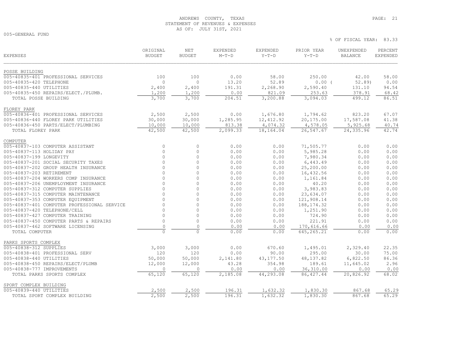# ANDREWS COUNTY, TEXAS **PAGE:** 21 STATEMENT OF REVENUES & EXPENSES AS OF: JULY 31ST, 2021

005-GENERAL FUND

| <b>EXPENSES</b>                                               | ORIGINAL<br><b>BUDGET</b> | NET<br><b>BUDGET</b> | EXPENDED<br>$M-T-D$ | <b>EXPENDED</b><br>$Y-T-D$ | PRIOR YEAR<br>$Y-T-D$   | UNEXPENDED<br><b>BALANCE</b> | PERCENT<br>EXPENDED |
|---------------------------------------------------------------|---------------------------|----------------------|---------------------|----------------------------|-------------------------|------------------------------|---------------------|
| POSSE BUILDING                                                |                           |                      |                     |                            |                         |                              |                     |
| 005-40835-401 PROFESSIONAL SERVICES                           | 100                       | 100                  | 0.00                | 58.00                      | 250.00                  | 42.00                        | 58.00               |
| 005-40835-420 TELEPHONE                                       | $\mathbf 0$               | $\mathbf{0}$         | 13.20               | 52.89                      | 0.00(                   | 52.89                        | 0.00                |
| 005-40835-440 UTILITIES                                       | 2,400                     | 2,400                | 191.31              | 2,268.90                   | 2,590.40                | 131.10                       | 94.54               |
| 005-40835-450 REPAIRS/ELECT./PLUMB.<br>TOTAL POSSE BUILDING   | 1,200<br>3,700            | 1,200<br>3,700       | 0.00<br>204.51      | 821.09<br>3,200.88         | 253.63<br>3,094.03      | 378.91<br>499.12             | 68.42<br>86.51      |
| FLOREY PARK                                                   |                           |                      |                     |                            |                         |                              |                     |
| 005-40836-401 PROFESSIONAL SERVICES                           | 2,500                     | 2,500                | 0.00                | 1,676.80                   | 1,794.62                | 823.20                       | 67.07               |
| 005-40836-440 FLOREY PARK UTILITIES                           | 30,000                    | 30,000               | 1,285.95            | 12,412.92                  | 20,175.00               | 17,587.08                    | 41.38               |
| 005-40836-450 PARTS/ELECT/PLUMBING                            | 10,000                    | 10,000               | 813.38              | 4,074.32                   | 4,578.05                | 5,925.68                     | 40.74               |
| TOTAL FLOREY PARK                                             | 42,500                    | 42,500               | 2,099.33            | 18,164.04                  | 26,547.67               | 24,335.96                    | 42.74               |
| COMPUTER                                                      |                           |                      |                     |                            |                         |                              |                     |
| 005-40837-103 COMPUTER ASSISTANT<br>005-40837-113 HOLIDAY PAY | $\circ$<br>$\mathbf 0$    | 0<br>$\circ$         | 0.00                | 0.00                       | 71,505.77               | 0.00                         | 0.00                |
| 005-40837-199 LONGEVITY                                       | $\Omega$                  | $\circ$              | 0.00<br>0.00        | 0.00<br>0.00               | 5,985.28<br>7,980.34    | 0.00<br>0.00                 | 0.00<br>0.00        |
| 005-40837-201 SOCIAL SECURITY TAXES                           | $\Omega$                  | $\circ$              | 0.00                | 0.00                       | 6,443.49                | 0.00                         | 0.00                |
| 005-40837-202 GROUP HEALTH INSURANCE                          | $\Omega$                  | $\Omega$             | 0.00                | 0.00                       | 25,200.00               | 0.00                         | 0.00                |
| 005-40837-203 RETIREMENT                                      | $\Omega$                  | $\Omega$             | 0.00                | 0.00                       | 16,432.56               | 0.00                         | 0.00                |
| 005-40837-204 WORKERS COMP INSURANCE                          | $\Omega$                  | $\Omega$             | 0.00                | 0.00                       | 1,161.84                | 0.00                         | 0.00                |
| 005-40837-206 UNEMPLOYMENT INSURANCE                          | $\Omega$                  | $\circ$              | 0.00                | 0.00                       | 40.20                   | 0.00                         | 0.00                |
| 005-40837-312 COMPUTER SUPPLIES                               | $\Omega$                  | $\Omega$             | 0.00                | 0.00                       | 3,983.83                | 0.00                         | 0.00                |
| 005-40837-315 COMPUTER MAINTENANCE                            | $\Omega$                  | $\circ$              | 0.00                | 0.00                       | 23,634.07               | 0.00                         | 0.00                |
| 005-40837-353 COMPUTER EQUIPMENT                              | $\cap$                    | $\circ$              | 0.00                | 0.00                       | 121,908.14              | 0.00                         | 0.00                |
| 005-40837-401 COMPUTER PROFESSIONAL SERVICE                   | $\Omega$                  | $\Omega$             | 0.00                | 0.00                       | 188, 174.32             | 0.00                         | 0.00                |
| 005-40837-420 TELEPHONE/CELL                                  | $\Omega$                  | $\circ$              | 0.00                | 0.00                       | 1,251.90                | 0.00                         | 0.00                |
| 005-40837-427 COMPUTER TRAINING                               | $\Omega$                  | $\Omega$             | 0.00                | 0.00                       | 724.90                  | 0.00                         | 0.00                |
| 005-40837-450 COMPUTER PARTS & REPAIRS                        | $\mathbb O$               | $\circ$              | 0.00                | 0.00                       | 221.91                  | 0.00                         | 0.00                |
| 005-40837-462 SOFTWARE LICENSING                              | $\circ$                   | $\Omega$             | 0.00                | 0.00                       | 170,616.66              | 0.00                         | 0.00                |
| TOTAL COMPUTER                                                | $\Omega$                  | $\Omega$             | 0.00                | 0.00                       | 645,265.21              | 0.00                         | 0.00                |
| PARKS SPORTS COMPLEX                                          |                           |                      |                     |                            |                         |                              |                     |
| 005-40838-312 SUPPLIES                                        | 3,000                     | 3,000                | 0.00                | 670.60                     | 1,495.01                | 2,329.40                     | 22.35               |
| 005-40838-401 PROFESSIONAL SERV                               | 120                       | 120                  | 0.00                | 90.00                      | 295.00                  | 30.00                        | 75.00               |
| 005-40838-440 UTILITIES                                       | 50,000                    | 50,000               | 2,141.80            | 43, 177.50                 | 48,137.82               | 6,822.50                     | 86.36               |
| 005-40838-450 REPAIRS/ELECT/PLUMB                             | 12,000<br>$\mathbf{0}$    | 12,000<br>$\Omega$   | 43.28               | 354.98                     | 189.61                  | 11,645.02                    | 2.96                |
| 005-40838-777 IMPROVEMENTS<br>TOTAL PARKS SPORTS COMPLEX      | 65,120                    | 65,120               | 0.00<br>2,185.08    | 0.00<br>44,293.08          | 36,310.00<br>86, 427.44 | 0.00<br>20,826.92            | 0.00<br>68.02       |
|                                                               |                           |                      |                     |                            |                         |                              |                     |
| SPORT COMPLEX BUILDING                                        |                           |                      |                     |                            |                         |                              |                     |
| 005-40839-440 UTILITIES                                       | 2,500                     | 2,500                | 196.31              | 1,632.32                   | 1,830.30                | 867.68                       | 65.29               |
| TOTAL SPORT COMPLEX BUILDING                                  | 2,500                     | 2,500                | 196.31              | 1,632.32                   | 1,830.30                | 867.68                       | 65.29               |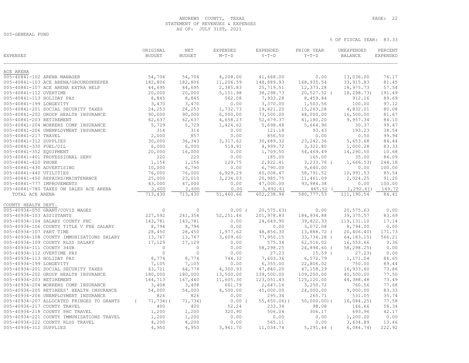# ANDREWS COUNTY, TEXAS **PAGE:** 22 STATEMENT OF REVENUES & EXPENSES AS OF: JULY 31ST, 2021

005-GENERAL FUND

| <b>EXPENSES</b>                           | ORIGINAL<br><b>BUDGET</b> | NET<br><b>BUDGET</b> | <b>EXPENDED</b><br>$M-T-D$ | EXPENDED<br>$Y-T-D$ | PRIOR YEAR<br>$Y-T-D$ | UNEXPENDED<br><b>BALANCE</b> | PERCENT<br><b>EXPENDED</b> |
|-------------------------------------------|---------------------------|----------------------|----------------------------|---------------------|-----------------------|------------------------------|----------------------------|
| ACE ARENA                                 |                           |                      |                            |                     |                       |                              |                            |
| 005-40841-102 ARENA MANAGER               | 54,704                    | 54,704               | 4,208.00                   | 41,668.00           | 0.00                  | 13,036.00                    | 76.17                      |
| 005-40841-103 ACE ARENA/GROUNDSKEEPER     | 182,806                   | 182,806              | 11,206.59                  | 148,889.93          | 168, 935.54           | 33, 915.83                   | 81.45                      |
| 005-40841-107 ACE ARENA EXTRA HELP        | 44,695                    | 44,695               | 2,385.83                   | 25,719.51           | 12,373.28             | 18,975.73                    | 57.54                      |
| 005-40841-112 OVERTIME                    | 20,000                    | 20,000               | 5, 151.98                  | 38,298.73           | $20,527.52$ (         | 18,298.73)                   | 191.49                     |
| 005-40841-113 HOLIDAY PAY                 | 8,845                     | 8,845                | 562.08                     | 7,933.28            | 8,459.84              | 912.16                       | 89.69                      |
| 005-40841-199 LONGEVITY                   | 3,470                     | 3,470                | 0.00                       | 3,370.00            | 1,503.56              | 100.00                       | 97.12                      |
| 005-40841-201 SOCIAL SECURITY TAXES       | 24,253                    | 24,253               | 1,732.73                   | 19,421.20           | 15,263.28             | 4,832.01                     | 80.08                      |
| 005-40841-202 GROUP HEALTH INSURANCE      | 90,000                    | 90,000               | 6,000.00                   | 73,500.00           | 48,000.00             | 16,500.00                    | 81.67                      |
| 005-40841-203 RETIREMENT                  | 62,637                    | 62,637               | 4,658.23                   | 52,679.37           | 41,180.20             | 9,957.34                     | 84.10                      |
| 005-40841-204 WORKERS COMP INSURANCE      | 5,729                     | 5,729                | 1,424.62                   | 5,698.48            | 5,664.96              | 30.37                        | 99.47                      |
| 005-40841-206 UNEMPLOYMENT INSURANCE      | 314                       | 314                  | 0.00                       | 121.18              | 93.43                 | 193.23                       | 38.54                      |
| 005-40841-217 TRAVEL                      | 2,000                     | 857                  | 0.00                       | 856.50              | 0.00                  | 0.50                         | 99.94                      |
| 005-40841-312 SUPPLIES                    | 30,000                    | 36,343               | 3,317.62                   | 30,689.32           | 23, 242.36            | 5,653.68                     | 84.44                      |
| 005-40841-330 FUEL/OIL                    | 6,000                     | 6,000                | 519.91                     | 4,999.72            | 3,322.80              | 1,000.28                     | 83.33                      |
| 005-40841-352 EQUIPMENT                   | 20,000                    | 16,000               | 0.00                       | 1,709.50            | 54,469.49             | 14,290.50                    | 10.68                      |
| 005-40841-401 PROFESSIONAL SERV           | 220                       | 220                  | 0.00                       | 185.00              | 165.00                | 35.00                        | 84.09                      |
| 005-40841-420 PHONE                       | 1,156                     | 1,156                | 129.75                     | 2,822.41            | 3,233.76 (            | 1,666.53)                    | 244.18                     |
| 005-40841-430 ADVERTISING                 | 10,000                    | 6,790                | 0.00                       | 6,790.00            | 9,640.00              | 0.00                         | 100.00                     |
| 005-40841-440 UTILITIES                   | 76,000                    | 76,000               | 6,929.29                   | 65,008.47           | 58,791.52             | 10,991.53                    | 85.54                      |
| 005-40841-450 REPAIRS/MAINTENANCE         | 25,000                    | 23,010               | 3,234.03                   | 20,985.75           | 11,461.09             | 2,024.25                     | 91.20                      |
| 005-40841-777 IMPROVEMENTS                | 43,000                    | 47,000               | 0.00                       | 47,000.00           | 93, 984.38            | 0.00                         | 100.00                     |
| 005-40841-780 TAXES ON SALES ACE ARENA    | 2,600                     | 2,600                | 0.00                       | 3,892.61            | $465.52$ (            | 1, 292.61)                   | 149.72                     |
| TOTAL ACE ARENA                           | 713,430                   | 713,430              | 51,460.66                  | 602,238.96          | 580,777.53            | 111,190.54                   | 84.41                      |
| COUNTY HEALTH DEPT.                       |                           |                      |                            |                     |                       |                              |                            |
| 005-40934-050 GRANT/COVID WAGES           | $\circ$                   | $\overline{0}$       | 0.00(                      | 20, 575.63          | 0.00                  | 20,575.63                    | 0.00                       |
| 005-40934-103 ASSISTANTS                  | 227,592                   | 241,354              | 52,251.46                  | 201,978.83          | 184,934.88            | 39, 375.57                   | 83.69                      |
| 005-40934-104 SALARY COUNTY PHC           | 143,781                   | 143,781              | 0.00                       | 24,649.90           | 39,822.33             | 119, 131.10                  | 17.14                      |
| 005-40934-106 COUNTY TITLE V FEE SALARY   | 8,794                     | 8,794                | 0.00                       | 0.00                | 3,072.08              | 8,794.00                     | 0.00                       |
| 005-40934-107 PART TIME                   | 28,450                    | 28,450               | 1,977.62                   | 48,856.30           | 13,888.72 (           | 20, 406.40                   | 171.73                     |
| 005-40934-108 COUNTY IMMUNIZATIONS SALARY | 13,767                    | 13,767               | 3,609.60                   | 77,950.15           | 33,734.28 (           | 64, 183.15                   | 566.21                     |
| 005-40934-109 COUNTY RLSS SALARY          | 17,129                    | 17,129               | 0.00                       | 575.34              | 62,516.02             | 16,553.66                    | 3.36                       |
| 005-40934-111 COUNTY 340B                 | $\circ$                   | $\circ$              | 0.00                       | 58,298.25           | 24,894.60 (           | 58, 298.25                   | 0.00                       |
| 005-40934-112 OVERTIME PAY                | $\mathbb O$               | $\circ$              | 0.00                       | 27.23               | $15.59$ (             | 27.23)                       | 0.00                       |
| 005-40934-113 HOLIDAY PAY                 | 8,774                     | 8,774                | 744.32                     | 7,603.36            | 6,572.79              | 1,171.04                     | 86.65                      |
| 005-40934-199 LONGEVITY                   | 7,105                     | 7,105                | 0.00                       | 6, 355.00           | 22,806.02             | 750.00                       | 89.44                      |
| 005-40934-201 SOCIAL SECURITY TAXES       | 63,721                    | 64,774               | 4,300.93                   | 47,840.20           | 47,158.29             | 16,933.60                    | 73.86                      |
| 005-40934-202 GROUP HEALTH INSURANCE      | 180,000                   | 180,000              | 13,500.00                  | 139,500.00          | 109,200.00            | 40,500.00                    | 77.50                      |
| 005-40934-203 RETIREMENT                  | 164,713                   | 167,440              | 11,605.30                  | 123,051.43          | 125,120.00            | 44,388.48                    | 73.49                      |
| 005-40934-204 WORKERS COMP INSURANCE      | 3,408                     | 3,408                | 661.79                     | 2,647.16            | 3,250.72              | 760.56                       | 77.68                      |
| 005-40934-205 RETIREES' HEALTH INSURANCE  | 54,000                    | 54,000               | 4,500.00                   | 45,000.00           | 24,000.00             | 9,000.00                     | 83.33                      |
| 005-40934-206 UNEMPLOYMENT INSURANCE      | 826                       | 826                  | 0.00                       | 295.34              | 265.71                | 531.05                       | 35.74                      |
| 005-40934-207 ALLOCATED FRINGES TO GRANTS | $71,734$ ) (              | 71,734)              | $0.00$ (                   | $55,650.06$ ) (     | $50,000.00)$ (        | 16,084.25                    | 77.58                      |
| 005-40934-217 COUNTY TRAVEL               | 400                       | 400                  | 52.24                      | 233.34              | 98.08                 | 166.66                       | 58.34                      |
| 005-40934-218 COUNTY PHC TRAVEL           | 1,200                     | 1,200                | 320.90                     | 506.04              | 306.17                | 693.96                       | 42.17                      |
| 005-40934-221 COUNTY IMMUNIZATIONS TRAVEL | 1,200                     | 1,200                | 0.00                       | 0.00                | 0.00                  | 1,200.00                     | 0.00                       |
| 005-40934-222 COUNTY RLSS TRAVEL          | 4,200                     | 4,200                | 0.00                       | 565.11              | 0.00                  | 3,634.89                     | 13.46                      |
| 005-40934-312 SUPPLIES                    | 4,950                     | 4,950                | 3,961.70                   | 11,034.74           | $5,291.44$ (          | 6,084.74)                    | 222.92                     |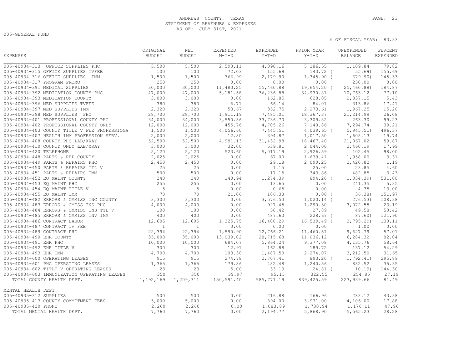# ANDREWS COUNTY, TEXAS **PAGE:** 23 STATEMENT OF REVENUES & EXPENSES AS OF: JULY 31ST, 2021

005-GENERAL FUND

|                                              | ORIGINAL       | NET            | EXPENDED   | EXPENDED    | PRIOR YEAR     | UNEXPENDED | PERCENT         |
|----------------------------------------------|----------------|----------------|------------|-------------|----------------|------------|-----------------|
| EXPENSES                                     | <b>BUDGET</b>  | <b>BUDGET</b>  | $M-T-D$    | $Y-T-D$     | $Y-T-D$        | BALANCE    | <b>EXPENDED</b> |
| 005-40934-313 OFFICE SUPPLIES PHC            | 5,500          | 5,500          | 2,593.11   | 4,390.16    | 5,186.55       | 1,109.84   | 79.82           |
| 005-40934-315 OFFICE SUPPLIES TVFEE          | 100            | 100            | 72.03      | 155.69      | 143.72 (       | $55.69$ )  | 155.69          |
| 005-40934-316 OFFICE SUPPLIES<br>IMM         | 1,500          | 1,500          | 766.99     | 2,179.90    | $1,345.90$ (   | 679.90)    | 145.33          |
| 005-40934-317 PROGRAM PROMO                  | 250            | 250            | 0.00       | 0.00        | 0.00           | 250.00     | 0.00            |
| 005-40934-391 MEDICAL SUPPLIES               | 30,000         | 30,000         | 11,480.25  | 55,460.88   | 19,654.20 (    | 25,460.88) | 184.87          |
| 005-40934-392 MEDICATION COUNTY PHC          | 47,000         | 47,000         | 5,181.58   | 36,236.88   | 34,930.81      | 10,763.12  | 77.10           |
| 005-40934-393 MEDICATION COUNTY              | 3,000          | 3,000          | 0.00       | 162.85      | 628.05         | 2,837.15   | 5.43            |
| 005-40934-396 MED SUPPLIES TVFEE             | 380            | 380            | 6.71       | 66.14       | 84.01          | 313.86     | 17.41           |
| 005-40934-397 MED SUPPLIES IMM               | 2,320          | 2,320          | 53.67      | 352.75      | 2,273.61       | 1,967.25   | 15.20           |
| 005-40934-398 MED SUPPLIES<br>PHC            | 28,700         | 28,700         | 1,911.19   | 7,485.01    | 18,367.37      | 21, 214.99 | 26.08           |
| 005-40934-401 PROFESSIONAL COUNTY PHC        | 34,000         | 34,000         | 3,550.56   | 33,736.70   | 3,309.82       | 263.30     | 99.23           |
| 005-40934-402 PROFESSIONAL COUNTY ONLY       | 12,000         | 12,000         | 455.76     | 4,705.26    | 7,140.86       | 7,294.74   | 39.21           |
| 005-40934-403 COUNTY TITLE V FEE PROFESSIONA | 1,500          | 1,500          | 4,056.60   | 7,445.51    | $4,039.65$ (   | 5, 945.51) | 496.37          |
| 005-40934-407 HEALTH IMM PROFESSION SERV.    | 2,000          | 2,000          | 12.80      | 394.87      | 1,017.50       | 1,605.13   | 19.74           |
| 005-40934-408 COUNTY PHC LAB/XRAY            | 52,500         | 52,500         | 4,991.13   | 31,432.98   | 18,467.40      | 21,067.02  | 59.87           |
| 005-40934-410 COUNTY ONLY LAB/XRAY           | 3,000          | 3,000          | 32.00      | 539.81      | 2,044.00       | 2,460.19   | 17.99           |
| 005-40934-420 TELEPHONE                      | 5,120          | 5,120          | 523.60     | 5,017.19    | 2,926.59       | 102.45     | 98.00           |
| 005-40934-448 PARTS & REP COUNTY             | 2,025          | 2,025          | 0.00       | 67.00       | 1,639.41       | 1,958.00   | 3.31            |
| 005-40934-449 PARTS & REPAIRS PHC            | 2,450          | 2,450          | 0.00       | 29.18       | 2,090.25       | 2,420.82   | 1.19            |
| 005-40934-450 PARTS & REPAIRS TTL V          | 25             | 25             | 0.00       | 1.15        | 25.00          | 23.85      | 4.60            |
| 005-40934-451 PARTS & REPAIRS IMM            | 500            | 500            | 0.00       | 17.15       | 343.86         | 482.85     | 3.43            |
| 005-40934-452 EQ MAINT COUNTY                | 240            | 240            | 140.94     | 1,274.39    | 894.20 (       | 1,034.39   | 531.00          |
| 005-40934-453 EQ MAINT PHC                   | 255            | 255            | 0.00       | 13.65       | 0.00           | 241.35     | 5.35            |
| 005-40934-454 EQ MAINT TITLE V               | 5              | 5              | 0.00       | 0.65        | 0.00           | 4.35       | 13.00           |
| 005-40934-455 EO MAINT IMM                   | 70             | 70             | 21.06      | 106.38      | $0.00$ (       | 36.38)     | 151.97          |
| 005-40934-482 ERRORS & OMMISS INC COUNTY     | 3,300          | 3,300          | 0.00       | 3,576.53    | $1,020.14$ (   | 276.53)    | 108.38          |
| 005-40934-483 ERRORS & OMISS INS PHC         | 4,000          | 4,000          | 0.00       | 927.45      | 1,290.30       | 3,072.55   | 23.19           |
| 005-40934-484 ERRORS & OMMISS INS TTL V      | 100            | 100            | 0.00       | 50.42       | 27.89          | 49.58      | 50.42           |
| 005-40934-485 ERRORS & OMMISS INV IMM        | 400            | 400            | 0.00       | 487.60      | $228.67$ (     | 87.60)     | 121.90          |
| 005-40934-486 CONTRACT LABOR                 | 12,605         | 12,605         | 1,325.75   | 16,400.29   | $16, 539.49$ ( | 3,795.29   | 130.11          |
| 005-40934-487 CONTRACT TV FEE                | $\overline{1}$ | $\overline{1}$ | 0.00       | 0.00        | 0.00           | 1.00       | 0.00            |
| 005-40934-489 CONTRACT PHC                   | 22,394         | 22,394         | 1,590.90   | 12,766.21   | 11,460.51      | 9,627.79   | 57.01           |
| 005-40934-490 EHR COUNTY                     | 35,000         | 35,000         | 13,039.02  | 28,715.68   | 11,036.12      | 6,284.32   | 82.04           |
| 005-40934-491 EHR PHC                        | 10,000         | 10,000         | 684.07     | 5,864.24    | 9,377.08       | 4,135.76   | 58.64           |
| 005-40934-492 EHR TITLE V                    | 300            | 300            | 12.91      | 162.88      | 189.72         | 137.12     | 54.29           |
| 005-40934-493 EHR IMM                        | 4,700          | 4,700          | 103.30     | 1,487.50    | 2,274.07       | 3,212.50   | 31.65           |
| 005-40934-600 OPERATING LEASES               | 915            | 915            | 274.78     | 2,707.41    | 893.20 (       | 1,792.41)  | 295.89          |
| 005-40934-601 PHC OPERATING LEASES           | 1,365          | 1,365          | 179.86     | 482.48      | 1,240.56       | 882.52     | 35.35           |
| 005-40934-602 TITLE V OPERATING LEASES       | 23             | 23             | 5.00       | 33.19       | $24.81$ (      | 10.19      | 144.30          |
| 005-40934-603 IMMUNIZATION OPERATING LEASES  | 350            | 350            | 39.97      | 95.15       | 322.55         | 254.85     | 27.19           |
| TOTAL COUNTY HEALTH DEPT.                    | 1,192,169      | 1,209,711      | 150,591.40 | 985, 771.19 | 839,425.59     | 223,939.66 | 81.49           |
| MENTAL HEALTH DEPT.                          |                |                |            |             |                |            |                 |
| 005-40935-312 SUPPLIES                       | 500            | 500            | 0.00       | 216.88      | 166.96         | 283.12     | 43.38           |
| 005-40935-413 COUNTY COMMITMENT FEES         | 5,000          | 5,000          | 0.00       | 894.00      | 3,971.00       | 4,106.00   | 17.88           |
| 005-40935-420 PHONE                          | 2,260          | 2,260          | 0.00       | 1,083.89    | 1,730.94       | 1,176.11   | 47.96           |
| TOTAL MENTAL HEALTH DEPT.                    | 7,760          | 7,760          | 0.00       | 2,194.77    | 5,868.90       | 5,565.23   | 28.28           |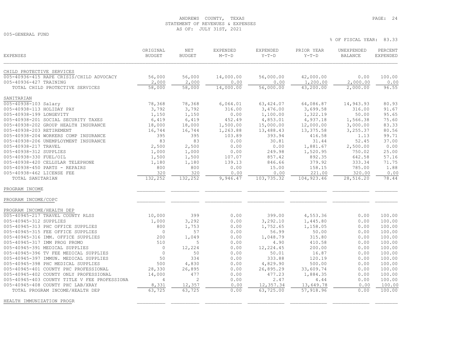# ANDREWS COUNTY, TEXAS **PAGE:** 24 STATEMENT OF REVENUES & EXPENSES AS OF: JULY 31ST, 2021

005-GENERAL FUND

| <b>EXPENSES</b>                              | ORIGINAL<br><b>BUDGET</b> | NET<br><b>BUDGET</b> | EXPENDED<br>$M-T-D$ | <b>EXPENDED</b><br>$Y-T-D$ | PRIOR YEAR<br>$Y-T-D$ | UNEXPENDED<br><b>BALANCE</b> | PERCENT<br><b>EXPENDED</b> |
|----------------------------------------------|---------------------------|----------------------|---------------------|----------------------------|-----------------------|------------------------------|----------------------------|
| CHILD PROTECTIVE SERVICES                    |                           |                      |                     |                            |                       |                              |                            |
| 005-40936-415 RAPE CRISIS/CHILD ADVOCACY     | 56,000                    | 56,000               | 14,000.00           | 56,000.00                  | 42,000.00             | 0.00                         | 100.00                     |
| 005-40936-427 TRAINING                       | 2,000                     | 2,000                | 0.00                | 0.00                       | 1,200.00              | 2,000.00                     | 0.00                       |
| TOTAL CHILD PROTECTIVE SERVICES              | 58,000                    | 58,000               | 14,000.00           | 56,000.00                  | 43,200.00             | 2,000.00                     | 96.55                      |
| SANITARIAN                                   |                           |                      |                     |                            |                       |                              |                            |
| 005-40938-103 Salary                         | 78,368                    | 78,368               | 6,064.01            | 63, 424.07                 | 64,086.87             | 14,943.93                    | 80.93                      |
| 005-40938-113 HOLIDAY PAY                    | 3,792                     | 3,792                | 316.00              | 3,476.00                   | 3,699.58              | 316.00                       | 91.67                      |
| 005-40938-199 LONGEVITY                      | 1,150                     | 1,150                | 0.00                | 1,100.00                   | 1,322.19              | 50.00                        | 95.65                      |
| 005-40938-201 SOCIAL SECURITY TAXES          | 6,419                     | 6,419                | 452.49              | 4,853.01                   | 4,937.18              | 1,566.38                     | 75.60                      |
| 005-40938-202 GROUP HEALTH INSURANCE         | 18,000                    | 18,000               | 1,500.00            | 15,000.00                  | 12,000.00             | 3,000.00                     | 83.33                      |
| 005-40938-203 RETIREMENT                     | 16,744                    | 16,744               | 1,263.88            | 13,488.43                  | 13,375.58             | 3,255.37                     | 80.56                      |
| 005-40938-204 WORKERS COMP INSURANCE         | 395                       | 395                  | 103.89              | 393.94                     | 416.58                | 1.13                         | 99.71                      |
| 005-40938-206 UNEMPLOYMENT INSURANCE         | 83                        | 83                   | 0.00                | 30.81                      | 31.44                 | 52.45                        | 37.00                      |
| 005-40938-217 TRAVEL                         | 2,500                     | 2,500                | 0.00                | 0.00                       | 1,881.67              | 2,500.00                     | 0.00                       |
| 005-40938-312 SUPPLIES                       | 1,000                     | 1,000                | 0.00                | 249.98                     | 1,520.95              | 750.02                       | 25.00                      |
| 005-40938-330 FUEL/OIL                       | 1,500                     | 1,500                | 107.07              | 857.42                     | 892.35                | 642.58                       | 57.16                      |
| 005-40938-420 CELLULAR TELEPHONE             | 1,180                     | 1,180                | 139.13              | 846.66                     | 379.92                | 333.34                       | 71.75                      |
| 005-40938-450 PARTS - REPAIRS                | 800                       | 800                  | 0.00                | 15.00                      | 158.15                | 785.00                       | 1.88                       |
| 005-40938-462 LICENSE FEE                    | 320                       | 320                  | 0.00                | 0.00                       | 221.00                | 320.00                       | 0.00                       |
| TOTAL SANITARIAN                             | 132,252                   | 132,252              | 9,946.47            | 103,735.32                 | 104, 923.46           | 28,516.20                    | 78.44                      |
| PROGRAM INCOME                               |                           |                      |                     |                            |                       |                              |                            |
| PROGRAM INCOME/COPC                          |                           |                      |                     |                            |                       |                              |                            |
| PROGRAM INCOME/HEALTH DEP                    |                           |                      |                     |                            |                       |                              |                            |
| 005-40945-217 TRAVEL COUNTY RLSS             | 10,000                    | 399                  | 0.00                | 399.00                     | 4,553.36              | 0.00                         | 100.00                     |
| 005-40945-312 SUPPLIES                       | 1,000                     | 3,292                | 0.00                | 3,292.10                   | 1,445.80              | 0.00                         | 100.00                     |
| 005-40945-313 PHC OFFICE SUPPLIES            | 800                       | 1,753                | 0.00                | 1,752.65                   | 1,158.05              | 0.00                         | 100.00                     |
| 005-40945-315 FEE OFFICE SUPPLIES            | $\circ$                   | 57                   | 0.00                | 56.99                      | 50.00                 | 0.00                         | 100.00                     |
| 005-40945-316 IMM. OFFICE SUPPLIES           | 200                       | 1,049                | 0.00                | 1,048.79                   | 315.80                | 0.00                         | 100.00                     |
| 005-40945-317 IMM PROG PROMO                 | 510                       | 5                    | 0.00                | 4.90                       | 410.58                | 0.00                         | 100.00                     |
| 005-40945-391 MEDICAL SUPPLIES               | $\circ$                   | 12,224               | 0.00                | 12,224.45                  | 200.00                | 0.00                         | 100.00                     |
| 005-40945-396 TV FEE MEDICAL SUPPLIES        | $\circ$                   | 50                   | 0.00                | 50.01                      | 16.87                 | 0.00                         | 100.00                     |
| 005-40945-397 IMMUN. MEDICAL SUPPLIES        | 50                        | 334                  | 0.00                | 333.88                     | 120.19                | 0.00                         | 100.00                     |
| 005-40945-398 PHC MEDICAL SUPPLIES           | 500                       | 4,830                | 0.00                | 4,829.90                   | 500.00                | 0.00                         | 100.00                     |
| 005-40945-401 COUNTY PHC PROFESSIONAL        | 28,330                    | 26,895               | 0.00                | 26,895.29                  | 33,609.74             | 0.00                         | 100.00                     |
| 005-40945-402 COUNTY ONLY PROFESSIONAL       | 14,000                    | 477                  | 0.00                | 477.23                     | 1,884.35              | 0.00                         | 100.00                     |
| 005-40945-403 COUNTY TITLE V FEE PROFESSIONA | $\overline{4}$            | 2                    | 0.00                | 2.47                       | 4.44                  | 0.00                         | 100.00                     |
| 005-40945-408 COUNTY PHC LAB/XRAY            | 8,331                     | 12,357               | 0.00                | 12,357.34                  | 13,649.78             | 0.00                         | 100.00                     |
| TOTAL PROGRAM INCOME/HEALTH DEP              | 63,725                    | 63,725               | 0.00                | 63,725.00                  | 57,918.96             | 0.00                         | 100.00                     |
| HEALTH IMMUNIZATION PROGR                    |                           |                      |                     |                            |                       |                              |                            |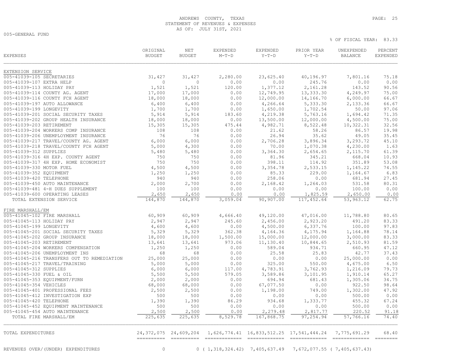# ANDREWS COUNTY, TEXAS **PAGE:** 25 STATEMENT OF REVENUES & EXPENSES AS OF: JULY 31ST, 2021

005-GENERAL FUND

| <b>EXPENSES</b>                            | ORIGINAL<br><b>BUDGET</b> | NET<br><b>BUDGET</b>      | EXPENDED<br>$M-T-D$ | EXPENDED<br>$Y-T-D$ | PRIOR YEAR<br>$Y-T-D$                                    | UNEXPENDED<br><b>BALANCE</b> | PERCENT<br><b>EXPENDED</b> |
|--------------------------------------------|---------------------------|---------------------------|---------------------|---------------------|----------------------------------------------------------|------------------------------|----------------------------|
| EXTENSION SERVICE                          |                           |                           |                     |                     |                                                          |                              |                            |
| 005-41039-105 SECRETARIES                  | 31,427                    | 31,427                    | 2,280.00            | 23,625.40           | 40,196.97                                                | 7,801.16                     | 75.18                      |
| 005-41039-107 EXTRA HELP                   | $\circ$                   | $\mathbf{0}$              | 0.00                | 0.00                | 245.76                                                   | 0.00                         | 0.00                       |
| 005-41039-113 HOLIDAY PAY                  | 1,521                     | 1,521                     | 120.00              | 1,377.12            | 2,161.28                                                 | 143.52                       | 90.56                      |
| 005-41039-114 COUNTY AG. AGENT             | 17,000                    | 17,000                    | 0.00                | 12,749.95           | 13,333.30                                                | 4,249.97                     | 75.00                      |
| 005-41039-116 COUNTY FCH AGENT             | 18,000                    | 18,000                    | 0.00                | 12,000.00           | 14,166.70                                                | 6,000.00                     | 66.67                      |
| 005-41039-197 AUTO ALLOWANCE               | 6,400                     | 6,400                     | 0.00                | 4,266.64            | 5,333.30                                                 | 2,133.36                     | 66.67                      |
| 005-41039-199 LONGEVITY                    | 1,700                     | 1,700                     | 0.00                | 1,650.00            | 1,702.54                                                 | 50.00                        | 97.06                      |
| 005-41039-201 SOCIAL SECURITY TAXES        | 5,914                     | 5,914                     | 183.60              | 4,219.38            | 5,763.16                                                 | 1,694.42                     | 71.35                      |
| 005-41039-202 GROUP HEALTH INSURANCE       | 18,000                    | 18,000                    | 0.00                | 13,500.00           | 12,000.00                                                | 4,500.00                     | 75.00                      |
| 005-41039-203 RETIREMENT                   | 15,305                    | 15,305                    | 475.44              | 4,982.71            | 8,522.48                                                 | 10,322.31                    | 32.56                      |
| 005-41039-204 WORKERS COMP INSURANCE       | 108                       | 108                       | 0.00                | 21.62               | 58.26                                                    | 86.57                        | 19.98                      |
| 005-41039-206 UNEMPLOYMENT INSURANCE       | 76                        | 76                        | 0.00                | 26.94               | 35.62                                                    | 49.05                        | 35.45                      |
| 005-41039-217 TRAVEL/COUNTY AG. AGENT      | 6,000                     | 6,000                     | 0.00                | 2,706.28            | 3,896.34                                                 | 3,293.72                     | 45.10                      |
| 005-41039-218 TRAVEL/COUNTY FCH AGENT      | 5,000                     | 4,300                     | 0.00                | 70.00               | 1,070.38                                                 | 4,230.00                     | 1.63                       |
| 005-41039-312 SUPPLIES                     | 5,480                     | 5,480                     | 0.00                | 3,364.30            | 2,654.65                                                 | 2,115.70                     | 61.39                      |
| 005-41039-316 4H EXP. COUNTY AGENT         | 750                       | 750                       | 0.00                | 81.96               | 345.21                                                   | 668.04                       | 10.93                      |
| 005-41039-317 4H EXP. HOME ECONOMIST       | 750                       | 750                       | 0.00                | 398.11              | 114.92                                                   | 351.89                       | 53.08                      |
| 005-41039-330 MOTOR FUEL                   | 4,500                     | 4,500                     | 0.00                | 3,354.78            | 2,533.15                                                 | 1,145.22                     | 74.55                      |
| 005-41039-352 EQUIPMENT                    | 1,250                     | 1,250                     | 0.00                | 85.33               | 229.00                                                   | 1,164.67                     | 6.83                       |
| 005-41039-420 TELEPHONE                    | 940                       | 940                       | 0.00                | 258.06              | 0.00                                                     | 681.94                       | 27.45                      |
| 005-41039-450 AUTO MAINTENANCE             | 2,000                     | 2,700                     | 0.00                | 2,168.42            | 1,264.03                                                 | 531.58                       | 80.31                      |
| 005-41039-481 4-H DUES SUPPLEMENT          | 100                       | 100                       | 0.00                | 0.00                | 0.00                                                     | 100.00                       | 0.00                       |
| 005-41039-600 OPERATING LEASES             | 2,650                     | 2,650                     | 0.00                | 0.00                | 1,825.59                                                 | 2,650.00                     | 0.00                       |
| TOTAL EXTENSION SERVICE                    | 144,870                   | 144,870                   | 3,059.04            | 90,907.00           | 117,452.64                                               | 53,963.12                    | 62.75                      |
| FIRE MARSHALL/EM                           |                           |                           |                     |                     |                                                          |                              |                            |
| 005-41045-102 FIRE MARSHALL                | 60,909                    | 60,909                    | 4,666.40            | 49,120.00           | 47,016.00                                                | 11,788.80                    | 80.65                      |
| 005-41045-113 HOLIDAY PAY                  | 2,947                     | 2,947                     | 245.60              | 2,456.00            | 2,923.20                                                 | 491.20                       | 83.33                      |
| 005-41045-199 LONGEVITY                    | 4,600                     | 4,600                     | 0.00                | 4,500.00            | 6,337.76                                                 | 100.00                       | 97.83                      |
| 005-41045-201 SOCIAL SECURITY TAXES        | 5,329                     | 5,329                     | 362.38              | 4,164.36            | 4,175.94                                                 | 1,164.88                     | 78.14                      |
| 005-41045-202 GROUP INSURANCE              | 18,000                    | 18,000                    | 1,500.00            | 15,000.00           | 12,000.00                                                | 3,000.00                     | 83.33                      |
| 005-41045-203 RETIREMENT                   | 13,641                    | 13,641                    | 973.06              | 11,130.40           | 10,844.65                                                | 2,510.93                     | 81.59                      |
| 005-41045-204 WORKERS COMPENSATION         | 1,250                     | 1,250                     | 0.00                | 589.04              | 934.71                                                   | 660.95                       | 47.12                      |
| 005-41045-206 UNEMPLOYMENT INS             | 68                        | 68                        | 0.00                | 25.58               | 25.83                                                    | 42.77                        | 37.43                      |
| 005-41045-216 TRANSFERS OUT TO REMEDIATION | 25,000                    | 25,000                    | 0.00                | 0.00                | 0.00                                                     | 25,000.00                    | 0.00                       |
| 005-41045-217 TRAVEL/TRAINING              | 5,000                     | 5,000                     | 0.00                | 325.00              | 550.00                                                   | 4,675.00                     | 6.50                       |
| 005-41045-312 SUPPLIES                     | 6,000                     | 6,000                     | 117.00              | 4,783.91            | 3,762.93                                                 | 1,216.09                     | 79.73                      |
| 005-41045-330 FUEL & OIL                   | 5,500                     | 5,500                     | 579.05              | 3,589.86            | 3,101.95                                                 | 1,910.14                     | 65.27                      |
| 005-41045-353 EQUIPMENT/FURN               | 2,000                     | 2,000                     | 0.00                | 694.94              | 681.43                                                   | 1,305.06                     | 34.75                      |
| 005-41045-354 VEHICLES                     | 68,000                    | 68,000                    | 0.00                | 67,077.50           | 0.00                                                     | 922.50                       | 98.64                      |
| 005-41045-401 PROFESSIONAL FEES            | 2,500                     | 2,500                     | 0.00                | 1,198.00            | 749.00                                                   | 1,302.00                     | 47.92                      |
| 005-41045-412 INVESTIGATION EXP            | 500                       | 500                       | 0.00                | 0.00                | 0.00                                                     | 500.00                       | 0.00                       |
| 005-41045-420 TELEPHONE                    | 1,390                     | 1,390                     | 86.29               | 934.68              | 1,333.77                                                 | 455.32                       | 67.24                      |
| 005-41045-452 EQUIPMENT MAINTENANCE        | 500                       | 500                       | 0.00                | 0.00                | 0.00                                                     | 500.00                       | 0.00                       |
| 005-41045-454 AUTO MAINTENANCE             | 2,500                     | 2,500                     | 0.00                | 2,279.48            | 2,817.77                                                 | 220.52                       | 91.18                      |
| TOTAL FIRE MARSHALL/EM                     | 225,635                   | 225,635                   | 8,529.78            | 167,868.75          | 97,254.94                                                | 57,766.16                    | 74.40                      |
| TOTAL EXPENDITURES                         |                           | 24, 372, 075 24, 609, 204 |                     |                     | 1,626,774.41  16,833,512.25  17,541,444.24  7,775,691.29 |                              | 68.40                      |
|                                            | ----------                |                           |                     |                     |                                                          |                              |                            |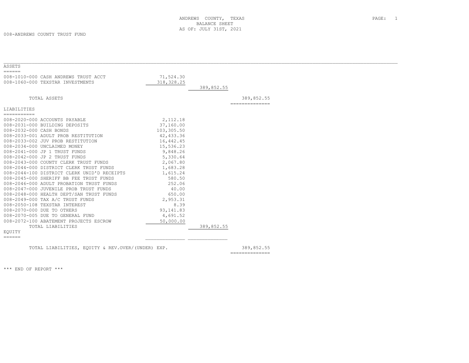008-ANDREWS COUNTY TRUST FUND

| ASSETS                                                                                                                                                                                                                                                                                                                                                                                                                                                                                   |             |            |                                                                                                                                                                                                                                                                                                                                                                                                                                                                                        |  |
|------------------------------------------------------------------------------------------------------------------------------------------------------------------------------------------------------------------------------------------------------------------------------------------------------------------------------------------------------------------------------------------------------------------------------------------------------------------------------------------|-------------|------------|----------------------------------------------------------------------------------------------------------------------------------------------------------------------------------------------------------------------------------------------------------------------------------------------------------------------------------------------------------------------------------------------------------------------------------------------------------------------------------------|--|
| $=$ $=$ $=$ $=$ $=$                                                                                                                                                                                                                                                                                                                                                                                                                                                                      |             |            |                                                                                                                                                                                                                                                                                                                                                                                                                                                                                        |  |
| 008-1010-000 CASH ANDREWS TRUST ACCT                                                                                                                                                                                                                                                                                                                                                                                                                                                     | 71,524.30   |            |                                                                                                                                                                                                                                                                                                                                                                                                                                                                                        |  |
| 008-1060-000 TEXSTAR INVESTMENTS                                                                                                                                                                                                                                                                                                                                                                                                                                                         | 318, 328.25 |            |                                                                                                                                                                                                                                                                                                                                                                                                                                                                                        |  |
|                                                                                                                                                                                                                                                                                                                                                                                                                                                                                          |             | 389,852.55 |                                                                                                                                                                                                                                                                                                                                                                                                                                                                                        |  |
|                                                                                                                                                                                                                                                                                                                                                                                                                                                                                          |             |            |                                                                                                                                                                                                                                                                                                                                                                                                                                                                                        |  |
| TOTAL ASSETS                                                                                                                                                                                                                                                                                                                                                                                                                                                                             |             |            | 389,852.55                                                                                                                                                                                                                                                                                                                                                                                                                                                                             |  |
|                                                                                                                                                                                                                                                                                                                                                                                                                                                                                          |             |            | --------------                                                                                                                                                                                                                                                                                                                                                                                                                                                                         |  |
| LIABILITIES                                                                                                                                                                                                                                                                                                                                                                                                                                                                              |             |            |                                                                                                                                                                                                                                                                                                                                                                                                                                                                                        |  |
| ===========                                                                                                                                                                                                                                                                                                                                                                                                                                                                              |             |            |                                                                                                                                                                                                                                                                                                                                                                                                                                                                                        |  |
| 008-2020-000 ACCOUNTS PAYABLE                                                                                                                                                                                                                                                                                                                                                                                                                                                            | 2,112.18    |            |                                                                                                                                                                                                                                                                                                                                                                                                                                                                                        |  |
| 008-2031-000 BUILDING DEPOSITS                                                                                                                                                                                                                                                                                                                                                                                                                                                           | 37,160.00   |            |                                                                                                                                                                                                                                                                                                                                                                                                                                                                                        |  |
| 008-2032-000 CASH BONDS                                                                                                                                                                                                                                                                                                                                                                                                                                                                  | 103,305.50  |            |                                                                                                                                                                                                                                                                                                                                                                                                                                                                                        |  |
| 008-2033-001 ADULT PROB RESTITUTION                                                                                                                                                                                                                                                                                                                                                                                                                                                      | 42,433.36   |            |                                                                                                                                                                                                                                                                                                                                                                                                                                                                                        |  |
| 008-2033-002 JUV PROB RESTITUTION                                                                                                                                                                                                                                                                                                                                                                                                                                                        | 16,442.45   |            |                                                                                                                                                                                                                                                                                                                                                                                                                                                                                        |  |
| 008-2034-000 UNCLAIMED MONEY                                                                                                                                                                                                                                                                                                                                                                                                                                                             | 15,536.23   |            |                                                                                                                                                                                                                                                                                                                                                                                                                                                                                        |  |
| 008-2041-000 JP 1 TRUST FUNDS                                                                                                                                                                                                                                                                                                                                                                                                                                                            | 9,848.26    |            |                                                                                                                                                                                                                                                                                                                                                                                                                                                                                        |  |
| 008-2042-000 JP 2 TRUST FUNDS                                                                                                                                                                                                                                                                                                                                                                                                                                                            | 5,330.64    |            |                                                                                                                                                                                                                                                                                                                                                                                                                                                                                        |  |
| 008-2043-000 COUNTY CLERK TRUST FUNDS                                                                                                                                                                                                                                                                                                                                                                                                                                                    | 2,067.80    |            |                                                                                                                                                                                                                                                                                                                                                                                                                                                                                        |  |
| 008-2044-000 DISTRICT CLERK TRUST FUNDS                                                                                                                                                                                                                                                                                                                                                                                                                                                  | 1,683.28    |            |                                                                                                                                                                                                                                                                                                                                                                                                                                                                                        |  |
| 008-2044-100 DISTRICT CLERK UNID'D RECEIPTS                                                                                                                                                                                                                                                                                                                                                                                                                                              | 1,615.24    |            |                                                                                                                                                                                                                                                                                                                                                                                                                                                                                        |  |
| 008-2045-000 SHERIFF BB FEE TRUST FUNDS                                                                                                                                                                                                                                                                                                                                                                                                                                                  | 580.50      |            |                                                                                                                                                                                                                                                                                                                                                                                                                                                                                        |  |
| 008-2046-000 ADULT PROBATION TRUST FUNDS                                                                                                                                                                                                                                                                                                                                                                                                                                                 | 252.06      |            |                                                                                                                                                                                                                                                                                                                                                                                                                                                                                        |  |
| 008-2047-000 JUVENILE PROB TRUST FUNDS                                                                                                                                                                                                                                                                                                                                                                                                                                                   | 40.00       |            |                                                                                                                                                                                                                                                                                                                                                                                                                                                                                        |  |
| 008-2048-000 HEALTH DEPT/SAN TRUST FUNDS                                                                                                                                                                                                                                                                                                                                                                                                                                                 | 650.00      |            |                                                                                                                                                                                                                                                                                                                                                                                                                                                                                        |  |
| 008-2049-000 TAX A/C TRUST FUNDS                                                                                                                                                                                                                                                                                                                                                                                                                                                         | 2,953.31    |            |                                                                                                                                                                                                                                                                                                                                                                                                                                                                                        |  |
| 008-2050-108 TEXSTAR INTEREST                                                                                                                                                                                                                                                                                                                                                                                                                                                            | 8.39        |            |                                                                                                                                                                                                                                                                                                                                                                                                                                                                                        |  |
| 008-2070-000 DUE TO OTHERS                                                                                                                                                                                                                                                                                                                                                                                                                                                               | 93, 141.83  |            |                                                                                                                                                                                                                                                                                                                                                                                                                                                                                        |  |
| 008-2070-005 DUE TO GENERAL FUND                                                                                                                                                                                                                                                                                                                                                                                                                                                         | 4,691.52    |            |                                                                                                                                                                                                                                                                                                                                                                                                                                                                                        |  |
| 008-2072-100 ABATEMENT PROJECTS ESCROW                                                                                                                                                                                                                                                                                                                                                                                                                                                   | 50,000.00   |            |                                                                                                                                                                                                                                                                                                                                                                                                                                                                                        |  |
| TOTAL LIABILITIES                                                                                                                                                                                                                                                                                                                                                                                                                                                                        |             | 389,852.55 |                                                                                                                                                                                                                                                                                                                                                                                                                                                                                        |  |
| EOUITY                                                                                                                                                                                                                                                                                                                                                                                                                                                                                   |             |            |                                                                                                                                                                                                                                                                                                                                                                                                                                                                                        |  |
| $\begin{tabular}{ll} \multicolumn{3}{l}{} & \multicolumn{3}{l}{} & \multicolumn{3}{l}{} \\ \multicolumn{3}{l}{} & \multicolumn{3}{l}{} & \multicolumn{3}{l}{} \\ \multicolumn{3}{l}{} & \multicolumn{3}{l}{} & \multicolumn{3}{l}{} \\ \multicolumn{3}{l}{} & \multicolumn{3}{l}{} & \multicolumn{3}{l}{} \\ \multicolumn{3}{l}{} & \multicolumn{3}{l}{} & \multicolumn{3}{l}{} \\ \multicolumn{3}{l}{} & \multicolumn{3}{l}{} & \multicolumn{3}{l}{} \\ \multicolumn{3}{l}{} & \multic$ |             |            |                                                                                                                                                                                                                                                                                                                                                                                                                                                                                        |  |
|                                                                                                                                                                                                                                                                                                                                                                                                                                                                                          |             |            |                                                                                                                                                                                                                                                                                                                                                                                                                                                                                        |  |
| TOTAL LIABILITIES, EQUITY & REV.OVER/(UNDER) EXP.                                                                                                                                                                                                                                                                                                                                                                                                                                        |             |            | 389,852.55                                                                                                                                                                                                                                                                                                                                                                                                                                                                             |  |
|                                                                                                                                                                                                                                                                                                                                                                                                                                                                                          |             |            | $\begin{array}{cccccccccc} \multicolumn{2}{c}{} & \multicolumn{2}{c}{} & \multicolumn{2}{c}{} & \multicolumn{2}{c}{} & \multicolumn{2}{c}{} & \multicolumn{2}{c}{} & \multicolumn{2}{c}{} & \multicolumn{2}{c}{} & \multicolumn{2}{c}{} & \multicolumn{2}{c}{} & \multicolumn{2}{c}{} & \multicolumn{2}{c}{} & \multicolumn{2}{c}{} & \multicolumn{2}{c}{} & \multicolumn{2}{c}{} & \multicolumn{2}{c}{} & \multicolumn{2}{c}{} & \multicolumn{2}{c}{} & \multicolumn{2}{c}{} & \mult$ |  |

\*\*\* END OF REPORT \*\*\*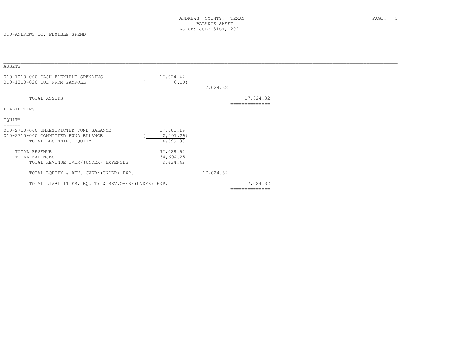010-ANDREWS CO. FEXIBLE SPEND

| ASSETS                                                                                                  |                                    |           |                             |  |
|---------------------------------------------------------------------------------------------------------|------------------------------------|-----------|-----------------------------|--|
| ======<br>010-1010-000 CASH FLEXIBLE SPENDING<br>010-1310-020 DUE FROM PAYROLL                          | 17,024.42<br>0.10)                 | 17,024.32 |                             |  |
| TOTAL ASSETS                                                                                            |                                    |           | 17,024.32<br>=============  |  |
| LIABILITIES                                                                                             |                                    |           |                             |  |
|                                                                                                         |                                    |           |                             |  |
| EQUITY<br>======                                                                                        |                                    |           |                             |  |
| 010-2710-000 UNRESTRICTED FUND BALANCE<br>010-2715-000 COMMITTED FUND BALANCE<br>TOTAL BEGINNING EQUITY | 17,001.19<br>2,401.29<br>14,599.90 |           |                             |  |
| TOTAL REVENUE<br>TOTAL EXPENSES<br>TOTAL REVENUE OVER/(UNDER) EXPENSES                                  | 37,028.67<br>34,604.25<br>2,424.42 |           |                             |  |
| TOTAL EQUITY & REV. OVER/(UNDER) EXP.                                                                   |                                    | 17,024.32 |                             |  |
| TOTAL LIABILITIES, EQUITY & REV.OVER/(UNDER) EXP.                                                       |                                    |           | 17,024.32<br>-------------- |  |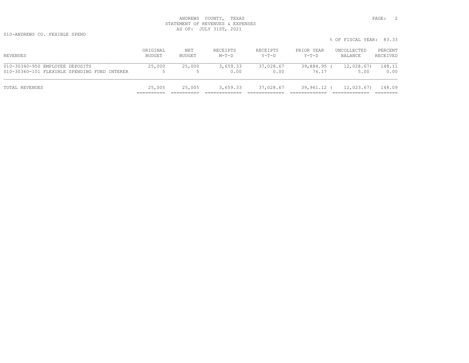# ANDREWS COUNTY, TEXAS **PAGE:** 2 STATEMENT OF REVENUES & EXPENSES AS OF: JULY 31ST, 2021

010-ANDREWS CO. FEXIBLE SPEND

|                                                                                 |                    |               |                     |                   |                      | % OF FISCAL YEAR: 83.33 |                     |
|---------------------------------------------------------------------------------|--------------------|---------------|---------------------|-------------------|----------------------|-------------------------|---------------------|
| REVENUES                                                                        | ORIGINAL<br>BUDGET | NET<br>BUDGET | RECEIPTS<br>$M-T-D$ | RECEIPTS<br>Y-T-D | PRIOR YEAR<br>Y-T-D  | UNCOLLECTED<br>BALANCE  | PERCENT<br>RECEIVED |
| 010-30340-950 EMPLOYEE DEPOSITS<br>010-30360-101 FLEXIBLE SPENDING FUND INTERER | 25,000             | 25,000        | 3,659.33<br>0.00    | 37,028.67<br>0.00 | 39,884.95 (<br>76.17 | 12,028.67)<br>5.00      | 148.11<br>0.00      |
| TOTAL REVENUES                                                                  | 25,005             | 25,005        | 3,659.33            | 37,028.67         | 39,961.12 (          | 12,023.67)              | 148.09              |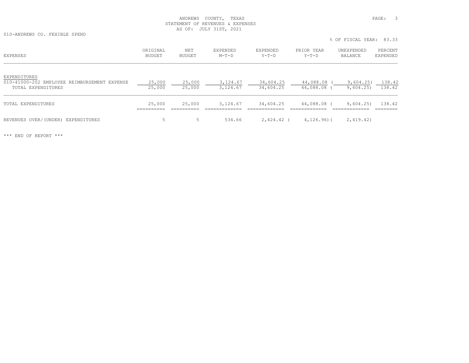# ANDREWS COUNTY, TEXAS **PAGE:** 3 STATEMENT OF REVENUES & EXPENSES AS OF: JULY 31ST, 2021

010-ANDREWS CO. FEXIBLE SPEND

% OF FISCAL YEAR: 83.33

| EXPENSES                                                                           | ORIGINAL<br>BUDGET | NET<br>BUDGET    | EXPENDED<br>$M-T-D$  | EXPENDED<br>$Y-T-D$    | PRIOR YEAR<br>$Y-T-D$  | UNEXPENDED<br>BALANCE | PERCENT<br><b>EXPENDED</b> |
|------------------------------------------------------------------------------------|--------------------|------------------|----------------------|------------------------|------------------------|-----------------------|----------------------------|
| EXPENDITURES<br>010-41000-202 EMPLOYEE REIMBURSEMENT EXPENSE<br>TOTAL EXPENDITURES | 25,000<br>25,000   | 25,000<br>25,000 | 3,124.67<br>3,124.67 | 34,604.25<br>34,604.25 | 44,088.08<br>44,088.08 | 9,604.25)<br>9,604.25 | 138.42<br>138.42           |
| TOTAL EXPENDITURES                                                                 | 25,000             | 25,000           | 3,124.67             | 34,604.25              | 44,088.08 (            | 9,604.25              | 138.42                     |
| REVENUES OVER/(UNDER) EXPENDITURES                                                 | .5                 |                  | 534.66               | 2,424.42 (             | $4, 126, 96$ ) (       | 2,419.42)             |                            |

\*\*\* END OF REPORT \*\*\*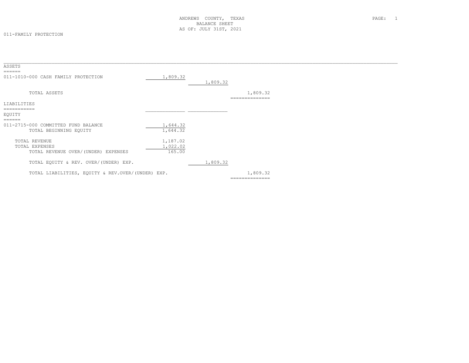#### 011-FAMILY PROTECTION

| ASSETS                                                                 |                                |          |                            |  |
|------------------------------------------------------------------------|--------------------------------|----------|----------------------------|--|
| ======<br>011-1010-000 CASH FAMILY PROTECTION                          | 1,809.32                       | 1,809.32 |                            |  |
| TOTAL ASSETS                                                           |                                |          | 1,809.32<br>============== |  |
| LIABILITIES                                                            |                                |          |                            |  |
| EQUITY<br>======                                                       |                                |          |                            |  |
| 011-2715-000 COMMITTED FUND BALANCE<br>TOTAL BEGINNING EQUITY          | 1,644.32<br>1,644.32           |          |                            |  |
| TOTAL REVENUE<br>TOTAL EXPENSES<br>TOTAL REVENUE OVER/(UNDER) EXPENSES | 1,187.02<br>1,022.02<br>165.00 |          |                            |  |
| TOTAL EQUITY & REV. OVER/(UNDER) EXP.                                  |                                | 1,809.32 |                            |  |
| TOTAL LIABILITIES, EQUITY & REV.OVER/(UNDER) EXP.                      |                                |          | 1,809.32<br>============== |  |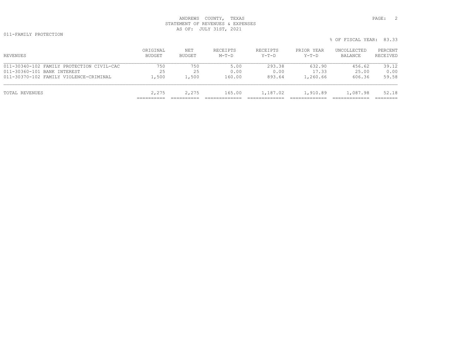# ANDREWS COUNTY, TEXAS **PAGE:** 2 STATEMENT OF REVENUES & EXPENSES AS OF: JULY 31ST, 2021

011-FAMILY PROTECTION

| REVENUES                                  | ORIGINAL<br>BUDGET | NET<br>BUDGET | RECEIPTS<br>$M-T-D$ | RECEIPTS<br>Y-T-D | PRIOR YEAR<br>Y-T-D | UNCOLLECTED<br>BALANCE | PERCENT<br>RECEIVED |
|-------------------------------------------|--------------------|---------------|---------------------|-------------------|---------------------|------------------------|---------------------|
| 011-30340-102 FAMILY PROTECTION CIVIL-CAC | 750                | 750           | 5.00                | 293.38            | 632.90              | 456.62                 | 39.12               |
| 011-30360-101 BANK INTEREST               | 25                 | 25            | 0.00                | 0.00              | 17.33               | 25.00                  | 0.00                |
| 011-30370-102 FAMILY VIOLENCE-CRIMINAL    | 1,500              | 1,500         | 160.00              | 893.64            | 1,260.66            | 606.36                 | 59.58               |
| TOTAL REVENUES                            | 2,275              | 2,275         | 165.00              | 1,187.02          | 1,910.89            | 1,087.98               | 52.18               |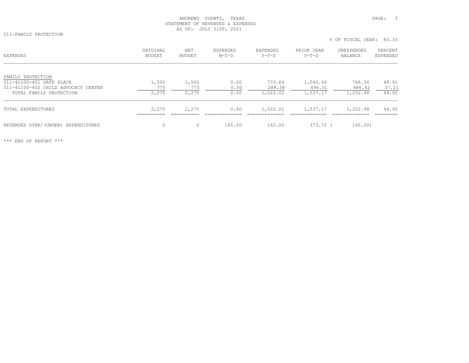## ANDREWS COUNTY, TEXAS **PAGE:** 3 STATEMENT OF REVENUES & EXPENSES AS OF: JULY 31ST, 2021

011-FAMILY PROTECTION

| <b>EXPENSES</b>                                                                                                 | ORIGINAL<br><b>BUDGET</b> | NET<br><b>BUDGET</b>  | EXPENDED<br>$M-T-D$  | EXPENDED<br>$Y-T-D$          | PRIOR YEAR<br>$Y-T-D$          | UNEXPENDED<br>BALANCE        | PERCENT<br>EXPENDED     |
|-----------------------------------------------------------------------------------------------------------------|---------------------------|-----------------------|----------------------|------------------------------|--------------------------------|------------------------------|-------------------------|
| FAMILY PROTECTION<br>011-41100-401 SAFE PLACE<br>011-41100-402 CHILD ADVOCACY CENTER<br>TOTAL FAMILY PROTECTION | 1,500<br>775<br>2,275     | 1,500<br>775<br>2,275 | 0.00<br>0.00<br>0.00 | 733.64<br>288.38<br>1,022.02 | 1,040.66<br>496.51<br>1,537.17 | 766.36<br>486.62<br>1,252.98 | 48.91<br>37.21<br>44.92 |
| TOTAL EXPENDITURES                                                                                              | 2,275<br>----------       | 2,275                 | 0.00                 | 1,022.02                     | 1,537.17                       | 1,252.98                     | 44.92                   |
| REVENUES OVER/(UNDER) EXPENDITURES                                                                              | 0                         | $\Omega$              | 165.00               | 165.00                       | 373.72 (                       | 165.00)                      |                         |

\*\*\* END OF REPORT \*\*\*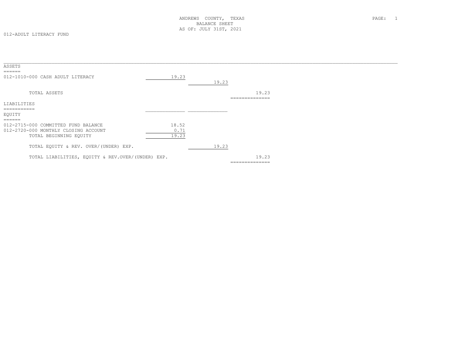| ASSETS<br>$=$ $=$ $=$ $=$ $=$                     |       |       |                         |
|---------------------------------------------------|-------|-------|-------------------------|
| 012-1010-000 CASH ADULT LITERACY                  | 19.23 |       |                         |
|                                                   |       | 19.23 |                         |
| TOTAL ASSETS                                      |       |       | 19.23<br>______________ |
| LIABILITIES                                       |       |       |                         |
|                                                   |       |       |                         |
| EQUITY                                            |       |       |                         |
| $=$ $=$ $=$ $=$ $=$                               |       |       |                         |
| 012-2715-000 COMMITTED FUND BALANCE               | 18.52 |       |                         |
| 012-2720-000 MONTHLY CLOSING ACCOUNT              | 0.71  |       |                         |
| TOTAL BEGINNING EQUITY                            | 19.23 |       |                         |
| TOTAL EQUITY & REV. OVER/(UNDER) EXP.             |       | 19.23 |                         |
| TOTAL LIABILITIES, EQUITY & REV.OVER/(UNDER) EXP. |       |       | 19.23                   |
|                                                   |       |       | --------------          |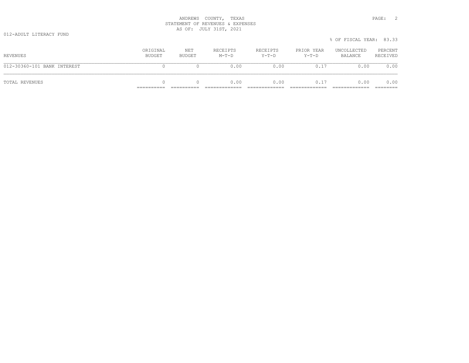# ANDREWS COUNTY, TEXAS **PAGE:** 2 STATEMENT OF REVENUES & EXPENSES AS OF: JULY 31ST, 2021

|                             |                    |               |                     |                     |                       | % OF FISCAL YEAR: 83.33 |                     |
|-----------------------------|--------------------|---------------|---------------------|---------------------|-----------------------|-------------------------|---------------------|
| REVENUES                    | ORIGINAL<br>BUDGET | NET<br>BUDGET | RECEIPTS<br>$M-T-D$ | RECEIPTS<br>$Y-T-D$ | PRIOR YEAR<br>$Y-T-D$ | UNCOLLECTED<br>BALANCE  | PERCENT<br>RECEIVED |
| 012-30360-101 BANK INTEREST |                    |               | 0.00                | 0.00                | 0.17                  | 0.00                    | 0.00                |
| TOTAL REVENUES              | 0                  |               | 0.00                | 0.00                | 0.17                  | 0.00                    | 0.00                |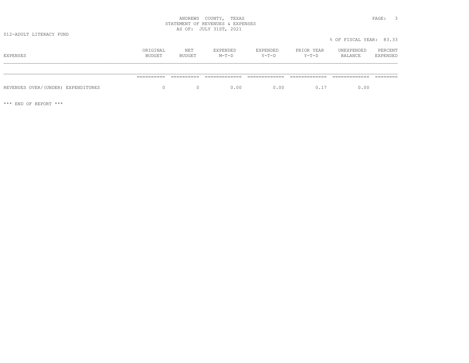# ANDREWS COUNTY, TEXAS **PAGE:** 3 STATEMENT OF REVENUES & EXPENSES AS OF: JULY 31ST, 2021

|                                    |                    |               |                     |                     |                       | % OF FISCAL YEAR: 83.33 |                     |
|------------------------------------|--------------------|---------------|---------------------|---------------------|-----------------------|-------------------------|---------------------|
| EXPENSES                           | ORIGINAL<br>BUDGET | NET<br>BUDGET | EXPENDED<br>$M-T-D$ | EXPENDED<br>$Y-T-D$ | PRIOR YEAR<br>$Y-T-D$ | UNEXPENDED<br>BALANCE   | PERCENT<br>EXPENDED |
|                                    |                    |               |                     |                     |                       |                         |                     |
|                                    | ==========         | ==========    |                     |                     |                       |                         |                     |
| REVENUES OVER/(UNDER) EXPENDITURES | $\Omega$           |               | 0.00                | 0.00                | 0.17                  | 0.00                    |                     |

\*\*\* END OF REPORT \*\*\*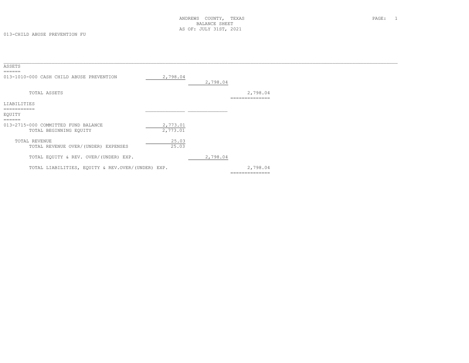| ASSETS                                            |          |          |                |  |
|---------------------------------------------------|----------|----------|----------------|--|
|                                                   |          |          |                |  |
| 013-1010-000 CASH CHILD ABUSE PREVENTION          | 2,798.04 |          |                |  |
|                                                   |          | 2,798.04 |                |  |
|                                                   |          |          |                |  |
| TOTAL ASSETS                                      |          |          | 2,798.04       |  |
|                                                   |          |          | ============== |  |
| LIABILITIES                                       |          |          |                |  |
| -----------<br>EQUITY                             |          |          |                |  |
| ======                                            |          |          |                |  |
| 013-2715-000 COMMITTED FUND BALANCE               | 2,773.01 |          |                |  |
| TOTAL BEGINNING EQUITY                            | 2,773.01 |          |                |  |
|                                                   |          |          |                |  |
| TOTAL REVENUE                                     | 25.03    |          |                |  |
| TOTAL REVENUE OVER/(UNDER) EXPENSES               | 25.03    |          |                |  |
|                                                   |          |          |                |  |
| TOTAL EQUITY & REV. OVER/(UNDER) EXP.             |          | 2,798.04 |                |  |
|                                                   |          |          |                |  |
| TOTAL LIABILITIES, EQUITY & REV.OVER/(UNDER) EXP. |          |          | 2,798.04       |  |
|                                                   |          |          | -------------- |  |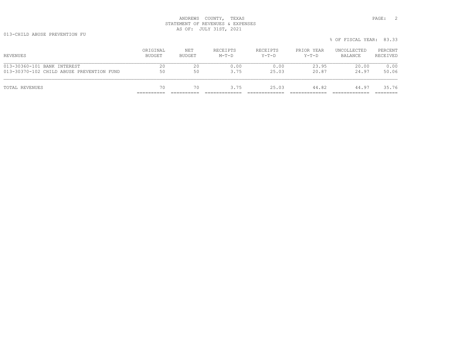# ANDREWS COUNTY, TEXAS **PAGE:** 2 STATEMENT OF REVENUES & EXPENSES AS OF: JULY 31ST, 2021

013-CHILD ABUSE PREVENTION FU

| VIJTURILD ADUJE FREVENIIUN FU |          |        |          |          |            | % OF FISCAL YEAR: 83.33 |          |
|-------------------------------|----------|--------|----------|----------|------------|-------------------------|----------|
|                               | ORIGINAL | NET    | RECEIPTS | RECEIPTS | PRIOR YEAR | UNCOLLECTED             | PERCENT  |
| REVENUES                      | BUDGET   | BUDGET | $M-T-D$  | $Y-T-D$  | $Y-T-D$    | BALANCE                 | RECEIVED |

| TOTAL REVENUES                            | 70       | 70      | 3.75     | 25.03    | 44.82      | 44.97       | 35.76    |
|-------------------------------------------|----------|---------|----------|----------|------------|-------------|----------|
|                                           |          |         |          |          |            |             |          |
| 013-30370-102 CHILD ABUSE PREVENTION FUND | 50       | 50      | 3.75     | 25.03    | 20.87      | 24.97       | 50.06    |
| 013-30360-101 BANK INTEREST               | 20       | 20      | 0.00     | 0.00     | 23.95      | 20.00       | 0.00     |
|                                           |          |         |          |          |            |             |          |
| REVENUES                                  | BUDGET   | BUDGET  | $M-T-D$  | $Y-T-D$  | $Y-T-D$    | BALANCE     | RECEIVED |
|                                           | URIGINAL | IN EL L | RBUBIFID | RBUBIFID | FRIUR ILAR | UNCOPPECIED | FERCENI  |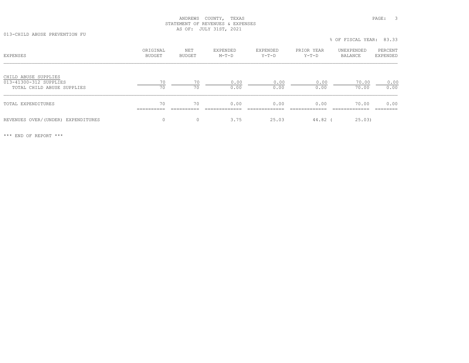# ANDREWS COUNTY, TEXAS **PAGE:** 3 STATEMENT OF REVENUES & EXPENSES AS OF: JULY 31ST, 2021

013-CHILD ABUSE PREVENTION FU

| <b>EXPENSES</b>                                                              | ORIGINAL<br>BUDGET | NET<br>BUDGET | EXPENDED<br>$M-T-D$ | EXPENDED<br>$Y-T-D$ | PRIOR YEAR<br>$Y-T-D$ | UNEXPENDED<br>BALANCE | PERCENT<br>EXPENDED |
|------------------------------------------------------------------------------|--------------------|---------------|---------------------|---------------------|-----------------------|-----------------------|---------------------|
| CHILD ABUSE SUPPLIES<br>013-41300-312 SUPPLIES<br>TOTAL CHILD ABUSE SUPPLIES | 70<br>70           | 70<br>70      | 0.00<br>0.00        | 0.00<br>0.00        | 0.00<br>0.00          | 70.00<br>70.00        | 0.00<br>0.00        |
| TOTAL EXPENDITURES                                                           | 70<br>----------   | 70            | 0.00                | 0.00                | 0.00                  | 70.00                 | 0.00                |
| REVENUES OVER/(UNDER) EXPENDITURES                                           | $\Omega$           | $\Omega$      | 3.75                | 25.03               | 44.82                 | 25.03)                |                     |

% OF FISCAL YEAR: 83.33

\*\*\* END OF REPORT \*\*\*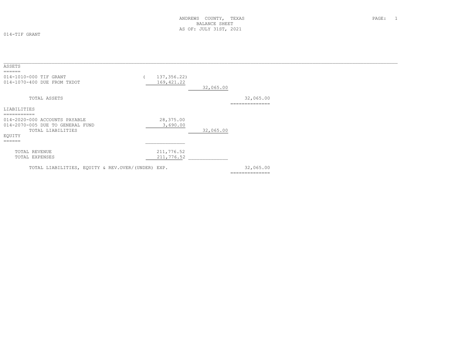014-TIF GRANT

| ASSETS                                                                                                                                 |                            |                             |
|----------------------------------------------------------------------------------------------------------------------------------------|----------------------------|-----------------------------|
| $=$ $=$ $=$ $=$ $=$ $=$<br>014-1010-000 TIF GRANT<br>014-1070-400 DUE FROM TXDOT                                                       | 137,356.22)<br>169, 421.22 | 32,065.00                   |
| TOTAL ASSETS                                                                                                                           |                            | 32,065.00<br>-------------- |
| LIABILITIES                                                                                                                            |                            |                             |
| ===========<br>014-2020-000 ACCOUNTS PAYABLE<br>014-2070-005 DUE TO GENERAL FUND<br>TOTAL LIABILITIES<br>EQUITY<br>$=$ $=$ $=$ $=$ $=$ | 28,375.00<br>3,690.00      | 32,065.00                   |
| TOTAL REVENUE<br>TOTAL EXPENSES                                                                                                        | 211,776.52<br>211,776.52   |                             |
| TOTAL LIABILITIES, EQUITY & REV. OVER/(UNDER) EXP.                                                                                     |                            | 32,065.00<br>-------------- |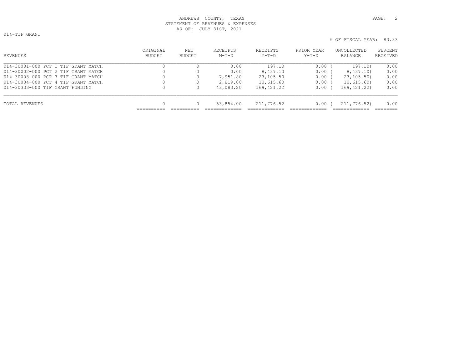# ANDREWS COUNTY, TEXAS and the set of the set of the set of the set of the set of the set of the set of the set of the set of the set of the set of the set of the set of the set of the set of the set of the set of the set o STATEMENT OF REVENUES & EXPENSES AS OF: JULY 31ST, 2021

014-TIF GRANT

ORIGINAL NET RECEIPTS RECEIPTS PRIOR YEAR UNCOLLECTED PERCENT<br>BUDGET BUDGET M-T-D Y-T-D Y-T-D BALANCE RECEIVED \_\_\_\_\_\_\_\_\_\_\_\_\_\_\_\_\_\_\_\_\_\_\_\_\_\_\_\_\_\_\_\_\_\_\_\_\_\_\_\_\_\_\_\_\_\_\_\_\_\_\_\_\_\_\_\_\_\_\_\_\_\_\_\_\_\_\_\_\_\_\_\_\_\_\_\_\_\_\_\_\_\_\_\_\_\_\_\_\_\_\_\_\_\_\_\_\_\_\_\_\_\_\_\_\_\_\_\_\_\_\_\_\_\_\_\_\_\_\_\_\_\_\_\_\_\_\_\_\_\_\_\_\_\_\_\_\_\_\_ 014-30001-000 PCT 1 TIF GRANT MATCH 0 0 0.00 197.10 0.00 ( 197.10) 0.00 014-30002-000 PCT 2 TIF GRANT MATCH 0 0 0.00 8,437.10 0.00 ( 8,437.10) 0.00 014-30003-000 PCT 3 TIF GRANT MATCH 0 7,951.80 23,105.50 0.00 ( 23,105.50) 0.00 014-30004-000 PCT 4 TIF GRANT MATCH 0 0.615.60 0.00 ( 10,615.60) 0.00 014-30333-000 TIF GRANT FUNDING 0 0 43,083.20 169,421.22 0.00 ( 169,421.22) 0.00 TOTAL REVENUES **1.2.1.2.3.3.2.3.3.3.2.3.3.3.2.4.3.3.3.3.3.3.4.00** 0 53,854.00 211,776.52 0.00 0 0.00 0 211,776.52 ========== ========== ============= ============= ============= ============= ========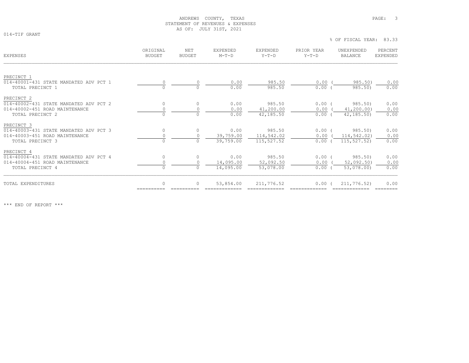## ANDREWS COUNTY, TEXAS **PAGE:** 3 STATEMENT OF REVENUES & EXPENSES AS OF: JULY 31ST, 2021

014-TIF GRANT

| <b>EXPENSES</b>                        | ORTGINAL<br><b>BUDGET</b> | NET<br><b>BUDGET</b> | <b>EXPENDED</b><br>$M-T-D$ | EXPENDED<br>$Y-T-D$ | PRIOR YEAR<br>$Y-T-D$ | UNEXPENDED<br><b>BALANCE</b> | PERCENT<br><b>EXPENDED</b> |
|----------------------------------------|---------------------------|----------------------|----------------------------|---------------------|-----------------------|------------------------------|----------------------------|
|                                        |                           |                      |                            |                     |                       |                              |                            |
| PRECINCT 1                             |                           |                      |                            |                     |                       |                              |                            |
| 014-40001-431 STATE MANDATED ADV PCT 1 |                           |                      | 0.00                       | 985.50              | 0.00(                 | 985.50)                      | 0.00                       |
| TOTAL PRECINCT 1                       | $\Omega$                  |                      | 0.00                       | 985.50              | $0.00$ (              | 985.50)                      | 0.00                       |
| PRECINCT 2                             |                           |                      |                            |                     |                       |                              |                            |
| 014-40002-431 STATE MANDATED ADV PCT 2 | $\mathbf{0}$              | $\Omega$             | 0.00                       | 985.50              | $0.00$ (              | 985.50)                      | 0.00                       |
| 014-40002-451 ROAD MAINTENANCE         | $\circ$                   | $\Omega$             | 0.00                       | 41,200.00           | 0.00                  | 41, 200.00)                  | 0.00                       |
| TOTAL PRECINCT 2                       | $\circ$                   | $\Omega$             | 0.00                       | 42,185.50           | $0.00$ (              | 42, 185, 50)                 | 0.00                       |
| PRECINCT 3                             |                           |                      |                            |                     |                       |                              |                            |
| 014-40003-431 STATE MANDATED ADV PCT 3 | $\circ$                   | $\Omega$             | 0.00                       | 985.50              | $0.00$ (              | 985.50)                      | 0.00                       |
| 014-40003-451 ROAD MAINTENANCE         | $\circ$                   | $\Omega$             | 39,759.00                  | 114,542.02          | $0.00$ (              | 114,542.02)                  | 0.00                       |
| TOTAL PRECINCT 3                       | $\circ$                   | $\Omega$             | 39,759.00                  | 115,527.52          | 0.00(                 | 115, 527.52)                 | 0.00                       |
| PRECINCT 4                             |                           |                      |                            |                     |                       |                              |                            |
| 014-40004-431 STATE MANDATED ADV PCT 4 | $\circ$                   | $\Omega$             | 0.00                       | 985.50              | $0.00$ (              | 985.50)                      | 0.00                       |
| 014-40004-451 ROAD MAINTENANCE         | $\circ$                   | $\Omega$             | 14,095.00                  | 52,092.50           | 0.00                  | 52,092.50                    | 0.00                       |
| TOTAL PRECINCT 4                       | $\circ$                   |                      | 14,095.00                  | 53,078.00           | $0.00$ (              | 53,078.00)                   | 0.00                       |
|                                        | $\Omega$                  |                      |                            |                     |                       |                              |                            |
| TOTAL EXPENDITURES                     |                           |                      | 53,854.00                  | 211,776.52          | $0.00$ (              | 211,776.52)                  | 0.00                       |

\*\*\* END OF REPORT \*\*\*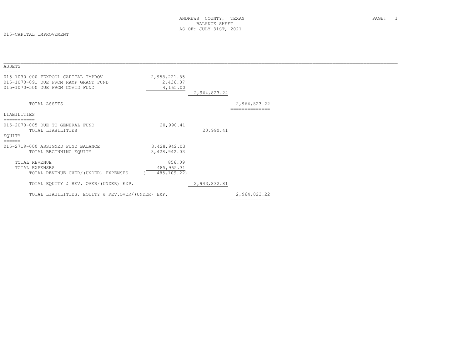015-CAPITAL IMPROVEMENT

| ASSETS                                                                                                                     |                                      |              |                                |  |
|----------------------------------------------------------------------------------------------------------------------------|--------------------------------------|--------------|--------------------------------|--|
| ======<br>015-1030-000 TEXPOOL CAPITAL IMPROV<br>015-1070-091 DUE FROM RAMP GRANT FUND<br>015-1070-500 DUE FROM COVID FUND | 2,958,221.85<br>2,436.37<br>4,165.00 | 2,964,823.22 |                                |  |
| TOTAL ASSETS                                                                                                               |                                      |              | 2,964,823.22<br>============== |  |
| LIABILITIES                                                                                                                |                                      |              |                                |  |
|                                                                                                                            |                                      |              |                                |  |
| 015-2070-005 DUE TO GENERAL FUND                                                                                           | 20,990.41                            |              |                                |  |
| TOTAL LIABILITIES<br>EQUITY                                                                                                |                                      | 20,990.41    |                                |  |
| ======                                                                                                                     |                                      |              |                                |  |
| 015-2719-000 ASSIGNED FUND BALANCE<br>TOTAL BEGINNING EQUITY                                                               | 3,428,942.03<br>3,428,942.03         |              |                                |  |
| TOTAL REVENUE                                                                                                              | 856.09                               |              |                                |  |
| TOTAL EXPENSES                                                                                                             | 485, 965.31                          |              |                                |  |
| TOTAL REVENUE OVER/(UNDER) EXPENSES                                                                                        | 485,109.22)                          |              |                                |  |
| TOTAL EQUITY & REV. OVER/(UNDER) EXP.                                                                                      |                                      | 2,943,832.81 |                                |  |
| TOTAL LIABILITIES, EQUITY & REV.OVER/(UNDER) EXP.                                                                          |                                      |              | 2,964,823.22<br>============== |  |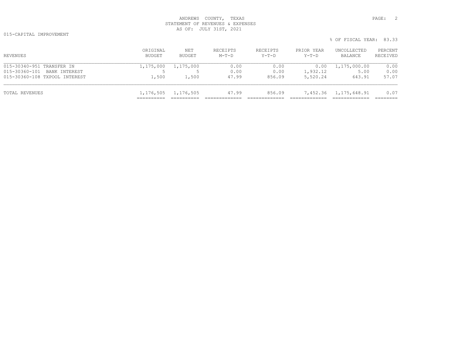# ANDREWS COUNTY, TEXAS **PAGE:** 2 STATEMENT OF REVENUES & EXPENSES AS OF: JULY 31ST, 2021

015-CAPITAL IMPROVEMENT

| REVENUES                      | ORIGINAL<br>BUDGET | NET<br>BUDGET | RECEIPTS<br>$M-T-D$ | RECEIPTS<br>Y-T-D | PRIOR YEAR<br>Y-T-D | UNCOLLECTED<br>BALANCE | PERCENT<br>RECEIVED |
|-------------------------------|--------------------|---------------|---------------------|-------------------|---------------------|------------------------|---------------------|
| 015-30340-951 TRANSFER IN     | 1,175,000          | 1,175,000     | 0.00                | 0.00              | 0.00                | 1,175,000.00           | 0.00                |
| 015-30360-101 BANK INTEREST   |                    |               | 0.00                | 0.00              | 1,932.12            | 5.00                   | 0.00                |
| 015-30360-108 TXPOOL INTEREST | 1,500              | 1,500         | 47.99               | 856.09            | 5,520.24            | 643.91                 | 57.07               |
| TOTAL REVENUES                | 1,176,505          | 1,176,505     | 47.99               | 856.09            |                     | 7,452.36 1,175,648.91  | 0.07                |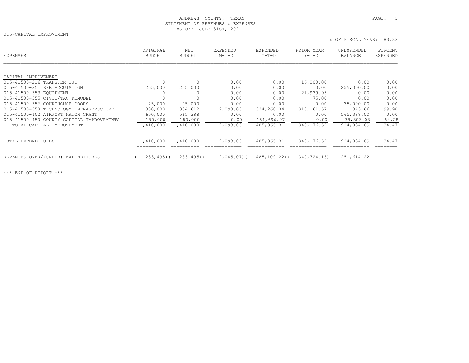## ANDREWS COUNTY, TEXAS **PAGE:** 3 STATEMENT OF REVENUES & EXPENSES AS OF: JULY 31ST, 2021

015-CAPITAL IMPROVEMENT

| EXPENSES                                  | ORIGINAL<br>BUDGET | NET<br><b>BUDGET</b> | EXPENDED<br>$M-T-D$ | EXPENDED<br>Y-T-D | PRIOR YEAR<br>$Y-T-D$ | UNEXPENDED<br>BALANCE | PERCENT<br><b>EXPENDED</b> |
|-------------------------------------------|--------------------|----------------------|---------------------|-------------------|-----------------------|-----------------------|----------------------------|
|                                           |                    |                      |                     |                   |                       |                       |                            |
| CAPITAL IMPROVEMENT                       |                    |                      |                     |                   |                       |                       |                            |
| 015-41500-216 TRANSFER OUT                | $\mathbf{0}$       | $\circ$              | 0.00                | 0.00              | 16,000.00             | 0.00                  | 0.00                       |
| 015-41500-351 R/E ACOUISTION              | 255,000            | 255,000              | 0.00                | 0.00              | 0.00                  | 255,000.00            | 0.00                       |
| 015-41500-353 EQUIPMENT                   |                    | $\Omega$             | 0.00                | 0.00              | 21,939.95             | 0.00                  | 0.00                       |
| 015-41500-355 CIVIC/TAC REMODEL           |                    |                      | 0.00                | 0.00              | 75.00                 | 0.00                  | 0.00                       |
| 015-41500-356 COURTHOUSE DOORS            | 75,000             | 75,000               | 0.00                | 0.00              | 0.00                  | 75,000.00             | 0.00                       |
| 015-41500-358 TECHNOLOGY INFRASTRUCTURE   | 300,000            | 334,612              | 2,093.06            | 334,268.34        | 310,161.57            | 343.66                | 99.90                      |
| 015-41500-402 AIRPORT MATCH GRANT         | 600,000            | 565,388              | 0.00                | 0.00              | 0.00                  | 565,388.00            | 0.00                       |
| 015-41500-450 COUNTY CAPITAL IMPROVEMENTS | 180,000            | 180,000              | 0.00                | 151,696.97        | 0.00                  | 28,303.03             | 84.28                      |
| TOTAL CAPITAL IMPROVEMENT                 | 1,410,000          | 1,410,000            | 2,093.06            | 485,965.31        | 348,176.52            | 924,034.69            | 34.47                      |
| TOTAL EXPENDITURES                        | 1,410,000          | 1,410,000            | 2,093.06            | 485, 965.31       | 348,176.52            | 924,034.69            | 34.47                      |
| REVENUES OVER/(UNDER) EXPENDITURES        | $233, 495$ ) (     | $233, 495$ ) (       | $2,045.07$ ) (      | 485,109.22)(      | 340,724.16)           | 251,614.22            |                            |

\*\*\* END OF REPORT \*\*\*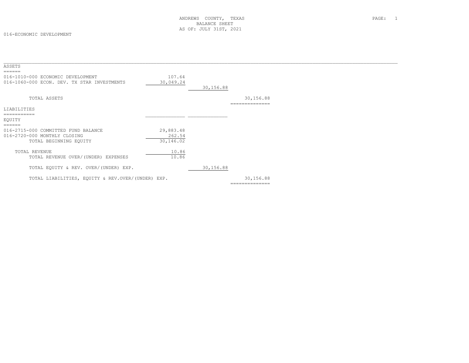| ASSETS                                             |           |           |                |  |
|----------------------------------------------------|-----------|-----------|----------------|--|
| ======                                             |           |           |                |  |
| 016-1010-000 ECONOMIC DEVELOPMENT                  | 107.64    |           |                |  |
| 016-1060-000 ECON. DEV. TX STAR INVESTMENTS        | 30,049.24 |           |                |  |
|                                                    |           |           |                |  |
|                                                    |           | 30,156.88 |                |  |
| TOTAL ASSETS                                       |           |           | 30,156.88      |  |
|                                                    |           |           | ============== |  |
| LIABILITIES                                        |           |           |                |  |
|                                                    |           |           |                |  |
| EQUITY                                             |           |           |                |  |
| ======                                             |           |           |                |  |
| 016-2715-000 COMMITTED FUND BALANCE                | 29,883.48 |           |                |  |
| 016-2720-000 MONTHLY CLOSING                       | 262.54    |           |                |  |
| TOTAL BEGINNING EQUITY                             | 30,146.02 |           |                |  |
|                                                    |           |           |                |  |
| TOTAL REVENUE                                      | 10.86     |           |                |  |
| TOTAL REVENUE OVER/(UNDER) EXPENSES                | 10.86     |           |                |  |
|                                                    |           |           |                |  |
| TOTAL EQUITY & REV. OVER/(UNDER) EXP.              |           | 30,156.88 |                |  |
|                                                    |           |           |                |  |
| TOTAL LIABILITIES, EQUITY & REV. OVER/(UNDER) EXP. |           |           | 30,156.88      |  |
|                                                    |           |           | ============== |  |
|                                                    |           |           |                |  |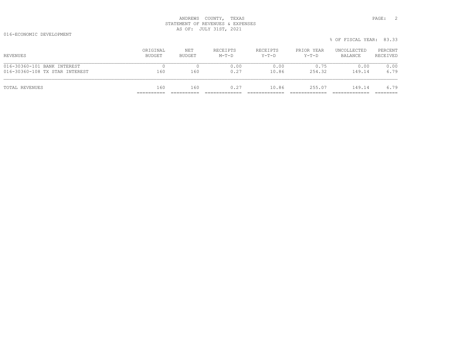016-ECONOMIC DEVELOPMENT

| TOTAL REVENUES                                                | 160                | 160           | 0.27                | 10.86               | 255.07                | 149.14                                            | 6.79                |
|---------------------------------------------------------------|--------------------|---------------|---------------------|---------------------|-----------------------|---------------------------------------------------|---------------------|
| 016-30360-101 BANK INTEREST<br>016-30360-108 TX STAR INTEREST | 160                | 160           | 0.00<br>0.27        | 0.00<br>10.86       | 0.75<br>254.32        | 0.00<br>149.14                                    | 0.00<br>6.79        |
| REVENUES                                                      | ORIGINAL<br>BUDGET | NET<br>BUDGET | RECEIPTS<br>$M-T-D$ | RECEIPTS<br>$Y-T-D$ | PRIOR YEAR<br>$Y-T-D$ | % OF FISCAL YEAR: 83.33<br>UNCOLLECTED<br>BALANCE | PERCENT<br>RECEIVED |
|                                                               |                    |               |                     |                     |                       |                                                   |                     |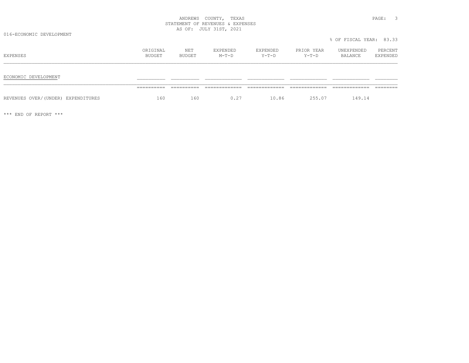016-ECONOMIC DEVELOPMENT

|                                    |                    |               |                     |                   |                       | 0 OF FIOCHE IEIN. 00.00 |                     |
|------------------------------------|--------------------|---------------|---------------------|-------------------|-----------------------|-------------------------|---------------------|
| EXPENSES                           | ORIGINAL<br>BUDGET | NET<br>BUDGET | EXPENDED<br>$M-T-D$ | EXPENDED<br>Y-T-D | PRIOR YEAR<br>$Y-T-D$ | UNEXPENDED<br>BALANCE   | PERCENT<br>EXPENDED |
| ECONOMIC DEVELOPMENT               |                    |               |                     |                   |                       |                         |                     |
|                                    | ----------         |               |                     |                   | _____________         |                         |                     |
| REVENUES OVER/(UNDER) EXPENDITURES | 160                | 160           | 0.27                | 10.86             | 255.07                | 149.14                  |                     |

\*\*\* END OF REPORT \*\*\*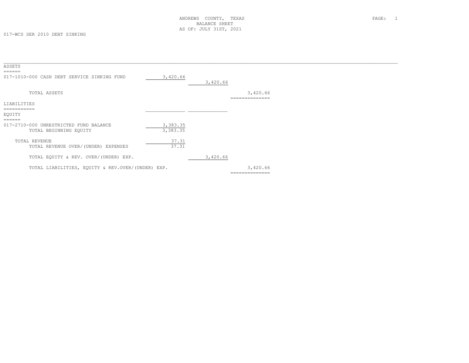| ASSETS                                            |          |          |                |  |
|---------------------------------------------------|----------|----------|----------------|--|
|                                                   |          |          |                |  |
| 017-1010-000 CASH DEBT SERVICE SINKING FUND       | 3,420.66 |          |                |  |
|                                                   |          | 3,420.66 |                |  |
|                                                   |          |          |                |  |
| TOTAL ASSETS                                      |          |          | 3,420.66       |  |
| LIABILITIES                                       |          |          | ============== |  |
| ----------                                        |          |          |                |  |
| EQUITY                                            |          |          |                |  |
|                                                   |          |          |                |  |
| 017-2710-000 UNRESTRICTED FUND BALANCE            | 3,383.35 |          |                |  |
| TOTAL BEGINNING EQUITY                            | 3,383.35 |          |                |  |
|                                                   |          |          |                |  |
| TOTAL REVENUE                                     | 37.31    |          |                |  |
| TOTAL REVENUE OVER/(UNDER) EXPENSES               | 37.31    |          |                |  |
|                                                   |          |          |                |  |
| TOTAL EQUITY & REV. OVER/(UNDER) EXP.             |          | 3,420.66 |                |  |
|                                                   |          |          |                |  |
| TOTAL LIABILITIES, EQUITY & REV.OVER/(UNDER) EXP. |          |          | 3,420.66       |  |
|                                                   |          |          | ============== |  |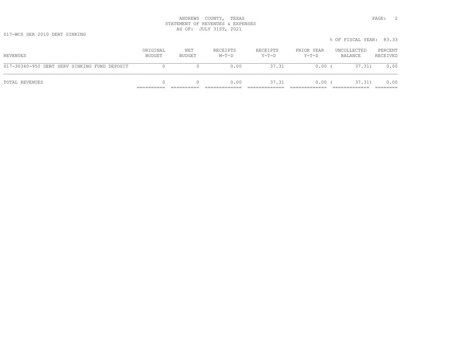017-WCS SER 2010 DEBT SINKING

|                                              |                    |               |                     |                     |                       | % OF FISCAL YEAR: 83.33 |                     |
|----------------------------------------------|--------------------|---------------|---------------------|---------------------|-----------------------|-------------------------|---------------------|
| REVENUES                                     | ORIGINAL<br>BUDGET | NET<br>BUDGET | RECEIPTS<br>$M-T-D$ | RECEIPTS<br>$Y-T-D$ | PRIOR YEAR<br>$Y-T-D$ | UNCOLLECTED<br>BALANCE  | PERCENT<br>RECEIVED |
| 017-30340-950 DEBT SERV SINKING FUND DEPOSIT |                    |               | 0.00                | 37.31               | $0.00$ (              | 37.31)                  | 0.00                |
| TOTAL REVENUES                               |                    |               | 0.00                | 37.31               | $0.00$ (              | 37.31)                  | 0.00                |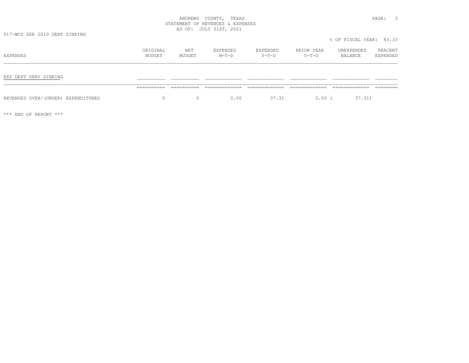017-WCS SER 2010 DEBT SINKING

| EXPENSES                           | ORIGINAL<br>BUDGET | NET<br>BUDGET | EXPENDED<br>$M-T-D$ | EXPENDED<br>$Y-T-D$ | PRIOR YEAR<br>$Y-T-D$ | UNEXPENDED<br>BALANCE | PERCENT<br>EXPENDED |
|------------------------------------|--------------------|---------------|---------------------|---------------------|-----------------------|-----------------------|---------------------|
| EXP DEPT SERV SINKING              |                    |               |                     |                     |                       |                       |                     |
| REVENUES OVER/(UNDER) EXPENDITURES | $\Omega$           | $\Omega$      | 0.00                | 37.31               | $0.00$ (              | 37.31)                |                     |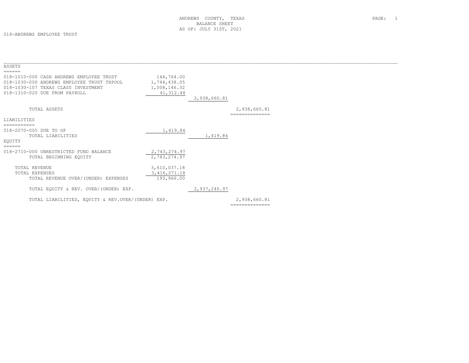018-ANDREWS EMPLOYEE TRUST

| ASSETS                                                                                                                                                                   |                                                          |              |                                |  |
|--------------------------------------------------------------------------------------------------------------------------------------------------------------------------|----------------------------------------------------------|--------------|--------------------------------|--|
| ======<br>018-1010-000 CASH ANDREWS EMPLOYEE TRUST<br>018-1030-000 ANDREWS EMPLOYEE TRUST TXPOOL<br>018-1030-107 TEXAS CLASS INVESTMENT<br>018-1310-020 DUE FROM PAYROLL | 144,764.00<br>1,744,438.05<br>1,008,146.32<br>41, 312.44 | 2,938,660.81 |                                |  |
| TOTAL ASSETS                                                                                                                                                             |                                                          |              | 2,938,660.81                   |  |
| LIABILITIES<br>===========                                                                                                                                               |                                                          |              |                                |  |
| 018-2070-005 DUE TO GF<br>TOTAL LIABILITIES                                                                                                                              | 1,419.84                                                 | 1,419.84     |                                |  |
| EOUITY                                                                                                                                                                   |                                                          |              |                                |  |
| 018-2710-000 UNRESTRICTED FUND BALANCE<br>TOTAL BEGINNING EQUITY                                                                                                         | 2,743,274.97<br>2,743,274.97                             |              |                                |  |
| TOTAL REVENUE<br>TOTAL EXPENSES                                                                                                                                          | 3,610,037.18<br>3, 416, 071.18                           |              |                                |  |
| TOTAL EQUITY & REV. OVER/(UNDER) EXP.                                                                                                                                    |                                                          | 2,937,240.97 |                                |  |
| TOTAL LIABILITIES, EQUITY & REV.OVER/(UNDER) EXP.                                                                                                                        |                                                          |              | 2,938,660.81<br>============== |  |
| ======<br>TOTAL REVENUE OVER/(UNDER) EXPENSES                                                                                                                            | 193,966.00                                               |              |                                |  |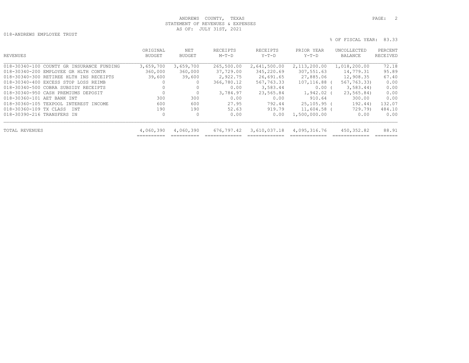018-ANDREWS EMPLOYEE TRUST

```
 % OF FISCAL YEAR: 83.33
```

| ORIGINAL<br><b>BUDGET</b> | NET<br><b>BUDGET</b> | RECEIPTS<br>$M-T-D$ | RECEIPTS<br>$Y-T-D$ | PRIOR YEAR<br>$Y-T-D$ | UNCOLLECTED<br>BALANCE | PERCENT<br>RECEIVED                                      |
|---------------------------|----------------------|---------------------|---------------------|-----------------------|------------------------|----------------------------------------------------------|
|                           |                      |                     |                     |                       |                        | 72.18                                                    |
| 360,000                   | 360,000              | 37,729.00           | 345,220.69          | 307,551.63            | 14,779.31              | 95.89                                                    |
| 39,600                    | 39,600               | 2,922.75            | 26,691.65           | 27,885.06             | 12,908.35              | 67.40                                                    |
| 0                         | $\Omega$             | 366,780.12          | 567,763.33          | 107,116.88            | 567,763.33)            | 0.00                                                     |
|                           |                      | 0.00                | 3,583.44            |                       | 3,583,44               | 0.00                                                     |
|                           | $\circ$              | 3,784.97            | 23,565.84           | 1,942.02              | 23,565.84)             | 0.00                                                     |
| 300                       | 300                  | 0.00                | 0.00                | 910.64                | 300.00                 | 0.00                                                     |
| 600                       | 600                  | 27.95               | 792.44              |                       | 192.44)                | 132.07                                                   |
| 190                       | 190                  | 52.63               | 919.79              |                       | 729.79)                | 484.10                                                   |
| $\mathbf{0}$              | 0                    | 0.00                | 0.00                | 1,500,000.00          | 0.00                   | 0.00                                                     |
| 4,060,390                 | 4,060,390            | 676,797.42          | 3,610,037.18        | 4,095,316.76          | 450,352.82             | 88.91                                                    |
|                           | 3,659,700            | 3,659,700           | 265,500.00          | 2,641,500.00          | 2,113,200.00           | 1,018,200.00<br>$0.00$ (<br>$25,105.95$ (<br>11,604.58 ( |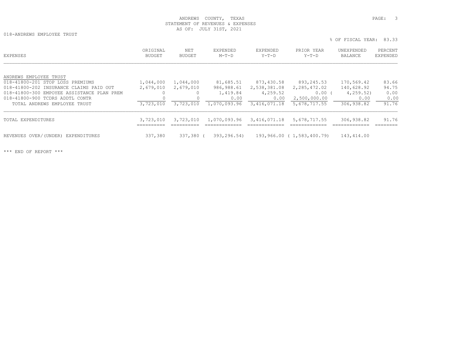018-ANDREWS EMPLOYEE TRUST

% OF FISCAL YEAR: 83.33

| EXPENSES                                                                                                                                                                                                               | ORIGINAL<br><b>BUDGET</b>           | NET<br><b>BUDGET</b>                | EXPENDED<br>$M-T-D$                                         | <b>EXPENDED</b><br>$Y-T-D$                                     | PRIOR YEAR<br>$Y-T-D$                                                  | UNEXPENDED<br>BALANCE                                       | PERCENT<br><b>EXPENDED</b>              |
|------------------------------------------------------------------------------------------------------------------------------------------------------------------------------------------------------------------------|-------------------------------------|-------------------------------------|-------------------------------------------------------------|----------------------------------------------------------------|------------------------------------------------------------------------|-------------------------------------------------------------|-----------------------------------------|
| ANDREWS EMPLOYEE TRUST<br>018-41800-201 STOP LOSS PREMIUMS<br>018-41800-202 INSURANCE CLAIMS PAID OUT<br>018-41800-300 EMPOYEE ASSISTANCE PLAN PREM<br>018-41800-900 TCDRS ADDTL CONTR<br>TOTAL ANDREWS EMPLOYEE TRUST | 1,044,000<br>2,679,010<br>3,723,010 | 1,044,000<br>2,679,010<br>3,723,010 | 81,685.51<br>986,988.61<br>1,419.84<br>0.00<br>1,070,093.96 | 873,430.58<br>2,538,381.08<br>4,259.52<br>0.00<br>3,416,071.18 | 893,245.53<br>2,285,472.02<br>$0.00$ (<br>2,500,000.00<br>5,678,717.55 | 170,569.42<br>140,628.92<br>4,259.52)<br>0.00<br>306,938.82 | 83.66<br>94.75<br>0.00<br>0.00<br>91.76 |
| TOTAL EXPENDITURES                                                                                                                                                                                                     | 3,723,010                           | 3,723,010                           | 1,070,093.96                                                | 3,416,071.18                                                   | 5,678,717.55                                                           | 306,938.82                                                  | 91.76                                   |
| REVENUES OVER/(UNDER) EXPENDITURES                                                                                                                                                                                     | 337,380                             | 337,380 (                           | 393,296.54)                                                 |                                                                | 193,966.00 (1,583,400.79)                                              | 143,414.00                                                  |                                         |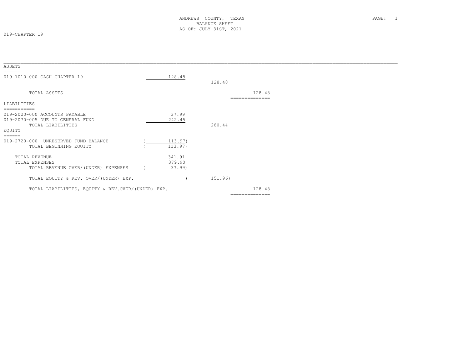019-CHAPTER 19

| ASSETS                                            |         |         |                |  |
|---------------------------------------------------|---------|---------|----------------|--|
| ======                                            |         |         |                |  |
| 019-1010-000 CASH CHAPTER 19                      | 128.48  |         |                |  |
|                                                   |         | 128.48  |                |  |
|                                                   |         |         |                |  |
| TOTAL ASSETS                                      |         |         | 128.48         |  |
|                                                   |         |         | ============== |  |
| LIABILITIES                                       |         |         |                |  |
| -----------                                       |         |         |                |  |
| 019-2020-000 ACCOUNTS PAYABLE                     | 37.99   |         |                |  |
| 019-2070-005 DUE TO GENERAL FUND                  | 242.45  |         |                |  |
| TOTAL LIABILITIES                                 |         | 280.44  |                |  |
| EQUITY                                            |         |         |                |  |
| ======                                            |         |         |                |  |
| 019-2720-000<br>UNRESERVED FUND BALANCE           | 113.97) |         |                |  |
| TOTAL BEGINNING EQUITY                            | 113.97) |         |                |  |
|                                                   |         |         |                |  |
| TOTAL REVENUE                                     | 341.91  |         |                |  |
| TOTAL EXPENSES                                    | 379.90  |         |                |  |
| TOTAL REVENUE OVER/(UNDER) EXPENSES               | 37.99   |         |                |  |
|                                                   |         |         |                |  |
| TOTAL EQUITY & REV. OVER/(UNDER) EXP.             |         | 151.96) |                |  |
|                                                   |         |         |                |  |
| TOTAL LIABILITIES, EQUITY & REV.OVER/(UNDER) EXP. |         |         | 128.48         |  |
|                                                   |         |         | ============== |  |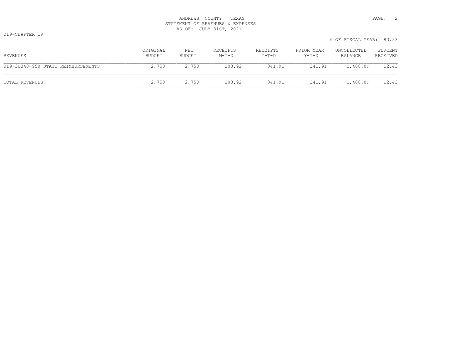019-CHAPTER 19

|                                    |                    |               |                     |                   |                     | % OF FISCAL YEAR: 83.33 |                     |
|------------------------------------|--------------------|---------------|---------------------|-------------------|---------------------|-------------------------|---------------------|
| REVENUES                           | ORIGINAL<br>BUDGET | NET<br>BUDGET | RECEIPTS<br>$M-T-D$ | RECEIPTS<br>Y-T-D | PRIOR YEAR<br>Y-T-D | UNCOLLECTED<br>BALANCE  | PERCENT<br>RECEIVED |
| 019-30340-950 STATE REIMBURSEMENTS | 2,750              | 2,750         | 303.92              | 341.91            | 341.91              | 2,408.09                | 12.43               |
| TOTAL REVENUES                     | 2,750              | 2,750         | 303.92              | 341.91            | 341.91              | 2,408.09                | 12.43               |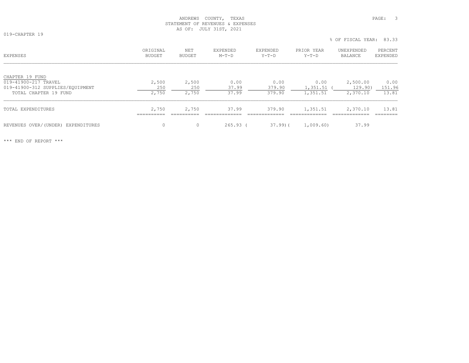019-CHAPTER 19

% OF FISCAL YEAR: 83.33

| <b>EXPENSES</b>                         | ORIGINAL<br>BUDGET  | NET<br>BUDGET       | EXPENDED<br>$M-T-D$ | EXPENDED<br>$Y-T-D$ | PRIOR YEAR<br>$Y-T-D$ | UNEXPENDED<br>BALANCE | PERCENT<br>EXPENDED |
|-----------------------------------------|---------------------|---------------------|---------------------|---------------------|-----------------------|-----------------------|---------------------|
| CHAPTER 19 FUND<br>019-41900-217 TRAVEL | 2,500               | 2,500               | 0.00                | 0.00                | 0.00                  | 2,500.00              | 0.00                |
| 019-41900-312 SUPPLIES/EQUIPMENT        | 250                 | 250                 | 37.99               | 379.90              | 1,351.51              | 129.90)               | 151.96              |
| TOTAL CHAPTER 19 FUND                   | 2,750               | 2,750               | 37.99               | 379.90              | 1,351.51              | 2,370.10              | 13.81               |
| TOTAL EXPENDITURES                      | 2,750<br>__________ | 2,750<br>__________ | 37.99               | 379.90              | 1,351.51              | 2,370.10              | 13.81               |
| REVENUES OVER/(UNDER) EXPENDITURES      | $\mathbf{0}$        | 0                   | $265.93$ (          | $37,99$ ) (         | 1,009.60)             | 37.99                 |                     |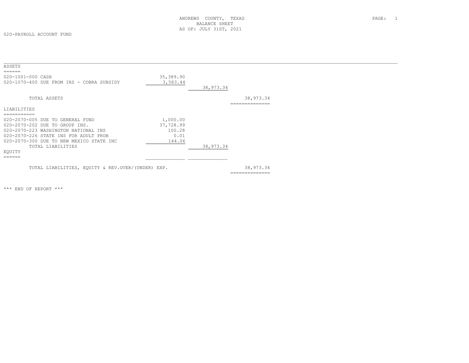020-PAYROLL ACCOUNT FUND

| ASSETS<br>$=$ $=$ $=$ $=$ $=$                     |           |           |                |  |
|---------------------------------------------------|-----------|-----------|----------------|--|
| 020-1001-000 CASH                                 | 35,389.90 |           |                |  |
| 020-1070-400 DUE FROM IRS - COBRA SUBSIDY         | 3,583.44  |           |                |  |
|                                                   |           | 38,973.34 |                |  |
| TOTAL ASSETS                                      |           |           | 38,973.34      |  |
|                                                   |           |           | ============== |  |
| LIABILITIES                                       |           |           |                |  |
| -----------                                       |           |           |                |  |
| 020-2070-005 DUE TO GENERAL FUND                  | 1,000.00  |           |                |  |
| 020-2070-202 DUE TO GROUP INS.                    | 37,728.99 |           |                |  |
| 020-2070-223 WASHINGTON NATIONAL INS              | 100.28    |           |                |  |
| 020-2070-226 STATE INS FOR ADULT PROB             | 0.01      |           |                |  |
| 020-2070-300 DUE TO NEW MEXICO STATE INC          | 144.06    |           |                |  |
| TOTAL LIABILITIES                                 |           | 38,973.34 |                |  |
| EQUITY                                            |           |           |                |  |
| $=$ $=$ $=$ $=$ $=$                               |           |           |                |  |
| TOTAL LIABILITIES, EQUITY & REV.OVER/(UNDER) EXP. |           |           | 38,973.34      |  |
|                                                   |           |           | ============== |  |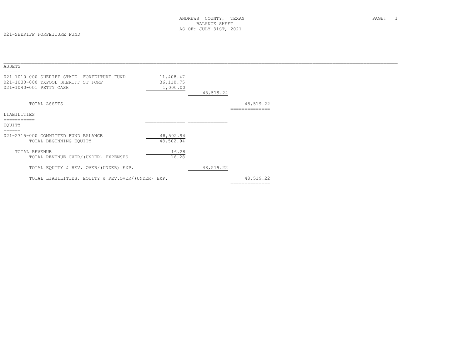021-SHERIFF FORFEITURE FUND

| ASSETS                                                                                                          |                                    |           |                             |  |
|-----------------------------------------------------------------------------------------------------------------|------------------------------------|-----------|-----------------------------|--|
| 021-1010-000 SHERIFF STATE<br>FORFEITURE FUND<br>021-1030-000 TXPOOL SHERIFF ST FORF<br>021-1040-001 PETTY CASH | 11,408.47<br>36,110.75<br>1,000.00 | 48,519.22 |                             |  |
| TOTAL ASSETS                                                                                                    |                                    |           | 48,519.22<br>-------------- |  |
| LIABILITIES                                                                                                     |                                    |           |                             |  |
| ===========<br>EOUITY                                                                                           |                                    |           |                             |  |
| ======<br>021-2715-000 COMMITTED FUND BALANCE<br>TOTAL BEGINNING EQUITY                                         | 48,502.94<br>48,502.94             |           |                             |  |
| TOTAL REVENUE<br>TOTAL REVENUE OVER/(UNDER) EXPENSES                                                            | 16.28<br>16.28                     |           |                             |  |
| TOTAL EQUITY & REV. OVER/(UNDER) EXP.                                                                           |                                    | 48,519.22 |                             |  |
| TOTAL LIABILITIES, EQUITY & REV.OVER/(UNDER) EXP.                                                               |                                    |           | 48,519.22                   |  |
|                                                                                                                 |                                    |           | --------------              |  |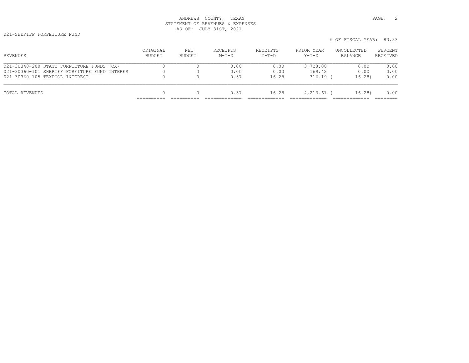| REVENUES                                     | ORIGINAL<br><b>BUDGET</b> | NET<br>BUDGET | RECEIPTS<br>$M-T-D$ | RECEIPTS<br>$Y-T-D$ | PRIOR YEAR<br>$Y-T-D$ | UNCOLLECTED<br>BALANCE | PERCENT<br>RECEIVED |
|----------------------------------------------|---------------------------|---------------|---------------------|---------------------|-----------------------|------------------------|---------------------|
| 021-30340-200 STATE FORFIETURE FUNDS (CA)    |                           |               | 0.00                | 0.00                | 3,728.00              | 0.00                   | 0.00                |
| 021-30360-101 SHERIFF FORFITURE FUND INTERES |                           |               | 0.00                | 0.00                | 169.42                | 0.00                   | 0.00                |
| 021-30360-105 TEXPOOL INTEREST               |                           |               | 0.57                | 16.28               | $316.19$ (            | 16.28                  | 0.00                |

TOTAL REVENUES 0 0 0.57 16.28 4,213.61 ( 16.28) 0.00 ========== ========== ============= ============= ============= ============= ========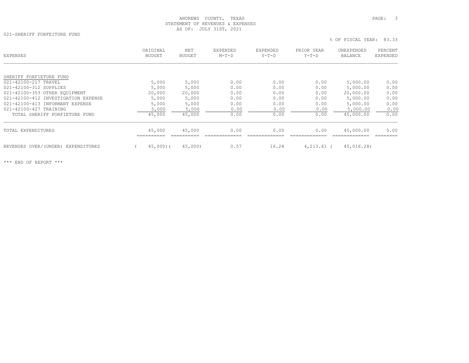021-SHERIFF FORFEITURE FUND

| <b>EXPENSES</b>                       | ORIGINAL<br><b>BUDGET</b> | NET<br><b>BUDGET</b> | EXPENDED<br>$M-T-D$ | EXPENDED<br>$Y-T-D$ | PRIOR YEAR<br>$Y-T-D$ | UNEXPENDED<br>BALANCE | PERCENT<br><b>EXPENDED</b> |
|---------------------------------------|---------------------------|----------------------|---------------------|---------------------|-----------------------|-----------------------|----------------------------|
|                                       |                           |                      |                     |                     |                       |                       |                            |
| SHERIFF FORFIETURE FUND               |                           |                      |                     |                     |                       |                       |                            |
| 021-42100-217 TRAVEL                  | 5,000                     | 5,000                | 0.00                | 0.00                | 0.00                  | 5,000.00              | 0.00                       |
| 021-42100-312 SUPPLIES                | 5,000                     | 5,000                | 0.00                | 0.00                | 0.00                  | 5,000.00              | 0.00                       |
| 021-42100-353 OTHER EQUIPMENT         | 20,000                    | 20,000               | 0.00                | 0.00                | 0.00                  | 20,000.00             | 0.00                       |
| 021-42100-412 INVESTIGATION EXPENSE   | 5,000                     | 5,000                | 0.00                | 0.00                | 0.00                  | 5,000.00              | 0.00                       |
| 021-42100-413 INFORMANT EXPENSE       | 5,000                     | 5,000                | 0.00                | 0.00                | 0.00                  | 5,000.00              | 0.00                       |
| 021-42100-427 TRAINING                | 5,000                     | 5,000                | 0.00                | 0.00                | 0.00                  | 5,000.00              | 0.00                       |
| TOTAL SHERIFF FORFIETURE FUND         | 45,000                    | 45,000               | 0.00                | 0.00                | 0.00                  | 45,000.00             | 0.00                       |
| TOTAL EXPENDITURES                    | 45,000                    | 45,000               | 0.00                | 0.00                | 0.00                  | 45,000.00             | 0.00                       |
| REVENUES OVER/(UNDER)<br>EXPENDITURES | 45,000(                   | 45,000)              | 0.57                | 16.28               | $4,213.61$ (          | 45,016.28)            |                            |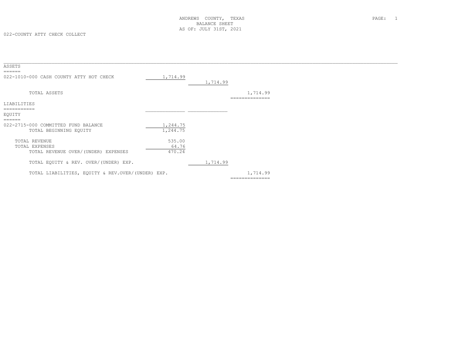| ASSETS<br>------                                  |          |          |                            |  |
|---------------------------------------------------|----------|----------|----------------------------|--|
| 022-1010-000 CASH COUNTY ATTY HOT CHECK           | 1,714.99 | 1,714.99 |                            |  |
| TOTAL ASSETS                                      |          |          | 1,714.99<br>============== |  |
| LIABILITIES                                       |          |          |                            |  |
| ===========                                       |          |          |                            |  |
| EOUITY                                            |          |          |                            |  |
| 022-2715-000 COMMITTED FUND BALANCE               | 1,244.75 |          |                            |  |
| TOTAL BEGINNING EQUITY                            | 1,244.75 |          |                            |  |
| TOTAL REVENUE                                     | 535.00   |          |                            |  |
| TOTAL EXPENSES                                    | 64.76    |          |                            |  |
| TOTAL REVENUE OVER/(UNDER) EXPENSES               | 470.24   |          |                            |  |
| TOTAL EQUITY & REV. OVER/(UNDER) EXP.             |          | 1,714.99 |                            |  |
| TOTAL LIABILITIES, EQUITY & REV.OVER/(UNDER) EXP. |          |          | 1,714.99                   |  |
|                                                   |          |          | --------------             |  |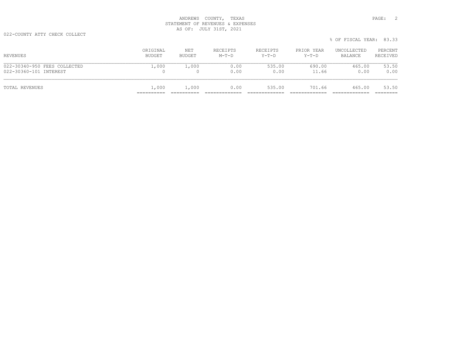022-COUNTY ATTY CHECK COLLECT

|                              |                    |               |                     |                     |                       | % OF FISCAL YEAR: 83.33 |                     |
|------------------------------|--------------------|---------------|---------------------|---------------------|-----------------------|-------------------------|---------------------|
| REVENUES                     | ORIGINAL<br>BUDGET | NET<br>BUDGET | RECEIPTS<br>$M-T-D$ | RECEIPTS<br>$Y-T-D$ | PRIOR YEAR<br>$Y-T-D$ | UNCOLLECTED<br>BALANCE  | PERCENT<br>RECEIVED |
| 022-30340-950 FEES COLLECTED | 1,000              | 1,000         | 0.00                | 535.00              | 690.00                | 465.00                  | 53.50               |
| 022-30360-101 INTEREST       | 0                  |               | 0.00                | 0.00                | 11.66                 | 0.00                    | 0.00                |
| TOTAL REVENUES               | 1,000              | 1,000         | 0.00                | 535.00              | 701.66                | 465.00                  | 53.50               |

========== ========== ============= ============= ============= ============= ========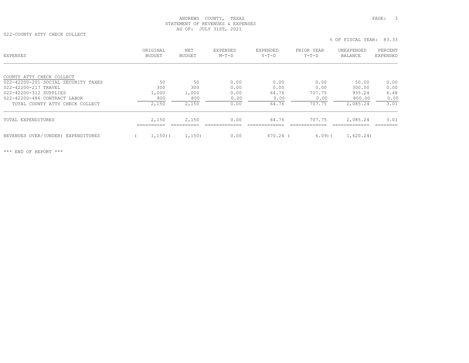022-COUNTY ATTY CHECK COLLECT

% OF FISCAL YEAR: 83.33

| COUNTY ATTY CHECK COLLECT<br>50<br>50<br>0.00<br>0.00<br>0.00<br>50.00<br>0.00<br>022-42200-201 SOCIAL SECURITY TAXES<br>300<br>022-42200-217 TRAVEL<br>300<br>0.00<br>0.00<br>0.00<br>300.00<br>0.00<br>1,000<br>022-42200-312 SUPPLIES<br>1,000<br>0.00<br>64.76<br>707.75<br>935.24<br>6.48<br>800<br>800<br>0.00<br>0.00<br>022-42200-486 CONTRACT LABOR<br>0.00<br>800.00<br>2,150<br>2,150<br>0.00<br>64.76<br>707.75<br>2,085.24<br>3.01<br>TOTAL COUNTY ATTY CHECK COLLECT |      |
|------------------------------------------------------------------------------------------------------------------------------------------------------------------------------------------------------------------------------------------------------------------------------------------------------------------------------------------------------------------------------------------------------------------------------------------------------------------------------------|------|
|                                                                                                                                                                                                                                                                                                                                                                                                                                                                                    |      |
|                                                                                                                                                                                                                                                                                                                                                                                                                                                                                    |      |
|                                                                                                                                                                                                                                                                                                                                                                                                                                                                                    |      |
|                                                                                                                                                                                                                                                                                                                                                                                                                                                                                    |      |
|                                                                                                                                                                                                                                                                                                                                                                                                                                                                                    |      |
|                                                                                                                                                                                                                                                                                                                                                                                                                                                                                    | 0.00 |
|                                                                                                                                                                                                                                                                                                                                                                                                                                                                                    |      |
| 2,150<br>2,085.24<br>TOTAL EXPENDITURES<br>2,150<br>64.76<br>707.75<br>3.01<br>0.00                                                                                                                                                                                                                                                                                                                                                                                                |      |
| =========                                                                                                                                                                                                                                                                                                                                                                                                                                                                          |      |
| REVENUES OVER/(UNDER) EXPENDITURES<br>6.09(<br>1,620.24)<br>1,150(<br>1,150)<br>0.00<br>470.24 (                                                                                                                                                                                                                                                                                                                                                                                   |      |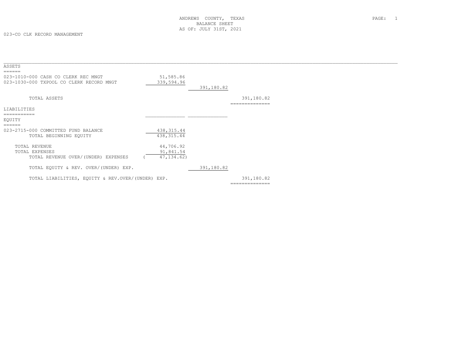| ASSETS<br>======                                                                |                         |            |                              |  |
|---------------------------------------------------------------------------------|-------------------------|------------|------------------------------|--|
| 023-1010-000 CASH CO CLERK REC MNGT<br>023-1030-000 TXPOOL CO CLERK RECORD MNGT | 51,585.86<br>339,594.96 | 391,180.82 |                              |  |
| TOTAL ASSETS                                                                    |                         |            | 391,180.82<br>-------------- |  |
| LIABILITIES                                                                     |                         |            |                              |  |
| ===========                                                                     |                         |            |                              |  |
| EQUITY                                                                          |                         |            |                              |  |
| ======                                                                          |                         |            |                              |  |
| 023-2715-000 COMMITTED FUND BALANCE                                             | 438, 315.44             |            |                              |  |
| TOTAL BEGINNING EQUITY                                                          | 438, 315.44             |            |                              |  |
|                                                                                 |                         |            |                              |  |
| TOTAL REVENUE                                                                   | 44,706.92               |            |                              |  |
| TOTAL EXPENSES                                                                  | 91,841.54               |            |                              |  |
| TOTAL REVENUE OVER/(UNDER) EXPENSES                                             | 47, 134, 62)            |            |                              |  |
| TOTAL EQUITY & REV. OVER/(UNDER) EXP.                                           |                         | 391,180.82 |                              |  |
|                                                                                 |                         |            |                              |  |
| TOTAL LIABILITIES, EQUITY & REV.OVER/(UNDER) EXP.                               |                         |            | 391,180.82                   |  |
|                                                                                 |                         |            | ==============               |  |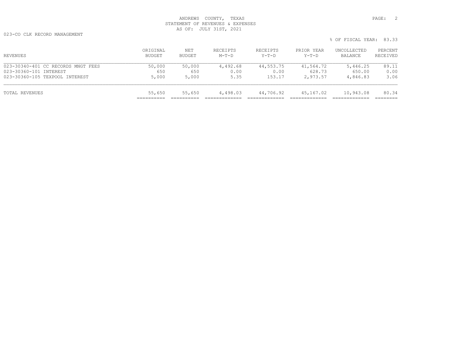023-CO CLK RECORD MANAGEMENT

| REVENUES                           | ORIGINAL<br>BUDGET | NET<br>BUDGET | RECEIPTS<br>$M-T-D$ | RECEIPTS<br>$Y-T-D$ | PRIOR YEAR<br>$Y-T-D$ | UNCOLLECTED<br>BALANCE | PERCENT<br>RECEIVED |
|------------------------------------|--------------------|---------------|---------------------|---------------------|-----------------------|------------------------|---------------------|
| 023-30340-401 CC RECORDS MNGT FEES | 50,000             | 50,000        | 4,492.68            | 44,553.75           | 41,564.72             | 5,446.25               | 89.11               |
| 023-30360-101 INTEREST             | 650                | 650           | 0.00                | 0.00                | 628.73                | 650.00                 | 0.00                |
| 023-30360-105 TEXPOOL INTEREST     | 5,000              | 5,000         | 5.35                | 153.17              | 2,973.57              | 4,846.83               | 3.06                |
| TOTAL REVENUES                     | 55,650             | 55,650        | 4,498.03            | 44,706.92           | 45,167.02             | 10,943.08              | 80.34               |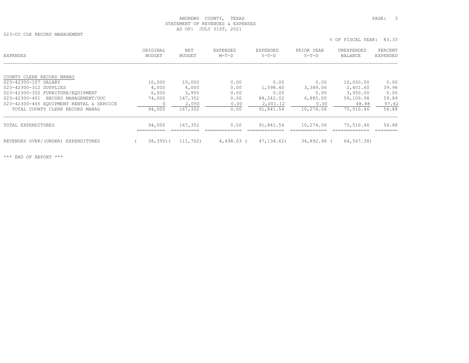023-CO CLK RECORD MANAGEMENT

 % OF FISCAL YEAR: 83.33 ORIGINAL NET EXPENDED EXPENDED PRIOR YEAR UNEXPENDED PERCENT<br>BUDGET BUDGET M-T-D Y-T-D Y-T-D BALANCE EXPENDED

| COUNTY CLERK RECORD MANAG                |         |          |            |              |             |            |       |
|------------------------------------------|---------|----------|------------|--------------|-------------|------------|-------|
| 023-42300-107 SALARY                     | 10,000  | 10,000   | 0.00       | 0.00         | 0.00        | 10,000.00  | 0.00  |
| 023-42300-312 SUPPLIES                   | 4,000   | 4,000    | 0.00       | 1,598.40     | 3,389.06    | 2,401.60   | 39.96 |
| 023-42300-352 FURNITURE/EQUIPMENT        | 6,000   | 3,950    | 0.00       | 0.00         | 0.00        | 3,950.00   | 0.00  |
| 023-42300-401 RECORD MANAGEMENT/DOC      | 74,000  | 147,352  | 0.00       | 88,242.02    | 6,885.00    | 59,109.98  | 59.89 |
| 023-42300-465 EOUIPMENT RENTAL & SERVICE |         | 2,050    | 0.00       | 2,001.12     | 0.00        | 48.88      | 97.62 |
| TOTAL COUNTY CLERK RECORD MANAG          | 94,000  | 167,352  | 0.00       | 91,841.54    | 10,274.06   | 75,510.46  | 54.88 |
| TOTAL EXPENDITURES                       | 94,000  | 167,352  | 0.00       | 91,841.54    | 10,274.06   | 75,510.46  | 54.88 |
| REVENUES OVER/(UNDER) EXPENDITURES       | 38,350( | 111,702) | 4,498.03 ( | 47, 134, 62) | 34,892.96 ( | 64,567.38) |       |
|                                          |         |          |            |              |             |            |       |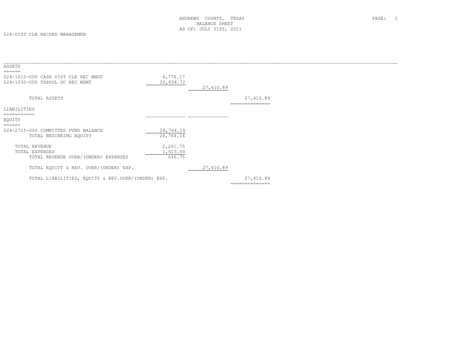| ASSETS<br>======                                                       |                                |           |                             |  |
|------------------------------------------------------------------------|--------------------------------|-----------|-----------------------------|--|
| 024-1010-000 CASH DIST CLK REC MNGT<br>024-1030-000 TXPOOL DC REC MGMT | 6,776.17<br>20,634.72          | 27,410.89 |                             |  |
| TOTAL ASSETS                                                           |                                |           | 27,410.89<br>============== |  |
| LIABILITIES<br>===========                                             |                                |           |                             |  |
| EQUITY<br>======                                                       |                                |           |                             |  |
| 024-2715-000 COMMITTED FUND BALANCE<br>TOTAL BEGINNING EQUITY          | 26,764.14<br>26,764.14         |           |                             |  |
| TOTAL REVENUE<br>TOTAL EXPENSES<br>TOTAL REVENUE OVER/(UNDER) EXPENSES | 2,261.75<br>1,615.00<br>646.75 |           |                             |  |
| TOTAL EQUITY & REV. OVER/(UNDER) EXP.                                  |                                | 27,410.89 |                             |  |
| TOTAL LIABILITIES, EQUITY & REV.OVER/(UNDER) EXP.                      |                                |           | 27,410.89<br>============== |  |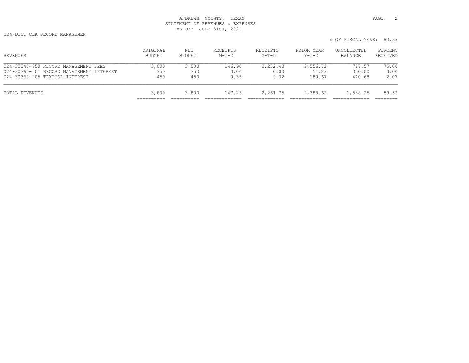024-DIST CLK RECORD MANAGEMEN

| REVENUES                                 | ORIGINAL<br>BUDGET | NET<br>BUDGET | RECEIPTS<br>$M-T-D$ | RECEIPTS<br>$Y-T-D$ | PRIOR YEAR<br>Y-T-D | UNCOLLECTED<br>BALANCE | PERCENT<br>RECEIVED |
|------------------------------------------|--------------------|---------------|---------------------|---------------------|---------------------|------------------------|---------------------|
| 024-30340-950 RECORD MANAGEMENT FEES     | 3,000              | 3,000         | 146.90              | 2,252.43            | 2,556.72            | 747.57                 | 75.08               |
| 024-30360-101 RECORD MANAGEMENT INTEREST | 350                | 350           | 0.00                | 0.00                | 51.23               | 350.00                 | 0.00                |
| 024-30360-105 TEXPOOL INTEREST           | 450                | 450           | 0.33                | 9.32                | 180.67              | 440.68                 | 2.07                |
| TOTAL REVENUES                           | 3,800              | 3,800         | 147.23              | 2,261.75            | 2,788.62            | 1,538.25               | 59.52               |
|                                          |                    |               |                     |                     |                     |                        |                     |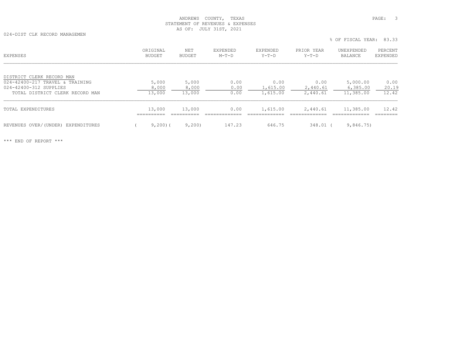024-DIST CLK RECORD MANAGEMEN

| EXPENSES                                                                               | ORIGINAL<br>BUDGET   | NET<br>BUDGET                  | EXPENDED<br>$M-T-D$          | <b>EXPENDED</b><br>$Y-T-D$            | PRIOR YEAR<br>$Y-T-D$                | UNEXPENDED<br>BALANCE                  | PERCENT<br>EXPENDED    |
|----------------------------------------------------------------------------------------|----------------------|--------------------------------|------------------------------|---------------------------------------|--------------------------------------|----------------------------------------|------------------------|
| DISTRICT CLERK RECORD MAN<br>024-42400-217 TRAVEL & TRAINING<br>024-42400-312 SUPPLIES | 5,000<br>8,000       | 5,000<br>8,000                 | 0.00<br>0.00                 | 0.00<br>1,615.00                      | 0.00<br>2,440.61                     | 5,000.00<br>6,385.00                   | 0.00<br>20.19<br>12.42 |
| TOTAL DISTRICT CLERK RECORD MAN<br>TOTAL EXPENDITURES                                  | 13,000<br>13,000     | 13,000<br>13,000<br>---------- | 0.00<br>0.00<br>____________ | 1,615.00<br>1,615.00<br>------------- | 2,440.61<br>2,440.61<br>____________ | 11,385.00<br>11,385.00<br>____________ | 12.42<br>---------     |
| REVENUES OVER/(UNDER) EXPENDITURES                                                     | ==========<br>9,200( | 9,200                          | 147.23                       | 646.75                                | 348.01                               | 9,846.75)                              |                        |

% OF FISCAL YEAR: 83.33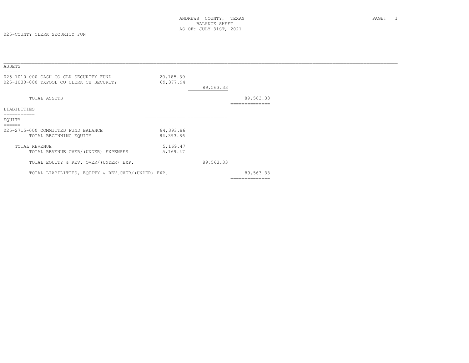| ASSETS                                                                                       |                         |           |                            |  |
|----------------------------------------------------------------------------------------------|-------------------------|-----------|----------------------------|--|
| ======<br>025-1010-000 CASH CO CLK SECURITY FUND<br>025-1030-000 TXPOOL CO CLERK CH SECURITY | 20,185.39<br>69, 377.94 | 89,563.33 |                            |  |
| TOTAL ASSETS                                                                                 |                         |           | 89,563.33<br>:============ |  |
| LIABILITIES                                                                                  |                         |           |                            |  |
| ===========                                                                                  |                         |           |                            |  |
| EQUITY                                                                                       |                         |           |                            |  |
| ======                                                                                       |                         |           |                            |  |
| 025-2715-000 COMMITTED FUND BALANCE                                                          | 84,393.86               |           |                            |  |
| TOTAL BEGINNING EQUITY                                                                       | 84,393.86               |           |                            |  |
|                                                                                              |                         |           |                            |  |
| TOTAL REVENUE                                                                                | 5,169.47                |           |                            |  |
| TOTAL REVENUE OVER/(UNDER) EXPENSES                                                          | 5,169.47                |           |                            |  |
|                                                                                              |                         |           |                            |  |
| TOTAL EQUITY & REV. OVER/(UNDER) EXP.                                                        |                         | 89,563.33 |                            |  |
| TOTAL LIABILITIES, EQUITY & REV.OVER/(UNDER) EXP.                                            |                         |           | 89,563.33                  |  |
|                                                                                              |                         |           | ==============             |  |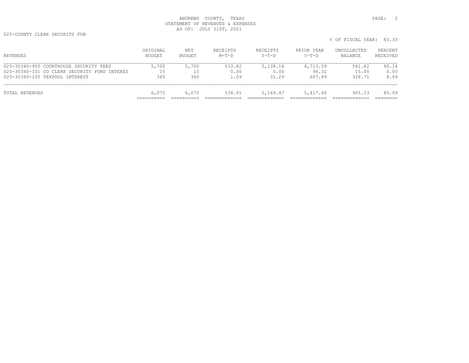025-COUNTY CLERK SECURITY FUN

| REVENUES                                     | ORIGINAL<br>BUDGET | NET<br>BUDGET | RECEIPTS<br>$M-T-D$ | RECEIPTS<br>Y-T-D | PRIOR YEAR<br>Y-T-D | UNCOLLECTED<br>BALANCE | PERCENT<br>RECEIVED |
|----------------------------------------------|--------------------|---------------|---------------------|-------------------|---------------------|------------------------|---------------------|
| 025-30340-950 COURTHOUSE SECURITY FEES       | 5,700              | 5,700         | 533.82              | 5,138.18          | 4,713.59            | 561.82                 | 90.14               |
| 025-30360-101 CO CLERK SECURITY FUND INTERES | 15                 | 15            | 0.00                | 0.00              | 96.32               | 15.00                  | 0.00                |
| 025-30360-105 TEXPOOL INTEREST               | 360                | 360           | 1.09                | 31.29             | 607.49              | 328.71                 | 8.69                |
| TOTAL REVENUES                               | 6,075              | 6,075         | 534.91              | 5,169.47          | 5,417.40            | 905.53                 | 85.09               |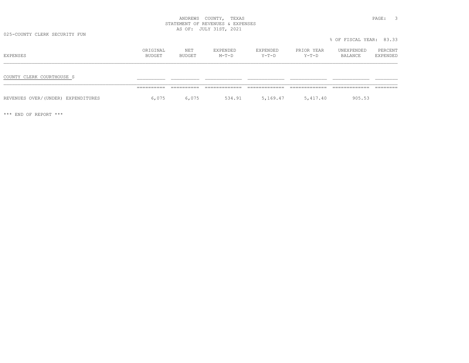025-COUNTY CLERK SECURITY FUN

| EXPENSES                           | ORIGINAL<br>BUDGET  | NET<br>BUDGET | EXPENDED<br>$M-T-D$ | EXPENDED<br>Y-T-D | PRIOR YEAR<br>Y-T-D | UNEXPENDED<br>BALANCE | PERCENT<br>EXPENDED |
|------------------------------------|---------------------|---------------|---------------------|-------------------|---------------------|-----------------------|---------------------|
| COUNTY CLERK COURTHOUSE S          |                     |               |                     |                   |                     |                       |                     |
| REVENUES OVER/(UNDER) EXPENDITURES | __________<br>6,075 | 6,075         | 534.91              | 5,169.47          | 5,417.40            | 905.53                |                     |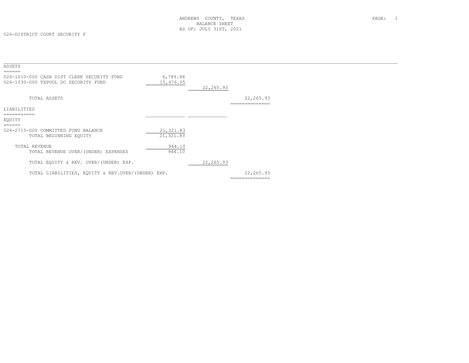| ASSETS<br>======                                  |            |            |                |  |
|---------------------------------------------------|------------|------------|----------------|--|
| 026-1010-000 CASH DIST CLERK SECURITY FUND        | 6,789.88   |            |                |  |
| 026-1030-000 TXPOOL DC SECURITY FUND              | 15,476.05  | 22, 265.93 |                |  |
| TOTAL ASSETS                                      |            |            | 22,265.93      |  |
| LIABILITIES                                       |            |            |                |  |
| -----------<br>EOUITY                             |            |            |                |  |
| ======<br>026-2715-000 COMMITTED FUND BALANCE     | 21, 321.83 |            |                |  |
| TOTAL BEGINNING EQUITY                            | 21,321.83  |            |                |  |
| TOTAL REVENUE                                     | 944.10     |            |                |  |
| TOTAL REVENUE OVER/(UNDER) EXPENSES               | 944.10     |            |                |  |
| TOTAL EQUITY & REV. OVER/(UNDER) EXP.             |            | 22, 265.93 |                |  |
| TOTAL LIABILITIES, EQUITY & REV.OVER/(UNDER) EXP. |            |            | 22, 265.93     |  |
|                                                   |            |            | ============== |  |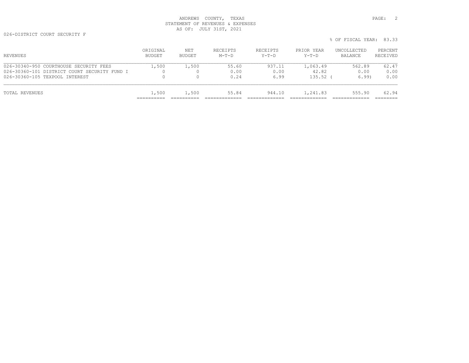026-DISTRICT COURT SECURITY F

| % OF FISCAL YEAR: 83.33 |  |
|-------------------------|--|

| REVENUES                                     | ORIGINAL<br>BUDGET | NET<br>BUDGET | RECEIPTS<br>$M-T-D$ | RECEIPTS<br>$Y-T-D$ | PRIOR YEAR<br>$Y-T-D$ | UNCOLLECTED<br>BALANCE | PERCENT<br>RECEIVED |
|----------------------------------------------|--------------------|---------------|---------------------|---------------------|-----------------------|------------------------|---------------------|
| 026-30340-950 COURTHOUSE SECURITY FEES       | 1,500              | 1,500         | 55.60               | 937.11              | 1,063.49              | 562.89                 | 62.47               |
| 026-30360-101 DISTRICT COURT SECURITY FUND I |                    |               | 0.00                | 0.00                | 42.82                 | 0.00                   | 0.00                |
| 026-30360-105 TEXPOOL INTEREST               | 0                  |               | 0.24                | 6.99                | 135.52                | 6.99                   | 0.00                |
| TOTAL REVENUES                               | 1,500              | 1,500         | 55.84               | 944.10              | 1,241.83              | 555.90                 | 62.94               |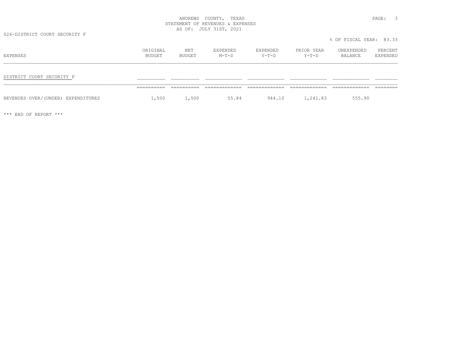026-DISTRICT COURT SECURITY F

| EXPENSES                           | ORIGINAL<br>BUDGET | NET<br>BUDGET | EXPENDED<br>$M-T-D$ | EXPENDED<br>Y-T-D | PRIOR YEAR<br>$Y-T-D$ | UNEXPENDED<br>BALANCE | PERCENT<br>EXPENDED |
|------------------------------------|--------------------|---------------|---------------------|-------------------|-----------------------|-----------------------|---------------------|
| DISTRICT COURT SECURITY F          |                    |               |                     |                   |                       |                       |                     |
| REVENUES OVER/(UNDER) EXPENDITURES | 1,500              | 1,500         | 55.84               | 944.10            | 1,241.83              | 555.90                |                     |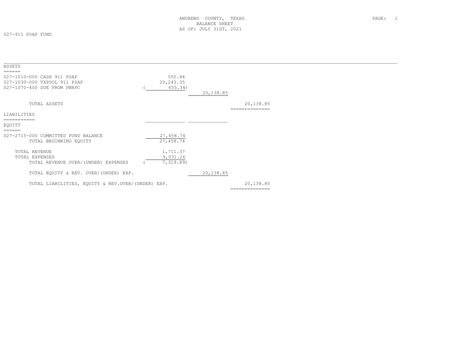027-911 PSAP FUND

| ASSETS                                                                                              |                                   |           |                             |
|-----------------------------------------------------------------------------------------------------|-----------------------------------|-----------|-----------------------------|
| ======<br>027-1010-000 CASH 911 PSAP<br>027-1030-000 TXPOOL 911 PSAP<br>027-1070-400 DUE FROM PBRPC | 550.84<br>20, 243.35<br>655.34)   | 20,138.85 |                             |
| TOTAL ASSETS                                                                                        |                                   |           | 20,138.85<br>============== |
| LIABILITIES                                                                                         |                                   |           |                             |
|                                                                                                     |                                   |           |                             |
| EQUITY                                                                                              |                                   |           |                             |
| ======<br>027-2715-000 COMMITTED FUND BALANCE<br>TOTAL BEGINNING EQUITY                             | 27,458.74<br>27,458.74            |           |                             |
| TOTAL REVENUE<br>TOTAL EXPENSES<br>TOTAL REVENUE OVER/(UNDER) EXPENSES                              | 1,711.37<br>9,031.26<br>7,319.89) |           |                             |
| TOTAL EQUITY & REV. OVER/(UNDER) EXP.                                                               |                                   | 20,138.85 |                             |
| TOTAL LIABILITIES, EOUITY & REV.OVER/(UNDER) EXP.                                                   |                                   |           | 20,138.85<br>============== |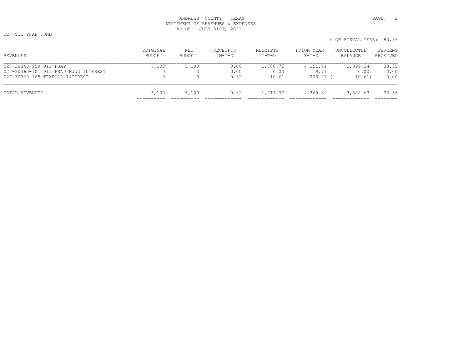ORIGINAL NET RECEIPTS RECEIPTS PRIOR YEAR UNCOLLECTED PERCENT<br>BUDGET BUDGET M-T-D Y-T-D Y-T-D BALANCE RECEIVED \_\_\_\_\_\_\_\_\_\_\_\_\_\_\_\_\_\_\_\_\_\_\_\_\_\_\_\_\_\_\_\_\_\_\_\_\_\_\_\_\_\_\_\_\_\_\_\_\_\_\_\_\_\_\_\_\_\_\_\_\_\_\_\_\_\_\_\_\_\_\_\_\_\_\_\_\_\_\_\_\_\_\_\_\_\_\_\_\_\_\_\_\_\_\_\_\_\_\_\_\_\_\_\_\_\_\_\_\_\_\_\_\_\_\_\_\_\_\_\_\_\_\_\_\_\_\_\_\_\_\_\_\_\_\_\_\_\_\_ 027-30340-950 911 PSAP 5,100 5,100 0.00 1,700.76 4,151.41 3,399.24 33.35 027-30360-101 911 PSAP FUND INTEREST 0 0 0.00 0.00 9.71 0.00 0.00 027-30360-105 TEXPOOL INTEREST 0 0 0.32 10.61 208.27 ( 10.61) 0.00 TOTAL REVENUES 5,100 5,100 0.32 1,711.37 4,369.39 3,388.63 33.56 ========== ========== ============= ============= ============= ============= ========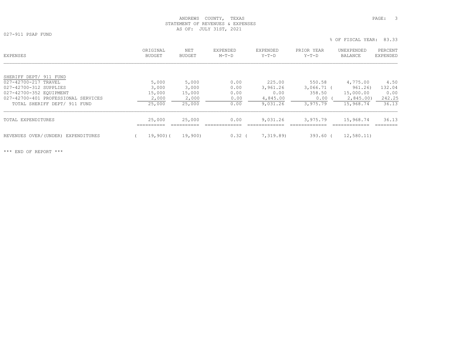027-911 PSAP FUND

| VZ / JII LOAL FOND |                         |  |
|--------------------|-------------------------|--|
|                    | % OF FISCAL YEAR: 83.33 |  |

| EXPENSES                              | ORIGINAL<br><b>BUDGET</b> | NET<br><b>BUDGET</b> | EXPENDED<br>$M-T-D$ | EXPENDED<br>$Y-T-D$ | PRIOR YEAR<br>$Y-T-D$ | UNEXPENDED<br><b>BALANCE</b> | PERCENT<br>EXPENDED |
|---------------------------------------|---------------------------|----------------------|---------------------|---------------------|-----------------------|------------------------------|---------------------|
|                                       |                           |                      |                     |                     |                       |                              |                     |
| SHERIFF DEPT/ 911 FUND                |                           |                      |                     |                     |                       |                              |                     |
| 027-42700-217 TRAVEL                  | 5,000                     | 5,000                | 0.00                | 225.00              | 550.58                | 4,775.00                     | 4.50                |
| 027-42700-312 SUPPLIES                | 3,000                     | 3,000                | 0.00                | 3,961.26            | $3,066.71$ (          | 961.26)                      | 132.04              |
| 027-42700-352 EOUIPMENT               | 15,000                    | 15,000               | 0.00                | 0.00                | 358.50                | 15,000.00                    | 0.00                |
| 027-42700-401 PROFESSIONAL SERVICES   | 2,000                     | 2,000                | 0.00                | 4,845.00            | 0.00                  | 2,845.00)                    | 242.25              |
| TOTAL SHERIFF DEPT/ 911 FUND          | 25,000                    | 25,000               | 0.00                | 9,031.26            | 3,975.79              | 15,968.74                    | 36.13               |
| TOTAL EXPENDITURES                    | 25,000                    | 25,000               | 0.00                | 9,031.26            | 3,975.79              | 15,968.74                    | 36.13               |
| REVENUES OVER/(UNDER)<br>EXPENDITURES | 19,900)(                  | 19,900)              | 0.32                | 7,319.89)           | $393.60$ (            | 12,580.11)                   |                     |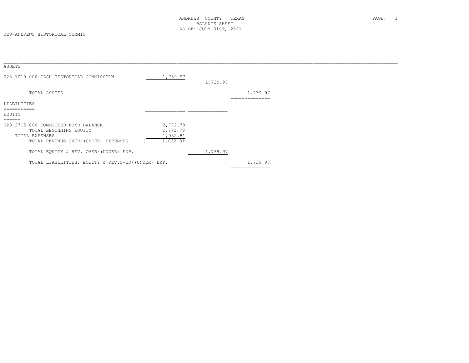| ASSETS                                                                                                                           |                                               |          |                            |  |
|----------------------------------------------------------------------------------------------------------------------------------|-----------------------------------------------|----------|----------------------------|--|
| $=$ $=$ $=$ $=$ $=$<br>028-1010-000 CASH HISTORICAL COMMISSION                                                                   | 1,739.97                                      | 1,739.97 |                            |  |
| TOTAL ASSETS                                                                                                                     |                                               |          | 1,739.97                   |  |
| LIABILITIES                                                                                                                      |                                               |          | ==============             |  |
| EQUITY                                                                                                                           |                                               |          |                            |  |
| ======<br>028-2715-000 COMMITTED FUND BALANCE<br>TOTAL BEGINNING EQUITY<br>TOTAL EXPENSES<br>TOTAL REVENUE OVER/(UNDER) EXPENSES | 2,772.78<br>2,772.78<br>1,032.81<br>1,032.81) |          |                            |  |
| TOTAL EQUITY & REV. OVER/(UNDER) EXP.                                                                                            |                                               | 1,739.97 |                            |  |
| TOTAL LIABILITIES, EQUITY & REV.OVER/(UNDER) EXP.                                                                                |                                               |          | 1,739.97<br>============== |  |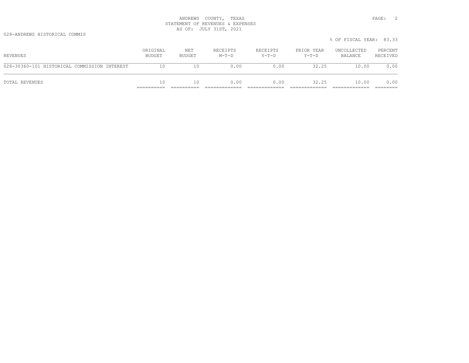028-ANDREWS HISTORICAL COMMIS

|                                              |                    |               |                     |                     |                       | % OF FISCAL YEAR: 83.33 |                     |
|----------------------------------------------|--------------------|---------------|---------------------|---------------------|-----------------------|-------------------------|---------------------|
| REVENUES                                     | ORIGINAL<br>BUDGET | NET<br>BUDGET | RECEIPTS<br>$M-T-D$ | RECEIPTS<br>$Y-T-D$ | PRIOR YEAR<br>$Y-T-D$ | UNCOLLECTED<br>BALANCE  | PERCENT<br>RECEIVED |
| 028-30360-101 HISTORICAL COMMISSION INTEREST | 10                 | 10            | 0.00                | 0.00                | 32.25                 | 10.00                   | 0.00                |
| TOTAL REVENUES                               | 10                 | 10            | 0.00                | 0.00                | 32.25                 | 10.00                   | 0.00                |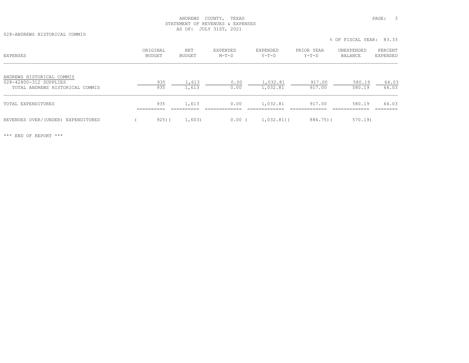028-ANDREWS HISTORICAL COMMIS

|                                                                                        |                    |                |                     |                      |                       | % OF FISCAL YEAR: 83.33 |                     |
|----------------------------------------------------------------------------------------|--------------------|----------------|---------------------|----------------------|-----------------------|-------------------------|---------------------|
| EXPENSES                                                                               | ORIGINAL<br>BUDGET | NET<br>BUDGET  | EXPENDED<br>$M-T-D$ | EXPENDED<br>$Y-T-D$  | PRIOR YEAR<br>$Y-T-D$ | UNEXPENDED<br>BALANCE   | PERCENT<br>EXPENDED |
| ANDREWS HISTORICAL COMMIS<br>028-42800-312 SUPPLIES<br>TOTAL ANDREWS HISTORICAL COMMIS | 935<br>935         | 1,613<br>1,613 | 0.00<br>0.00        | 1,032.81<br>1,032.81 | 917.00<br>917.00      | 580.19<br>580.19        | 64.03<br>64.03      |
| TOTAL EXPENDITURES                                                                     | 935                | 1,613          | 0.00                | 1,032.81             | 917.00                | 580.19                  | 64.03               |
| REVENUES OVER/(UNDER) EXPENDITURES                                                     | $925)$ (           | 1,603)         | 0.00(               | $1,032.81$ (         | 884.75)(              | 570.19                  |                     |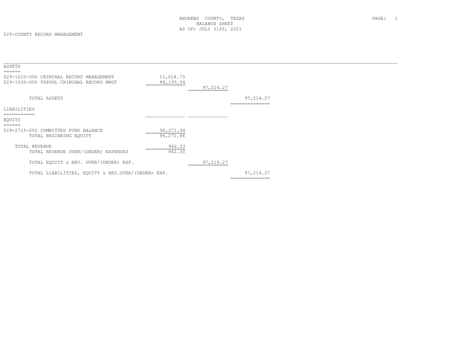| ASSETS                                                                              |                         |            |                            |  |
|-------------------------------------------------------------------------------------|-------------------------|------------|----------------------------|--|
| 029-1010-000 CRIMINAL RECORD MANAGEMENT<br>029-1030-000 TXPOOL CRIMINAL RECORD MNGT | 11,018.73<br>86, 195.54 | 97, 214.27 |                            |  |
| TOTAL ASSETS                                                                        |                         |            | 97,214.27<br>============= |  |
| LIABILITIES                                                                         |                         |            |                            |  |
| ===========                                                                         |                         |            |                            |  |
| EQUITY                                                                              |                         |            |                            |  |
| $=$ $=$ $=$ $=$ $=$ $=$                                                             |                         |            |                            |  |
| 029-2715-000 COMMITTED FUND BALANCE                                                 | 96,271.94               |            |                            |  |
| TOTAL BEGINNING EQUITY                                                              | 96,271.94               |            |                            |  |
|                                                                                     |                         |            |                            |  |
| TOTAL REVENUE                                                                       | 942.33                  |            |                            |  |
| TOTAL REVENUE OVER/(UNDER) EXPENSES                                                 | 942.33                  |            |                            |  |
|                                                                                     |                         |            |                            |  |
| TOTAL EQUITY & REV. OVER/(UNDER) EXP.                                               |                         | 97, 214.27 |                            |  |
| TOTAL LIABILITIES, EQUITY & REV.OVER/(UNDER) EXP.                                   |                         |            | 97, 214.27                 |  |
|                                                                                     |                         |            | ==============             |  |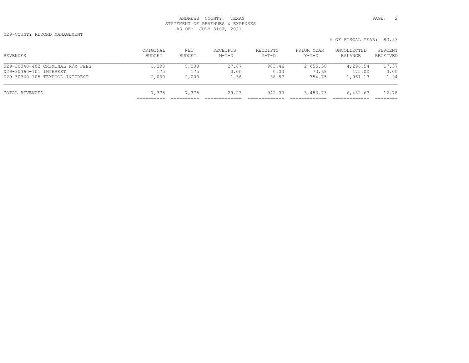029-COUNTY RECORD MANAGEMENT

| ORIGINAL<br>BUDGET | NET<br>BUDGET | RECEIPTS<br>$M-T-D$ | RECEIPTS<br>$Y-T-D$ | PRIOR YEAR<br>$Y-T-D$ | UNCOLLECTED<br>BALANCE | PERCENT<br>RECEIVED |
|--------------------|---------------|---------------------|---------------------|-----------------------|------------------------|---------------------|
| 5,200              | 5,200         | 27.87               | 903.46              | 2,655.30              | 4,296.54               | 17.37               |
| 175                | 175           | 0.00                | 0.00                | 73.68                 | 175.00                 | 0.00                |
| 2,000              | 2,000         | 1.36                | 38.87               | 754.75                | 1,961.13               | 1.94                |
| 7,375              | 7,375         | 29.23               | 942.33              | 3,483.73              | 6,432.67               | 12.78               |
|                    |               |                     |                     |                       |                        |                     |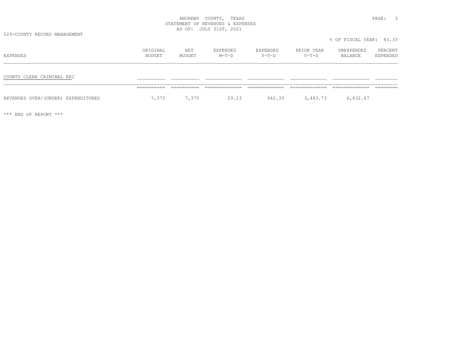029-COUNTY RECORD MANAGEMENT

% OF FISCAL YEAR: 83.33

| EXPENSES                           | ORIGINAL<br>BUDGET  | NET<br>BUDGET | EXPENDED<br>$M-T-D$ | EXPENDED<br>Y-T-D | PRIOR YEAR<br>$Y-T-D$ | UNEXPENDED<br>BALANCE | PERCENT<br>EXPENDED |
|------------------------------------|---------------------|---------------|---------------------|-------------------|-----------------------|-----------------------|---------------------|
| COUNTY CLERK CRIMINAL REC          |                     | ----------    | -------------       | -------------     |                       |                       |                     |
| REVENUES OVER/(UNDER) EXPENDITURES | ==========<br>7,375 | 7,375         | 29.23               | 942.33            | 3,483.73              | 6,432.67              |                     |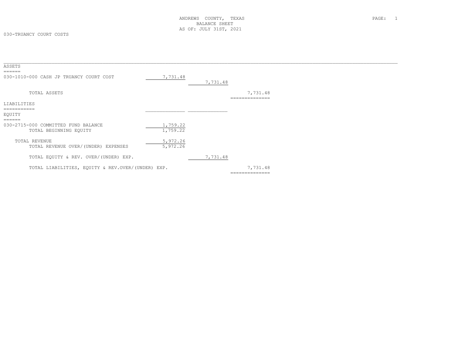| ASSETS<br>=====                                                         |                      |          |                            |  |
|-------------------------------------------------------------------------|----------------------|----------|----------------------------|--|
| 030-1010-000 CASH JP TRUANCY COURT COST                                 | 7,731.48             | 7,731.48 |                            |  |
| TOTAL ASSETS                                                            |                      |          | 7,731.48<br>============== |  |
| LIABILITIES                                                             |                      |          |                            |  |
| -----------<br>EQUITY                                                   |                      |          |                            |  |
| ======<br>030-2715-000 COMMITTED FUND BALANCE<br>TOTAL BEGINNING EQUITY | 1,759.22<br>1,759.22 |          |                            |  |
| TOTAL REVENUE<br>TOTAL REVENUE OVER/(UNDER) EXPENSES                    | 5,972.26<br>5,972.26 |          |                            |  |
| TOTAL EQUITY & REV. OVER/(UNDER) EXP.                                   |                      | 7,731.48 |                            |  |
| TOTAL LIABILITIES, EQUITY & REV.OVER/(UNDER) EXP.                       |                      |          | 7,731.48                   |  |
|                                                                         |                      |          | ==============             |  |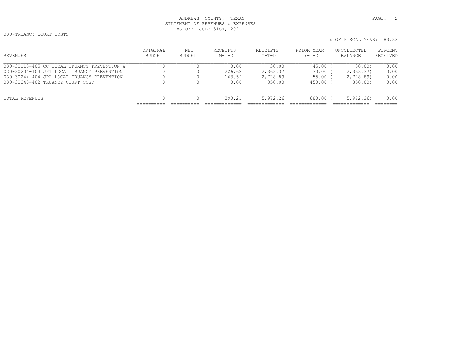030-TRUANCY COURT COSTS

| REVENUES                                    | ORIGINAL<br>BUDGET | NET<br>BUDGET | RECEIPTS<br>$M-T-D$ | RECEIPTS<br>$Y-T-D$ | PRIOR YEAR<br>$Y-T-D$ | UNCOLLECTED<br>BALANCE | PERCENT<br>RECEIVED |
|---------------------------------------------|--------------------|---------------|---------------------|---------------------|-----------------------|------------------------|---------------------|
| 030-30113-405 CC LOCAL TRUANCY PREVENTION & |                    |               | 0.00                | 30.00               | 45.00                 | 30.00                  | 0.00                |
| 030-30204-403 JP1 LOCAL TRUANCY PREVENTION  |                    |               | 226.62              | 2,363.37            | 130.00                | 2, 363, 37)            | 0.00                |
| 030-30244-404 JP2 LOCAL TRUANCY PREVENTION  |                    |               | 163.59              | 2,728.89            | 55.00 (               | 2,728.89)              | 0.00                |
| 030-30340-402 TRUANCY COURT COST            |                    |               | 0.00                | 850.00              | 450.00 (              | 850.00)                | 0.00                |
| TOTAL REVENUES                              | $\Omega$           |               | 390.21              | 5,972.26            | 680.00 (              | 5,972,26               | 0.00                |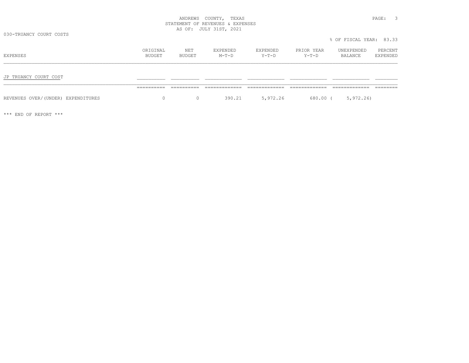030-TRUANCY COURT COSTS

| EXPENSES                           | ORIGINAL<br>BUDGET | NET<br>BUDGET | EXPENDED<br>$M-T-D$ | EXPENDED<br>Y-T-D | PRIOR YEAR<br>Y-T-D | UNEXPENDED<br>BALANCE | PERCENT<br>EXPENDED |
|------------------------------------|--------------------|---------------|---------------------|-------------------|---------------------|-----------------------|---------------------|
| JP TRUANCY COURT COST              |                    |               |                     |                   |                     |                       |                     |
|                                    |                    |               |                     |                   |                     |                       |                     |
| REVENUES OVER/(UNDER) EXPENDITURES | 0                  | $\circ$       | 390.21              | 5,972.26          | 680.00 (            | 5,972.26              |                     |

\*\*\* END OF REPORT \*\*\*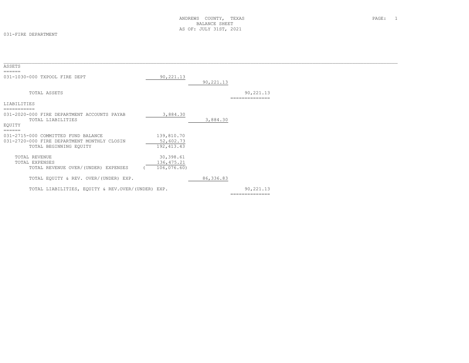#### 031-FIRE DEPARTMENT

| ASSETS                                            |             |            |                             |  |
|---------------------------------------------------|-------------|------------|-----------------------------|--|
| ======                                            |             |            |                             |  |
| 031-1030-000 TXPOOL FIRE DEPT                     | 90,221.13   |            |                             |  |
|                                                   |             | 90,221.13  |                             |  |
| TOTAL ASSETS                                      |             |            |                             |  |
|                                                   |             |            | 90,221.13<br>============== |  |
| LIABILITIES                                       |             |            |                             |  |
|                                                   |             |            |                             |  |
| 031-2020-000 FIRE DEPARTMENT ACCOUNTS PAYAB       | 3,884.30    |            |                             |  |
| TOTAL LIABILITIES                                 |             | 3,884.30   |                             |  |
| EQUITY                                            |             |            |                             |  |
| ======                                            |             |            |                             |  |
| 031-2715-000 COMMITTED FUND BALANCE               | 139,810.70  |            |                             |  |
| 031-2720-000 FIRE DEPARTMENT MONTHLY CLOSIN       | 52,602.73   |            |                             |  |
| TOTAL BEGINNING EQUITY                            | 192, 413.43 |            |                             |  |
|                                                   |             |            |                             |  |
| TOTAL REVENUE                                     | 30,398.61   |            |                             |  |
| TOTAL EXPENSES                                    | 136, 475.21 |            |                             |  |
| TOTAL REVENUE OVER/(UNDER) EXPENSES               | 106,076.60  |            |                             |  |
|                                                   |             |            |                             |  |
| TOTAL EQUITY & REV. OVER/(UNDER) EXP.             |             | 86, 336.83 |                             |  |
| TOTAL LIABILITIES, EQUITY & REV.OVER/(UNDER) EXP. |             |            | 90,221.13                   |  |
|                                                   |             |            |                             |  |
|                                                   |             |            |                             |  |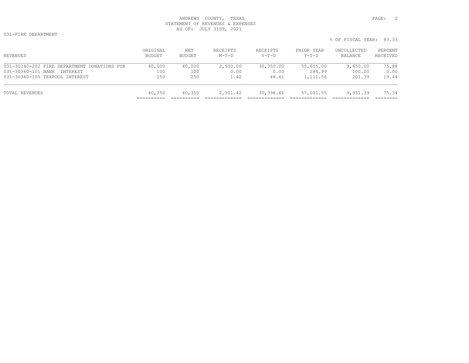|                                             |                    |               |                     |                     |                       | % OF FISCAL YEAR: 83.33 |                     |
|---------------------------------------------|--------------------|---------------|---------------------|---------------------|-----------------------|-------------------------|---------------------|
| REVENUES                                    | ORIGINAL<br>BUDGET | NET<br>BUDGET | RECEIPTS<br>$M-T-D$ | RECEIPTS<br>$Y-T-D$ | PRIOR YEAR<br>$Y-T-D$ | UNCOLLECTED<br>BALANCE  | PERCENT<br>RECEIVED |
| 031-30340-202 FIRE DEPARTMENT DONATIONS FOR | 40,000             | 40,000        | 2,500.00            | 30,350.00           | 55,605.00             | 9,650.00                | 75.88               |
| 031-30360-101 BANK<br>INTEREST              | 100                | 100           | 0.00                | 0.00                | 284.99                | 100.00                  | 0.00                |
| 031-30360-105 TEXPOOL INTEREST              | 250                | 250           | 1.42                | 48.61               | 1,111.56              | 201.39                  | 19.44               |

| TOTAL REVENUES                 | 40,350 | 40,350 | 2.501 42 | 30,398.61 | 57,001.55 | 9,951.39 | 75.34        |
|--------------------------------|--------|--------|----------|-----------|-----------|----------|--------------|
| ANT NANAA TAN TEWLAAR TMIRIMMI | ---    | - 200  | .        | 70.VI     | 11111.JU  |          | . <i>. .</i> |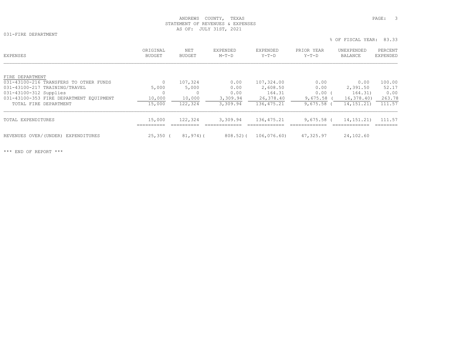% OF FISCAL YEAR: 83.33

031-FIRE DEPARTMENT

ORIGINAL NET EXPENDED EXPENDED PRIOR YEAR UNEXPENDED PERCENT<br>BUDGET BUDGET M-T-D Y-T-D Y-T-D BALANCE EXPENDED

| FIRE DEPARTMENT                         |            |              |              |             |              |              |        |
|-----------------------------------------|------------|--------------|--------------|-------------|--------------|--------------|--------|
| 031-43100-216 TRANSFERS TO OTHER FUNDS  | 0          | 107,324      | 0.00         | 107,324.00  | 0.00         | 0.00         | 100.00 |
| 031-43100-217 TRAINING/TRAVEL           | 5,000      | 5,000        | 0.00         | 2,608.50    | 0.00         | 2,391.50     | 52.17  |
| 031-43100-312 Supplies                  |            |              | 0.00         | 164.31      | 0.00         | 164.31)      | 0.00   |
| 031-43100-353 FIRE DEPARTMENT EOUIPMENT | 10,000     | 10,000       | 3,309.94     | 26,378.40   | 9,675.58     | 16,378,40    | 263.78 |
| TOTAL FIRE DEPARTMENT                   | 15,000     | 122,324      | 3,309.94     | 136, 475.21 | 9,675.58     | 14, 151. 21) | 111.57 |
| TOTAL EXPENDITURES                      | 15,000     | 122,324      | 3,309.94     | 136,475.21  | $9.675.58$ ( | 14, 151, 21) | 111.57 |
|                                         |            |              |              |             |              |              |        |
| REVENUES OVER/(UNDER) EXPENDITURES      | $25,350$ ( | $81,974$ ) ( | $808.52$ ) ( | 106,076.60) | 47,325.97    | 24,102.60    |        |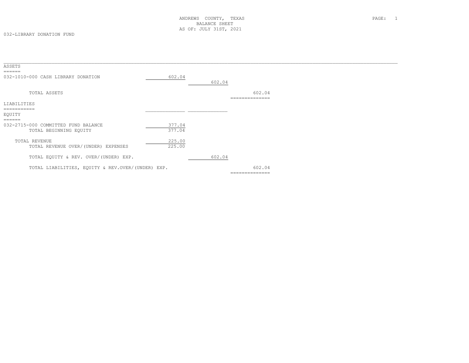| ASSETS<br>======                                                        |                  |        |                          |  |
|-------------------------------------------------------------------------|------------------|--------|--------------------------|--|
| 032-1010-000 CASH LIBRARY DONATION                                      | 602.04           | 602.04 |                          |  |
| TOTAL ASSETS                                                            |                  |        | 602.04<br>-------------- |  |
| LIABILITIES                                                             |                  |        |                          |  |
| ===========<br>EQUITY                                                   |                  |        |                          |  |
| ======<br>032-2715-000 COMMITTED FUND BALANCE<br>TOTAL BEGINNING EQUITY | 377.04<br>377.04 |        |                          |  |
| TOTAL REVENUE<br>TOTAL REVENUE OVER/(UNDER) EXPENSES                    | 225.00<br>225.00 |        |                          |  |
| TOTAL EQUITY & REV. OVER/(UNDER) EXP.                                   |                  | 602.04 |                          |  |
| TOTAL LIABILITIES, EQUITY & REV.OVER/(UNDER) EXP.                       |                  |        | 602.04                   |  |
|                                                                         |                  |        | ==============           |  |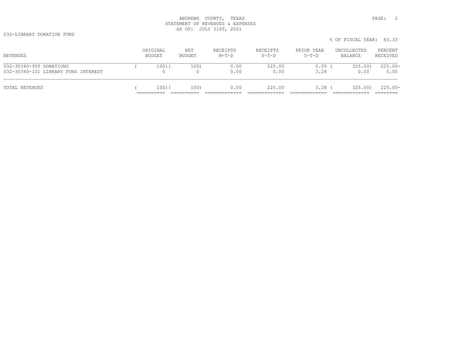032-LIBRARY DONATION FUND

|                                                                |                    |               |                     |                     |                     | % OF FISCAL YEAR: 83.33 |                     |
|----------------------------------------------------------------|--------------------|---------------|---------------------|---------------------|---------------------|-------------------------|---------------------|
| REVENUES                                                       | ORIGINAL<br>BUDGET | NET<br>BUDGET | RECEIPTS<br>$M-T-D$ | RECEIPTS<br>$Y-T-D$ | PRIOR YEAR<br>Y-T-D | UNCOLLECTED<br>BALANCE  | PERCENT<br>RECEIVED |
| 032-30340-950 DONATIONS<br>032-30360-101 LIBRARY FUND INTEREST | 100)(              | 100)          | 0.00<br>0.00        | 225.00<br>0.00      | 0.00<br>3.28        | 325.00)<br>0.00         | $225.00 -$<br>0.00  |
| TOTAL REVENUES                                                 | 100)(              | 100)          | 0.00                | 225.00              | $3.28$ (            | 325.00)                 | $225.00 -$          |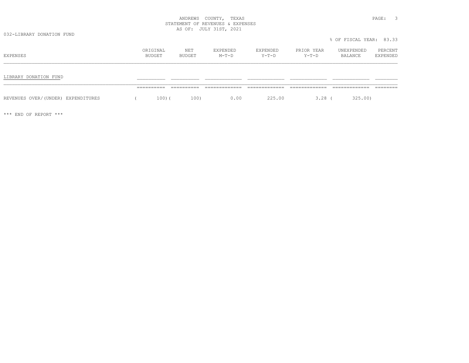% OF FISCAL YEAR: 83.33

## ANDREWS COUNTY, TEXAS **PAGE:** 3 STATEMENT OF REVENUES & EXPENSES AS OF: JULY 31ST, 2021

032-LIBRARY DONATION FUND

ORIGINAL NET EXPENDED EXPENDED PRIOR YEAR UNEXPENDED PERCENT<br>BUDGET BUDGET M-T-D Y-T-D Y-T-D BALANCE EXPENDED LIBRARY DONATION FUND \_\_\_\_\_\_\_\_\_\_ \_\_\_\_\_\_\_\_\_\_ \_\_\_\_\_\_\_\_\_\_\_\_\_ \_\_\_\_\_\_\_\_\_\_\_\_\_ \_\_\_\_\_\_\_\_\_\_\_\_\_ \_\_\_\_\_\_\_\_\_\_\_\_\_ \_\_\_\_\_\_\_\_ ========== ========== ============= ============= ============= ============= ========REVENUES OVER/(UNDER) EXPENDITURES ( 100)( 100) 0.00 225.00 3.28 ( 325.00)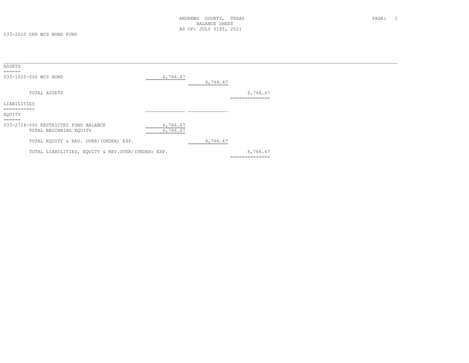033-2010 SER WCS BOND FUND

| ASSETS                                                      |          |          |                |
|-------------------------------------------------------------|----------|----------|----------------|
| $=$ $=$ $=$ $=$ $=$                                         |          |          |                |
| 033-1010-000 WCS BOND                                       | 6,766.67 |          |                |
|                                                             |          | 6,766.67 |                |
| TOTAL ASSETS                                                |          |          | 6,766.67       |
|                                                             |          |          | ============== |
| LIABILITIES                                                 |          |          |                |
| ===========                                                 |          |          |                |
| EQUITY                                                      |          |          |                |
| $=$ $=$ $=$ $=$ $=$<br>033-2718-000 RESTRICTED FUND BALANCE | 6,766.67 |          |                |
|                                                             |          |          |                |
| TOTAL BEGINNING EQUITY                                      | 6,766.67 |          |                |
| TOTAL EQUITY & REV. OVER/(UNDER) EXP.                       |          | 6,766.67 |                |
|                                                             |          |          |                |
| TOTAL LIABILITIES, EQUITY & REV.OVER/(UNDER) EXP.           |          |          | 6,766.67       |
|                                                             |          |          | ============== |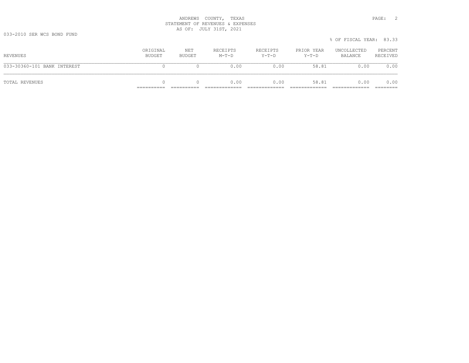|                             |                    |               |                     |                     |                       | % OF FISCAL YEAR: 83.33 |                     |
|-----------------------------|--------------------|---------------|---------------------|---------------------|-----------------------|-------------------------|---------------------|
| REVENUES                    | ORIGINAL<br>BUDGET | NET<br>BUDGET | RECEIPTS<br>$M-T-D$ | RECEIPTS<br>$Y-T-D$ | PRIOR YEAR<br>$Y-T-D$ | UNCOLLECTED<br>BALANCE  | PERCENT<br>RECEIVED |
| 033-30360-101 BANK INTEREST |                    |               | 0.00                | 0.00                | 58.81                 | 0.00                    | 0.00                |
| TOTAL REVENUES              |                    |               | 0.00                | 0.00                | 58.81                 | 0.00                    | 0.00<br>========    |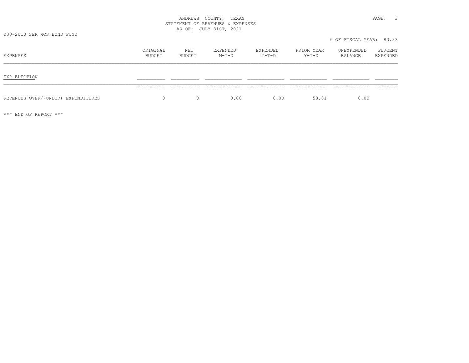|  |  | FAGE.<br>$\sim$ |  |
|--|--|-----------------|--|
|  |  |                 |  |
|  |  |                 |  |
|  |  |                 |  |
|  |  |                 |  |

% OF FISCAL YEAR: 83.33

| EXPENSES                           | ORIGINAL<br>BUDGET | NET<br>BUDGET     | EXPENDED<br>$M-T-D$ | EXPENDED<br>Y-T-D | PRIOR YEAR<br>$Y-T-D$ | UNEXPENDED<br>BALANCE | PERCENT<br>EXPENDED |
|------------------------------------|--------------------|-------------------|---------------------|-------------------|-----------------------|-----------------------|---------------------|
| EXP ELECTION                       | ----------         | ----------        | -------------       | ____________      |                       | -------------         | _______             |
| REVENUES OVER/(UNDER) EXPENDITURES | ___________<br>0   | _____<br>$\Omega$ | 0.00                | 0.00              | 58.81                 | 0.00                  |                     |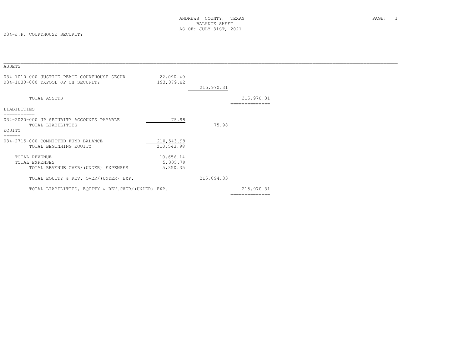034-J.P. COURTHOUSE SECURITY

| ASSETS                                                                                      |                                   |            |                             |  |
|---------------------------------------------------------------------------------------------|-----------------------------------|------------|-----------------------------|--|
| ======<br>034-1010-000 JUSTICE PEACE COURTHOUSE SECUR<br>034-1030-000 TXPOOL JP CH SECURITY | 22,090.49<br>193,879.82           | 215,970.31 |                             |  |
| TOTAL ASSETS                                                                                |                                   |            | 215,970.31<br>------------- |  |
| LIABILITIES<br>===========                                                                  |                                   |            |                             |  |
| 034-2020-000 JP SECURITY ACCOUNTS PAYABLE<br>TOTAL LIABILITIES<br>EQUITY                    | 75.98                             | 75.98      |                             |  |
| ======<br>034-2715-000 COMMITTED FUND BALANCE<br>TOTAL BEGINNING EQUITY                     | 210,543.98<br>210,543.98          |            |                             |  |
| TOTAL REVENUE<br>TOTAL EXPENSES<br>TOTAL REVENUE OVER/(UNDER) EXPENSES                      | 10,656.14<br>5,305.79<br>5,350.35 |            |                             |  |
| TOTAL EQUITY & REV. OVER/(UNDER) EXP.                                                       |                                   | 215,894.33 |                             |  |
| TOTAL LIABILITIES, EQUITY & REV.OVER/(UNDER) EXP.                                           |                                   |            | 215,970.31                  |  |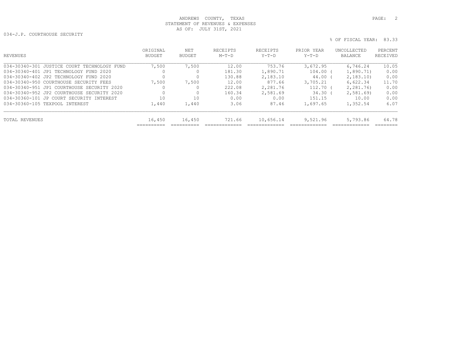034-J.P. COURTHOUSE SECURITY

| REVENUES                                    | ORIGINAL<br>BUDGET   | NET<br>BUDGET        | RECEIPTS<br>$M-T-D$ | RECEIPTS<br>$Y-T-D$ | PRIOR YEAR<br>$Y-T-D$ | UNCOLLECTED<br><b>BALANCE</b> | PERCENT<br>RECEIVED |
|---------------------------------------------|----------------------|----------------------|---------------------|---------------------|-----------------------|-------------------------------|---------------------|
| 034-30340-301 JUSTICE COURT TECHNOLOGY FUND | 7,500                | 7,500                | 12.00               | 753.76              | 3,672.95              | 6,746.24                      | 10.05               |
| 034-30340-401 JP1 TECHNOLOGY FUND 2020      | 0                    |                      | 181.30              | 1,890.71            | 104.00                | 1,890.71)                     | 0.00                |
| 034-30340-402 JP2 TECHNOLOGY FUND 2020      | $\Omega$             | O                    | 130.88              | 2,183.10            | 44.00 (               | 2,183.10                      | 0.00                |
| 034-30340-950 COURTHOUSE SECURITY FEES      | 7,500                | 7,500                | 12.00               | 877.66              | 3,705.21              | 6,622.34                      | 11.70               |
| 034-30340-951 JP1 COURTHOUSE SECURITY 2020  |                      |                      | 222.08              | 2,281.76            | $112.70$ (            | 2,281.76)                     | 0.00                |
| 034-30340-952 JP2 COURTHOUSE SECURITY 2020  |                      |                      | 160.34              | 2,581.69            | 34.30                 | 2,581.69                      | 0.00                |
| 034-30360-101 JP COURT SECURITY INTEREST    | 10                   | 10                   | 0.00                | 0.00                | 151.15                | 10.00                         | 0.00                |
| 034-30360-105 TEXPOOL INTEREST              | 1,440                | 1,440                | 3.06                | 87.46               | 1,697.65              | 1,352.54                      | 6.07                |
| TOTAL REVENUES                              | 16,450<br>__________ | 16,450<br>__________ | 721.66<br>________  | 10,656.14           | 9,521.96              | 5,793.86                      | 64.78<br>--------   |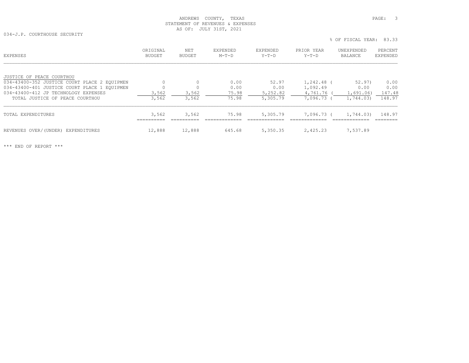034-J.P. COURTHOUSE SECURITY

% OF FISCAL YEAR: 83.33

| <b>EXPENSES</b>                              | ORIGINAL<br><b>BUDGET</b> | <b>NET</b><br><b>BUDGET</b> | EXPENDED<br>$M-T-D$ | EXPENDED<br>$Y-T-D$ | PRIOR YEAR<br>$Y-T-D$ | UNEXPENDED<br><b>BALANCE</b> | PERCENT<br><b>EXPENDED</b> |
|----------------------------------------------|---------------------------|-----------------------------|---------------------|---------------------|-----------------------|------------------------------|----------------------------|
| JUSTICE OF PEACE COURTHOU                    |                           |                             |                     |                     |                       |                              |                            |
| 034-43400-352 JUSTICE COURT PLACE 2 EQUIPMEN |                           | $\circ$                     | 0.00                | 52.97               | $1,242.48$ (          | 52.97)                       | 0.00                       |
| 034-43400-401 JUSTICE COURT PLACE 1 EQUIPMEN |                           |                             | 0.00                | 0.00                | 1,092.49              | 0.00                         | 0.00                       |
| 034-43400-412 JP TECHNOLOGY EXPENSES         | 3,562                     | 3,562                       | 75.98               | 5,252.82            | 4,761.76              | 1,691.06)                    | 147.48                     |
| TOTAL JUSTICE OF PEACE COURTHOU              | 3,562                     | 3,562                       | 75.98               | 5,305.79            | 7,096.73 (            | 1,744.03)                    | 148.97                     |
| TOTAL EXPENDITURES                           | 3,562<br>_________        | 3,562                       | 75.98               | 5,305.79            | 7,096.73 (            | 1,744.03)                    | 148.97                     |
| REVENUES OVER/(UNDER)<br>EXPENDITURES        | 12,888                    | 12,888                      | 645.68              | 5,350.35            | 2,425.23              | 7,537.89                     |                            |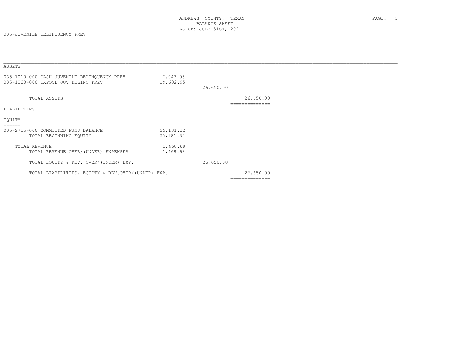| ASSETS<br>======                                                                   |                          |           |                             |  |
|------------------------------------------------------------------------------------|--------------------------|-----------|-----------------------------|--|
| 035-1010-000 CASH JUVENILE DELINQUENCY PREV<br>035-1030-000 TXPOOL JUV DELINQ PREV | 7,047.05<br>19,602.95    | 26,650.00 |                             |  |
| TOTAL ASSETS                                                                       |                          |           | 26,650.00<br>============   |  |
| LIABILITIES<br>===========                                                         |                          |           |                             |  |
| EOUITY                                                                             |                          |           |                             |  |
| ======<br>035-2715-000 COMMITTED FUND BALANCE<br>TOTAL BEGINNING EOUITY            | 25, 181.32<br>25, 181.32 |           |                             |  |
| TOTAL REVENUE<br>TOTAL REVENUE OVER/(UNDER) EXPENSES                               | 1,468.68<br>1,468.68     |           |                             |  |
| TOTAL EQUITY & REV. OVER/(UNDER) EXP.                                              |                          | 26,650.00 |                             |  |
| TOTAL LIABILITIES, EOUITY & REV.OVER/(UNDER) EXP.                                  |                          |           | 26,650.00<br>============== |  |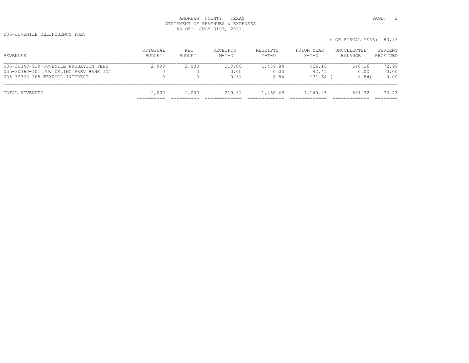035-JUVENILE DELINQUENCY PREV

| REVENUES                               | ORIGINAL<br>BUDGET | NET<br>BUDGET | RECEIPTS<br>$M-T-D$ | RECEIPTS<br>$Y-T-D$ | PRIOR YEAR<br>$Y-T-D$ | UNCOLLECTED<br>BALANCE | PERCENT<br>RECEIVED |
|----------------------------------------|--------------------|---------------|---------------------|---------------------|-----------------------|------------------------|---------------------|
| 035-30340-910 JUVENILE PROBATION FEES  | 2,000              | 2,000         | 219.00              | 1,459.84            | 926.16                | 540.16                 | 72.99               |
| 035-30360-101 JUV DELING PREV BANK INT |                    |               | 0.00                | 0.00                | 42.45                 | 0.00                   | 0.00                |
| 035-30360-105 TEXPOOL INTEREST         | 0                  |               | 0.31                | 8.84                | 171.64                | 8.84)                  | 0.00                |
| TOTAL REVENUES                         | 2,000              | 2,000         | 219.31              | 1,468.68            | 1,140.25              | 531.32                 | 73.43               |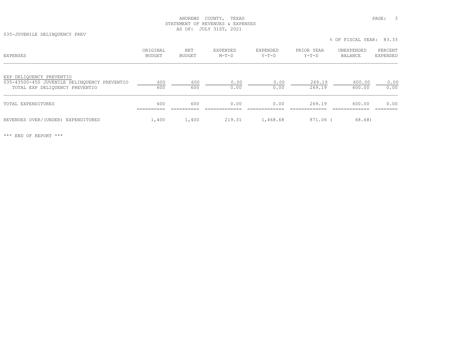035-JUVENILE DELINQUENCY PREV

% OF FISCAL YEAR: 83.33

| EXPENSES                                                                                                   | ORIGINAL<br><b>BUDGET</b> | NET<br><b>BUDGET</b> | EXPENDED<br>$M-T-D$ | EXPENDED<br>$Y-T-D$ | PRIOR YEAR<br>$Y-T-D$ | UNEXPENDED<br>BALANCE | PERCENT<br>EXPENDED |
|------------------------------------------------------------------------------------------------------------|---------------------------|----------------------|---------------------|---------------------|-----------------------|-----------------------|---------------------|
| EXP DELIQUENCY PREVENTIO<br>035-43500-450 JUVENILE DELINOUENCY PREVENTIO<br>TOTAL EXP DELIQUENCY PREVENTIO | 600<br>600                | 600<br>600           | 0.00<br>0.00        | 0.00<br>0.00        | 269.19<br>269.19      | 600.00<br>600.00      | 0.00<br>0.00        |
| TOTAL EXPENDITURES                                                                                         | 600                       | 600                  | 0.00                | 0.00                | 269.19                | 600.00                | 0.00                |
| REVENUES OVER/(UNDER) EXPENDITURES                                                                         | 1,400                     | 1,400                | 219.31              | 1,468.68            | 871.06                | 68.68)                |                     |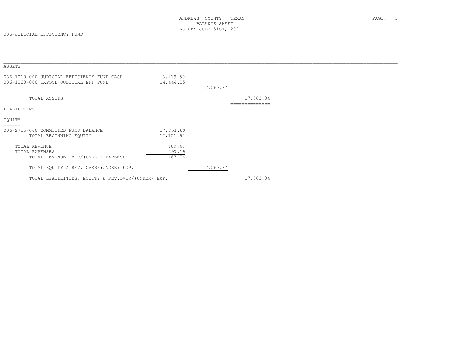| ASSETS                                                                                        |                        |           |                           |  |
|-----------------------------------------------------------------------------------------------|------------------------|-----------|---------------------------|--|
| ======<br>036-1010-000 JUDICIAL EFFICIENCY FUND CASH<br>036-1030-000 TXPOOL JUDICIAL EFF FUND | 3,119.59<br>14,444.25  | 17,563.84 |                           |  |
| TOTAL ASSETS                                                                                  |                        |           | 17,563.84<br>============ |  |
| LIABILITIES<br>==========<br>EQUITY                                                           |                        |           |                           |  |
| ======                                                                                        |                        |           |                           |  |
| 036-2715-000 COMMITTED FUND BALANCE<br>TOTAL BEGINNING EQUITY                                 | 17,751.60<br>17,751.60 |           |                           |  |
| TOTAL REVENUE<br>TOTAL EXPENSES                                                               | 109.43<br>297.19       |           |                           |  |
| TOTAL REVENUE OVER/(UNDER) EXPENSES                                                           | 187.76)                |           |                           |  |
| TOTAL EQUITY & REV. OVER/(UNDER) EXP.                                                         |                        | 17,563.84 |                           |  |
| TOTAL LIABILITIES, EQUITY & REV.OVER/(UNDER) EXP.                                             |                        |           | 17,563.84                 |  |
|                                                                                               |                        |           | --------------            |  |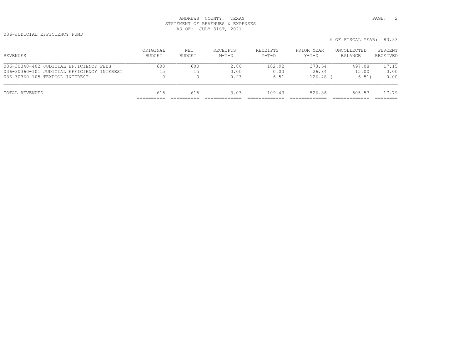036-JUDICIAL EFFICIENCY FUND

| REVENUES                                   | ORIGINAL<br>BUDGET | NET<br>BUDGET | RECEIPTS<br>$M-T-D$ | RECEIPTS<br>Y-T-D | PRIOR YEAR<br>$Y-T-D$ | UNCOLLECTED<br>BALANCE | PERCENT<br>RECEIVED |
|--------------------------------------------|--------------------|---------------|---------------------|-------------------|-----------------------|------------------------|---------------------|
| 036-30340-402 JUDICIAL EFFICIENCY FEES     | 600                | 600           | 2.80                | 102.92            | 373.54                | 497.08                 | 17.15               |
| 036-30360-101 JUDICIAL EFFICIENCY INTEREST | 15                 | 15            | 0.00                | 0.00              | 26.84                 | 15.00                  | 0.00                |
| 036-30360-105 TEXPOOL INTEREST             | $\Omega$           |               | 0.23                | 6.51              | $126.48$ (            | 6.51)                  | 0.00                |
| TOTAL REVENUES                             | 615                | 615           | 3.03                | 109.43            | 526.86                | 505.57                 | 17.79               |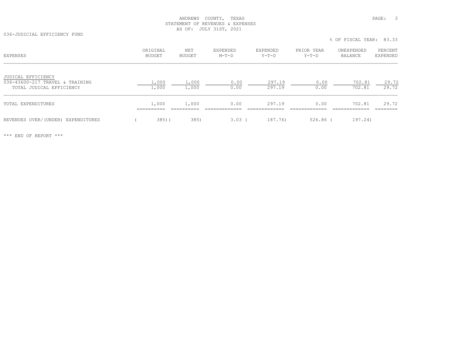036-JUDICIAL EFFICIENCY FUND

% OF FISCAL YEAR: 83.33

| <b>EXPENSES</b>                                                                   | ORIGINAL<br><b>BUDGET</b> | NET<br><b>BUDGET</b> | EXPENDED<br>$M-T-D$ | EXPENDED<br>$Y-T-D$ | PRIOR YEAR<br>$Y-T-D$ | UNEXPENDED<br>BALANCE | PERCENT<br>EXPENDED |
|-----------------------------------------------------------------------------------|---------------------------|----------------------|---------------------|---------------------|-----------------------|-----------------------|---------------------|
| JUDICAL EFFICIENCY<br>036-43600-217 TRAVEL & TRAINING<br>TOTAL JUDICAL EFFICIENCY | 1,000<br>1,000            | 1,000<br>1,000       | 0.00<br>0.00        | 297.19<br>297.19    | 0.00<br>0.00          | 702.81<br>702.81      | 29.72<br>29.72      |
| TOTAL EXPENDITURES                                                                | 1,000                     | 1,000                | 0.00                | 297.19              | 0.00                  | 702.81                | 29.72               |
| REVENUES OVER/(UNDER) EXPENDITURES                                                | $385)$ (                  | 385)                 | 3.03(               | 187.76)             | $526.86$ (            | 197.24)               |                     |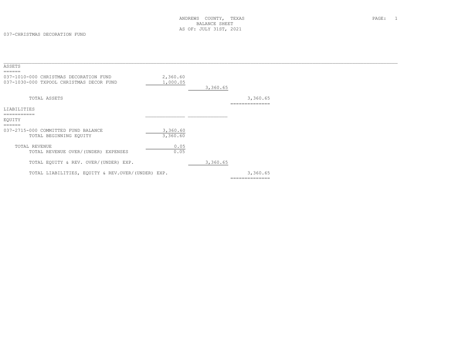037-CHRISTMAS DECORATION FUND

| ASSETS<br>======                                                                   |                      |          |                            |  |
|------------------------------------------------------------------------------------|----------------------|----------|----------------------------|--|
| 037-1010-000 CHRISTMAS DECORATION FUND<br>037-1030-000 TXPOOL CHRISTMAS DECOR FUND | 2,360.60<br>1,000.05 | 3,360.65 |                            |  |
| TOTAL ASSETS                                                                       |                      |          | 3,360.65<br>============== |  |
| LIABILITIES<br>===========                                                         |                      |          |                            |  |
| EQUITY<br>======                                                                   |                      |          |                            |  |
| 037-2715-000 COMMITTED FUND BALANCE<br>TOTAL BEGINNING EQUITY                      | 3,360.60<br>3,360.60 |          |                            |  |
| TOTAL REVENUE<br>TOTAL REVENUE OVER/(UNDER) EXPENSES                               | 0.05<br>0.05         |          |                            |  |
| TOTAL EQUITY & REV. OVER/(UNDER) EXP.                                              |                      | 3,360.65 |                            |  |
| TOTAL LIABILITIES, EQUITY & REV.OVER/(UNDER) EXP.                                  |                      |          | 3,360.65<br>-------------- |  |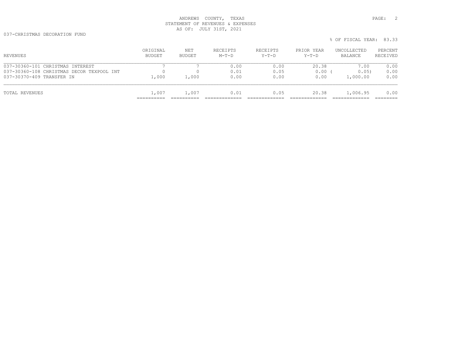037-CHRISTMAS DECORATION FUND

| REVENUES                                  | ORIGINAL<br><b>BUDGET</b> | NET<br>BUDGET       | RECEIPTS<br>$M-T-D$ | RECEIPTS<br>$Y-T-D$ | PRIOR YEAR<br>$Y-T-D$ | UNCOLLECTED<br>BALANCE | PERCENT<br>RECEIVED |
|-------------------------------------------|---------------------------|---------------------|---------------------|---------------------|-----------------------|------------------------|---------------------|
| 037-30360-101 CHRISTMAS INTEREST          |                           |                     | 0.00                | 0.00                | 20.38                 | 7.00                   | 0.00                |
| 037-30360-108 CHRISTMAS DECOR TEXPOOL INT | <sup>0</sup>              |                     | 0.01                | 0.05                | 0.00                  | 0.05                   | 0.00                |
| 037-30370-409 TRANSFER IN                 | 1,000                     | $\overline{1}$ ,000 | 0.00                | 0.00                | 0.00                  | 1,000.00               | 0.00                |
| TOTAL REVENUES                            | 1,007                     | 1,007               | 0.01                | 0.05                | 20.38                 | 1,006.95               | 0.00                |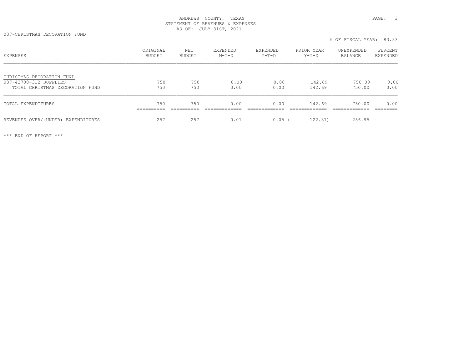037-CHRISTMAS DECORATION FUND

| EXPENSES                                                                               | ORIGINAL<br><b>BUDGET</b>       | NET<br><b>BUDGET</b> | <b>EXPENDED</b><br>$M-T-D$ | EXPENDED<br>$Y-T-D$   | PRIOR YEAR<br>$Y-T-D$  | UNEXPENDED<br>BALANCE   | PERCENT<br>EXPENDED |
|----------------------------------------------------------------------------------------|---------------------------------|----------------------|----------------------------|-----------------------|------------------------|-------------------------|---------------------|
| CHRISTMAS DECORATION FUND<br>037-43700-312 SUPPLIES<br>TOTAL CHRISTMAS DECORATION FUND | 750<br>750                      | 750<br>750           | 0.00<br>0.00               | 0.00<br>0.00          | 142.69<br>142.69       | 750.00<br>750.00        | 0.00<br>0.00        |
| TOTAL EXPENDITURES                                                                     | 750<br>__________<br>__________ | 750<br>__________    | 0.00<br>____________       | 0.00<br>_____________ | 142.69<br>____________ | 750.00<br>_____________ | 0.00<br>---------   |
| REVENUES OVER/(UNDER) EXPENDITURES                                                     | 257                             | 257                  | 0.01                       | 0.05                  | 122.31)                | 256.95                  |                     |

% OF FISCAL YEAR: 83.33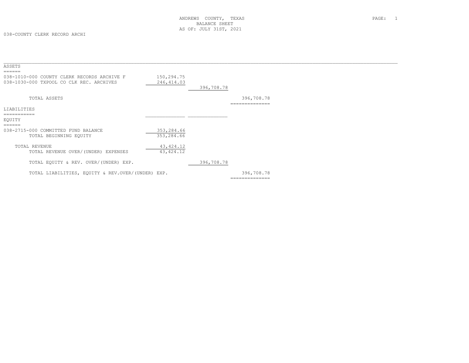| ASSETS<br>======                                                                        |                           |            |                |  |
|-----------------------------------------------------------------------------------------|---------------------------|------------|----------------|--|
| 038-1010-000 COUNTY CLERK RECORDS ARCHIVE F<br>038-1030-000 TXPOOL CO CLK REC. ARCHIVES | 150,294.75<br>246, 414.03 |            |                |  |
|                                                                                         |                           | 396,708.78 |                |  |
| TOTAL ASSETS                                                                            |                           |            | 396,708.78     |  |
| LIABILITIES                                                                             |                           |            |                |  |
|                                                                                         |                           |            |                |  |
| EOUITY                                                                                  |                           |            |                |  |
| ======                                                                                  |                           |            |                |  |
| 038-2715-000 COMMITTED FUND BALANCE                                                     | 353,284.66                |            |                |  |
| TOTAL BEGINNING EQUITY                                                                  | 353,284.66                |            |                |  |
|                                                                                         |                           |            |                |  |
| TOTAL REVENUE                                                                           | 43, 424.12                |            |                |  |
| TOTAL REVENUE OVER/(UNDER) EXPENSES                                                     | 43, 424.12                |            |                |  |
| TOTAL EQUITY & REV. OVER/(UNDER) EXP.                                                   |                           | 396,708.78 |                |  |
| TOTAL LIABILITIES, EQUITY & REV.OVER/(UNDER) EXP.                                       |                           |            | 396,708.78     |  |
|                                                                                         |                           |            | ============== |  |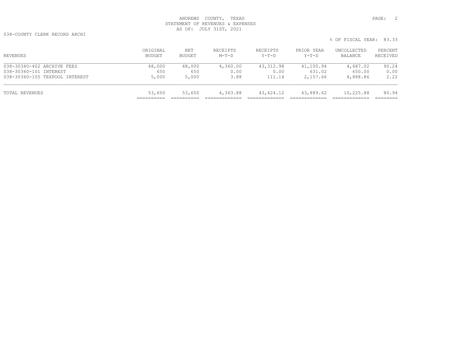038-COUNTY CLERK RECORD ARCHI

| REVENUES                       | ORIGINAL<br><b>BUDGET</b> | NET<br><b>BUDGET</b> | RECEIPTS<br>$M-T-D$ | RECEIPTS<br>Y-T-D | PRIOR YEAR<br>$Y-T-D$ | UNCOLLECTED<br>BALANCE | PERCENT<br>RECEIVED |
|--------------------------------|---------------------------|----------------------|---------------------|-------------------|-----------------------|------------------------|---------------------|
| 038-30340-402 ARCHIVE FEES     | 48,000                    | 48,000               | 4,360.00            | 43,312.98         | 41,100.94             | 4,687.02               | 90.24               |
| 038-30360-101 INTEREST         | 650                       | 650                  | 0.00                | 0.00              | 631.02                | 650.00                 | 0.00                |
| 038-30360-105 TEXPOOL INTEREST | 5,000                     | 5,000                | 3.88                | 111.14            | 2,157.66              | 4,888.86               | 2.22                |
| TOTAL REVENUES                 | 53,650                    | 53,650               | 4,363.88            | 43,424.12         | 43,889.62             | 10,225.88              | 80.94               |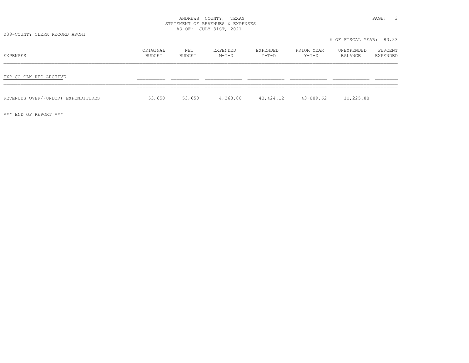038-COUNTY CLERK RECORD ARCHI

| EXPENSES                           | ORIGINAL<br>BUDGET    | NET<br>BUDGET        | EXPENDED<br>$M-T-D$ | EXPENDED<br>Y-T-D | PRIOR YEAR<br>Y-T-D | UNEXPENDED<br>BALANCE | PERCENT<br>EXPENDED |
|------------------------------------|-----------------------|----------------------|---------------------|-------------------|---------------------|-----------------------|---------------------|
| EXP CO CLK REC ARCHIVE             | ___________           | __________           |                     |                   |                     |                       |                     |
| REVENUES OVER/(UNDER) EXPENDITURES | ___________<br>53,650 | __________<br>53,650 | 4,363.88            | 43,424.12         | 43,889.62           | 10,225.88             |                     |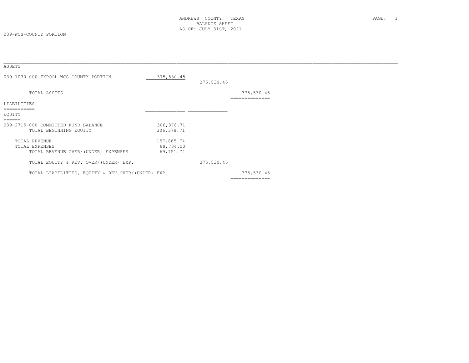| ASSETS<br>======                                                        |                                      |            |                              |  |
|-------------------------------------------------------------------------|--------------------------------------|------------|------------------------------|--|
| 039-1030-000 TXPOOL WCS-COUNTY PORTION                                  | 375,530.45                           | 375,530.45 |                              |  |
| TOTAL ASSETS                                                            |                                      |            | 375,530.45<br>============== |  |
| LIABILITIES                                                             |                                      |            |                              |  |
| ===========<br>EQUITY                                                   |                                      |            |                              |  |
| ======<br>039-2715-000 COMMITTED FUND BALANCE<br>TOTAL BEGINNING EQUITY | 306, 378.71<br>306, 378.71           |            |                              |  |
| TOTAL REVENUE<br>TOTAL EXPENSES<br>TOTAL REVENUE OVER/(UNDER) EXPENSES  | 157,885.74<br>88,734.00<br>69,151.74 |            |                              |  |
| TOTAL EQUITY & REV. OVER/(UNDER) EXP.                                   |                                      | 375,530.45 |                              |  |
| TOTAL LIABILITIES, EQUITY & REV.OVER/(UNDER) EXP.                       |                                      |            | 375,530.45<br>-------------- |  |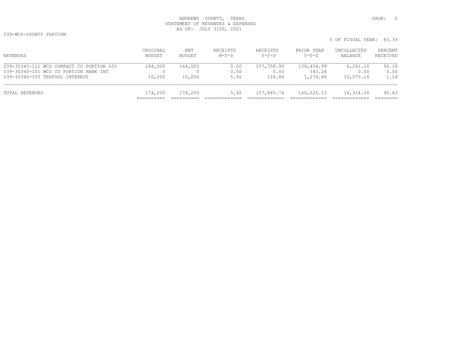| REVENUES                                 | ORIGINAL<br><b>BUDGET</b> | NET<br>BUDGET | RECEIPTS<br>$M-T-D$ | RECEIPTS<br>$Y-T-D$ | PRIOR YEAR<br>$Y-T-D$ | UNCOLLECTED<br>BALANCE | PERCENT<br>RECEIVED |
|------------------------------------------|---------------------------|---------------|---------------------|---------------------|-----------------------|------------------------|---------------------|
| 039-30340-111 WCS COMPACT CO PORTION 10% | 164,000                   | 164,000       | 0.00                | 157,758.90          | 158,404.99            | 6,241.10               | 96.19               |
| 039-30360-101 WCS CO PORTION BANK INT    |                           |               | 0.00                | 0.00                | 543.28                | 0.00                   | 0.00                |
| 039-30360-105 TEXPOOL INTEREST           | 10,200                    | 10,200        | 5.92                | 126.84              | 1,276.86              | 10,073.16              | 1.24                |
| TOTAL REVENUES                           | 174,200                   | 174,200       | 5.92                | 157,885.74          | 160,225.13            | 16,314.26              | 90.63               |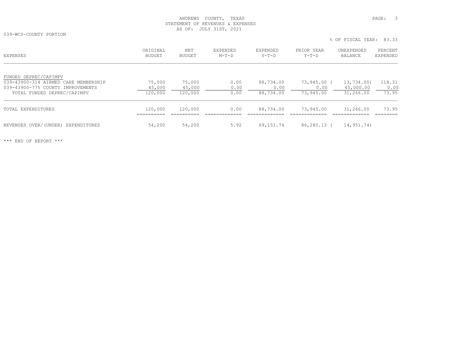039-WCS-COUNTY PORTION

 ORIGINAL NET EXPENDED EXPENDED PRIOR YEAR UNEXPENDED PERCENT EXPENSES BUDGET BUDGET M-T-D Y-T-D Y-T-D BALANCE EXPENDEDFUNDED DEPREC/CAPIMPV 039-43900-314 AIRMED CARE MEMBERSHIP 75,000 75,000 0.00 88,734.00 73,945.00 ( 13,734.00) 118.31 039-43900-775 COUNTY IMPROVEMENTS 45,000 45,000 0.00 0.00 0.00 45,000.00 0.00 TOTAL FUNDED DEPREC/CAPIMPV  $\overline{120,000}$   $\overline{120,000}$   $\overline{0.00}$  88,734.00 73,945.00 31,266.00 73.95 TOTAL EXPENDITURES 120,000 120,000 0.00 88,734.00 73,945.00 31,266.00 73.95 ========== ========== ============= ============= ============= ============= ========REVENUES OVER/(UNDER) EXPENDITURES 64,200 54,200 54,200 55.92 69,151.74 86,280.13 (14,951.74)

\*\*\* END OF REPORT \*\*\*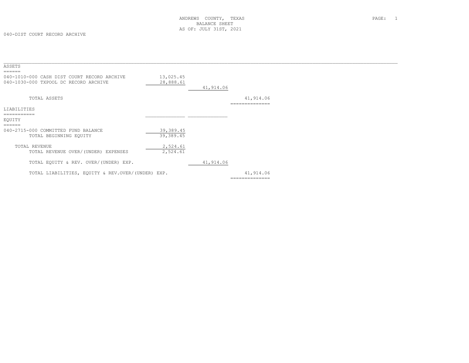| ASSETS<br>======                                  |            |           |                |  |
|---------------------------------------------------|------------|-----------|----------------|--|
| 040-1010-000 CASH DIST COURT RECORD ARCHIVE       | 13,025.45  |           |                |  |
| 040-1030-000 TXPOOL DC RECORD ARCHIVE             | 28,888.61  | 41,914.06 |                |  |
|                                                   |            |           |                |  |
| TOTAL ASSETS                                      |            |           | 41,914.06      |  |
|                                                   |            |           |                |  |
| LIABILITIES                                       |            |           |                |  |
| -----------                                       |            |           |                |  |
| EOUITY                                            |            |           |                |  |
| ======<br>040-2715-000 COMMITTED FUND BALANCE     | 39, 389.45 |           |                |  |
| TOTAL BEGINNING EQUITY                            | 39,389.45  |           |                |  |
| TOTAL REVENUE                                     | 2,524.61   |           |                |  |
| TOTAL REVENUE OVER/(UNDER) EXPENSES               | 2,524.61   |           |                |  |
| TOTAL EQUITY & REV. OVER/(UNDER) EXP.             |            | 41,914.06 |                |  |
| TOTAL LIABILITIES, EQUITY & REV.OVER/(UNDER) EXP. |            |           | 41,914.06      |  |
|                                                   |            |           | ============== |  |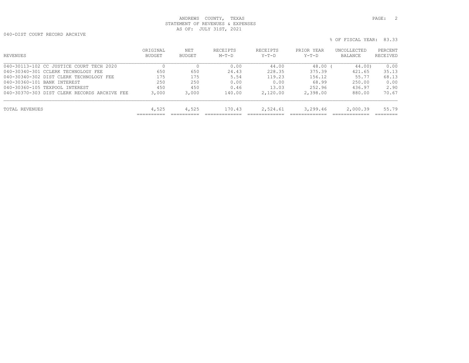040-DIST COURT RECORD ARCHIVE

| <b>REVENUES</b>                              | ORIGINAL<br><b>BUDGET</b> | NET<br>BUDGET | <b>RECETPTS</b><br>$M-T-D$ | <b>RECEIPTS</b><br>$Y-T-D$ | PRIOR YEAR<br>$Y-T-D$ | UNCOLLECTED<br>BALANCE | PERCENT<br>RECEIVED |
|----------------------------------------------|---------------------------|---------------|----------------------------|----------------------------|-----------------------|------------------------|---------------------|
| 040-30113-102 CC JUSTICE COURT TECH 2020     | 0                         |               | 0.00                       | 44.00                      | 48.00                 | 44.00)                 | 0.00                |
| 040-30340-301 CCLERK TECHNOLOGY FEE          | 650                       | 650           | 24.43                      | 228.35                     | 375.39                | 421.65                 | 35.13               |
| 040-30340-302 DIST CLERK TECHNOLOGY FEE      | 175                       | 175           | 5.54                       | 119.23                     | 156.12                | 55.77                  | 68.13               |
| 040-30360-101 BANK INTEREST                  | 250                       | 250           | 0.00                       | 0.00                       | 68.99                 | 250.00                 | 0.00                |
| 040-30360-105 TEXPOOL INTEREST               | 450                       | 450           | 0.46                       | 13.03                      | 252.96                | 436.97                 | 2.90                |
| 040-30370-303 DIST CLERK RECORDS ARCHIVE FEE | 3,000                     | 3,000         | 140.00                     | 2,120.00                   | 2,398.00              | 880.00                 | 70.67               |
| TOTAL REVENUES                               | 4,525                     | 4,525         | 170.43                     | 2,524.61                   | 3,299.46              | 2,000.39               | 55.79               |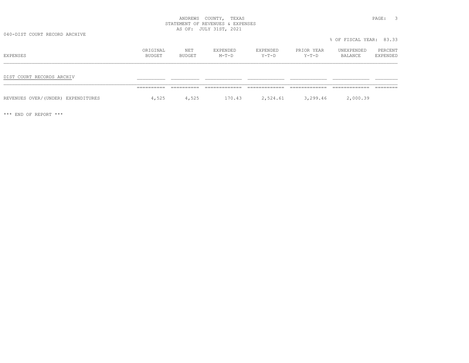040-DIST COURT RECORD ARCHIVE

| EXPENSES                           | ORIGINAL<br>BUDGET | NET<br>BUDGET | EXPENDED<br>$M-T-D$ | EXPENDED<br>$Y-T-D$ | PRIOR YEAR<br>$Y-T-D$ | UNEXPENDED<br>BALANCE | PERCENT<br>EXPENDED |
|------------------------------------|--------------------|---------------|---------------------|---------------------|-----------------------|-----------------------|---------------------|
| DIST COURT RECORDS ARCHIV          |                    |               |                     |                     |                       |                       |                     |
| REVENUES OVER/(UNDER) EXPENDITURES | 4,525              | 4,525         | 170.43              | 2,524.61            | 3,299.46              | 2,000.39              |                     |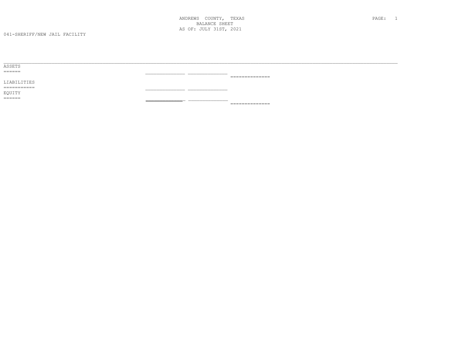| ASSETS      |                                                                                                                                                                                                                                                                                                                                                                                                                                                                                        |
|-------------|----------------------------------------------------------------------------------------------------------------------------------------------------------------------------------------------------------------------------------------------------------------------------------------------------------------------------------------------------------------------------------------------------------------------------------------------------------------------------------------|
| ======      |                                                                                                                                                                                                                                                                                                                                                                                                                                                                                        |
|             | $\begin{array}{cccccccccccccc} \multicolumn{2}{c}{} & \multicolumn{2}{c}{} & \multicolumn{2}{c}{} & \multicolumn{2}{c}{} & \multicolumn{2}{c}{} & \multicolumn{2}{c}{} & \multicolumn{2}{c}{} & \multicolumn{2}{c}{} & \multicolumn{2}{c}{} & \multicolumn{2}{c}{} & \multicolumn{2}{c}{} & \multicolumn{2}{c}{} & \multicolumn{2}{c}{} & \multicolumn{2}{c}{} & \multicolumn{2}{c}{} & \multicolumn{2}{c}{} & \multicolumn{2}{c}{} & \multicolumn{2}{c}{} & \multicolumn{2}{c}{} & \$ |
| LIABILITIES |                                                                                                                                                                                                                                                                                                                                                                                                                                                                                        |
| ----------- |                                                                                                                                                                                                                                                                                                                                                                                                                                                                                        |
| EQUITY      |                                                                                                                                                                                                                                                                                                                                                                                                                                                                                        |
| ======      |                                                                                                                                                                                                                                                                                                                                                                                                                                                                                        |
|             | ______________<br>_________________                                                                                                                                                                                                                                                                                                                                                                                                                                                    |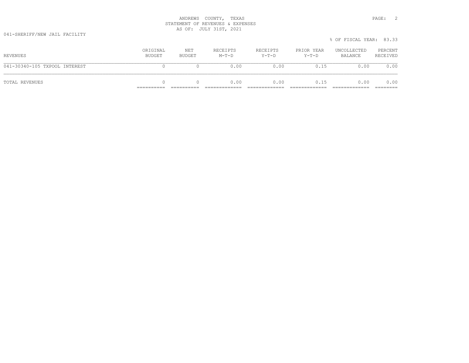041-SHERIFF/NEW JAIL FACILITY

|                               |                    |               |                     |                     |                       | % OF FISCAL YEAR: 83.33 |                     |
|-------------------------------|--------------------|---------------|---------------------|---------------------|-----------------------|-------------------------|---------------------|
| REVENUES                      | ORIGINAL<br>BUDGET | NET<br>BUDGET | RECEIPTS<br>$M-T-D$ | RECEIPTS<br>$Y-T-D$ | PRIOR YEAR<br>$Y-T-D$ | UNCOLLECTED<br>BALANCE  | PERCENT<br>RECEIVED |
| 041-30340-105 TXPOOL INTEREST |                    |               | 0.00                | 0.00                | 0.15                  | 0.00                    | 0.00                |
| TOTAL REVENUES                |                    |               | 0.00                | 0.00                | 0.15                  | 0.00                    | 0.00                |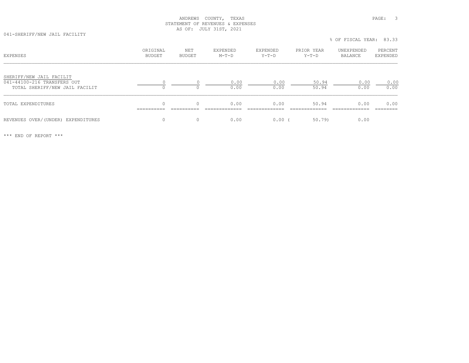041-SHERIFF/NEW JAIL FACILITY

% OF FISCAL YEAR: 83.33

| EXPENSES                                                                                  | ORIGINAL<br>BUDGET | NET<br>BUDGET | EXPENDED<br>$M-T-D$ | EXPENDED<br>Y-T-D | PRIOR YEAR<br>$Y-T-D$ | UNEXPENDED<br>BALANCE | PERCENT<br>EXPENDED |
|-------------------------------------------------------------------------------------------|--------------------|---------------|---------------------|-------------------|-----------------------|-----------------------|---------------------|
| SHERIFF/NEW JAIL FACILIT<br>041-44100-216 TRANSFERS OUT<br>TOTAL SHERIFF/NEW JAIL FACILIT | 0                  |               | 0.00<br>0.00        | 0.00<br>0.00      | 50.94<br>50.94        | 0.00<br>0.00          | 0.00<br>0.00        |
| TOTAL EXPENDITURES                                                                        | $\Omega$           |               | 0.00                | 0.00              | 50.94                 | 0.00                  | 0.00                |
| REVENUES OVER/(UNDER) EXPENDITURES                                                        | $\Omega$           | $\Omega$      | 0.00                | $0.00$ (          | 50.79)                | 0.00                  |                     |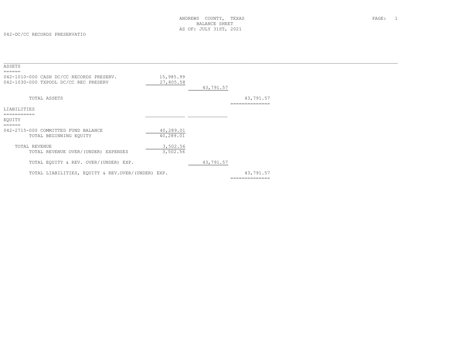| ASSETS<br>======                                  |           |           |                |  |
|---------------------------------------------------|-----------|-----------|----------------|--|
| 042-1010-000 CASH DC/CC RECORDS PRESERV.          | 15,985.99 |           |                |  |
| 042-1030-000 TXPOOL DC/CC REC PRESERV             | 27,805.58 | 43,791.57 |                |  |
|                                                   |           |           |                |  |
| TOTAL ASSETS                                      |           |           | 43,791.57      |  |
|                                                   |           |           |                |  |
| LIABILITIES                                       |           |           |                |  |
| ===========                                       |           |           |                |  |
| EOUITY                                            |           |           |                |  |
| ======                                            |           |           |                |  |
| 042-2715-000 COMMITTED FUND BALANCE               | 40,289.01 |           |                |  |
| TOTAL BEGINNING EQUITY                            | 40,289.01 |           |                |  |
|                                                   |           |           |                |  |
| TOTAL REVENUE                                     | 3,502.56  |           |                |  |
| TOTAL REVENUE OVER/(UNDER) EXPENSES               | 3,502.56  |           |                |  |
|                                                   |           |           |                |  |
|                                                   |           |           |                |  |
| TOTAL EQUITY & REV. OVER/(UNDER) EXP.             |           | 43,791.57 |                |  |
| TOTAL LIABILITIES, EOUITY & REV.OVER/(UNDER) EXP. |           |           | 43,791.57      |  |
|                                                   |           |           |                |  |
|                                                   |           |           | ============== |  |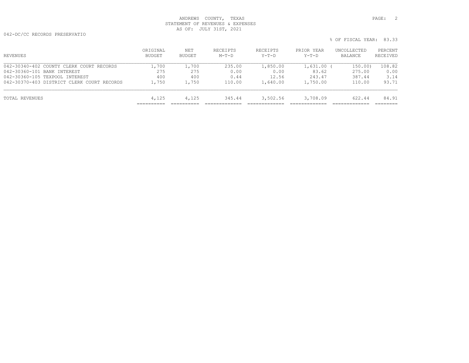042-DC/CC RECORDS PRESERVATIO

% OF FISCAL YEAR: 83.33

| ORIGINAL<br>BUDGET | NET<br><b>BUDGET</b> | RECEIPTS<br>$M-T-D$ | RECEIPTS<br>$Y-T-D$ | PRIOR YEAR<br>$Y-T-D$ | UNCOLLECTED<br>BALANCE | PERCENT<br>RECEIVED |
|--------------------|----------------------|---------------------|---------------------|-----------------------|------------------------|---------------------|
| 1,700              | 1,700                | 235.00              | 1,850.00            | 1,631.00              | 150.00)                | 108.82              |
| 275                | 275                  | 0.00                | 0.00                | 83.62                 | 275.00                 | 0.00                |
| 400                | 400                  | 0.44                | 12.56               | 243.47                | 387.44                 | 3.14                |
| 1,750              |                      | 110.00              | 1,640.00            | 1,750.00              | 110.00                 | 93.71               |
| 4,125              | 4,125                | 345.44              | 3,502.56            | 3,708.09              | 622.44                 | 84.91               |
|                    |                      |                     | 1,750               |                       |                        |                     |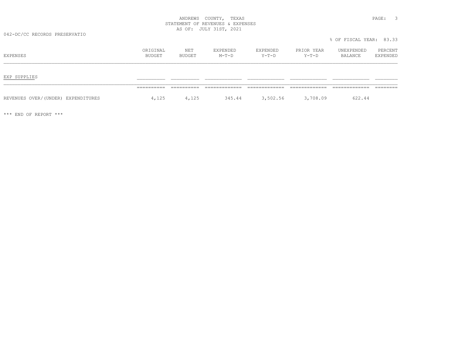042-DC/CC RECORDS PRESERVATIO

| EXPENSES                           | ORIGINAL<br>BUDGET | NET<br>BUDGET | EXPENDED<br>$M-T-D$ | EXPENDED<br>Y-T-D | PRIOR YEAR<br>$Y-T-D$ | UNEXPENDED<br>BALANCE | PERCENT<br>EXPENDED |
|------------------------------------|--------------------|---------------|---------------------|-------------------|-----------------------|-----------------------|---------------------|
| EXP SUPPLIES                       |                    |               |                     |                   |                       |                       |                     |
| REVENUES OVER/(UNDER) EXPENDITURES | ________<br>4,125  | 4,125         | 345.44              | 3,502.56          | 3,708.09              | 622.44                |                     |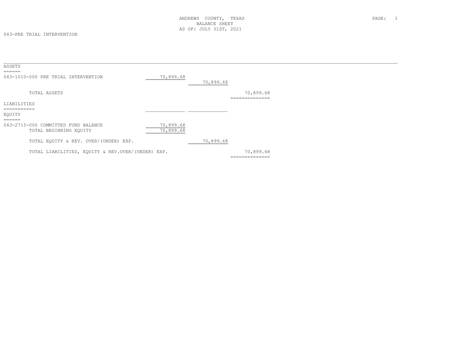043-PRE TRIAL INTERVENTION

| ASSETS                                       |                                                               |                        |           |                             |
|----------------------------------------------|---------------------------------------------------------------|------------------------|-----------|-----------------------------|
| ======                                       | 043-1010-000 PRE TRIAL INTERVENTION                           | 70,899.68              | 70,899.68 |                             |
|                                              | TOTAL ASSETS                                                  |                        |           | 70,899.68<br>============== |
| LIABILITIES                                  |                                                               |                        |           |                             |
| ===========<br>EQUITY<br>$=$ $=$ $=$ $=$ $=$ |                                                               |                        |           |                             |
|                                              | 043-2715-000 COMMITTED FUND BALANCE<br>TOTAL BEGINNING EQUITY | 70,899.68<br>70,899.68 |           |                             |
|                                              | TOTAL EQUITY & REV. OVER/(UNDER) EXP.                         |                        | 70,899.68 |                             |
|                                              | TOTAL LIABILITIES, EQUITY & REV.OVER/(UNDER) EXP.             |                        |           | 70,899.68<br>============== |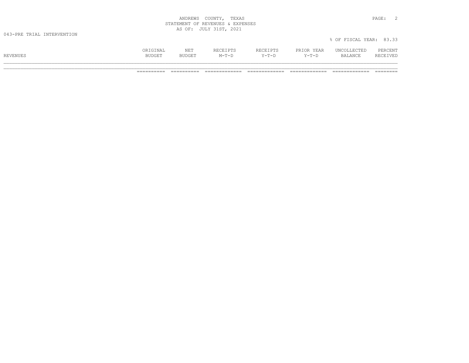| COUNTY<br>ANDREWS                                                         | TEXAS<br>PAGE.                              |  |
|---------------------------------------------------------------------------|---------------------------------------------|--|
| REVENUES &<br>STATEMENT<br>○下                                             | EXPENSES                                    |  |
| JULY<br>1 C T<br>OF:<br>$\overline{2}$<br>n.<br><u>.</u><br>$\sim$ $\sim$ | 2021<br>the contract of the contract of the |  |

|          | ORIGINAL      | NET           | RECEIPTS | RECEIPTS | PRIOR YEAR | UNCOLLECTED | PERCENT  |
|----------|---------------|---------------|----------|----------|------------|-------------|----------|
| REVENUES | <b>BUDGET</b> | <b>BUDGET</b> | $M-T-D$  | $Y-T-D$  | $Y-T-D$    | BALANCE     | RECEIVED |
|          |               |               |          |          |            |             |          |

% OF FISCAL YEAR: 83.33

\_\_\_\_\_\_\_\_\_\_\_\_\_\_\_\_\_\_\_\_\_\_\_\_\_\_\_\_\_\_\_\_\_\_\_\_\_\_\_\_\_\_\_\_\_\_\_\_\_\_\_\_\_\_\_\_\_\_\_\_\_\_\_\_\_\_\_\_\_\_\_\_\_\_\_\_\_\_\_\_\_\_\_\_\_\_\_\_\_\_\_\_\_\_\_\_\_\_\_\_\_\_\_\_\_\_\_\_\_\_\_\_\_\_\_\_\_\_\_\_\_\_\_\_\_\_\_\_\_\_\_\_\_\_\_\_\_\_\_ ========== ========== ============= ============= ============= ============= ========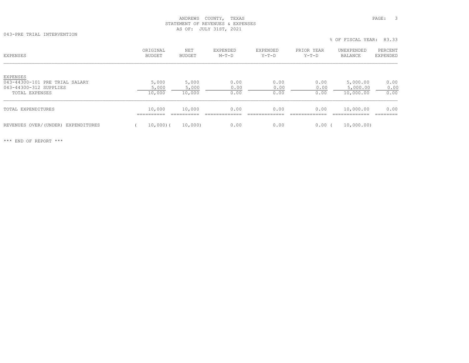043-PRE TRIAL INTERVENTION

| <b>EXPENSES</b>                                                                               | ORIGINAL<br>BUDGET       | NET<br>BUDGET            | EXPENDED<br>$M-T-D$  | EXPENDED<br>$Y-T-D$  | PRIOR YEAR<br>$Y-T-D$ | UNEXPENDED<br><b>BALANCE</b>      | PERCENT<br><b>EXPENDED</b> |
|-----------------------------------------------------------------------------------------------|--------------------------|--------------------------|----------------------|----------------------|-----------------------|-----------------------------------|----------------------------|
| <b>EXPENSES</b><br>043-44300-101 PRE TRIAL SALARY<br>043-44300-312 SUPPLIES<br>TOTAL EXPENSES | 5,000<br>5,000<br>10,000 | 5,000<br>5,000<br>10,000 | 0.00<br>0.00<br>0.00 | 0.00<br>0.00<br>0.00 | 0.00<br>0.00<br>0.00  | 5,000.00<br>5,000.00<br>10,000.00 | 0.00<br>0.00<br>0.00       |
| <b>TOTAL EXPENDITURES</b>                                                                     | 10,000<br>==========     | 10,000                   | 0.00                 | 0.00                 | 0.00                  | 10,000.00                         | 0.00                       |
| REVENUES OVER/(UNDER) EXPENDITURES                                                            | $10,000$ (               | 10,000)                  | 0.00                 | 0.00                 | $0.00$ (              | 10,000.00)                        |                            |

% OF FISCAL YEAR: 83.33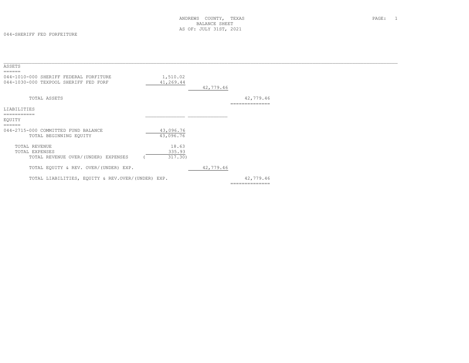| ASSETS                                                                          |           |           |                |  |
|---------------------------------------------------------------------------------|-----------|-----------|----------------|--|
| ======                                                                          |           |           |                |  |
| 044-1010-000 SHERIFF FEDERAL FORFITURE<br>044-1030-000 TEXPOOL SHERIFF FED FORF | 1,510.02  |           |                |  |
|                                                                                 | 41,269.44 | 42,779.46 |                |  |
|                                                                                 |           |           |                |  |
| TOTAL ASSETS                                                                    |           |           | 42,779.46      |  |
|                                                                                 |           |           | ============== |  |
| LIABILITIES                                                                     |           |           |                |  |
| ===========                                                                     |           |           |                |  |
| EQUITY                                                                          |           |           |                |  |
| ======                                                                          |           |           |                |  |
| 044-2715-000 COMMITTED FUND BALANCE                                             | 43,096.76 |           |                |  |
| TOTAL BEGINNING EQUITY                                                          | 43,096.76 |           |                |  |
| TOTAL REVENUE                                                                   | 18.63     |           |                |  |
| TOTAL EXPENSES                                                                  | 335.93    |           |                |  |
| TOTAL REVENUE OVER/(UNDER) EXPENSES                                             | 317.30)   |           |                |  |
|                                                                                 |           |           |                |  |
| TOTAL EQUITY & REV. OVER/(UNDER) EXP.                                           |           | 42,779.46 |                |  |
|                                                                                 |           |           |                |  |
| TOTAL LIABILITIES, EOUITY & REV.OVER/(UNDER) EXP.                               |           |           | 42,779.46      |  |
|                                                                                 |           |           | -------------- |  |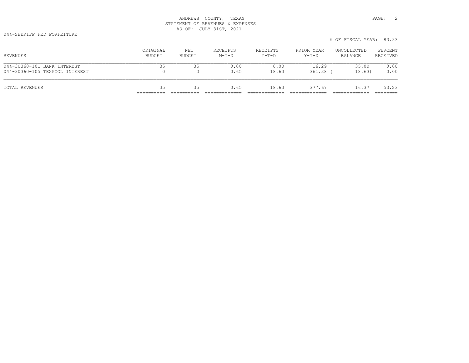044-SHERIFF FED FORFEITURE

| 044-30360-101 BANK INTEREST<br>044-30360-105 TEXPOOL INTEREST | 35                 | 35            | 0.00<br>0.65        | 0.00<br>18.63       | 16.29<br>$361.38$ (   | 35.00<br>18.63)        | 0.00<br>0.00        |
|---------------------------------------------------------------|--------------------|---------------|---------------------|---------------------|-----------------------|------------------------|---------------------|
| REVENUES                                                      | ORIGINAL<br>BUDGET | NET<br>BUDGET | RECEIPTS<br>$M-T-D$ | RECEIPTS<br>$Y-T-D$ | PRIOR YEAR<br>$Y-T-D$ | UNCOLLECTED<br>BALANCE | PERCENT<br>RECEIVED |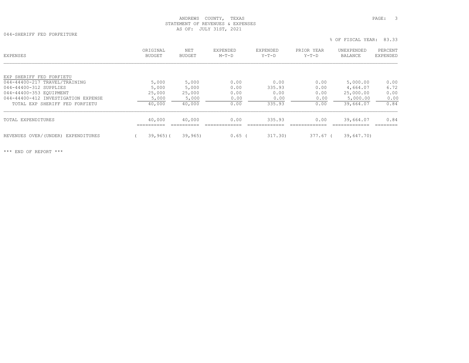044-SHERIFF FED FORFEITURE

% OF FISCAL YEAR: 83.33

| EXPENSES                            | ORIGINAL<br><b>BUDGET</b> | <b>NET</b><br><b>BUDGET</b> | EXPENDED<br>$M-T-D$ | EXPENDED<br>$Y-T-D$ | PRIOR YEAR<br>$Y-T-D$ | UNEXPENDED<br>BALANCE | PERCENT<br>EXPENDED |
|-------------------------------------|---------------------------|-----------------------------|---------------------|---------------------|-----------------------|-----------------------|---------------------|
|                                     |                           |                             |                     |                     |                       |                       |                     |
| EXP SHERIFF FED FORFIETU            |                           |                             |                     |                     |                       |                       |                     |
| 044-44400-217 TRAVEL/TRAINING       | 5,000                     | 5,000                       | 0.00                | 0.00                | 0.00                  | 5,000.00              | 0.00                |
| 044-44400-312 SUPPLIES              | 5,000                     | 5,000                       | 0.00                | 335.93              | 0.00                  | 4,664.07              | 6.72                |
| 044-44400-353 EOUIPMENT             | 25,000                    | 25,000                      | 0.00                | 0.00                | 0.00                  | 25,000.00             | 0.00                |
| 044-44400-412 INVESTIGATION EXPENSE | 5,000                     | 5,000                       | 0.00                | 0.00                | 0.00                  | 5,000.00              | 0.00                |
| TOTAL EXP SHERIFF FED FORFIETU      | 40,000                    | 40,000                      | 0.00                | 335.93              | 0.00                  | 39,664.07             | 0.84                |
| TOTAL EXPENDITURES                  | 40,000                    | 40,000                      | 0.00                | 335.93              | 0.00                  | 39,664.07             | 0.84                |
|                                     |                           |                             |                     |                     |                       |                       |                     |
| REVENUES OVER/(UNDER) EXPENDITURES  | $39,965$ ) (              | 39,965                      | $0.65$ (            | 317.30)             | 377.67 (              | 39,647.70)            |                     |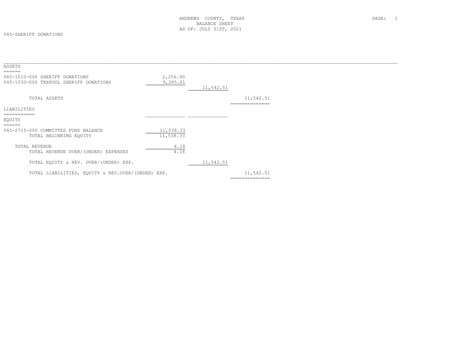#### 045-SHERIFF DONATIONS

| ASSETS                                                                   |                        |           |                             |  |
|--------------------------------------------------------------------------|------------------------|-----------|-----------------------------|--|
| 045-1010-000 SHERIFF DONATIONS<br>045-1030-000 TEXPOOL SHERIFF DONATIONS | 2,256.90<br>9,285.61   | 11,542.51 |                             |  |
|                                                                          |                        |           |                             |  |
| TOTAL ASSETS                                                             |                        |           | 11,542.51<br>------------   |  |
| LIABILITIES                                                              |                        |           |                             |  |
| ==========<br>EQUITY<br>======                                           |                        |           |                             |  |
| 045-2715-000 COMMITTED FUND BALANCE<br>TOTAL BEGINNING EQUITY            | 11,538.33<br>11,538.33 |           |                             |  |
| TOTAL REVENUE<br>TOTAL REVENUE OVER/(UNDER) EXPENSES                     | 4.18<br>4.18           |           |                             |  |
| TOTAL EQUITY & REV. OVER/(UNDER) EXP.                                    |                        | 11,542.51 |                             |  |
| TOTAL LIABILITIES, EOUITY & REV.OVER/(UNDER) EXP.                        |                        |           | 11,542.51<br>============== |  |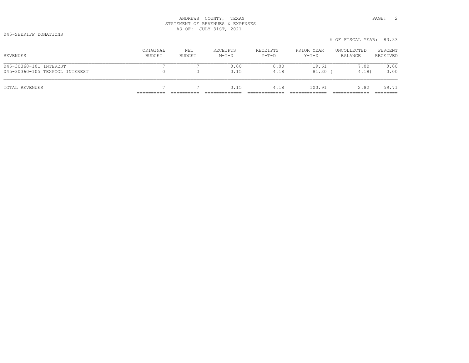045-SHERIFF DONATIONS

|                                |                    |               |                     |                     |                       | % OF FISCAL YEAR: 83.33 |                     |
|--------------------------------|--------------------|---------------|---------------------|---------------------|-----------------------|-------------------------|---------------------|
| REVENUES                       | ORIGINAL<br>BUDGET | NET<br>BUDGET | RECEIPTS<br>$M-T-D$ | RECEIPTS<br>$Y-T-D$ | PRIOR YEAR<br>$Y-T-D$ | UNCOLLECTED<br>BALANCE  | PERCENT<br>RECEIVED |
| 045-30360-101 INTEREST         |                    |               | 0.00                | 0.00                | 19.61                 | 7.00                    | 0.00                |
| 045-30360-105 TEXPOOL INTEREST |                    |               | 0.15                | 4.18                | $81.30$ (             | 4.18)                   | 0.00                |
| TOTAL REVENUES                 |                    |               | 0.15                | 4.18                | 100.91                | 2.82                    | 59.71               |
|                                |                    |               |                     |                     |                       |                         | ========            |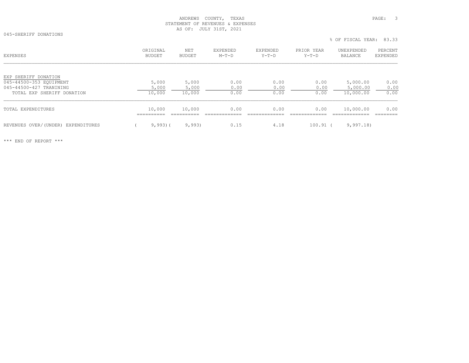045-SHERIFF DONATIONS

% OF FISCAL YEAR: 83.33

| <b>EXPENSES</b>                     | ORIGINAL<br>BUDGET | NET<br>BUDGET | EXPENDED<br>$M-T-D$ | EXPENDED<br>$Y-T-D$ | PRIOR YEAR<br>$Y-T-D$ | UNEXPENDED<br>BALANCE | PERCENT<br>EXPENDED |
|-------------------------------------|--------------------|---------------|---------------------|---------------------|-----------------------|-----------------------|---------------------|
| EXP SHERIFF DONATION                |                    |               |                     |                     |                       |                       |                     |
| 045-44500-353 EQUIPMENT             | 5,000              | 5,000         | 0.00                | 0.00                | 0.00                  | 5,000.00              | 0.00                |
| 045-44500-427 TRANINING             | 5,000              | 5,000         | 0.00                | 0.00                | 0.00                  | 5,000.00              | 0.00                |
| TOTAL EXP SHERIFF DONATION          | 10,000             | 10,000        | 0.00                | 0.00                | 0.00                  | 10,000.00             | 0.00                |
| TOTAL EXPENDITURES                  | 10,000             | 10,000        | 0.00                | 0.00                | 0.00                  | 10,000.00             | 0.00                |
| REVENUES OVER/ (UNDER) EXPENDITURES | $9,993$ (          | 9,993         | 0.15                | 4.18                | $100.91$ (            | 9,997.18              |                     |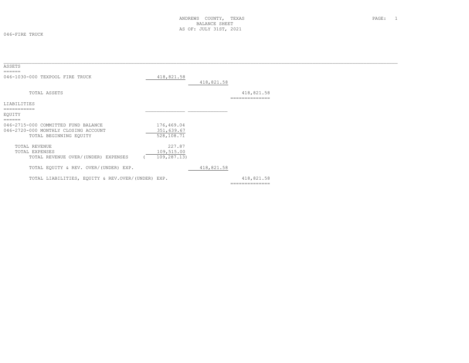046-FIRE TRUCK

| ASSETS<br>======                                                                                      |                                        |            |                             |  |
|-------------------------------------------------------------------------------------------------------|----------------------------------------|------------|-----------------------------|--|
| 046-1030-000 TEXPOOL FIRE TRUCK                                                                       | 418,821.58                             | 418,821.58 |                             |  |
| TOTAL ASSETS                                                                                          |                                        |            | 418,821.58<br>============= |  |
| LIABILITIES                                                                                           |                                        |            |                             |  |
| EQUITY                                                                                                |                                        |            |                             |  |
| 046-2715-000 COMMITTED FUND BALANCE<br>046-2720-000 MONTHLY CLOSING ACCOUNT<br>TOTAL BEGINNING EQUITY | 176,469.04<br>351,639.67<br>528,108.71 |            |                             |  |
| TOTAL REVENUE<br>TOTAL EXPENSES<br>TOTAL REVENUE OVER/(UNDER) EXPENSES                                | 227.87<br>109,515.00<br>109,287.13)    |            |                             |  |
| TOTAL EQUITY & REV. OVER/(UNDER) EXP.                                                                 |                                        | 418,821.58 |                             |  |
| TOTAL LIABILITIES, EQUITY & REV.OVER/(UNDER) EXP.                                                     |                                        |            | 418,821.58                  |  |

418,821.58<br>===============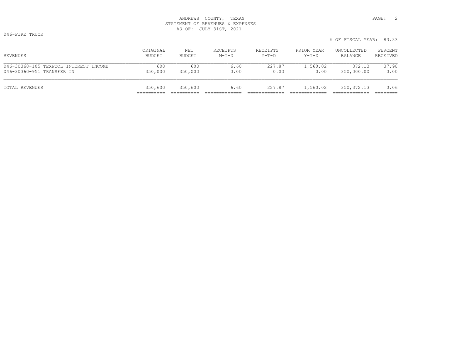046-FIRE TRUCK

|                                       |          |         |          |          |            | % OF FISCAL YEAR: 83.33 |          |
|---------------------------------------|----------|---------|----------|----------|------------|-------------------------|----------|
| REVENUES                              | ORIGINAL | NET     | RECEIPTS | RECEIPTS | PRIOR YEAR | UNCOLLECTED             | PERCENT  |
|                                       | BUDGET   | BUDGET  | $M-T-D$  | $Y-T-D$  | $Y-T-D$    | BALANCE                 | RECEIVED |
| 046-30360-105 TEXPOOL INTEREST INCOME | 600      | 600     | 6.60     | 227.87   | 1,560.02   | 372.13                  | 37.98    |
| 046-30360-951 TRANSFER IN             | 350,000  | 350,000 | 0.00     | 0.00     | 0.00       | 350,000.00              | 0.00     |
| TOTAL REVENUES                        | 350,600  | 350,600 | 6.60     | 227.87   | 1,560.02   | 350, 372.13             | 0.06     |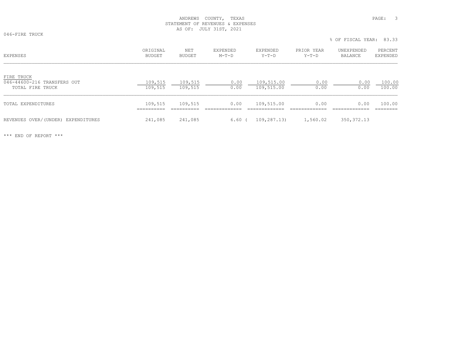046-FIRE TRUCK

% OF FISCAL YEAR: 83.33

| <b>EXPENSES</b>                                               | ORIGINAL<br>BUDGET    | NET<br><b>BUDGET</b>  | EXPENDED<br>$M-T-D$  | EXPENDED<br>Y-T-D        | PRIOR YEAR<br>$Y-T-D$ | UNEXPENDED<br>BALANCE | PERCENT<br><b>EXPENDED</b> |
|---------------------------------------------------------------|-----------------------|-----------------------|----------------------|--------------------------|-----------------------|-----------------------|----------------------------|
| FIRE TRUCK<br>046-44600-216 TRANSFERS OUT<br>TOTAL FIRE TRUCK | 109,515<br>109,515    | 109,515<br>109,515    | 0.00<br>0.00         | 109,515.00<br>109,515.00 | 0.00<br>0.00          | 0.00<br>0.00          | 100.00<br>100.00           |
| TOTAL EXPENDITURES                                            | 109,515<br>__________ | 109,515<br>---------- | 0.00<br>____________ | 109,515.00               | 0.00                  | 0.00                  | 100.00<br>--------         |
| REVENUES OVER/(UNDER) EXPENDITURES                            | 241,085               | 241,085               | 6.60                 | 109,287.13)              | 1,560.02              | 350, 372.13           |                            |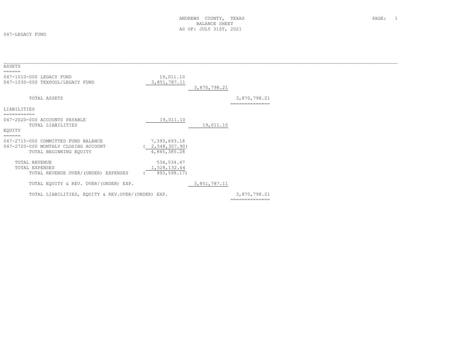047-LEGACY FUND

| ASSETS                                                                                                          |                                               |              |                                |  |
|-----------------------------------------------------------------------------------------------------------------|-----------------------------------------------|--------------|--------------------------------|--|
| ======<br>047-1010-000 LEGACY FUND<br>047-1030-000 TEXPOOL/LEGACY FUND                                          | 19,011.10<br>3,851,787.11                     | 3,870,798.21 |                                |  |
| TOTAL ASSETS                                                                                                    |                                               |              | 3,870,798.21<br>============== |  |
| LIABILITIES                                                                                                     |                                               |              |                                |  |
| 047-2020-000 ACCOUNTS PAYABLE<br>TOTAL LIABILITIES<br>EQUITY                                                    | 19,011.10                                     | 19,011.10    |                                |  |
| ======<br>047-2715-000 COMMITTED FUND BALANCE<br>047-2720-000 MONTHLY CLOSING ACCOUNT<br>TOTAL BEGINNING EQUITY | 7,393,693.18<br>2,548,307.90)<br>4,845,385.28 |              |                                |  |
| TOTAL REVENUE<br>TOTAL EXPENSES<br>TOTAL REVENUE OVER/(UNDER) EXPENSES                                          | 534, 534.47<br>1,528,132.64<br>993,598.17)    |              |                                |  |
| TOTAL EQUITY & REV. OVER/(UNDER) EXP.                                                                           |                                               | 3,851,787.11 |                                |  |
| TOTAL LIABILITIES, EQUITY & REV. OVER/(UNDER) EXP.                                                              |                                               |              | 3,870,798.21<br>============== |  |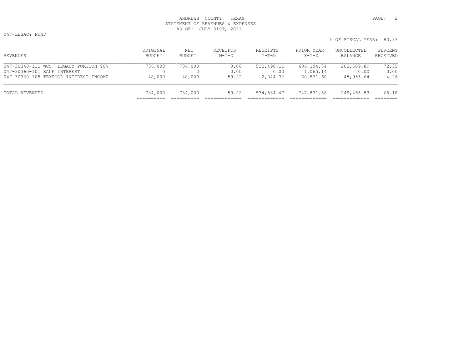047-LEGACY FUND

ORIGINAL NET RECEIPTS RECEIPTS PRIOR YEAR UNCOLLECTED PERCENT<br>BUDGET BUDGET M-T-D Y-T-D Y-T-D BALANCE RECEIVED 047-30340-111 WCS LEGACY PORTION 90% 736,000 736,000 0.00 532,490.11 686,194.84 203,509.89 72.35 047-30360-101 BANK INTEREST 0 0 0.00 0.00 1,065.14 0.00 0.00 047-30360-105 TEXPOOL INTEREST INCOME 48,000 48,000 59.22 2,044.36 60,571.60 45,955.64 4.26 TOTAL REVENUES 784,000 784,000 59.22 534,534.47 747,831.58 249,465.53 68.18 ========== ========== ============= ============= ============= ============= ========

% OF FISCAL YEAR: 83.33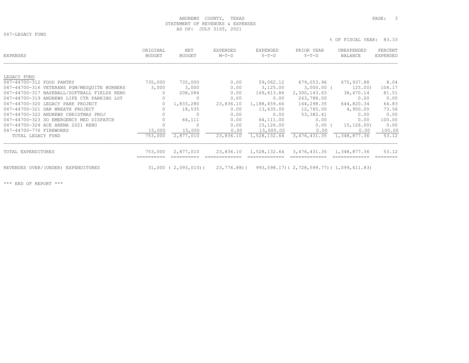047-LEGACY FUND

% OF FISCAL YEAR: 83.33

| EXPENSES                                    | ORIGINAL<br><b>BUDGET</b> | NET<br><b>BUDGET</b> | EXPENDED<br>$M-T-D$ | EXPENDED<br>$Y-T-D$ | PRIOR YEAR<br>$Y-T-D$                          | UNEXPENDED<br>BALANCE | PERCENT<br>EXPENDED |
|---------------------------------------------|---------------------------|----------------------|---------------------|---------------------|------------------------------------------------|-----------------------|---------------------|
|                                             |                           |                      |                     |                     |                                                |                       |                     |
| LEGACY FUND                                 |                           |                      |                     |                     |                                                |                       |                     |
| 047-44700-312 FOOD PANTRY                   | 735,000                   | 735,000              | 0.00                | 59,062.12           | 679,053.96                                     | 675,937.88            | 8.04                |
| 047-44700-316 VETERANS PGM/MESQUITE BURNERS | 3,000                     | 3,000                | 0.00                | 3,125.00            | 3,000.00 (                                     | 125.00)               | 104.17              |
| 047-44700-317 BASEBALL/SOFTBALL FIELDS RENO | 0                         | 208,084              | 0.00                | 169,613.86          | 2,300,143.63                                   | 38,470.14             | 81.51               |
| 047-44700-319 ANDREWS LIFE CTR PARKING LOT  | 0                         | $\mathbf 0$          | 0.00                | 0.00                | 263,788.00                                     | 0.00                  | 0.00                |
| 047-44700-320 LEGACY PARK PROJECT           | $\circ$                   | 1,833,280            | 23,836.10           | 1,188,459.66        | 164,298.35                                     | 644,820.34            | 64.83               |
| 047-44700-321 DAR WREATH PROJECT            | 0                         | 18,535               | 0.00                | 13,635.00           | 12,765.00                                      | 4,900.00              | 73.56               |
| 047-44700-322 ANDREWS CHRISTMAS PROJ        | $\Omega$                  | $\Omega$             | 0.00                | 0.00                | 53,382.41                                      | 0.00                  | 0.00                |
| 047-44700-323 SO EMERGENCY MED DISPATCH     | $\mathbf{0}$              | 64,111               | 0.00                | 64,111.00           | 0.00                                           | 0.00                  | 100.00              |
| 047-44700-324 ACE ARENA 2021 RENO           |                           | $\Omega$             | 0.00                | 15,126.00           | $0.00$ (                                       | 15, 126.00            | 0.00                |
| 047-44700-776 FIREWORKS                     | 15,000                    | 15,000               | 0.00                | 15,000.00           | 0.00                                           | 0.00                  | 100.00              |
| TOTAL LEGACY FUND                           | 753,000                   | 2,877,010            | 23,836.10           | 1,528,132.64        | 3,476,431.35                                   | 1,348,877.36          | 53.12               |
| TOTAL EXPENDITURES                          | 753,000                   | 2,877,010            | 23,836.10           | 1,528,132.64        | 3,476,431.35                                   | 1,348,877.36          | 53.12               |
| REVENUES OVER/(UNDER) EXPENDITURES          |                           | 31,000 ( 2,093,010)( | 23,776.88)(         |                     | 993, 598.17) (2, 728, 599.77) (1, 099, 411.83) |                       |                     |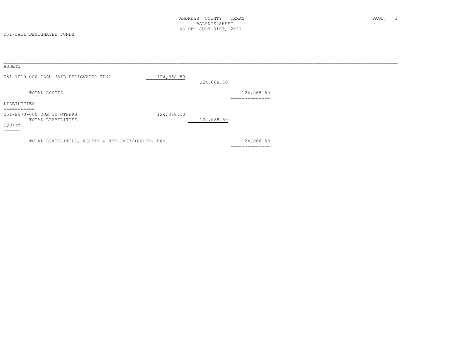051-JAIL DESIGNATED FUNDS

| ASSETS                       |                                                   |            |            |                                                |  |  |
|------------------------------|---------------------------------------------------|------------|------------|------------------------------------------------|--|--|
| ======                       | 051-1010-000 CASH JAIL DESIGNATED FUND            | 124,068.50 | 124,068.50 |                                                |  |  |
|                              | TOTAL ASSETS                                      |            |            | 124,068.50<br>==============                   |  |  |
| LIABILITIES                  |                                                   |            |            |                                                |  |  |
| -----------<br>____________  | 051-2070-000 DUE TO OTHERS<br>TOTAL LIABILITIES   | 124,068.50 | 124,068.50 |                                                |  |  |
| EQUITY<br>-------<br>_______ |                                                   |            |            |                                                |  |  |
|                              | TOTAL LIABILITIES, EQUITY & REV.OVER/(UNDER) EXP. |            |            | 124,068.50<br>---------------<br>------------- |  |  |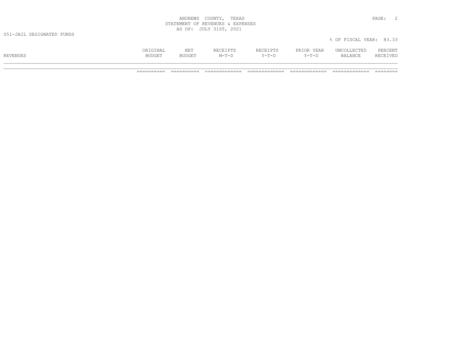| COUNTY<br>ANDREWS                                                          | TEXAS<br>PAGE.                              |  |
|----------------------------------------------------------------------------|---------------------------------------------|--|
| REVENUES &<br>STATEMENT                                                    | EXPENSES                                    |  |
| JULY<br>1 C TT<br>OF:<br>$\overline{2}$<br>n.<br><u>.</u><br>$\sim$ $\sim$ | 2021<br>the contract of the contract of the |  |

|          | ORIGINAL      | <b>NET</b>    | RECEIPTS | RECEIPTS    | PRIOR YEAR | UNCOLLECTED | PERCENT  |
|----------|---------------|---------------|----------|-------------|------------|-------------|----------|
| REVENUES | <b>BUDGET</b> | <b>BUDGET</b> | $M-T-D$  | $Y - T - D$ | $Y-T-D$    | BALANCE     | RECEIVED |
|          |               |               |          |             |            |             |          |

% OF FISCAL YEAR: 83.33

\_\_\_\_\_\_\_\_\_\_\_\_\_\_\_\_\_\_\_\_\_\_\_\_\_\_\_\_\_\_\_\_\_\_\_\_\_\_\_\_\_\_\_\_\_\_\_\_\_\_\_\_\_\_\_\_\_\_\_\_\_\_\_\_\_\_\_\_\_\_\_\_\_\_\_\_\_\_\_\_\_\_\_\_\_\_\_\_\_\_\_\_\_\_\_\_\_\_\_\_\_\_\_\_\_\_\_\_\_\_\_\_\_\_\_\_\_\_\_\_\_\_\_\_\_\_\_\_\_\_\_\_\_\_\_\_\_\_\_ ========== ========== ============= ============= ============= ============= ========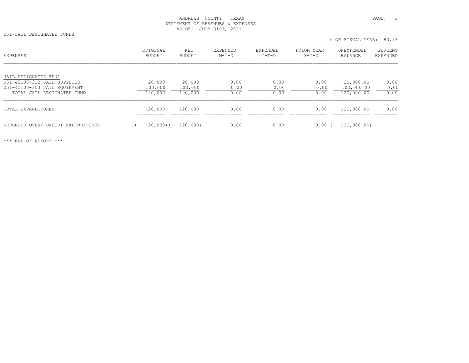051-JAIL DESIGNATED FUNDS

|                                    |                    |               |                     |                     |                       | % OF FISCAL YEAR: 83.33 |                     |
|------------------------------------|--------------------|---------------|---------------------|---------------------|-----------------------|-------------------------|---------------------|
| EXPENSES                           | ORIGINAL<br>BUDGET | NET<br>BUDGET | EXPENDED<br>$M-T-D$ | EXPENDED<br>$Y-T-D$ | PRIOR YEAR<br>$Y-T-D$ | UNEXPENDED<br>BALANCE   | PERCENT<br>EXPENDED |
| JAIL DESIGNATED FUND               |                    |               |                     |                     |                       |                         |                     |
| 051-45100-312 JAIL SUPPLIES        | 20,000             | 20,000        | 0.00                | 0.00                | 0.00                  | 20,000.00               | 0.00                |
| 051-45100-353 JAIL EOUIPMENT       | 100,000            | 100,000       | 0.00                | 0.00                | 0.00                  | 100,000.00              | 0.00                |
| TOTAL JAIL DESIGNATED FUND         | 120,000            | 120,000       | 0.00                | 0.00                | 0.00                  | 120,000.00              | 0.00                |
| TOTAL EXPENDITURES                 | 120,000            | 120,000       | 0.00                | 0.00                | 0.00                  | 120,000.00              | 0.00                |
| REVENUES OVER/(UNDER) EXPENDITURES | $120,000$ (        | 120,000)      | 0.00                | 0.00                | $0.00$ (              | 120,000,00)             |                     |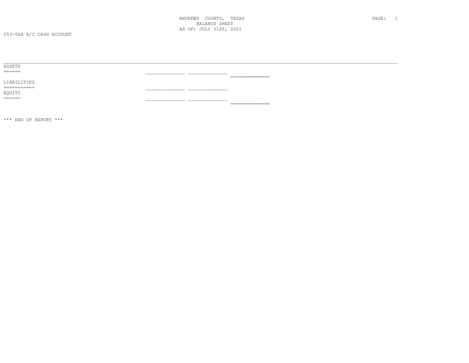| ASSETS                   |                                                                                                                                                                                                                                                                                                                                                                                                                                                                                            |
|--------------------------|--------------------------------------------------------------------------------------------------------------------------------------------------------------------------------------------------------------------------------------------------------------------------------------------------------------------------------------------------------------------------------------------------------------------------------------------------------------------------------------------|
|                          |                                                                                                                                                                                                                                                                                                                                                                                                                                                                                            |
|                          | $\begin{minipage}{0.9\linewidth} \begin{tabular}{l} \multicolumn{2}{l}{} & \multicolumn{2}{l}{} & \multicolumn{2}{l}{} \\ \multicolumn{2}{l}{} & \multicolumn{2}{l}{} & \multicolumn{2}{l}{} \\ \multicolumn{2}{l}{} & \multicolumn{2}{l}{} & \multicolumn{2}{l}{} \\ \multicolumn{2}{l}{} & \multicolumn{2}{l}{} & \multicolumn{2}{l}{} \\ \multicolumn{2}{l}{} & \multicolumn{2}{l}{} & \multicolumn{2}{l}{} \\ \multicolumn{2}{l}{} & \multicolumn{2}{l}{} & \multicolumn{2}{l}{} \\ \$ |
| LIABILITIES              |                                                                                                                                                                                                                                                                                                                                                                                                                                                                                            |
| ___________<br>_________ |                                                                                                                                                                                                                                                                                                                                                                                                                                                                                            |
| EQUITY                   |                                                                                                                                                                                                                                                                                                                                                                                                                                                                                            |
| $=$ $=$ $=$ $=$ $=$      |                                                                                                                                                                                                                                                                                                                                                                                                                                                                                            |
|                          | ---------------                                                                                                                                                                                                                                                                                                                                                                                                                                                                            |

 $\star\star\star$  END OF REPORT  $\star\star\star$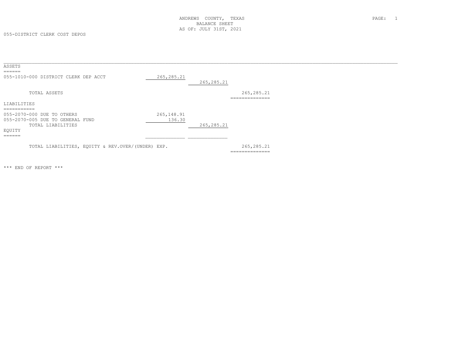055-DISTRICT CLERK COST DEPOS

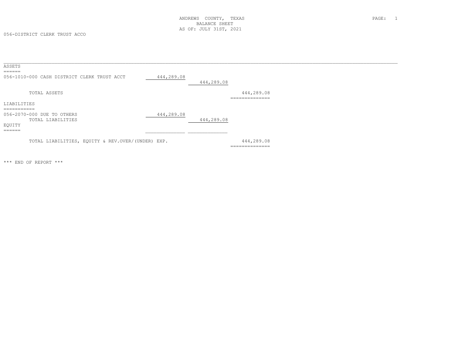056-DISTRICT CLERK TRUST ACCO

| ASSETS                                            |            |            |                |  |
|---------------------------------------------------|------------|------------|----------------|--|
| $=$ $=$ $=$ $=$ $=$                               |            |            |                |  |
| 056-1010-000 CASH DISTRICT CLERK TRUST ACCT       | 444,289.08 |            |                |  |
|                                                   |            | 444,289.08 |                |  |
| TOTAL ASSETS                                      |            |            | 444,289.08     |  |
|                                                   |            |            | -------------- |  |
| LIABILITIES                                       |            |            |                |  |
| ___________                                       |            |            |                |  |
| 056-2070-000 DUE TO OTHERS                        | 444,289.08 |            |                |  |
| TOTAL LIABILITIES                                 |            | 444,289.08 |                |  |
| EQUITY                                            |            |            |                |  |
| $=$ $=$ $=$ $=$ $=$                               |            |            |                |  |
|                                                   |            |            |                |  |
| TOTAL LIABILITIES, EQUITY & REV.OVER/(UNDER) EXP. |            |            | 444,289.08     |  |
|                                                   |            |            | ============== |  |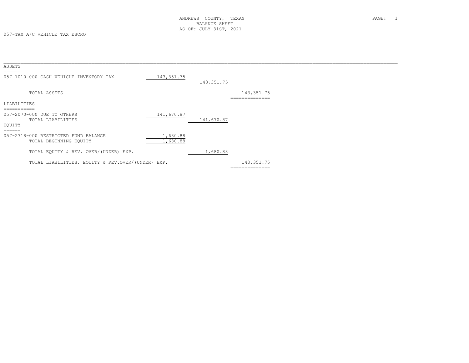| ASSETS<br>======                                                    |                      |             |                               |  |
|---------------------------------------------------------------------|----------------------|-------------|-------------------------------|--|
| 057-1010-000 CASH VEHICLE INVENTORY TAX                             | 143, 351.75          | 143, 351.75 |                               |  |
| TOTAL ASSETS                                                        |                      |             | 143, 351.75<br>============== |  |
| LIABILITIES<br>===========                                          |                      |             |                               |  |
| 057-2070-000 DUE TO OTHERS<br>TOTAL LIABILITIES<br>EQUITY<br>====== | 141,670.87           | 141,670.87  |                               |  |
| 057-2718-000 RESTRICTED FUND BALANCE<br>TOTAL BEGINNING EQUITY      | 1,680.88<br>1,680.88 |             |                               |  |
| TOTAL EQUITY & REV. OVER/(UNDER) EXP.                               |                      | 1,680.88    |                               |  |
| TOTAL LIABILITIES, EQUITY & REV.OVER/(UNDER) EXP.                   |                      |             | 143, 351.75<br>-------------- |  |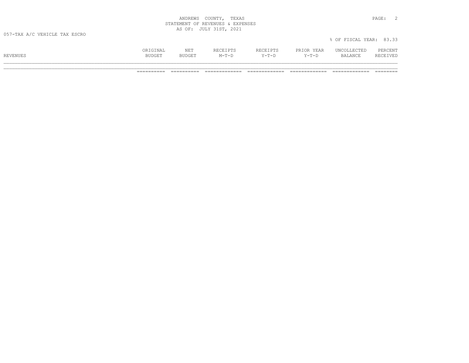| COUNTY<br>ANDREWS                                                              | TEXAS<br>- ה<br>PAGE.                       |  |
|--------------------------------------------------------------------------------|---------------------------------------------|--|
| REVENUES &<br>STATEMENT<br>∩F                                                  | EXPENSES                                    |  |
| JULY<br>OF<br>1 C TT<br>$\overline{2}$<br>n.<br><u>. u . </u><br>$\sim$ $\sim$ | 2021<br>the contract of the contract of the |  |

|          | ORIGINAL      | NET           | RECEIPTS | <b>RECEIPTS</b><br>ەلمىلىلى. | PRIOR YEAR | UNCOLLECTED    | PERCENT  |
|----------|---------------|---------------|----------|------------------------------|------------|----------------|----------|
| REVENUES | <b>BUDGET</b> | <b>BUDGET</b> | $M-T-D$  | Y-T-D                        | $Y-T-D$    | <b>BALANCE</b> | RECEIVED |
|          |               |               |          |                              |            |                |          |

% OF FISCAL YEAR: 83.33

\_\_\_\_\_\_\_\_\_\_\_\_\_\_\_\_\_\_\_\_\_\_\_\_\_\_\_\_\_\_\_\_\_\_\_\_\_\_\_\_\_\_\_\_\_\_\_\_\_\_\_\_\_\_\_\_\_\_\_\_\_\_\_\_\_\_\_\_\_\_\_\_\_\_\_\_\_\_\_\_\_\_\_\_\_\_\_\_\_\_\_\_\_\_\_\_\_\_\_\_\_\_\_\_\_\_\_\_\_\_\_\_\_\_\_\_\_\_\_\_\_\_\_\_\_\_\_\_\_\_\_\_\_\_\_\_\_\_\_ ========== ========== ============= ============= ============= ============= ========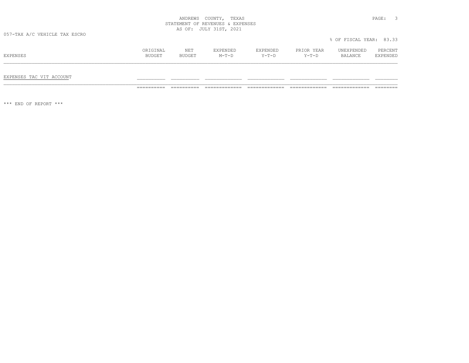|          |               | NΕT           | 7 Y PRN DE L<br>וטעות באנ | <b>EXPENDED</b> | YEAR<br><b>PRTOR</b> | UNEXPENDED     | RCFNT<br>PERCEN |
|----------|---------------|---------------|---------------------------|-----------------|----------------------|----------------|-----------------|
| EXPENSES | <b>BUDGET</b> | <b>BUDGET</b> | $M - T - T$               | $V = \Pi - 1$   | $Y-T-D$              | <b>BALANCE</b> |                 |
|          |               |               |                           |                 |                      |                |                 |

# EXPENSES TAC VIT ACCOUNT \_\_\_\_\_\_\_\_\_\_ \_\_\_\_\_\_\_\_\_\_ \_\_\_\_\_\_\_\_\_\_\_\_\_ \_\_\_\_\_\_\_\_\_\_\_\_\_ \_\_\_\_\_\_\_\_\_\_\_\_\_ \_\_\_\_\_\_\_\_\_\_\_\_\_ \_\_\_\_\_\_\_\_

========== ========== ============= ============= ============= ============= ========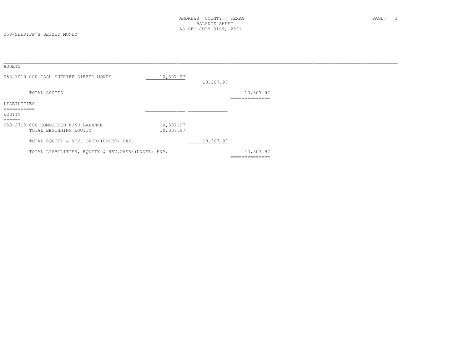| ASSETS<br>======                                              |                        |           |                             |  |
|---------------------------------------------------------------|------------------------|-----------|-----------------------------|--|
| 058-1010-000 CASH SHERIFF SIEZED MONEY                        | 10,307.97              | 10,307.97 |                             |  |
| TOTAL ASSETS                                                  |                        |           | 10,307.97<br>-------------- |  |
| LIABILITIES                                                   |                        |           |                             |  |
| EOUITY<br>$=$ $=$ $=$ $=$ $=$                                 |                        |           |                             |  |
| 058-2715-000 COMMITTED FUND BALANCE<br>TOTAL BEGINNING EQUITY | 10,307.97<br>10,307.97 |           |                             |  |
| TOTAL EQUITY & REV. OVER/(UNDER) EXP.                         |                        | 10,307.97 |                             |  |
| TOTAL LIABILITIES, EQUITY & REV.OVER/(UNDER) EXP.             |                        |           | 10,307.97<br>============== |  |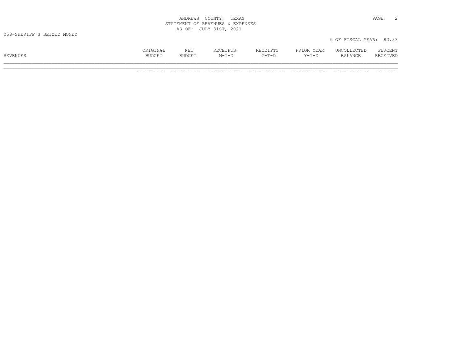| COUNTY<br>ANDREWS                                                         | TEXAS<br>PAGE.                              |  |
|---------------------------------------------------------------------------|---------------------------------------------|--|
| REVENUES &<br>STATEMENT<br>○下                                             | EXPENSES                                    |  |
| JULY<br>1 C T<br>OF:<br>$\overline{2}$<br>nυ<br><u>.</u><br>$\sim$ $\sim$ | 2021<br>the contract of the contract of the |  |

|          | ORIGINAL      | NET    | RECEIPTS | RECEIPTS | PRIOR YEAR | UNCOLLECTED | PERCENT  |
|----------|---------------|--------|----------|----------|------------|-------------|----------|
| REVENUES | <b>BUDGET</b> | BUDGET | $M-T-D$  | Y-T-D    | $Y-T-D$    | BALANCE     | RECEIVED |
|          |               |        |          |          |            |             |          |

% OF FISCAL YEAR: 83.33

\_\_\_\_\_\_\_\_\_\_\_\_\_\_\_\_\_\_\_\_\_\_\_\_\_\_\_\_\_\_\_\_\_\_\_\_\_\_\_\_\_\_\_\_\_\_\_\_\_\_\_\_\_\_\_\_\_\_\_\_\_\_\_\_\_\_\_\_\_\_\_\_\_\_\_\_\_\_\_\_\_\_\_\_\_\_\_\_\_\_\_\_\_\_\_\_\_\_\_\_\_\_\_\_\_\_\_\_\_\_\_\_\_\_\_\_\_\_\_\_\_\_\_\_\_\_\_\_\_\_\_\_\_\_\_\_\_\_\_ ========== ========== ============= ============= ============= ============= ========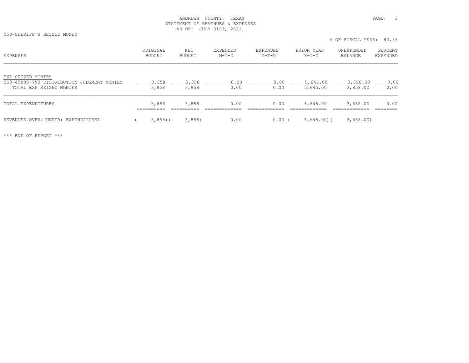058-SHERIFF'S SEIZED MONEY

% OF FISCAL YEAR: 83.33

| <b>EXPENSES</b>                                                                            | ORIGINAL<br><b>BUDGET</b> | NET<br><b>BUDGET</b> | EXPENDED<br>$M-T-D$ | EXPENDED<br>$Y-T-D$ | PRIOR YEAR<br>$Y-T-D$ | UNEXPENDED<br>BALANCE | PERCENT<br>EXPENDED |
|--------------------------------------------------------------------------------------------|---------------------------|----------------------|---------------------|---------------------|-----------------------|-----------------------|---------------------|
| EXP SEIZED MONIES<br>058-45800-793 DISTRIBUTION JUDGMENT MONIES<br>TOTAL EXP SEIZED MONIES | 3,858<br>3,858            | 3,858<br>3,858       | 0.00<br>0.00        | 0.00<br>0.00        | 5,645.00<br>5,645.00  | 3,858.00<br>3,858.00  | 0.00<br>0.00        |
| TOTAL EXPENDITURES                                                                         | 3,858                     | 3,858                | 0.00                | 0.00                | 5,645.00              | 3,858.00              | 0.00                |
| REVENUES OVER/(UNDER) EXPENDITURES                                                         | $3,858$ ) (               | 3,858                | 0.00                | $0.00$ (            | 5,645.00(             | 3,858.00              |                     |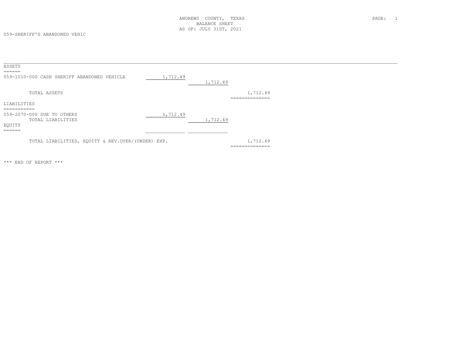059-SHERIFF'S ABANDONED VEHIC

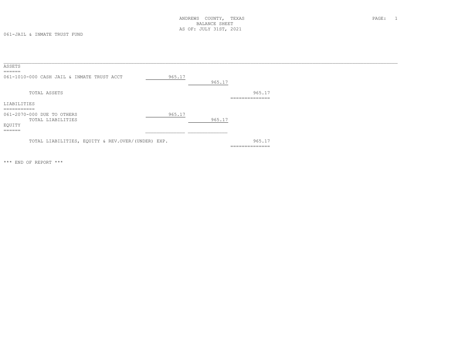061-JAIL & INMATE TRUST FUND

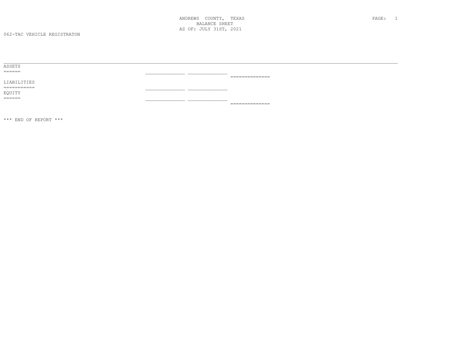062-TAC VEHICLE REGISTRATON

| ASSETS                    |                               |                                                                                                                                                                                                                                                                                                                                                                                                                                                                    |
|---------------------------|-------------------------------|--------------------------------------------------------------------------------------------------------------------------------------------------------------------------------------------------------------------------------------------------------------------------------------------------------------------------------------------------------------------------------------------------------------------------------------------------------------------|
| ======                    | _____________________________ |                                                                                                                                                                                                                                                                                                                                                                                                                                                                    |
|                           |                               | _______________<br>.                                                                                                                                                                                                                                                                                                                                                                                                                                               |
| LIABILITIES               |                               |                                                                                                                                                                                                                                                                                                                                                                                                                                                                    |
| -----------<br>---------- |                               |                                                                                                                                                                                                                                                                                                                                                                                                                                                                    |
| EQUITY                    |                               |                                                                                                                                                                                                                                                                                                                                                                                                                                                                    |
| ======                    |                               |                                                                                                                                                                                                                                                                                                                                                                                                                                                                    |
|                           |                               | $\begin{array}{c} \multicolumn{2}{c} {\textbf{2.4}} & \multicolumn{2}{c} {\textbf{2.5}} \\ \multicolumn{2}{c} {\textbf{2.6}} & \multicolumn{2}{c} {\textbf{2.6}} \\ \multicolumn{2}{c} {\textbf{2.6}} & \multicolumn{2}{c} {\textbf{2.6}} \\ \multicolumn{2}{c} {\textbf{2.6}} & \multicolumn{2}{c} {\textbf{2.6}} \\ \multicolumn{2}{c} {\textbf{2.6}} & \multicolumn{2}{c} {\textbf{2.6}} \\ \multicolumn{2}{c} {\textbf{2.6}} & \multicolumn{2}{c} {\textbf{2.$ |
|                           |                               |                                                                                                                                                                                                                                                                                                                                                                                                                                                                    |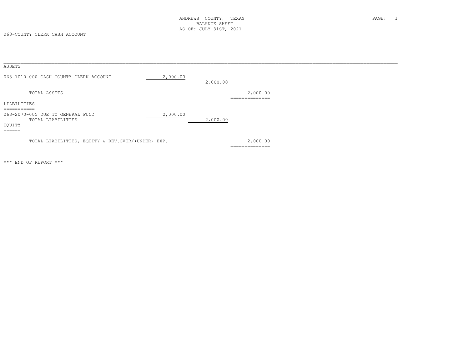063-COUNTY CLERK CASH ACCOUNT

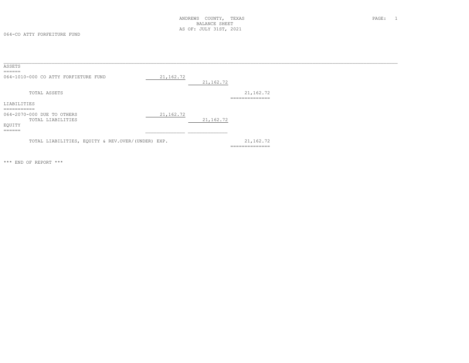064-CO ATTY FORFEITURE FUND

| ASSETS                                       |                                                   |            |             |                                                |  |  |
|----------------------------------------------|---------------------------------------------------|------------|-------------|------------------------------------------------|--|--|
|                                              | 064-1010-000 CO ATTY FORFIETURE FUND              | 21, 162.72 | 21, 162.72  |                                                |  |  |
|                                              | TOTAL ASSETS                                      |            |             | 21, 162.72<br>--------------                   |  |  |
| LIABILITIES                                  |                                                   |            |             |                                                |  |  |
| ___________<br>EQUITY<br>$=$ $=$ $=$ $=$ $=$ | 064-2070-000 DUE TO OTHERS<br>TOTAL LIABILITIES   | 21, 162.72 | 21, 162. 72 |                                                |  |  |
|                                              | TOTAL LIABILITIES, EQUITY & REV.OVER/(UNDER) EXP. |            |             | 21,162.72<br>_____________<br>---------------- |  |  |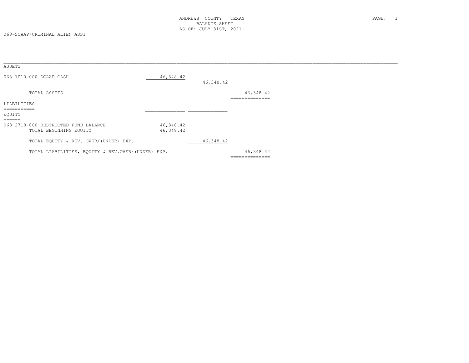| ASSETS                                            |            |            |                                 |
|---------------------------------------------------|------------|------------|---------------------------------|
| ======                                            |            |            |                                 |
| 068-1010-000 SCAAP CASH                           | 46,348.42  |            |                                 |
|                                                   |            | 46,348.42  |                                 |
| TOTAL ASSETS                                      |            |            | 46,348.42                       |
|                                                   |            |            | --------------<br>_____________ |
| LIABILITIES                                       |            |            |                                 |
| $=$ ==========                                    |            |            |                                 |
| EQUITY                                            |            |            |                                 |
| ======                                            |            |            |                                 |
| 068-2718-000 RESTRICTED FUND BALANCE              | 46, 348.42 |            |                                 |
| TOTAL BEGINNING EQUITY                            | 46, 348.42 |            |                                 |
| TOTAL EQUITY & REV. OVER/(UNDER) EXP.             |            | 46, 348.42 |                                 |
|                                                   |            |            |                                 |
| TOTAL LIABILITIES, EQUITY & REV.OVER/(UNDER) EXP. |            |            | 46,348.42                       |
|                                                   |            |            | ==============                  |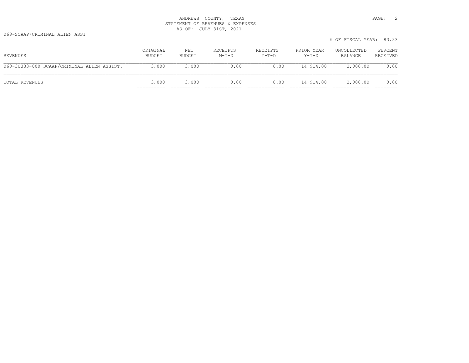068-SCAAP/CRIMINAL ALIEN ASSI

|                                            |                    |               |                     |                     |                       | % OF FISCAL YEAR: 83.33 |                     |
|--------------------------------------------|--------------------|---------------|---------------------|---------------------|-----------------------|-------------------------|---------------------|
| REVENUES                                   | ORIGINAL<br>BUDGET | NET<br>BUDGET | RECEIPTS<br>$M-T-D$ | RECEIPTS<br>$Y-T-D$ | PRIOR YEAR<br>$Y-T-D$ | UNCOLLECTED<br>BALANCE  | PERCENT<br>RECEIVED |
| 068-30333-000 SCAAP/CRIMINAL ALIEN ASSIST. | 3,000              | 3,000         | 0.00                | 0.00                | 14,914.00             | 3,000.00                | 0.00                |
| TOTAL REVENUES                             | 3,000              | 3,000         | 0.00                | 0.00                | 14,914.00             | 3,000.00                | 0.00                |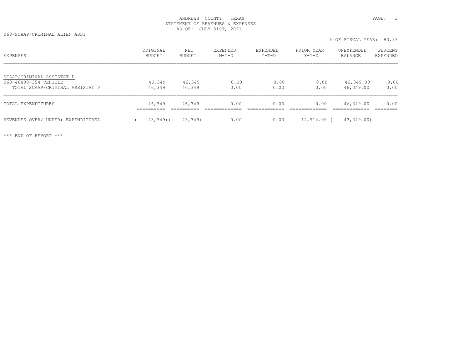068-SCAAP/CRIMINAL ALIEN ASSI

% OF FISCAL YEAR: 83.33

| <b>EXPENSES</b>                                    | ORIGINAL<br>BUDGET | NET<br>BUDGET | EXPENDED<br>$M-T-D$ | EXPENDED<br>$Y-T-D$ | PRIOR YEAR<br>$Y-T-D$ | UNEXPENDED<br>BALANCE | PERCENT<br>EXPENDED |
|----------------------------------------------------|--------------------|---------------|---------------------|---------------------|-----------------------|-----------------------|---------------------|
| SCAAP/CRIMINAL ASSISTAT P<br>068-46800-354 VEHICLE | 46,349             | 46,349        | 0.00                | 0.00                | 0.00                  | 46,349.00             | 0.00                |
| TOTAL SCAAP/CRIMINAL ASSISTAT P                    | 46,349             | 46,349        | 0.00                | 0.00                | 0.00                  | 46,349.00             | 0.00                |
| TOTAL EXPENDITURES                                 | 46,349             | 46,349        | 0.00                | 0.00                | 0.00                  | 46,349.00             | 0.00                |
| REVENUES OVER/(UNDER) EXPENDITURES                 | $43,349$ ) (       | 43,349)       | 0.00                | 0.00                | 14,914.00 (           | 43,349.00)            |                     |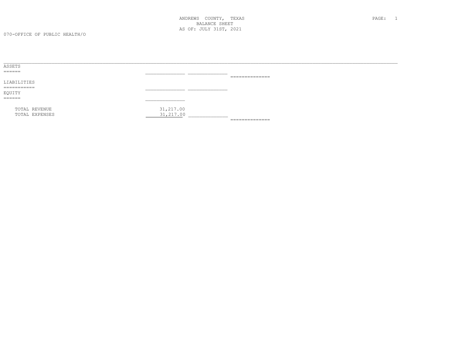| ASSETS                   |            |                                                                                                                                                                                                                                                                                                                                                                                                                                                                                        |  |
|--------------------------|------------|----------------------------------------------------------------------------------------------------------------------------------------------------------------------------------------------------------------------------------------------------------------------------------------------------------------------------------------------------------------------------------------------------------------------------------------------------------------------------------------|--|
| ______<br>_____          |            |                                                                                                                                                                                                                                                                                                                                                                                                                                                                                        |  |
|                          |            | $\begin{array}{cccccccccc} \multicolumn{2}{c}{} & \multicolumn{2}{c}{} & \multicolumn{2}{c}{} & \multicolumn{2}{c}{} & \multicolumn{2}{c}{} & \multicolumn{2}{c}{} & \multicolumn{2}{c}{} & \multicolumn{2}{c}{} & \multicolumn{2}{c}{} & \multicolumn{2}{c}{} & \multicolumn{2}{c}{} & \multicolumn{2}{c}{} & \multicolumn{2}{c}{} & \multicolumn{2}{c}{} & \multicolumn{2}{c}{} & \multicolumn{2}{c}{} & \multicolumn{2}{c}{} & \multicolumn{2}{c}{} & \multicolumn{2}{c}{} & \mult$ |  |
| LIABILITIES              |            |                                                                                                                                                                                                                                                                                                                                                                                                                                                                                        |  |
| ___________<br>_________ |            |                                                                                                                                                                                                                                                                                                                                                                                                                                                                                        |  |
| EQUITY                   |            |                                                                                                                                                                                                                                                                                                                                                                                                                                                                                        |  |
|                          |            |                                                                                                                                                                                                                                                                                                                                                                                                                                                                                        |  |
| TOTAL REVENUE            | 31,217.00  |                                                                                                                                                                                                                                                                                                                                                                                                                                                                                        |  |
| TOTAL EXPENSES           | 31, 217.00 |                                                                                                                                                                                                                                                                                                                                                                                                                                                                                        |  |
|                          |            | $\begin{array}{cccccccccc} \multicolumn{2}{c}{} & \multicolumn{2}{c}{} & \multicolumn{2}{c}{} & \multicolumn{2}{c}{} & \multicolumn{2}{c}{} & \multicolumn{2}{c}{} & \multicolumn{2}{c}{} & \multicolumn{2}{c}{} & \multicolumn{2}{c}{} & \multicolumn{2}{c}{} & \multicolumn{2}{c}{} & \multicolumn{2}{c}{} & \multicolumn{2}{c}{} & \multicolumn{2}{c}{} & \multicolumn{2}{c}{} & \multicolumn{2}{c}{} & \multicolumn{2}{c}{} & \multicolumn{2}{c}{} & \multicolumn{2}{c}{} & \mult$ |  |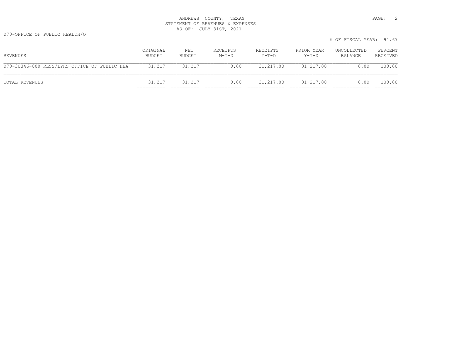070-OFFICE OF PUBLIC HEALTH/O

|                                              |                    |               |                     |                   |                       | % OF FISCAL YEAR: 91.67 |                     |
|----------------------------------------------|--------------------|---------------|---------------------|-------------------|-----------------------|-------------------------|---------------------|
| REVENUES                                     | ORIGINAL<br>BUDGET | NET<br>BUDGET | RECEIPTS<br>$M-T-D$ | RECEIPTS<br>Y-T-D | PRIOR YEAR<br>$Y-T-D$ | UNCOLLECTED<br>BALANCE  | PERCENT<br>RECEIVED |
| 070-30346-000 RLSS/LPHS OFFICE OF PUBLIC HEA | 31,217             | 31,217        | 0.00                | 31,217.00         | 31,217.00             | 0.00                    | 100.00              |
| TOTAL REVENUES                               | 31,217             | 31,217        | 0.00                | 31,217.00         | 31,217.00             | 0.00                    | 100.00              |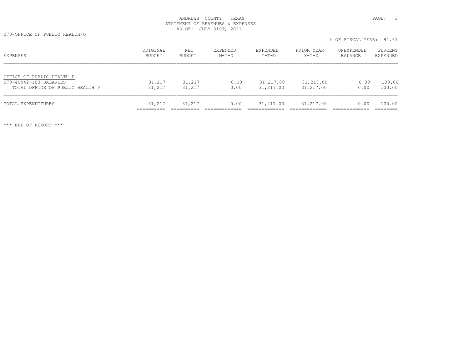070-OFFICE OF PUBLIC HEALTH/O

% OF FISCAL YEAR: 91.67

| EXPENSES                                                                               | ORIGINAL<br>BUDGET | NET<br>BUDGET    | EXPENDED<br>$M-T-D$ | EXPENDED<br>Y-T-D      | PRIOR YEAR<br>Y-T-D    | UNEXPENDED<br>BALANCE | PERCENT<br>EXPENDED |
|----------------------------------------------------------------------------------------|--------------------|------------------|---------------------|------------------------|------------------------|-----------------------|---------------------|
| OFFICE OF PUBLIC HEALTH P<br>070-40942-103 SALARIES<br>TOTAL OFFICE OF PUBLIC HEALTH P | 31,217<br>31,217   | 31,217<br>31,217 | 0.00<br>0.00        | 31,217.00<br>31,217.00 | 31,217.00<br>31,217.00 | 0.00<br>0.00          | 100.00<br>100.00    |
| TOTAL EXPENDITURES                                                                     | 31,217             | 31,217           | 0.00                | 31,217.00              | 31,217.00              | 0.00                  | 100.00              |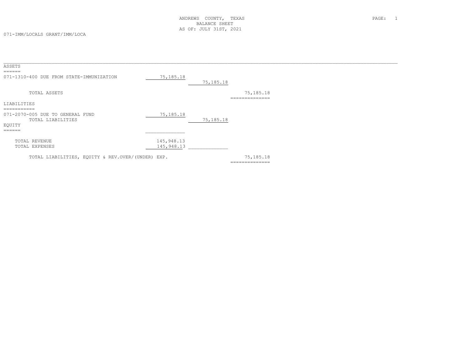071-IMM/LOCALS GRANT/IMM/LOCA

| ASSETS                                                                                                |                          |             |                             |  |
|-------------------------------------------------------------------------------------------------------|--------------------------|-------------|-----------------------------|--|
| $=$ $=$ $=$ $=$ $=$<br>071-1310-400 DUE FROM STATE-IMMUNIZATION                                       | 75,185.18                | 75, 185. 18 |                             |  |
| TOTAL ASSETS                                                                                          |                          |             | 75,185.18<br>-------------- |  |
| LIABILITIES                                                                                           |                          |             |                             |  |
| ===========<br>071-2070-005 DUE TO GENERAL FUND<br>TOTAL LIABILITIES<br>EQUITY<br>$=$ $=$ $=$ $=$ $=$ | 75, 185. 18              | 75, 185. 18 |                             |  |
| TOTAL REVENUE<br>TOTAL EXPENSES                                                                       | 145,948.13<br>145,948.13 |             |                             |  |
| TOTAL LIABILITIES, EQUITY & REV.OVER/(UNDER) EXP.                                                     |                          |             | 75,185.18<br>============== |  |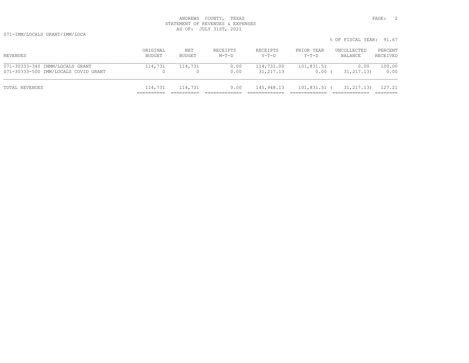071-IMM/LOCALS GRANT/IMM/LOCA

|                                                                         |                    |               |                     |                          |                                 | % OF FISCAL YEAR: 91.67 |                     |
|-------------------------------------------------------------------------|--------------------|---------------|---------------------|--------------------------|---------------------------------|-------------------------|---------------------|
| REVENUES                                                                | ORIGINAL<br>BUDGET | NET<br>BUDGET | RECEIPTS<br>$M-T-D$ | RECEIPTS<br>$Y-T-D$      | PRIOR YEAR<br>$Y-T-D$           | UNCOLLECTED<br>BALANCE  | PERCENT<br>RECEIVED |
| 071-30333-340 INMM/LOCALS GRANT<br>071-30333-500 IMM/LOCALS COVID GRANT | 114,731            | 114,731       | 0.00<br>0.00        | 114,731.00<br>31, 217.13 | 101,831.51<br>0.00 <sub>0</sub> | 0.00<br>31, 217, 13)    | 100.00<br>0.00      |
| TOTAL REVENUES                                                          | 114,731            | 114,731       | 0.00                | 145,948.13               | 101,831.51 (                    | 31, 217, 13)            | 127.21              |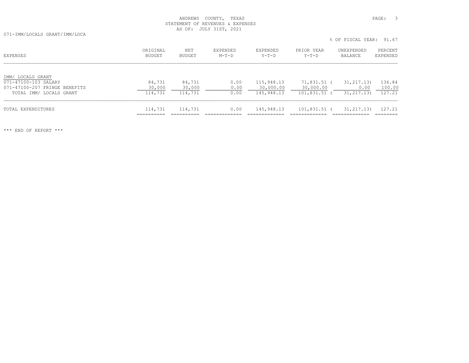071-IMM/LOCALS GRANT/IMM/LOCA

% OF FISCAL YEAR: 91.67

| EXPENSES                                                                   | ORIGINAL<br>BUDGET | NET<br>BUDGET    | EXPENDED<br>$M-T-D$ | EXPENDED<br>$Y-T-D$     | PRIOR YEAR<br>$Y-T-D$  | UNEXPENDED<br>BALANCE | PERCENT<br>EXPENDED |
|----------------------------------------------------------------------------|--------------------|------------------|---------------------|-------------------------|------------------------|-----------------------|---------------------|
| IMM/ LOCALS GRANT<br>071-47100-103 SALARY<br>071-47100-207 FRINGE BENEFITS | 84,731<br>30,000   | 84,731<br>30,000 | 0.00<br>0.00        | 115,948.13<br>30,000.00 | 71,831.51<br>30,000.00 | 31, 217, 13)<br>0.00  | 136.84<br>100.00    |
| TOTAL IMM/ LOCALS GRANT                                                    | 114,731            | 114,731          | 0.00                | 145,948.13              | 101,831.51             | 31, 217, 13)          | 127.21              |
| TOTAL EXPENDITURES                                                         | 114,731            | 114,731          | 0.00                | 145,948.13              | 101,831.51             | 31, 217, 13)          | 127.21              |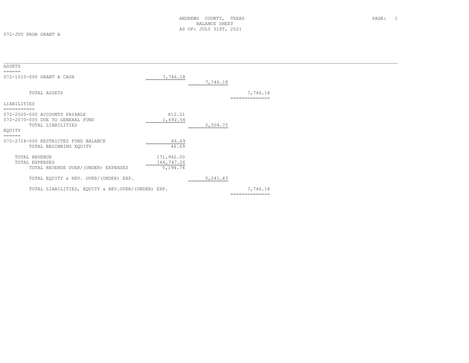| ASSETS                                            |            |                            |  |
|---------------------------------------------------|------------|----------------------------|--|
| 072-1010-000 GRANT A CASH                         | 7,746.18   | 7,746.18                   |  |
| TOTAL ASSETS                                      |            | 7,746.18<br>-------------- |  |
| LIABILITIES                                       |            |                            |  |
| ==========                                        |            |                            |  |
| 072-2020-000 ACCOUNTS PAYABLE                     | 812.21     |                            |  |
| 072-2070-005 DUE TO GENERAL FUND                  | 1,692.54   |                            |  |
| TOTAL LIABILITIES                                 |            | 2,504.75                   |  |
| EQUITY                                            |            |                            |  |
| ======                                            |            |                            |  |
| 072-2718-000 RESTRICTED FUND BALANCE              | 46.69      |                            |  |
| TOTAL BEGINNING EQUITY                            | 46.69      |                            |  |
| TOTAL REVENUE                                     | 171,942.00 |                            |  |
| TOTAL EXPENSES                                    | 166,747.26 |                            |  |
| TOTAL REVENUE OVER/(UNDER) EXPENSES               | 5,194.74   |                            |  |
| TOTAL EQUITY & REV. OVER/(UNDER) EXP.             |            | 5, 241.43                  |  |
| TOTAL LIABILITIES, EQUITY & REV.OVER/(UNDER) EXP. |            | 7,746.18                   |  |
|                                                   |            |                            |  |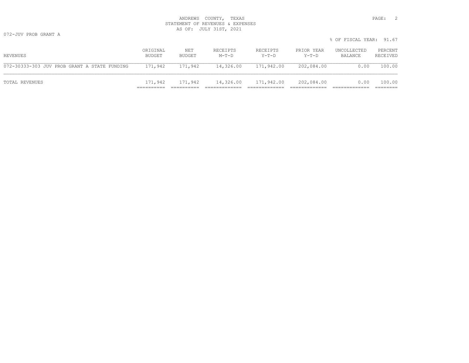|                                              |                    |               |                     |                      |                     | % OF FISCAL YEAR: 91.67 |                     |
|----------------------------------------------|--------------------|---------------|---------------------|----------------------|---------------------|-------------------------|---------------------|
| REVENUES                                     | ORIGINAL<br>BUDGET | NET<br>BUDGET | RECEIPTS<br>$M-T-D$ | RECEIPTS<br>Y-T-D    | PRIOR YEAR<br>Y-T-D | UNCOLLECTED<br>BALANCE  | PERCENT<br>RECEIVED |
| 072-30333-303 JUV PROB GRANT A STATE FUNDING | 171,942            | 171,942       |                     | 14,326.00 171,942.00 | 202,084.00          | 0.00                    | 100.00              |
| TOTAL REVENUES                               | 171,942            | 171,942       |                     | 14,326.00 171,942.00 | 202,084.00          | 0.00                    | 100.00              |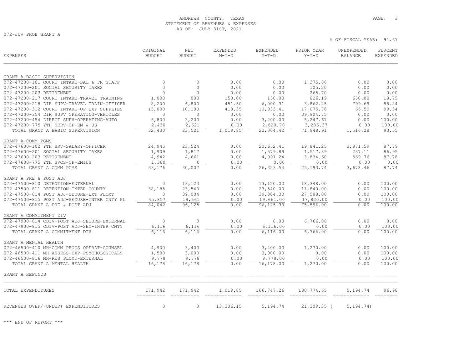072-JUV PROB GRANT A

| <b>EXPENSES</b>                             | ORIGINAL<br><b>BUDGET</b> | <b>NET</b><br><b>BUDGET</b> | <b>EXPENDED</b><br>$M-T-D$ | <b>EXPENDED</b><br>$Y-T-D$   | PRIOR YEAR<br>$Y-T-D$       | UNEXPENDED<br><b>BALANCE</b> | PERCENT<br><b>EXPENDED</b> |
|---------------------------------------------|---------------------------|-----------------------------|----------------------------|------------------------------|-----------------------------|------------------------------|----------------------------|
|                                             |                           |                             |                            |                              |                             |                              |                            |
| GRANT A BASIC SUPERVISION                   |                           |                             |                            |                              |                             |                              |                            |
| 072-47200-101 COURT INTAKE-SAL & FR STAFF   | $\mathbf{0}$              | $\circ$                     | 0.00                       | 0.00                         | 1,375.00                    | 0.00                         | 0.00                       |
| 072-47200-201 SOCIAL SECURITY TAXES         | $\mathbf{0}$              | $\circ$                     | 0.00                       | 0.00                         | 105.20                      | 0.00                         | 0.00                       |
| 072-47200-203 RETIREMENT                    | $\mathbf{0}$              | $\circ$                     | 0.00                       | 0.00                         | 265.70                      | 0.00                         | 0.00                       |
| 072-47200-217 COURT INTAKE-TRAVEL TRAINING  | 1,000                     | 800                         | 150.00                     | 150.00                       | 826.19                      | 650.00                       | 18.75                      |
| 072-47200-218 DIR SUPV-TRAVEL TRAIN-OFFICER | 8,200                     | 6,800                       | 451.50                     | 6,000.31                     | 3,862.25                    | 799.69                       | 88.24                      |
| 072-47200-312 COURT INTAKE-OP EXP SUPPLIES  | 15,000                    | 10,100                      | 418.35                     | 10,033.41                    | 17,075.78                   | 66.59                        | 99.34                      |
| 072-47200-354 DIR SUPV OPERATING-VEHICLES   | 0                         | $\circ$                     | 0.00                       | 0.00                         | 39,904.75                   | 0.00                         | 0.00                       |
| 072-47200-454 DIRECT SUPV-OPERATING-AUTO    | 5,800                     | 3,200                       | 0.00                       | 3,200.00                     | 5,247.67                    | 0.00                         | 100.00                     |
| 072-47200-775 YTH SERV-OP-EM & US           | 2,430                     | 2,621                       | 0.00                       | 2,620.70                     | 3,286.37                    | 0.00                         | 100.00                     |
| TOTAL GRANT A BASIC SUPERVISION             | 32,430                    | 23,521                      | 1,019.85                   | 22,004.42                    | 71,948.91                   | 1,516.28                     | 93.55                      |
| GRANT A COMM PGMS                           |                           |                             |                            |                              |                             |                              |                            |
| 072-47600-102 YTH SRV-SALARY-OFFICER        | 24,945                    | 23,524                      | 0.00                       | 20,652.41                    | 19,841.25                   | 2,871.59                     | 87.79                      |
| 072-47600-201 SOCIAL SECURITY TAXES         | 1,909                     | 1,817                       | 0.00                       | 1,579.89                     | 1,517.89                    | 237.11                       | 86.95                      |
| 072-47600-203 RETIREMENT                    | 4,942                     | 4,661                       | 0.00                       | 4,091.24                     | 3,834.60                    | 569.76                       | 87.78                      |
| 072-47600-775 YTH SVCS-OP-EM&US             | 1,380                     | 0                           | 0.00                       | 0.00                         | 0.00                        | 0.00                         | 0.00                       |
| TOTAL GRANT A COMM PGMS                     | 33,176                    | 30,002                      | 0.00                       | 26, 323.54                   | 25, 193. 74                 | 3,678.46                     | 87.74                      |
| GRANT A PRE & POST ADJ                      |                           |                             |                            |                              |                             |                              |                            |
| 072-47500-810 DETENTION-EXTERNAL            | 0                         | 13,120                      | 0.00                       | 13,120.00                    | 18,348.00                   | 0.00                         | 100.00                     |
| 072-47500-811 DETENTION-INTER COUNTY        | 38,185                    | 23,540                      | 0.00                       | 23,540.00                    | 11,840.00                   | 0.00                         | 100.00                     |
| 072-47500-814 POST ADJ-SECURE-EXT PLCMT     | 0                         | 39,804                      | 0.00                       | 39,804.30                    | 27,588.00                   | 0.00                         | 100.00                     |
| 072-47500-815 POST ADJ-SECURE-INTER CNTY PL | 45,857                    | 19,661                      | 0.00                       | 19,661.00                    | 17,820.00                   | 0.00                         | 100.00                     |
| TOTAL GRANT A PRE & POST ADJ                | 84,042                    | 96,125                      | 0.00                       | 96, 125.30                   | 75,596.00                   | 0.00                         | 100.00                     |
| GRANT A COMMITMENT DIV                      |                           |                             |                            |                              |                             |                              |                            |
| 072-47900-814 CDIV-POST ADJ-SECURE-EXTERNAL | $\circ$                   | $\circ$                     | 0.00                       | 0.00                         | 6,766.00                    | 0.00                         | 0.00                       |
| 072-47900-815 CDIV-POST ADJ-SEC-INTER CNTY  | 6,116                     | 6,116                       | 0.00                       | 6,116.00                     | 0.00                        | 0.00                         | 100.00                     |
| TOTAL GRANT A COMMITMENT DIV                | 6,116                     | 6,116                       | 0.00                       | 6,116.00                     | 6,766.00                    | 0.00                         | 100.00                     |
| GRANT A MENTAL HEALTH                       |                           |                             |                            |                              |                             |                              |                            |
| 072-46500-410 MH-COMM PROGS OPERAT-COUNSEL  | 4,900                     | 3,400                       | 0.00                       | 3,400.00                     | 1,270.00                    | 0.00                         | 100.00                     |
| 072-46500-411 MH ASSESS-EXP-PSYCHOLOGICALS  | 1,500                     | 3,000                       | 0.00                       | 3,000.00                     | 0.00                        | 0.00                         | 100.00                     |
| 072-46500-816 MH-RES PLCMT-EXTERNAL         | 9,778                     | 9,778                       | 0.00                       | 9,778.00                     | 0.00                        | 0.00                         | 100.00                     |
| TOTAL GRANT A MENTAL HEALTH                 | 16,178                    | 16,178                      | 0.00                       | 16,178.00                    | 1,270.00                    | 0.00                         | 100.00                     |
| GRANT A REFUNDS                             |                           |                             |                            |                              |                             |                              |                            |
| TOTAL EXPENDITURES                          | 171,942                   | 171,942<br>==========       | 1,019.85<br>-------------  | 166,747.26<br>-------------- | 180,774.65<br>------------- | 5,194.74<br>=============    | 96.98<br>$-- - - - - - -$  |
| REVENUES OVER/ (UNDER) EXPENDITURES         | $\mathsf{O}\xspace$       | $\circ$                     | 13,306.15                  | 5,194.74                     | $21,309.35$ (               | 5, 194.74)                   |                            |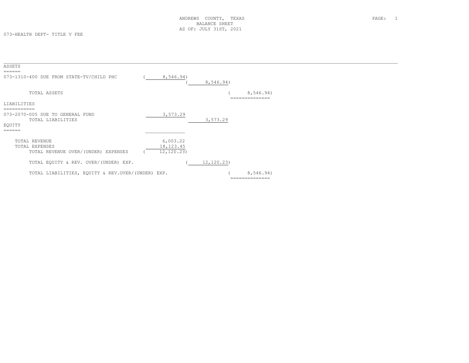| ASSETS<br>======                                                                         |                                        |            |                             |  |
|------------------------------------------------------------------------------------------|----------------------------------------|------------|-----------------------------|--|
| 073-1310-400 DUE FROM STATE-TV/CHILD PHC                                                 | 8,546.94)                              | 8,546.94)  |                             |  |
| TOTAL ASSETS                                                                             |                                        |            | 8,546.94)                   |  |
| LIABILITIES                                                                              |                                        |            |                             |  |
| -----------<br>073-2070-005 DUE TO GENERAL FUND<br>TOTAL LIABILITIES<br>EOUITY<br>------ | 3,573.29                               | 3,573.29   |                             |  |
| TOTAL REVENUE<br>TOTAL EXPENSES<br>TOTAL REVENUE OVER/(UNDER) EXPENSES                   | 6,003.22<br>18, 123. 45<br>12, 120.23) |            |                             |  |
| TOTAL EQUITY & REV. OVER/(UNDER) EXP.                                                    |                                        | 12, 120.23 |                             |  |
| TOTAL LIABILITIES, EQUITY & REV.OVER/(UNDER) EXP.                                        |                                        |            | 8,546.94)<br>============== |  |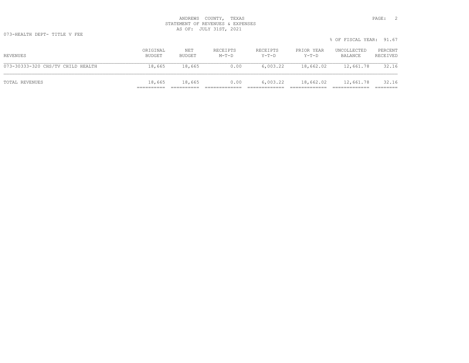073-HEALTH DEPT- TITLE V FEE

|                                   |                    |               |                     |                     |                     | % OF FISCAL YEAR: 91.67 |                     |
|-----------------------------------|--------------------|---------------|---------------------|---------------------|---------------------|-------------------------|---------------------|
| REVENUES                          | ORIGINAL<br>BUDGET | NET<br>BUDGET | RECEIPTS<br>$M-T-D$ | RECEIPTS<br>$Y-T-D$ | PRIOR YEAR<br>Y-T-D | UNCOLLECTED<br>BALANCE  | PERCENT<br>RECEIVED |
| 073-30333-320 CHS/TV CHILD HEALTH | 18,665             | 18,665        | 0.00                | 6.003.22            | 18,662.02           | 12,661.78               | 32.16               |
| TOTAL REVENUES                    | 18,665             | 18,665        | 0.00                | 6,003.22            | 18,662.02           | 12,661.78               | 32.16               |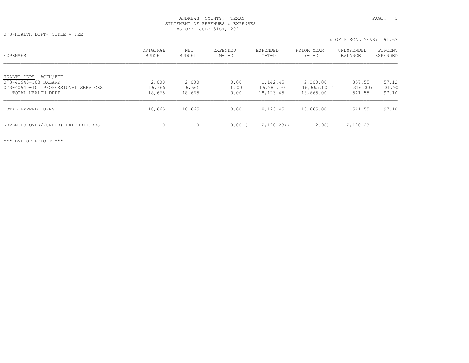073-HEALTH DEPT- TITLE V FEE

| EXPENSES                                                                                                    | ORIGINAL<br>BUDGET        | NET<br>BUDGET             | EXPENDED<br>$M-T-D$  | EXPENDED<br>$Y-T-D$                  | PRIOR YEAR<br>$Y-T-D$              | UNEXPENDED<br>BALANCE       | PERCENT<br>EXPENDED      |
|-------------------------------------------------------------------------------------------------------------|---------------------------|---------------------------|----------------------|--------------------------------------|------------------------------------|-----------------------------|--------------------------|
| ACFH/FEE<br>HEALTH DEPT<br>073-40940-103 SALARY<br>073-40940-401 PROFESSIONAL SERVICES<br>TOTAL HEALTH DEPT | 2,000<br>16,665<br>18,665 | 2,000<br>16,665<br>18,665 | 0.00<br>0.00<br>0.00 | 1,142.45<br>16,981.00<br>18, 123. 45 | 2,000.00<br>16,665.00<br>18,665.00 | 857.55<br>316.00)<br>541.55 | 57.12<br>101.90<br>97.10 |
| TOTAL EXPENDITURES                                                                                          | 18,665<br>__________      | 18,665                    | 0.00                 | 18, 123. 45                          | 18,665.00                          | 541.55<br>_____________     | 97.10                    |
| REVENUES OVER/(UNDER)<br>EXPENDITURES                                                                       | $\Omega$                  | $\Omega$                  | 0.00                 | $12, 120.23$ ) (                     | 2.98                               | 12,120.23                   |                          |

\*\*\* END OF REPORT \*\*\*

% OF FISCAL YEAR: 91.67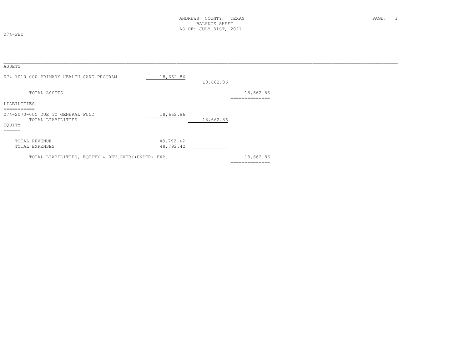074-PHC

| ASSETS                                                                                                    |                        |           |                             |  |
|-----------------------------------------------------------------------------------------------------------|------------------------|-----------|-----------------------------|--|
| ======<br>074-1010-000 PRIMARY HEALTH CARE PROGRAM                                                        | 18,662.86              | 18,662.86 |                             |  |
| TOTAL ASSETS                                                                                              |                        |           | 18,662.86<br>-------------- |  |
| LIABILITIES                                                                                               |                        |           |                             |  |
| ===========<br>074-2070-005 DUE TO GENERAL FUND<br>TOTAL LIABILITIES<br>EQUITY<br>$=$ $=$ $=$ $=$ $=$ $=$ | 18,662.86              | 18,662.86 |                             |  |
| TOTAL REVENUE<br>TOTAL EXPENSES                                                                           | 48,792.42<br>48,792.42 |           |                             |  |
| TOTAL LIABILITIES, EQUITY & REV.OVER/(UNDER) EXP.                                                         |                        |           | 18,662.86<br>-------------- |  |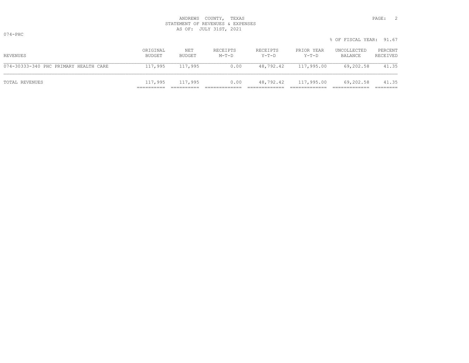|                                       |                    |               |                   |                   |                      | 0 UL LIUUILLI ILIIN. JI.U |                     |
|---------------------------------------|--------------------|---------------|-------------------|-------------------|----------------------|---------------------------|---------------------|
| REVENUES                              | ORIGINAL<br>BUDGET | NET<br>BUDGET | RECEIPTS<br>M-T-D | RECEIPTS<br>Y-T-D | PRIOR YEAR<br>Y-T-D  | UNCOLLECTED<br>BALANCE    | PERCENT<br>RECEIVED |
| 074-30333-340 PHC PRIMARY HEALTH CARE | 117,995            | 117,995       | 0.00              |                   | 48,792.42 117,995.00 | 69,202.58                 | 41.35               |
| TOTAL REVENUES                        | 117,995            | 117,995       | 0.00              |                   | 48,792.42 117,995.00 | 69,202.58                 | 41.35               |

% OF FISCAL YEAR: 91.67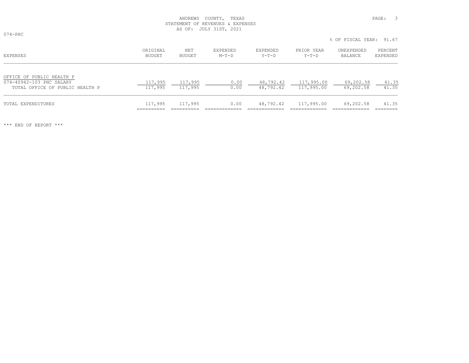074-PHC

|                                                                                          |                      |                    |                     |                        |                          | % OF FISCAL YEAR: 91.67 |                     |
|------------------------------------------------------------------------------------------|----------------------|--------------------|---------------------|------------------------|--------------------------|-------------------------|---------------------|
| EXPENSES                                                                                 | ORIGINAL<br>BUDGET   | NET<br>BUDGET      | EXPENDED<br>$M-T-D$ | EXPENDED<br>Y-T-D      | PRIOR YEAR<br>Y-T-D      | UNEXPENDED<br>BALANCE   | PERCENT<br>EXPENDED |
| OFFICE OF PUBLIC HEALTH P<br>074-40942-103 PHC SALARY<br>TOTAL OFFICE OF PUBLIC HEALTH P | 117,995<br>117,995   | 117,995<br>117,995 | 0.00<br>0.00        | 48,792.42<br>48,792.42 | 117,995.00<br>117,995.00 | 69,202.58<br>69,202.58  | 41.35<br>41.35      |
| TOTAL EXPENDITURES                                                                       | 117,995<br>========= | 117,995            | 0.00                | 48,792.42              | 117,995.00               | 69,202.58               | 41.35<br>========   |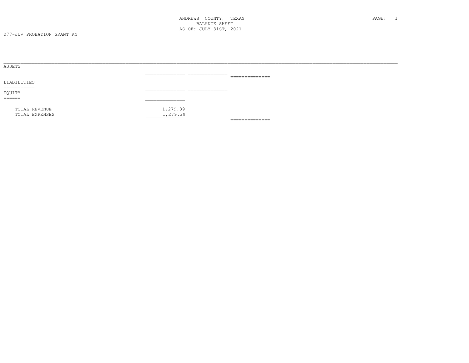| ASSETS                   |                          |                                                                                                                                                                                                                                                                                                                                                                                                                                                                                        |
|--------------------------|--------------------------|----------------------------------------------------------------------------------------------------------------------------------------------------------------------------------------------------------------------------------------------------------------------------------------------------------------------------------------------------------------------------------------------------------------------------------------------------------------------------------------|
| ======                   |                          |                                                                                                                                                                                                                                                                                                                                                                                                                                                                                        |
|                          |                          | $\begin{array}{cccccccccc} \multicolumn{2}{c}{} & \multicolumn{2}{c}{} & \multicolumn{2}{c}{} & \multicolumn{2}{c}{} & \multicolumn{2}{c}{} & \multicolumn{2}{c}{} & \multicolumn{2}{c}{} & \multicolumn{2}{c}{} & \multicolumn{2}{c}{} & \multicolumn{2}{c}{} & \multicolumn{2}{c}{} & \multicolumn{2}{c}{} & \multicolumn{2}{c}{} & \multicolumn{2}{c}{} & \multicolumn{2}{c}{} & \multicolumn{2}{c}{} & \multicolumn{2}{c}{} & \multicolumn{2}{c}{} & \multicolumn{2}{c}{} & \mult$ |
| LIABILITIES              |                          |                                                                                                                                                                                                                                                                                                                                                                                                                                                                                        |
| ___________<br>_________ |                          |                                                                                                                                                                                                                                                                                                                                                                                                                                                                                        |
| EQUITY                   |                          |                                                                                                                                                                                                                                                                                                                                                                                                                                                                                        |
|                          |                          |                                                                                                                                                                                                                                                                                                                                                                                                                                                                                        |
|                          |                          |                                                                                                                                                                                                                                                                                                                                                                                                                                                                                        |
| TOTAL REVENUE            | 1,279.39                 |                                                                                                                                                                                                                                                                                                                                                                                                                                                                                        |
| TOTAL EXPENSES           | 1,279.39<br>____________ |                                                                                                                                                                                                                                                                                                                                                                                                                                                                                        |
|                          |                          | ==============                                                                                                                                                                                                                                                                                                                                                                                                                                                                         |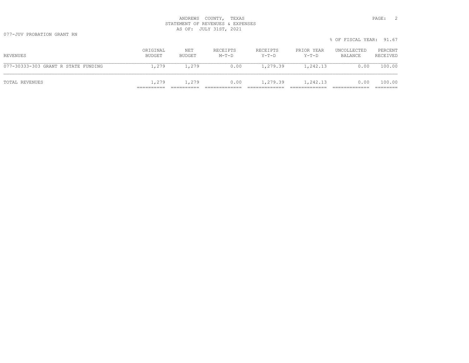077-JUV PROBATION GRANT RN

|                                     |                    |               |                     |                   |                       | % OF FISCAL YEAR: 91.67 |                     |
|-------------------------------------|--------------------|---------------|---------------------|-------------------|-----------------------|-------------------------|---------------------|
| REVENUES                            | ORIGINAL<br>BUDGET | NET<br>BUDGET | RECEIPTS<br>$M-T-D$ | RECEIPTS<br>Y-T-D | PRIOR YEAR<br>$Y-T-D$ | UNCOLLECTED<br>BALANCE  | PERCENT<br>RECEIVED |
| 077-30333-303 GRANT R STATE FUNDING | 1,279              | 1,279         | 0.00                | 1,279.39          | 1,242.13              | 0.00                    | 100.00              |
| TOTAL REVENUES                      | 1,279              | 1,279         | 0.00                | 1,279.39          | 1,242.13              | 0.00                    | 100.00              |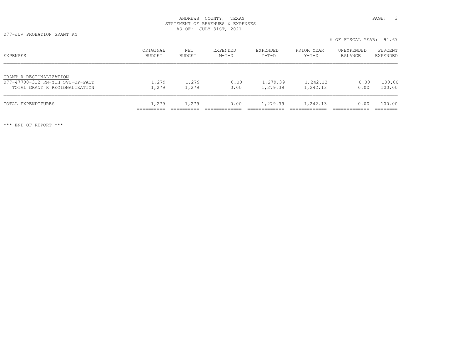077-JUV PROBATION GRANT RN

% OF FISCAL YEAR: 91.67

| EXPENSES                                                                                     | ORIGINAL<br><b>BUDGET</b> | NET<br>BUDGET  | EXPENDED<br>$M-T-D$ | <b>EXPENDED</b><br>$Y-T-D$ | PRIOR YEAR<br>Y-T-D  | UNEXPENDED<br>BALANCE | PERCENT<br>EXPENDED |
|----------------------------------------------------------------------------------------------|---------------------------|----------------|---------------------|----------------------------|----------------------|-----------------------|---------------------|
| GRANT R REGIONALIZATION<br>077-47700-312 RN-YTH SVC-OP-PACT<br>TOTAL GRANT R REGIONALIZATION | 1,279<br>1,279            | 1,279<br>1,279 | 0.00<br>0.00        | 1,279.39<br>1,279.39       | 1,242.13<br>1,242.13 | 0.00<br>0.00          | 100.00<br>100.00    |
| TOTAL EXPENDITURES                                                                           | 1,279                     | 1,279          | 0.00                | 1,279.39                   | 1,242.13             | 0.00                  | 100.00              |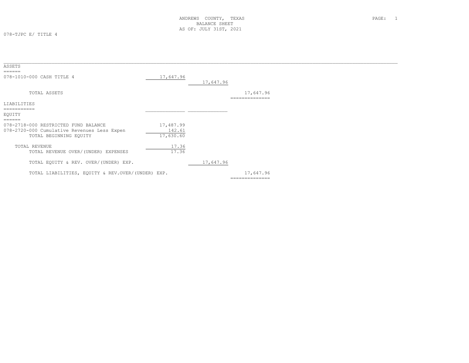078-TJPC E/ TITLE 4

| ASSETS<br>$=$ $=$ $=$ $=$ $=$                                                                                 |                                  |           |                             |
|---------------------------------------------------------------------------------------------------------------|----------------------------------|-----------|-----------------------------|
| 078-1010-000 CASH TITLE 4                                                                                     | 17,647.96                        | 17,647.96 |                             |
| TOTAL ASSETS                                                                                                  |                                  |           | 17,647.96<br>============== |
| LIABILITIES                                                                                                   |                                  |           |                             |
| EQUITY<br>$=$ $=$ $=$ $=$ $=$ $=$                                                                             |                                  |           |                             |
| 078-2718-000 RESTRICTED FUND BALANCE<br>078-2720-000 Cumulative Revenues Less Expen<br>TOTAL BEGINNING EQUITY | 17,487.99<br>142.61<br>17,630.60 |           |                             |
| TOTAL REVENUE<br>TOTAL REVENUE OVER/(UNDER) EXPENSES                                                          | 17.36<br>17.36                   |           |                             |
| TOTAL EQUITY & REV. OVER/(UNDER) EXP.                                                                         |                                  | 17,647.96 |                             |
| TOTAL LIABILITIES, EQUITY & REV.OVER/(UNDER) EXP.                                                             |                                  |           | 17,647.96<br>============== |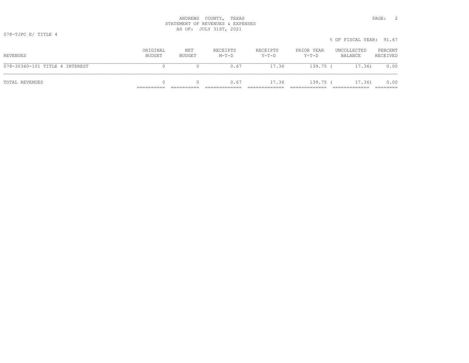|                                |                    |               |                     |                     |                     | % OF FISCAL YEAR: 91.67 |                     |
|--------------------------------|--------------------|---------------|---------------------|---------------------|---------------------|-------------------------|---------------------|
| REVENUES                       | ORIGINAL<br>BUDGET | NET<br>BUDGET | RECEIPTS<br>$M-T-D$ | RECEIPTS<br>$Y-T-D$ | PRIOR YEAR<br>Y-T-D | UNCOLLECTED<br>BALANCE  | PERCENT<br>RECEIVED |
| 078-30360-101 TITLE 4 INTEREST |                    |               | 0.67                | 17.36               | $139.75$ (          | 17.36)                  | 0.00                |
| TOTAL REVENUES                 |                    |               | 0.67                | 17.36               | 139.75 (            | 17.36)                  | 0.00                |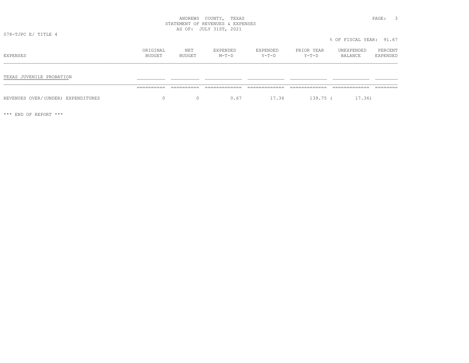078-TJPC E/ TITLE 4

| EXPENSES                           | ORIGINAL<br>BUDGET | NET<br>BUDGET | EXPENDED<br>$M-T-D$ | EXPENDED<br>$Y-T-D$ | PRIOR YEAR<br>$Y-T-D$ | UNEXPENDED<br>BALANCE | PERCENT<br>EXPENDED |
|------------------------------------|--------------------|---------------|---------------------|---------------------|-----------------------|-----------------------|---------------------|
| TEXAS JUVENILE PROBATION           |                    |               |                     |                     |                       |                       |                     |
|                                    |                    |               |                     |                     |                       |                       |                     |
| REVENUES OVER/(UNDER) EXPENDITURES | 0                  | 0             | 0.67                | 17.36               | 139.75 (              | 17.36)                |                     |

\*\*\* END OF REPORT \*\*\*

% OF FISCAL YEAR: 91.67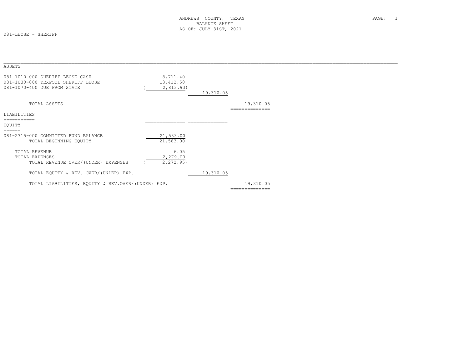081-LEOSE - SHERIFF

| ASSETS                                                                                               |                                     |           |                             |  |
|------------------------------------------------------------------------------------------------------|-------------------------------------|-----------|-----------------------------|--|
| 081-1010-000 SHERIFF LEOSE CASH<br>081-1030-000 TEXPOOL SHERIFF LEOSE<br>081-1070-400 DUE FROM STATE | 8,711.40<br>13, 412.58<br>2,813.93) | 19,310.05 |                             |  |
| TOTAL ASSETS                                                                                         |                                     |           | 19,310.05<br>============== |  |
| LIABILITIES                                                                                          |                                     |           |                             |  |
|                                                                                                      |                                     |           |                             |  |
| EOUITY                                                                                               |                                     |           |                             |  |
| ======<br>081-2715-000 COMMITTED FUND BALANCE<br>TOTAL BEGINNING EQUITY                              | 21,583.00<br>21,583.00              |           |                             |  |
| TOTAL REVENUE<br>TOTAL EXPENSES<br>TOTAL REVENUE OVER/(UNDER) EXPENSES                               | 6.05<br>2,279.00<br>2,272.95)       |           |                             |  |
| TOTAL EQUITY & REV. OVER/(UNDER) EXP.                                                                |                                     | 19,310.05 |                             |  |
| TOTAL LIABILITIES, EQUITY & REV.OVER/(UNDER) EXP.                                                    |                                     |           | 19,310.05                   |  |
|                                                                                                      |                                     |           | ==============              |  |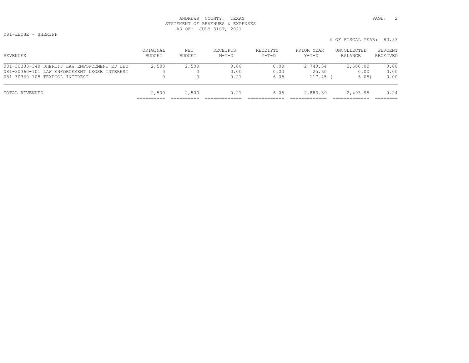| TOTAL REVENUES                                                                 | 2,500 | 2,500 | 0.21         | 6.05         | 2,883.39          | 2.493.95      | 0.24         |
|--------------------------------------------------------------------------------|-------|-------|--------------|--------------|-------------------|---------------|--------------|
| 081-30360-101 LAW ENFORCEMENT LEOSE INTEREST<br>081-30360-105 TEXPOOL INTEREST |       |       | 0.00<br>0.21 | 0.00<br>6.05 | 25.60<br>117.45 ( | 0.00<br>6.05) | 0.00<br>0.00 |

% OF FISCAL YEAR: 83.33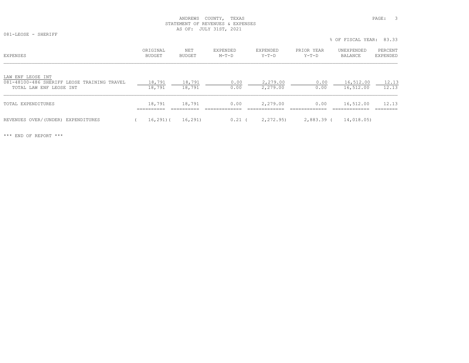081-LEOSE - SHERIFF

% OF FISCAL YEAR: 83.33

| EXPENSES                                                                                    | ORIGINAL<br>BUDGET | NET<br>BUDGET    | EXPENDED<br>$M-T-D$ |              | EXPENDED<br>Y-T-D |                      | PRIOR YEAR | $Y-T-D$      | UNEXPENDED<br>BALANCE  | PERCENT<br>EXPENDED |
|---------------------------------------------------------------------------------------------|--------------------|------------------|---------------------|--------------|-------------------|----------------------|------------|--------------|------------------------|---------------------|
| LAW ENF LEOSE INT<br>081-48100-486 SHERIFF LEOSE TRAINING TRAVEL<br>TOTAL LAW ENF LEOSE INT | 18,791<br>18,791   | 18,791<br>18,791 |                     | 0.00<br>0.00 |                   | 2,279.00<br>2,279.00 |            | 0.00<br>0.00 | 16,512.00<br>16,512.00 | 12.13<br>12.13      |
| TOTAL EXPENDITURES                                                                          | 18,791             | 18,791           |                     | 0.00         |                   | 2,279.00             |            | 0.00         | 16,512.00              | 12.13               |
| REVENUES OVER/(UNDER) EXPENDITURES                                                          | $16, 291)$ (       | 16,291)          |                     | 0.21         |                   | 2,272.95)            |            | 2,883.39 (   | 14,018.05)             |                     |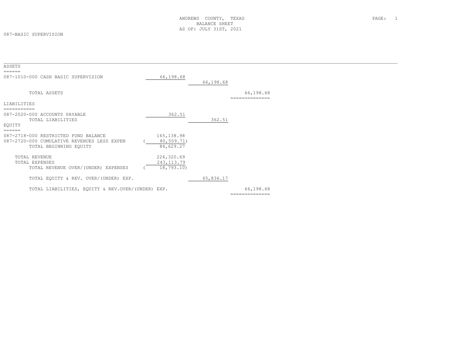#### 087-BASIC SUPERVISION

| ASSETS                                                                                                        |                                        |           |                             |
|---------------------------------------------------------------------------------------------------------------|----------------------------------------|-----------|-----------------------------|
| 087-1010-000 CASH BASIC SUPERVISION                                                                           | 66,198.68                              | 66,198.68 |                             |
| TOTAL ASSETS                                                                                                  |                                        |           | 66,198.68<br>============   |
| LIABILITIES                                                                                                   |                                        |           |                             |
| ===========<br>087-2020-000 ACCOUNTS PAYABLE<br>TOTAL LIABILITIES<br>EQUITY<br>======                         | 362.51                                 | 362.51    |                             |
| 087-2718-000 RESTRICTED FUND BALANCE<br>087-2720-000 CUMULATIVE REVENUES LESS EXPEN<br>TOTAL BEGINNING EQUITY | 165, 138.98<br>80,509.71)<br>84,629.27 |           |                             |
| TOTAL REVENUE<br>TOTAL EXPENSES<br>TOTAL REVENUE OVER/(UNDER) EXPENSES                                        | 224,320.69<br>243, 113.79<br>18,793.10 |           |                             |
| TOTAL EQUITY & REV. OVER/(UNDER) EXP.                                                                         |                                        | 65,836.17 |                             |
| TOTAL LIABILITIES, EQUITY & REV.OVER/(UNDER) EXP.                                                             |                                        |           | 66,198.68<br>============== |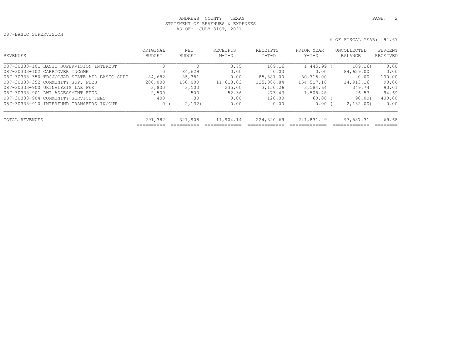087-BASIC SUPERVISION

```
 % OF FISCAL YEAR: 91.67
```

| REVENUES                                     | ORIGINAL<br><b>BUDGET</b> | <b>NET</b><br><b>BUDGET</b> | <b>RECETPTS</b><br>$M-T-D$ | RECEIPTS<br>$Y-T-D$ | PRIOR YEAR<br>$Y-T-D$ | UNCOLLECTED<br>BALANCE | PERCENT<br>RECEIVED |
|----------------------------------------------|---------------------------|-----------------------------|----------------------------|---------------------|-----------------------|------------------------|---------------------|
| 087-30333-101 BASIC SUPERVISION INTEREST     |                           |                             | 3.75                       | 109.16              | 1,445.99              | 109.16)                | 0.00                |
| 087-30333-102 CARRYOVER INCOME               |                           | 84,629                      | 0.00                       | 0.00                | 0.00                  | 84,629.00              | 0.00                |
| 087-30333-350 TDCJ/CJAD STATE AID BASIC SUPE | 84,682                    | 85,381                      | 0.00                       | 85,381.00           | 80,715.00             | 0.00                   | 100.00              |
| 087-30333-352 COMMUNITY SUP. FEES            | 200,000                   | 150,000                     | 11,613.03                  | 135,086.84          | 154,517.18            | 14,913.16              | 90.06               |
| 087-30333-900 URINALYSIS LAB FEE             | 3,800                     | 3,500                       | 235.00                     | 3,150.26            | 3,584.64              | 349.74                 | 90.01               |
| 087-30333-901 DWI ASSESSMENT FEES            | 2,500                     | 500                         | 52.36                      | 473.43              | 1,508.48              | 26.57                  | 94.69               |
| 087-30333-904 COMMUNITY SERVICE FEES         | 400                       | 30                          | 0.00                       | 120.00              | 60.00                 | 90.00)                 | 400.00              |
| 087-30333-910 INTERFUND TRANSFERS IN/OUT     | 0                         | 2,132)                      | 0.00                       | 0.00                | 0.00                  | 2,132,00               | 0.00                |
| TOTAL REVENUES                               | 291,382                   | 321,908                     | 11,904.14                  | 224,320.69          | 241,831.29            | 97,587.31              | 69.68               |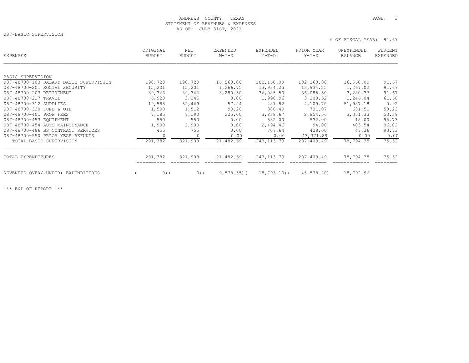087-BASIC SUPERVISION

% OF FISCAL YEAR: 91.67

| EXPENSES                               | ORIGINAL<br><b>BUDGET</b> | NET<br><b>BUDGET</b> | EXPENDED<br>$M-T-D$ | EXPENDED<br>$Y-T-D$ | PRIOR YEAR<br>$Y-T-D$ | UNEXPENDED<br><b>BALANCE</b> | PERCENT<br>EXPENDED |
|----------------------------------------|---------------------------|----------------------|---------------------|---------------------|-----------------------|------------------------------|---------------------|
|                                        |                           |                      |                     |                     |                       |                              |                     |
| BASIC SUPERVISION                      |                           |                      |                     |                     |                       |                              |                     |
| 087-48700-103 SALARY BASIC SUPERVISION | 198,720                   | 198,720              | 16,560.00           | 182,160.00          | 182,160.00            | 16,560.00                    | 91.67               |
| 087-48700-201 SOCIAL SECURITY          | 15,201                    | 15,201               | 1,266.75            | 13,934.25           | 13,934.25             | 1,267.02                     | 91.67               |
| 087-48700-203 RETIREMENT               | 39,366                    | 39,366               | 3,280.50            | 36,085.50           | 36,085.50             | 3,280.37                     | 91.67               |
| 087-48700-217 TRAVEL                   | 6,920                     | 3,245                | 0.00                | 1,998.96            | 3,108.52              | 1,246.04                     | 61.60               |
| 087-48700-312 SUPPLIES                 | 19,585                    | 52,469               | 57.24               | 481.82              | 4,109.70              | 51,987.18                    | 0.92                |
| 087-48700-330 FUEL & OIL               | 1,500                     | 1,512                | 93.20               | 880.49              | 731.07                | 631.51                       | 58.23               |
| 087-48700-401 PROF FEES                | 7,185                     | 7,190                | 225.00              | 3,838.67            | 2,854.56              | 3,351.33                     | 53.39               |
| 087-48700-453 EQUIPMENT                | 550                       | 550                  | 0.00                | 532.00              | 532.00                | 18.00                        | 96.73               |
| 087-48700-454 AUTO MAINTENANCE         | 1,900                     | 2,900                | 0.00                | 2,494.46            | 94.00                 | 405.54                       | 86.02               |
| 087-48700-486 BS CONTRACT SERVICES     | 455                       | 755                  | 0.00                | 707.64              | 428.00                | 47.36                        | 93.73               |
| 087-48700-550 PRIOR YEAR REFUNDS       | 0                         | $\circ$              | 0.00                | 0.00                | 43,371.89             | 0.00                         | 0.00                |
| TOTAL BASIC SUPERVISION                | 291,382                   | 321,908              | 21,482.69           | 243, 113.79         | 287,409.49            | 78,794.35                    | 75.52               |
| TOTAL EXPENDITURES                     | 291,382                   | 321,908              | 21,482.69           | 243, 113.79         | 287,409.49            | 78,794.35                    | 75.52               |
|                                        |                           |                      |                     |                     |                       |                              |                     |
| REVENUES OVER/(UNDER) EXPENDITURES     | 0)                        | $0)$ (               | $9,578.55$ ) (      | 18,793.10(          | 45,578.20)            | 18,792.96                    |                     |
|                                        |                           |                      |                     |                     |                       |                              |                     |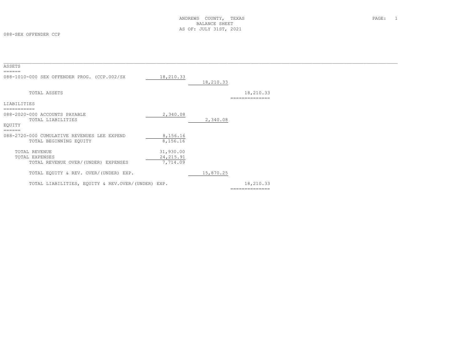#### 088-SEX OFFENDER CCP

| ASSETS                                                |                        |           |                             |  |
|-------------------------------------------------------|------------------------|-----------|-----------------------------|--|
| ======<br>088-1010-000 SEX OFFENDER PROG. (CCP.002/SX | 18,210.33              |           |                             |  |
|                                                       |                        | 18,210.33 |                             |  |
| TOTAL ASSETS                                          |                        |           | 18,210.33<br>-------------- |  |
| <b>LIABILITIES</b>                                    |                        |           |                             |  |
| 088-2020-000 ACCOUNTS PAYABLE                         | 2,340.08               |           |                             |  |
| TOTAL LIABILITIES                                     |                        | 2,340.08  |                             |  |
| EQUITY<br>$=$ $=$ $=$ $=$ $=$ $=$                     |                        |           |                             |  |
| 088-2720-000 CUMULATIVE REVENUES LEE EXPEND           | 8,156.16               |           |                             |  |
| TOTAL BEGINNING EQUITY                                | 8,156.16               |           |                             |  |
| TOTAL REVENUE                                         | 31,930.00              |           |                             |  |
| TOTAL EXPENSES<br>TOTAL REVENUE OVER/(UNDER) EXPENSES | 24, 215.91<br>7,714.09 |           |                             |  |
|                                                       |                        |           |                             |  |
| TOTAL EQUITY & REV. OVER/(UNDER) EXP.                 |                        | 15,870.25 |                             |  |
| TOTAL LIABILITIES, EOUITY & REV.OVER/(UNDER) EXP.     |                        |           | 18,210.33                   |  |
|                                                       |                        |           | --------------              |  |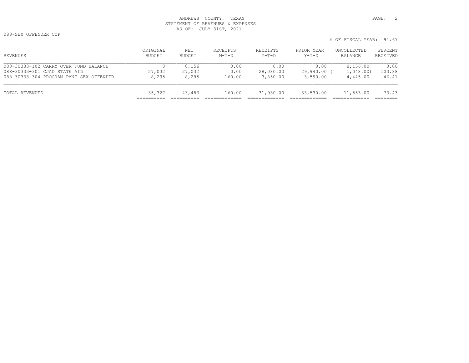088-SEX OFFENDER CCP

% OF FISCAL YEAR: 91.67

| REVENUES                                                                                                         | ORIGINAL<br>BUDGET | NET<br>BUDGET            | RECEIPTS<br>$M-T-D$    | RECEIPTS<br>Y-T-D             | PRIOR YEAR<br>$Y-T-D$           | UNCOLLECTED<br>BALANCE            | PERCENT<br>RECEIVED     |
|------------------------------------------------------------------------------------------------------------------|--------------------|--------------------------|------------------------|-------------------------------|---------------------------------|-----------------------------------|-------------------------|
| 088-30333-102 CARRY OVER FUND BALANCE<br>088-30333-301 CJAD STATE AID<br>088-30333-304 PROGRAM PMNT-SEX OFFENDER | 27,032<br>8,295    | 8,156<br>27,032<br>8,295 | 0.00<br>0.00<br>160.00 | 0.00<br>28,080.00<br>3,850.00 | 0.00<br>29,940.00 (<br>3,590.00 | 8,156.00<br>1,048.00)<br>4,445.00 | 0.00<br>103.88<br>46.41 |
| TOTAL REVENUES                                                                                                   | 35,327             | 43,483                   | 160.00                 | 31,930.00                     | 33,530.00                       | 11,553.00                         | 73.43                   |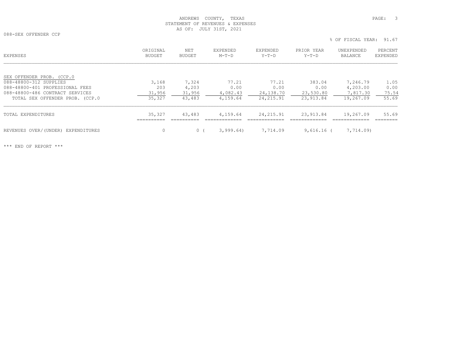088-SEX OFFENDER CCP

 % OF FISCAL YEAR: 91.67ORIGINAL NET EXPENDED EXPENDED PRIOR YEAR UNEXPENDED PERCENT EXPENSES BUDGET BUDGET M-T-D Y-T-D Y-T-D BALANCE EXPENDEDSEX OFFENDER PROB. (CCP.0 088-48800-312 SUPPLIES 3,168 7,324 77.21 77.21 383.04 7,246.79 1.05 088-48800-401 PROFESSIONAL FEES 203 4,203 0.00 0.00 0.00 4,203.00 0.00 088-48800-486 CONTRACT SERVICES  $\frac{31,956}{35,327}$   $\frac{31,956}{43,483}$   $\frac{4,082.43}{4,159.64}$   $\frac{24,138.70}{24,215.91}$   $\frac{23,530.80}{23,913.84}$   $\frac{7,817.30}{19,267.09}$   $\frac{75.54}{55.69}$  TOTAL SEX OFFENDER PROB. (CCP.0 35,327 43,483 4,159.64 24,215.91 23,913.84 19,267.09 55.69 TOTAL EXPENDITURES 35,327 43,483 4,159.64 24,215.91 23,913.84 19,267.09 55.69

 ========== ========== ============= ============= ============= ============= ========REVENUES OVER/(UNDER) EXPENDITURES 0 0 ( 3,999.64) 7,714.09 9,616.16 ( 7,714.09)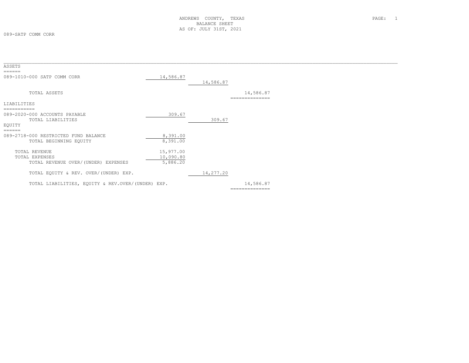| ASSETS                                            |           |           |                            |  |
|---------------------------------------------------|-----------|-----------|----------------------------|--|
|                                                   |           |           |                            |  |
| 089-1010-000 SATP COMM CORR                       | 14,586.87 | 14,586.87 |                            |  |
| TOTAL ASSETS                                      |           |           | 14,586.87<br>------------- |  |
| LIABILITIES                                       |           |           |                            |  |
|                                                   |           |           |                            |  |
| 089-2020-000 ACCOUNTS PAYABLE                     | 309.67    |           |                            |  |
| TOTAL LIABILITIES                                 |           | 309.67    |                            |  |
| EOUITY                                            |           |           |                            |  |
| ======                                            |           |           |                            |  |
| 089-2718-000 RESTRICTED FUND BALANCE              | 8,391.00  |           |                            |  |
| TOTAL BEGINNING EQUITY                            | 8,391.00  |           |                            |  |
| TOTAL REVENUE                                     | 15,977.00 |           |                            |  |
| TOTAL EXPENSES                                    | 10,090.80 |           |                            |  |
| TOTAL REVENUE OVER/(UNDER) EXPENSES               | 5,886.20  |           |                            |  |
| TOTAL EQUITY & REV. OVER/(UNDER) EXP.             |           | 14,277.20 |                            |  |
| TOTAL LIABILITIES, EQUITY & REV.OVER/(UNDER) EXP. |           |           | 14,586.87                  |  |
|                                                   |           |           | --------------             |  |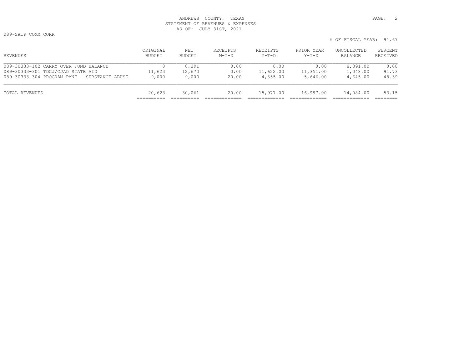089-SATP COMM CORR

|          | ORIGINAL | NET    | סיחס דיםי <i>ו</i><br>ى ئاتلىك ساب | <b>RECEIPTS</b> | YEAR<br><b>PRTOR</b> | <b>IINCOLLECTRD</b><br>◡◡шш◡⊥ш◡ | PERCENT |
|----------|----------|--------|------------------------------------|-----------------|----------------------|---------------------------------|---------|
| REVENUES | BUDGET   | BUDGE? | $M-T-D$                            | $Y - T - D$     | $Y-T-D$              | BALANCF                         |         |
|          |          |        |                                    |                 |                      |                                 |         |

| REVENUES                                     | BUDGET | BUDGET | $M-T-D$ | $Y-T-D$   | $Y-T-D$   | BALANCE   | RECEIVED |
|----------------------------------------------|--------|--------|---------|-----------|-----------|-----------|----------|
| 089-30333-102 CARRY OVER FUND BALANCE        |        | 8,391  | 0.00    | 0.00      | 0.00      | 8,391.00  | 0.00     |
| 089-30333-301 TDCJ/CJAD STATE AID            | 11,623 | 12,670 | 0.00    | 11,622.00 | 11,351.00 | 1,048.00  | 91.73    |
| 089-30333-304 PROGRAM PMNT - SUBSTANCE ABUSE | 9,000  | 9,000  | 20.00   | 4,355.00  | 5,646.00  | 4,645.00  | 48.39    |
| TOTAL REVENUES                               | 20,623 | 30,061 | 20.00   | 15,977.00 | 16,997.00 | 14,084.00 | 53.15    |
|                                              |        |        |         |           |           |           |          |

% OF FISCAL YEAR: 91.67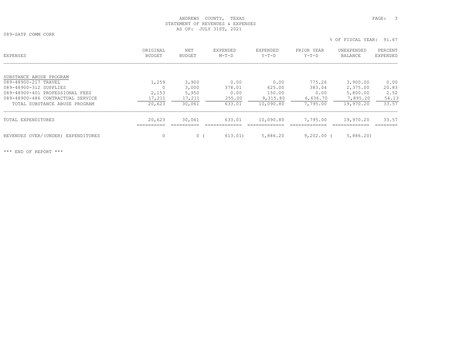089-SATP COMM CORR

|                                       |                           |                      |                     |                     |                       | % OF FISCAL YEAR:            | 91.67                      |
|---------------------------------------|---------------------------|----------------------|---------------------|---------------------|-----------------------|------------------------------|----------------------------|
| EXPENSES                              | ORIGINAL<br><b>BUDGET</b> | NET<br><b>BUDGET</b> | EXPENDED<br>$M-T-D$ | EXPENDED<br>$Y-T-D$ | PRIOR YEAR<br>$Y-T-D$ | UNEXPENDED<br><b>BALANCE</b> | PERCENT<br><b>EXPENDED</b> |
| SUBSTANCE ABUSE PROGRAM               |                           |                      |                     |                     |                       |                              |                            |
| 089-48900-217 TRAVEL                  | 1,259                     | 3,900                | 0.00                | 0.00                | 775.26                | 3,900.00                     | 0.00                       |
| 089-48900-312 SUPPLIES                |                           | 3,000                | 378.01              | 625.00              | 383.04                | 2,375.00                     | 20.83                      |
| 089-48900-401 PROFESSIONAL FEES       | 2,153                     | 5,950                | 0.00                | 150.00              | 0.00                  | 5,800.00                     | 2.52                       |
| 089-48900-486 CONTRACTUAL SERVICE     | 17,211                    | 17,211               | 255.00              | 9,315.80            | 6,636.70              | 7,895.20                     | 54.13                      |
| TOTAL SUBSTANCE ABUSE PROGRAM         | 20,623                    | 30,061               | 633.01              | 10,090.80           | 7,795.00              | 19,970.20                    | 33.57                      |
| TOTAL EXPENDITURES                    | 20,623                    | 30,061               | 633.01              | 10,090.80           | 7,795.00              | 19,970.20                    | 33.57                      |
| REVENUES OVER/(UNDER)<br>EXPENDITURES | 0                         | $\circ$              | 613.01)             | 5,886.20            | 9,202.00              | 5,886,20                     |                            |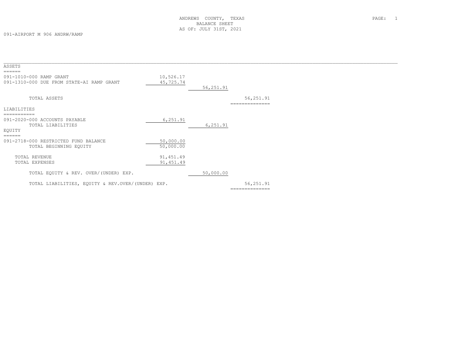091-AIRPORT M 906 ANDRW/RAMP

| ASSETS<br>======                                                     |                        |           |                             |  |
|----------------------------------------------------------------------|------------------------|-----------|-----------------------------|--|
| 091-1010-000 RAMP GRANT<br>091-1310-000 DUE FROM STATE-AI RAMP GRANT | 10,526.17<br>45,725.74 | 56,251.91 |                             |  |
| TOTAL ASSETS                                                         |                        |           | 56,251.91<br>============== |  |
| LIABILITIES                                                          |                        |           |                             |  |
| ===========                                                          |                        |           |                             |  |
| 091-2020-000 ACCOUNTS PAYABLE                                        | 6,251.91               |           |                             |  |
| TOTAL LIABILITIES                                                    |                        | 6, 251.91 |                             |  |
| EQUITY                                                               |                        |           |                             |  |
| $=$ $=$ $=$ $=$ $=$                                                  |                        |           |                             |  |
| 091-2718-000 RESTRICTED FUND BALANCE                                 | 50,000.00              |           |                             |  |
| TOTAL BEGINNING EQUITY                                               | 50,000.00              |           |                             |  |
|                                                                      |                        |           |                             |  |
| TOTAL REVENUE                                                        | 91, 451.49             |           |                             |  |
| TOTAL EXPENSES                                                       | 91, 451.49             |           |                             |  |
|                                                                      |                        |           |                             |  |
| TOTAL EQUITY & REV. OVER/(UNDER) EXP.                                |                        | 50,000.00 |                             |  |
| TOTAL LIABILITIES, EQUITY & REV.OVER/(UNDER) EXP.                    |                        |           | 56,251.91                   |  |
|                                                                      |                        |           | --------------              |  |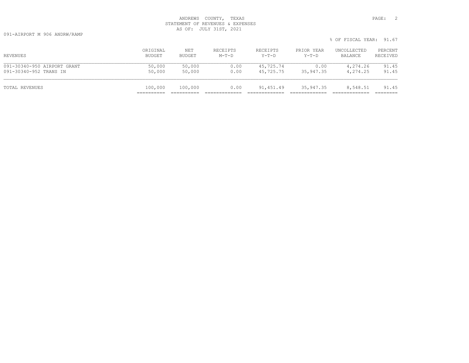|                             |          |         |          |           |            | $\sim$ Of fiderilition. Ji.V. |          |
|-----------------------------|----------|---------|----------|-----------|------------|-------------------------------|----------|
| REVENUES                    | ORIGINAL | NET     | RECEIPTS | RECEIPTS  | PRIOR YEAR | UNCOLLECTED                   | PERCENT  |
|                             | BUDGET   | BUDGET  | $M-T-D$  | Y-T-D     | Y-T-D      | BALANCE                       | RECEIVED |
| 091-30340-950 AIRPORT GRANT | 50,000   | 50,000  | 0.00     | 45,725.74 | 0.00       | 4,274.26                      | 91.45    |
| 091-30340-952 TRANS IN      | 50,000   | 50,000  | 0.00     | 45,725.75 | 35,947.35  | 4,274.25                      | 91.45    |
| TOTAL REVENUES              | 100,000  | 100,000 | 0.00     | 91,451.49 | 35,947.35  | 8,548.51                      | 91.45    |

% OF FISCAL YEAR: 91.67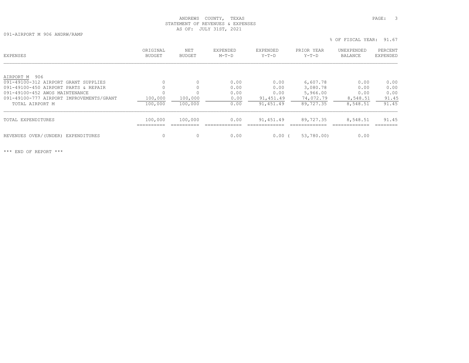% OF FISCAL YEAR: 91.67

091-AIRPORT M 906 ANDRW/RAMP

| EXPENSES                                 | ORIGINAL<br><b>BUDGET</b> | NET<br>BUDGET | <b>EXPENDED</b><br>$M-T-D$ | EXPENDED<br>$Y-T-D$ | PRIOR YEAR<br>$Y-T-D$ | UNEXPENDED<br><b>BALANCE</b> | PERCENT<br><b>EXPENDED</b> |
|------------------------------------------|---------------------------|---------------|----------------------------|---------------------|-----------------------|------------------------------|----------------------------|
| AIRPORT M 906                            |                           |               |                            |                     |                       |                              |                            |
| 091-49100-312 AIRPORT GRANT SUPPLIES     | $\Omega$                  | $\Omega$      | 0.00                       | 0.00                | 6,607.78              | 0.00                         | 0.00                       |
| 091-49100-450 AIRPORT PARTS & REPAIR     | $\Omega$                  |               | 0.00                       | 0.00                | 3,080.78              | 0.00                         | 0.00                       |
| 091-49100-452 AWOS MAINTENANCE           | 0                         |               | 0.00                       | 0.00                | 5,966.00              | 0.00                         | 0.00                       |
| 091-49100-777 AIRPORT IMPROVEMENTS/GRANT | 100,000                   | 100,000       | 0.00                       | 91,451.49           | 74,072.79             | 8,548.51                     | 91.45                      |
| TOTAL AIRPORT M                          | 100,000                   | 100,000       | 0.00                       | 91,451.49           | 89,727.35             | 8,548.51                     | 91.45                      |
| TOTAL EXPENDITURES                       | 100,000                   | 100,000       | 0.00                       | 91,451.49           | 89,727.35             | 8,548.51                     | 91.45                      |
| REVENUES OVER/(UNDER) EXPENDITURES       | 0                         | $\Omega$      | 0.00                       | 0.00 <sub>1</sub>   | 53,780.00)            | 0.00                         |                            |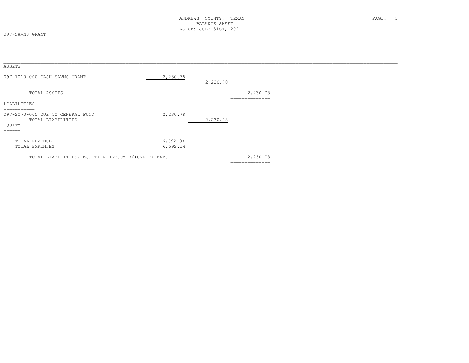097-SAVNS GRANT

| ASSETS<br>$=$ $=$ $=$ $=$ $=$                                                                         |                      |          |                            |  |
|-------------------------------------------------------------------------------------------------------|----------------------|----------|----------------------------|--|
| 097-1010-000 CASH SAVNS GRANT                                                                         | 2,230.78             | 2,230.78 |                            |  |
| TOTAL ASSETS                                                                                          |                      |          | 2,230.78<br>-------------- |  |
| LIABILITIES                                                                                           |                      |          |                            |  |
| ===========<br>097-2070-005 DUE TO GENERAL FUND<br>TOTAL LIABILITIES<br>EQUITY<br>$=$ $=$ $=$ $=$ $=$ | 2,230.78             | 2,230.78 |                            |  |
| TOTAL REVENUE<br>TOTAL EXPENSES                                                                       | 6,692.34<br>6,692.34 |          |                            |  |
| TOTAL LIABILITIES, EQUITY & REV.OVER/(UNDER) EXP.                                                     |                      |          | 2,230.78<br>============== |  |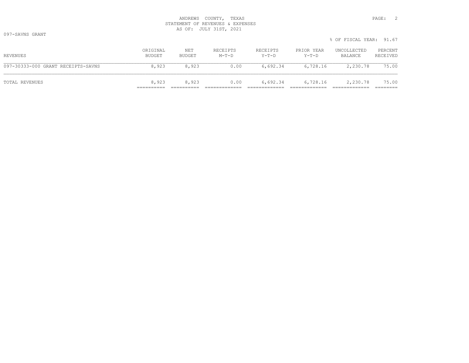097-SAVNS GRANT

|                                    |                    |               |                     |                   |                     | % OF FISCAL YEAR: 91.67 |                     |
|------------------------------------|--------------------|---------------|---------------------|-------------------|---------------------|-------------------------|---------------------|
| REVENUES                           | ORIGINAL<br>BUDGET | NET<br>BUDGET | RECEIPTS<br>$M-T-D$ | RECEIPTS<br>Y-T-D | PRIOR YEAR<br>Y-T-D | UNCOLLECTED<br>BALANCE  | PERCENT<br>RECEIVED |
| 097-30333-000 GRANT RECEIPTS-SAVNS | 8,923              | 8,923         | 0.00                | 6,692.34          | 6,728.16            | 2,230.78                | 75.00               |
| TOTAL REVENUES                     | 8,923              | 8,923         | 0.00                | 6,692.34          | 6,728.16            | 2,230.78                | 75.00               |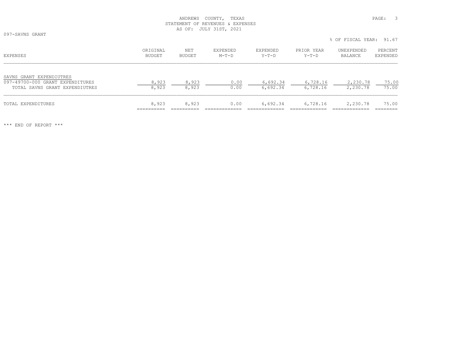097-SAVNS GRANT

|                                                                                                |                    |                |                            |                      |                      | 0 UL LIUUILLIILLIIN. JI.U |                     |
|------------------------------------------------------------------------------------------------|--------------------|----------------|----------------------------|----------------------|----------------------|---------------------------|---------------------|
| EXPENSES                                                                                       | ORIGINAL<br>BUDGET | NET<br>BUDGET  | <b>EXPENDED</b><br>$M-T-D$ | EXPENDED<br>Y-T-D    | PRIOR YEAR<br>Y-T-D  | UNEXPENDED<br>BALANCE     | PERCENT<br>EXPENDED |
| SAVNS GRANT EXPENDIUTRES<br>097-49700-000 GRANT EXPENDITURES<br>TOTAL SAVNS GRANT EXPENDIUTRES | 8,923<br>8,923     | 8,923<br>8,923 | 0.00<br>0.00               | 6,692.34<br>6,692.34 | 6,728.16<br>6,728.16 | 2,230.78<br>2,230.78      | 75.00<br>75.00      |
| TOTAL EXPENDITURES                                                                             | 8,923              | 8,923          | 0.00                       | 6,692.34             | 6,728.16             | 2,230.78                  | 75.00               |

\*\*\* END OF REPORT \*\*\*

% OF FISCAL YEAR: 91.67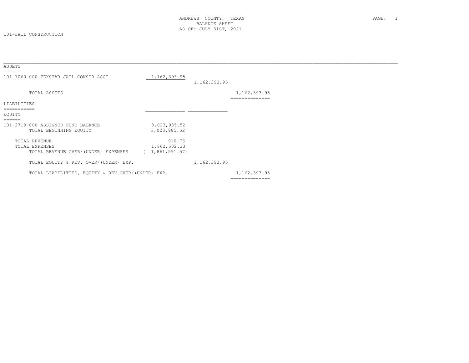#### 101-JAIL CONSTRUCTION

| ASSETS                                                                        |                                            |                |                                |  |
|-------------------------------------------------------------------------------|--------------------------------------------|----------------|--------------------------------|--|
| ======<br>101-1060-000 TEXSTAR JAIL CONSTR ACCT                               | 1, 162, 393.95                             | 1, 162, 393.95 |                                |  |
| TOTAL ASSETS                                                                  |                                            |                | 1,162,393.95<br>============   |  |
| LIABILITIES                                                                   |                                            |                |                                |  |
| EQUITY<br>======                                                              |                                            |                |                                |  |
| 101-2719-000 ASSIGNED FUND BALANCE<br>TOTAL BEGINNING EQUITY                  | 3,023,985.52<br>3,023,985.52               |                |                                |  |
| <b>TOTAL REVENUE</b><br>TOTAL EXPENSES<br>TOTAL REVENUE OVER/(UNDER) EXPENSES | 910.76<br>1,862,502.33<br>(1, 861, 591.57) |                |                                |  |
| TOTAL EQUITY & REV. OVER/(UNDER) EXP.                                         |                                            | 1, 162, 393.95 |                                |  |
| TOTAL LIABILITIES, EQUITY & REV.OVER/(UNDER) EXP.                             |                                            |                | 1,162,393.95<br>============== |  |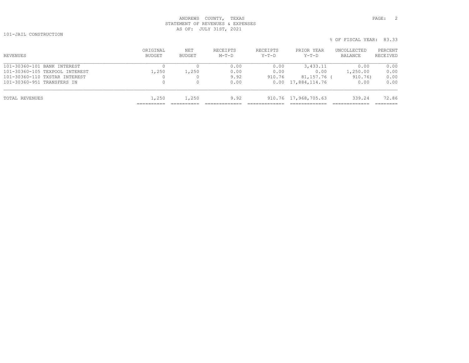101-JAIL CONSTRUCTION

| % OF FISCAL YEAR: 83.33 |  |
|-------------------------|--|
|                         |  |

| ORIGINAL<br>BUDGET | NET<br>BUDGET | RECEIPTS<br>$M-T-D$ | RECEIPTS<br>$Y-T-D$ | PRIOR YEAR<br>Y-T-D | UNCOLLECTED<br>BALANCE                             | PERCENT<br>RECEIVED |
|--------------------|---------------|---------------------|---------------------|---------------------|----------------------------------------------------|---------------------|
|                    |               | 0.00                | 0.00                | 3,433.11            | 0.00                                               | 0.00                |
| 1,250              | 1,250         | 0.00                | 0.00                | 0.00                | 1,250.00                                           | 0.00                |
| 0                  |               | 9.92                | 910.76              |                     | 910.76)                                            | 0.00                |
| $\mathbf{0}$       |               | 0.00                |                     |                     | 0.00                                               | 0.00                |
| 1,250              | 1,250         | 9.92                |                     |                     | 339.24                                             | 72.86               |
|                    |               |                     |                     |                     | $0.00 \quad 17,884,114.76$<br>910.76 17,968,705.63 | 81,157.76 (         |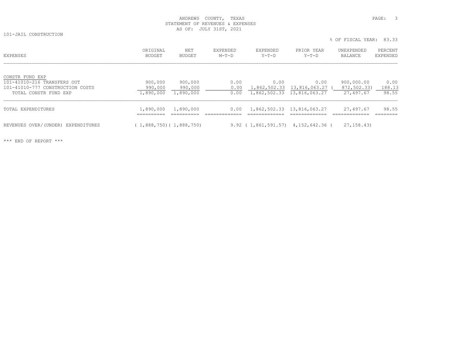101-JAIL CONSTRUCTION

% OF FISCAL YEAR: 83.33

| EXPENSES                                                                                                    | ORIGINAL<br>BUDGET              | NET<br>BUDGET                   | <b>EXPENDED</b><br>$M-T-D$ | EXPENDED<br>Y-T-D    | PRIOR YEAR<br>$Y-T-D$                                 | UNEXPENDED<br>BALANCE                  | PERCENT<br>EXPENDED     |
|-------------------------------------------------------------------------------------------------------------|---------------------------------|---------------------------------|----------------------------|----------------------|-------------------------------------------------------|----------------------------------------|-------------------------|
| CONSTR FUND EXP<br>101-41010-216 TRANSFERS OUT<br>101-41010-777 CONSTRUCTION COSTS<br>TOTAL CONSTR FUND EXP | 900,000<br>990,000<br>1,890,000 | 900,000<br>990,000<br>1,890,000 | 0.00<br>0.00<br>0.00       | 0.00<br>1,862,502.33 | 0.00<br>13,816,063.27 (<br>1,862,502.33 13,816,063.27 | 900,000.00<br>872,502.33)<br>27,497.67 | 0.00<br>188.13<br>98.55 |
| TOTAL EXPENDITURES                                                                                          | 1,890,000                       | 1,890,000                       | 0.00                       |                      | 1,862,502.33 13,816,063.27                            | 27,497.67                              | 98.55                   |
| REVENUES OVER/(UNDER) EXPENDITURES                                                                          | (1,888,750) (1,888,750)         |                                 |                            |                      | $9.92$ ( 1,861,591.57) 4,152,642.36 (                 | 27, 158, 43)                           |                         |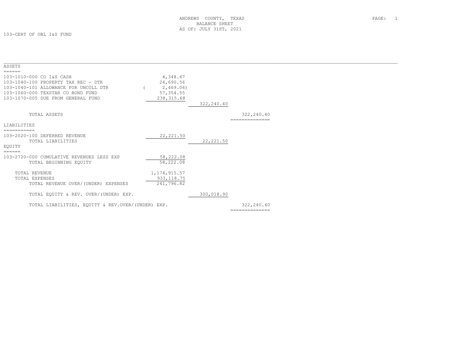103-CERT OF OBL I&S FUND

| ASSETS                                            |                |            |                |  |
|---------------------------------------------------|----------------|------------|----------------|--|
| ======                                            |                |            |                |  |
| 103-1010-000 CO I&S CASH                          | 4,348.67       |            |                |  |
| 103-1040-100 PROPERTY TAX REC - DTR               | 24,690.56      |            |                |  |
| 103-1040-101 ALLOWANCE FOR UNCOLL DTR             | 2,469.06)      |            |                |  |
| 103-1060-000 TEXSTAR CO BOND FUND                 | 57, 354.55     |            |                |  |
| 103-1070-005 DUE FROM GENERAL FUND                | 238, 315.68    |            |                |  |
|                                                   |                | 322,240.40 |                |  |
|                                                   |                |            |                |  |
| TOTAL ASSETS                                      |                |            | 322,240.40     |  |
|                                                   |                |            |                |  |
| LIABILITIES                                       |                |            |                |  |
| ===========                                       |                |            |                |  |
| 103-2020-100 DEFERRED REVENUE                     | 22, 221.50     |            |                |  |
| TOTAL LIABILITIES                                 |                | 22, 221.50 |                |  |
| EOUITY                                            |                |            |                |  |
| ======                                            |                |            |                |  |
| 103-2720-000 CUMULATIVE REVENUES LESS EXP         | 58,222.08      |            |                |  |
|                                                   | 58,222.08      |            |                |  |
| TOTAL BEGINNING EQUITY                            |                |            |                |  |
| TOTAL REVENUE                                     | 1, 174, 915.57 |            |                |  |
| TOTAL EXPENSES                                    | 933, 118.75    |            |                |  |
| TOTAL REVENUE OVER/(UNDER) EXPENSES               | 241,796.82     |            |                |  |
|                                                   |                |            |                |  |
| TOTAL EQUITY & REV. OVER/(UNDER) EXP.             |                | 300,018.90 |                |  |
|                                                   |                |            |                |  |
| TOTAL LIABILITIES, EQUITY & REV.OVER/(UNDER) EXP. |                |            | 322,240.40     |  |
|                                                   |                |            | -------------- |  |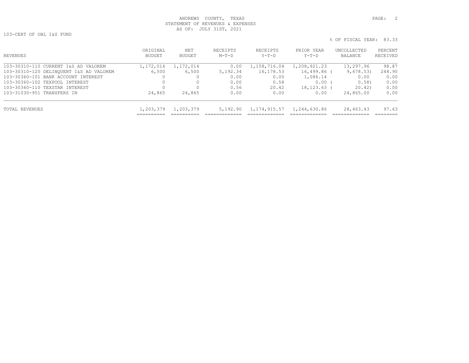103-CERT OF OBL I&S FUND

| % OF FISCAL YEAR: 83.33 |
|-------------------------|
|-------------------------|

| REVENUES                                | ORIGINAL<br><b>BUDGET</b> | NET<br>BUDGET | RECEIPTS<br>$M-T-D$ | <b>RECEIPTS</b><br>$Y-T-D$ | PRIOR YEAR<br>$Y-T-D$ | UNCOLLECTED<br>BALANCE | PERCENT<br>RECEIVED |
|-----------------------------------------|---------------------------|---------------|---------------------|----------------------------|-----------------------|------------------------|---------------------|
| 103-30310-110 CURRENT I&S AD VALOREM    | 1,172,014                 | 1,172,014     | 0.00                | 1,158,716.04               | 1,208,921.23          | 13,297.96              | 98.87               |
| 103-30310-120 DELINOUENT I&S AD VALOREM | 6,500                     | 6,500         | 5,192.34            | 16,178.53                  | 16,499.86 (           | 9,678.53)              | 248.90              |
| 103-30360-101 BANK ACCOUNT INTEREST     |                           |               | 0.00                | 0.00                       | 1,086.14              | 0.00                   | 0.00                |
| 103-30360-102 TEXPOOL INTEREST          |                           |               | 0.00                | 0.58                       | 0.00                  | 0.58                   | 0.00                |
| 103-30360-110 TEXSTAR INTEREST          |                           |               | 0.56                | 20.42                      | 18, 123, 63           | 20.42                  | 0.00                |
| 103-31030-951 TRANSFERS IN              | 24,865                    | 24,865        | 0.00                | 0.00                       | 0.00                  | 24,865.00              | 0.00                |
| TOTAL REVENUES                          | 1,203,379                 | 1,203,379     | 5,192.90            | 1,174,915.57               | 1,244,630.86          | 28,463.43              | 97.63               |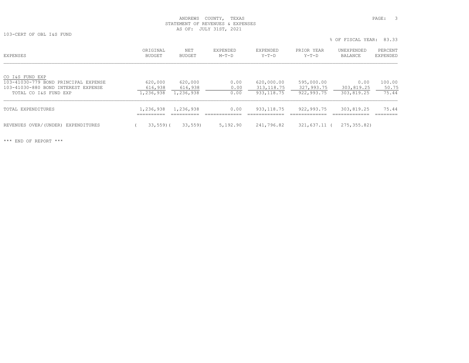103-CERT OF OBL I&S FUND

% OF FISCAL YEAR: 83.33

| EXPENSES                                                | ORIGINAL<br>BUDGET     | NET<br>BUDGET | EXPENDED<br>$M-T-D$ | <b>EXPENDED</b><br>$Y-T-D$ | PRIOR YEAR<br>$Y-T-D$ | UNEXPENDED<br>BALANCE | PERCENT<br>EXPENDED |
|---------------------------------------------------------|------------------------|---------------|---------------------|----------------------------|-----------------------|-----------------------|---------------------|
| CO I&S FUND EXP<br>103-41030-779 BOND PRINCIPAL EXPENSE | 620,000                | 620,000       | 0.00                | 620,000.00                 | 595,000.00            | 0.00                  | 100.00              |
| 103-41030-880 BOND INTEREST EXPENSE                     | 616,938                | 616,938       | 0.00                | 313, 118.75                | 327,993.75            | 303,819.25            | 50.75               |
| TOTAL CO I&S FUND EXP                                   | 1,236,938              | 1,236,938     | 0.00                | 933, 118.75                | 922,993.75            | 303,819.25            | 75.44               |
| TOTAL EXPENDITURES                                      | 1,236,938<br>_________ | 1,236,938     | 0.00                | 933, 118.75                | 922,993.75            | 303,819.25            | 75.44               |
| REVENUES OVER/(UNDER) EXPENDITURES                      | $33,559$ (             | 33,559        | 5,192.90            | 241,796.82                 | 321,637.11 (          | 275, 355.82           |                     |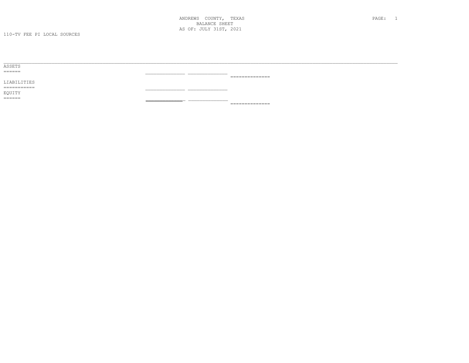| ASSETS      |                                     |
|-------------|-------------------------------------|
| ------      |                                     |
|             | ______________<br>.                 |
| LIABILITIES |                                     |
| =========== |                                     |
| EQUITY      |                                     |
| ------      |                                     |
|             | _______________<br>________________ |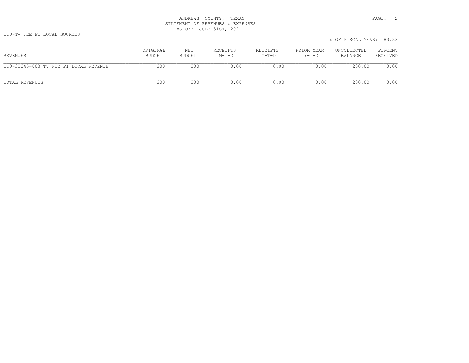|                                       |                    |               |                     |                     |                       | % OF FISCAL YEAR: 83.33 |                     |
|---------------------------------------|--------------------|---------------|---------------------|---------------------|-----------------------|-------------------------|---------------------|
| REVENUES                              | ORIGINAL<br>BUDGET | NET<br>BUDGET | RECEIPTS<br>$M-T-D$ | RECEIPTS<br>$Y-T-D$ | PRIOR YEAR<br>$Y-T-D$ | UNCOLLECTED<br>BALANCE  | PERCENT<br>RECEIVED |
| 110-30345-003 TV FEE PI LOCAL REVENUE | 200                | 200           | 0.00                | 0.00                | 0.00                  | 200.00                  | 0.00                |
| TOTAL REVENUES                        | 200                | 200           | 0.00                | 0.00                | 0.00                  | 200.00                  | 0.00                |

.33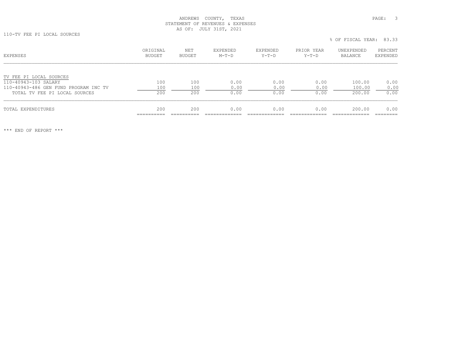110-TV FEE PI LOCAL SOURCES

% OF FISCAL YEAR: 83.33

| EXPENSES                              | ORIGINAL<br>BUDGET              | NET<br>BUDGET | <b>EXPENDED</b><br>$M-T-D$ | EXPENDED<br>Y-T-D | PRIOR YEAR<br>$Y-T-D$ | UNEXPENDED<br>BALANCE | PERCENT<br>EXPENDED |
|---------------------------------------|---------------------------------|---------------|----------------------------|-------------------|-----------------------|-----------------------|---------------------|
| TV FEE PI LOCAL SOURCES               |                                 |               |                            |                   |                       |                       |                     |
| 110-40943-103 SALARY                  | 100                             | 100           | 0.00                       | 0.00              | 0.00                  | 100.00                | 0.00                |
| 110-40943-486 GEN FUND PROGRAM INC TV | 100                             | 100           | 0.00                       | 0.00              | 0.00                  | 100.00                | 0.00                |
| TOTAL TV FEE PI LOCAL SOURCES         | 200                             | 200           | 0.00                       | 0.00              | 0.00                  | 200.00                | 0.00                |
| TOTAL EXPENDITURES                    | 200<br>__________<br>__________ | 200<br>_____  | 0.00                       | 0.00              | 0.00                  | 200.00                | 0.00<br>____        |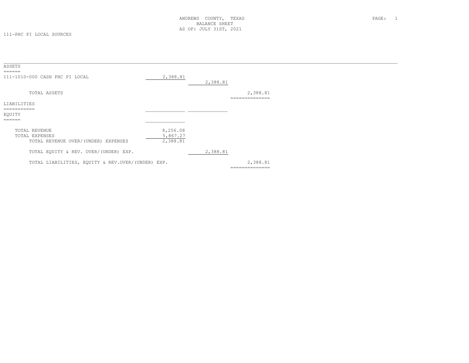| ASSETS<br>======                                                       |                                  |          |                            |  |
|------------------------------------------------------------------------|----------------------------------|----------|----------------------------|--|
| 111-1010-000 CASH PHC PI LOCAL                                         | 2,388.81                         | 2,388.81 |                            |  |
| TOTAL ASSETS                                                           |                                  |          | 2,388.81<br>============== |  |
| LIABILITIES<br>===========                                             |                                  |          |                            |  |
| EQUITY<br>======                                                       |                                  |          |                            |  |
| TOTAL REVENUE<br>TOTAL EXPENSES<br>TOTAL REVENUE OVER/(UNDER) EXPENSES | 8,256.08<br>5,867.27<br>2,388.81 |          |                            |  |
| TOTAL EQUITY & REV. OVER/(UNDER) EXP.                                  |                                  | 2,388.81 |                            |  |
| TOTAL LIABILITIES, EQUITY & REV.OVER/(UNDER) EXP.                      |                                  |          | 2,388.81<br>-------------- |  |
|                                                                        |                                  |          |                            |  |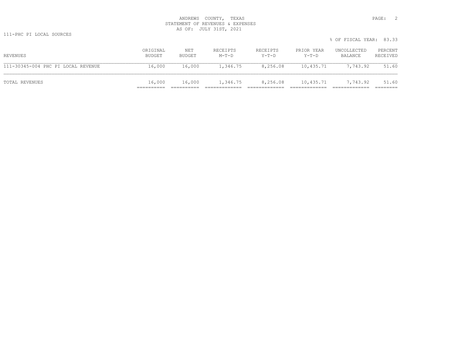|                                    |                    |               |                     |                     |                     | % OF FISCAL YEAR: 83.33 |                     |
|------------------------------------|--------------------|---------------|---------------------|---------------------|---------------------|-------------------------|---------------------|
| REVENUES                           | ORIGINAL<br>BUDGET | NET<br>BUDGET | RECEIPTS<br>$M-T-D$ | RECEIPTS<br>$Y-T-D$ | PRIOR YEAR<br>Y-T-D | UNCOLLECTED<br>BALANCE  | PERCENT<br>RECEIVED |
| 111-30345-004 PHC PI LOCAL REVENUE | 16,000             | 16,000        | 1,346.75            | 8,256.08            | 10,435.71           | 7,743.92                | 51.60               |
| TOTAL REVENUES                     | 16,000             | 16,000        | 1,346.75            | 8,256.08            | 10,435.71           | 7,743.92                | 51.60               |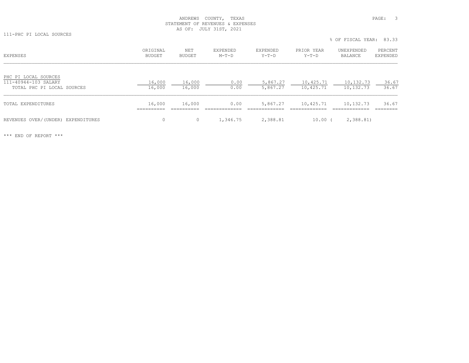111-PHC PI LOCAL SOURCES

% OF FISCAL YEAR: 83.33

| <b>EXPENSES</b>                                                            | ORIGINAL<br>BUDGET | NET<br>BUDGET    | EXPENDED<br>$M-T-D$ | EXPENDED<br>$Y-T-D$  | PRIOR YEAR<br>$Y-T-D$  | UNEXPENDED<br>BALANCE  | PERCENT<br>EXPENDED |
|----------------------------------------------------------------------------|--------------------|------------------|---------------------|----------------------|------------------------|------------------------|---------------------|
| PHC PI LOCAL SOURCES<br>111-40944-103 SALARY<br>TOTAL PHC PI LOCAL SOURCES | 16,000<br>16,000   | 16,000<br>16,000 | 0.00<br>0.00        | 5,867.27<br>5,867.27 | 10,425.71<br>10,425.71 | 10,132.73<br>10,132.73 | 36.67<br>36.67      |
| TOTAL EXPENDITURES                                                         | 16,000<br>-------- | 16,000           | 0.00                | 5,867.27             | 10,425.71              | 10,132.73              | 36.67               |
| REVENUES OVER/(UNDER) EXPENDITURES                                         | 0                  |                  | 1,346.75            | 2,388.81             | 10.00                  | 2,388.81               |                     |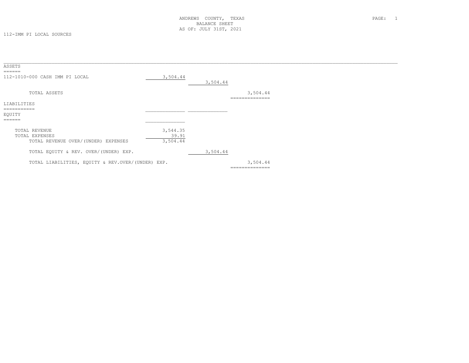| ASSETS<br>$=$ $=$ $=$ $=$ $=$ $=$                                      |                               |          |                            |  |
|------------------------------------------------------------------------|-------------------------------|----------|----------------------------|--|
| 112-1010-000 CASH IMM PI LOCAL                                         | 3,504.44                      | 3,504.44 |                            |  |
| TOTAL ASSETS                                                           |                               |          | 3,504.44<br>-------------- |  |
| LIABILITIES                                                            |                               |          |                            |  |
| ===========<br>EQUITY<br>======                                        |                               |          |                            |  |
| TOTAL REVENUE<br>TOTAL EXPENSES<br>TOTAL REVENUE OVER/(UNDER) EXPENSES | 3,544.35<br>39.91<br>3,504.44 |          |                            |  |
| TOTAL EQUITY & REV. OVER/(UNDER) EXP.                                  |                               | 3,504.44 |                            |  |
| TOTAL LIABILITIES, EQUITY & REV.OVER/(UNDER) EXP.                      |                               |          | 3,504.44<br>============== |  |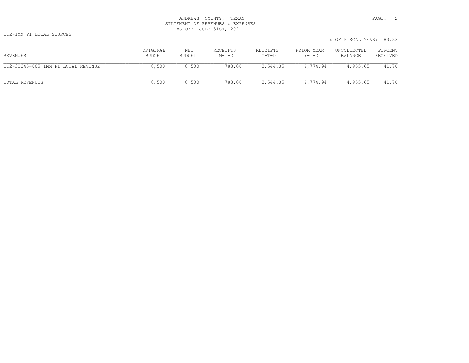112-IMM PI LOCAL SOURCES

|                                    |                    |               |                     |                   |                     | % OF FISCAL YEAR: 83.33 |                     |
|------------------------------------|--------------------|---------------|---------------------|-------------------|---------------------|-------------------------|---------------------|
| REVENUES                           | ORIGINAL<br>BUDGET | NET<br>BUDGET | RECEIPTS<br>$M-T-D$ | RECEIPTS<br>Y-T-D | PRIOR YEAR<br>Y-T-D | UNCOLLECTED<br>BALANCE  | PERCENT<br>RECEIVED |
| 112-30345-005 IMM PI LOCAL REVENUE | 8,500              | 8,500         | 788.00              | 3,544.35          | 4,774.94            | 4,955.65                | 41.70               |
| TOTAL REVENUES                     | 8,500              | 8,500         | 788.00              |                   | 3,544.35 4,774.94   | 4,955.65                | 41.70               |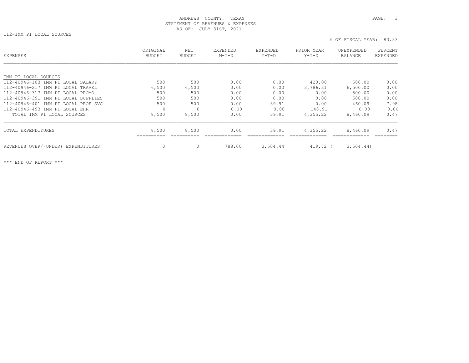112-IMM PI LOCAL SOURCES

| <b>EXPENSES</b>                       | ORIGINAL<br>BUDGET | <b>NET</b><br>BUDGET | <b>EXPENDED</b><br>$M-T-D$ | <b>EXPENDED</b><br>$Y-T-D$ | PRIOR YEAR<br>$Y-T-D$ | UNEXPENDED<br>BALANCE | PERCENT<br>EXPENDED |
|---------------------------------------|--------------------|----------------------|----------------------------|----------------------------|-----------------------|-----------------------|---------------------|
| IMM PI LOCAL SOURCES                  |                    |                      |                            |                            |                       |                       |                     |
| 112-40946-103 IMM PI LOCAL SALARY     | 500                | 500                  | 0.00                       | 0.00                       | 420.00                | 500.00                | 0.00                |
| 112-40946-217 IMM PI LOCAL TRAVEL     | 6,500              | 6,500                | 0.00                       | 0.00                       | 3,786.31              | 6,500.00              | 0.00                |
| 112-40946-317 IMM PI LOCAL PROMO      | 500                | 500                  | 0.00                       | 0.00                       | 0.00                  | 500.00                | 0.00                |
| 112-40946-391 IMM PI LOCAL SUPPLIES   | 500                | 500                  | 0.00                       | 0.00                       | 0.00                  | 500.00                | 0.00                |
| 112-40946-401 IMM PI LOCAL PROF SVC   | 500                | 500                  | 0.00                       | 39.91                      | 0.00                  | 460.09                | 7.98                |
| 112-40946-493 IMM PI LOCAL EHR        |                    |                      | 0.00                       | 0.00                       | 148.91                | 0.00                  | 0.00                |
| TOTAL IMM PI LOCAL SOURCES            | 8,500              | 8,500                | 0.00                       | 39.91                      | 4,355.22              | 8,460.09              | 0.47                |
| TOTAL EXPENDITURES                    | 8,500              | 8,500                | 0.00                       | 39.91                      | 4,355.22              | 8,460.09              | 0.47                |
| REVENUES OVER/(UNDER)<br>EXPENDITURES | 0                  | 0                    | 788.00                     | 3,504.44                   | 419.72 (              | 3,504.44)             |                     |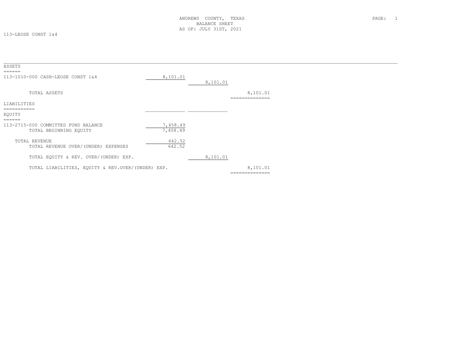113-LEOSE CONST 1&4

| ASSETS<br>======                                              |                      |          |                       |  |
|---------------------------------------------------------------|----------------------|----------|-----------------------|--|
| 113-1010-000 CASH-LEOSE CONST 1&4                             | 8,101.01             | 8,101.01 |                       |  |
| TOTAL ASSETS                                                  |                      |          | 8,101.01<br>_________ |  |
| LIABILITIES                                                   |                      |          |                       |  |
| ===========<br>EQUITY<br>======                               |                      |          |                       |  |
| 113-2715-000 COMMITTED FUND BALANCE<br>TOTAL BEGINNING EQUITY | 7,458.49<br>7,458.49 |          |                       |  |
| TOTAL REVENUE<br>TOTAL REVENUE OVER/(UNDER) EXPENSES          | 642.52<br>642.52     |          |                       |  |
| TOTAL EQUITY & REV. OVER/(UNDER) EXP.                         |                      | 8,101.01 |                       |  |
| TOTAL LIABILITIES, EQUITY & REV.OVER/(UNDER) EXP.             |                      |          | 8,101.01              |  |
|                                                               |                      |          | ==============        |  |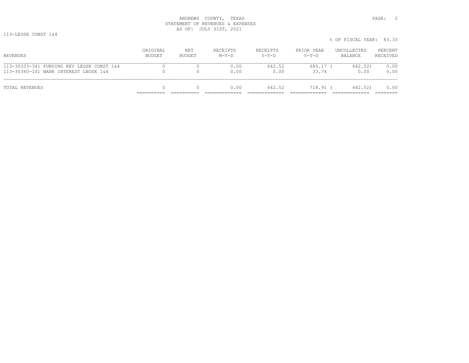113-LEOSE CONST 1&4

|                                                                                    |                    |               |                     |                     |                       | % OF FISCAL YEAR: 83.33 |                     |
|------------------------------------------------------------------------------------|--------------------|---------------|---------------------|---------------------|-----------------------|-------------------------|---------------------|
| REVENUES                                                                           | ORIGINAL<br>BUDGET | NET<br>BUDGET | RECEIPTS<br>$M-T-D$ | RECEIPTS<br>$Y-T-D$ | PRIOR YEAR<br>$Y-T-D$ | UNCOLLECTED<br>BALANCE  | PERCENT<br>RECEIVED |
| 113-30333-341 FUNDING REV LEOSE CONST 1&4<br>113-30360-101 BANK INTEREST LEOSE 1&4 |                    |               | 0.00<br>0.00        | 642.52<br>0.00      | $685.17$ (<br>33.74   | 642.52)<br>0.00         | 0.00<br>0.00        |
| TOTAL REVENUES                                                                     |                    |               | 0.00                | 642.52              | $718.91$ (            | 642.52)                 | 0.00                |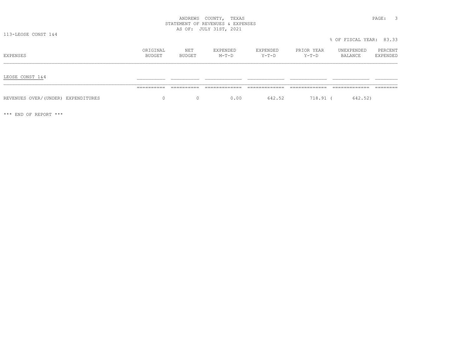| CΕ<br>ヘリード<br>-<br>٠<br>٠ |  |
|---------------------------|--|
|---------------------------|--|

113-LEOSE CONST 1&4

 % OF FISCAL YEAR: 83.33ORIGINAL NET EXPENDED EXPENDED PRIOR YEAR UNEXPENDED PERCENT<br>BUDGET BUDGET M-T-D Y-T-D Y-T-D BALANCE EXPENDED  $\frac{1 \text{EOSE CONST 1&4}}{1 \text{EOSE CONST 1&4}}$  , and the set of the set of the set of the set of the set of the set of the set of the set of the set of the set of the set of the set of the set of the set of the set of the set of ========== ========== ============= ============= ============= ============= ========REVENUES OVER/(UNDER) EXPENDITURES 00 0 0 0 0.00 642.52 718.91 (642.52)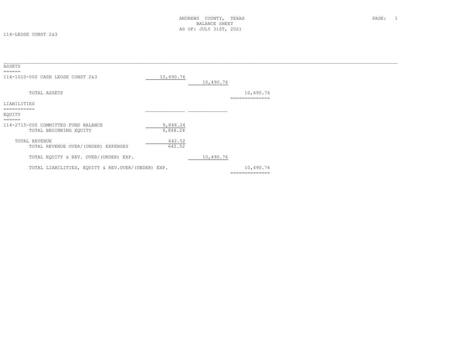114-LEOSE CONST 2&3

| ASSETS                                                        |                      |           |                             |  |
|---------------------------------------------------------------|----------------------|-----------|-----------------------------|--|
| ======<br>114-1010-000 CASH LEOSE CONST 2&3                   | 10,490.76            | 10,490.76 |                             |  |
| TOTAL ASSETS                                                  |                      |           | 10,490.76<br>-------------- |  |
| LIABILITIES                                                   |                      |           |                             |  |
| EQUITY<br>======                                              |                      |           |                             |  |
| 114-2715-000 COMMITTED FUND BALANCE<br>TOTAL BEGINNING EQUITY | 9,848.24<br>9,848.24 |           |                             |  |
| TOTAL REVENUE<br>TOTAL REVENUE OVER/(UNDER) EXPENSES          | 642.52<br>642.52     |           |                             |  |
| TOTAL EQUITY & REV. OVER/(UNDER) EXP.                         |                      | 10,490.76 |                             |  |
| TOTAL LIABILITIES, EQUITY & REV.OVER/(UNDER) EXP.             |                      |           | 10,490.76<br>-------------- |  |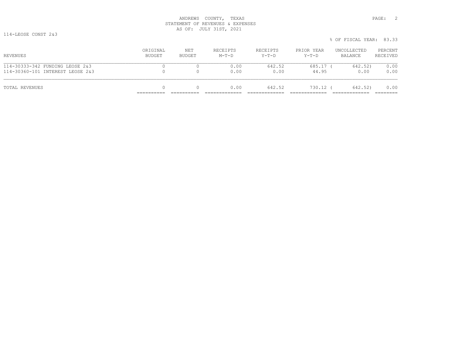114-LEOSE CONST 2&3

|                                                                     |                    |               |                     |                     |                       | % OF FISCAL YEAR: 83.33 |                     |
|---------------------------------------------------------------------|--------------------|---------------|---------------------|---------------------|-----------------------|-------------------------|---------------------|
| REVENUES                                                            | ORIGINAL<br>BUDGET | NET<br>BUDGET | RECEIPTS<br>$M-T-D$ | RECEIPTS<br>$Y-T-D$ | PRIOR YEAR<br>$Y-T-D$ | UNCOLLECTED<br>BALANCE  | PERCENT<br>RECEIVED |
| 114-30333-342 FUNDING LEOSE 2&3<br>114-30360-101 INTEREST LEOSE 2&3 |                    |               | 0.00<br>0.00        | 642.52<br>0.00      | $685.17$ (<br>44.95   | 642.52)<br>0.00         | 0.00<br>0.00        |
| TOTAL REVENUES                                                      | 0                  |               | 0.00                | 642.52              | 730.12 (              | 642.52)                 | 0.00                |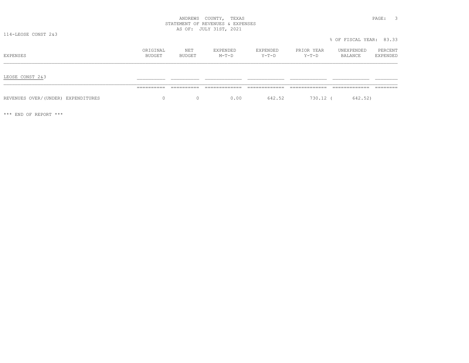| YTNUOI<br>.<br>ANDREWS                                                                                                                                                                                      | TEXAS<br>PAGE.  |  |
|-------------------------------------------------------------------------------------------------------------------------------------------------------------------------------------------------------------|-----------------|--|
| ,,,,,,,,,,,,<br>MENT:<br>.                                                                                                                                                                                  | <b>RXPENSES</b> |  |
| $\sim$ $-$<br>----<br>$\sim$ $\sim$<br>$\sim$<br>いせ<br>∸ב∟טע<br>سدمد<br>$\mathbf{r}$ and $\mathbf{r}$ and $\mathbf{r}$ and $\mathbf{r}$ and $\mathbf{r}$ and $\mathbf{r}$ and $\mathbf{r}$ and $\mathbf{r}$ | 2021            |  |

114-LEOSE CONST 2&3

| EXPENSES                           | ORIGINAL<br>BUDGET | NET<br>BUDGET | EXPENDED<br>$M-T-D$ | EXPENDED<br>Y-T-D | PRIOR YEAR<br>Y-T-D | UNEXPENDED<br>BALANCE | PERCENT<br>EXPENDED |
|------------------------------------|--------------------|---------------|---------------------|-------------------|---------------------|-----------------------|---------------------|
| LEOSE CONST 2&3                    |                    |               |                     |                   |                     |                       |                     |
|                                    | ==========         | ==========    | -------------       |                   |                     |                       |                     |
| REVENUES OVER/(UNDER) EXPENDITURES | $\mathbf{0}$       | $\Omega$      | 0.00                | 642.52            | 730.12 (            | 642.52)               |                     |

\*\*\* END OF REPORT \*\*\*

% OF FISCAL YEAR: 83.33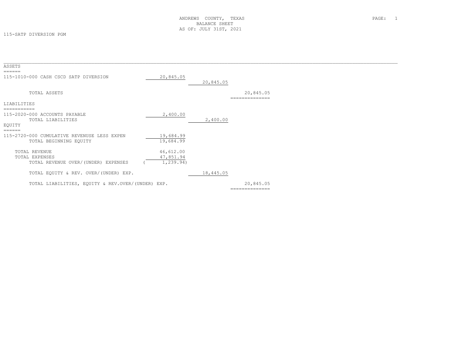| ASSETS                                            |            |           |                |  |
|---------------------------------------------------|------------|-----------|----------------|--|
| ======                                            |            |           |                |  |
| 115-1010-000 CASH CSCD SATP DIVERSION             | 20,845.05  |           |                |  |
|                                                   |            | 20,845.05 |                |  |
| TOTAL ASSETS                                      |            |           | 20,845.05      |  |
|                                                   |            |           | ============== |  |
| LIABILITIES                                       |            |           |                |  |
|                                                   |            |           |                |  |
| 115-2020-000 ACCOUNTS PAYABLE                     | 2,400.00   |           |                |  |
| TOTAL LIABILITIES                                 |            | 2,400.00  |                |  |
| EQUITY                                            |            |           |                |  |
| $=$ $=$ $=$ $=$ $=$ $=$                           |            |           |                |  |
| 115-2720-000 CUMULATIVE REVENUSE LESS EXPEN       | 19,684.99  |           |                |  |
| TOTAL BEGINNING EQUITY                            | 19,684.99  |           |                |  |
|                                                   |            |           |                |  |
| TOTAL REVENUE                                     | 46,612.00  |           |                |  |
| TOTAL EXPENSES                                    | 47,851.94  |           |                |  |
| TOTAL REVENUE OVER/(UNDER) EXPENSES               | 1, 239.94) |           |                |  |
| TOTAL EQUITY & REV. OVER/(UNDER) EXP.             |            | 18,445.05 |                |  |
|                                                   |            |           |                |  |
| TOTAL LIABILITIES, EQUITY & REV.OVER/(UNDER) EXP. |            |           | 20,845.05      |  |
|                                                   |            |           | ============== |  |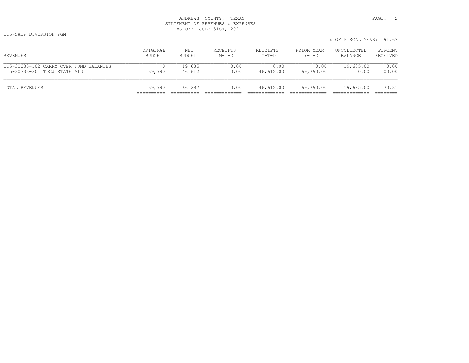115-SATP DIVERSION PGM

|                                        |          |        |          |           |            | % OF FISCAL YEAR: 91.67 |          |
|----------------------------------------|----------|--------|----------|-----------|------------|-------------------------|----------|
| REVENUES                               | ORIGINAL | NET    | RECEIPTS | RECEIPTS  | PRIOR YEAR | UNCOLLECTED             | PERCENT  |
|                                        | BUDGET   | BUDGET | $M-T-D$  | Y-T-D     | Y-T-D      | BALANCE                 | RECEIVED |
| 115-30333-102 CARRY OVER FUND BALANCES | 69,790   | 19,685 | 0.00     | 0.00      | 0.00       | 19,685.00               | 0.00     |
| 115-30333-301 TDCJ STATE AID           |          | 46,612 | 0.00     | 46,612.00 | 69,790.00  | 0.00                    | 100.00   |
| TOTAL REVENUES                         | 69,790   | 66,297 | 0.00     | 46,612.00 | 69,790.00  | 19,685.00               | 70.31    |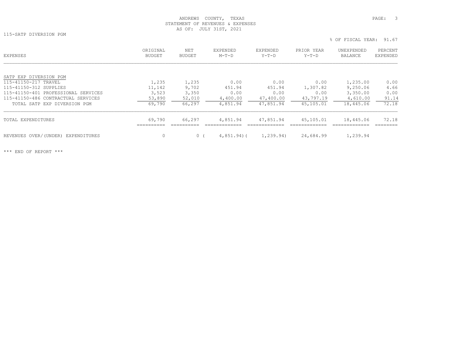115-SATP DIVERSION PGM

% OF FISCAL YEAR: 91.67

| <b>EXPENSES</b>                       | ORIGINAL<br>BUDGET | <b>NET</b><br><b>BUDGET</b> | EXPENDED<br>$M-T-D$ | EXPENDED<br>$Y-T-D$ | PRIOR YEAR<br>$Y-T-D$ | UNEXPENDED<br><b>BALANCE</b> | PERCENT<br><b>EXPENDED</b> |
|---------------------------------------|--------------------|-----------------------------|---------------------|---------------------|-----------------------|------------------------------|----------------------------|
| SATP EXP DIVERSION PGM                |                    |                             |                     |                     |                       |                              |                            |
| 115-41150-217 TRAVEL                  | 1,235              | 1,235                       | 0.00                | 0.00                | 0.00                  | 1,235.00                     | 0.00                       |
| 115-41150-312 SUPPLIES                | 11,142             | 9,702                       | 451.94              | 451.94              | 1,307.82              | 9,250.06                     | 4.66                       |
| 115-41150-401 PROFESSIONAL SERVICES   | 3,523              | 3,350                       | 0.00                | 0.00                | 0.00                  | 3,350.00                     | 0.00                       |
| 115-41150-486 CONTRACTUAL SERVICES    | 53,890             | 52,010                      | 4,400.00            | 47,400.00           | 43,797.19             | 4,610.00                     | 91.14                      |
| TOTAL SATP EXP DIVERSION PGM          | 69,790             | 66,297                      | 4,851.94            | 47,851.94           | 45,105.01             | 18,445.06                    | 72.18                      |
| TOTAL EXPENDITURES                    | 69,790             | 66,297                      | 4,851.94            | 47,851.94           | 45,105.01             | 18,445.06                    | 72.18                      |
| REVENUES OVER/(UNDER)<br>EXPENDITURES | $\mathbf 0$        | $\Omega$                    | $4,851.94$ ) (      | 1,239.94)           | 24,684.99             | 1,239.94                     |                            |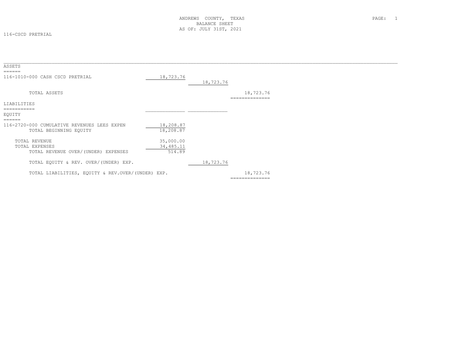116-CSCD PRETRIAL

| ASSETS                                            |           |           |                |  |
|---------------------------------------------------|-----------|-----------|----------------|--|
| ======                                            |           |           |                |  |
| 116-1010-000 CASH CSCD PRETRIAL                   | 18,723.76 |           |                |  |
|                                                   |           | 18,723.76 |                |  |
| TOTAL ASSETS                                      |           |           | 18,723.76      |  |
|                                                   |           |           | ------------   |  |
| LIABILITIES                                       |           |           |                |  |
| ===========                                       |           |           |                |  |
| EQUITY                                            |           |           |                |  |
| $=$ $=$ $=$ $=$ $=$                               |           |           |                |  |
| 116-2720-000 CUMULATIVE REVENUES LEES EXPEN       | 18,208.87 |           |                |  |
| TOTAL BEGINNING EQUITY                            | 18,208.87 |           |                |  |
|                                                   |           |           |                |  |
| TOTAL REVENUE                                     | 35,000.00 |           |                |  |
| TOTAL EXPENSES                                    | 34,485.11 |           |                |  |
| TOTAL REVENUE OVER/(UNDER) EXPENSES               | 514.89    |           |                |  |
|                                                   |           |           |                |  |
| TOTAL EQUITY & REV. OVER/(UNDER) EXP.             |           | 18,723.76 |                |  |
|                                                   |           |           |                |  |
| TOTAL LIABILITIES, EQUITY & REV.OVER/(UNDER) EXP. |           |           | 18,723.76      |  |
|                                                   |           |           | ============== |  |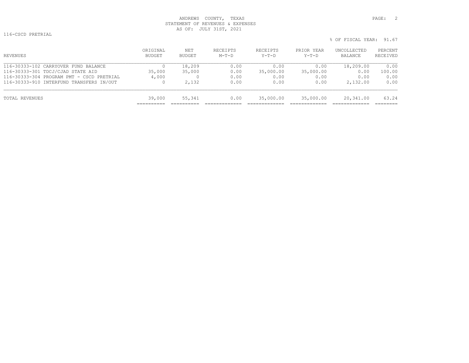116-CSCD PRETRIAL

| ORIGINAL<br>BUDGET | NET<br><b>BUDGET</b> | RECEIPTS<br>$M-T-D$ | RECEIPTS<br>$Y-T-D$ | PRIOR YEAR<br>$Y-T-D$ | UNCOLLECTED<br>BALANCE | PERCENT<br>RECEIVED |
|--------------------|----------------------|---------------------|---------------------|-----------------------|------------------------|---------------------|
| 0                  | 18,209               | 0.00                | 0.00                | 0.00                  | 18,209.00              | 0.00                |
| 35,000             | 35,000               | 0.00                | 35,000.00           | 35,000.00             | 0.00                   | 100.00              |
| 4,000              |                      | 0.00                | 0.00                | 0.00                  | 0.00                   | 0.00                |
| 0                  | 2,132                | 0.00                | 0.00                | 0.00                  | 2,132.00               | 0.00                |
| 39,000             | 55,341               | 0.00                | 35,000.00           | 35,000.00             | 20,341.00              | 63.24               |
|                    |                      |                     |                     |                       |                        |                     |

% OF FISCAL YEAR: 91.67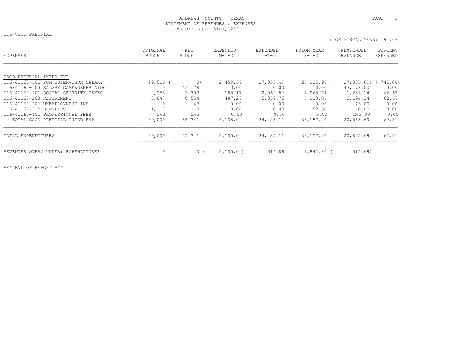116-CSCD PRETRIAL

% OF FISCAL YEAR: 91.67

| EXPENSES                             | ORIGINAL<br>BUDGET | NET<br><b>BUDGET</b> | EXPENDED<br>$M-T-D$ | EXPENDED<br>$Y-T-D$ | PRIOR YEAR<br>$Y-T-D$ | UNEXPENDED<br>BALANCE | PERCENT<br>EXPENDED |
|--------------------------------------|--------------------|----------------------|---------------------|---------------------|-----------------------|-----------------------|---------------------|
|                                      |                    |                      |                     |                     |                       |                       |                     |
| CSCD PRETRIAL INTER EXP              |                    |                      |                     |                     |                       |                       |                     |
| 116-41160-101 PGM SUPERVISOR SALARY  | $29,515$ (         | $\circ$ )            | 2,459.59            | 27,055.49           | $26,025.95$ (         | 27,055.69) 7,745.00-  |                     |
| 116-41160-103 SALARY CASEWORKER AIDE | 0                  | 43,178               | 0.00                | 0.00                | 0.00                  | 43,178.00             | 0.00                |
| 116-41160-201 SOCIAL SECURITY TAXES  | 2,258              | 3,303                | 188.17              | 2,069.86            | 1,968.74              | 1,233.14              | 62.67               |
| 116-41160-203 RETIREMENT             | 5,847              | 8,554                | 487.25              | 5,359.76            | 5,110.01              | 3,194.24              | 62.66               |
| 116-41160-206 UNEMPLOYMENT INS       |                    | 43                   | 0.00                | 0.00                | 0.00                  | 43.00                 | 0.00                |
| 116-41160-312 SUPPLIES               | 1,117              |                      | 0.00                | 0.00                | 52.50                 | 0.00                  | 0.00                |
| 116-41160-401 PROFESSIONAL FEES      | 263                | 263                  | 0.00                | 0.00                | 0.00                  | 263.00                | 0.00                |
| TOTAL CSCD PRETRIAL INTER EXP        | 39,000             | 55,341               | 3,135.01            | 34, 485.11          | 33,157.20             | 20,855.69             | 62.31               |
| TOTAL EXPENDITURES                   | 39,000             | 55,341               | 3,135.01            | 34,485.11           | 33,157.20             | 20,855.69             | 62.31               |
| REVENUES OVER/(UNDER) EXPENDITURES   | $\circ$            | 0(                   | 3, 135, 01)         | 514.89              | 1,842.80 (            | 514.69                |                     |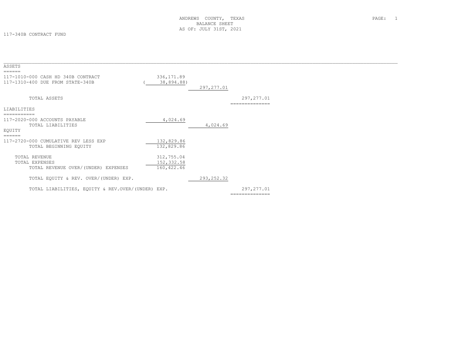117-340B CONTRACT FUND

| 336, 171.89<br>38,894.88)                |
|------------------------------------------|
|                                          |
| 297, 277.01                              |
| 297, 277.01                              |
|                                          |
| 4,024.69<br>4,024.69                     |
| 132,829.86<br>132,829.86                 |
| 312,755.04<br>152, 332.58<br>160, 422.46 |
| 293, 252.32                              |
| 297, 277.01<br>==============            |
|                                          |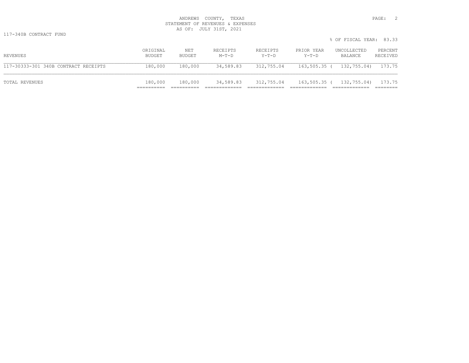|                                      |                    |               |                     |                   |                     | % OF FISCAL YEAR: 83.33 |                     |
|--------------------------------------|--------------------|---------------|---------------------|-------------------|---------------------|-------------------------|---------------------|
| REVENUES                             | ORIGINAL<br>BUDGET | NET<br>BUDGET | RECEIPTS<br>$M-T-D$ | RECEIPTS<br>Y-T-D | PRIOR YEAR<br>Y-T-D | UNCOLLECTED<br>BALANCE  | PERCENT<br>RECEIVED |
| 117-30333-301 340B CONTRACT RECEIPTS | 180,000            | 180,000       | 34,589.83           | 312,755.04        | 163,505.35 (        | 132,755.04)             | 173.75              |
| TOTAL REVENUES                       | 180,000            | 180,000       | 34,589.83           | 312,755.04        | 163,505.35 (        | 132,755.04)             | 173.75              |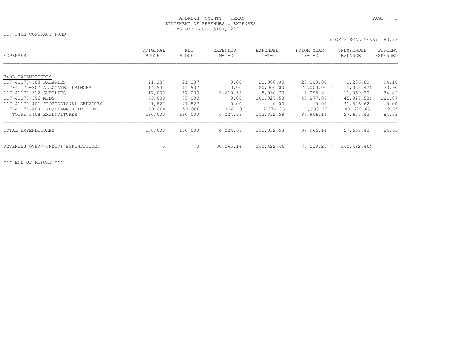117-340B CONTRACT FUND

% OF FISCAL YEAR: 83.33

| EXPENSES                              | ORIGINAL<br><b>BUDGET</b> | NET<br><b>BUDGET</b> | EXPENDED<br>$M-T-D$ | <b>EXPENDED</b><br>$Y-T-D$ | PRIOR YEAR<br>$Y-T-D$ | UNEXPENDED<br>BALANCE | PERCENT<br>EXPENDED |
|---------------------------------------|---------------------------|----------------------|---------------------|----------------------------|-----------------------|-----------------------|---------------------|
|                                       |                           |                      |                     |                            |                       |                       |                     |
| 340B EXPENDITURES                     |                           |                      |                     |                            |                       |                       |                     |
| 117-41170-103 SALARIES                | 21,237                    | 21,237               | 0.00                | 20,000.00                  | 20,000.00             | 1,236.80              | 94.18               |
| 117-41170-207 ALLOCATED FRINGES       | 14,937                    | 14,937               | 0.00                | 20,000.00                  | 20,000.00 (           | 5,063,42)             | 133.90              |
| 117-41170-312 SUPPLIES                | 17,000                    | 17,000               | 3,610.56            | 5,930.70                   | 1,095.81              | 11,069.30             | 34.89               |
| 117-41170-396 MEDS                    | 55,000                    | 55,000               | 0.00                | 100,027.53                 | 43,877.08 (           | 45,027.53)            | 181.87              |
| 117-41170-401 PROFESSIONAL SERVICES   | 21,827                    | 21,827               | 0.00                | 0.00                       | 0.00                  | 21,826.62             | 0.00                |
| 117-41170-408 LAB/DIAGNOSTIC TESTS    | 50,000                    | 50,000               | 414.13              | 6,374.35                   | 2,993.25              | 43,625.65             | 12.75               |
| TOTAL 340B EXPENDITURES               | 180,000                   | 180,000              | 4,024.69            | 152,332.58                 | 87,966.14             | 27,667.42             | 84.63               |
| TOTAL EXPENDITURES                    | 180,000                   | 180,000              | 4,024.69            | 152,332.58                 | 87,966.14             | 27,667.42             | 84.63               |
| REVENUES OVER/(UNDER)<br>EXPENDITURES | 0                         | $\circ$              | 30,565.14           | 160,422.46                 | 75,539.21 (           | 160, 422.46           |                     |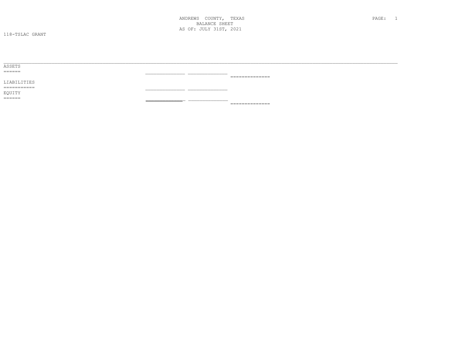ANDREWS COUNTY, TEXAS **BALANCE SHEET** AS OF: JULY 31ST, 2021

118-TSLAC GRANT

| ASSETS          |                     |
|-----------------|---------------------|
| ======          |                     |
|                 | ______________<br>. |
| LIABILITIES     |                     |
| $=$ =========== |                     |
| EQUITY          |                     |
| ======          |                     |
|                 | ---------------     |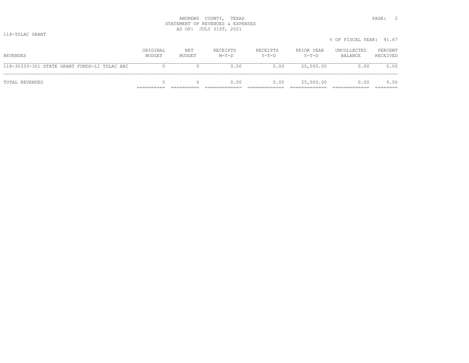|                                              |                    |               |                     |                     |                       | % OF FISCAL YEAR: 91.67 |                     |
|----------------------------------------------|--------------------|---------------|---------------------|---------------------|-----------------------|-------------------------|---------------------|
| REVENUES                                     | ORIGINAL<br>BUDGET | NET<br>BUDGET | RECEIPTS<br>$M-T-D$ | RECEIPTS<br>$Y-T-D$ | PRIOR YEAR<br>$Y-T-D$ | UNCOLLECTED<br>BALANCE  | PERCENT<br>RECEIVED |
| 118-30333-301 STATE GRANT FUNDS-LI TSLAC ARC |                    |               | 0.00                | 0.00                | 25,000.00             | 0.00                    | 0.00                |
| TOTAL REVENUES                               |                    |               | 0.00                | 0.00                | 25,000.00             | 0.00                    | 0.00                |

 $.67$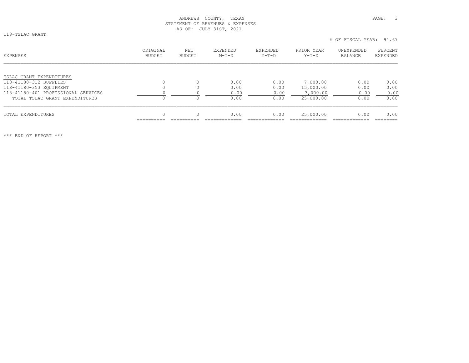118-TSLAC GRANT

| EXPENSES                            | ORIGINAL<br><b>BUDGET</b> | <b>NET</b><br><b>BUDGET</b> | EXPENDED<br>$M-T-D$ | EXPENDED<br>$Y-T-D$ | PRIOR YEAR<br>$Y-T-D$ | UNEXPENDED<br>BALANCE | PERCENT<br>EXPENDED |
|-------------------------------------|---------------------------|-----------------------------|---------------------|---------------------|-----------------------|-----------------------|---------------------|
|                                     |                           |                             |                     |                     |                       |                       |                     |
| TSLAC GRANT EXPENDITURES            |                           |                             |                     |                     |                       |                       |                     |
| 118-41180-312 SUPPLIES              |                           |                             | 0.00                | 0.00                | 7,000.00              | 0.00                  | 0.00                |
| 118-41180-353 EQUIPMENT             |                           |                             | 0.00                | 0.00                | 15,000.00             | 0.00                  | 0.00                |
| 118-41180-401 PROFESSIONAL SERVICES |                           |                             | 0.00                | 0.00                | 3,000.00              | 0.00                  | 0.00                |
| TOTAL TSLAC GRANT EXPENDITURES      |                           |                             | 0.00                | 0.00                | 25,000.00             | 0.00                  | 0.00                |
|                                     | 0                         |                             |                     |                     |                       |                       |                     |
| TOTAL EXPENDITURES                  |                           |                             | 0.00                | 0.00                | 25,000.00             | 0.00                  | 0.00                |

\*\*\* END OF REPORT \*\*\*

% OF FISCAL YEAR: 91.67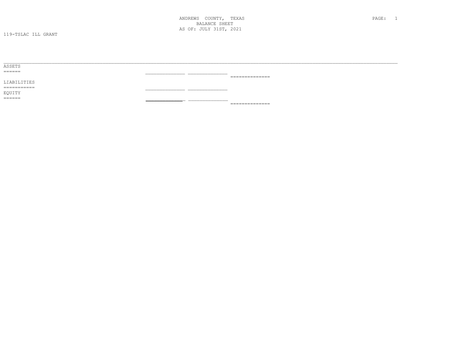ANDREWS COUNTY, TEXAS **BALANCE SHEET** AS OF: JULY 31ST, 2021

119-TSLAC ILL GRANT

| ---------------                                                                                                                                                                                                                                                                                                                                                                                                                                                    |
|--------------------------------------------------------------------------------------------------------------------------------------------------------------------------------------------------------------------------------------------------------------------------------------------------------------------------------------------------------------------------------------------------------------------------------------------------------------------|
|                                                                                                                                                                                                                                                                                                                                                                                                                                                                    |
|                                                                                                                                                                                                                                                                                                                                                                                                                                                                    |
|                                                                                                                                                                                                                                                                                                                                                                                                                                                                    |
|                                                                                                                                                                                                                                                                                                                                                                                                                                                                    |
| $\begin{array}{c} \multicolumn{2}{c} {\textbf{2.4}} & \multicolumn{2}{c} {\textbf{2.5}} \\ \multicolumn{2}{c} {\textbf{2.6}} & \multicolumn{2}{c} {\textbf{2.6}} \\ \multicolumn{2}{c} {\textbf{2.6}} & \multicolumn{2}{c} {\textbf{2.6}} \\ \multicolumn{2}{c} {\textbf{2.6}} & \multicolumn{2}{c} {\textbf{2.6}} \\ \multicolumn{2}{c} {\textbf{2.6}} & \multicolumn{2}{c} {\textbf{2.6}} \\ \multicolumn{2}{c} {\textbf{2.6}} & \multicolumn{2}{c} {\textbf{2.$ |
|                                                                                                                                                                                                                                                                                                                                                                                                                                                                    |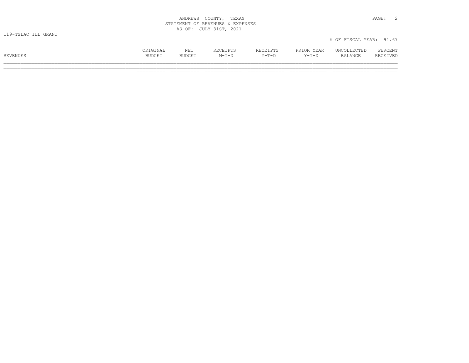| ANDREWS                | TEXAS<br>COUNTY,                 | PAGE. |  |
|------------------------|----------------------------------|-------|--|
|                        | STATEMENT OF REVENUES & EXPENSES |       |  |
|                        | AS OF: JULY 31ST, 2021           |       |  |
| $110$ motio TII chainm |                                  |       |  |

|          | ORIGINAL      | NET           | <b>RECEIPTS</b><br>س کے طاقات قلب | RECEIPTS | PRIOR YEAR | UNCOLLECTED    | PERCENT  |
|----------|---------------|---------------|-----------------------------------|----------|------------|----------------|----------|
| REVENUES | <b>BUDGET</b> | <b>BUDGET</b> | $M-T-D$                           | $Y-T-D$  | $Y-T-D$    | <b>BALANCE</b> | RECEIVED |
|          |               |               |                                   |          |            |                |          |

% OF FISCAL YEAR: 91.67

\_\_\_\_\_\_\_\_\_\_\_\_\_\_\_\_\_\_\_\_\_\_\_\_\_\_\_\_\_\_\_\_\_\_\_\_\_\_\_\_\_\_\_\_\_\_\_\_\_\_\_\_\_\_\_\_\_\_\_\_\_\_\_\_\_\_\_\_\_\_\_\_\_\_\_\_\_\_\_\_\_\_\_\_\_\_\_\_\_\_\_\_\_\_\_\_\_\_\_\_\_\_\_\_\_\_\_\_\_\_\_\_\_\_\_\_\_\_\_\_\_\_\_\_\_\_\_\_\_\_\_\_\_\_\_\_\_\_\_ ========== ========== ============= ============= ============= ============= ========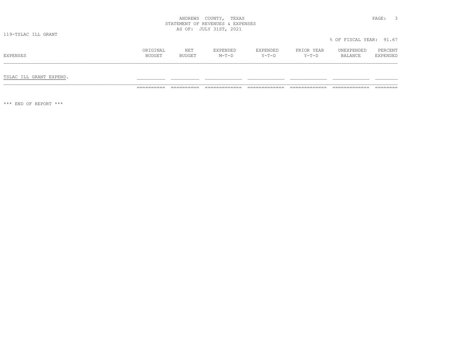| COUNTY,<br>ANDREWS               | PAGE:<br>TEXAS |  |
|----------------------------------|----------------|--|
| STATEMENT OF REVENUES & EXPENSES |                |  |
| AS OF:<br>JULY 31ST,             | 2021           |  |

119-TSLAC ILL GRANT

# ORIGINAL NET EXPENDED EXPENDED PRIOR YEAR UNEXPENDED PERCENT<br>BUDGET BUDGET M-T-D Y-T-D Y-T-D BALANCE EXPENDED

TSLAC ILL GRANT EXPEND. \_\_\_\_\_\_\_\_\_\_ \_\_\_\_\_\_\_\_\_\_ \_\_\_\_\_\_\_\_\_\_\_\_\_ \_\_\_\_\_\_\_\_\_\_\_\_\_ \_\_\_\_\_\_\_\_\_\_\_\_\_ \_\_\_\_\_\_\_\_\_\_\_\_\_ \_\_\_\_\_\_\_\_

========== ========== ============= ============= ============= ============= ========

\*\*\* END OF REPORT \*\*\*

% OF FISCAL YEAR: 91.67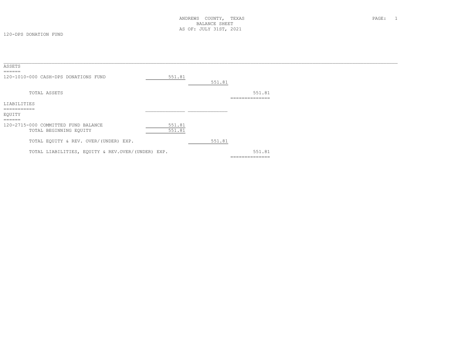| 551.81                                            | 551.81 |        |                                      |
|---------------------------------------------------|--------|--------|--------------------------------------|
|                                                   |        | 551.81 |                                      |
|                                                   |        |        |                                      |
|                                                   |        |        |                                      |
| 551.81<br>551.81                                  |        |        |                                      |
|                                                   | 551.81 |        |                                      |
| TOTAL LIABILITIES, EQUITY & REV.OVER/(UNDER) EXP. |        | 551.81 |                                      |
|                                                   |        |        | _____________<br>.<br>============== |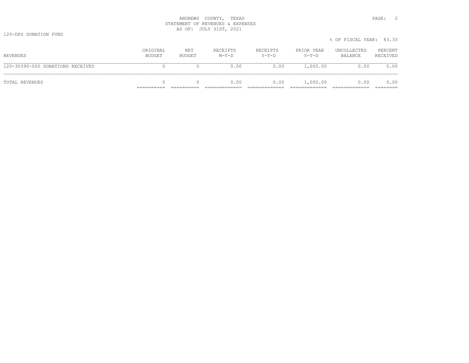|                                  |                    |               |                     |                     |                     | % OF FISCAL YEAR: 83.33 |                     |
|----------------------------------|--------------------|---------------|---------------------|---------------------|---------------------|-------------------------|---------------------|
| REVENUES                         | ORIGINAL<br>BUDGET | NET<br>BUDGET | RECEIPTS<br>$M-T-D$ | RECEIPTS<br>$Y-T-D$ | PRIOR YEAR<br>Y-T-D | UNCOLLECTED<br>BALANCE  | PERCENT<br>RECEIVED |
| 120-30390-000 DONATIONS RECEIVED |                    |               | 0.00                | 0.00                | 1,000.00            | 0.00                    | 0.00                |
| TOTAL REVENUES                   |                    |               | 0.00                | 0.00                | 1,000.00            | 0.00                    | 0.00                |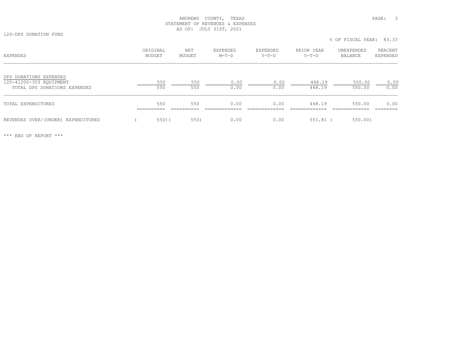120-DPS DONATION FUND

|                                                                                   |                           |                      |                     |                     |                       | % OF FISCAL YEAR: 83.33 |                     |
|-----------------------------------------------------------------------------------|---------------------------|----------------------|---------------------|---------------------|-----------------------|-------------------------|---------------------|
| EXPENSES                                                                          | ORIGINAL<br><b>BUDGET</b> | NET<br><b>BUDGET</b> | EXPENDED<br>$M-T-D$ | EXPENDED<br>$Y-T-D$ | PRIOR YEAR<br>$Y-T-D$ | UNEXPENDED<br>BALANCE   | PERCENT<br>EXPENDED |
| DPS DONATIONS EXPENDED<br>120-41200-353 EOUIPMENT<br>TOTAL DPS DONATIONS EXPENDED | 550<br>550                | 550<br>550           | 0.00<br>0.00        | 0.00<br>0.00        | 448.19<br>448.19      | 550.00<br>550.00        | 0.00<br>0.00        |
| TOTAL EXPENDITURES                                                                | 550<br>_______            | 550                  | 0.00                | 0.00                | 448.19                | 550.00                  | 0.00                |
| REVENUES OVER/(UNDER) EXPENDITURES                                                | $550)$ (                  | 550)                 | 0.00                | 0.00                | 551.81                | 550.00                  |                     |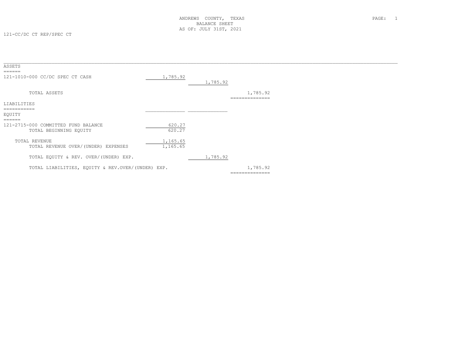| ASSETS<br>======                                                                     |                      |          |                            |  |
|--------------------------------------------------------------------------------------|----------------------|----------|----------------------------|--|
| 121-1010-000 CC/DC SPEC CT CASH                                                      | 1,785.92             | 1,785.92 |                            |  |
| TOTAL ASSETS                                                                         |                      |          | 1,785.92<br>============== |  |
| LIABILITIES                                                                          |                      |          |                            |  |
| ===========<br>EQUITY                                                                |                      |          |                            |  |
| $=$ $=$ $=$ $=$ $=$<br>121-2715-000 COMMITTED FUND BALANCE<br>TOTAL BEGINNING EQUITY | 620.27<br>620.27     |          |                            |  |
| TOTAL REVENUE<br>TOTAL REVENUE OVER/(UNDER) EXPENSES                                 | 1,165.65<br>1,165.65 |          |                            |  |
| TOTAL EQUITY & REV. OVER/(UNDER) EXP.                                                |                      | 1,785.92 |                            |  |
| TOTAL LIABILITIES, EQUITY & REV.OVER/(UNDER) EXP.                                    |                      |          | 1,785.92<br>============== |  |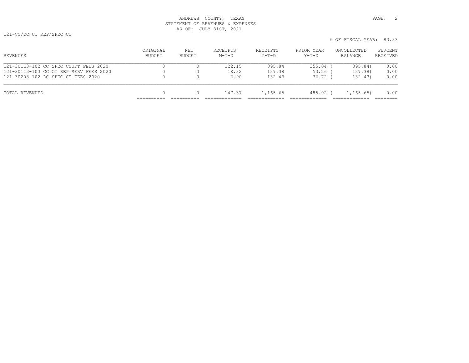121-30203-102 DC SPEC CT FEES 2020 0 0 6.90 132.43 76.72 ( 132.43) 0.00

TOTAL REVENUES 0 0 147.37 1,165.65 485.02 ( 1,165.65) 0.00

|                                        |                            |                      |                            |                     |                       |                        | ------              |
|----------------------------------------|----------------------------|----------------------|----------------------------|---------------------|-----------------------|------------------------|---------------------|
| <b>REVENUES</b>                        | ORTGINAL.<br><b>BUDGET</b> | NET<br><b>BUDGET</b> | <b>RECEIPTS</b><br>$M-T-D$ | RECEIPTS<br>$Y-T-D$ | PRIOR YEAR<br>$Y-T-D$ | UNCOLLECTED<br>BALANCE | PERCENT<br>RECEIVED |
| 121-30113-102 CC SPEC COURT FEES 2020  |                            |                      | 122 15                     | 895.84              | 355.04                | 895.84)                | 0.00                |
| 121-30113-103 CC CT REP SERV FEES 2020 |                            |                      | 18.32                      | 137.38              | $53.26$ (             | 137.38)                | 0.00                |

========== ========== ============= ============= ============= ============= ========

% OF FISCAL YEAR: 83.33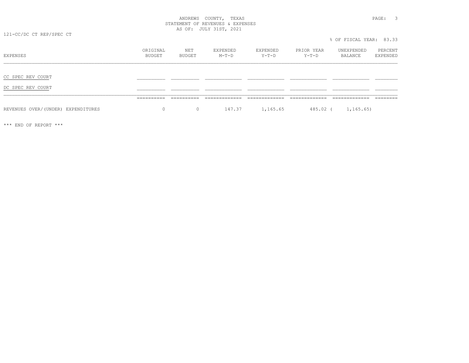121-CC/DC CT REP/SPEC CT

ORIGINAL NET EXPENDED EXPENDED PRIOR YEAR UNEXPENDED PERCENT<br>BUDGET BUDGET M-T-D Y-T-D Y-T-D BALANCE EXPENDED CC SPEC REV COURT \_\_\_\_\_\_\_\_\_\_ \_\_\_\_\_\_\_\_\_\_ \_\_\_\_\_\_\_\_\_\_\_\_\_ \_\_\_\_\_\_\_\_\_\_\_\_\_ \_\_\_\_\_\_\_\_\_\_\_\_\_ \_\_\_\_\_\_\_\_\_\_\_\_\_ \_\_\_\_\_\_\_\_ DC SPEC REV COURT \_\_\_\_\_\_\_\_\_\_ \_\_\_\_\_\_\_\_\_\_ \_\_\_\_\_\_\_\_\_\_\_\_\_ \_\_\_\_\_\_\_\_\_\_\_\_\_ \_\_\_\_\_\_\_\_\_\_\_\_\_ \_\_\_\_\_\_\_\_\_\_\_\_\_ \_\_\_\_\_\_\_\_ \_\_\_\_\_\_\_\_\_\_\_\_\_\_\_\_\_\_\_\_\_\_\_\_\_\_\_\_\_\_\_\_\_\_\_\_\_\_\_\_\_\_\_\_\_\_\_\_\_\_\_\_\_\_\_\_\_\_\_\_\_\_\_\_\_\_\_\_\_\_\_\_\_\_\_\_\_\_\_\_\_\_\_\_\_\_\_\_\_\_\_\_\_\_\_\_\_\_\_\_\_\_\_\_\_\_\_\_\_\_\_\_\_\_\_\_\_\_\_\_\_\_\_\_\_\_\_\_\_\_\_\_\_\_\_\_\_\_\_ ========== ========== ============= ============= ============= ============= ========REVENUES OVER/(UNDER) EXPENDITURES 0 0 0 147.37 1,165.65 485.02 ( 1,165.65)

\*\*\* END OF REPORT \*\*\*

% OF FISCAL YEAR: 83.33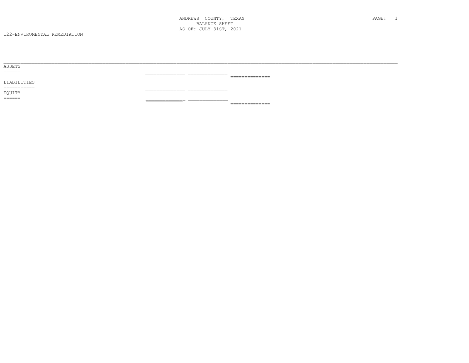| ASSETS      |                 |
|-------------|-----------------|
| ------      |                 |
|             | --------------  |
| LIABILITIES |                 |
| =========== |                 |
| EQUITY      |                 |
| ======      |                 |
|             | --------------- |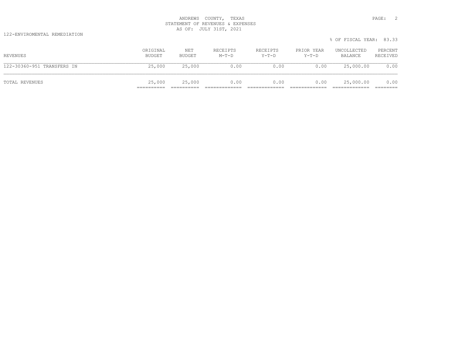122-ENVIROMENTAL REMEDIATION

|                            |                    |               |                     |                     |                     | % OF FISCAL YEAR: 83.33 |                     |
|----------------------------|--------------------|---------------|---------------------|---------------------|---------------------|-------------------------|---------------------|
| REVENUES                   | ORIGINAL<br>BUDGET | NET<br>BUDGET | RECEIPTS<br>$M-T-D$ | RECEIPTS<br>$Y-T-D$ | PRIOR YEAR<br>Y-T-D | UNCOLLECTED<br>BALANCE  | PERCENT<br>RECEIVED |
| 122-30360-951 TRANSFERS IN | 25,000             | 25,000        | 0.00                | 0.00                | 0.00                | 25,000.00               | 0.00                |
| TOTAL REVENUES             | 25,000             | 25,000        | 0.00                | 0.00                | 0.00                | 25,000.00               | 0.00                |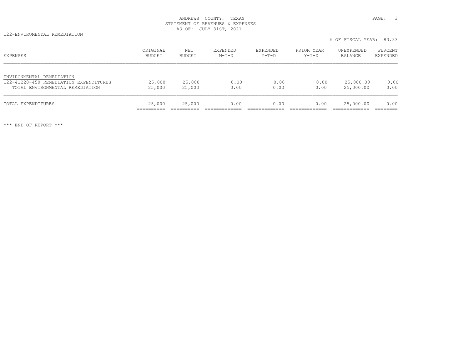122-ENVIROMENTAL REMEDIATION

% OF FISCAL YEAR: 83.33

| EXPENSES                                                                                               | ORIGINAL<br>BUDGET | NET<br>BUDGET    | EXPENDED<br>$M-T-D$ | EXPENDED<br>$Y-T-D$ | PRIOR YEAR<br>$Y-T-D$ | UNEXPENDED<br>BALANCE  | PERCENT<br>EXPENDED |
|--------------------------------------------------------------------------------------------------------|--------------------|------------------|---------------------|---------------------|-----------------------|------------------------|---------------------|
| ENVIRONMENTAL REMEDIATION<br>122-41220-450 REMEDIATION EXPENDITURES<br>TOTAL ENVIRONMENTAL REMEDIATION | 25,000<br>25,000   | 25,000<br>25,000 | 0.00<br>0.00        | 0.00<br>0.00        | 0.00<br>0.00          | 25,000.00<br>25,000.00 | 0.00<br>0.00        |
| TOTAL EXPENDITURES                                                                                     | 25,000             | 25,000           | 0.00                | 0.00                | 0.00                  | 25,000.00              | 0.00                |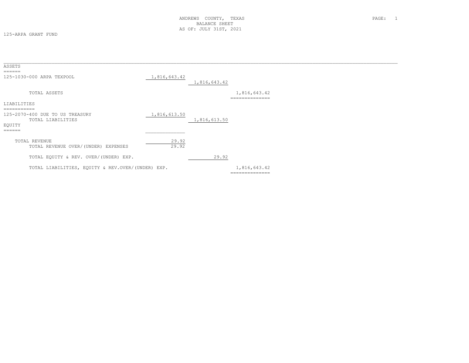125-ARPA GRANT FUND

| ASSETS<br>======                |                                                      |                |              |                                |  |
|---------------------------------|------------------------------------------------------|----------------|--------------|--------------------------------|--|
|                                 | 125-1030-000 ARPA TEXPOOL                            | 1,816,643.42   | 1,816,643.42 |                                |  |
|                                 | TOTAL ASSETS                                         |                |              | 1,816,643.42<br>-------------- |  |
| LIABILITIES                     |                                                      |                |              |                                |  |
| ===========<br>EQUITY<br>====== | 125-2070-400 DUE TO US TREASURY<br>TOTAL LIABILITIES | 1,816,613.50   | 1,816,613.50 |                                |  |
|                                 | TOTAL REVENUE<br>TOTAL REVENUE OVER/(UNDER) EXPENSES | 29.92<br>29.92 |              |                                |  |
|                                 | TOTAL EQUITY & REV. OVER/(UNDER) EXP.                |                | 29.92        |                                |  |
|                                 | TOTAL LIABILITIES, EQUITY & REV.OVER/(UNDER) EXP.    |                |              | 1,816,643.42<br>============== |  |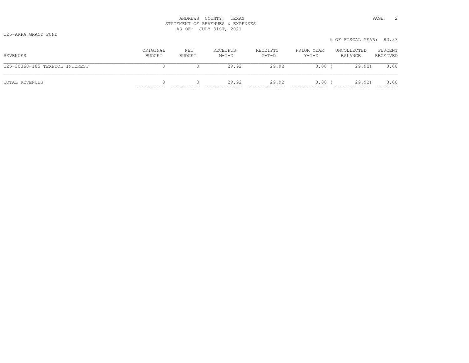|                                |                    |               |                     |                     |                       | % OF FISCAL YEAR: 83.33 |                     |
|--------------------------------|--------------------|---------------|---------------------|---------------------|-----------------------|-------------------------|---------------------|
| REVENUES                       | ORIGINAL<br>BUDGET | NET<br>BUDGET | RECEIPTS<br>$M-T-D$ | RECEIPTS<br>$Y-T-D$ | PRIOR YEAR<br>$Y-T-D$ | UNCOLLECTED<br>BALANCE  | PERCENT<br>RECEIVED |
| 125-30360-105 TEXPOOL INTEREST |                    |               | 29.92               | 29.92               | $0.00$ (              | 29.92                   | 0.00                |
| TOTAL REVENUES                 | 0                  |               | 29.92               | 29.92               | $0.00$ (              | 29.92)                  | 0.00                |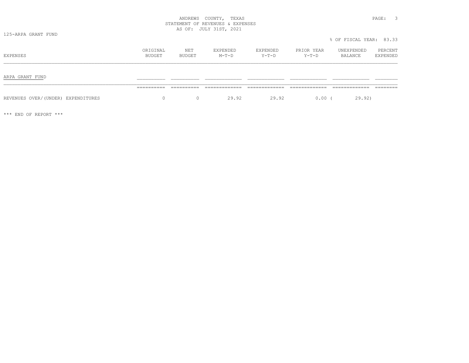| COUNTY,<br>ANDREWS               | PAGE.<br>TEXAS |  |
|----------------------------------|----------------|--|
| STATEMENT OF REVENUES & EXPENSES |                |  |
| AS OF: JULY 31ST, 2021           |                |  |

125-ARPA GRANT FUND

| EXPENSES                           | ORIGINAL<br>BUDGET | NET<br>BUDGET | EXPENDED<br>$M-T-D$ | EXPENDED<br>$Y-T-D$ | PRIOR YEAR<br>Y-T-D | UNEXPENDED<br>BALANCE | PERCENT<br>EXPENDED |
|------------------------------------|--------------------|---------------|---------------------|---------------------|---------------------|-----------------------|---------------------|
| ARPA GRANT FUND                    |                    |               |                     |                     |                     |                       |                     |
|                                    |                    |               |                     |                     |                     |                       |                     |
| REVENUES OVER/(UNDER) EXPENDITURES | 0                  | $\circ$       | 29.92               | 29.92               | $0.00$ (            | 29.92)                |                     |

\*\*\* END OF REPORT \*\*\*

% OF FISCAL YEAR: 83.33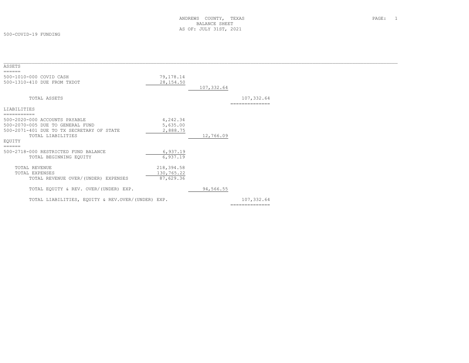500-COVID-19 FUNDING

| ASSETS<br>======                                  |            |            |                |  |
|---------------------------------------------------|------------|------------|----------------|--|
| 500-1010-000 COVID CASH                           | 79,178.14  |            |                |  |
| 500-1310-410 DUE FROM TXDOT                       | 28, 154.50 |            |                |  |
|                                                   |            | 107,332.64 |                |  |
| TOTAL ASSETS                                      |            |            | 107,332.64     |  |
|                                                   |            |            | ===========    |  |
| LIABILITIES                                       |            |            |                |  |
| ===========                                       |            |            |                |  |
| 500-2020-000 ACCOUNTS PAYABLE                     | 4,242.34   |            |                |  |
| 500-2070-005 DUE TO GENERAL FUND                  | 5,635.00   |            |                |  |
| 500-2071-401 DUE TO TX SECRETARY OF STATE         | 2,888.75   |            |                |  |
| TOTAL LIABILITIES                                 |            | 12,766.09  |                |  |
| EOUITY                                            |            |            |                |  |
| ======                                            |            |            |                |  |
| 500-2718-000 RESTRICTED FUND BALANCE              | 6,937.19   |            |                |  |
| TOTAL BEGINNING EQUITY                            | 6,937.19   |            |                |  |
|                                                   |            |            |                |  |
| <b>TOTAL REVENUE</b>                              | 218,394.58 |            |                |  |
| TOTAL EXPENSES                                    | 130,765.22 |            |                |  |
| TOTAL REVENUE OVER/(UNDER) EXPENSES               | 87,629.36  |            |                |  |
|                                                   |            |            |                |  |
| TOTAL EQUITY & REV. OVER/(UNDER) EXP.             |            | 94,566.55  |                |  |
|                                                   |            |            |                |  |
| TOTAL LIABILITIES, EQUITY & REV.OVER/(UNDER) EXP. |            |            | 107,332.64     |  |
|                                                   |            |            | -------------- |  |
|                                                   |            |            |                |  |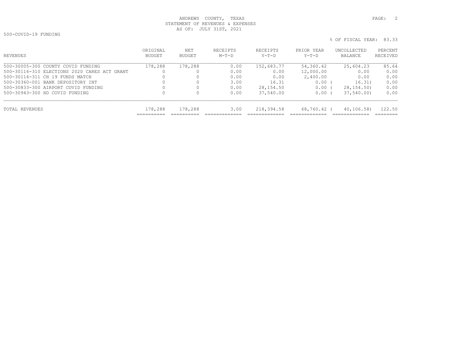500-COVID-19 FUNDING

| REVENUES                                     | ORIGINAL<br>BUDGET | NET<br>BUDGET | RECEIPTS<br>$M-T-D$ | RECEIPTS<br>Y-T-D | PRIOR YEAR<br>$Y-T-D$ | UNCOLLECTED<br>BALANCE | PERCENT<br>RECEIVED |
|----------------------------------------------|--------------------|---------------|---------------------|-------------------|-----------------------|------------------------|---------------------|
| 500-30005-300 COUNTY COVID FUNDING           | 178,288            | 178,288       | 0.00                | 152,683.77        | 54,360.42             | 25,604.23              | 85.64               |
| 500-30116-310 ELECTIONS 2020 CARES ACT GRANT |                    |               | 0.00                | 0.00              | 12,000.00             | 0.00                   | 0.00                |
| 500-30116-311 CH 19 FUNDS MATCH              |                    |               | 0.00                | 0.00              | 2,400.00              | 0.00                   | 0.00                |
| 500-30360-001 BANK DEPOSITORY INT            |                    |               | 3.00                | 16.31             | 0.00                  | 16.31)                 | 0.00                |
| 500-30833-300 AIRPORT COVID FUNDING          |                    |               | 0.00                | 28,154.50         | 0.00                  | 28, 154, 50)           | 0.00                |
| 500-30943-300 HD COVID FUNDING               |                    |               | 0.00                | 37,540.00         | 0.00                  | 37,540.00              | 0.00                |
| TOTAL REVENUES                               | 178,288            | 178,288       | 3.00                | 218,394.58        | 68,760.42 (           | 40, 106, 58            | 122.50              |